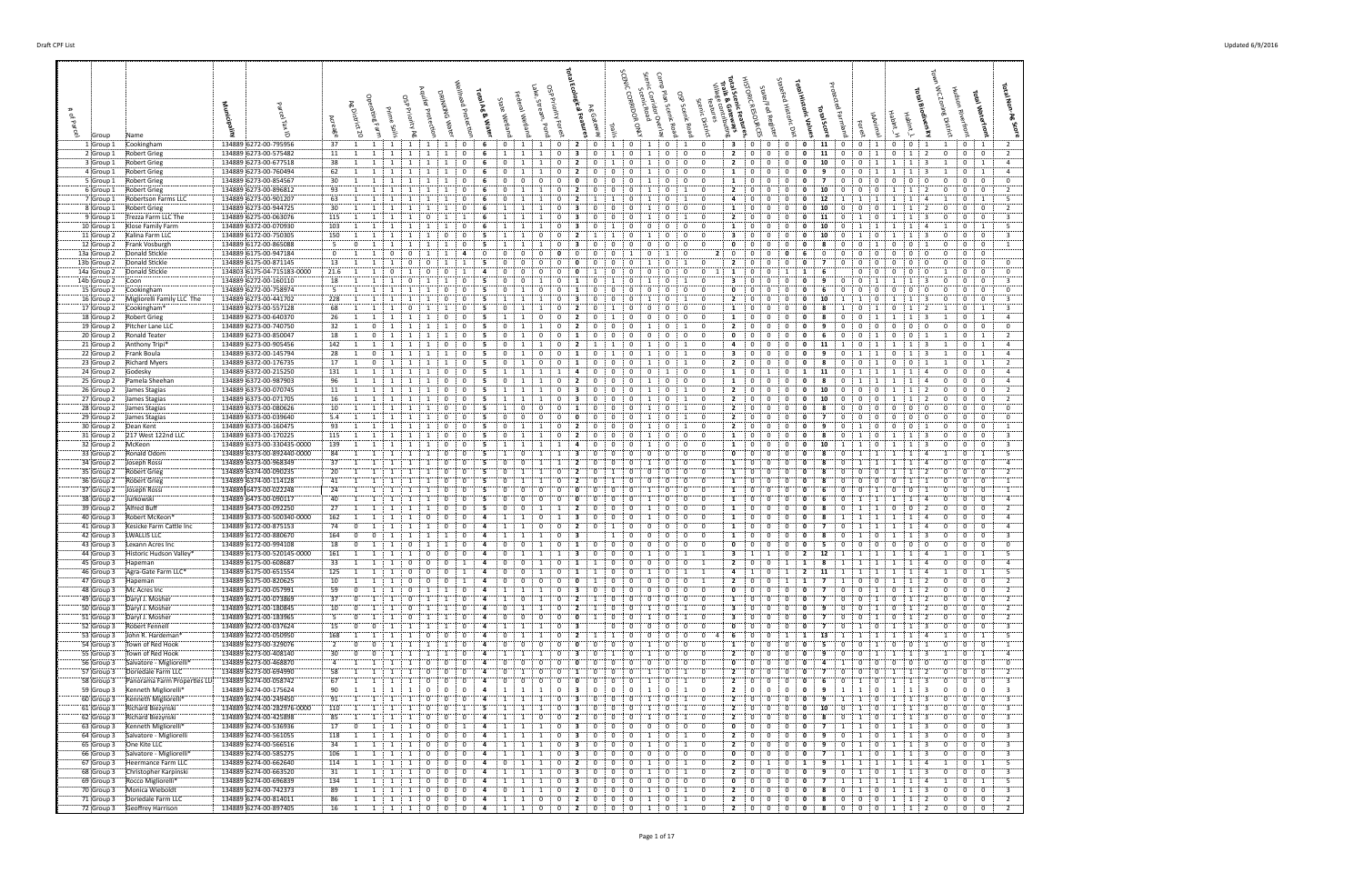**Total Waterfront**

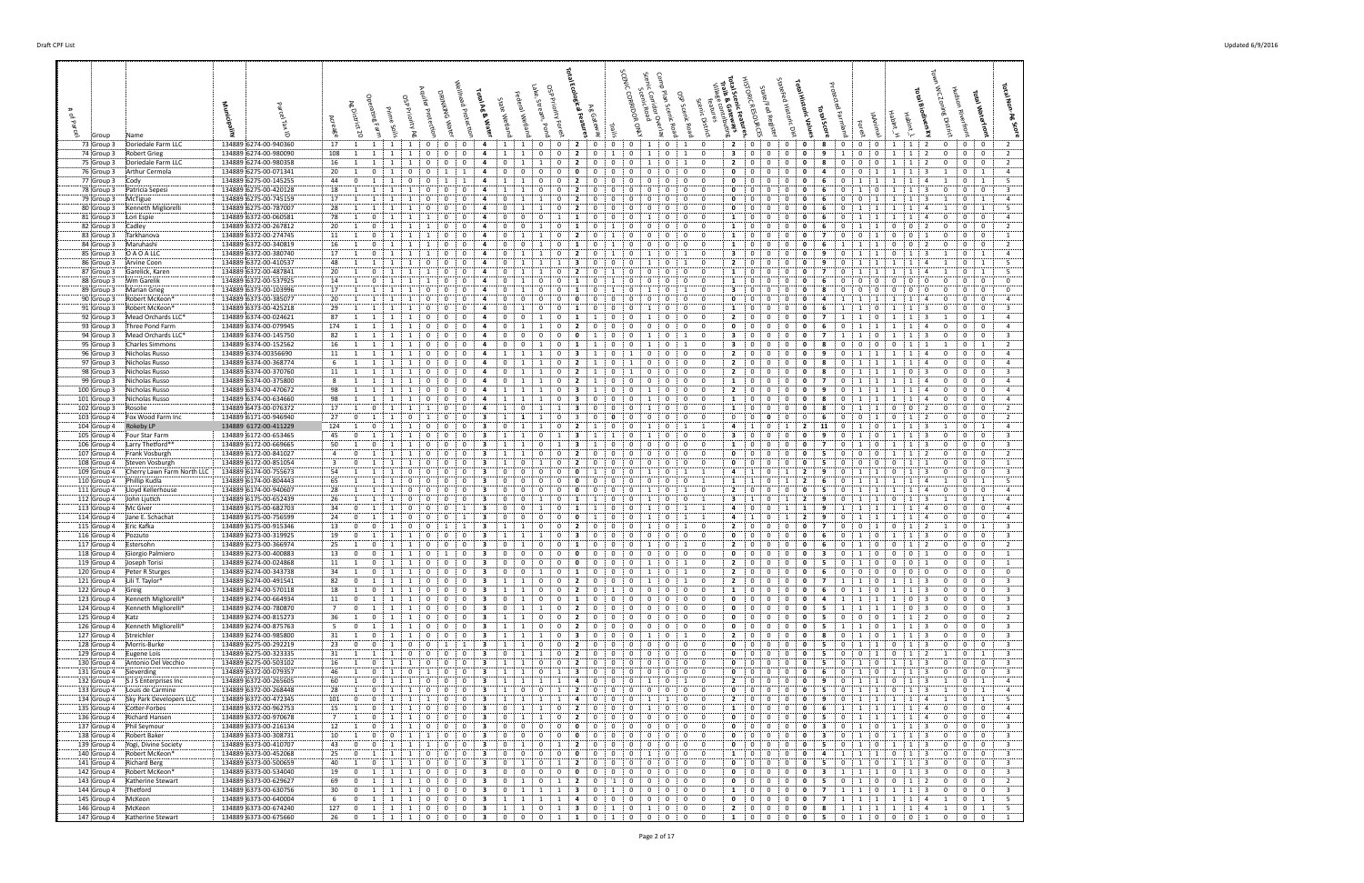| 73 Group 3                                | Doriedale Farm LLC                   | 134889 6274-00-940360                          |    | 17 : 1 : 1                                                       |                                             | 1:                                                          | $1 \cdot 0$                         | $\vdots$ 0                                     | $\mathbf{0}$                     | 4                            | -1                                              | 1 0                           | $\overline{0}$                                        | $2$ :                          |                                | $0 \quad 0$                   | $\mathbf{0}$               | 1                | $0 \quad 1$                                | $\mathbf{0}$                                    |                                | 2 0                            | $\mathbf{0}$                | $\mathbf{0}$                 | $\mathbf{0}$                 | - 8            | $\mathbf{0}$<br>0                     | $\mathbf{0}$                     | -1                                                             | 1:2                                       | 0                           | $0$ $\vdots$ 0                             |
|-------------------------------------------|--------------------------------------|------------------------------------------------|----|------------------------------------------------------------------|---------------------------------------------|-------------------------------------------------------------|-------------------------------------|------------------------------------------------|----------------------------------|------------------------------|-------------------------------------------------|-------------------------------|-------------------------------------------------------|--------------------------------|--------------------------------|-------------------------------|----------------------------|------------------|--------------------------------------------|-------------------------------------------------|--------------------------------|--------------------------------|-----------------------------|------------------------------|------------------------------|----------------|---------------------------------------|----------------------------------|----------------------------------------------------------------|-------------------------------------------|-----------------------------|--------------------------------------------|
| 74 Group 3                                | Robert Grieg                         | 134889 6274-00-980090<br>134889 6274-00-980358 |    | 108<br>$\mathbf{1}$<br>16<br>1                                   | 1                                           | 1                                                           | -1                                  | 0<br>$\mathbf{0}$                              | 0<br>$\Omega$                    | 4                            | <sup>1</sup><br>$\Omega$                        | - 1                           | 0<br>$\mathbf{0}$<br>0                                | $\overline{2}$                 | 0                              | 1<br>$^{\circ}$               | $\mathbf{0}$               | -1               | $\mathbf{0}$<br>1<br>1                     | $^{\circ}$                                      | 3<br>2                         | $\overline{0}$<br>- 0          | $\mathbf 0$<br>0            | $\mathbf{0}$                 | 0                            | 9              | 1<br>$\mathbf 0$<br>$\Omega$          | $\mathbf{0}$<br>$\Omega$         | 1                                                              | 1<br>2                                    | 0<br>$\Omega$               | $0 \quad 0$<br>$\mathbf{0}$                |
| 75 Group 3<br>76 Group 3                  | Doriedale Farm LLC<br>Arthur Cermola | 134889 6275-00-071341                          | 20 | 1                                                                | $\mathbf 0$                                 | $\overline{1}$                                              | $\Omega$                            | $\Omega$<br>$\overline{1}$                     | $\mathbf{1}$                     | 4                            | $\mathbf{0}$                                    | $\mathbf 0$                   | $\mathbf{0}$<br>$\mathbf 0$                           | 0                              | $\mathbf{0}$                   | $^{\circ}$                    | $\Omega$                   | $\Omega$         | $\mathbf{0}$<br>$\mathbf{0}$               | $\Omega$                                        | $\mathbf 0$                    | ÷Ο                             | $\Omega$                    | $\mathbf{0}$                 | $\mathbf{0}$                 | 4              | $\mathbf{0}$<br>$\Omega$              | $\overline{1}$                   | - 1                                                            | 1<br>1 3                                  | -1.                         | $0 \quad 1$                                |
| 77 Group 3                                | Cody                                 | 134889 6275-00-145255                          |    | 44<br>$\mathbf 0$                                                | 1                                           |                                                             | $\Omega$                            | $\Omega$                                       |                                  | 4                            | -1                                              | -1                            | 0<br>$\Omega$                                         |                                | - 0                            | 0                             |                            |                  | $\mathbf 0$<br>$\Omega$                    | $\Omega$                                        | $\mathbf 0$                    | 0                              | 0                           | $\Omega$                     | 0                            |                | $\Omega$<br>-1                        | $\overline{1}$                   |                                                                | -1                                        |                             | $\mathbf{0}$                               |
| 78 Group 3                                | Patricia Sepesi                      | 134889 6275-00-420128                          |    | 18<br>1                                                          | $\overline{1}$                              |                                                             |                                     | 0                                              | $\Omega$                         |                              |                                                 |                               | $\Omega$<br>0                                         | 2                              | 0                              | 0                             | $\Omega$                   |                  | $\mathbf 0$                                | - 0                                             | $\Omega$                       | : 0                            | 0                           |                              |                              | -6             | $\Omega$                              | $\Omega$                         |                                                                | -3                                        | $\mathbf{0}$                | $\mathbf{0}$                               |
| 79 Group 3                                | McTigue                              | 134889 6275-00-745159                          |    | 17<br>1                                                          | 1                                           |                                                             |                                     | $\mathbf{0}$<br>$\mathbf 0$                    | $\mathbf{0}$                     | 4                            | $\mathbf 0$                                     | -1                            | $\mathbf{0}$                                          | $\mathbf{2}$                   | $\mathbf 0$                    | $\mathbf 0$                   | $\Omega$                   | $\Omega$         | $\overline{0}$<br>$\Omega$                 | $\mathbf 0$                                     | $\mathbf{0}$                   | $\overline{\mathbf{0}}$        | $^{\circ}$                  | $\Omega$                     | $\mathbf{0}$                 | - 6            | $\mathbf{0}$<br>$\Omega$              | - 1                              |                                                                | $\overline{1}$<br>-3                      |                             | $0 \quad 1$                                |
| 80 Group 3                                | Kenneth Migliorelli                  | 134889 6275-00-787007                          |    | 28<br>$\frac{1}{2}$                                              | 1                                           |                                                             | 1                                   | $\mathbf{0}$<br>$\mathbf{0}$                   | $^{\circ}$                       | 4                            | $\mathbf{0}$                                    | -1                            | $\mathbf{0}$<br>-1                                    | -2                             | $^{\circ}$                     | $^{\circ}$                    | 0                          | 0                | $\mathbf{0}$                               | $\mathbf{0}$<br>$^{\circ}$                      | 0                              | $\mathbf{0}$                   | 0                           | $\mathbf{0}$                 | 0                            | - 6            | $\mathbf{0}$<br>$\pm$ 1               | -1                               |                                                                | -4                                        |                             | $0 \quad 1$                                |
| 81 Group 3                                | :Lori Espie                          | 134889 6372-00-060581                          | 78 | 1                                                                | $\mathbf 0$                                 | 1                                                           | 1<br>1                              | 0                                              | 0                                | 4                            | $\mathbf{0}$                                    | 0                             | $\bf{0}$<br>1                                         | -1                             | $\mathbf{0}$                   | 0                             | $^{\circ}$                 | -1               | $\mathbf 0$                                | $\mathbf{0}$<br>$\mathbf 0$                     | 1                              | $\overline{0}$                 | 0                           | $\mathbf 0$                  | 0                            | 6              | $\Omega$<br>1                         | 1                                | $\mathbf{1}$                                                   | 1<br>4                                    | $\mathbf 0$                 | $0 \quad 0$                                |
| 82 Group 3                                | :Cadley                              | 134889 6372-00-267812                          | 20 | 1                                                                | $\mathbf{0}$                                | 1                                                           | $\overline{1}$<br>$\mathbf{1}$      | 0                                              | $\mathbf{0}$                     | 4                            | $\mathbf{0}$                                    | 0                             | 0<br>$\mathbf{1}$                                     | -1                             | 0                              | -1                            | $\Omega$                   | $\Omega$         | 0<br>$\Omega$                              | $\Omega$                                        | 1                              | : 0                            | 0                           | 0                            | $\mathbf{0}$                 | - 6            | $\mathbf 0$<br>$\mathbf{1}$           | -1                               | $\mathbf 0$                                                    | $\mathbf 0$<br>-2                         | $\overline{0}$              | $\mathbf{0}$                               |
| 83 Group 3                                | :Tarkhanova                          | 134889 6372-00-274745                          |    | $11 \t 1$                                                        | $\mathbf 0$                                 |                                                             |                                     | 0                                              | $\Omega$                         | 4                            | $\Omega$                                        |                               | 0                                                     | -2                             | - 0                            |                               | - 0                        | $\Omega$         | $\mathbf 0$<br>$\Omega$                    | $\Omega$                                        | 1                              | - 0                            | $\Omega$                    | $\Omega$                     | 0                            | 7              | $\Omega$<br>0                         | -1                               | - 0                                                            | $\Omega$                                  | $\Omega$                    | 0                                          |
| 84 Group 3                                | :Maruhashi                           | 134889 6372-00-340819                          |    | 16<br>1                                                          | $\mathbf 0$                                 |                                                             |                                     | $\mathbf 0$                                    | 0                                | 4                            | $\mathbf{0}$                                    | - 0                           | 0                                                     | - 1                            | 0                              |                               | 0                          | 0                | $\mathbf 0$<br>$\mathbf{0}$                | $^{\circ}$                                      | 1                              | $\overline{\mathbf{0}}$        | 0                           | 0                            | 0                            | - 6            | - 1                                   | $\overline{1}$                   | $\mathbf 0$                                                    | $\mathbf{0}$<br>-2                        | 0                           | $0 \mid 0$                                 |
| 85 Group 3                                | O A O A LLC                          | 134889 6372-00-380740                          | 17 | $\vdots$ 1                                                       | $\mathbf{0}$                                | 1                                                           | $\overline{1}$<br>$\mathbf{1}$      | 0                                              | $\mathbf{0}$                     | 4                            | $\mathbf{0}$                                    | 1                             | $\mathbf{0}$                                          | 2                              | - 0                            | -1                            | $\mathbf 0$                |                  | $\mathbf 0$<br>1                           | $^{\circ}$                                      | 3                              | $\overline{0}$                 | 0                           | $\mathbf 0$                  | 0                            | -9             | $\mathbf 0$<br>$\overline{1}$         | -1                               | $\mathbf 0$                                                    | $\overline{\mathbf{3}}$<br>$\mathbf{1}$   |                             | $0 \quad$                                  |
| 86 Group 3                                | Arvine Coon                          | 134889 6372-00-410537                          |    | 48<br>1                                                          |                                             |                                                             |                                     | 0<br>$\mathbf 0$                               | $^{\circ}$<br>$^{\circ}$         | 4<br>4                       | $\mathbf 0$                                     | -1                            | $\mathbf{0}$<br>-1                                    |                                | 0                              | $\mathbf 0$                   |                            | 0                | $\Omega$<br>$\mathbf{0}$                   |                                                 | $\overline{2}$<br>1            | - 0<br>$\mathbf{0}$            | 0<br>0                      | $\Omega$                     | 0<br>0                       | -9<br>7        | 0<br>0<br>-1                          | -1                               |                                                                |                                           |                             | $\mathbf{0}$<br>$\mathbf{0}$               |
| 87 Group 3<br>88 Group 3                  | :Garelick, Karen<br>Wm Garelik       | 134889 6372-00-487841<br>134889 6372-00-537925 | 20 | 1<br>14<br>1                                                     | $\mathbf{0}$<br>$\mathbf 0$                 | 1<br>1                                                      | 1<br>$\overline{1}$<br>$\mathbf{1}$ | 1<br>0                                         | $\Omega$                         | 4                            | $\mathbf{0}$<br>$\mathbf 0$                     | $\overline{1}$                | $\mathbf 0$<br>$\mathbf 0$                            | $\mathbf{2}$<br>-1             | $\mathbf{0}$<br>- 0            | 1<br>-1                       | $\mathbf 0$<br>$^{\circ}$  | 0                | $\mathbf{0}$<br>$\mathbf 0$<br>$\mathbf 0$ | $\mathbf 0$<br>$\Omega$                         | 1                              | $\overline{\mathbf{0}}$        | 0                           | $\mathbf{0}$<br>$\mathbf{0}$ | 0                            | 6              | $^{\circ}$<br>$\Omega$                | $\Omega$                         | $\mathbf 0$                                                    | 1<br>4<br>$\mathbf 0$<br>$\mathbf{0}$     | 1<br>$\mathbf 0$            | $\overline{0}$                             |
| 89 Group 3                                | Marian Grieg                         | 134889 6373-00-103996                          |    | 17<br>1                                                          | 1                                           |                                                             |                                     | 0                                              |                                  |                              |                                                 |                               | $\Omega$<br>0                                         | -1                             | - 0                            |                               |                            |                  | $\Omega$<br>1                              | $\Omega$                                        | 3                              | $\vdots$ 0                     | 0                           |                              |                              |                | $\Omega$                              |                                  | $\Omega$                                                       | $\mathbf{0}$                              | $\mathbf{0}$                | $\mathbf 0$                                |
| 90 Group 3                                | Robert McKeon*                       | 134889 6373-00-385077                          | 20 | 1                                                                | 1                                           |                                                             |                                     | $\Omega$<br>$\Omega$                           | $\Omega$                         | 4                            | $\mathbf 0$                                     | $\Omega$                      | $\mathbf{0}$<br>$\Omega$                              | 0                              | $\mathbf{0}$                   | $\mathbf 0$                   | $\Omega$                   | $\Omega$         | $\overline{0}$<br>$\Omega$                 | $^{\circ}$                                      | $\mathbf{0}$                   | - 0                            | $\Omega$                    | $\Omega$                     | $\mathbf{0}$                 | -4             | $\mathbf{1}$<br>-1                    | - 1                              |                                                                | $\mathbf{1}$<br>$\mathbf{A}$              | $\mathbf 0$                 | $\overline{0}$                             |
| 91 Group 3                                | Robert McKeon*                       | 134889 6373-00-425218                          | 29 | $\mathbf{1}$                                                     | 1                                           |                                                             | 1                                   | $^{\circ}$<br>0                                | 0                                | 4                            | $\mathbf 0$                                     | - 1                           | 0<br>$^{\circ}$                                       | -1                             | 0                              | $^{\circ}$                    | 0                          |                  | $\mathbf 0$<br>$\mathbf{0}$                | $^{\circ}$                                      | 1                              | 0                              | 0                           | 0                            | 0                            |                | 1<br>1                                |                                  |                                                                | $\mathbf{1}$<br>- 3                       | $\mathbf 0$                 | $\overline{0}$                             |
| 92 Group 3                                | Mead Orchards LLC*                   | 134889 6374-00-024621                          | 87 | 1                                                                | 1                                           | $\overline{1}$                                              | 1                                   | $^{\circ}$<br>0                                | $\Omega$                         | 4                            | $\Omega$                                        | $\Omega$                      | $\mathbf{0}$<br>1                                     | -1                             | 1                              | 0                             | $^{\circ}$                 | - 1              | 0<br>$\mathbf{0}$                          | $\Omega$                                        | $\mathbf{2}$                   | ÷О                             | 0                           | 0                            | 0                            | 7              | 1<br>1                                | $\mathbf{0}$                     | 1                                                              | 1 <sup>1</sup><br>- 3                     | -1                          | $0 \quad 1$                                |
| 93 Group 3                                | Three Pond Farm                      | 134889 6374-00-079945                          |    | 174<br>1                                                         | 1                                           | 1                                                           | 1                                   | 0                                              | $^{\circ}$                       | -4                           | $\mathbf{0}$                                    | -1                            | $\mathbf{0}$<br>-1                                    | 2                              | $\mathbf 0$                    | $\mathbf 0$                   |                            |                  | $\mathbf 0$<br>$\mathbf{0}$                | $\mathbf 0$                                     | $\mathbf 0$                    | - 0                            | 0                           | $\mathbf{0}$                 | $\mathbf{0}$                 | - 6            | $\mathbf{0}$<br>1                     | 1                                | 1                                                              | 1<br>$\overline{a}$                       | $\mathbf{0}$                | 0                                          |
| 94 Group 3                                | Mead Orchards LLC*                   | 134889 6374-00-145750                          |    | 82<br>$\pm$ 1                                                    | <sup>1</sup>                                | $\mathbf{1}$                                                | $\overline{1}$                      | $\mathbf 0$<br>$\Omega$                        | $\Omega$                         | 4                            | $\Omega$                                        | $\Omega$                      | $\mathbf{0}$<br>$\mathbf{0}$                          | 0                              | -1                             | $\mathbf 0$                   | $\Omega$                   | -1               | $\Omega$<br>1                              | $\Omega$                                        | 3                              | $\overline{\mathbf{0}}$        | $\Omega$                    | $\Omega$                     | 0                            | $\mathbf{7}$   | $\mathbf{1}$<br>$\mathbf{1}$          | $\Omega$                         |                                                                | 1<br>-3                                   | $\Omega$                    | 0 <sup>1</sup>                             |
| 95 Group 3                                | :Charles Simmons                     | 134889 6374-00-152562                          | 16 | 1                                                                | 1                                           | 1                                                           | -1                                  | 0<br>$^{\circ}$                                | $\mathbf{0}$                     | 4                            | $\mathbf 0$                                     | 0                             | 0<br>$\mathbf{1}$                                     | -1                             | $\overline{1}$                 | $\mathbf 0$                   | $\mathbf 0$                | -1               | $\mathbf 0$<br>1                           | $\Omega$                                        | 3                              | - 0                            | 0                           | $\mathbf{0}$                 | 0                            | -8             | $\Omega$<br>$\mathbf 0$               | $\Omega$                         | $\mathbf 0$                                                    |                                           |                             | $0 \quad 1$                                |
| 96 Group 3                                | Nicholas Russo                       | 134889 6374-00356690                           | 11 | 1                                                                | 1                                           | 1                                                           | -1                                  | 0<br>$\Omega$                                  | $\mathbf{0}$                     | 4                            | -1                                              | $\overline{1}$                | $\mathbf{0}$                                          | -3                             | -1                             | $\mathbf 0$                   |                            | $\Omega$         | 0<br>$\mathbf{0}$                          | $\Omega$                                        | $\overline{2}$                 | $\vdots$ 0                     | 0                           | $\mathbf 0$                  | 0                            | -9             | $\mathbf 0$<br>$\mathbf{1}$           | -1                               |                                                                | $\mathbf{1}$<br>$\overline{a}$            | $\mathbf 0$                 | 0                                          |
| 97 Group 3                                | Nicholas Russo!<br>Nicholas Russo    | 134889 6374-00-368774<br>134889 6374-00-370760 |    | 6<br>$\vdots$ 1                                                  | $\overline{1}$                              | -1                                                          | $\overline{1}$                      | 0<br>$\Omega$<br>$\mathbf 0$                   | $\Omega$                         | 4<br>$\overline{a}$          | $\Omega$<br>$\mathbf 0$                         |                               | $\Omega$<br>$\mathbf 0$                               |                                | - 1                            | $\Omega$<br>$\mathbf 0$       |                            | $\Omega$<br>0    | 0<br>$\Omega$<br>$^{\circ}$                | $\Omega$<br>$\mathbf 0$                         | $\overline{2}$<br>$\mathbf{2}$ | $\overline{\mathbf{0}}$<br>: 0 | $\mathbf 0$<br>$\mathbf{0}$ | $\Omega$<br>$\mathbf 0$      | $\mathbf{0}$<br>$\mathbf{o}$ | -8<br>-8       | $\Omega$<br>- 1                       | - 1                              |                                                                | - 1                                       | $\Omega$<br>$\mathbf{0}$    | 0<br>0 0 0                                 |
| 98 Group 3<br>99 Group 3                  | Nicholas Russo                       | 134889 6374-00-375800                          |    | 11<br>1<br>8<br>1                                                | 1<br>1                                      | 1<br>1                                                      | 1<br>1                              | $\mathbf{0}$<br>0<br>$\mathbf{0}$              | $\mathbf{0}$<br>$^{\circ}$       | 4                            | $\mathbf{0}$                                    | 1<br>$\mathbf{1}$<br>1        | 0<br>-1                                               | $\mathbf{2}$<br>2              | 1<br>1                         | $\mathbf{0}$                  | 1<br>$\mathbf{0}$          | 0                | $\mathbf{0}$<br>0                          | $\mathbf 0$<br>$^{\circ}$                       | 1                              | $\cdot$ 0                      | $\overline{0}$              | $\mathbf{0}$                 | 0                            | $\mathbf{7}$   | $\mathbf 0$<br>1<br>$\mathbf 0$<br>-1 | 1<br>1                           | 1<br>1                                                         | $0 \div 3$<br>1<br>4                      | $\mathbf 0$                 | 0                                          |
| 100 Group 3                               | Nicholas Russo                       | 134889 6374-00-470672                          |    | 98<br>1                                                          | -1                                          |                                                             |                                     | 0                                              | $\Omega$                         |                              |                                                 |                               | 0                                                     |                                |                                | $\mathbf 0$                   | $\Omega$                   |                  | $\Omega$<br>0                              | $\Omega$                                        | $\mathbf{2}$                   | $\overline{\mathbf{0}}$        | 0                           |                              |                              |                | $\Omega$                              |                                  |                                                                | $\mathbf{1}$                              | $\mathbf{0}$                | $\mathbf{0}$                               |
| $101$ Group 3                             | Nicholas Russo                       | 134889 6374-00-634660                          |    | 98<br>1                                                          | 1                                           | $\overline{1}$                                              | $\overline{1}$                      | $^{\circ}$<br>$\mathbf{0}$                     | $\mathbf{0}$                     | 4                            | $\mathbf{1}$                                    | $\overline{1}$                | $\mathbf{0}$<br>-1                                    | 3                              | $\mathbf 0$                    | $\mathbf 0$                   | $\mathbf 0$                | $\overline{1}$   | $\mathbf 0$<br>$\mathbf{0}$                | $\mathbf{0}$                                    | 1                              | $\vdots$ 0                     | $\bf{0}$                    | $\mathbf{0}$                 | $\mathbf{0}$                 | -8             | $\mathbf{0}$<br>-1                    | -1                               | -1                                                             | 1<br>$\overline{4}$                       | $\mathbf{0}$                | $0$ $0$                                    |
| 102 Group 3                               | Rosolie                              | 134889 6473-00-076372                          |    | 17<br>1                                                          | $\mathbf 0$                                 |                                                             | $\overline{1}$                      | 0                                              | $\Omega$                         | 4                            | -1                                              | - 0                           | $\mathbf{1}$                                          | -3                             | 0                              | $\mathbf 0$                   | $\Omega$                   |                  | $\mathbf 0$<br>$\mathbf 0$                 | $\Omega$                                        | 1                              | $\overline{\mathbf{0}}$        | 0                           | 0                            | 0                            |                | $\Omega$<br>- 1                       |                                  | $\mathbf 0$                                                    | $\mathbf 0$<br>- 2                        | $\mathbf 0$                 | $\mathbf{0}$                               |
| 103 Group 4                               | Fox Wood Farm Inc                    | 134889 6171-00-946940                          | 27 | $\mathbf 0$                                                      | 1                                           |                                                             |                                     | 0                                              | $\Omega$                         | -3                           |                                                 | -1                            | 0                                                     | 3                              | $\mathbf{0}$                   | 0                             | 0                          | 0                | $\mathbf 0$<br>$\Omega$                    | $\Omega$                                        | $\mathbf 0$                    | : 0                            | 0                           | 0                            | 0                            | -6             | $\Omega$                              |                                  | 0                                                              | $\mathbf{1}$                              | $\mathbf{0}$                | $\mathbf{0}$                               |
| 104 Group 4                               | Rokeby LP                            | 134889 6172-00-411229                          |    | 124<br>1                                                         | $\mathbf{0}$                                |                                                             |                                     | - 0<br>$\Omega$                                | $\mathbf{0}$                     | 3                            | $\mathbf{0}$                                    | -1                            | $\mathbf 0$<br>-1                                     | $\mathbf{2}$                   | -1                             | $\mathbf 0$                   | $\mathbf 0$                |                  | $\Omega$<br>1                              | -1                                              | 4                              | $\pm$ 1                        | $^{\circ}$                  |                              | $\overline{2}$               | 11             | $\mathbf{0}$<br>-1                    | $\Omega$                         |                                                                | $\overline{\mathbf{3}}$<br>1              |                             | $0 \quad 1$                                |
| 105 Group 4 Four Star Farm                |                                      | 134889 6172-00-653465                          |    | 45<br>$\bf{0}$                                                   | $\mathbf{1}$                                |                                                             |                                     | $^{\circ}$<br>$\mathbf{0}$                     | $\Omega$                         | 3                            |                                                 |                               | $\mathbf{0}$<br>1                                     | -3                             | -1                             | -1                            | $\mathbf 0$                |                  | $\mathbf{0}$                               | $\mathbf{0}$<br>$^{\circ}$                      | з                              | - 0                            | 0                           | $^{\circ}$                   | 0                            | -9             | 0<br>-1                               | 0                                |                                                                | -3                                        | $\mathbf{0}$                | 0 <sub>1</sub>                             |
| 106 Group 4                               | :Larry Thetford**                    | 134889 6172-00-669665                          | 50 | 1<br>$\mathbf 0$                                                 | $\mathbf{0}$                                |                                                             | -1                                  | $^{\circ}$<br>0<br>$\Omega$                    | 0<br>$\Omega$                    | 3                            |                                                 | $\overline{1}$<br>-1          | $\mathbf{0}$<br>1<br>$\mathbf{0}$<br>$\Omega$         | -3<br>2                        | 1<br>- 0                       | 0<br>$\mathbf 0$              | 0<br>$\Omega$              | 0                | $\mathbf 0$<br>0<br>$\Omega$               | $\mathbf{0}$<br>$\mathbf 0$<br>$\Omega$         | 1<br>$\mathbf 0$               | $\overline{0}$                 | 0<br>0                      | $\mathbf 0$<br>$\mathbf{0}$  | 0<br>$\mathbf{0}$            | 7<br>- 5       | $\Omega$<br>-1<br>$\Omega$            | $\Omega$                         | $\mathbf{1}$<br>-1                                             | $\overline{\mathbf{3}}$<br>1              | $\mathbf 0$<br>$\mathbf 0$  | $0 \quad 0$<br>0 <sup>1</sup>              |
| 107 Group 4 Frank Vosburgh<br>108 Group 4 | Steven Vosburgh                      | 134889 6172-00-841027<br>134889 6172-00-851054 |    | $\overline{4}$<br>$\overline{\mathbf{3}}$<br>$\bf{0}$            | 1<br>$\overline{1}$                         | 1                                                           | -1<br>-1                            | 0<br>0<br>0                                    | $\Omega$                         | з<br>3                       | -1<br>-1                                        | 0                             | $\Omega$                                              | -2                             | $\Omega$                       | $\Omega$                      | $\Omega$                   | 0<br>$\Omega$    | $\mathbf 0$<br>$\Omega$                    | $\Omega$                                        | $\mathbf{0}$                   | $\overline{\mathbf{0}}$<br>- 0 | $\Omega$                    | $\Omega$                     | $\mathbf{0}$                 | - 5            | $\mathbf 0$<br>$\Omega$<br>$\Omega$   | $\Omega$                         | $\Omega$                                                       | 1<br>$\overline{2}$<br>-1                 | $\Omega$                    | 0 <sup>1</sup>                             |
| 109 Group 4                               | Cherry Lawn Farm North LLC           | 134889 6174-00-755673                          |    | 54<br>1                                                          | $\mathbf{1}$                                |                                                             |                                     | $\mathbf 0$<br>$\Omega$                        | 0                                | 3                            | $\mathbf 0$                                     | $\Omega$                      | $\mathbf 0$<br>0                                      | 0                              | $\overline{1}$                 | $\mathbf 0$                   | $\mathbf 0$                |                  | $\mathbf 0$<br>1                           | $\overline{1}$                                  | 4                              | $\overline{1}$                 | 0                           |                              | $\overline{2}$               | -9             | $\Omega$<br>$\overline{1}$            | -1                               | $\mathbf 0$                                                    | -3<br>-1                                  | 0                           | $0 \quad 0$                                |
| 110 Group 4                               | :Phillip Kudla                       | 134889 6174-00-804443                          |    | 65<br>$\mathbf{1}$                                               | 1                                           | -1                                                          | $\Omega$                            | 0<br>$\mathbf{0}$                              | $\mathbf{0}$                     | 3                            | $\mathbf 0$                                     | - 0                           | $\mathbf 0$<br>0                                      | $\mathbf{0}$                   | $\mathbf 0$                    | 0                             | $\mathbf 0$                | $\Omega$         | $\mathbf 0$<br>$\mathbf 0$                 | -1                                              | 1                              | $\mathbf{1}$                   | 0                           |                              | $\overline{2}$               | 6              | $\mathbf 0$<br>$\overline{1}$         | -1                               | $\mathbf{1}$                                                   | 1<br>$\overline{4}$                       | -1                          | $0 \quad 1$                                |
| 111 Group 4                               | :Lloyd Kellerhouse                   | 134889 6174-00-940607                          | 28 | 1                                                                |                                             |                                                             |                                     | 0                                              | 0                                | 3                            | $^{\circ}$                                      | 0                             | 0<br>$^{\circ}$                                       | 0                              | 0                              | $\mathbf 0$                   | $^{\circ}$                 |                  | $\mathbf 0$<br>-1                          | $^{\circ}$                                      | $\overline{2}$                 | $\mathbf 0$                    | 0                           | 0                            | $\mathbf{o}$                 | 5              | $\mathbf 0$<br>-1                     |                                  |                                                                | 1                                         | $\mathbf 0$                 | 0 0 0                                      |
| 112 Group 4                               | :John Ljutich                        | 134889 6175-00-652439                          | 26 | 1                                                                | $\mathbf{1}$                                | 1                                                           | $^{\circ}$                          | $\mathbf{0}$<br>$\mathbf 0$                    | $\mathbf{0}$                     | 3                            | $\mathbf{0}$                                    | $^{\circ}$                    | $\mathbf{0}$<br>1                                     | 1                              | 1                              | $\mathbf{0}$                  | $\mathbf{0}$               | <sup>1</sup>     | $\mathbf 0$                                | $\mathbf{0}$<br>$\overline{1}$                  | 3                              | $\cdot$ 1                      | $\mathbf{0}$                | 1                            | $\overline{2}$               | 9              | $\cdots$ 1<br>$\mathbf{0}$            | 1                                | $\mathbf 0$                                                    | $1 \mid 3$                                | 1                           | $0 \quad 1$                                |
| 113 Group 4                               | Mc Giver                             | 134889 6175-00-682703                          | 34 | $\mathbf 0$                                                      | 1                                           | 1                                                           | 0                                   | $^{\circ}$<br>0                                | -1                               | 3                            | $\mathbf 0$                                     | 0                             | 0<br>1                                                | -1                             | 1                              | $^{\circ}$                    | $\mathbf 0$                | 1                | $\mathbf 0$<br>1                           | $\overline{1}$                                  | $\overline{a}$                 | $\overline{\mathbf{0}}$        | 0                           | 1                            | 1                            | 9              | 1<br>1                                | 1                                | 1                                                              | $\mathbf{1}$<br>$\overline{4}$            | $\mathbf 0$                 | $\overline{0}$                             |
| 114 Group 4                               | Jane E. Schachat                     | 134889 6175-00-756599                          | 24 | $\mathbf 0$                                                      |                                             |                                                             |                                     | $\Omega$                                       |                                  | 3                            |                                                 | $\Omega$                      | 0<br>$\Omega$                                         | 0                              |                                | $\Omega$                      | $\Omega$                   |                  | -1                                         |                                                 | 4                              | : 1                            | $\Omega$                    |                              | $\overline{2}$               |                | $\Omega$                              |                                  |                                                                |                                           | $\Omega$                    | $\mathbf{0}$                               |
| 115 Group 4                               | Eric Kafka                           | 134889 6175-00-915346                          |    | 13<br>$\mathbf 0$                                                | $\mathbf 0$                                 |                                                             | $\Omega$                            | $\Omega$                                       |                                  | 3                            | -1                                              | -1                            | $\mathbf 0$<br>$\Omega$                               | 2                              | $\mathbf{0}$                   | $\Omega$                      | $\Omega$                   |                  | 1<br>$\Omega$                              | $\mathbf{0}$                                    | $\overline{2}$                 | $\overline{\mathbf{0}}$        | $\Omega$                    | $\mathbf{0}$                 | $\mathbf{0}$                 | $\overline{7}$ | $\mathbf{0}$<br>$\Omega$              | -1                               | $\mathbf 0$                                                    | 1<br>-2                                   | -1                          | $\overline{0}$                             |
| 116 Group 4                               | Pozzuto                              | 134889 6273-00-319925                          |    | 19<br>$\mathbf 0$                                                | 1                                           |                                                             |                                     | $^{\circ}$<br>0                                | 0                                | з                            |                                                 |                               | $\mathbf{0}$                                          | -3                             | 0                              | $^{\circ}$                    |                            |                  | 0<br>$\mathbf{0}$                          | - 0                                             | 0                              | 0                              | 0                           | 0                            | 0                            | -6             | 0<br>-1                               | 0                                |                                                                | 1<br>- 3                                  | $\mathbf{0}$                | $\mathbf{0}$                               |
| 117 Group 4                               | :Estersohn                           | 134889 6273-00-366974<br>134889 6273-00-400883 | 25 | 1<br>13<br>$\mathbf 0$                                           | $\mathbf{0}$                                | -1                                                          | 1                                   | 0<br>$\mathbf{0}$                              | $\Omega$                         | -3                           | $\Omega$                                        | $\overline{1}$                | $\mathbf 0$<br>0<br>$\mathbf 0$                       | -1                             | $\mathbf 0$<br>$\mathbf 0$     | $\mathbf 0$                   | $\mathbf 0$                | 1<br>$\mathbf 0$ | 1<br>$\mathbf{0}$<br>$\mathbf 0$           | $\Omega$                                        | $\mathbf{2}$<br>$\mathbf 0$    | ÷о                             | 0<br>$\mathbf 0$            | $\mathbf{0}$                 | 0<br>$\mathbf 0$             | - 6            | $\mathbf{0}$<br>1<br>$\mathbf 0$      | - 0                              | $\mathbf 0$<br>$\mathbf 0$                                     | 2<br>$\overline{1}$<br>$\overline{0}$     | $\mathbf 0$                 | $0 \pm 0$                                  |
| 119 Group 4 Joseph Torisi                 | 118 Group 4 : Giorgio Palmiero       | 134889 6274-00-024868                          |    | $11 \t1 \t1$                                                     | $\mathbf{0}$<br>$\overline{0}$              | 1                                                           | 1<br>$1 \quad 1 \quad 0$            | $\mathbf 0$<br>1<br>$\overline{0}$             | $\mathbf 0$<br>$\mathbf{0}$      | 3<br>$\overline{\mathbf{3}}$ | $\mathbf 0$<br>$0$ :                            | $\mathbf 0$<br>0 <sup>1</sup> | $\mathbf 0$<br>$\overline{0}$<br>$\overline{0}$       | $\mathbf 0$<br>$\mathbf{0}$    | $\mathbf 0$                    | $\mathbf 0$<br>$\overline{0}$ | $\mathbf 0$<br>$\mathbf 0$ | 1                | $\mathbf{0}$<br>$\mathbf 0$                | $\mathbf 0$<br>$\mathbf{1}$<br>$\mathbf{0}$     | $\overline{2}$                 | : 0<br>$\vdots$ 0              | $\overline{0}$              | $\mathbf 0$<br>$\mathbf{0}$  | $\mathbf 0$                  | 3<br>5         | 1<br>0:1                              | $\mathbf 0$<br>$\overline{0}$    | $\mathbf 0$                                                    | 1<br>0:1                                  | $\mathbf{0}$<br>$\mathbf 0$ | 0 <sup>1</sup><br>0 <sup>1</sup>           |
| 120 Group 4 Peter R Sturges               |                                      | 134889 6274-00-343738                          | 34 | 1                                                                | $\mathbf{0}$                                | 1                                                           |                                     | $\mathbf 0$<br>$\mathbf{0}$                    | $\Omega$                         | 3                            |                                                 | $\Omega$                      | $\mathbf 0$                                           |                                | $\mathbf 0$                    | $^{\circ}$                    | $\mathbf 0$                |                  |                                            |                                                 |                                | : 0                            | $\Omega$                    |                              | 0                            |                | $\mathbf{0}$<br>$\mathbf{0}$          |                                  | $\overline{0}$                                                 | $\mathbf 0$                               | $\Omega$                    | $\overline{0}$                             |
| 121 Group 4                               | :Lili T. Taylor*                     | 134889 6274-00-491541                          | 82 | $\overline{0}$                                                   | $\mathbf{1}$                                | $\mathbf{1}$                                                | 1 <sup>1</sup>                      | $\overline{0}$<br>$\overline{0}$               | $\mathbf{0}$                     | 3                            | 1                                               | 1                             | $\overline{0}$<br>$\mathbf 0$                         | $\overline{2}$                 | $\overline{0}$                 | $\mathbf 0$                   | $\mathbf{0}$               | 1                | $\mathbf 0$<br>1                           | $\mathbf 0$                                     | $\overline{2}$                 | $\vdots$ 0                     | $\bf{0}$                    | $\mathbf 0$                  | $\mathbf 0$                  | $\overline{7}$ | $\mathbf{1}$<br>1                     | $\overline{0}$                   | 1                                                              | $\overline{1}$<br>$\overline{\mathbf{3}}$ | $\mathbf 0$                 | $0 \quad 0$                                |
| 122 Group 4                               | Greig                                | 134889 6274-00-570118                          |    | $18 \quad 1$                                                     | $\mathbf 0$                                 | 1                                                           | 1 <sup>1</sup>                      | $\mathbf{0}$<br>$\overline{0}$                 | $\mathbf{0}$                     | 3                            | -1                                              | $\overline{1}$                | $\mathbf 0$<br>$\mathbf 0$                            | $\overline{2}$                 | $\mathbf 0$                    | 1                             | $\mathbf 0$                | $\Omega$         | $\Omega$                                   | $\mathbf 0$<br>$\mathbf{0}$                     | 1                              | $\vdots$ 0                     | $\overline{0}$              | $\Omega$                     | $\mathbf 0$                  | 6              | $\mathbf{0}$<br>1                     | $\mathbf 0$                      | 1                                                              | $\overline{3}$<br>1                       | $\mathbf 0$                 | $0 \quad 0$                                |
| 123 Group 4                               | Kenneth Migliorelli*                 | 134889 6274-00-664934                          |    | 11                                                               | $0 \quad 1$                                 | $\vert 1 \rangle$                                           | $1 \quad 0 \quad 0$                 |                                                | $\mathbf{0}$                     | $\overline{\mathbf{3}}$      | $\mathbf{0}$                                    | $1 \quad 0$                   | $\overline{0}$                                        | 1                              | $\mathbf{0}$                   | $\overline{0}$                | $\mathbf 0$                | $\mathbf 0$      | $\mathbf 0$                                | $\overline{0}$<br>$\mathbf 0$                   | $\mathbf 0$                    | $\cdot$ 0                      | $\overline{0}$              | $\mathbf{0}$                 | $\mathbf{0}$                 | $\overline{a}$ |                                       | 1 1 1                            |                                                                | $1 \mid 0 \mid 3$                         | $\mathbf 0$                 | 0 0 0                                      |
| 124 Group 4                               | Kenneth Migliorelli*                 | 134889 6274-00-780870                          |    | $7\overline{ }$<br>$\overline{0}$                                | $\begin{array}{cc} 1 \end{array}$           |                                                             | $1\quad1\quad0$                     | $\mathbf{0}$                                   | $\mathbf{0}$                     | 3                            | $\mathbf{0}$                                    | 1 1                           | $\overline{0}$                                        | $\overline{2}$                 | $\mathbf{0}$                   | $\overline{0}$                | $\mathbf{0}$               | $\mathbf{0}$     | $\ddot{\mathbf{0}}$<br>$\mathbf{0}$        | $\mathbf 0$                                     | $\mathbf 0$                    | $\vdots$ 0                     | $\overline{0}$              | $\mathbf{0}$                 | $\mathbf{0}$                 | 5              | $1 \quad 1$                           |                                  | $\begin{array}{c c c c c c} \hline \cdots & 1 & 1 \end{array}$ | $0 \mid 3$                                | $\mathbf{0}$                | $0 \quad 0$                                |
| 125 Group 4                               | Katz                                 | 134889 6274-00-815273                          | 36 | $\mathbf{1}$                                                     | $\mathbf 0$                                 | $\mathbf{1}$                                                | <sup>1</sup>                        | $\mathbf 0$<br>$\mathbf 0$                     | $\mathbf{0}$                     | 3                            | 1                                               | 1                             | $\mathbf 0$<br>$\mathbf 0$                            | $\overline{2}$                 | $\mathbf 0$                    | $\mathbf 0$                   | $\mathbf 0$                | $\mathbf 0$      | $\mathbf 0$                                | $\mathbf 0$<br>$\overline{0}$                   | $\mathbf 0$                    | $\vdots$ 0                     | $\mathbf 0$                 | $\mathbf{0}$                 | $\mathbf 0$                  | - 5            | $\mathbf{0}$<br>$\mathbf 0$           | $\mathbf 0$                      | -1                                                             | $\vert 1 \vert$<br>$\overline{2}$         | $\mathbf{0}$                | $0 \quad 0$                                |
| 126 Group 4                               | Kenneth Migliorelli*                 | 134889 6274-00-875763                          |    | $5 \quad$                                                        | $0 \quad 1$                                 | 1                                                           | 1 <sup>1</sup>                      | $\vdots$ 0<br>$\mathbf 0$                      | $\mathbf 0$                      | $\overline{\mathbf{3}}$      | $\mathbf{1}$                                    | $1 \quad 0$                   | $\overline{0}$                                        | $\overline{2}$                 | $\overline{0}$                 | $\overline{0}$                | $\mathbf 0$                | $\mathbf 0$      | $\mathbf 0$                                | $\overline{0}$<br>$\overline{\mathbf{0}}$       | $\mathbf{0}$                   | $\vdots$ 0                     | $\mathbf 0$                 | $\mathbf{0}$                 | $\mathbf{0}$                 | 5              | 1 1                                   | $\overline{0}$                   |                                                                | $1 \mid 1 \mid 3$                         | $\mathbf{0}$                | $0$ $\vdots$ $0$                           |
| 127 Group 4                               | Streichler                           | 134889 6274-00-985800                          | 31 | $\vdots$ 1                                                       | $\overline{0}$                              | 1 <sup>1</sup>                                              | $\mathbf{1}$                        | $\mathbf 0$<br>$\overline{0}$                  | $\mathbf{0}$                     | 3                            | 1                                               | 1<br><sup>1</sup>             | $\mathbf 0$                                           | 3                              | $\mathbf 0$                    | $\mathbf 0$                   | $\mathbf 0$                | 1                | $\mathbf 0$<br><sup>1</sup>                | $\mathbf 0$                                     | $\overline{2}$                 | $\vdots$ 0                     | $\mathbf 0$                 | $\mathbf 0$                  | 0                            | -8             | $\mathbf{0}$<br>$\pm$ 1               | $\mathbf{0}$                     | 1                                                              | $1 \mid 3$                                | $\mathbf 0$                 | $\overline{0}$                             |
| 128 Group 4                               | Morris-Burke                         | 134889 6275-00-292219                          | 23 | $\mathbf{0}$                                                     | $\overline{0}$                              | 1                                                           | $\mathbf 0$                         | $\mathbf 0$<br>1                               | 1                                | 3                            | 1                                               | 1                             | $\mathbf{0}$<br>$\bf{0}$                              | $\overline{2}$                 | $\mathbf{0}$                   | $\mathbf{0}$                  | $\mathbf 0$                | 0                | $\mathbf 0$                                | $\overline{0}$<br>$\bf{0}$                      | $\mathbf 0$                    | $\vdots$ 0                     | $\mathbf 0$                 | $\mathbf{0}$                 | 0                            | - 5            | $0$ :<br>1                            | $\frac{1}{2}$                    | $\mathbf 0$                                                    | 1 <sup>1</sup><br>3                       | $\mathbf{0}$                | $0 \quad 0$                                |
| 129 Group 4 Eugene Lois                   | 130 Group 4 Antonio Del Vecchio      | 134889 6275-00-323335<br>134889 6275-00-503102 |    | 31<br>16<br>$\left  \begin{array}{c} 1 \\ 1 \end{array} \right $ | $1 \t1 \t1 \t1$<br>$\overline{0}$           | $\begin{array}{c} \begin{array}{c} \end{array} \end{array}$ | 0<br>$1 \quad 0$                    | $\mathbf{0}$<br>$\overline{0}$<br>$\mathbf{0}$ | $\mathbf 0$<br>$\mathbf{0}$      | $\overline{\mathbf{3}}$<br>3 | $\overline{0}$<br>1 <sup>1</sup>                | $\sqrt{1}$<br>1               | $\overline{0}$<br>1<br>$\overline{0}$<br>$\mathbf{0}$ | $\overline{2}$<br>$\mathbf{2}$ | $\overline{0}$<br>$\mathbf{0}$ | $\overline{0}$<br>$\bf{0}$    | $\mathbf 0$<br>$\mathbf 0$ | $\mathbf 0$<br>0 | $\mathbf 0$<br>$\mathbf 0$                 | $\overline{0}$<br>$\overline{0}$<br>$\mathbf 0$ | $\mathbf 0$<br>$\mathbf 0$     | $\vdots$ 0<br>: 0              | $\mathbf{0}$<br>$\mathbf 0$ | $\mathbf 0$<br>$\mathbf 0$   | $\mathbf 0$<br>$\mathbf{0}$  | 5<br>- 5       | 0<br>$\mathbf{0}$<br>$0 \quad 1$      | $\cdots$ 1<br>$\mathbf{0}$       | $\mathbf 0$<br>1                                               | $1 \quad 2$<br>$1 \mid 3$                 | 1<br>$\mathbf{0}$           | $0 \quad 1$<br>$0 \quad 0$                 |
| 131 Group 4 Sieverding                    |                                      | 134889 6372-00-079357                          | 46 |                                                                  | $\begin{array}{ccccc} 1 & 0 \\ \end{array}$ |                                                             | 1 0 1 1 0                           |                                                | $\overline{0}$                   | $\overline{\mathbf{3}}$      |                                                 | $1 \quad 1 \quad 0$           | 1                                                     | $\overline{\mathbf{3}}$        | $\mathbf{0}$                   | $\overline{0}$                | $\mathbf{0}$               | $\bf{0}$         | $\mathbf{0}$                               | $\mathbf{0}$<br>$\overline{0}$<br>$\mathbf 0$   | $\mathbf 0$                    | $\vdots$ 0                     | $\overline{0}$              | $\mathbf{0}$                 | $\mathbf 0$                  | 6              | $0 \t1$                               | $\begin{array}{c} 1 \end{array}$ |                                                                | $1 \mid 1 \mid 3$                         | $\mathbf{0}$                | $0 \quad 0$                                |
|                                           | 132 Group 4 S J S Enterprises Inc    | 134889 6372-00-265605                          |    | 60                                                               |                                             |                                                             | 1 1 0 1 1 1 0 0 0                   |                                                | $\overline{0}$                   | $\overline{\mathbf{3}}$      | $\left  \begin{array}{c} 1 \end{array} \right $ | $1 \quad 1$                   | 1                                                     | $\sim$ $\sim$                  | $\mathbf 0$                    | $\overline{\mathbf{0}}$       | $\overline{0}$             | $\mathbf{1}$     | $\mathbf 0$<br>$\frac{1}{2}$               | $\mathbf{0}$                                    | $\overline{2}$                 | $\vdots$ 0                     | $\overline{0}$              | $\mathbf 0$                  | $\mathbf 0$                  | 9              |                                       | 0:1:1                            |                                                                | $0 \mid 1 \mid 3 \mid 1$                  |                             | $\begin{array}{ccccc} & 0 & 1 \end{array}$ |
|                                           | 133 Group 4 Louis de Carmine         | 134889 6372-00-268448                          |    |                                                                  |                                             |                                                             |                                     |                                                | $28$   1   0   1   1   0   0   0 |                              | 3 1 0 0 1                                       |                               |                                                       |                                | 2 0 0 0 0                      |                               |                            |                  | 0 0 0 0 0                                  |                                                 |                                | 0:0                            |                             | 0 0 0                        | $\bullet$                    | 5 <sub>1</sub> |                                       |                                  |                                                                |                                           |                             |                                            |
|                                           | 134 Group 4 Sky Park Developers LLC  | 134889 6372-00-472345                          |    |                                                                  |                                             |                                                             |                                     |                                                |                                  |                              |                                                 |                               |                                                       |                                |                                |                               |                            |                  |                                            |                                                 |                                |                                |                             |                              |                              |                |                                       |                                  |                                                                |                                           |                             |                                            |
|                                           |                                      |                                                |    |                                                                  |                                             |                                                             |                                     |                                                |                                  |                              |                                                 |                               |                                                       |                                |                                |                               |                            |                  |                                            |                                                 |                                |                                |                             |                              |                              |                |                                       |                                  |                                                                |                                           |                             |                                            |

**Total Non-Ag Score**  $\begin{array}{|c|c|c|c|c|c|c|c|} \hline 2&0&0&0&2 \\ \hline 2&0&0&0&2 \end{array}$  Group 3 Patricia Sepesi 134889 6275-00-420128 18 1 1 1 1 0 0 0 **4** 1 1 0 0 **2** 0 0 0 0 0 0 0 **0** 0 0 0 **0 6** 0 1 0 1 1 3 0 0 0 3  $\begin{array}{|c|c|c|c|c|c|}\n\hline\n4 & 0 & 0 & 0 & 4 \\
\hline\n\end{array}$  Group 3 Rosolie 134889 6473-00-076372 17 1 0 1 1 1 0 0 **4** 1 0 1 1 **3** 0 0 0 1 0 0 0 **1** 0 0 0 **0 8** 0 1 1 0 0 2 0 0 0 2  $\begin{array}{|c|c|c|c|c|c|c|c|c|} \hline 3&0&0&0&3 \\ \hline 2&0&0&0&2 \\ \hline \end{array}$  Group 4 Kenneth Migliorelli\* 134889 6274-00-875763 5 0 1 1 1 0 0 0 **3** 1 1 0 0 **2** 0 0 0 0 0 0 0 **0** 0 0 0 **0 5** 1 1 0 1 1 3 0 0 0 3 Group 4 Morris-Burke 134889 6275-00-292219 23 0 0 1 0 0 1 1 **3** 1 1 0 0 **2** 0 0 0 0 0 0 0 **0** 0 0 0 **0 5** 0 1 1 0 1 3 0 0 0 3 Group 4 Coger-Forbes 134889 6372-00-962753 15 1 0 1 1 0 0 0 **3** 0 1 1 0 **2** 0 0 0 1 0 0 0 **1** 0 0 0 **0 6** 1 1 1 1 1 4 0 0 0 4 Group 4 Richard Hansen 134889 6372-00-970678 7 1 0 1 1 0 0 0 **3** 0 1 1 0 **2** 0 0 0 0 0 0 0 **0** 0 0 0 **0 5** 0 1 1 1 1 4 0 0 0 4 Group 4 Phil Seymour 134889 6373-00-216134 12 1 0 1 1 0 0 0 **3** 0 0 0 0 **0** 0 0 0 0 0 0 0 **0** 0 0 0 **0 3** 0 1 0 1 1 3 0 0 0 3 Group 4 Robert Baker 134889 6373-00-308731 10 1 0 0 1 1 0 0 **3** 0 0 0 0 **0** 0 0 0 0 0 0 0 **0** 0 0 0 **0 3** 0 1 0 1 1 3 0 0 0 3 Group 4 Yogi, Divine Society 134889 6373-00-410707 43 0 0 1 1 1 0 0 **3** 0 1 0 1 **2** 0 0 0 0 0 0 0 **0** 0 0 0 **0 5** 0 1 0 1 1 3 0 0 0 3 Group 4 Robert McKeon\* 134889 6373-00-452068 25 0 1 1 1 0 0 0 **3** 0 0 0 0 **0** 0 0 0 1 0 0 0 **1** 0 0 0 **0 4** 1 1 1 0 1 3 0 0 0 3 Group 4 Richard Berg 134889 6373-00-500659 40 1 0 1 1 0 0 0 **3** 0 1 0 1 **2** 0 0 0 0 0 0 0 **0** 0 0 0 **0 5** 0 1 0 1 1 3 0 0 0 3 Group 4 Robert McKeon\* 134889 6373-00-534040 19 0 1 1 1 0 0 0 **3** 0 0 0 0 **0** 0 0 0 0 0 0 0 **0** 0 0 0 **0 3** 1 1 1 0 1 3 0 0 0 3 Group 4 Katherine Stewart 134889 6373-00-629627 69 0 1 1 1 0 0 0 **3** 0 1 0 1 **2** 0 `1 0 0 0 0 0 **0** 0 0 0 **0 5** 0 1 0 0 1 2 0 0 0 2 Group 4 Thehord 134889 6373-00-630756 30 0 1 1 1 0 0 0 **3** 0 1 1 1 **3** 0 1 0 0 0 0 0 **1** 0 0 0 **0 7** 1 1 0 1 1 3 0 0 0 3 Group 4 McKeon 134889 6373-00-640004 6 0 1 1 1 0 0 0 **3** 1 1 1 1 **4** 0 0 0 0 0 0 0 **0** 0 0 0 **0 7** 1 1 1 1 1 4 1 0 1 5 Group 4 McKeon 134889 6373-00-674240 127 0 1 1 1 0 0 0 **3** 1 1 0 1 **3** 0 1 0 1 0 0 0 **2** 0 0 0 **0 8** 1 1 1 1 1 4 1 0 1 5

Group 4 Katherine Stewart 134889 6373-00-675660 26 0 1 1 1 0 0 0 **3** 0 0 0 1 **1** 0 1 0 0 0 0 0 **1** 0 0 0 **0 5** 0 1 0 0 0 1 0 0 0 1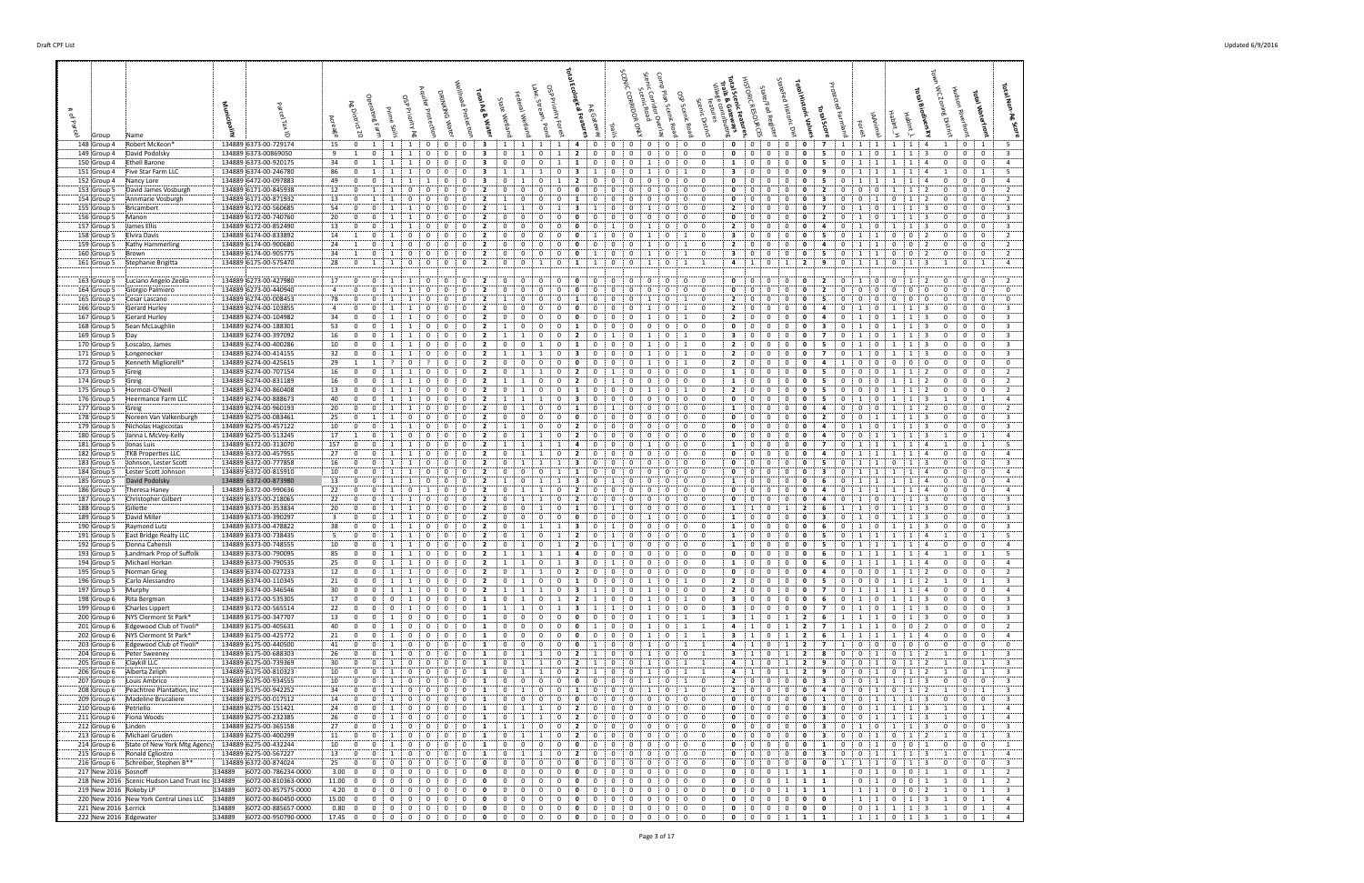| 148 Group 4<br>Robert McKeon                                          |                                                            | 134889 6373-00-729174                          | 15<br>$\mathbf{0}$                                          | $\mathbf{1}$<br>$\mathbf{1}$                                                                                 | 1<br>$\overline{0}$                                  | $\mathbf{0}$<br>$\mathbf{0}$                                | 3                                         | 1 1                                                | 1<br>-1                                         | 4<br>$\mathbf{0}$                                                         | $\mathbf{0}$                  | $\mathbf 0$<br>$\mathbf{0}$                            | $\mathbf{0}$<br>0:                                            | $\mathbf{0}$<br>$\mathbf{0}$                                            | $\mathbf 0$<br>$\mathbf{0}$                          | $\mathbf{0}$               | $\mathbf{0}$<br>$\overline{7}$                | 1<br>1                                                      | $\cdots$ 1                   | 1<br>1                                                     | -4                                | 0 <sup>1</sup>                                                 | 1                                                  |  |
|-----------------------------------------------------------------------|------------------------------------------------------------|------------------------------------------------|-------------------------------------------------------------|--------------------------------------------------------------------------------------------------------------|------------------------------------------------------|-------------------------------------------------------------|-------------------------------------------|----------------------------------------------------|-------------------------------------------------|---------------------------------------------------------------------------|-------------------------------|--------------------------------------------------------|---------------------------------------------------------------|-------------------------------------------------------------------------|------------------------------------------------------|----------------------------|-----------------------------------------------|-------------------------------------------------------------|------------------------------|------------------------------------------------------------|-----------------------------------|----------------------------------------------------------------|----------------------------------------------------|--|
| 149 Group 4<br>:David Podolsky<br>150 Group 4<br>Ethell Barone        |                                                            | 134889 6373-00869050<br>134889 6373-00-920175  | 9<br>1<br>34<br>$\mathbf 0$                                 | $\mathbf{0}$<br>1<br>1                                                                                       | 0<br>1<br>$\Omega$                                   | $\mathbf{0}$<br>$\mathbf{0}$<br>$\Omega$<br>$\Omega$        | 3<br>3                                    | 0<br>1<br>$\mathbf 0$<br>0                         | $\mathbf 0$<br>1<br>$\Omega$                    | $\overline{2}$<br>0                                                       | 0<br>0                        | $\mathbf{0}$<br>0<br>$\Omega$                          | 0<br>0<br>$\mathbf 0$<br>0                                    | $\bf{0}$<br>0<br>$\Omega$<br>-1                                         | 0<br>0<br>0<br>$\Omega$                              | $\mathbf{0}$               | 0<br>5<br>5                                   | 0<br>-1<br>$\Omega$                                         | $\mathbf{0}$<br>-1           | 1<br>1                                                     | -3                                | $\mathbf 0$<br>0<br>$\mathbf{0}$                               | $\overline{0}$<br>$\overline{\mathbf{0}}$          |  |
| 151 Group 4                                                           | Five Star Farm LLC                                         | 134889 6374-00-246780                          | 86<br>$\mathbf 0$                                           | 1<br>1                                                                                                       | $\mathbf{1}$<br>$\Omega$                             | $\mathbf 0$<br>$\mathbf 0$                                  | 3                                         | $\overline{1}$<br>-1.                              | 0<br>-1                                         | - 3<br>-1                                                                 | $\Omega$                      | $\mathbf{0}$<br>-1                                     | 0<br>1                                                        | $\mathbf 0$<br>3                                                        | $\mathbf 0$<br>- 0                                   | $\Omega$                   | $\mathbf 0$<br>9                              | $\mathbf{0}$<br>$\mathbf{1}$                                | $\mathbf{1}$                 | 1<br>-1                                                    | $\overline{4}$                    | 0 <sup>1</sup><br>-1                                           | $\overline{1}$                                     |  |
| 152 Group 4<br>Nancy Lore<br>153 Group 5                              | David James Vosburgh                                       | 134889 6472-00-097883<br>134889 6171-00-845938 | $\mathbf 0$<br>49<br>12<br>$\mathbf{0}$                     | $\mathbf 0$<br>-1<br>1<br>-1                                                                                 | $\Omega$<br>$\Omega$                                 | 0<br>$\Omega$<br>0<br>$\Omega$                              | 3<br>$\overline{2}$                       | $\Omega$<br>$\Omega$<br>$^{\circ}$                 | $\Omega$<br>$\Omega$<br>0                       | $\overline{\mathbf{2}}$<br>0                                              | 0<br>$\Omega$                 | $\Omega$<br>0<br>$\Omega$<br>0                         | $\mathbf 0$<br>0<br>$\mathbf 0$<br>0                          | $\mathbf{0}$<br>$\Omega$<br>$\mathbf 0$<br>0                            | $\Omega$<br>0<br>$\Omega$<br>0                       |                            | 0<br>0                                        | 0<br>$\Omega$                                               | 0                            |                                                            |                                   | $\mathbf 0$<br>0<br>0<br>$\Omega$                              | $\overline{\mathbf{0}}$<br>$\mathbf 0$             |  |
| 154 Group 5                                                           | Annmarie Vosburgh                                          | 134889 6171-00-871932                          | 13<br>$\mathbf{0}$                                          | 1<br>-1                                                                                                      | 0<br>$\Omega$                                        | $\mathbf{0}$<br>$\Omega$                                    | $\overline{2}$                            | $\mathbf 0$<br>-1                                  | 0<br>$\Omega$                                   | 1<br>$\Omega$                                                             | $\Omega$                      | $\Omega$<br>$\Omega$                                   | $\mathbf{0}$<br>0                                             | $\mathbf 0$<br>$\mathbf 0$                                              | 0<br>- 0                                             | $\Omega$                   | 0<br>з                                        | $^{\circ}$<br>$\mathbf{0}$                                  | -1                           | $\Omega$                                                   | 2                                 | $^{\circ}$<br>$\Omega$                                         | $\overline{0}$                                     |  |
| 155 Group 5<br>Bricambert<br>156 Group 5<br>:Manon                    |                                                            | 134889 6172-00-560685<br>134889 6172-00-740760 | 54<br>$\mathbf 0$<br>20<br>$\mathbf 0$                      | 0<br>1<br>$\mathbf{0}$<br>1                                                                                  | 0<br>0<br>1                                          | 0<br>0<br>0<br>0                                            | $\overline{2}$<br>$\overline{2}$          | 1<br>$\Omega$<br>$\mathbf 0$                       | $^{\circ}$<br>1<br>$\mathbf 0$<br>0             | 3<br>0                                                                    | 0<br>0                        | 0<br>-1<br>$\mathbf 0$<br>0                            | 0<br>$\mathbf{0}$<br>$\overline{0}$<br>0                      | $\overline{2}$<br>$\mathbf{0}$<br>$\mathbf 0$<br>0                      | 0<br>0<br>0<br>0                                     |                            | 0<br>$\overline{\mathbf{2}}$<br>0             | 0<br>-1<br>$\Omega$                                         | 0<br>0                       | -1<br>1                                                    | -3<br>3                           | $\Omega$<br>0<br>$\mathbf{0}$                                  | $\mathbf 0$<br>$\overline{0}$                      |  |
| 157 Group 5<br>James Ellis<br>158 Group 5<br>Elvira Davis             |                                                            | 134889 6172-00-852490<br>134889 6174-00-833892 | 13<br>$\mathbf 0$<br>14<br>$\overline{1}$                   | 0<br>1<br>$\Omega$<br>-1                                                                                     | $\Omega$<br>-1<br>$\Omega$<br>$\Omega$               | $\Omega$<br>0<br>$\Omega$<br>$\Omega$                       | $\overline{2}$<br>$\overline{2}$          | $\mathbf 0$<br>0<br>$\Omega$<br>$\Omega$           | 0<br>$\Omega$<br>$\Omega$<br>$\Omega$           | $\Omega$<br>$\Omega$<br>0                                                 | -1<br>-0                      | $\Omega$<br>-1<br>0                                    | 0<br>0<br>$\Omega$<br>$\mathbf{1}$                            | $\overline{2}$<br>$\mathbf{0}$<br>3<br>$\overline{0}$                   | 0<br>$\Omega$<br>$\Omega$<br>- 0                     | $\Omega$<br>$\Omega$       | 0<br>4<br>5<br>0                              | 0<br>$\Omega$                                               | $\Omega$                     | -1<br>$\Omega$<br>-0                                       | 3                                 | $\mathbf{0}$<br>$\Omega$<br>$\mathbf{0}$<br>$^{\circ}$         | $\mathbf 0$<br>$\overline{0}$                      |  |
| 159 Group 5                                                           | Kathy Hammerling!                                          | 134889 6174-00-900680                          | 24<br>1                                                     | $\mathbf 0$<br>1                                                                                             | $\Omega$<br>$\Omega$                                 | $\mathbf 0$<br>- 0                                          | $\overline{2}$                            | 0<br>0                                             | 0<br>$^{\circ}$                                 | 0<br>$\Omega$                                                             | $\Omega$                      | $\mathbf 0$<br>-1                                      | $\mathbf 0$<br>1                                              | $\overline{\mathbf{2}}$<br>$^{\circ}$                                   | 0<br>0                                               | $\mathbf{0}$               | 0<br>4                                        | 0                                                           | -1                           | 0<br>$^{\circ}$                                            | -2                                | $\mathbf{0}$                                                   | $\overline{0}$                                     |  |
| 160 Group 5<br>:Brown<br>161 Group 5                                  | Stephanie Brigitta                                         | 134889 6174-00-905775<br>134889 6175-00-575470 | 34<br>$\overline{1}$<br>28<br>$\mathbf{0}$                  | 0<br>1<br>$\mathbf{1}$<br>1                                                                                  | $^{\circ}$<br>$\Omega$<br>$\mathbf{0}$<br>$^{\circ}$ | 0<br>$\mathbf 0$<br>$\mathbf 0$<br>$\mathbf 0$              | 2<br>$\overline{2}$                       | 0<br>0<br>$\mathbf 0$<br>$\mathbf 0$               | $\mathbf 0$<br>0<br>$\mathbf 0$<br>1            | 0<br>-1<br>1<br>-1                                                        | $\Omega$<br>$\mathbf{0}$      | $\mathbf 0$<br>$\mathbf{1}$<br>$\mathbf 0$<br>-1       | $\mathbf 0$<br>1<br>$\overline{0}$<br>1                       | $\overline{\mathbf{3}}$<br>$^{\circ}$<br>$\overline{a}$<br>$\mathbf{1}$ | 0<br>$\overline{0}$<br>1<br>$\overline{0}$           | $^{\circ}$<br>$\mathbf{1}$ | 0<br>5<br>$\overline{2}$<br>9                 | $\mathbf{0}$<br>$\mathbf{1}$<br>$\mathbf 0$<br>$\mathbf{1}$ | -1<br><sup>1</sup>           | 0<br>$\mathbf 0$<br>$\mathbf{0}$<br>1                      | 2<br>3                            | $\mathbf{0}$<br>$\Omega$<br>0                                  | $\overline{0}$<br>$\mathbf{1}$                     |  |
|                                                                       |                                                            |                                                |                                                             |                                                                                                              |                                                      |                                                             |                                           |                                                    |                                                 |                                                                           |                               |                                                        |                                                               |                                                                         |                                                      |                            |                                               |                                                             |                              |                                                            |                                   |                                                                |                                                    |  |
| 163 Group 5<br>164 Group 5<br>Giorgio Palmiero                        | Luciano Angelo Zeolla                                      | 134889 6273-00-427980<br>134889 6273-00-440940 | 17<br>$\mathbf 0$<br>$\overline{a}$<br>$\mathbf 0$          | $\overline{0}$<br>1<br>$\mathbf 0$                                                                           | 1<br>$\mathbf 0$<br>$\Omega$                         | $\mathbf 0$<br>$\mathbf 0$<br>0<br>0                        | $\overline{\mathbf{2}}$<br>$\overline{2}$ | 0<br>$\mathbf{0}$<br>0<br>$\mathbf 0$              | $\mathbf 0$<br>0<br>$\Omega$<br>0               | $\mathbf 0$<br>$\Omega$<br>0<br>$\Omega$                                  | $\mathbf{0}$<br>0             | $\mathbf 0$<br>$\mathbf{0}$<br>$\mathbf 0$<br>$\Omega$ | $\mathbf{0}$<br>$\overline{0}$<br>0<br>$\mathbf{0}$           | 0<br>$\mathbf 0$<br>$^{\circ}$<br>0                                     | 0<br>$\overline{0}$<br>0<br>- 0                      | 0<br>$\Omega$              | 2<br>$\mathbf{0}$<br>0<br>2                   | $\mathbf 0$<br>-1<br>$\Omega$<br>$\Omega$                   | 0<br>$\Omega$                | $\mathbf 0$<br>1<br>$\Omega$<br>$\Omega$                   | $\overline{2}$<br>$^{\circ}$      | $\mathbf 0$<br>$^{\circ}$<br>$\Omega$<br>$\mathbf 0$           | $\mathbf 0$<br>$\bf{0}$                            |  |
| 165 Group 5<br>Cesar Lascano                                          |                                                            | 134889 6274-00-008453                          | 78<br>$\mathbf 0$<br>$\mathbf 0$<br>-4                      | $^{\circ}$<br>$\mathbf{1}$<br>$\mathbf 0$                                                                    | $\Omega$<br>$\mathbf{1}$<br>-1<br>0                  | $\mathbf{0}$<br>$\mathbf{0}$<br>0<br>0                      | $\overline{2}$<br>2                       | $\mathbf 0$<br>0                                   | $\Omega$<br>$\Omega$<br>0<br>$\Omega$           | 1<br>$\Omega$<br>0                                                        | $\Omega$                      | $\Omega$<br>0                                          | 0<br>1<br>0                                                   | $^{\circ}$<br>$\overline{2}$<br>$\overline{\mathbf{2}}$<br>$\Omega$     | $\Omega$<br>- 0<br>0<br>0                            |                            | 5<br>0<br>0<br>4                              | $\Omega$<br>$\Omega$<br>0                                   | $\Omega$<br>0                | $\Omega$<br>$\Omega$                                       | $\Omega$                          | $\mathbf{0}$<br>$\Omega$<br>0<br>0                             | $\overline{0}$<br>$\mathbf 0$                      |  |
| 166 Group 5<br>Gerard Hurley<br>167 Group 5<br>Gerard Hurley          |                                                            | 134889 6274-00-103855<br>134889 6274-00-104982 | 34<br>$\bf{0}$                                              | 1<br>0<br>$\mathbf{1}$                                                                                       | 0                                                    | $\mathbf 0$<br>0                                            | 2                                         | 0<br>$\Omega$<br>$\mathbf 0$                       | 0<br>$^{\circ}$                                 | 0<br>$\Omega$                                                             | 0<br>0                        | -1<br>0                                                | 1<br>0<br>1                                                   | $\overline{\mathbf{2}}$<br>$\mathbf 0$                                  | - 0<br>0                                             | $\Omega$                   | 0<br>4                                        | $\Omega$                                                    | $\Omega$                     | -1                                                         | -3                                | $^{\circ}$                                                     | $\mathbf 0$                                        |  |
| 168 Group 5<br>:Sean McLaughlin<br>169 Group 5<br>:Day                |                                                            | 134889 6274-00-188301<br>134889 6274-00-397092 | 53<br>0<br>16<br>$\mathbf 0$                                | 0<br>0<br>1                                                                                                  | 0<br>$\Omega$                                        | 0<br>0<br>$\Omega$<br>$\Omega$                              | $\overline{2}$<br>$\overline{2}$          | $\mathbf 0$<br>$\mathbf{1}$                        | 0<br>$\Omega$<br>$\Omega$<br>0                  | 1<br>$\overline{\mathbf{2}}$                                              | 0                             | $\mathbf 0$<br>0<br>$\Omega$                           | $\mathbf 0$<br>0<br>$\Omega$<br>1                             | 0<br>$\mathbf 0$<br>3<br>$^{\circ}$                                     | 0<br>$\Omega$<br>$^{\circ}$<br>$\Omega$              | $\Omega$                   | 0<br>3<br>0                                   | 0<br>$\Omega$                                               | $\Omega$                     | -1                                                         | 3                                 | $\mathbf 0$<br>$\Omega$<br>$\mathbf{0}$<br>$\Omega$            | $\mathbf 0$<br>$\mathbf{0}$                        |  |
| 170 Group 5<br>Loscalzo, James                                        |                                                            | 134889 6274-00-400286                          | 10<br>$\mathbf 0$                                           | $\mathbf 0$<br>$\overline{1}$                                                                                | -0                                                   | $\mathbf 0$<br>0                                            | $\overline{2}$                            | $\Omega$<br>0                                      | 0                                               | $\mathbf{1}$                                                              | 0                             | $\mathbf 0$<br>-1                                      | 0<br>1                                                        | $\overline{2}$<br>$^{\circ}$                                            | 0<br>0                                               | $\Omega$                   | 5                                             | $\Omega$                                                    | 0                            |                                                            |                                   | $\mathbf{0}$<br>$\Omega$                                       | $\overline{0}$                                     |  |
| 171 Group 5<br>Longenecker<br>172 Group 5                             | Kenneth Migliorelli                                        | 134889 6274-00-414155<br>134889 6274-00-425615 | 32<br>$\mathbf 0$<br>29<br>$\overline{1}$                   | $\mathbf 0$<br>1<br>$\overline{1}$                                                                           | $\Omega$<br>$\Omega$                                 | $\mathbf 0$<br>0<br>$\mathbf 0$<br>$\Omega$                 | $\overline{2}$<br>$\overline{2}$          | $\mathbf{1}$<br>$\mathbf 0$<br>$\Omega$            | 0<br>0<br>$\Omega$                              | 3<br>$\Omega$<br>$\Omega$<br>$\Omega$                                     | 0<br>$\Omega$                 | $\Omega$<br>$\Omega$                                   | 0<br>1<br>$\Omega$<br>$\mathbf{1}$                            | $\overline{2}$<br>$^{\circ}$<br>$\overline{2}$<br>$\mathbf 0$           | $\Omega$<br>0<br>0<br>$\Omega$                       | $\Omega$                   | 7<br>0<br>0<br>4                              | $\Omega$<br>- 0                                             | $\Omega$<br>$\Omega$         | $\Omega$<br>$\Omega$                                       | -3<br>$\Omega$                    | $\bf{0}$<br>$\Omega$<br>$\mathbf{0}$<br>$\Omega$               | $\mathbf 0$<br>$\bf{0}$                            |  |
| 173 Group 5<br>:Greig                                                 |                                                            | 134889 6274-00-707154                          | 16<br>$\bf{0}$                                              | $\mathbf 0$<br>1                                                                                             | - 0                                                  | $\mathbf 0$<br>$\mathbf{0}$                                 | $\overline{2}$                            | 0<br>-1                                            | 0<br>1                                          | $\overline{2}$<br>0                                                       | -1                            | $\mathbf 0$<br>$\mathbf 0$                             | 0<br>$\mathbf{0}$                                             | $\mathbf{0}$<br>1                                                       | $\mathbf 0$<br>0                                     | $\mathbf{0}$               | 0<br>-5                                       | 0<br>$\mathbf{0}$                                           | 0                            | -1<br>1                                                    |                                   | $\mathbf{0}$<br>$\Omega$                                       | $\bf{0}$                                           |  |
| 174 Group 5<br>:Greig<br>175 Group 5<br>Hormozi-O'Neill               |                                                            | 134889 6274-00-831189<br>134889 6274-00-860408 | 16<br>$\bf{0}$<br>13<br>$\mathbf 0$                         | $\mathbf{0}$<br>1<br>0                                                                                       | -1<br>0<br>$\Omega$                                  | $\mathbf{0}$<br>0<br>$\mathbf 0$<br>$\Omega$                | 2<br>$\overline{2}$                       | -1<br>1<br>0<br>$\mathbf{1}$                       | 0<br>$\mathbf 0$<br>$\Omega$<br>0               | $\overline{2}$<br>$\Omega$<br>-1                                          | $\Omega$                      | $\mathbf 0$<br>$\mathbf{0}$<br>$\Omega$                | 0<br>$\mathbf{0}$<br>0<br>1                                   | $\mathbf 0$<br>1<br>$\overline{\mathbf{2}}$<br>$^{\circ}$               | $^{\circ}$<br>0<br>0<br>$\Omega$                     | $\Omega$<br>$\Omega$       | 5<br>0<br>5<br>0                              | 0<br>$\mathbf 0$<br>$\Omega$<br>$\Omega$                    | 0<br>0                       | 1                                                          | 2<br>-2                           | $\bf{0}$<br>$\Omega$<br>$\mathbf{0}$<br>$\Omega$               | $\mathbf 0$<br>$\overline{\mathbf{0}}$             |  |
| 176 Group 5                                                           | Heermance Farm LLC                                         | 134889 6274-00-888673                          | 40<br>$\bf{0}$                                              | 0<br>-1                                                                                                      | -1<br>$\Omega$                                       | $\mathbf 0$<br>$\mathbf 0$                                  | $\overline{\mathbf{2}}$                   | $\overline{1}$                                     | 0                                               | 3<br>- 0                                                                  | $\Omega$                      | $\Omega$<br>$^{\circ}$                                 | $\overline{0}$<br>0                                           | $^{\circ}$<br>$\mathbf 0$                                               | 0<br>- 0                                             | $\Omega$                   | 5<br>0                                        | $\Omega$<br>-1                                              | $\Omega$                     | -1                                                         | -3                                | $\mathbf{0}$                                                   | $\mathbf{1}$                                       |  |
| 177 Group 5<br>:Greig<br>178 Group 5                                  | Noreen Van Valkenburgh                                     | 134889 6274-00-960193<br>134889 6275-00-083461 | 20<br>$\mathbf 0$<br>25<br>$\mathbf{0}$                     | $\mathbf 0$<br>1<br>-1                                                                                       | $\Omega$<br>$\Omega$<br>$\Omega$                     | 0<br>$\Omega$<br>0<br>0                                     | $\overline{\mathbf{2}}$<br>$\overline{2}$ | $\Omega$<br>$\mathbf{1}$<br>$\Omega$<br>$^{\circ}$ | 0<br>$\Omega$<br>0<br>$\Omega$                  | -1<br>0                                                                   | 0                             | 0<br>0<br>0<br>0                                       | $\mathbf 0$<br>0<br>0<br>$\mathbf 0$                          | $^{\circ}$<br>1<br>$\mathbf 0$<br>0                                     | 0<br>$\Omega$<br>$\Omega$<br>0                       |                            |                                               | $\Omega$<br>$\Omega$<br>$\Omega$                            | 0<br>-1                      |                                                            | -3                                | $\mathbf{0}$<br>$\Omega$<br>$\mathbf{0}$<br>$\Omega$           | $\overline{0}$<br>$\mathbf 0$                      |  |
| 179 Group 5                                                           | Nicholas Hagicostas                                        | 134889 6275-00-457122                          | 10<br>$\mathbf 0$                                           | 0<br>-1                                                                                                      | $\Omega$                                             | $\Omega$<br>$\Omega$                                        | $\overline{2}$                            | -1                                                 | 0<br>$\Omega$                                   | $\overline{2}$<br>$\Omega$                                                | $\Omega$                      | $\Omega$<br>$\Omega$                                   | $\mathbf 0$<br>0                                              | $\mathbf 0$<br>$^{\circ}$                                               | 0<br>- 0                                             |                            | 0<br>4                                        | $\Omega$                                                    | 0                            |                                                            | -3                                | $\mathbf{0}$<br>$\Omega$                                       | $\overline{0}$                                     |  |
| 180 Group 5<br>181 Group 5<br>:Jonas Luis                             | Janna L McVey-Kelly                                        | 134889 6275-00-513245<br>134889 6372-00-313070 | 17<br>1<br>157<br>$\bf{0}$                                  | 0<br>1<br>$\mathbf{0}$<br>1                                                                                  | 0<br>0<br>0                                          | 0<br>0<br>0<br>0                                            | 2<br>$\overline{2}$                       | 0<br>-1<br>1                                       | 0<br>1<br>1                                     | $\overline{\mathbf{2}}$<br>4                                              | 0<br>0                        | 0<br>0<br>$\mathbf{0}$<br>1                            | 0<br>$\mathbf{0}$<br>$\overline{0}$<br>0                      | 0<br>$\mathbf{0}$<br>$\mathbf 0$<br>1                                   | 0<br>0<br>0<br>0                                     |                            | 0<br>7<br>0                                   | 0<br>0<br>$\Omega$                                          | -1<br>1                      | -1<br>1                                                    | -3                                | $\mathbf{0}$<br>$\mathbf{0}$                                   | $\overline{1}$<br>$\mathbf{1}$                     |  |
| 182 Group 5<br>183 Group 5                                            | TKB Properties LLC<br>Johnson, Lester Scott                | 134889 6372-00-457955<br>134889 6372-00-777858 | 27<br>$\mathbf 0$<br>16<br>$\mathbf 0$                      | 0<br>1<br>$\Omega$<br>-1                                                                                     | $\Omega$<br>$\Omega$                                 | $\mathbf 0$<br>$\Omega$<br>$\Omega$<br>$\Omega$             | $\overline{2}$<br>$\overline{2}$          | 0<br>$\Omega$<br>-1                                | 0                                               | $\overline{2}$<br>-3<br>0                                                 | 0<br>0                        | $\Omega$<br>0<br>$\Omega$<br>0                         | 0<br>0<br>$\Omega$<br>$\mathbf 0$                             | $\mathbf{0}$<br>0<br>$\overline{0}$<br>0                                | 0<br>- 0<br>$\Omega$<br>$\Omega$                     | $\Omega$                   | 0<br>4<br>0<br>5                              | $\Omega$<br>$\Omega$                                        | -1                           | -1<br>$\Omega$                                             | $\overline{a}$<br>-3              | $\bf{0}$<br>$\Omega$<br>$\mathbf{0}$<br>$\Omega$               | $\mathbf 0$<br>$\overline{0}$                      |  |
| 184 Group 5                                                           | Lester Scott Johnson                                       | 134889 6372-00-815910                          | 10<br>$\mathbf 0$                                           | $\mathbf 0$<br>-1                                                                                            |                                                      | $\mathbf 0$<br>0                                            | $\overline{\mathbf{2}}$                   | $\mathbf 0$<br>$\Omega$                            | $\Omega$                                        | -1                                                                        |                               | $\mathbf{0}$<br>0                                      | $\mathbf 0$<br>0                                              | $\mathbf 0$<br>0                                                        | 0<br>0                                               |                            | з<br>0                                        | -0                                                          |                              |                                                            | $\overline{a}$                    | $\bf{0}$<br>$\Omega$                                           | $\overline{\mathbf{0}}$                            |  |
| 185 Group 5<br>David Podolsky<br>186 Group 5<br>:Theresa Haney        |                                                            | 134889 6372-00-873980<br>134889 6372-00-990636 | 13<br>$\bf{0}$<br>22<br>$\mathbf 0$                         | 0<br>1<br>0<br>-1                                                                                            | $\Omega$<br>-1<br>0                                  | 0<br>$\mathbf 0$<br>0<br>0                                  | $\overline{2}$<br>$\overline{2}$          | $\mathbf 0$<br>-1<br>0                             | $\mathbf{1}$<br>0                               | 3<br>$\Omega$<br>$\overline{\mathbf{2}}$                                  | 0                             | $\mathbf{0}$<br>$\mathbf 0$<br>$\mathbf{0}$<br>0       | 0<br>$\mathbf 0$<br>0<br>$\mathbf 0$                          | $\mathbf 0$<br>1<br>0<br>$\mathbf 0$                                    | $^{\circ}$<br>0<br>0<br>0                            | $\Omega$<br>$\Omega$       | 0<br>-6<br>0<br>4                             | $\mathbf{0}$<br>$\mathbf{1}$<br>0                           | 1<br>-1                      | -1<br>-1                                                   | $\Delta$                          | $\mathbf{0}$<br>$\Omega$<br>$\mathbf{0}$<br>0                  | $\overline{0}$<br>$\mathbf 0$                      |  |
| 187 Group 5                                                           | Christopher Gilbert                                        | 134889 6373-00-218065                          | 22<br>$\bf{0}$                                              | $\mathbf{0}$<br>1                                                                                            | -1<br>$^{\circ}$                                     | $\mathbf 0$<br>$\mathbf{0}$                                 | $\overline{2}$                            | 0<br>1                                             | 0<br>1                                          | $\overline{2}$<br>$\mathbf{0}$                                            | 0                             | $\mathbf{0}$<br>$\mathbf 0$                            | 0<br>$\mathbf{0}$                                             | $\mathbf 0$<br>0                                                        | 0<br>$\mathbf 0$                                     | 0                          | 0<br>4                                        | $\mathbf{0}$<br>1                                           | $\mathbf{0}$                 | -1<br>1                                                    | 3                                 | 0<br>$\mathbf{0}$                                              | $\overline{\mathbf{0}}$                            |  |
| 188 Group 5<br>Gillette<br>189 Group 5<br>David Miller                |                                                            | 134889 6373-00-353834<br>134889 6373-00-390297 | 20<br>$\mathbf 0$<br>$\overline{\mathbf{3}}$<br>$\mathbf 0$ | $\mathbf 0$<br>1<br>$\Omega$                                                                                 | 1<br>$\mathbf 0$<br>$\Omega$                         | $\mathbf 0$<br>0<br>0<br>$\Omega$                           | $\overline{2}$<br>$\overline{\mathbf{2}}$ | $\mathbf 0$<br>$\Omega$<br>$\mathbf 0$<br>$\Omega$ | 0<br>1<br>$\Omega$<br>$\Omega$                  | 1<br>$\Omega$<br>0                                                        | -1<br>$\Omega$                | $\Omega$<br>0<br>$\Omega$                              | $\mathbf 0$<br>0<br>0<br>$\mathbf 0$                          | $\mathbf{0}$<br>1<br>$\Omega$<br>1                                      | $\mathbf 0$<br>1<br>0<br>$\Omega$                    | $\mathbf{1}$<br>$\Omega$   | $\overline{\mathbf{2}}$<br>-6<br>0<br>3       | 1<br>$\overline{1}$<br>$\Omega$                             | 0<br>0                       | -1                                                         | $\mathbf{B}$<br>-3                | $\mathbf{0}$<br>$\Omega$<br>$^{\circ}$                         | $\overline{\mathbf{0}}$<br>$\bf{0}$                |  |
| 190 Group 5<br>Raymond Lutz:                                          |                                                            | 134889 6373-00-478822                          | 38<br>$\mathbf 0$<br>$\mathbf 0$<br>-5                      | $\mathbf 0$<br>$\mathbf{1}$<br>0                                                                             | $\Omega$<br>-1<br>-1<br>0                            | $\mathbf{0}$<br>$\mathbf{0}$<br>0<br>0                      | $\overline{2}$<br>$\overline{\mathbf{2}}$ | $\Omega$<br>$\mathbf{1}$<br>0                      | -1<br>$\Omega$<br>1                             | 3<br>$\Omega$<br>$\overline{2}$                                           |                               | $\Omega$<br>$\Omega$<br>0<br>0                         | $\mathbf 0$<br>0<br>0<br>$^{\circ}$                           | $^{\circ}$<br>1<br>$\Omega$<br>-1                                       | $\mathbf 0$<br>$\Omega$<br>$\mathbf 0$<br>0          | $\Omega$                   | 0<br>6<br>0                                   | $\Omega$<br>-1<br>0                                         | $\Omega$                     | -1                                                         | $\mathbf{B}$                      | $\mathbf{0}$<br>$\Omega$<br>0                                  | $\overline{0}$                                     |  |
| 191 Group 5<br>192 Group 5<br>:Donna Cahensli                         | East Bridge Realty LLC                                     | 134889 6373-00-738435<br>134889 6373-00-748555 | 10<br>$\bf{0}$                                              | 1<br>0<br>$\mathbf{1}$                                                                                       | -1<br>- 0                                            | $\mathbf 0$<br>0                                            | $\overline{2}$                            | -1<br>$\Omega$<br>$\mathbf{1}$                     | $\mathbf 0$<br>1                                | $\overline{\mathbf{2}}$<br>$\Omega$                                       |                               | $\mathbf 0$<br>$\mathbf 0$                             | 0<br>$\mathbf{0}$                                             | $\mathbf 0$<br>1                                                        | - 0<br>0                                             | $\Omega$                   | 0<br>-5                                       | $\Omega$<br>$\mathbf{1}$                                    | $\mathbf{1}$                 | -1                                                         |                                   | $\mathbf 0$<br>$\Omega$                                        | - 1<br>$\overline{\mathbf{0}}$                     |  |
| 193 Group 5<br>194 Group 5<br>Michael Horkan!                         | Landmark Prop of Suffolk                                   | 134889 6373-00-790095<br>134889 6373-00-790535 | 85<br>0<br>25<br>$\mathbf 0$                                | $\mathbf 0$<br>1<br>$\mathbf{0}$<br>$\mathbf{1}$                                                             | $\mathbf 0$<br>1<br>$\mathbf{1}$<br>$\mathbf{0}$     | $\mathbf 0$<br>$\mathbf 0$<br>$\overline{0}$<br>$\mathbf 0$ | $\overline{2}$<br>$\overline{2}$          | 1<br>1<br>$1 \quad 1$                              | 1<br>1<br>$\overline{0}$<br>$\mathbf{1}$        | $\overline{a}$<br>$\mathbf{0}$<br>$\overline{\mathbf{3}}$<br>$\mathbf{0}$ | $\mathbf 0$<br>$\overline{1}$ | $\mathbf 0$<br>0<br>$\overline{0}$<br>$^{\circ}$       | $\mathbf 0$<br>$\mathbf 0$<br>$\mathbf 0$<br>$\mathbf{0}$     | $\mathbf 0$<br>$\mathbf 0$<br>$\mathbf{0}$<br>$\mathbf{1}$              | $\mathbf 0$<br>0<br>$\mathbf{0}$<br>$\mathbf{0}$     | 0<br>$^{\circ}$            | 0<br>6<br>$\mathbf 0$<br>6                    | $\mathbf{0}$<br>$\overline{1}$<br>0                         | 1<br>$1 \quad 1$             | $\mathbf{1}$<br>1<br>1<br>1                                | 4<br>$\overline{4}$               | 0<br>-1<br>$\mathbf 0$<br>$\mathbf{0}$                         | 1<br>$\mathbf{0}$                                  |  |
| 195 Group 5<br>Norman Grieg                                           |                                                            | 134889 6374-00-027233                          | 12<br>$\mathbf 0$                                           | 0<br>-1                                                                                                      | $\Omega$                                             | $\mathbf{0}$<br>$\mathbf 0$                                 | $\overline{\mathbf{2}}$                   | $^{(1)}$                                           | $\mathbf 0$                                     | -2                                                                        |                               | $\mathbf 0$<br>$\mathbf 0$                             | 0<br>0                                                        | 0                                                                       | 0<br>0                                               |                            |                                               | $\Omega$<br>$\Omega$                                        | 0                            |                                                            |                                   | 0                                                              | $\overline{\mathbf{0}}$                            |  |
| 196 Group 5<br>Carlo Alessandro<br>197 Group 5<br>:Murphy             |                                                            | 134889 6374-00-110345<br>134889 6374-00-346546 | 21<br>$\mathbf 0$<br>30<br>$\mathbf 0$                      | $\mathbf 0$<br>1<br>$^{\circ}$<br>1                                                                          | $\mathbf 0$<br>-1<br>$\Omega$<br>-1                  | $\mathbf 0$<br>$\mathbf 0$<br>$\mathbf 0$<br>$\mathbf{0}$   | $\overline{2}$<br>$\overline{2}$          | $\mathbf 0$<br>$\mathbf{1}$<br>1<br>$\overline{1}$ | $\mathbf 0$<br>0<br>0<br>$\mathbf{1}$           | 1<br>$^{\circ}$<br>3                                                      | 0<br>$\Omega$                 | $\mathbf 0$<br>1<br>$\mathbf 0$<br>-1                  | $\mathbf 0$<br>1<br>$\mathbf 0$<br>$\mathbf 0$                | $\overline{2}$<br>$\mathbf 0$<br>$\mathbf 0$<br>$\overline{2}$          | 0<br>$\overline{0}$<br>0<br>$\Omega$                 | $^{\circ}$<br>$^{\circ}$   | 0<br>5<br>$\Omega$<br>7                       | $\mathbf{0}$<br>$\mathbf 0$<br>$\mathbf{0}$                 | $\mathbf 0$<br>-1            | $\mathbf{1}$<br>1<br>$\mathbf{1}$<br>-1                    | 2                                 | $\mathbf{1}$<br>0 <sup>1</sup><br>$\Omega$                     | $0 \quad 1$<br>$\overline{0}$                      |  |
| 198 Group 6<br>Rita Bergman                                           |                                                            | 134889 6172-00-535305                          | 17<br>$\bf{0}$                                              | $\mathbf{0}$<br>$\mathbf{0}$                                                                                 | 1<br>$\mathbf 0$                                     | $\mathbf 0$<br>0                                            | 1                                         | $\mathbf{0}$<br>1                                  | $\mathbf 0$<br>$\mathbf{1}$                     | $\overline{2}$<br>1                                                       | $\mathbf{0}$                  | $\mathbf 0$<br>1                                       | $\mathbf{0}$<br>1                                             | $\mathbf 0$<br>3                                                        | 0<br>$\mathbf 0$                                     | $\mathbf{0}$               | $\mathbf{0}$<br>6                             | $\mathbf{0}$<br>1                                           | $\mathbf{0}$                 | 1<br>1                                                     | 3                                 | $\mathbf{0}$                                                   | $0 \quad 0$                                        |  |
| 199 Group 6<br>Charles Lippert<br>200 Group 6                         | NYS Clermont St Park*                                      | 134889 6172-00-565514<br>134889 6175-00-347707 | 22<br>$\bf{0}$<br>13<br>$\mathbf 0$                         | $\mathbf{0}$<br>$\mathbf{0}$<br>$\mathbf 0$<br>-1                                                            | 1<br>$\mathbf 0$<br>$\Omega$<br>0                    | $\mathbf{0}$<br>$\mathbf{0}$<br>$\mathbf 0$<br>$\mathbf 0$  | $\mathbf{1}$<br>1                         | $\mathbf{1}$<br>1<br>$\mathbf 0$<br>0              | $\mathbf{0}$<br><sup>1</sup><br>$\Omega$<br>0   | 3<br>1<br>0<br>$\Omega$                                                   | 1<br>$\Omega$                 | $\mathbf{0}$<br>1<br>$\mathbf 0$                       | $\mathbf{0}$<br>$\mathbf{0}$<br>$\mathbf 0$<br>1              | $\overline{\mathbf{3}}$<br>$\mathbf 0$<br>3<br>1                        | $\mathbf 0$<br>0<br>0<br>1                           | 0<br>$\mathbf{1}$          | 0<br>7<br>2<br>6                              | $\mathbf 0$<br>1<br>1                                       | $\mathbf{0}$<br><sup>1</sup> | 1<br>1<br>0                                                | 3                                 | $\mathbf 0$<br>$\mathbf{0}$<br>$\mathbf 0$<br>$\Omega$         | $\overline{\mathbf{0}}$<br>$\overline{\mathbf{0}}$ |  |
| 201 Group 6<br>202 Group 6                                            | Edgewood Club of Tivoli*<br>NYS Clermont St Park*          | 134889 6175-00-405631<br>134889 6175-00-425772 | 40<br>$\mathbf 0$<br>21<br>$\mathbf 0$                      | $\mathbf 0$<br>-1<br>0<br>-1                                                                                 | $^{\circ}$<br>$\Omega$<br>0<br>$\Omega$              | $\mathbf{0}$<br>$\mathbf 0$<br>$\mathbf 0$<br>0             | 1<br>-1                                   | 0<br>$\mathbf 0$<br>$\mathbf 0$<br>0               | $\mathbf{0}$<br>0<br>$\Omega$<br>0              | 0<br>0<br>$\Omega$                                                        | $\Omega$<br>0                 | $\mathbf{0}$<br>$\Omega$                               | $\mathbf 0$<br>$\mathbf{1}$<br>$\mathbf 0$<br>1               | 4<br>1<br>$\overline{\mathbf{3}}$<br>$\mathbf{1}$                       | 0<br>$\overline{1}$<br>$\mathbf 0$<br>$\overline{1}$ |                            | $\overline{2}$<br>7<br>-2                     | -1<br>-1                                                    | $\mathbf{1}$<br>-1           | $\Omega$<br>$\Omega$                                       | $\overline{2}$                    | $^{\circ}$<br>0 <sup>1</sup><br>$\Omega$<br>$\mathbf{0}$       | $\overline{\mathbf{0}}$<br>$\overline{0}$          |  |
| 203 Group 6                                                           | Edgewood Club of Tivoli'                                   | 134889 6175-00-440500                          | 41<br>$\mathbf 0$                                           | $\mathbf 0$<br>1                                                                                             | 0<br>0                                               | 0<br>$\mathbf 0$                                            | 1                                         | 0<br>$\mathbf 0$                                   | $\mathbf 0$<br>0                                | 0                                                                         | 0                             | $\mathbf{0}$<br>1                                      | 0<br>1                                                        | $\overline{a}$<br>1                                                     | 0<br>1                                               |                            | 2<br>7                                        | -1<br>0                                                     | 0                            | 0<br>$^{\circ}$                                            | 0                                 | $\mathbf 0$<br>0                                               | $\overline{\mathbf{0}}$                            |  |
| 204 Group 6<br>Peter Sweeney<br>205 Group 6<br>Claykill LLC           |                                                            | 134889 6175-00-688303<br>134889 6175-00-739369 | 26<br>0<br>30<br>$\bf{0}$                                   | 0<br>-1<br>$\mathbf{0}$<br>1                                                                                 | $\Omega$<br>$\Omega$<br>$\mathbf{0}$<br>0            | $\Omega$<br>$\Omega$<br>0<br>$\mathbf{0}$                   | -1<br>1                                   | 0<br>1<br>0<br>1                                   | 0<br>0<br>1                                     | $\overline{2}$<br>$\mathbf{2}$                                            | $\Omega$<br>0                 | $\Omega$<br>0<br>1                                     | $\mathbf 0$<br>$\overline{0}$<br>$\mathbf{0}$<br>$\mathbf{1}$ | $\overline{\mathbf{3}}$<br>1<br>4<br>$\mathbf{1}$                       | 0<br>$\overline{1}$<br>0<br>1                        |                            | 2<br>8<br>$\overline{2}$<br>9                 | $\mathbf 0$<br>$^{\circ}$<br>0<br>0                         | -1<br>1                      | $\Omega$<br>-1<br>0<br>1                                   | -2                                | 0 <sup>1</sup>                                                 | 1<br>$0 \quad 1$                                   |  |
| 206 Group 6<br>Alberta Zeliph                                         |                                                            | 134889 6175-00-810323                          | 10<br>$\mathbf 0$                                           | $\mathbf{0}$<br>1                                                                                            | 0<br>0                                               | $\mathbf 0$<br>0                                            | 1                                         | $\Omega$<br>1                                      | 0<br>1                                          | $\mathbf{2}$                                                              | 0                             | $\mathbf{0}$<br>1                                      | 0<br>1                                                        | $\overline{1}$<br>$\overline{a}$                                        | 1<br>0                                               |                            | $\overline{2}$<br>9                           | $\mathbf{0}$<br>$\mathbf{0}$                                | 1                            | 0<br>1                                                     | $\overline{2}$                    | $\mathbf 0$                                                    | $\overline{1}$                                     |  |
| 207 Group 6<br>:Louis Ambrico<br>208 Group 6                          | Peachtree Plantation, Inc.                                 | 134889 6175-00-934555<br>134889 6175-00-942252 | 10<br>0<br>34<br>$\mathbf 0$                                | 0<br>1<br>$\Omega$<br>-1                                                                                     | 0<br>$\Omega$<br>$\Omega$<br>$\Omega$                | $\mathbf 0$<br>0<br>$\Omega$<br>$\Omega$                    | 1<br>-1                                   | $\mathbf 0$<br>0<br>$\Omega$<br>-1                 | $\Omega$<br>0<br>$\Omega$<br>$\Omega$           | 0<br>$\Omega$<br>-1                                                       | 0<br>$\Omega$                 | $\Omega$<br>-1<br>$\Omega$                             | 0<br>1<br>$\Omega$<br>1                                       | $\overline{2}$<br>$\mathbf 0$<br>$\overline{2}$<br>$\overline{0}$       | 0<br>$\Omega$<br>$\Omega$<br>$\Omega$                | $\Omega$<br>$\Omega$       | 0<br>з<br>0<br>4                              | $\mathbf{0}$<br>$\Omega$<br>$\Omega$<br>$\Omega$            | 1<br>-1                      | -1<br>-1<br>$\Omega$                                       | -3                                | $\mathbf 0$<br>$^{\circ}$                                      | $\bf{0}$<br>$0 \quad 1$                            |  |
| 209 Group 6                                                           | Madeline Brucaliere                                        | 134889 6275-00-017512                          | 14<br>$\mathbf 0$                                           | $\mathbf 0$                                                                                                  | $\Omega$                                             | $\mathbf 0$<br>- 0                                          | $\mathbf{1}$                              | $\mathbf 0$<br>$\Omega$                            | $\mathbf 0$<br>$\Omega$                         | 0                                                                         | $\Omega$                      | $\mathbf 0$<br>0                                       | $\mathbf 0$<br>$\mathbf{0}$                                   | 0<br>$\mathbf 0$                                                        | $\Omega$<br>$\Omega$                                 |                            | 0                                             | -0<br>- 0                                                   |                              |                                                            | 3                                 | $\mathbf{0}$<br>$\Omega$                                       | $\overline{0}$                                     |  |
| 210 Group 6<br>Petriello<br>211 Group 6<br>Fiona Woods                |                                                            | 134889 6275-00-151421<br>134889 6275-00-232385 | 24<br>$\bf{0}$<br>26<br>$\mathbf 0$                         | $\mathbf{0}$<br>1<br>0<br>-1                                                                                 | $\Omega$<br>$\Omega$<br>$\Omega$<br>0                | $\mathbf 0$<br>0<br>$\mathbf 0$<br>0                        | 1<br>-1                                   | 0<br>$\mathbf{1}$<br>0                             | 0<br>1<br>0                                     | $\overline{2}$<br>$\Omega$<br>$\overline{\mathbf{2}}$                     | $\Omega$<br>0                 | $\mathbf 0$<br>$\mathbf 0$<br>$\mathbf{0}$<br>0        | 0<br>0<br>$\mathbf 0$<br>$\mathbf 0$                          | $\mathbf{0}$<br>$\mathbf 0$<br>0<br>$\mathbf 0$                         | $\Omega$<br>0<br>0<br>0                              | $\Omega$<br>$\Omega$       | 0<br>3<br>з<br>0                              | 0<br>$\Omega$<br>0<br>$\Omega$                              | 1                            | -1<br>-1                                                   | 3                                 | -1<br>$\mathbf{0}$                                             | $0 \quad 1$<br>$\mathbf{1}$                        |  |
| 212 Group 6<br>Linden                                                 |                                                            | 134889 6275-00-365158                          | 27<br>$\bf{0}$                                              | $\mathbf{0}$<br>1<br>$\mathbf 0$                                                                             | $\mathbf 0$<br>$\mathbf{0}$<br>$^{\circ}$<br>0       | $\mathbf 0$<br>$\mathbf 0$<br>$\mathbf 0$<br>0              | 1                                         | 1<br>1<br>$\Omega$<br>$\mathbf{1}$                 | $\mathbf 0$<br>0<br>$\mathbf 0$<br>$\mathbf{1}$ | $\overline{2}$<br>0<br>$\overline{2}$<br>$\Omega$                         | 0<br>$\Omega$                 | $\mathbf{0}$<br>$\mathbf 0$<br>$\Omega$<br>$\mathbf 0$ | $\overline{0}$<br>0<br>$\mathbf{0}$                           | $\mathbf 0$<br>0<br>$\mathbf{0}$<br>$\mathbf{0}$                        | $\overline{0}$<br>0<br>$\mathbf 0$<br>$\Omega$       | 0<br>$\Omega$              | 3<br>0<br>0<br>з                              | 0<br>1<br>$\Omega$<br>$\Omega$                              | $\mathbf 0$<br>$\mathbf{1}$  | 1<br>1<br>$\Omega$<br>-1                                   | 3<br>2                            | 0<br>$^{\circ}$<br>$\mathbf{0}$<br>$\overline{1}$              | $\overline{\mathbf{0}}$                            |  |
| 213 Group 6<br>Michael Gruden<br>214 Group 6                          | State of New York Mtg Agency                               | 134889 6275-00-400299<br>134889 6275-00-432244 | 11<br>$\mathbf{0}$<br>10<br>$\mathbf 0$                     | 1<br>$\mathbf 0$<br>$\mathbf{1}$                                                                             | $\Omega$<br>0                                        | $\mathbf 0$<br>$\mathbf 0$                                  | 1<br>1                                    | $\Omega$<br>$\mathbf 0$                            | $\Omega$<br>0                                   | 0<br>$\Omega$                                                             | 0                             | $\mathbf 0$<br>0                                       | $\mathbf{0}$<br>0<br>$\mathbf{0}$                             | $\mathbf 0$<br>0                                                        | 0<br>$\Omega$                                        | $\Omega$                   | 0<br>-1                                       | $^{\circ}$<br>$\Omega$                                      | $\mathbf{1}$                 | 0<br>$\Omega$                                              |                                   | $\mathbf 0$<br>$\Omega$                                        | $\mathbf{1}$<br>$\overline{\mathbf{0}}$            |  |
| 215 Group 6<br>Ronald Cgliostro<br>216 Group 6 Schreiber, Stephen B** |                                                            | 134889 6275-00-567227<br>134889 6372-00-874024 | 13<br>$\mathbf 0$<br>25<br>$\mathbf 0$                      | 0<br>-1<br>0<br>0                                                                                            | $^{\circ}$<br>$\Omega$<br>$\Omega$<br>$\Omega$       | $\mathbf 0$<br>$\Omega$<br>0<br>0                           | 1<br>0                                    | $\mathbf{0}$<br>1<br>0<br>0                        | 0<br>-1<br>0<br>$\Omega$                        | $\overline{2}$<br>$\Omega$<br>0                                           | $\Omega$<br>0                 | $\Omega$<br>$\Omega$<br>0<br>0                         | $\mathbf 0$<br>$\overline{0}$<br>$\mathbf 0$<br>$\mathbf 0$   | $\mathbf 0$<br>$\mathbf 0$<br>0<br>$\mathbf{0}$                         | $\mathbf 0$<br>$\Omega$<br>0<br>$\Omega$             | $\Omega$<br>0              | 3<br>0<br>0<br>0                              | $\mathbf 0$<br>$\mathbf 0$<br>-1<br>1                       | -1<br>$\overline{1}$         | -1<br>0                                                    | 3<br>-3                           | $\bf{0}$<br>$^{\circ}$                                         | $0 \quad 1$<br>$\overline{\mathbf{0}}$             |  |
| 217 New 2016 Sosnoff                                                  | 134889                                                     | 6072-00-786234-0000                            | $3.00\begin{array}{ c} 0 \end{array}$                       | $\mathbf{0}$<br>0                                                                                            | 0<br>0                                               | $\mathbf{0}$<br>$\mathbf{0}$                                | 0                                         | 0<br>0                                             | $\mathbf{0}$<br>0                               | 0<br>$\mathbf{0}$                                                         | 0                             | 0<br>$\mathbf{0}$                                      | $\mathbf{0}$<br>$\mathbf{0}$                                  | $\mathbf 0$<br>0                                                        | 0<br>$\bf{0}$                                        | 1                          | 1<br>$\mathbf{1}$                             | $\mathbf 0$                                                 | $\pm 1$                      | 0<br>$\bf{0}$                                              | $\begin{array}{cc} 1 \end{array}$ | 1                                                              | $0 \quad 1$                                        |  |
| 219 New 2016 Rokeby LP                                                | 218 New 2016 Scenic Hudson Land Trust Inc 134889<br>134889 | 6072-00-810363-0000<br>:6072-00-857575-0000    | 11.00<br>$\mathbf{0}$<br>4.20:0                             | $\mathbf{0}$<br>$\mathbf{0}$<br>$\overline{0}$<br>$\mathbf 0$                                                | 0<br>0<br>$^{\circ}$<br>$\Omega$                     | $\mathbf 0$<br>$\mathbf 0$<br>$\mathbf 0$<br>$^{\circ}$     | 0<br>$\Omega$                             | $\mathbf 0$<br>0<br>$\Omega$<br>$\Omega$           | 0<br>$\mathbf 0$<br>$\mathbf{0}$<br>0           | 0<br>$\Omega$<br>0<br>$\Omega$                                            | 0<br>$\Omega$                 | $\mathbf 0$<br>0<br>$\Omega$<br>$\Omega$               | $\overline{0}$<br>$\mathbf{0}$<br>0<br>$\mathbf{0}$           | $\mathbf 0$<br>$\mathbf 0$<br>$\mathbf 0$<br>$\overline{0}$             | 0<br>0<br>$\mathbf 0$<br>0                           | $\mathbf{1}$<br>1          | <b>1</b><br>1<br>$\mathbf{1}$<br>$\mathbf{1}$ |                                                             | $0 \quad 1$<br>$1 \quad 1$   | $\mathbf{0}$<br>$\mathbf{0}$<br>$\mathbf 0$<br>$\mathbf 0$ | $\mathbf{1}$<br>2                 | 1<br>1                                                         | $0 \quad 1$<br>$0 \quad 1$                         |  |
| 220 New 2016 New York Central Lines LLC                               | 134889                                                     | 6072-00-860450-0000                            | 15.00:0                                                     | $\overline{0}$<br>$\mathbf{0}$                                                                               | $\mathbf 0$<br>$\mathbf{0}$                          | $\mathbf 0$<br>$\mathbf{0}$                                 | $\mathbf 0$                               | 0<br>$\mathbf 0$                                   | $\mathbf{0}$<br>$\mathbf 0$                     | $\mathbf 0$<br>$\mathbf 0$                                                | $\mathbf 0$                   | $\mathbf 0$<br>$\mathbf 0$                             | $\mathbf{0}$<br>$\overline{0}$                                | $\overline{0}$<br>0                                                     | $\mathbf 0$<br>$\overline{0}$                        | $\mathbf 0$                | $\mathbf 0$<br>$\mathbf 0$                    |                                                             | $1 \quad 1$                  | $\mathbf{0}$<br>$\mathbf{1}$                               | $\mathbf{3}$                      | 1                                                              | $0 \quad 1$                                        |  |
| 221 New 2016 Lerrick<br>222 New 2016 Edgewater                        | 134889<br>134889                                           | :6072-00-885657-0000<br>6072-00-950790-0000    | 0.80:0                                                      | $\begin{array}{cc} 0 \end{array}$<br>$\mathbf{0}$<br>17.45   $0 \mid 0 \mid 0 \mid 0 \mid 0$   0   0   0   0 | $\mathbf 0$<br>$\overline{\mathbf{0}}$               | $\mathbf 0$<br>$\mathbf{0}$                                 | 0                                         | $\mathbf 0$<br>$\mathbf{0}$                        | $\mathbf 0$<br>$\mathbf{0}$                     | $\mathbf{0}$<br>$\mathbf{0}$                                              | $\overline{0}$                | $\mathbf{0}$<br>0                                      | $\mathbf{0}$<br>$\mathbf{0}$                                  | $\mathbf 0$<br>$\mathbf{0}$                                             | $\mathbf{0}$<br>$\overline{0}$<br>0 0 0 1 1 1 1 1    | $\mathbf 0$                | $\mathbf 0$<br>$\mathbf 0$                    |                                                             | $0 \quad 1$<br>1:10:13       | $1 \t1 \t3$                                                |                                   | 1<br>$\begin{array}{cccc} 0 & 1 \end{array}$<br>$\overline{1}$ | $0 \quad 1$                                        |  |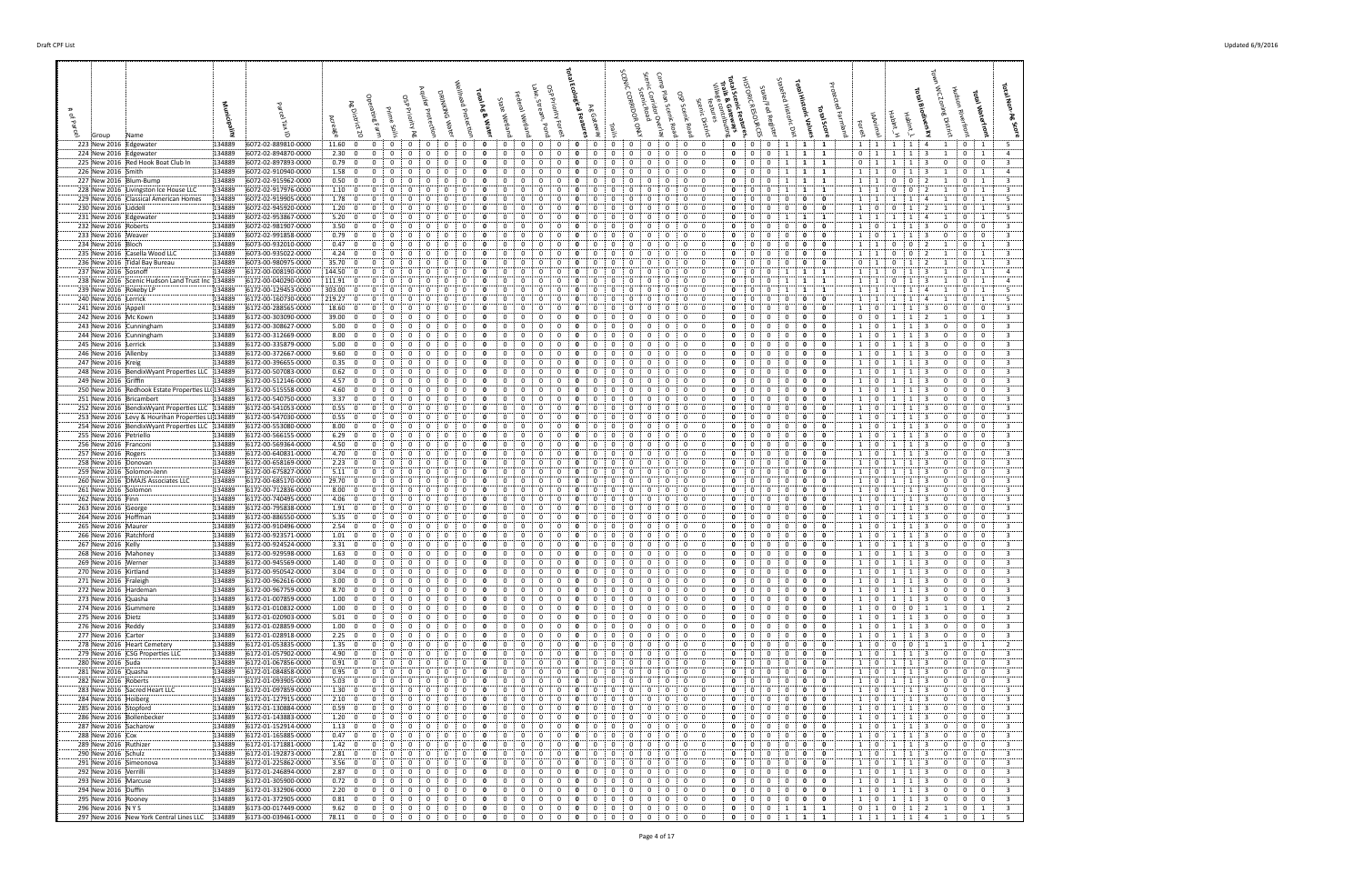**Total Scenic Features, Trails & Gateways** HISTORIC RESOURCES State/Fed Register StateFed Historic Dist **Total Historic Values Total Score** Protected Farmland Forest IAAnimal HabInt\_H HabInt\_L **Total Biodiversity** Town WC Zoning District Hudson Riverfront **Total Waterfront Total Non-Ag Score**

| 223 New 2016 Edgewater<br>134889                                                                     | 6072-02-889810-0000                        | 11.60:0                                                  | $\mathbf{0}$<br>$\mathbf{0}$                                                            | 0<br>0                                                                   | 0                              | 0                                                                              | 0<br>0<br>0                                                                                                    |                                                                                                               | 0:<br>0                                                        | $\mathbf{0}$                                               | 0<br>$\mathbf 0$<br>1                                                                       | $\mathbf{1}$<br>$\mathbf{1}$                     | $1 \cdot 1$                                              | 1:<br>1                                          | -4                                                           | 0 <sup>1</sup>                                                            |  |
|------------------------------------------------------------------------------------------------------|--------------------------------------------|----------------------------------------------------------|-----------------------------------------------------------------------------------------|--------------------------------------------------------------------------|--------------------------------|--------------------------------------------------------------------------------|----------------------------------------------------------------------------------------------------------------|---------------------------------------------------------------------------------------------------------------|----------------------------------------------------------------|------------------------------------------------------------|---------------------------------------------------------------------------------------------|--------------------------------------------------|----------------------------------------------------------|--------------------------------------------------|--------------------------------------------------------------|---------------------------------------------------------------------------|--|
| 224 New 2016 Edgewater<br>134889<br>225 New 2016 Red Hook Boat Club In<br>134889                     | 6072-02-894870-0000<br>6072-02-897893-0000 | 2.30; 0<br>0.79:0                                        | $\mathbf 0$<br>0<br>0<br>$\mathbf{0}$                                                   | 0<br>0<br>0<br>0                                                         | 0<br>$\Omega$                  | 0<br>0<br>$\Omega$                                                             | 0<br>0<br>0<br>$\Omega$                                                                                        | 0<br>0<br>$\mathbf{0}$<br>$\Omega$                                                                            | 0<br>0<br>0<br>0                                               | 0<br>$\mathbf 0$<br>0<br>$\Omega$                          | $\mathbf{0}$<br>0<br>1<br>$\mathbf{0}$<br>0                                                 | $\mathbf{1}$<br>1<br>1<br>-1                     | 0<br>$\mathbf{1}$<br>0<br>1                              | 1<br>1                                           | 3<br>1<br>3                                                  | $\mathbf 0$<br>$\mathbf{1}$<br>$\mathbf{0}$<br>$\bf{0}$                   |  |
| 226 New 2016 Smith<br>134889<br>227 New 2016 Blum-Bump<br>134889                                     | 6072-02-910940-0000<br>6072-02-915962-0000 | 1.58:0<br>0.50:<br>$\mathbf 0$                           | 0<br>$\mathbf 0$<br>$\Omega$<br>$\mathbf 0$<br>0                                        | $\Omega$<br>0<br>$\Omega$<br>0<br>0                                      | 0<br>$\Omega$                  | $\Omega$<br>$\Omega$<br>- 0<br>0                                               | 0<br>$\Omega$<br>$\Omega$<br>0<br>0                                                                            | $\Omega$<br>$\Omega$<br>0<br>0<br>0                                                                           | $\overline{0}$<br>0<br>$\mathbf 0$<br>0                        | $\mathbf 0$<br>$\Omega$<br>$\mathbf 0$                     | $\mathbf 0$<br>$\mathbf 0$<br>$1 \cdot$<br>0<br>0                                           | $\mathbf{1}$<br>1<br>$\mathbf{1}$<br>- 1         | $1 \quad 1$<br>$1 \quad 1$                               | $\mathbf{0}$<br>-1<br>0<br>$\Omega$              | -3<br>2                                                      | $0 \quad 1$<br>0<br>$\mathbf{1}$                                          |  |
| 228 New 2016   Livingston Ice House LLC<br>134889                                                    | 6072-02-917976-0000                        | 1.10:0                                                   | 0<br>0                                                                                  | 0                                                                        | $\Omega$                       | $\Omega$                                                                       | $\Omega$<br>0                                                                                                  | 0                                                                                                             | 0<br>0                                                         | 0                                                          | 0<br>0                                                                                      | $\mathbf{1}$                                     | $1 \quad 1$                                              | 0<br>$\Omega$                                    |                                                              | $\Omega$<br>$\mathbf{1}$                                                  |  |
| 229 New 2016 Classical American Homes<br>134889<br>230 New 2016 Liddell<br>134889                    | 6072-02-919905-0000<br>6072-02-945920-0000 | 1.78:0<br>1.20:0                                         | 0<br>0<br>$\Omega$<br>0<br>0                                                            | 0<br>$\Omega$<br>0<br>0                                                  | 0<br>$\Omega$<br>0<br>0        | 0<br>- 0<br>0                                                                  | $\Omega$<br>0<br>0<br>0                                                                                        | $\Omega$<br>0<br>0<br>0                                                                                       | $\mathbf 0$<br>0<br>0<br>0                                     | $\mathbf 0$<br>$\mathbf{0}$<br>0<br>$\Omega$               | $\mathbf{0}$<br>0<br>$\mathbf 0$<br>0<br>0<br>0                                             | $\mathbf 0$<br>0<br>0<br>0                       | $1 \quad 1$<br>1<br>$\mathbf 0$                          | $\mathbf{1}$<br>0<br>1                           | $\mathbf{A}$<br>-2                                           | $\mathbf{0}$<br>1<br>$\leftarrow$ 1<br>$\mathbf{0}$                       |  |
| 231 New 2016 Edgewater<br>134889<br>232 New 2016 Roberts<br>134889                                   | 6072-02-953867-0000<br>6072-02-981907-0000 | 5.20: 0<br>3.50; 0                                       | 0<br>0<br>0<br>0                                                                        | 0<br>$\Omega$<br>$\mathbf{0}$<br>0<br>0                                  | 0<br>$\Omega$<br>0             | 0<br>$\Omega$<br>0                                                             | $\mathbf{0}$<br>0<br>$\Omega$                                                                                  | 0<br>$\Omega$<br>0                                                                                            | 0<br>0<br>$\mathbf 0$<br>0                                     | $\mathbf 0$<br>0<br>$\mathbf 0$<br>$\Omega$                | $\mathbf{0}$<br>0<br>1<br>$\mathbf 0$<br>0<br>$\mathbf 0$                                   | $\mathbf{1}$<br>1<br>$\mathbf 0$<br>0            | 1 <sup>1</sup><br>$\overline{1}$<br>$\mathbf 0$<br>1     | 1<br>1<br>-1<br>-1                               | 4<br>-3<br>$\Omega$                                          | $\mathbf{0}$<br>$\overline{1}$<br>$\mathbf{0}$<br>$\mathbf 0$             |  |
| 233 New 2016 Weaver<br>134889<br>134889                                                              | 6072-02-991858-0000                        | 0.79:0<br>0.47:                                          | $\Omega$<br>$\Omega$<br>0<br>0                                                          | 0<br>0                                                                   | 0<br>0                         | $\Omega$<br>$\Omega$                                                           | 0                                                                                                              | 0<br>0                                                                                                        | 0<br>0<br>$\mathbf 0$                                          | 0<br>$\Omega$<br>0<br>$\Omega$                             | $\mathbf{0}$<br>$\Omega$<br>$^{\circ}$<br>0                                                 | 0<br>0<br>0<br>0                                 | $\mathbf 0$<br>1                                         | -1<br>-1                                         | -3<br>0<br>-2                                                | $^{\circ}$<br>$\overline{\mathbf{0}}$                                     |  |
| 234 New 2016 Bloch<br>235 New 2016 Casella Wood LLC<br>134889                                        | 6073-00-932010-0000<br>6073-00-935022-0000 | $\overline{\mathbf{0}}$<br>4.24:0                        | $\mathbf 0$<br>0<br>$\Omega$                                                            | 0<br>0<br>0<br>$\Omega$                                                  | 0<br>$\Omega$                  | 0                                                                              | 0<br>$\Omega$<br>0                                                                                             | 0<br>0<br>$\Omega$                                                                                            | 0<br>0<br>0                                                    | $\mathbf{0}$<br>$\mathbf{0}$                               | $\mathbf 0$<br>$\mathbf 0$<br>$\mathbf{0}$<br>0<br>0                                        | $\mathbf{0}$<br>$\Omega$                         | 1<br>1<br>1 <sup>1</sup><br>$\overline{1}$               | 0<br>0<br>$\mathbf{0}$<br>$\mathbf{0}$           | $\overline{2}$                                               | $\mathbf{0}$<br>$\mathbf{1}$<br>$\mathbf{0}$<br>$\overline{1}$            |  |
| 236 New 2016 Tidal Bay Bureau<br>134889<br>237 New 2016 Sosnoff<br>134889                            | 6073-00-980975-0000<br>6172-00-008190-0000 | 35.70:0<br>144.50 0                                      | $\mathbf 0$<br>0<br>$\mathbf 0$<br>0<br>$\Omega$                                        | 0<br>0<br>0                                                              | 0                              | 0                                                                              | 0<br>0<br>$\Omega$                                                                                             | 0<br>0<br>0                                                                                                   | 0<br>0<br>$\mathbf{0}$<br>0                                    | 0<br>0<br>0                                                | $\mathbf{0}$<br>0<br>0<br>0<br>$\mathbf{1}$<br>0                                            | 0<br>0<br>1<br>1                                 | 0<br>1<br>1<br>$\mathbf{1}$                              | 0<br>-1<br>0<br>1                                | 3                                                            | $\mathbf{0}$<br>$\mathbf{1}$<br>$\mathbf{0}$<br>$\overline{1}$            |  |
| 238 New 2016 Scenic Hudson Land Trust Inc 134889                                                     | 6172-00-040290-0000                        | 111.91<br>$\overline{\mathbf{0}}$                        | $\mathbf 0$<br>0<br>$\Omega$                                                            | 0<br>$\Omega$<br>$\Omega$                                                | 0<br>$\Omega$                  | 0<br>$\Omega$                                                                  | 0<br>0                                                                                                         | 0<br>$\Omega$<br>0                                                                                            | $\mathbf 0$<br>0                                               | $\mathbf 0$<br>$\Omega$                                    | $\mathbf 0$<br>$\mathbf{0}$<br>1                                                            | $\mathbf{1}$<br>- 1                              | 1<br>1                                                   | 0<br>-1                                          | -3                                                           | $\Omega$<br>$\mathbf{1}$                                                  |  |
| 239 New 2016 Rokeby LP<br>134889<br>240 New 2016 Lerrick<br>134889                                   | 6172-00-129453-0000<br>6172-00-160730-0000 | 303.00:<br>$\mathbf{0}$<br>219.27<br>$\mathbf{0}$        | $^{\circ}$<br>$\Omega$<br>$\Omega$<br>$\Omega$                                          | 0<br>$\Omega$<br>$\Omega$<br>$\Omega$                                    | $\Omega$<br>0<br>$^{\circ}$    | $\Omega$<br>$\Omega$                                                           | $\Omega$<br>$\mathbf{0}$<br>$\Omega$                                                                           | 0<br>$\Omega$<br>-0                                                                                           | 0<br>0<br>$\mathbf 0$<br>0                                     | $\Omega$<br>0<br>$\Omega$                                  | 0<br>0<br>$\Omega$<br>$\Omega$<br>$^{\circ}$                                                | 1<br>$\mathbf 0$<br>0                            | $1 \quad 1$<br>1 1                                       | -1<br>-1                                         | $\mathbf{A}$                                                 | $\mathbf{0}$<br>$\mathbf{1}$<br>$^{\circ}$<br>$\overline{1}$              |  |
| 241 New 2016 Appell<br>134889<br>242 New 2016 Mc Kown<br>134889                                      | 6172-00-288565-0000<br>6172-00-303090-0000 | 18.60:<br>$\mathbf 0$<br>$39.00\div 0$                   | 0<br>0<br>$\mathbf 0$<br>0                                                              | 0<br>0<br>0                                                              | $\Omega$                       | 0<br>0                                                                         | 0<br>0<br>0<br>0                                                                                               | 0                                                                                                             | 0<br>0<br>0<br>0                                               | 0<br>0<br>$\Omega$                                         | 0<br>0<br>0<br>0<br>0<br>0                                                                  | 0<br>0<br>0<br>0                                 | 0<br>1<br>$\mathbf 0$<br>$\mathbf{0}$                    | -1                                               | 0                                                            | $\mathbf 0$<br>$\Omega$<br>$^{\circ}$<br>$\mathbf{1}$                     |  |
| 243 New 2016 Cunningham<br>134889                                                                    | 6172-00-308627-0000                        | 5.00<br>$\mathbf 0$                                      | 0<br>0                                                                                  | $\Omega$<br>0                                                            |                                | 0                                                                              | 0<br>0                                                                                                         | 0                                                                                                             | $\mathbf 0$<br>0                                               | $\mathbf 0$<br>$\Omega$                                    | 0<br>0<br>0                                                                                 | 0<br>0                                           | 1<br>$\mathbf{0}$                                        |                                                  | $\Omega$                                                     | $\mathbf{0}$<br>$\mathbf 0$                                               |  |
| 244 New 2016 Cunningham<br>134889<br>245 New 2016 Lerrick<br>134889                                  | 6172-00-312669-0000<br>6172-00-335879-0000 | 8.00; 0<br>5.00:<br>$\overline{\mathbf{0}}$              | $\Omega$<br>$\Omega$<br>0<br>0                                                          | 0<br>0<br>0<br>$\Omega$                                                  | 0<br>$\Omega$<br>0<br>$\Omega$ | $\Omega$<br>0                                                                  | $\Omega$<br>0<br>0<br>0                                                                                        | $\Omega$<br>0<br>0                                                                                            | $\Omega$<br>$\mathbf 0$<br>$\mathbf 0$<br>0                    | $\Omega$<br>0<br>$\Omega$<br>0                             | $\mathbf{0}$<br>0<br>$\mathbf 0$<br>$\mathbf 0$<br>$\mathbf 0$<br>0                         | 0<br>0<br>$\mathbf{0}$<br>0                      | 1<br>$\mathbf 0$<br>$\mathbf 0$<br>1                     | -1<br>-1<br>-1                                   | 3<br>$\Omega$<br>3<br>$\Omega$                               | $\mathbf{0}$<br>$\mathbf{0}$<br>$\mathbf 0$<br>$\mathbf{0}$               |  |
| 246 New 2016 Allenby<br>134889<br>247 New 2016 Kreig<br>134889                                       | 6172-00-372667-0000<br>6172-00-396655-0000 | 9.60; 0<br>0.35; 0                                       | 0<br>0<br>$^{\circ}$<br>$\Omega$<br>$\Omega$                                            | $\Omega$<br>0<br>0<br>0                                                  | 0                              | 0<br>$\Omega$                                                                  | $\Omega$<br>- 0<br>$^{\circ}$                                                                                  | 0<br>0<br>$\Omega$<br>0                                                                                       | 0<br>0<br>$\mathbf 0$<br>0                                     | $\mathbf 0$<br>$\Omega$<br>0<br>$\Omega$                   | $\mathbf{0}$<br>0<br>0<br>$\mathbf 0$<br>0<br>$\mathbf 0$                                   | 0<br>0<br>$\mathbf{0}$<br>0                      | $1 \cdot$<br>$\mathbf 0$<br>$\mathbf 0$<br>1             | 1<br>-1<br>-1<br>-1                              | -3<br>0<br>$\mathbf{R}$<br>$\Omega$                          | $\mathbf 0$<br>$\mathbf 0$<br>$\mathbf{0}$<br>$\overline{0}$              |  |
| 248 New 2016 BendixWyant Properties LLC 134889<br>134889                                             | 6172-00-507083-0000                        | 0.62; 0<br>4.57:0                                        | 0<br>0<br>0<br>$\mathbf 0$<br>0<br>$\Omega$                                             | 0<br>0<br>$\Omega$<br>0<br>$\Omega$<br>$\mathbf{0}$                      | 0<br>$\Omega$<br>0<br>$\Omega$ | 0<br>$\Omega$<br>0<br>$^{\circ}$                                               | $\mathbf{0}$<br>0<br>0<br>0<br>0<br>$\Omega$                                                                   | 0<br>$\Omega$<br>0<br>0<br>$\Omega$<br>$\mathbf{0}$                                                           | $\mathbf 0$<br>0<br>0<br>0                                     | 0<br>$\Omega$<br>0<br>$\Omega$                             | $\mathbf 0$<br>$^{\circ}$<br>$\mathbf 0$<br>$\mathbf{0}$<br>0<br>0                          | 0<br>0<br>0<br>$\Omega$                          | 1<br>$\mathbf 0$<br>1                                    | 1<br>1<br>1<br>1                                 | 3<br>0<br>0                                                  | $\mathbf{0}$<br>$\bf{0}$<br>$\mathbf{0}$<br>$\mathbf 0$                   |  |
| 249 New 2016 Griffin<br>250 New 2016 Redhook Estate Properties LL(134889                             | 6172-00-512146-0000<br>6172-00-515558-0000 | 4.60; 0                                                  | 0<br>$\Omega$                                                                           | 0<br>0                                                                   | $\Omega$                       | $\Omega$                                                                       | $\Omega$                                                                                                       | $\Omega$                                                                                                      | $\mathbf 0$<br>0                                               | $\mathbf 0$<br>$\Omega$                                    | $\mathbf{0}$<br>0<br>0                                                                      | $\mathbf{0}$<br>0                                | $\mathbf{0}$<br>1<br>$\mathbf{0}$                        | -1                                               | 3<br>-3<br>$\Omega$                                          | $\mathbf{0}$<br>$\mathbf 0$                                               |  |
| 251 New 2016 Bricambert<br>134889<br>252 New 2016 BendixWyant Properties LLC 134889                  | 6172-00-540750-0000<br>6172-00-541053-0000 | 3.37:0<br>0.55:<br>$\overline{\mathbf{0}}$               | 0<br>$\mathbf 0$<br>$\Omega$<br>$\mathbf 0$<br>0                                        | 0<br>$\Omega$<br>$\Omega$<br>$\Omega$<br>0                               | 0<br>$\Omega$                  | $\Omega$<br>- 0<br>$\Omega$                                                    | $\Omega$<br>0<br>$\Omega$<br>$\Omega$<br>0                                                                     | $\Omega$<br>$\Omega$<br>-0<br>0                                                                               | $\overline{0}$<br>0<br>$\mathbf 0$<br>0                        | 0<br>$\Omega$<br>$\mathbf 0$                               | $\Omega$<br>$^{\circ}$<br>$\mathbf 0$<br>0<br>0<br>0                                        | 0<br>0<br>$\mathbf{0}$<br>0                      | $\mathbf 0$<br>1 <sup>1</sup><br>$\mathbf 0$<br>1        | -1<br>-1                                         | -3<br>$^{\circ}$<br>3<br>$\Omega$                            | $\mathbf{0}$<br>$\bf{0}$<br>$\overline{0}$<br>$\Omega$                    |  |
| 253 New 2016  Levy & Hourihan Properties LI 134889<br>254 New 2016 BendixWyant Properties LLC 134889 | 6172-00-547030-0000<br>6172-00-553080-0000 | 0.55: 0<br>$8.00\,$ 0                                    | 0<br>0<br>0<br>0                                                                        | 0<br>0<br>0                                                              | $\Omega$<br>0<br>$\Omega$      | $\Omega$<br>$\Omega$                                                           | $\Omega$<br>0<br>$\Omega$<br>0                                                                                 | 0<br>0<br>$\Omega$                                                                                            | 0<br>0<br>$\mathbf 0$<br>0                                     | 0<br>$\mathbf 0$<br>$\Omega$                               | 0<br>0<br>0<br>$\mathbf{0}$<br>0<br>$^{\circ}$                                              | $\mathbf{0}$<br>0<br>0<br>0                      | 1<br>0<br>$1 \quad$<br>$\mathbf{0}$                      |                                                  | -3<br>3<br>$\Omega$                                          | $\mathbf 0$<br>$\Omega$<br>$\mathbf{0}$<br>$\mathbf 0$                    |  |
| 134889<br>255 New 2016 Petriello                                                                     | 6172-00-566155-0000                        | 6.29:0                                                   | 0<br>0                                                                                  | 0<br>0                                                                   | 0                              | 0                                                                              | 0<br>0                                                                                                         | 0<br>0                                                                                                        | 0<br>0                                                         | 0                                                          | 0<br>0<br>0                                                                                 | 0<br>0                                           | 0<br>1                                                   | -1                                               | -3<br>$\Omega$                                               | $\mathbf 0$<br>0                                                          |  |
| 256 New 2016 Franconi<br>134889<br>257 New 2016 Rogers<br>134889                                     | 6172-00-569364-0000<br>6172-00-640831-0000 | 4.50; 0<br>4.70:0                                        | 0<br>0<br>0<br>0                                                                        | 0<br>$\mathbf{0}$<br>0<br>0<br>0                                         | 0<br>$\Omega$<br>0             | 0<br>$^{\circ}$<br>$\Omega$                                                    | $\mathbf{0}$<br>0<br>$\Omega$<br>0                                                                             | 0<br>$\Omega$<br>0                                                                                            | 0<br>0<br>$\mathbf 0$<br>0                                     | $\mathbf 0$<br>0<br>$\mathbf 0$<br>$\Omega$                | 0<br>0<br>0<br>$\mathbf{0}$<br>0<br>$\mathbf 0$                                             | $\mathbf{0}$<br>0<br>0<br>0                      | 1<br>$\mathbf{0}$<br>1<br>$\mathbf{0}$                   | 1<br>-1<br>-1                                    | -3<br>$\Omega$<br>3<br>$\Omega$                              | $\mathbf{0}$<br>$\mathbf 0$<br>$\mathbf{0}$<br>$\mathbf{0}$               |  |
| 258 New 2016 Donovan<br>134889<br>134889<br>259 New 2016 Solomon-Jenn                                | 6172-00-658169-0000<br>6172-00-675827-0000 | 2.23:0<br>$5.11$ 0                                       | $\mathbf 0$<br>$\Omega$<br>0<br>0                                                       | 0<br>0<br>0<br>0                                                         | 0<br>0<br>0<br>$\Omega$        | $\Omega$<br>$\Omega$                                                           | 0<br>$\Omega$<br>0<br>0                                                                                        | 0<br>-0<br>0                                                                                                  | 0<br>0<br>$\mathbf 0$<br>0                                     | 0<br>$\Omega$<br>$\mathbf{0}$<br>0                         | $\mathbf{0}$<br>$\Omega$<br>$^{\circ}$<br>- 0<br>0<br>$\mathbf 0$                           | 0<br>0<br>0<br>0                                 | $\mathbf 0$<br>1<br>$\mathbf 0$<br>-1                    | -1<br>-1<br>-1<br>-1                             | 3<br>$\Omega$<br>3<br>$\Omega$                               | $\mathbf{0}$<br>$\overline{0}$<br>$\mathbf{0}$<br>$\mathbf 0$             |  |
| 260 New 2016 DMAJS Associates LLC<br>134889                                                          | 6172-00-685170-0000                        | 29.70:0                                                  | 0<br>0<br>$\Omega$                                                                      | 0<br>0<br>$\Omega$                                                       | 0<br>$\Omega$                  | 0<br>$\Omega$                                                                  | $\Omega$<br>0<br>$\Omega$                                                                                      | 0<br>0<br>$\Omega$                                                                                            | 0<br>0                                                         | $\mathbf{0}$<br>$\mathbf{0}$                               | $\mathbf{0}$<br>0<br>0                                                                      | 0<br>$\Omega$                                    | 1<br>0                                                   | -1<br>-1                                         | -3<br>$\Omega$                                               | $\mathbf{0}$<br>$\mathbf{0}$                                              |  |
| 261 New 2016 Solomon<br>134889<br>262 New 2016 Finn<br>134889                                        | 6172-00-712836-0000<br>6172-00-740495-0000 | 8.00; 0<br>4.06:0                                        | 0<br>0<br>0<br>$\mathbf{0}$<br>$\mathbf{0}$                                             | 0<br>0<br>0<br>0<br>$\mathbf{0}$                                         | $\Omega$<br>0<br>$\Omega$      | 0<br>0<br>$^{\circ}$                                                           | 0<br>$\mathbf{0}$<br>0<br>0                                                                                    | 0<br>0<br>0<br>$\mathbf{0}$                                                                                   | 0<br>0<br>0<br>$\mathbf{0}$                                    | 0<br>0<br>0                                                | $\mathbf{0}$<br>0<br>0<br>0<br>0<br>0                                                       | 0<br>$\mathbf{o}$<br>0<br>0                      | $\mathbf 0$<br>1<br>1<br>$\mathbf{0}$                    | 1<br>1                                           | 3<br>$\Omega$<br>3<br>$\mathbf{0}$                           | $\mathbf{0}$<br>$\mathbf{0}$<br>0<br>$\bf{0}$                             |  |
| 263 New 2016 George<br>134889<br>264 New 2016 Hoffman<br>134889                                      | 6172-00-795838-0000<br>6172-00-886550-0000 | 1.91:0<br>5.35:0                                         | 0<br>0<br>$\Omega$<br>0<br>0                                                            | 0<br>$\Omega$<br>$\Omega$<br>0                                           | 0<br>$\Omega$<br>$\Omega$      | 0<br>$\Omega$<br>$\Omega$                                                      | 0<br>0<br>$\Omega$<br>$\Omega$                                                                                 | 0<br>$\Omega$<br>$\Omega$<br>0                                                                                | 0<br>0<br>0<br>0                                               | $\mathbf 0$<br>$\Omega$<br>$\Omega$                        | $\mathbf{0}$<br>0<br>0<br>0<br>0<br>0                                                       | $\mathbf{0}$<br>0<br>0<br>0                      | 1<br>$\mathbf 0$<br>1<br>$\mathbf{0}$                    | 1<br>-1                                          | -3<br>0<br>-3<br>$\Omega$                                    | $\mathbf 0$<br>$\Omega$<br>$\Omega$<br>$\mathbf 0$                        |  |
| 265 New 2016 Maurer<br>134889                                                                        | 6172-00-910496-0000                        | 2.54:0<br>1.01:0                                         | 0<br>$\Omega$<br>$\Omega$                                                               | $\Omega$<br>$\Omega$<br>$\Omega$                                         | 0<br>$\Omega$                  | $\Omega$<br>$\Omega$                                                           | 0<br>$\Omega$                                                                                                  | $\Omega$<br>$\Omega$                                                                                          | $\mathbf 0$<br>0<br>0                                          | $\Omega$<br>$\Omega$<br>0                                  | $\Omega$<br>0<br>$^{\circ}$                                                                 | 0<br>$\Omega$<br>0                               | $\mathbf{0}$<br>1                                        | -1<br>-1                                         | $\mathbf{R}$<br>$\Omega$                                     | $\mathbf{0}$<br>$\mathbf 0$<br>$\Omega$                                   |  |
| 266 New 2016 Ratchford<br>134889<br>267 New 2016 Kelly<br>134889                                     | 6172-00-923571-0000<br>6172-00-924524-0000 | 3.31; 0                                                  | 0<br>0<br>0<br>0                                                                        | 0<br>0<br>0<br>0<br>$\Omega$                                             | 0<br>$\Omega$                  | 0<br>0<br>$\Omega$                                                             | 0<br>0<br>$\mathbf{0}$<br>0<br>$\Omega$                                                                        | 0<br>0<br>$\Omega$                                                                                            | 0<br>0<br>$\mathbf{0}$                                         | 0<br>$\Omega$                                              | 0<br>0<br>0<br>$\mathbf{0}$<br>$\mathbf 0$<br>0                                             | 0<br>0<br>$\Omega$                               | 1<br>0<br>1<br>0                                         | -1<br>-1                                         | 0<br>-3                                                      | 0<br>$\mathbf{0}$<br>$\mathbf 0$                                          |  |
| 268 New 2016 Mahoney<br>134889<br>269 New 2016 Werner<br>134889                                      | 6172-00-929598-0000<br>6172-00-945569-0000 | 1.63:<br>$\mathbf 0$<br>1.40:0                           | 0<br>0<br>$\Omega$<br>$\mathbf 0$<br>$\overline{0}$<br>$\mathbf{0}$                     | 0<br>0<br>$\Omega$<br>$^{\circ}$<br>$\mathbf 0$<br>$\mathbf{0}$          | 0<br>$\mathbf 0$               | 0<br>$\mathbf 0$<br>$\Omega$<br>$\mathbf{0}$<br>$\mathbf{0}$<br>$\overline{0}$ | 0<br>$\mathbf 0$<br>0<br>$\mathbf 0$<br>$\mathbf 0$<br>$\mathbf{0}$                                            | $\mathbf{0}$<br>0<br>$\Omega$<br>$\mathbf{0}$<br>$^{\circ}$<br>$\mathbf{0}$                                   | $\mathbf 0$<br>$\mathbf 0$<br>$\overline{0}$<br>0              | $\mathbf{0}$<br>0<br>$\mathbf{0}$<br>$\mathbf 0$           | $\mathbf{0}$<br>$\mathbf 0$<br>$\mathbf 0$<br>$\overline{0}$<br>$\mathbf 0$<br>$\mathbf 0$  | 0<br>$\Omega$<br>$\mathbf 0$<br>$\Omega$         | $\mathbf 0$<br>1<br>$1 \quad$<br>$\overline{0}$          | 1<br>1<br>1<br>1                                 | 3<br>0<br>$\overline{\mathbf{3}}$<br>0                       | $\bf{0}$<br>0<br>$\mathbf{0}$<br>$\mathbf{0}$                             |  |
| 270 New 2016 Kirtland<br>134889<br>271 New 2016 Fraleigh<br>134889                                   | 6172-00-950542-0000<br>6172-00-962616-0000 | 3.04:<br>$\mathbf 0$<br>3.00:<br>$\overline{\mathbf{0}}$ | $\mathbf 0$<br>$\overline{0}$<br>0<br>$\mathbf 0$<br>$^{\circ}$                         | 0<br>0<br>$\mathbf 0$<br>$\overline{0}$<br>$\Omega$                      | 0<br>0<br>$\Omega$             | 0<br>0                                                                         | $\mathbf{0}$<br>0<br>0<br>0<br>$\Omega$                                                                        | 0<br>$\overline{0}$<br>$\Omega$<br>$\mathbf{0}$                                                               | 0<br>0<br>0<br>0                                               | 0<br>$\mathbf{0}$<br>$\mathbf 0$                           | $\mathbf 0$<br>$\mathbf 0$<br>0<br>$\mathbf 0$<br>0<br>$\mathbf 0$                          | 0<br>0<br>0<br>0                                 | $\mathbf 0$<br>$\mathbf 0$<br>1                          | $\mathbf{1}$<br>$\mathbf{1}$                     | 3<br>$\mathbf 0$                                             | $\Omega$<br>0<br>$\bf{0}$<br>$\bf{0}$                                     |  |
| 272 New 2016 Hardeman<br>134889                                                                      | 6172-00-967759-0000                        | 8.70; 0                                                  | $\Omega$<br>$\Omega$<br>$\mathbf{0}$                                                    | 0<br>0                                                                   | 0<br>$\Omega$                  | 0<br>$\Omega$                                                                  | $\mathbf{0}$<br>$\mathbf{0}$<br>$\Omega$                                                                       | $\overline{0}$<br>0<br>$\Omega$                                                                               | $\mathbf 0$<br>$\Omega$                                        | $\mathbf 0$<br>$\mathbf{0}$                                | $\mathbf 0$<br>$\mathbf 0$<br>0                                                             | 0<br>0                                           | $\overline{0}$<br>$\mathbf{1}$                           | 1<br>-1                                          | 3<br>0                                                       | $\mathbf{0}$<br>$\overline{\mathbf{0}}$                                   |  |
| 273 New 2016 Quasha<br>134889<br>274 New 2016 Gummere<br>134889                                      | 6172-01-007859-0000<br>6172-01-010832-0000 | 1.00:0<br>1.00; 0                                        | $\mathbf{0}$<br>$\mathbf{0}$<br>$\mathbf{0}$<br>$\bf{0}$<br>$\mathbf 0$<br>$\mathbf{0}$ | $\mathbf{0}$<br>$\overline{0}$<br>$\mathbf{0}$<br>0<br>0<br>0            | 0<br>0<br>0                    | 0<br>$^{\circ}$<br>$\mathbf{0}$<br>0<br>0                                      | 0<br>0<br>$\mathbf{0}$<br>$\mathbf{0}$<br>0<br>0                                                               | $\mathbf 0$<br>$\mathbf{0}$<br>$\mathbf{0}$<br>$\mathbf{0}$<br>0<br>0                                         | $\mathbf{0}$<br>$0 \quad$<br>$\mathbf{0}$<br>$\mathbf{0}$      | $\mathbf 0$<br>$\mathbf{0}$<br>$\mathbf 0$<br>$\mathbf 0$  | $\mathbf 0$<br>$\mathbf{0}$<br>$\overline{0}$<br>$\mathbf 0$<br>$\mathbf 0$<br>$\mathbf{0}$ | $\mathbf{0}$<br>0<br>$\mathbf 0$<br>0            | $\mathbf{0}$<br>1<br>1<br>$\mathbf 0$                    | 1<br>$\mathbf{1}$<br>$\mathbf 0$<br>$\mathbf{0}$ | $\overline{\mathbf{3}}$<br>$\mathbf{0}$<br>1<br>$\mathbf{1}$ | $0 \quad 0$<br>0<br>$\mathbf{1}$                                          |  |
| 275 New 2016 Dietz<br>134889<br>276 New 2016 Reddy<br>134889                                         | 6172-01-020903-0000<br>6172-01-028859-0000 | 5.01; 0<br>1.00:0                                        | 0<br>0<br>$\Omega$<br>$\mathbf{0}$<br>$\mathbf{0}$<br>$\Omega$                          | 0<br>$\Omega$<br>0<br>0<br>$\Omega$<br>$\Omega$                          | 0<br>0                         | 0<br>$\Omega$<br>$\Omega$<br>$^{\circ}$<br>$\Omega$<br>$\Omega$                | 0<br>0<br>$\Omega$<br>$\mathbf{0}$<br>0<br>$\Omega$                                                            | $\mathbf 0$<br>$\Omega$<br>0<br>0<br>$\Omega$<br>$\Omega$                                                     | $\mathbf{0}$<br>0<br>$\overline{0}$<br>$\mathbf{0}$            | $\mathbf 0$<br>$\mathbf{0}$<br>0<br>$\Omega$               | $\mathbf 0$<br>$\mathbf 0$<br>$^{\circ}$<br>$\mathbf 0$<br>$\mathbf{0}$<br>$\mathbf{0}$     | 0<br>0<br>$\mathbf 0$<br>0                       | $1 \quad$<br>$\mathbf 0$<br>$\overline{0}$<br>$1 \quad$  | 1<br>1<br>-1<br>1                                | 3<br>0<br>3<br>$\mathbf 0$                                   | $\bf{0}$<br>$\bf{0}$<br>0<br>$\overline{\mathbf{0}}$                      |  |
| 277 New 2016 Carter<br>134889                                                                        | 6172-01-028918-0000                        | 2.25:0                                                   | $\mathbf 0$<br>0                                                                        | 0<br>0                                                                   | 0<br>0<br>$\mathbf 0$          | 0                                                                              | $\mathbf 0$<br>0                                                                                               | 0<br>0                                                                                                        | $\mathbf 0$<br>0                                               | $\mathbf 0$<br>$\Omega$<br>$\mathbf 0$                     | $\mathbf 0$<br>$\mathbf 0$<br>0                                                             | 0<br>0                                           | $\mathbf 0$<br>1                                         | -1<br>-1                                         | -3<br>0                                                      | $\mathbf 0$<br>$\overline{\mathbf{0}}$                                    |  |
| 278 New 2016 Heart Cemetery<br>134889<br>279 New 2016 CSG Properties LLC<br>134889                   | 6172-01-053835-0000<br>6172-01-057902-0000 | 1.35:0<br>4.90:0                                         | 0<br>$\mathbf 0$<br>0<br>$\mathbf 0$<br>$\Omega$                                        | 0<br>0<br>$\mathbf{0}$<br>0<br>0<br>$\Omega$                             | 0                              | 0<br>$\mathbf 0$<br>0<br>0<br>0<br>$\Omega$                                    | 0<br>0<br>$\mathbf{0}$<br>0                                                                                    | 0<br>0<br>$\mathbf{0}$<br>0<br>$\Omega$                                                                       | $\mathbf{0}$<br>0<br>0<br>0                                    | $\mathbf 0$<br>$\mathbf 0$<br>$\mathbf 0$                  | 0<br>0<br>$\mathbf 0$<br>$\mathbf 0$<br>0<br>$\mathbf{0}$                                   | 0<br>0<br>0<br>0                                 | $1 \quad$<br>$\mathbf 0$<br>$\bf{0}$<br>$1 \quad$        | $\mathbf{0}$<br>0<br>-1<br>-1                    | 1<br>-1<br>3<br>$\Omega$                                     | $\bf{0}$<br>$\mathbf{1}$<br>$\mathbf{0}$<br>$\bf{0}$                      |  |
| 280 New 2016 Suda<br>134889<br>281 New 2016 Quasha<br>134889                                         | 6172-01-067856-0000<br>6172-01-084858-0000 | 0.91; 0<br>0.95: 0                                       | 0<br>0<br>$\mathbf{0}$<br>0                                                             | 0<br>0<br>0<br>0<br>$\mathbf{0}$                                         | 0<br>0<br>0                    | 0<br>$^{\circ}$<br>$\Omega$<br>0<br>0                                          | 0<br>0<br>$\mathbf{0}$<br>0                                                                                    | 0<br>0<br>0<br>0<br>$\mathbf{0}$<br>0                                                                         | 0<br>$\mathbf{0}$<br>$\overline{0}$<br>$\mathbf{0}$            | 0<br>$\mathbf 0$<br>$\mathbf 0$<br>$\mathbf 0$             | 0<br>$\mathbf{0}$<br>0<br>$\mathbf 0$<br>$\mathbf 0$<br>0                                   | 0<br>0<br>0<br>$\mathbf{o}$                      | 1<br>$\mathbf{0}$<br>1<br>$\mathbf{0}$                   | 1<br>-1<br>1<br>1                                | 3<br>0<br>$\overline{\mathbf{3}}$<br>0                       | $\mathbf{0}$<br>$\mathbf{0}$<br>$\mathbf 0$<br>$\overline{0}$             |  |
| 282 New 2016 Roberts<br>134889                                                                       | 6172-01-093905-0000                        | 5.03:0                                                   | 0<br>$\mathbf 0$                                                                        | 0<br>0                                                                   | 0<br>0                         | 0<br>$\Omega$                                                                  | $\mathbf{0}$<br>0                                                                                              | $\mathbf 0$<br>0                                                                                              | $\mathbf 0$<br>0                                               | $\mathbf 0$<br>$\mathbf{0}$                                | $\mathbf 0$<br>$\mathbf 0$<br>$\mathbf 0$                                                   | $\mathbf 0$<br>0                                 | 1<br>$\mathbf 0$                                         | 1<br>-1                                          | 3<br>0                                                       | $\mathbf 0$<br>$\mathbf 0$                                                |  |
| 283 New 2016 Sacred Heart LLC<br>134889<br>284 New 2016 Hoiberg<br>134889                            | 6172-01-097859-0000<br>6172-01-127915-0000 | 1.30; 0<br>2.10:0                                        | 0<br>0<br>- 0<br>0<br>$\mathbf 0$                                                       | 0<br>0<br>0<br>0                                                         | 0<br>$\Omega$<br>0<br>$\Omega$ | $\Omega$<br>$\Omega$                                                           | $\mathbf{0}$<br>$\Omega$<br>$\mathbf{0}$<br>0                                                                  | 0<br>0<br>0<br>0                                                                                              | 0<br>$\mathbf{0}$<br>$\mathbf 0$<br>0                          | 0<br>$\Omega$<br>$\mathbf 0$<br>0                          | $\mathbf{0}$<br>0<br>$\mathbf 0$<br>$\mathbf 0$<br>$\mathbf 0$<br>$\mathbf 0$               | 0<br>0<br>0<br>0                                 | $\mathbf 0$<br>1<br>$\mathbf 0$<br>1                     | -1<br>-1<br>1<br>-1                              | 3<br>$\Omega$<br>3<br>0                                      | $\mathbf{0}$<br>$\overline{0}$<br>$\overline{\mathbf{0}}$<br>$\mathbf{0}$ |  |
| 285 New 2016 Stopford<br>134889<br>286 New 2016 Bollenbecker<br>134889                               | 6172-01-130884-0000<br>6172-01-143883-0000 | 0.59; 0<br>1.20:0                                        | $\mathbf{0}$<br>0<br>$\Omega$<br>0<br>0                                                 | 0<br>$\Omega$<br>0<br>0<br>0<br>$\Omega$                                 | 0<br>$\Omega$<br>0<br>$\Omega$ | 0<br>$\mathbf 0$<br>0                                                          | $\mathbf{0}$<br>0<br>$\Omega$<br>0<br>0                                                                        | 0<br>$\mathbf{0}$<br>$\Omega$<br>$\mathbf 0$<br>0                                                             | 0<br>0<br>$\mathbf 0$<br>0                                     | $\mathbf{0}$<br>$\mathbf 0$<br>$\mathbf 0$<br>0            | $\mathbf{0}$<br>0<br>$\mathbf{0}$<br>$\mathbf 0$<br>$\mathbf{0}$<br>0                       | 0<br>0<br>0<br>0                                 | 1<br>$\overline{0}$<br>$\mathbf 0$<br>1                  | 1<br>1<br>1<br>-1                                | 3<br>$\mathbf 0$<br>-3<br>0                                  | $\mathbf{0}$<br>$\mathbf 0$<br>$\mathbf{0}$<br>$\mathbf{0}$               |  |
| 287 New 2016 Sacharow<br>134889<br>288 New 2016 Cox<br>134889                                        | 6172-01-152914-0000<br>6172-01-165885-0000 | 1.13:0<br>0.47:0                                         | $\bf{0}$<br>$\mathbf 0$<br>$\mathbf{0}$<br>$\mathbf 0$<br>$\mathbf 0$<br>$^{\circ}$     | $\mathbf{0}$<br>$\mathbf{0}$<br>0<br>$\overline{0}$<br>$\Omega$<br>0     | 0<br>0<br>$\Omega$             | 0<br>0<br>$^{\circ}$<br>$\overline{0}$<br>$\Omega$                             | 0<br>$\mathbf{o}$<br>0<br>$\mathbf 0$<br>0<br>$\Omega$                                                         | 0<br>0<br>$\mathbf{0}$<br>$\mathbf{0}$<br>$\mathbf{0}$<br>$\mathbf{0}$                                        | $\overline{0}$<br>$\mathbf{0}$<br>0<br>$\mathbf{0}$            | $\mathbf 0$<br>0<br>$\mathbf 0$<br>$\mathbf{0}$            | $\mathbf 0$<br>$\mathbf{0}$<br>$\mathbf 0$<br>$\mathbf 0$<br>$\mathbf{0}$<br>$\mathbf 0$    | $\mathbf{o}$<br>0<br>$\mathbf 0$<br>$\mathbf{0}$ | 1<br>$\mathbf{0}$<br>1<br>$\mathbf 0$                    | $\mathbf{1}$<br>1<br>1<br>-1                     | $\overline{\mathbf{3}}$<br>$\mathbf{0}$<br>$\mathbf 0$<br>3  | $\mathbf{0}$<br>$\bf{0}$<br>$\mathbf 0$<br>$\mathbf 0$                    |  |
| 289 New 2016 Ruthizer<br>134889                                                                      | 6172-01-171881-0000                        | 1.42:0                                                   | 0<br>0                                                                                  | 0<br>0<br>$\Omega$                                                       | 0                              | 0<br>$\Omega$<br>$\Omega$                                                      | 0<br>0<br>$\Omega$                                                                                             | 0<br>0                                                                                                        | 0<br>$\mathbf{0}$                                              | $\mathbf 0$<br>$\Omega$                                    | $\mathbf{0}$<br>0<br>$\mathbf 0$                                                            | 0<br>0                                           | $1 \quad$<br>$\mathbf 0$                                 |                                                  | -3<br>0                                                      | $\bf{0}$<br>$\mathbf 0$                                                   |  |
| 290 New 2016 Schulz<br>134889<br>291 New 2016 Simeonova<br>134889                                    | 6172-01-192873-0000<br>6172-01-225862-0000 | 2.81:0<br>3.56:0                                         | 0<br>$\mathbf 0$<br>$\Omega$<br>0<br>0                                                  | $\overline{0}$<br>$\Omega$<br>$\Omega$<br>0<br>0                         | 0<br>0<br>0                    | 0<br>$\Omega$<br>$\mathbf{0}$<br>0<br>$\Omega$                                 | 0<br>$\mathbf{0}$<br>$\Omega$<br>$\mathbf{0}$<br>0                                                             | 0<br>-0<br>0<br>0                                                                                             | 0<br>$\mathbf{0}$<br>0<br>0                                    | $\mathbf 0$<br>$\mathbf{0}$<br>$\mathbf 0$<br>$\mathbf{0}$ | $\mathbf 0$<br>$\mathbf 0$<br>$\mathbf 0$<br>0<br>$\mathbf 0$<br>0                          | 0<br>$\mathbf 0$<br>0<br>0                       | $\mathbf 0$<br>$1 \quad$<br>0<br>1                       | -1<br>-1<br>-1                                   | 3<br>$\Omega$<br>-3<br>0                                     | $\bf{0}$<br>$\mathbf{0}$<br>0<br>$\mathbf 0$                              |  |
| 292 New 2016 Verrilli<br>134889<br>293 New 2016 Marcuse<br>134889                                    | 6172-01-246894-0000<br>6172-01-305900-0000 | 2.87:0<br>0.72: 0                                        | $\bf{0}$<br>$\mathbf 0$<br>0<br>$\mathbf{0}$<br>$\overline{0}$<br>$\mathbf 0$           | 0<br>0<br>$\mathbf{0}$<br>$\mathbf{0}$<br>0<br>$\mathbf{0}$              | 0<br>0                         | 0<br>0<br>0<br>$\mathbf{0}$<br>$\mathbf 0$<br>0                                | $\mathbf{0}$<br>0<br>0<br>$\mathbf{0}$<br>$\mathbf{o}$<br>$\mathbf{0}$                                         | 0<br>0<br>0<br>0<br>$\mathbf{0}$<br>0                                                                         | $\overline{0}$<br>$\mathbf{0}$<br>$\mathbf{0}$<br>$\mathbf{0}$ | 0<br>$\mathbf 0$<br>$\mathbf 0$<br>$\mathbf 0$             | $\mathbf 0$<br>0<br>$\mathbf{0}$<br>$\mathbf 0$<br>$\mathbf 0$<br>0                         | $\mathbf{o}$<br>0<br>0<br>$\mathbf{0}$           | $1 \quad$<br>$\mathbf{0}$<br>$\overline{0}$<br>$1 \cdot$ | 1<br>1<br>1<br>1                                 | 3<br>0<br>$\overline{\mathbf{3}}$<br>0                       | $\bf{0}$<br>$\bf{0}$<br>$\mathbf{0}$<br>$\overline{0}$                    |  |
| 294 New 2016 Duffin<br>134889                                                                        | 6172-01-332906-0000                        | 2.20:0                                                   | $\mathbf 0$<br>$^{\circ}$<br>$^{\circ}$                                                 | $\mathbf 0$<br>$\Omega$<br>$\Omega$                                      | $\mathbf{0}$                   | $\Omega$<br>$\mathbf 0$<br>$\Omega$                                            | 0<br>$\mathbf{0}$<br>$\Omega$                                                                                  | $\Omega$<br>$\Omega$<br>$\Omega$                                                                              | $\overline{0}$<br>0                                            | $\mathbf{0}$<br>$\mathbf{0}$                               | $\mathbf 0$<br>$\mathbf 0$<br>$\mathbf 0$                                                   | 0<br>$\Omega$                                    | $1 \cdot$<br>$\overline{0}$                              | 1<br>1                                           | $\overline{\mathbf{3}}$<br>$\Omega$                          | 0<br>$\overline{0}$                                                       |  |
| 295 New 2016 Rooney<br>134889<br>296 New 2016 NYS<br>134889                                          | 6172-01-372905-0000<br>6173-00-017449-0000 | 0.81; 0                                                  | $\mathbf{0}$<br>$\mathbf 0$<br>$\mathbf 0$<br>$9.62$ 0 0 0 0 0                          | $\mathbf 0$<br>$\mathbf 0$<br>$\mathbf 0$<br>$\mathbf{0}$<br>$0 \quad 0$ | 0<br>$\mathbf{0}$              | $\mathbf 0$<br>$\mathbf{0}$<br>$\overline{0}$<br>$0$ :<br>$0 \mid 0$           | $\mathbf{0}$<br>$\mathbf 0$<br>$\mathbf 0$<br>$\overline{0}$<br>$\begin{array}{ccccc}\n0 & 0 & 0\n\end{array}$ | $\mathbf{0}$<br>$\overline{0}$<br>$\mathbf{0}$<br>0 <sup>1</sup><br>$\overline{0}$<br>$\overline{\mathbf{0}}$ | $\mathbf{0}$<br>$\overline{0}$<br>$\overline{0}$<br>0:0        | $\mathbf 0$<br>$\mathbf 0$                                 | $\mathbf 0$<br>$\overline{0}$<br>$\mathbf 0$<br>0:0:0<br>1:                                 | $\mathbf 0$<br>0<br>1<br>1                       | $1 \quad$<br>$\mathbf{0}$<br>$0 \quad 1$                 | 1 1<br>$0 \t1 \t2$                               | $\mathbf{3}$<br>$\mathbf{0}$                                 | 0<br>$\overline{0}$<br>$0 \quad 1$                                        |  |

New 2016 New York Central Lines LLC 134889 6173-00-039461-0000 78.11 0 0 0 0 0 0 0 **0** 0 0 0 0 **0** 0 0 0 0 0 0 0 **0** 0 0 1 **1 1** 1 1 1 1 4 1 0 1 5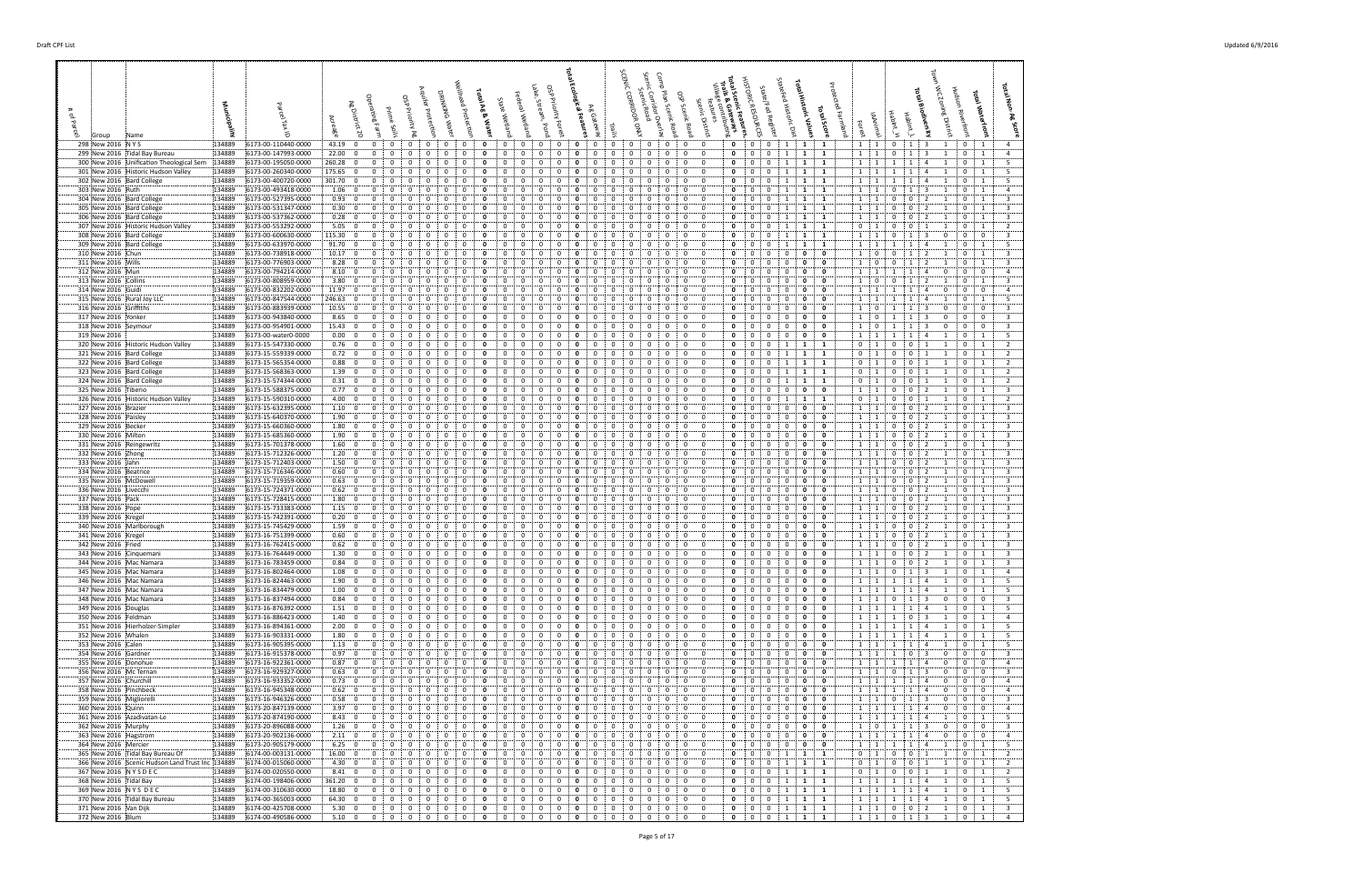| 298 New 2016 NYS                                                                     | 134889<br>6173-00-110440-0000                                  | 43.19 0<br>$\mathbf{0}$                                            | $\mathbf{0}$<br>$^{\circ}$<br>$\mathbf{0}$<br>$\Omega$                                                                                                      | $\mathbf{0}$<br>0<br>0<br>0<br>$^{\circ}$                                                                                                          | $\mathbf{o}$<br>0<br>0                                                                                           | $\mathbf{0}$<br>$\mathbf{0}$<br>$\mathbf{0}$<br>- 0                                                                                            | $\mathbf 0$<br>$\overline{0}$<br>$1 \t1 \t1$                                                                                         | 1 1<br>$\mathbf{0}$<br>1:3<br>1<br>$\cdot$ 0                                                                                                                                                                                                                                   |
|--------------------------------------------------------------------------------------|----------------------------------------------------------------|--------------------------------------------------------------------|-------------------------------------------------------------------------------------------------------------------------------------------------------------|----------------------------------------------------------------------------------------------------------------------------------------------------|------------------------------------------------------------------------------------------------------------------|------------------------------------------------------------------------------------------------------------------------------------------------|--------------------------------------------------------------------------------------------------------------------------------------|--------------------------------------------------------------------------------------------------------------------------------------------------------------------------------------------------------------------------------------------------------------------------------|
| 299 New 2016 Tidal Bay Bureau<br>300 New 2016 Unification Theological Sem   134889   | 134889<br>6173-00-147993-0000<br>6173-00-195050-0000           | 22.00; 0<br>$\mathbf{0}$<br>260.28:0<br>$\Omega$                   | 0<br>0<br>0<br>0<br>0<br>$\Omega$<br>0                                                                                                                      | 0<br>0<br>0<br>0<br>0<br>$\Omega$<br>$\Omega$<br>$\Omega$<br>$\Omega$                                                                              | $\mathbf{0}$<br>0<br>0<br>0                                                                                      | $\mathbf{0}$<br>0<br>0<br>0<br>$^{\circ}$<br>0<br>0<br>$\Omega$                                                                                | $\mathbf{0}$<br>0<br>$\mathbf{1}$<br>1<br>1<br>1<br>$\Omega$<br>$\mathbf{0}$<br>1<br>$\mathbf{1}$                                    | 1<br>$\mathbf{0}$<br>$\mathbf{1}$<br>$\overline{\mathbf{3}}$<br>$\overline{4}$<br>1<br>$\mathbf{0}$<br>1<br>1 1<br>1<br>5<br>1<br>-4<br>-1                                                                                                                                     |
| 301 New 2016 Historic Hudson Valley                                                  | 6173-00-260340-0000<br>134889                                  | 175.65:0<br>$^{\circ}$                                             | $\mathbf 0$<br>$\mathbf{0}$<br>$^{\circ}$<br>$\Omega$<br>$\mathbf{0}$                                                                                       | $\mathbf{0}$<br>$\mathbf{0}$<br>$\Omega$<br>$\Omega$<br>$\Omega$                                                                                   | 0<br>0<br>$\Omega$<br>$\Omega$                                                                                   | $\mathbf 0$<br>$\overline{0}$<br>0<br>$\Omega$<br>$\mathbf{0}$                                                                                 | 0<br>$\mathbf{0}$<br>1<br>$1 \quad 1$                                                                                                | 1:1<br>1<br>-5<br>1<br>4<br>-1<br>1<br>0                                                                                                                                                                                                                                       |
| 302 New 2016 Bard College<br>303 New 2016 Ruth                                       | 6173-00-400720-0000<br>134889<br>134889<br>6173-00-493418-0000 | 301.70<br>$\mathbf{0}$<br>$\Omega$<br>1.06:0<br>$\Omega$           | 0<br>$\Omega$<br>0<br>0<br>0                                                                                                                                | 0<br>0<br>$\Omega$<br>$\Omega$<br>$\Omega$<br>0<br>0<br>$\Omega$<br>$\Omega$                                                                       | 0<br>0<br>$\Omega$<br>$\mathbf{o}$<br>0<br>$\Omega$                                                              | 0<br>$\Omega$<br>0<br>$^{\circ}$<br>0<br>$^{\circ}$<br>0<br>$^{\circ}$                                                                         | $\Omega$<br>0<br>1<br>$\mathbf{1}$<br>-1<br>$\mathbf{0}$<br>$\mathbf{1}$<br>1<br>$\Omega$<br>1                                       | 5<br>1<br>$\mathbf{0}$<br>$\overline{1}$<br>$\mathbf{1}$<br>$\overline{4}$<br>$\mathbf{1}$<br>-1<br>0<br>$\overline{4}$<br>$\cdot$ 1<br>1<br>-3<br>0<br>-1                                                                                                                     |
| 304 New 2016 Bard College                                                            | 134889<br>6173-00-527395-0000                                  | 0.93; 0<br>$\Omega$                                                | 0<br>$\Omega$<br>$\Omega$<br>$^{\circ}$<br>$\Omega$                                                                                                         | 0<br>0<br>$\Omega$<br>$\Omega$<br>0                                                                                                                | $\Omega$<br>$\Omega$<br>$\Omega$<br>$\Omega$                                                                     | $\mathbf{0}$<br>$\mathbf 0$<br>0<br>$\Omega$                                                                                                   | $\mathbf 0$<br>0<br>$1 \t1$<br>$\mathbf{1}$<br>$\mathbf{1}$                                                                          | $\overline{3}$<br>1 1<br>0<br>$\mathbf{0}$<br>-2<br>$\Omega$<br>-1                                                                                                                                                                                                             |
| 305 New 2016 Bard College<br>306 New 2016 Bard College                               | 134889<br>6173-00-531347-0000<br>134889<br>6173-00-537362-0000 | 0.30; 0<br>$\Omega$<br>0.28: 0<br>0                                | $\Omega$<br>0<br>0<br>0<br>$\Omega$<br>0<br>0<br>0<br>0<br>0                                                                                                | 0<br>0<br>0<br>- 0<br>0<br>0<br>0<br>$\Omega$<br>0<br>$\Omega$                                                                                     | $\mathbf{o}$<br>0<br>0<br>$\mathbf{o}$<br>0                                                                      | $^{\circ}$<br>0<br>$\mathbf{0}$<br>0<br>$\mathbf{0}$<br>$\mathbf{0}$<br>$\mathbf 0$<br>0<br>0                                                  | 0<br>$\mathbf{0}$<br>1<br>$\mathbf{1}$<br>0<br>$\mathbf{1}$<br>$\mathbf 0$<br>1<br>1<br>1                                            | $\mathbf{0}$<br>- 3<br>1 1<br>0<br>$\overline{2}$<br>$\mathbf 0$<br>-1<br>$\overline{0}$<br>$\overline{3}$<br><sup>1</sup><br>$\mathbf{0}$<br>2<br>$\overline{1}$<br>$\mathbf{0}$<br>1                                                                                         |
| 307 New 2016 Historic Hudson Valley                                                  | 6173-00-553292-0000<br>134889                                  | $5.05 \div 0$<br>$^{\circ}$                                        | $\mathbf 0$<br>0<br>0<br>$\Omega$<br>$\Omega$                                                                                                               | 0<br>0<br>$\Omega$<br>$\Omega$<br>$\Omega$                                                                                                         | $\Omega$<br>$\Omega$                                                                                             | 0<br>0<br>$^{\circ}$<br>$\mathbf{0}$                                                                                                           | $\mathbf{1}$<br>0<br>0<br>$\mathbf{1}$<br>$\mathbf{0}$<br>$\mathbf{1}$                                                               | $\overline{2}$<br>$\mathbf 0$<br>$\overline{0}$<br>$\overline{1}$<br>-1<br>$\Omega$<br>1                                                                                                                                                                                       |
| 308 New 2016 Bard College<br>309 New 2016 Bard College                               | 134889<br>6173-00-600630-0000<br>134889<br>6173-00-633970-0000 | 115.30 0<br>$\Omega$<br>$91.70 \begin{array}{ c c } 0 \end{array}$ | $\Omega$<br>0<br>$\Omega$<br>0<br>0<br>$\Omega$                                                                                                             | n<br>$\Omega$<br>0<br>0<br>$\Omega$<br>$\Omega$                                                                                                    | $\mathbf{o}$<br>0                                                                                                | $\Omega$<br>- 0<br>0<br>$^{\circ}$<br>$\mathbf{0}$<br>$^{\circ}$<br>$\mathbf 0$<br>0                                                           | $\Omega$<br>$\Omega$<br>-1<br>$\mathbf{1}$<br>1<br>$\mathbf 0$<br>$\mathbf{1}$<br>$\Omega$<br>1<br>1                                 | $\overline{\mathbf{3}}$<br>$\Omega$<br>$\overline{1}$<br>$\Omega$<br>-3<br>$\Omega$<br>$\Omega$<br>-1<br>5<br>$\mathbf{0}$<br>$\mathbf{1}$<br>1<br>-1<br>-4                                                                                                                    |
| 310 New 2016 Chun                                                                    | 134889<br>6173-00-738918-0000                                  | 10.17; 0<br>$\Omega$                                               | 0<br>0<br>$\Omega$<br>$\Omega$<br>$\Omega$                                                                                                                  | 0<br>0<br>$\Omega$<br>$\Omega$<br>0                                                                                                                | 0<br>$\Omega$<br>$\Omega$<br>$\Omega$                                                                            | 0<br>$\mathbf 0$<br>0<br>$^{\circ}$                                                                                                            | $\mathbf 0$<br>$\Omega$<br>0<br>0<br>1<br>$\Omega$                                                                                   | $\overline{\mathbf{3}}$<br>$\Omega$<br>$\mathbf{0}$<br>1<br>2<br>0<br>-1                                                                                                                                                                                                       |
| 311 New 2016 Wills<br>312 New 2016 Mun                                               | 134889<br>6173-00-776903-0000<br>134889<br>6173-00-794214-0000 | 8.28:0<br>$8.10\, 0$<br>$\mathbf{0}$                               | 0<br>0<br>0<br>0<br>0<br>0<br>$^{\circ}$<br>0                                                                                                               | 0<br>0<br>0<br>0<br>0<br>0<br>0                                                                                                                    | 0<br>0<br>$\mathbf{0}$<br>0                                                                                      | 0<br>$^{\circ}$<br>$\mathbf{0}$<br>0<br>0<br>$^{\circ}$<br>0                                                                                   | 0<br>0<br>0<br>1<br>0<br>0<br>$\mathbf{0}$<br>0<br>0<br>1<br>0<br>$\mathbf{0}$                                                       | $\overline{\mathbf{3}}$<br>$\mathbf{0}$<br>$\mathbf{0}$<br>1<br>$\Omega$<br>1<br>$\mathbf{1}$<br>$\mathbf 0$<br>$\mathbf{0}$<br>$\overline{4}$<br>1<br>4<br>0                                                                                                                  |
| 313 New 2016 Collins                                                                 | 134889<br>6173-00-808959-0000                                  | 3.80; 0<br>$\mathbf 0$                                             | 0<br>$\mathbf 0$<br>0<br>0<br>$\Omega$                                                                                                                      | 0<br>0<br>0<br>$\Omega$<br>-0                                                                                                                      | 0<br>$\mathbf{o}$<br>$\Omega$<br>$\Omega$                                                                        | $\Omega$<br>$\mathbf{0}$<br>0<br>$\mathbf 0$<br>0                                                                                              | $\overline{0}$<br>$\mathbf 0$<br>1<br>$\mathbf 0$<br>0<br>0                                                                          | $\overline{\mathbf{3}}$<br>$\mathbf 0$<br>$\Omega$<br>1<br>$\overline{2}$<br>1<br>$\mathbf{0}$<br>1                                                                                                                                                                            |
| 314 New 2016 Guidi<br>315 New 2016 Rural Joy LLC                                     | 134889<br>6173-00-832202-0000<br>134889<br>6173-00-847544-0000 | 11.97; 0<br>246.63:0<br>$^{\circ}$                                 | 0<br>0<br>$\Omega$<br>$\Omega$<br>0<br>$\Omega$<br>$\Omega$                                                                                                 | 0<br>$\Omega$<br>$\Omega$<br>0<br>0<br>$\Omega$<br>$\Omega$<br>-0                                                                                  | $\Omega$<br>$\Omega$<br>$\Omega$<br>$\Omega$                                                                     | 0<br>$\Omega$<br>$\Omega$<br>$\Omega$<br>$\Omega$<br>$\mathbf{0}$<br>0<br>$^{\circ}$                                                           | 0<br>0<br>- 0<br>$\overline{1}$<br>$\Omega$<br>$\Omega$<br>$\mathbf 0$<br>$\Omega$<br>$\mathbf{0}$<br>$^{\circ}$<br>0                | $\Omega$<br>$\mathbf{0}$<br>$\overline{a}$<br>1<br>$\Omega$<br>- 5<br>1 1<br>1<br>$\Omega$<br>$\overline{4}$<br>-1                                                                                                                                                             |
| 316 New 2016 Griffiths                                                               | 134889<br>6173-00-883939-0000                                  | 10.55:0<br>0                                                       | 0<br>0                                                                                                                                                      | 0<br>0                                                                                                                                             | $\mathbf{o}$<br>0                                                                                                | 0<br>0<br>$^{\circ}$<br>0                                                                                                                      | - 0<br>1<br>$\Omega$<br>0<br>0<br>0                                                                                                  | $\overline{3}$<br>0<br>$\mathbf{0}$<br>$\mathbf{0}$<br>$\mathbf{1}$<br>1<br>0                                                                                                                                                                                                  |
| 317 New 2016 Yonker<br>318 New 2016 Seymour                                          | 134889<br>6173-00-943840-0000<br>134889<br>6173-00-954901-0000 | $8.65 \div 0$<br>0<br>15.43:0<br>0                                 | 0<br>$\Omega$<br>0<br>0<br>0<br>0<br>0<br>0<br>$^{\circ}$<br>0                                                                                              | 0<br>0<br>$\Omega$<br>$\Omega$<br>0<br>0<br>0<br>0<br>0                                                                                            | $\mathbf{o}$<br>0<br>0                                                                                           | 0<br>$\mathbf 0$<br>$^{\circ}$<br>0<br>0<br>0<br>0<br>$^{\circ}$                                                                               | 0<br>0<br>- 0<br>$\mathbf{1}$<br>0<br>0<br>0<br>0<br>$\mathbf 0$<br>0<br>0<br>$\mathbf{1}$                                           | $\overline{3}$<br>$\mathbf{0}$<br>$\mathbf{1}$<br>$\mathbf{0}$<br>$\mathbf 0$<br>$\mathbf{0}$<br>1<br>-3<br>$\overline{\mathbf{3}}$<br>$\mathbf 0$<br>$\mathbf 0$<br>$\mathbf{1}$<br>-3<br>0<br>0                                                                              |
| 319 New 2016                                                                         | 134889<br>6173-00-water0-0000                                  | 0.00; 0<br>$^{\circ}$                                              | $\Omega$<br>0<br>$\Omega$<br>$\Omega$<br>$\Omega$                                                                                                           | 0<br>$\Omega$<br>$\Omega$<br>-0<br>$\Omega$                                                                                                        | 0<br>$\Omega$<br>$\Omega$<br>$\Omega$                                                                            | $\Omega$<br>$\mathbf{0}$<br>0<br>$\Omega$<br>$\Omega$                                                                                          | $\Omega$<br>$\mathbf{0}$<br>$^{\circ}$<br>0<br>0<br>$\mathbf{1}$                                                                     | 5<br>$\mathbf{1}$<br>1<br>$\overline{1}$<br>$\overline{4}$<br>$\Omega$<br>$\mathbf{1}$                                                                                                                                                                                         |
| 320 New 2016 Historic Hudson Valley<br>321 New 2016 Bard College                     | 134889<br>6173-15-547330-0000<br>134889<br>6173-15-559339-0000 | 0.76: 0<br>0<br>0.72; 0<br>$\mathbf 0$                             | 0<br>$\Omega$<br>0<br>0<br>0<br>$\mathbf 0$<br>0<br>0<br>$\Omega$<br>0                                                                                      | 0<br>0<br>$\Omega$<br>0<br>0<br>0<br>0<br>$\Omega$<br>$\Omega$<br>0                                                                                | 0<br>$\Omega$<br>$\mathbf 0$<br>0<br>0<br>$\mathbf{o}$<br>0<br>0                                                 | $\mathbf{0}$<br>0<br>$\mathbf 0$<br>0<br>0<br>$\Omega$<br>$^{\circ}$<br>0<br>$\mathbf{0}$                                                      | 0<br>$\mathbf{1}$<br>$\mathbf 0$<br>0<br>1<br>$\mathbf{1}$<br>0<br>0<br>1<br>$\mathbf{1}$<br>$\mathbf 0$                             | 0<br>$\overline{0}$<br>$\overline{2}$<br><sup>1</sup><br>1<br>$\overline{1}$<br>$\mathbf{0}$<br>-1<br>$\mathbf 0$<br>$\overline{2}$<br>$\mathbf{1}$<br>$\mathbf{0}$<br>1<br>0<br>-1                                                                                            |
| 322 New 2016 Bard College                                                            | 134889<br>6173-15-565354-0000                                  | 0.88; 0<br>$\Omega$                                                | $\Omega$<br>0<br>$\Omega$<br>$\Omega$<br>$\Omega$                                                                                                           | n<br>$\Omega$<br>$\Omega$                                                                                                                          | $\Omega$<br>$\Omega$                                                                                             | $\Omega$<br>$^{\circ}$<br>0<br>$\Omega$<br>$\mathbf{0}$                                                                                        | $\Omega$<br>$\mathbf{0}$<br>1<br>$\mathbf{0}$<br>$\mathbf{1}$                                                                        | $\overline{2}$<br>$\mathbf{0}$<br>$\mathbf 0$<br>$\cdots$<br>$\Omega$                                                                                                                                                                                                          |
| 323 New 2016 Bard College<br>324 New 2016 Bard College                               | 134889<br>6173-15-568363-0000<br>134889<br>6173-15-574344-0000 | 1.39:0<br>$\mathbf{0}$<br>0.31; 0<br>$\mathbf 0$                   | 0<br>$\Omega$<br>0<br>$^{\circ}$<br>$\mathbf{0}$<br>0<br>0<br>0<br>0<br>0                                                                                   | $\mathbf 0$<br>0<br>$\Omega$<br>0<br>0<br>0<br>0<br>0<br>0<br>0                                                                                    | 0<br>0<br>$\mathbf{0}$<br>0<br>-0<br>0<br>$\mathbf 0$<br>0<br>0<br>0                                             | $\mathbf 0$<br>$\mathbf{0}$<br>$\mathbf 0$<br>0<br>$\mathbf{0}$<br>0<br>0<br>$\mathbf{0}$                                                      | 0<br>$\mathbf{0}$<br>1<br>$\mathbf{1}$<br>$\mathbf{0}$<br>$\mathbf{1}$<br>0<br>$\mathbf{0}$<br>$\mathbf{1}$<br>0<br>1<br>1           | $\overline{2}$<br>$\overline{1}$<br>$\mathbf 0$<br>$\overline{0}$<br>1<br>1<br>$\mathbf 0$<br>1<br>$\overline{2}$<br>$\mathbf 0$<br>$\mathbf{0}$<br>1<br>$\mathbf{1}$<br>1<br>$\mathbf{0}$<br>1                                                                                |
| 325 New 2016 Tiberio                                                                 | 134889<br>6173-15-588375-0000                                  | $0.77$ : 0<br>$^{\circ}$                                           | $\Omega$<br>$\Omega$<br>$\Omega$<br>$\Omega$                                                                                                                | $\Omega$<br>$\Omega$<br>0<br>$\Omega$<br>$\Omega$                                                                                                  |                                                                                                                  | 0<br>$\Omega$<br>0<br>$\Omega$                                                                                                                 | 0<br>$\Omega$<br>$\mathbf{0}$<br>0<br>- 0<br><sup>1</sup>                                                                            | $\mathbf 0$<br>$\overline{3}$<br>$\mathbf 0$<br>$\cdot$ 1<br>-2<br>$\overline{1}$<br>$\Omega$<br>-1                                                                                                                                                                            |
| 326 New 2016 Historic Hudson Valley<br>327 New 2016 Brazier                          | 134889<br>6173-15-590310-0000<br>134889<br>6173-15-632395-0000 | 4.00:0<br>$^{\circ}$<br>1.10:0<br>$\Omega$                         | $\Omega$<br>$\mathbf 0$<br>$\mathbf{0}$<br>$^{\circ}$<br>$\mathbf{0}$<br>0<br>$\Omega$<br>0<br>$\Omega$                                                     | $\mathbf{0}$<br>$^{\circ}$<br>$^{\circ}$<br>$\Omega$<br>$\Omega$<br>0<br>0<br>$\Omega$<br>$\Omega$<br>$\Omega$                                     | $\Omega$<br>0<br>$\Omega$<br>$\Omega$<br>0<br>$\Omega$<br>$\Omega$                                               | $\Omega$<br>$\mathbf 0$<br>0<br>$\mathbf 0$<br>$\mathbf{0}$<br>0<br>$\Omega$<br>0<br>$^{\circ}$                                                | 0<br>$\mathbf 0$<br>1<br>$\mathbf{1}$<br>$\mathbf{0}$<br>$\overline{1}$<br>0<br>0<br>$\overline{1}$<br>$\Omega$<br>0<br>$\Omega$     | $\overline{2}$<br>$\cdot$ 1<br>$\mathbf 0$<br>$\mathbf{0}$<br>$\overline{1}$<br>-1<br>$\mathbf{0}$<br>1<br>$\overline{3}$<br>$\mathbf 0$<br>$\mathbf{0}$<br>$\Omega$<br>$\overline{1}$<br>-2<br>-1                                                                             |
| 328 New 2016 Paisley                                                                 | 134889<br>6173-15-640370-0000                                  | 1.90:0<br>$\Omega$                                                 | 0<br>0                                                                                                                                                      | 0<br>0<br>$\Omega$                                                                                                                                 | 0                                                                                                                | 0<br>$^{\circ}$<br>0<br>$^{\circ}$                                                                                                             | 0<br>0<br>- 0<br>$\mathbf{1}$<br>$\Omega$<br>0                                                                                       | $\overline{3}$<br>0<br>$\mathbf 0$<br>$\cdot$ 1<br>$\Omega$                                                                                                                                                                                                                    |
| 329 New 2016 Becker                                                                  | 134889<br>6173-15-660360-0000                                  | $1.80\, 0$<br>$\Omega$                                             | 0<br>$\Omega$<br>$\Omega$<br>$\Omega$<br>$\Omega$<br>$\Omega$                                                                                               | 0<br>0<br>$\Omega$<br>$\Omega$<br>0<br>0                                                                                                           | 0<br>$\Omega$<br>$^{\circ}$<br>0                                                                                 | $^{\circ}$<br>$\mathbf 0$<br>0<br>$\Omega$                                                                                                     | $\mathbf 0$<br>$\mathbf 0$<br>$^{\circ}$<br>$^{\circ}$<br>0<br>$\mathbf{1}$                                                          | $\overline{\mathbf{3}}$<br>0<br>$\mathbf{0}$<br>$\overline{2}$<br>- 1<br>-1                                                                                                                                                                                                    |
| 330 New 2016 Milton<br>331 New 2016 Reingewritz                                      | 6173-15-685360-0000<br>134889<br>134889<br>6173-15-701378-0000 | 1.90; 0<br>$\mathbf{0}$<br>1.60; 0<br>$\Omega$                     | 0<br>0<br>0<br>0<br>0<br>0<br>0<br>0<br>0                                                                                                                   | 0<br>0<br>0<br>- 0<br>0<br>0<br>0<br>$\Omega$<br>$\Omega$                                                                                          | $\mathbf{o}$<br>0<br>0<br>$\mathbf{0}$<br>$\mathbf{o}$<br>0                                                      | $^{\circ}$<br>0<br>$\mathbf{0}$<br>0<br>$\mathbf{0}$<br>$\mathbf{0}$<br>$\mathbf 0$<br>0                                                       | 0<br>0<br>$\mathbf{0}$<br>0<br>- 0<br>$\overline{1}$<br>$^{\circ}$<br>$\bf{0}$<br>0<br>0<br>1<br>0                                   | $\mathbf{0}$<br>- 3<br>$\mathbf{1}$<br>0<br>$\overline{2}$<br>$\mathbf{0}$<br>$\mathbf{0}$<br>$\overline{3}$<br><sup>1</sup><br>0<br>$\overline{2}$<br>$\overline{1}$<br>$\mathbf{0}$<br>1                                                                                     |
| 332 New 2016 Zhong                                                                   | 134889<br>6173-15-712326-0000                                  | 1.20:0<br>$\mathbf 0$                                              | $\mathbf 0$<br>0<br>0<br>$\Omega$<br>$\Omega$                                                                                                               | 0<br>0<br>$\Omega$<br>$\Omega$<br>$\Omega$                                                                                                         | 0<br>$\Omega$<br>$\Omega$<br>$\Omega$                                                                            | 0<br>$\Omega$<br>$^{\circ}$<br>0<br>$\mathbf{0}$                                                                                               | 0<br>$\mathbf 0$<br>0<br>0<br>$^{\circ}$<br>1<br>$\Omega$<br>$\mathbf{0}$                                                            | $\overline{\mathbf{3}}$<br>$\mathbf 0$<br>$\mathbf{0}$<br>$\overline{1}$<br>$\overline{2}$<br>$\mathbf{1}$<br>0<br>1                                                                                                                                                           |
| 333 New 2016 Jahn<br>334 New 2016 Beatrice                                           | 134889<br>6173-15-712403-0000<br>134889<br>6173-15-716346-0000 | 1.50; 0<br>$\Omega$<br>0.60; 0                                     | 0<br>$\Omega$<br>$\Omega$<br>$\Omega$<br>0<br>0<br>$^{\circ}$<br>0                                                                                          | 0<br>$\Omega$<br>0<br>0<br>0<br>0<br>0<br>$\Omega$<br>$\Omega$<br>$\Omega$                                                                         | 0<br>0<br>0<br>$\Omega$<br>0                                                                                     | $\Omega$<br>$\Omega$<br>- 0<br>0<br>$\mathbf{0}$<br>$\mathbf{0}$<br>$\mathbf 0$<br>0<br>$\Omega$                                               | 0<br>$\Omega$<br>$\Omega$<br>1<br>$\mathbf 0$<br>$\mathbf 0$<br>0<br>$\overline{0}$<br>1<br>0                                        | $\overline{\mathbf{3}}$<br>$\mathbf 0$<br>$\overline{1}$<br>$\Omega$<br>-2<br>$\Omega$<br>$\mathbf 0$<br>$\overline{\mathbf{3}}$<br>$\overline{1}$<br>$\mathbf{0}$<br>$\overline{2}$<br>$\mathbf{0}$                                                                           |
| 335 New 2016 McDowell                                                                | 134889<br>6173-15-719359-0000                                  | 0.63; 0<br>$\mathbf 0$                                             | 0<br>0<br>0<br>0<br>$\mathbf{0}$                                                                                                                            | 0<br>0<br>0<br>-0<br>0                                                                                                                             | $\mathbf{o}$<br>0<br>$\Omega$<br>0                                                                               | $\mathbf{0}$<br>0<br>$\mathbf 0$<br>0<br>0                                                                                                     | $\mathbf 0$<br>$\mathbf{0}$<br>0<br>0<br>$\mathbf{1}$<br>0                                                                           | $\overline{\mathbf{3}}$<br>$\overline{1}$<br>$\mathbf{0}$<br>$\bf{0}$<br>$\overline{2}$<br>$\mathbf 0$<br>-1                                                                                                                                                                   |
| 336 New 2016 Livecchi<br>337 New 2016 Pack                                           | 134889<br>6173-15-724371-0000<br>6173-15-728415-0000<br>134889 | 0.62; 0<br>0<br>1.80; 0<br>$\mathbf{0}$                            | 0<br>0<br>0<br>0<br>0<br>$\mathbf{0}$<br>$^{\circ}$<br>0                                                                                                    | 0<br>0<br>$\Omega$<br>0<br>0<br>0<br>0<br>0                                                                                                        | 0<br>$\mathbf{o}$<br>0<br>0<br>0                                                                                 | 0<br>$^{\circ}$<br>0<br>$^{\circ}$<br>$\mathbf 0$<br>0<br>$\mathbf{0}$<br>$^{\circ}$<br>0                                                      | $^{\circ}$<br>0<br>0<br>0<br>$\mathbf{1}$<br>0<br>$\mathbf{0}$<br>$\mathbf 0$<br>0<br>$\mathbf{1}$<br>0<br>$\mathbf{0}$              | $\overline{\mathbf{3}}$<br>0<br>$\mathbf 0$<br><sup>1</sup><br>0<br>$\cdots$ 1<br>$\mathbf 0$<br>0<br>$\overline{\mathbf{3}}$<br>$\overline{2}$<br>1<br>$\mathbf{0}$<br>1                                                                                                      |
| 338 New 2016 Pope                                                                    | 134889<br>6173-15-733383-0000<br>134889                        | 1.15:0<br>$\mathbf 0$<br>0.20: 0                                   | 0<br>$\mathbf{0}$<br>$\mathbf 0$<br>0<br>$\Omega$<br>0<br>0                                                                                                 | 0<br>0<br>0<br>0<br>-0<br>0<br>$\Omega$<br>$\Omega$                                                                                                | 0<br>0<br>$\mathbf{o}$<br>$\Omega$                                                                               | $\Omega$<br>$\mathbf{0}$<br>0<br>$\mathbf 0$<br>0<br>0<br>$\Omega$<br>0<br>$\Omega$                                                            | 0<br>1<br>$^{\circ}$<br>$\mathbf{0}$<br>0<br>0<br>0<br>0<br>- 0<br>$\mathbf{1}$<br>$\Omega$<br>0                                     | $\overline{\mathbf{3}}$<br>$\mathbf 0$<br>$\mathbf{0}$<br>$\overline{2}$<br>1<br>$\mathbf 0$<br>$\mathbf{1}$<br>1<br>$\overline{3}$<br>$\mathbf{0}$<br>$\mathbf 0$<br>$\Omega$                                                                                                 |
| 339 New 2016 Kregel<br>340 New 2016 Marlborough                                      | 6173-15-742391-0000<br>134889<br>6173-15-745429-0000           | 1.59:0<br>$^{\circ}$                                               | $\Omega$<br>$\Omega$<br>$\Omega$<br>0<br>$\Omega$                                                                                                           | $\mathbf{0}$<br>$^{\circ}$<br>$^{\circ}$<br>$\Omega$<br>$\Omega$                                                                                   | 0<br>$\Omega$<br>$\Omega$<br>$\Omega$                                                                            | $\Omega$<br>$\Omega$<br>$\mathbf{0}$<br>$\mathbf 0$<br>0                                                                                       | $\mathbf 0$<br>0<br>$\mathbf 0$<br>$^{\circ}$<br>$^{\circ}$                                                                          | $\mathbf{0}$<br>$\overline{\mathbf{3}}$<br>1 1<br>0<br>$\overline{2}$<br>-1<br>$\Omega$<br>-1                                                                                                                                                                                  |
| 341 New 2016 Kregel<br>342 New 2016 Fried                                            | 6173-16-751399-0000<br>134889<br>134889<br>6173-16-762415-0000 | 0.60: 0                                                            | 0<br>0<br>0<br>0<br>0<br>0<br>0<br>0                                                                                                                        | 0<br>0<br>$\Omega$<br>$\mathbf{0}$<br>$^{\circ}$<br>0<br>$\Omega$<br>$\mathbf{0}$                                                                  | $\mathbf{o}$<br>0<br>0<br>0<br>$\Omega$<br>0                                                                     | 0<br>0<br>$^{\circ}$<br>0<br>0<br>$^{\circ}$<br>$^{\circ}$<br>0                                                                                | 0<br>1<br>$\Omega$<br>0<br>0<br>0<br>0<br>- 0<br><sup>1</sup><br>0                                                                   | $\overline{3}$<br>$\mathbf 0$<br>0<br>0<br>- 1<br>$\overline{\mathbf{3}}$<br>0<br>-2                                                                                                                                                                                           |
| 343 New 2016 Cinquemani                                                              | 134889<br>6173-16-764449-0000                                  | 0.62; 0<br>$\mathbf{0}$<br>1.30; 0<br>$\mathbf 0$                  | $\mathbf 0$<br>$\mathbf 0$<br>0<br>$\mathbf 0$<br>$\mathbf{0}$<br>$\mathbf 0$                                                                               | $\mathbf 0$<br>$\mathbf 0$<br>$\Omega$<br>0<br>$\mathbf{0}$                                                                                        | $\mathbf{o}$<br>0<br>$\mathbf{0}$<br>$\mathbf{0}$<br>$\mathbf{0}$                                                | $\mathbf{0}$<br>$\mathbf{0}$<br>0<br>$^{\circ}$<br>$^{\circ}$                                                                                  | $\mathbf{0}$<br>$\mathbf{0}$<br>$\mathbf 0$<br>0<br>$\mathbf 0$<br>0<br>$\mathbf 0$<br>$\mathbf{1}$                                  | $\mathbf{0}$<br>$\pm$ 1<br>1<br>$\mathbf 0$<br>1<br>$\mathbf 0$<br>$\mathbf{0}$<br>$\overline{\mathbf{3}}$<br>$\mathbf{1}$<br>$\overline{2}$<br>1<br>0<br>-1                                                                                                                   |
| 344 New 2016 Mac Namara                                                              | 134889<br>6173-16-783459-0000                                  | 0.84:0<br>$\mathbf{0}$<br>$\Omega$                                 | $\mathbf{0}$<br>$\mathbf 0$<br>$\mathbf 0$<br>$\mathbf{0}$<br>0<br>$\mathbf 0$<br>$\mathbf 0$<br>0<br>0<br>$\Omega$                                         | $\mathbf{0}$<br>$\mathbf{0}$<br>$\mathbf 0$<br>$\mathbf 0$<br>$\mathbf{0}$<br>$\mathbf 0$<br>0<br>$\mathbf 0$<br>$\mathbf 0$                       | $\mathbf{0}$<br>0<br>$\mathbf{0}$<br>$\mathbf 0$<br>0<br>$\mathbf 0$                                             | $\mathbf 0$<br>$\mathbf{0}$<br>$\mathbf{0}$<br>$\mathbf{0}$<br>$\mathbf{0}$<br>$\mathbf 0$<br>$\mathbf 0$<br>$\mathbf 0$<br>0                  | $\mathbf{0}$<br>$\mathbf{0}$<br>$\mathbf{0}$<br>0<br>0<br>$\mathbf 0$<br>0<br>0<br>0                                                 | $1 \quad 1$<br>$\mathbf 0$<br>$0$ i<br>$\overline{\mathbf{3}}$<br>$\overline{2}$<br>1<br>$\overline{0}$<br>$\mathbf{1}$<br>$\overline{1}$<br>$\mathbf{1}$<br>$\overline{\mathbf{3}}$<br>1<br>$\mathbf 0$                                                                       |
| 345 New 2016 Mac Namara<br>346 New 2016 Mac Namara                                   | 134889<br>6173-16-802464-0000<br>134889<br>6173-16-824463-0000 | 1.08:<br>$\overline{0}$<br>1.90; 0<br>$\mathbf 0$                  | 0<br>0<br>$\mathbf 0$<br>0<br>$\mathbf 0$                                                                                                                   | 0<br>$\mathbf 0$<br>0<br>$\mathbf 0$<br>$\mathbf{0}$<br>$\mathbf{0}$                                                                               | 0<br>$\Omega$<br>$\mathbf 0$<br>0<br>$\mathbf 0$<br>0                                                            | 0<br>$\mathbf 0$<br>$\mathbf{0}$<br>$\mathbf{0}$<br>0<br>$\mathbf 0$                                                                           | 0<br>$\mathbf 0$<br>0<br>0<br>$\bf{0}$<br>$\mathbf 0$                                                                                | $\mathbf 0$<br>5<br>$1 \quad 1$<br>$1 \quad 1$<br>$\overline{4}$<br>1<br>$\mathbf 0$<br>1                                                                                                                                                                                      |
| 347 New 2016 Mac Namara<br>348 New 2016 Mac Namara                                   | 134889<br>6173-16-834479-0000<br>134889<br>6173-16-837494-0000 | 1.00; 0<br>$\Omega$<br>0.84:0<br>$\mathbf{0}$                      | 0<br>$\mathbf{0}$<br>$\mathbf 0$<br>$\mathbf 0$<br>$\Omega$<br>$\overline{0}$<br>$\mathbf 0$<br>$\mathbf 0$<br>$\mathbf{0}$<br>0                            | $\mathbf 0$<br>$^{\circ}$<br>0<br>$\Omega$<br>$\Omega$<br>$\mathbf 0$<br>$\mathbf{0}$<br>$\mathbf{0}$<br>$\mathbf{0}$<br>0                         | 0<br>0<br>$^{\circ}$<br>0<br>0<br>$\mathbf 0$<br>$\mathbf 0$<br>$\mathbf{0}$                                     | $\mathbf{0}$<br>$\mathbf{0}$<br>$\mathbf 0$<br>$\mathbf 0$<br>0<br>$\mathbf 0$<br>$\mathbf{0}$<br>$\overline{0}$<br>$\mathbf 0$<br>0           | 0<br>0<br>$\mathbf{0}$<br>$\mathbf{0}$<br>$\mathbf{0}$<br>$\mathbf{0}$<br>$\mathbf{0}$<br>0<br>$\mathbf{0}$<br>$\mathbf{0}$          | 5<br>$1 \quad 1$<br>1<br>$\overline{4}$<br>1<br>$\mathbf{0}$<br>$\overline{\mathbf{3}}$<br>$1 \quad 1 \quad 0$<br>$1 \quad 3$<br>$\mathbf{0}$<br>$\mathbf 0$<br>$\mathbf 0$                                                                                                    |
| 349 New 2016 Douglas                                                                 | 134889<br>6173-16-876392-0000                                  | 1.51; 0<br>$\mathbf{0}$                                            | $\mathbf{0}$<br>$\mathbf{0}$<br>$\mathbf{0}$<br>$\mathbf{0}$<br>$\mathbf{0}$                                                                                | 0<br>$\mathbf{0}$<br>0<br>0<br>$\mathbf{0}$                                                                                                        | $\mathbf 0$<br>$\mathbf{0}$<br>$\bf{0}$<br>$\bf{0}$                                                              | 0<br>$\mathbf{0}$<br>0<br>$\bf{0}$<br>0                                                                                                        | $\mathbf 0$<br>$\mathbf{0}$<br>$\mathbf{0}$<br>0<br>$\mathbf{0}$                                                                     | $\overline{1}$<br>5<br>$1 \cdot 1$<br>$\vert 1 \vert$<br>$\overline{a}$<br>1<br>$\mathbf{0}$<br>$\mathbf{1}$                                                                                                                                                                   |
| 350 New 2016 Feldman<br>351 New 2016 Hierholzer-Simpler                              | 134889<br>6173-16-886423-0000<br>134889<br>6173-16-894361-0000 | 1.40:0<br>0<br>2.00:0<br>$\mathbf 0$                               | $\mathbf 0$<br>0<br>$\mathbf 0$<br>$\mathbf 0$<br>0<br>$\mathbf 0$<br>$\mathbf 0$<br>0<br>$\mathbf{0}$<br>0                                                 | $\mathbf 0$<br>$\mathbf 0$<br>0<br>$\mathbf 0$<br>$^{\circ}$<br>$\mathbf 0$<br>0<br>$\mathbf 0$<br>$\mathbf{0}$<br>$\mathbf{0}$                    | 0<br>$\mathbf 0$<br>0<br>0<br>0<br>$\mathbf{0}$<br>$\mathbf 0$<br>$\mathbf 0$                                    | $\mathbf{0}$<br>$\mathbf{0}$<br>$\mathbf 0$<br>$\mathbf 0$<br>0<br>$\mathbf{0}$<br>$\mathbf{0}$<br>$\overline{\mathbf{0}}$<br>$\mathbf 0$<br>0 | $\mathbf 0$<br>0<br>0<br>0<br>0<br>$\overline{0}$<br>$\mathbf{0}$<br>0<br>$\mathbf{0}$<br>$\mathbf{0}$                               | $\overline{4}$<br>$1 \quad 1$<br>$1 \quad 0 \quad$<br>$\overline{\mathbf{3}}$<br><sup>1</sup><br>$\mathbf{0}$<br>1<br>5<br>$1 \quad 1$<br>$1 \mid 1 \mid$<br>$\overline{4}$<br>1<br>$\overline{1}$<br>$\mathbf{0}$                                                             |
| 352 New 2016 Whalen                                                                  | 134889<br>6173-16-903331-0000                                  | 1.80:0<br>0                                                        | 0<br>$\mathbf{0}$<br>$\mathbf 0$<br>0<br>0                                                                                                                  | 0<br>0<br>0<br>$\mathbf 0$<br>0                                                                                                                    | 0<br>0<br>0<br>0                                                                                                 | 0<br>$\mathbf 0$<br>0<br>$\mathbf{0}$<br>0                                                                                                     | $\overline{0}$<br>$\mathbf 0$<br>0<br>$\mathbf 0$<br>$\mathbf 0$                                                                     | 5<br>1 1<br>$\overline{1}$<br>$\vert$ 1<br>$\overline{4}$<br>1<br>$\mathbf 0$<br>1                                                                                                                                                                                             |
| 353 New 2016 Calen<br>354 New 2016 Gardner                                           | 134889<br>6173-16-905395-0000<br>134889<br>6173-16-915378-0000 | 1.13:0<br>$\mathbf 0$<br>0.97: 0<br>$^{\circ}$                     | 0<br>0<br>0<br>$\mathbf 0$<br>0<br>0<br>$\Omega$<br>0<br>$\mathbf 0$<br>$\mathbf 0$                                                                         | $\mathbf 0$<br>$\mathbf{0}$<br>$\mathbf 0$<br>$\mathbf{0}$<br>$^{\circ}$<br>$\mathbf 0$<br>$^{\circ}$<br>$\mathbf 0$<br>$\mathbf{0}$<br>$^{\circ}$ | 0<br>0<br>$^{\circ}$<br>0<br>$\Omega$<br>0<br>$\Omega$<br>0                                                      | 0<br>0<br>$\mathbf 0$<br>$\mathbf 0$<br>$\mathbf 0$<br>$\mathbf{0}$<br>$\mathbf 0$<br>$\mathbf 0$<br>$\mathbf 0$<br>0                          | 0<br>$\mathbf{0}$<br>$\mathbf{0}$<br>$\mathbf{0}$<br>$\mathbf{0}$<br>0<br>$\ddot{\mathbf{0}}$<br>$\mathbf{0}$<br>0<br>$\mathbf{0}$   | 5<br>1 1<br>1<br>$\mathbf{1}$<br>$\mathbf 0$<br>4<br>1<br>1<br>$\overline{0}$<br>$\overline{\mathbf{3}}$<br>$\begin{array}{cc} 1 & 1 \end{array}$<br>$\mathbf 0$<br>$\mathbf 0$<br><sup>1</sup><br>3<br>$\mathbf{0}$                                                           |
| 355 New 2016 Donohue                                                                 | 6173-16-922361-0000<br>134889                                  | 0.87:0<br>$\mathbf{0}$                                             | 0<br>$\mathbf{0}$<br>0<br>$\mathbf{0}$<br>$\mathbf{0}$                                                                                                      | 0<br>0<br>$\mathbf{0}$<br>$^{\circ}$<br>$\mathbf{0}$                                                                                               | 0<br>0<br>$\mathbf{0}$<br>$\mathbf{0}$                                                                           | $\mathbf{0}$<br>$\mathbf{0}$<br>$\bf{0}$<br>$\mathbf{0}$<br>0                                                                                  | $\mathbf{0}$<br>$\mathbf{0}$<br>$\mathbf 0$<br>$\mathbf{0}$<br>0                                                                     | $1 \t1 \t1 \t1 \t1$<br>$\mathbf{0}$<br>0<br>$\overline{4}$<br>4<br>$\mathbf{0}$                                                                                                                                                                                                |
| 356 New 2016 Mc Ternan<br>357 New 2016 Churchill                                     | 134889<br>6173-16-929327-0000<br>134889<br>6173-16-933352-0000 | 0.63; 0<br>0<br>0.73:0<br>$\mathbf 0$                              | 0<br>0<br>0<br>0<br>$\mathbf{0}$<br>$\mathbf 0$<br>$\mathbf 0$<br>$\mathbf{0}$<br>$\mathbf 0$<br>$\mathbf 0$                                                | 0<br>$\mathbf 0$<br>$\mathbf 0$<br>$\mathbf 0$<br>$\mathbf 0$<br>$\mathbf 0$<br>0<br>0<br>$\mathbf 0$<br>$^{\circ}$                                | $\mathbf 0$<br>0<br>0<br>0<br>0<br>$\mathbf{0}$<br>$\mathbf 0$<br>0                                              | $\overline{0}$<br>0<br>$\mathbf{0}$<br>$\mathbf 0$<br>0<br>$\mathbf 0$<br>0<br>$\mathbf{0}$<br>$\mathbf{0}$<br>$\mathbf 0$                     | $\mathbf{0}$<br>0<br>0<br>0<br>$\mathbf{0}$<br>$\mathbf 0$<br>$\mathbf 0$<br>$\mathbf 0$<br>$\mathbf 0$<br>$\mathbf 0$               | $1 \quad 1$<br>$\overline{0}$<br>$\mathbf{0}$<br>$\mathbf{0}$<br>$\overline{\mathbf{3}}$<br>$\vert 1 \vert$<br>$\overline{\mathbf{3}}$<br>$\mathbf{0}$<br>$\mathbf 0$<br>$\overline{4}$<br>$1 \quad 1$<br>1<br>$\vert 1 \vert$<br>$\overline{4}$<br>$\mathbf 0$<br>$\mathbf 0$ |
| 358 New 2016 Pinchbeck                                                               | 134889<br>6173-16-945348-0000                                  | 0.62; 0<br>$\Omega$                                                | $\mathbf 0$<br>$\mathbf{0}$<br>$^{\circ}$<br>$\Omega$<br>0                                                                                                  | 0<br>$\Omega$<br>$\Omega$<br>$\Omega$<br>$\Omega$                                                                                                  | 0<br>$\Omega$<br>$\Omega$<br>$\Omega$                                                                            | $\Omega$<br>$\Omega$<br>$\mathbf{0}$<br>$\bf{0}$<br>0                                                                                          | 0<br>$\mathbf{0}$<br>0<br>$\mathbf 0$<br>0                                                                                           | $\overline{4}$<br>$1 \quad 1$<br>$\mathbf 0$<br>$\mathbf 0$<br>$\mathbf{0}$<br>$\mathbf{1}$<br>1<br>$\overline{4}$                                                                                                                                                             |
| 359 New 2016 Migliorelli<br>360 New 2016 Quinn                                       | 134889<br>6173-16-946326-0000<br>134889<br>6173-20-847139-0000 | $0.58$ 0<br>3.97:0<br>$\mathbf{0}$                                 | $\mathbf 0$<br>$\mathbf{0}$<br>$\mathbf 0$<br>$\mathbf 0$<br>0<br>0<br>0<br>0<br>$\mathbf{0}$                                                               | $\mathbf 0$<br>$\mathbf 0$<br>0<br>$\mathbf 0$<br>0<br>0<br>0<br>$\mathbf 0$<br>0<br>0                                                             | 0<br>0<br>0<br>$\mathbf 0$<br>0<br>$\mathbf 0$<br>0<br>$\mathbf 0$<br>0                                          | $\mathbf 0$<br>$\mathbf{0}$<br>$\overline{0}$<br>0<br>0<br>0<br>$\bf{0}$                                                                       | $\mathbf{0}$<br>$\mathbf{0}$<br>0<br>0<br>$\mathbf 0$<br>$\mathbf{1}$<br>$\mathbf 0$<br>0<br>0<br>0<br>$\mathbf{0}$                  | $\overline{\mathbf{3}}$<br>$\mathbf 0$<br>$\overline{0}$<br>$\mathbf 0$<br>$\mathbf 0$<br><sup>1</sup><br>1<br>$\overline{\mathbf{3}}$<br>$\mathbf{0}$<br>$\overline{4}$<br>$1 \quad 1$<br><sup>1</sup><br>$\mathbf{1}$<br>$\overline{4}$<br>$\mathbf{0}$<br>0                 |
| 361 New 2016 Azadivatan-Le                                                           | 6173-20-874190-0000<br>134889                                  | 8.43:0<br>$\mathbf{0}$                                             | $\mathbf 0$<br>0<br>$\mathbf 0$<br>0<br>0                                                                                                                   | 0<br>0<br>0<br>0<br>0                                                                                                                              | $\mathbf{o}$<br>0<br>0<br>0                                                                                      | $\mathbf 0$<br>$\mathbf 0$<br>$\mathbf 0$<br>$\mathbf{0}$<br>0<br>0<br>$\mathbf{0}$                                                            | 0<br>0<br>0<br>0<br>$\mathbf{0}$<br>1                                                                                                | 5<br>$\frac{1}{2}$<br>1<br>1<br>-4<br>0<br>1                                                                                                                                                                                                                                   |
| 362 New 2016 Murphy                                                                  | 134889<br>6173-20-896088-0000<br>134889                        | 1.26:0<br>$\mathbf{0}$<br>$\mathbf 0$                              | $\mathbf{0}$<br>$\mathbf 0$<br>$\mathbf 0$<br>$\bf{0}$<br>0<br>0<br>0<br>- 0<br>$\mathbf{0}$<br>$\mathbf 0$                                                 | $\mathbf 0$<br>0<br>0<br>$\mathbf{0}$<br>0<br>0<br>$\mathbf 0$<br>$\mathbf 0$<br>$\overline{0}$<br>0                                               | $\mathbf 0$<br>0<br>$\mathbf 0$<br>0<br>0<br>0<br>$\mathbf 0$<br>0                                               | $\mathbf{0}$<br>$\mathbf{0}$<br>$\mathbf{0}$<br>$\bf{0}$<br>0<br>$\mathbf 0$<br>$\mathbf{0}$<br>$\mathbf{0}$<br>$\mathbf 0$<br>0               | 0<br>$\mathbf{0}$<br>$\mathbf{0}$<br>$\mathbf{0}$<br>$\mathbf{o}$<br>$\mathbf 0$<br>$\mathbf{0}$<br>0<br>$\mathbf 0$<br>$\mathbf{1}$ | $\overline{\mathbf{3}}$<br>$1 \quad 0 \quad 1$<br>$\overline{1}$<br>$\overline{\mathbf{3}}$<br>$\mathbf{0}$<br>$\mathbf{0}$<br>0<br>$\overline{4}$<br>$\mathbf{0}$<br>0<br>0<br>$\pm 1$<br>1<br>$\overline{1}$<br>$\overline{4}$                                               |
| 363 New 2016 Hagstrom<br>364 New 2016 Mercier                                        | 6173-20-902136-0000<br>6173-20-905179-0000<br>134889           | 2.11:0<br>6.25:0<br>$\mathbf 0$                                    | 0<br>$\mathbf{0}$<br>0<br>0<br>$\mathbf 0$                                                                                                                  | $\mathbf 0$<br>$^{\circ}$<br>$\mathbf 0$<br>$\mathbf{0}$<br>$^{\circ}$                                                                             | 0<br>0<br>$^{\circ}$<br>0                                                                                        | $\mathbf{0}$<br>0<br>$\mathbf 0$<br>0                                                                                                          | $\mathbf{0}$<br>0<br>$\mathbf{0}$<br>$\mathbf 0$<br>0<br>0                                                                           | 5<br>$1 \quad 1$<br>1<br>$\mathbf{1}$<br>1<br>$\mathbf 0$<br>4<br>$\overline{1}$                                                                                                                                                                                               |
| 365 New 2016 Tidal Bay Bureau Of<br>366 New 2016 Scenic Hudson Land Trust Inc 134889 | 134889<br>6174-00-003131-0000<br>6174-00-015060-0000           | $16.00\,$ 0<br>0<br>4.30:0<br>$\mathbf{0}$                         | 0<br>$\mathbf 0$<br>$\mathbf{0}$<br>0<br>$\mathbf 0$<br>$\mathbf 0$<br>0<br>0<br>0<br>0                                                                     | $\mathbf 0$<br>$\mathbf 0$<br>$\mathbf 0$<br>$\mathbf 0$<br>$\mathbf{0}$<br>0<br>0<br>$\overline{0}$<br>$\mathbf{0}$<br>0                          | 0<br>$\mathbf{0}$<br>$\mathbf 0$<br>0<br>0<br>$\mathbf{0}$<br>0<br>0                                             | $\mathbf 0$<br>$\mathbf{0}$<br>$\mathbf{0}$<br>$\mathbf{0}$<br>0<br>$\mathbf{0}$<br>0<br>$\mathbf 0$<br>0<br>0                                 | $\overline{0}$<br>$1 \quad 1$<br>0<br>1<br>0<br>$\mathbf{0}$<br>1<br>$\mathbf{1}$<br>$\mathbf{0}$<br>-1                              | $\mathbf 0$<br>$\cdot$ 0 $\cdot$<br>$\overline{2}$<br>$0 \quad 1$<br>1<br>1<br>$\mathbf{0}$<br>1<br>$\overline{2}$<br>$\mathbf 0$<br>$\mathbf{0}$<br>1<br>$\mathbf{1}$<br>-1<br>$\mathbf 0$                                                                                    |
| 367 New 2016 NYSDEC                                                                  | 134889<br>6174-00-020550-0000                                  | 8.41:0<br>$\mathbf{0}$                                             | $\mathbf 0$<br>$\mathbf{0}$<br>0<br>0<br>$\mathbf{0}$                                                                                                       | 0<br>0<br>$\bf{0}$<br>0<br>0                                                                                                                       | $\mathbf 0$<br>0<br>$\mathbf 0$<br>0                                                                             | 0<br>$\mathbf{0}$<br>0<br>$\bf{0}$<br>0                                                                                                        | $\mathbf{0}$<br>$1 \quad 1$<br>$\mathbf 0$<br>1<br>$\mathbf 0$                                                                       | $\overline{2}$<br>$\frac{1}{2}$<br>$\mathbf 0$<br>$0$ :<br>1<br>$\overline{0}$<br>$\overline{1}$<br>$\mathbf{1}$                                                                                                                                                               |
| 368 New 2016 Tidal Bay                                                               | 134889<br>6174-00-198406-0000                                  | 361.20:0<br>$\mathbf{0}$                                           | $\mathbf 0$<br>$\mathbf{0}$<br>$\mathbf{0}$<br>$\mathbf 0$<br>$\mathbf{0}$                                                                                  | $\mathbf 0$<br>$\mathbf 0$<br>0<br>$\mathbf 0$<br>$\mathbf{0}$<br>$\Omega$<br>$\Omega$                                                             | $\mathbf 0$<br>$\mathbf{0}$<br>$\mathbf 0$<br>$\bf{0}$<br>$\Omega$                                               | $\mathbf 0$<br>0<br>$\mathbf{0}$<br>$\mathbf{0}$<br>$\bf{0}$<br>$\Omega$                                                                       | $\mathbf 0$<br>$\mathbf{0}$<br>$1 \quad 1$<br>1                                                                                      | 5<br>1 1<br>$1 \mid 1$<br>$\overline{4}$<br>1<br>$\mathbf{0}$<br>1<br>5                                                                                                                                                                                                        |
| 369 New 2016 NYS DEC<br>370 New 2016 Tidal Bay Bureau                                | 134889<br>6174-00-310630-0000<br>134889<br>6174-00-365003-0000 | 18.80; 0<br>$\overline{0}$<br>64.30:0<br>$\overline{0}$            | $\mathbf{O}$<br>$\mathbf 0$<br>$\mathbf 0$<br>$\mathbf{0}$<br>$^{\circ}$<br>$\mathbf 0$<br>$\overline{0}$<br>$\overline{0}$<br>$\mathbf{0}$<br>$\mathbf{0}$ | $\mathbf 0$<br>0<br>$\mathbf 0$<br>0<br>$\mathbf{0}$<br>$\mathbf{0}$<br>$\mathbf 0$<br>$\mathbf{0}$                                                | $\mathbf{0}$<br>$\mathbf{0}$<br>$\mathbf 0$<br>$\mathbf 0$<br>$\ddot{\mathbf{0}}$<br>$\mathbf 0$<br>$\mathbf{0}$ | $\mathbf 0$<br>$\overline{0}$<br>$\mathbf 0$<br>0<br>$\mathbf 0$<br>$\mathbf{0}$<br>$\mathbf{0}$<br>$\overline{0}$<br>$\mathbf 0$              | $1 \quad 1$<br>0<br>$\mathbf{0}$<br>1<br>$\mathbf{0}$<br>$\overline{0}$<br>$1 \mid 1 \mid 1$                                         | 1:1:1:1:1<br>$\overline{4}$<br>1<br>$\cdot$ 0<br>1<br>1:1:1:1:4:<br>$\mathbf{1}$<br>$\overline{0}$<br>5<br>$\vert$ 1                                                                                                                                                           |
| 371 New 2016 Van Dijk                                                                | 134889<br>6174-00-425708-0000                                  |                                                                    | 5.30; 0   0   0 0 0 0 0 0 0<br>$\overline{0}$                                                                                                               | 0 0 <br>$\mathbf 0$<br>$0 \quad$                                                                                                                   | 0 0 0 0 0 0 0 1<br>0                                                                                             | $\overline{0}$<br>$0 \quad 0 \quad 0$                                                                                                          | 0 0 0 0<br>$1 \mid 1 \mid 1$                                                                                                         | $1:1$ 0 0 2<br>$\overline{\mathbf{3}}$<br>1 0<br>$\frac{1}{2}$                                                                                                                                                                                                                 |

372 (New 2016 Blum 134889  $\,$  6174-00-490586-0000  $\,$  5.10  $\,$  0  $\,$  0  $\,$  0  $\,$  0  $\,$  0  $\,$  0  $\,$  0  $\,$  0  $\,$  0  $\,$  0  $\,$  0  $\,$  0  $\,$  0  $\,$  0  $\,$  0  $\,$  0  $\,$  0  $\,$  0  $\,$  0  $\,$  0  $\,$  0  $\,$  0  $\,$  0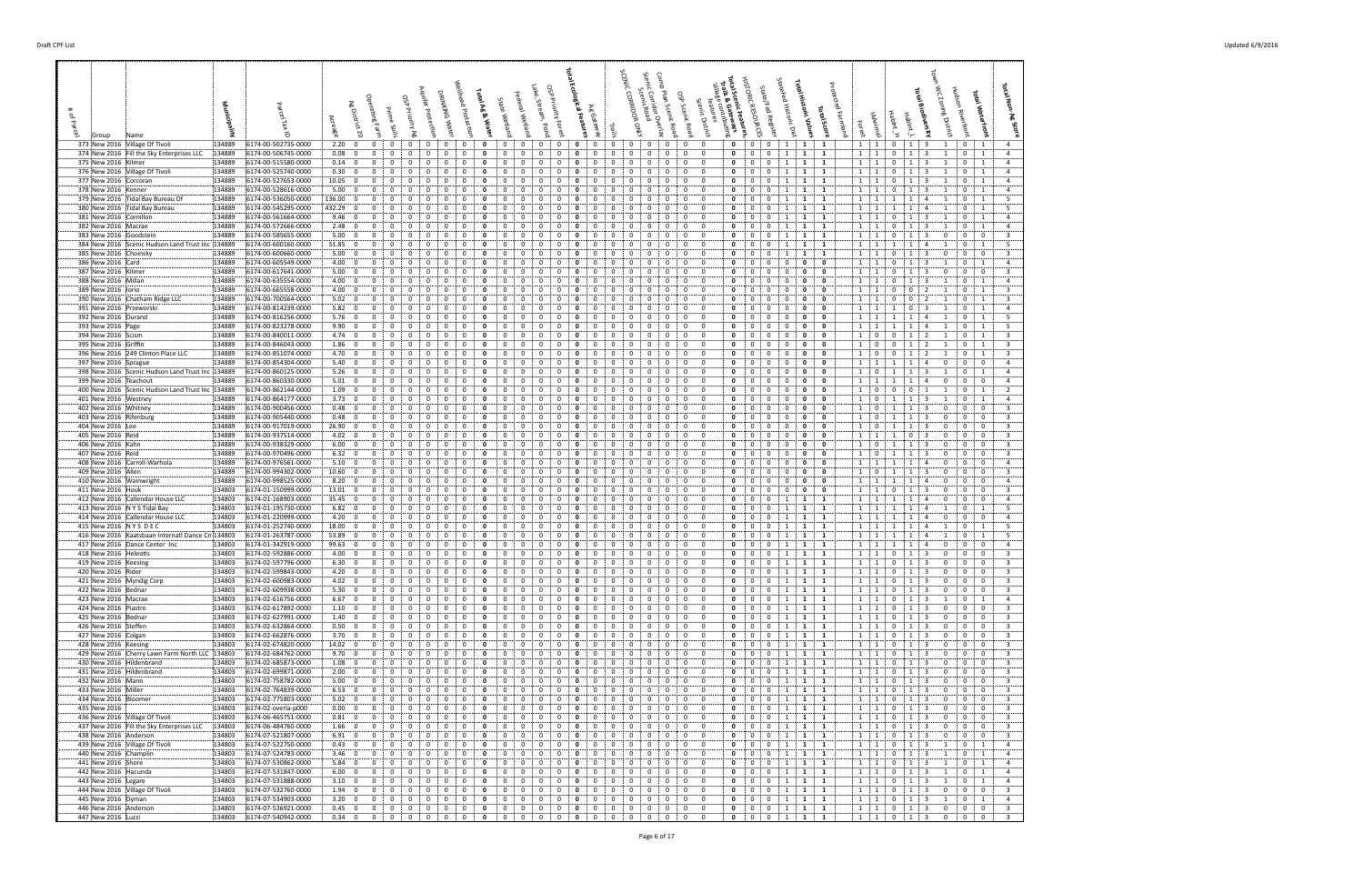| 373 New 2016 Village Of Tivoli<br>374 New 2016 Fill the Sky Enterprises LLC | 134889<br>6174-00-502735-0000<br>134889<br>6174-00-506745-0000 | $\mathbf 0$<br>2.20:0<br>$\mathbf 0$<br>$\mathbf{0}$<br>0.08:<br>0<br>0<br>$\mathbf{0}$<br>0                                      | $\overline{0}$<br>$\mathbf{0}$<br>$\mathbf{0}$<br>0<br>0<br>0<br>0<br>0                                    | $\mathbf{0}$<br>0<br>0<br>$\mathbf{0}$<br>0<br>0<br>0<br>0<br>0                                                            | $\mathbf{0}$<br>0<br>- 0<br>- 0<br>0<br>0<br>0<br>0<br>0<br>$\mathbf{0}$                                                                            | $\mathbf{0}$<br>$\mathbf{0}$<br>$\mathbf{0}$<br>$\begin{array}{cc} 1 & 1 \end{array}$<br>$\mathbf{1}$<br>$\mathbf{1}$<br>0<br>$\mathbf{0}$<br>1<br>1<br>1<br>0                                          | $1 \quad 1$<br>$\mathbf{0}$<br>$1 \t3$<br>0 <sup>1</sup><br>$1 \quad 1$<br>0<br>$\mathbf{0}$<br>1<br>3<br>$\mathbf{1}$                                                                                                                 |
|-----------------------------------------------------------------------------|----------------------------------------------------------------|-----------------------------------------------------------------------------------------------------------------------------------|------------------------------------------------------------------------------------------------------------|----------------------------------------------------------------------------------------------------------------------------|-----------------------------------------------------------------------------------------------------------------------------------------------------|---------------------------------------------------------------------------------------------------------------------------------------------------------------------------------------------------------|----------------------------------------------------------------------------------------------------------------------------------------------------------------------------------------------------------------------------------------|
| 375 New 2016 Kilmer                                                         | 134889<br>6174-00-515580-0000                                  | 0.14:0<br>$\mathbf{0}$<br>0                                                                                                       | 0<br>$\Omega$                                                                                              | $\Omega$                                                                                                                   | $\Omega$<br>$\mathbf 0$<br>$\mathbf 0$                                                                                                              | 0<br>$\mathbf{0}$<br>1<br>1<br>0<br>-1                                                                                                                                                                  | $1 \cdot 1$<br>$\mathbf{0}$<br>$\mathbf{0}$<br>1                                                                                                                                                                                       |
| 376 New 2016 Village Of Tivoli<br>377 New 2016 Corcoran                     | 134889<br>6174-00-525740-0000<br>6174-00-527653-0000<br>134889 | 0.30:0<br>$\mathbf 0$<br>$\Omega$<br>0<br>10.05:<br>$\mathbf{0}$<br>$\mathbf{0}$<br>0                                             | $\mathbf{0}$<br>$\mathbf 0$<br>$\Omega$<br>$\Omega$<br>$\mathbf{0}$<br>0<br>0<br>0                         | $^{\circ}$<br>$^{\circ}$<br>0<br>$\Omega$<br>0<br>0<br>$\Omega$<br>0<br>0                                                  | $\overline{0}$<br>0<br>$\mathbf 0$<br>$\Omega$<br>$\Omega$<br>$\Omega$<br>$\mathbf 0$<br>$\mathbf 0$<br>0<br>0                                      | $\Omega$<br>0<br>$\bf{0}$<br>1<br><b>1</b><br>$\mathbf{1}$<br>0<br>0<br>1<br>1<br>0<br>1                                                                                                                | 1 1<br>$\mathbf{0}$<br>0<br>$\overline{1}$<br>-1<br>3<br>-1<br>$1 \quad 1$<br>$\mathbf{0}$<br>1<br>$\Omega$<br>-1                                                                                                                      |
| 378 New 2016 Kenner                                                         | 134889<br>6174-00-528616-0000                                  | 5.00:<br>$\mathbf 0$<br>$\mathbf{0}$                                                                                              | 0                                                                                                          | 0<br>0                                                                                                                     | 0<br>$\mathbf 0$<br>0                                                                                                                               | 0<br>0<br>0<br>1<br>1<br>-1                                                                                                                                                                             | $1 \quad 1$<br>0<br>$\mathbf{0}$<br>1                                                                                                                                                                                                  |
| 379 New 2016 Tidal Bay Bureau Of<br>380 New 2016 Tidal Bay Bureau           | 134889<br>6174-00-536050-0000<br>134889<br>6174-00-545295-0000 | 136.00<br>$\mathbf 0$<br>$\mathbf 0$<br>$\Omega$<br>432.29 0<br>$\mathbf{0}$<br>0                                                 | 0<br>0<br>$\Omega$<br>$\Omega$<br>0<br>0<br>0                                                              | $\Omega$<br>$\Omega$<br>0<br>0<br>$\Omega$<br>0<br>0                                                                       | $\mathbf 0$<br>$\mathbf 0$<br>0<br>$\Omega$<br>$\Omega$<br>0<br>0<br>0<br>0                                                                         | 0<br>0<br>0<br>1<br>1<br>$\mathbf{1}$<br>0<br>0<br>0<br>1<br>1<br>1                                                                                                                                     | 1 1<br>0<br>$\mathbf{1}$<br>-1<br>1:1<br>$\mathbf{0}$<br>1<br>-1                                                                                                                                                                       |
| 381 New 2016 Cornillon                                                      | 134889<br>6174-00-561664-0000                                  | 9.46:0<br>$\mathbf 0$<br>0                                                                                                        | 0<br>0<br>0                                                                                                | 0<br>0<br>0<br>$\Omega$<br>0                                                                                               | $\mathbf 0$<br>0<br>$\mathbf 0$<br>$\mathbf{0}$<br>0                                                                                                | 0<br>$\Omega$<br>0<br>1<br>1<br>1                                                                                                                                                                       | $1 \quad 1$<br>0<br>1<br>$\mathbf{0}$<br>$\mathbf{1}$<br>3                                                                                                                                                                             |
| 382 New 2016 Macrae<br>383 New 2016 Goodstein                               | 134889<br>6174-00-572666-0000<br>134889<br>6174-00-585655-0000 | $\mathbf 0$<br>2.48:<br>$\bf{0}$<br>0<br>5.00<br>$\overline{0}$<br>$\Omega$<br>$\Omega$                                           | 0<br>$\Omega$<br>0<br>0<br>0                                                                               | $\Omega$<br>$\Omega$<br>0<br>0                                                                                             | 0<br>$\mathbf 0$<br>$\mathbf 0$<br>0<br>$\mathbf 0$<br>$^{(1)}$                                                                                     | 0<br>0<br>$\mathbf{0}$<br>1<br>1<br>-1<br>0<br>$\Omega$<br>1<br>1<br>$\Omega$<br>1                                                                                                                      | $1 \quad 1$<br>0<br>$\bf{0}$<br>-1<br>-3<br>- 1<br>$1 \quad 1$<br>$\mathbf{0}$<br>$\overline{0}$<br>$\Omega$                                                                                                                           |
| 384 New 2016 Scenic Hudson Land Trust Inc 134889                            | 6174-00-600160-0000                                            | 51.85<br>0<br>$\mathbf{0}$                                                                                                        | 0<br>$\Omega$                                                                                              | $\Omega$<br>0<br>0                                                                                                         | $\mathbf 0$<br>$\mathbf 0$<br>0                                                                                                                     | 0<br>0<br>0<br>1<br>1<br>1                                                                                                                                                                              | 1<br>1<br>$\mathbf 0$<br>$\mathbf{1}$<br>-1                                                                                                                                                                                            |
| 385 New 2016 Choinsky<br>386 New 2016 Card                                  | 134889<br>6174-00-600660-0000<br>134889<br>6174-00-605549-0000 | 5.00<br>$\mathbf 0$<br>0<br>0<br>4.00:<br>$\overline{\mathbf{0}}$<br>$\mathbf{0}$<br>0                                            | 0<br>$\Omega$<br>0<br>0<br>0<br>0                                                                          | $\Omega$<br>0<br>0<br>$\Omega$                                                                                             | $\Omega$<br>$\mathbf{0}$<br>$\mathbf 0$<br>$\Omega$<br>0<br>$\mathbf 0$<br>$\mathbf 0$<br>0                                                         | $\Omega$<br>$\Omega$<br>0<br>1<br>1<br>1<br>0<br>0<br>0<br>0<br>0<br>0                                                                                                                                  | 1:1<br>0<br>$\mathbf{0}$<br>$\mathbf{0}$<br>$\mathbf{1}$<br>3<br>$\Omega$<br>$1 \quad 1$<br>$\mathbf 0$<br>$\mathbf{0}$<br>- 1                                                                                                         |
| 387 New 2016 Kilmer                                                         | 6174-00-617641-0000<br>134889                                  | 5.00:<br>$\mathbf{0}$<br>$\overline{\mathbf{0}}$<br>0                                                                             | 0<br>0<br>0<br>0<br>0                                                                                      | 0<br>0<br>0<br>0<br>0                                                                                                      | $\mathbf{0}$<br>$\mathbf 0$<br>0<br>0<br>0<br>$\mathbf{0}$                                                                                          | $\mathbf{0}$<br>0<br>$\mathbf 0$<br>0<br>0<br>0                                                                                                                                                         | $1 \quad 1$<br>$\mathbf{0}$<br>$\bf{0}$<br>$\mathbf{0}$<br>1<br>3<br>0                                                                                                                                                                 |
| 388 New 2016 Millan<br>389 New 2016 lorio                                   | 134889<br>6174-00-635554-0000<br>6174-00-665558-0000<br>134889 | 4.00:<br>$\mathbf 0$<br>$\overline{\mathbf{0}}$<br>0<br>$\Omega$<br>4.00:<br>$\overline{\mathbf{0}}$<br>$\mathbf{0}$              | 0<br>$\Omega$<br>0<br>$\Omega$<br>0<br>$\Omega$                                                            | $\Omega$<br>$\Omega$<br>$\Omega$<br>0<br>0<br>0                                                                            | $\mathbf 0$<br>$\mathbf 0$<br>$\mathbf 0$<br>$\Omega$<br>$\Omega$<br>0<br>$\mathbf 0$<br>$\mathbf 0$<br>0                                           | $\mathbf{0}$<br>$\mathbf 0$<br>0<br>0<br>0<br>$\mathbf{0}$<br>0<br>0<br>0<br>$\Omega$<br>$\Omega$<br>0                                                                                                  | $1$ :<br>$\overline{1}$<br>0<br>$\mathbf{0}$<br>1<br>-1<br>-3<br>$1 \quad 1$<br>$\mathbf{0}$<br>$\Omega$<br>$\mathbf{1}$                                                                                                               |
| 390 New 2016 Chatham Ridge LLC                                              | 134889<br>6174-00-700564-0000                                  | $\mathbf 0$<br>5.02:<br>$\overline{\mathbf{0}}$<br>$\Omega$                                                                       | 0<br>$\Omega$<br>$\Omega$<br>$\Omega$<br>0                                                                 | $\Omega$<br>$\Omega$<br>$\Omega$<br>$\Omega$<br>n                                                                          | $\mathbf 0$<br>$\mathbf 0$<br>$\Omega$<br>$\Omega$<br>$\Omega$                                                                                      | 0<br>$\Omega$<br>$\Omega$<br>0<br>$\mathbf 0$<br>$\Omega$                                                                                                                                               | $1 \quad 1$<br>$^{\circ}$<br>$\mathbf{0}$<br>$\overline{1}$<br>$\Omega$<br>$\mathcal{L}$                                                                                                                                               |
| 391 New 2016 Przeworski<br>392 New 2016 Durand                              | 134889<br>6174-00-814239-0000<br>134889<br>6174-00-816256-0000 | 5.82:<br>$\mathbf{0}$<br>$\overline{\mathbf{0}}$<br>0<br>5.76:0<br>$\mathbf{0}$<br>0                                              | 0<br>0<br>0<br>0<br>0                                                                                      | 0<br>0<br>0<br>0<br>0                                                                                                      | 0<br>0<br>0<br>0<br>0<br>0                                                                                                                          | 0<br>0<br>$\mathbf{0}$<br>0<br>0<br>0<br>$\Omega$<br>0<br>0<br>0<br>0<br>$\mathbf 0$                                                                                                                    | $1 \quad 1$<br>$\Omega$<br>0<br>- 1<br>-1<br>$1 \quad 1$<br>$\mathbf{0}$<br>-1<br>$\mathbf{1}$                                                                                                                                         |
| 393 New 2016 Page                                                           | 6174-00-823278-0000<br>134889                                  | 9.90<br>$\mathbf 0$<br>$\mathbf 0$<br>0                                                                                           | 0<br>0                                                                                                     | $\Omega$<br>$\Omega$<br>0<br>0                                                                                             | $\mathbf 0$<br>0<br>0                                                                                                                               | 0<br>0<br>0<br>0<br>0<br>0                                                                                                                                                                              | $1 \quad 1$<br>$\mathbf{0}$<br>1<br>-1<br>1                                                                                                                                                                                            |
| 394 New 2016 Scism<br>395 New 2016 Griffin                                  | 134889<br>6174-00-840011-0000<br>134889<br>6174-00-846043-0000 | 4.74:0<br>$\mathbf{0}$<br>$\Omega$<br>1.86:<br>$\ddot{\mathbf{0}}$<br>$\mathbf{0}$<br>0                                           | 0<br>0<br>0<br>$\Omega$<br>0                                                                               | $\Omega$<br>$\Omega$<br>n<br>$\Omega$<br>$\Omega$<br>0<br>$\Omega$<br>0                                                    | $\mathbf 0$<br>0<br>$\Omega$<br>$\Omega$<br>$\mathbf 0$<br>$\mathbf 0$<br>0                                                                         | 0<br>0<br>$\Omega$<br>0<br>0<br>$\Omega$<br>0<br>0<br>$\mathbf{0}$<br>0<br>0<br>0                                                                                                                       | $\overline{0}$<br>1<br>$^{\circ}$<br>$\mathbf{0}$<br>1<br>-1<br>1<br>$\overline{0}$<br>0<br>$\mathbf{0}$<br>$\mathbf{1}$<br>-1                                                                                                         |
| 396 New 2016 249 Clinton Place LLC                                          | 134889<br>6174-00-851074-0000                                  | 4.70<br>$\mathbf{0}$<br>0<br>$\mathbf{0}$                                                                                         | 0<br>0<br>0<br>0                                                                                           | $\Omega$<br>0<br>0                                                                                                         | 0<br>$\mathbf 0$<br>0<br>0                                                                                                                          | 0<br>0<br>$\mathbf{0}$<br>0<br>0<br>0                                                                                                                                                                   | $1 \t0$<br>0<br>$\mathbf{0}$<br>$\overline{1}$<br>-1<br>2                                                                                                                                                                              |
| 397 New 2016 Sprague<br>398 New 2016 Scenic Hudson Land Trust Inc 134889    | 134889<br>6174-00-854304-0000<br>6174-00-860125-0000           | 5.40:<br>$\mathbf 0$<br>$\overline{\mathbf{0}}$<br>0<br>5.26:0<br>$\mathbf{0}$<br>$\Omega$<br>0                                   | 0<br>$\Omega$<br>0<br>$\Omega$<br>$\Omega$<br>0<br>0                                                       | 0<br>$^{\circ}$<br>$\mathbf{0}$<br>$\Omega$<br>0<br>$\Omega$<br>0                                                          | 0<br>$\mathbf 0$<br>0<br>$\mathbf 0$<br>$\mathbf 0$<br>0<br>$\Omega$<br>0<br>$\Omega$                                                               | 0<br>0<br>$\Omega$<br>0<br>$\Omega$<br>0<br>$\mathbf 0$<br>0<br>0<br>$\mathbf 0$<br>0<br>0                                                                                                              | $1 \cdot 1$<br>$\mathbf{0}$<br>$\bf{0}$<br>-1<br>$1 \quad 0$<br>0<br>$\overline{1}$<br><sup>1</sup><br>1<br>3                                                                                                                          |
| 399 New 2016 Teachout                                                       | 134889<br>6174-00-860330-0000                                  | 5.01: 0<br>0<br>0<br>0                                                                                                            | 0<br>0<br>0<br>0<br>0                                                                                      | 0<br>0<br>$\mathbf{0}$<br>0<br>0                                                                                           | 0<br>0<br>$\mathbf 0$<br>$\mathbf{0}$<br>0<br>0                                                                                                     | $\Omega$<br>0<br>0<br>0<br>0<br>$\mathbf 0$                                                                                                                                                             | 1:1<br>1<br>1<br>$\bf{0}$<br>$\mathbf 0$<br>$\overline{a}$<br>0                                                                                                                                                                        |
| 400 New 2016 Scenic Hudson Land Trust Inc 134889<br>401 New 2016 Westney    | 6174-00-862144-0000<br>134889<br>6174-00-864177-0000           | 1.09:0<br>$\mathbf 0$<br>0<br>3.73:0<br>$\mathbf{0}$<br>$\Omega$<br>$\Omega$                                                      | 0<br>$\Omega$<br>$\Omega$<br>0<br>$\Omega$<br>$\mathbf 0$<br>$\mathbf{0}$<br>$\Omega$                      | $\Omega$<br>$^{\circ}$<br>$\Omega$<br>$\Omega$<br>0<br>0                                                                   | $\Omega$<br>$\mathbf 0$<br>$\mathbf 0$<br>0<br>$\mathbf 0$<br>$\overline{0}$<br>$\mathbf 0$<br>$\Omega$<br>$\Omega$<br>$\Omega$                     | 0<br>0<br>0<br>0<br>0<br>$\mathbf{0}$<br>$\mathbf 0$<br>$\mathbf 0$<br>$\Omega$<br>$\Omega$<br>0<br>$\mathbf 0$                                                                                         | $\overline{0}$<br>1<br>0<br>$\mathbf{0}$<br>$\overline{1}$<br>$1 \cdot 0$<br>1<br>$\mathbf{0}$<br>$\overline{1}$<br>$\overline{1}$<br>-3<br>-1                                                                                         |
| 402 New 2016 Whitney                                                        | 134889<br>6174-00-900456-0000                                  | 0.48:<br>$\mathbf 0$<br>$\mathbf{0}$<br>0                                                                                         | 0<br>0<br>0                                                                                                | $\Omega$<br>0<br>0<br>0                                                                                                    | $\mathbf 0$<br>0<br>0                                                                                                                               | 0<br>0<br>$\mathbf{0}$<br>$\Omega$<br>0<br>0                                                                                                                                                            | $\mathbf 0$<br>1<br>$\overline{\mathbf{0}}$<br>$\Omega$<br>-1                                                                                                                                                                          |
| 403 New 2016 Rifenburg<br>404 New 2016 Lee                                  | 134889<br>6174-00-905440-0000<br>134889<br>6174-00-917019-0000 | 0.48:<br>$\overline{\mathbf{0}}$<br>$\mathbf{0}$<br>26.90:0<br>$\mathbf 0$<br>$\Omega$<br>$\Omega$                                | $\Omega$<br>$\Omega$<br>$\mathbf{0}$<br>$\Omega$<br>$\Omega$<br>0                                          | 0<br>0<br>$\Omega$<br>$\Omega$<br>0<br>0<br>$\Omega$<br>$\Omega$                                                           | 0<br>$\mathbf 0$<br>0<br>$\mathbf 0$<br>$\mathbf 0$<br>0<br>$\Omega$<br>-0                                                                          | 0<br>0<br>0<br>$\mathbf{0}$<br>0<br>0<br>$\mathbf 0$<br>$\mathbf 0$<br>$\mathbf 0$<br>0<br>0<br>$\mathbf{0}$                                                                                            | $1 \cdot$<br>$\Omega$<br>$\mathbf 0$<br>$\mathbf{0}$<br>$\mathbf{0}$<br>$\overline{0}$<br>$1 \quad 0$<br>1<br>-3<br>$\Omega$<br>-1                                                                                                     |
| 405 New 2016 Reid                                                           | 134889<br>6174-00-937514-0000                                  | 4.02:0<br>$\mathbf{0}$<br>0<br>0                                                                                                  | 0<br>0                                                                                                     | $\Omega$<br>0<br>0<br>0                                                                                                    | 0<br>0<br>0                                                                                                                                         | 0<br>0<br>0<br>0<br>0<br>0                                                                                                                                                                              | $\mathbf{0}$<br>1 1<br>$\overline{1}$<br>$\mathbf{0}$<br>-3                                                                                                                                                                            |
| 406 New 2016 Kahn<br>407 New 2016 Reid                                      | 134889<br>6174-00-938329-0000<br>134889<br>6174-00-970496-0000 | 6.00; 0<br>$\mathbf 0$<br>0<br>$\mathbf 0$<br>6.32:0<br>0                                                                         | 0<br>0<br>0<br>$\Omega$<br>$\Omega$<br>0<br>0                                                              | $\Omega$<br>0<br>0<br>0<br>$\Omega$<br>$\Omega$<br>$\Omega$<br>0<br>$\Omega$                                               | $\mathbf 0$<br>0<br>$\mathbf 0$<br>$\mathbf{0}$<br>0<br>0<br>$\mathbf 0$<br>$\mathbf 0$<br>0                                                        | 0<br>$\Omega$<br>0<br>0<br>0<br>$\mathbf{0}$<br>$\mathbf 0$<br>0<br>0<br>0<br>0<br>0                                                                                                                    | $1$ :<br>$\overline{0}$<br>1<br>1<br>$\mathbf{0}$<br>$\mathbf 0$<br>3<br>$1 \quad 0$<br>1<br>$\bf{0}$<br>$\mathbf 0$<br>-1<br>-3<br>$\Omega$                                                                                           |
| 408 New 2016 Carroll-Warhola                                                | 134889<br>6174-00-976561-0000                                  | 5.10; 0<br>$\mathbf{0}$<br>0                                                                                                      | $\Omega$<br>$\Omega$                                                                                       | $\Omega$<br>0                                                                                                              | $\Omega$<br>$\mathbf 0$<br>0<br>$\mathbf 0$                                                                                                         | 0<br>$\Omega$<br>0<br>$\Omega$<br>$\mathbf{0}$<br>$\Omega$<br>0                                                                                                                                         | 1<br>$\mathbf{0}$<br>$\mathbf{0}$<br>1<br>$\overline{1}$<br>$\overline{a}$<br>$\Omega$<br>-1                                                                                                                                           |
| 409 New 2016 Allen<br>410 New 2016 Wainwright                               | 134889<br>6174-00-994302-0000<br>134889<br>6174-00-998525-0000 | 10.60<br>$\mathbf{0}$<br>$\mathbf{0}$<br>0<br>8.20<br>$\mathbf 0$<br>0<br>0<br>$\Omega$                                           | 0<br>0<br>$\Omega$<br>0<br>0<br>$\Omega$<br>0<br>0                                                         | 0<br>$\Omega$<br>$\Omega$<br>0<br>0<br>$\Omega$<br>0<br>$\Omega$<br>0                                                      | $\mathbf 0$<br>0<br>0<br>0<br>$\Omega$<br>$\mathbf{0}$<br>$\mathbf 0$<br>$\Omega$<br>0                                                              | $\mathbf 0$<br>0<br>0<br>0<br>0<br>$\mathbf{0}$<br>0<br>0<br>0<br>0<br>$\mathbf 0$                                                                                                                      | $\overline{0}$<br>$\overline{0}$<br>1<br>$\mathbf{0}$<br>- 1<br>-1<br>3<br>$\Omega$<br>$1 \cdot 1$<br>$\mathbf{1}$<br>$\mathbf{0}$<br>$\mathbf 0$<br>1<br>$\overline{a}$<br>0                                                          |
| 411 New 2016 Houk<br>412 New 2016 Callendar House LLC                       | 134803<br>6174-01-150999-0000<br>6174-01-168903-0000<br>134803 | 13.01:0<br>$\mathbf 0$<br>0<br>35.45:0<br>$\mathbf{0}$<br>0<br>0                                                                  | 0<br>0<br>$\Omega$<br>$\mathbf{0}$<br>$\mathbf{0}$<br>$\mathbf{0}$<br>0<br>0                               | $\Omega$<br>0<br>$\mathbf{0}$<br>$\mathbf{0}$<br>0<br>0<br>0                                                               | 0<br>$\mathbf 0$<br>$\mathbf 0$<br>0<br>$\mathbf{0}$<br>$\mathbf 0$<br>0<br>0<br>0<br>$\mathbf{0}$                                                  | 0<br>0<br>0<br>0<br>$\mathbf{0}$<br>0<br>0<br>$\bf{0}$<br>1<br>1<br>1<br>0                                                                                                                              | 1:<br>1<br>0<br>$\mathbf{0}$<br>$\mathbf 0$<br>-1<br>3<br>$1 \quad 1$<br>1<br>1<br>$\overline{4}$<br>0<br>$\overline{\mathbf{0}}$<br>$\mathbf{0}$                                                                                      |
| 413 New 2016 N Y S Tidal Bay                                                | 134803<br>6174-01-195730-0000                                  | 6.82:<br>$\mathbf 0$<br>$\overline{\mathbf{0}}$<br>0                                                                              | 0<br>$\Omega$<br>0<br>$\Omega$<br>0                                                                        | $\Omega$<br>$\Omega$<br>0<br>$\Omega$<br>0                                                                                 | 0<br>$\mathbf 0$<br>$\Omega$<br>0<br>0                                                                                                              | $\mathbf{0}$<br>0<br>0<br>1<br>1<br>1                                                                                                                                                                   | $1 \quad 1$<br>1<br>$\mathbf{0}$<br>1<br>-1                                                                                                                                                                                            |
| 414 New 2016 Callendar House LLC<br>415 New 2016 NYS DEC                    | 6174-01-220999-0000<br>134803<br>6174-01-252740-0000<br>134803 | 4.20:0<br>$\mathbf{0}$<br>0<br>18.00<br>$\mathbf 0$<br>$\mathbf 0$<br>$\Omega$                                                    | 0<br>$\Omega$<br>$\Omega$<br>$\Omega$<br>$\mathbf{0}$<br>$\Omega$<br>$\Omega$<br>0                         | $\Omega$<br>0<br>0<br>$\Omega$<br>$\Omega$<br>0<br>0<br>$\Omega$<br>0<br>$\Omega$                                          | 0<br>$\mathbf 0$<br>0<br>$\mathbf 0$<br>$\mathbf 0$<br>$\Omega$<br>$\Omega$<br>-0                                                                   | 0<br>0<br>$\Omega$<br>-1<br>1<br>$\Omega$<br>0<br>1<br>1<br>1<br>$\Omega$                                                                                                                               | $1 \quad 1$<br>$\Omega$<br>$\mathbf 0$<br>$1 \quad 1$<br>$\mathbf{0}$<br>$\mathbf{1}$<br>1<br>-1<br>$\mathbf{A}$                                                                                                                       |
| 416 New 2016 Kaatsbaan Internati Dance Cn 134803                            | 6174-01-263787-0000                                            | 53.89<br>$\mathbf{0}$<br>$\mathbf{0}$<br>0                                                                                        | 0<br>0<br>0                                                                                                | $\Omega$<br>$\Omega$<br>0<br>0                                                                                             | 0<br>0<br>0                                                                                                                                         | 0<br>0<br>0<br>1<br>1<br>1                                                                                                                                                                              | $1 \quad 1$<br>$\Omega$<br>$\overline{1}$<br>-1                                                                                                                                                                                        |
| 417 New 2016 Dance Center Inc<br>418 New 2016 Heleotis                      | 134803<br>6174-01-342919-0000<br>6174-02-592886-0000<br>134803 | 99.63<br>$\mathbf{0}$<br>$\overline{\mathbf{0}}$<br>0<br>0<br>$\mathbf 0$<br>4.00:<br>$\mathbf 0$<br>$\mathbf{0}$<br>$\mathbf 0$  | $\mathbf{0}$<br>0<br>$\Omega$<br>$\Omega$<br>$\mathbf{0}$<br>0<br>0<br>$\Omega$<br>0                       | 0<br>0<br>$\Omega$<br>0<br>$\mathbf 0$<br>$\mathbf 0$<br>$\mathbf 0$<br>0<br>$\mathbf{0}$<br>0                             | $\mathbf{0}$<br>$\bf{0}$<br>$\Omega$<br>0<br>0<br>$\mathbf{0}$<br>$\mathbf 0$<br>$\mathbf 0$<br>$\overline{0}$<br>$\mathbf{0}$<br>0<br>$\mathbf{0}$ | $\Omega$<br>0<br>0<br>1<br>1<br>1<br>0<br>0<br>$\mathbf{0}$<br>1<br>1<br>1                                                                                                                              | 1 1<br>$\mathbf{0}$<br>$\bf{0}$<br>1<br>1<br>$\Omega$<br>$1 \quad 1$<br>$\mathbf{0}$<br>$\mathbf 0$<br>$\mathbf 0$<br>1<br>3<br>0                                                                                                      |
| 419 New 2016 Keesing                                                        | 134803<br>6174-02-597796-0000                                  | $\mathbf 0$<br>$\mathbf{0}$<br>6.30:0<br>$\mathbf{0}$                                                                             | $\mathbf{0}$<br>$^{\circ}$<br>$^{\circ}$<br>$\mathbf 0$<br>$\mathbf{0}$                                    | $\mathbf{0}$<br>$\mathbf 0$<br>$\overline{0}$<br>0<br>$\mathbf 0$                                                          | $\mathbf{0}$<br>$^{\circ}$<br>$\mathbf 0$<br>$\mathbf{0}$<br>$\mathbf{0}$<br>$\mathbf 0$                                                            | $\overline{0}$<br>$\mathbf 0$<br>$\mathbf 0$<br>1<br>1<br>1                                                                                                                                             | $1 \quad 1$<br>$1 \quad 3$<br>$\mathbf{0}$<br>$\mathbf{0}$<br>0<br>$\mathbf{0}$                                                                                                                                                        |
| 420 New 2016 Rider<br>421 New 2016 Myndig Corp                              | 134803<br>6174-02-599843-0000<br>6174-02-600983-0000<br>134803 | 4.20<br>$\overline{0}$<br>$\mathbf 0$<br>0<br>4.02:<br>$\mathbf 0$<br>$\overline{\mathbf{0}}$<br>$\Omega$<br>$\mathbf 0$          | 0<br>0<br>$\mathbf 0$<br>$\Omega$<br>$\Omega$<br>$\mathbf 0$<br>0                                          | 0<br>0<br>0<br>$\Omega$<br>0<br>0<br>0                                                                                     | $\mathbf 0$<br>$\mathbf 0$<br>0<br>$^{\circ}$<br>$\overline{0}$<br>$\Omega$<br>$\mathbf{0}$<br>$\overline{0}$<br>$\Omega$                           | 0<br>$\overline{0}$<br>$\mathbf 0$<br>1<br>1<br>$\mathbf 0$<br>0<br>0<br>1<br>1<br>$\mathbf{1}$                                                                                                         | $\Omega$<br>: 1<br>$\Omega$<br>$1 \quad 1$<br>$\mathbf{0}$<br>$\overline{\mathbf{3}}$<br>$\mathbf 0$<br>$\mathbf{0}$<br>$\bf{0}$<br>-1                                                                                                 |
| 422 New 2016 Bednar                                                         | 134803<br>6174-02-609938-0000                                  | 5.30; 0<br>$\Omega$<br>$\Omega$                                                                                                   | $\mathbf 0$<br>$\Omega$<br>0<br>0<br>$\Omega$                                                              | $\Omega$<br>$\Omega$<br>0<br>$\Omega$                                                                                      | $\mathbf 0$<br>$\mathbf 0$<br>0<br>0<br>$\Omega$                                                                                                    | $\mathbf{0}$<br>$\mathbf 0$<br>1<br>1<br>0<br>$\mathbf{1}$                                                                                                                                              | $1 \quad 1$<br>0<br>0<br>$\overline{\mathbf{0}}$<br>3<br>$\Omega$                                                                                                                                                                      |
| 423 New 2016 Macrae<br>424 New 2016 Piastro                                 | 134803<br>6174-02-616756-0000<br>6174-02-617892-0000<br>134803 | 6.67:0<br>$\mathbf 0$<br>0<br>$\mathbf{0}$<br>1.10; 0<br>$\mathbf 0$<br>$\mathbf 0$<br>$\mathbf{0}$                               | $\mathbf{0}$<br>$\mathbf 0$<br>$\mathbf{0}$<br>$\mathbf{0}$<br>$\Omega$<br>0<br>0<br>$\mathbf 0$<br>0<br>0 | 0<br>0<br>0<br>0<br>0<br>$\mathbf 0$<br>0<br>0<br>0<br>0                                                                   | $\overline{0}$<br>$\mathbf 0$<br>$\overline{0}$<br>$\mathbf 0$<br>$\bf{0}$<br>$\mathbf{0}$<br>0<br>$\mathbf{0}$<br>0<br>$\mathbf{0}$<br>0<br>0      | $\mathbf 0$<br>$\overline{0}$<br>$\mathbf{0}$<br>$\begin{array}{cc} 1 & 1 \end{array}$<br>$\mathbf{1}$<br><b>1</b><br>0<br>$\mathbf{0}$<br>$\mathbf{0}$<br>$\mathbf{1}$<br>$\mathbf{1}$<br>$\mathbf{1}$ | $1 \quad 1$<br>$\mathbf{0}$<br>$\begin{array}{cc} 1 \end{array}$<br>$0 \quad$<br>$\mathbf{1}$<br>$\overline{\mathbf{3}}$<br>$1 \quad 1$<br>$\mathbf{0}$<br>1<br>$\overline{\mathbf{3}}$<br>$\mathbf{0}$<br>$\mathbf{0}$<br>$\mathbf 0$ |
| 425 New 2016 Bednar                                                         | 134803<br>6174-02-627991-0000                                  | 1.40:0<br>$\mathbf 0$<br>$\Omega$<br>0                                                                                            | $\mathbf 0$<br>0<br>$\Omega$                                                                               | $\Omega$<br>$\Omega$<br>$\Omega$<br>0<br>$\Omega$                                                                          | $\mathbf 0$<br>$\mathbf 0$<br>$\mathbf 0$<br>$\Omega$<br>$\Omega$<br>$\Omega$                                                                       | 0<br>1<br>$\mathbf{0}$<br>$\mathbf 0$<br>1<br>1                                                                                                                                                         | $1 \cdot 1$<br>0<br>$\mathbf{1}$<br>3<br>$\mathbf{0}$<br>$\bf{0}$                                                                                                                                                                      |
| 426 New 2016 Steffen<br>427 New 2016 Colgan                                 | 6174-02-632864-0000<br>134803<br>134803<br>6174-02-662876-0000 | 0.50:0<br>$\mathbf 0$<br>0<br>$\Omega$<br>3.70:0<br>$\mathbf 0$<br>0                                                              | 0<br>$\Omega$<br>$\mathbf 0$<br>$\mathbf 0$<br>$\Omega$<br>0<br>0<br>$\Omega$<br>0                         | $^{\circ}$<br>$\Omega$<br>0<br>0<br>0<br>0<br>$\Omega$<br>0<br>0<br>0                                                      | 0<br>$\mathbf{0}$<br>0<br>$\Omega$<br>$\Omega$<br>$\Omega$<br>0<br>$\mathbf 0$<br>$\Omega$<br>0<br>0                                                | $\vert 1 \vert$<br>$\mathbf{1}$<br>$\mathbf 0$<br>0<br>$\mathbf 0$<br>$\overline{1}$<br>0<br>$\mathbf{1}$<br>$\mathbf{1}$<br>0<br>$\mathbf{0}$<br>1                                                     | $1 \quad 1$<br>$\mathbf{0}$<br>3<br>$^{\circ}$<br>$0$ :<br>$\overline{\mathbf{0}}$<br>$\mathbf{1}$<br>$\mathbf 0$<br>$\mathbf 0$<br>$1 \quad 1$<br>0<br>0<br>-1<br>3                                                                   |
| 428 New 2016 Keesing                                                        | 6174-02-674820-0000<br>134803                                  | 14.02:0<br>$\mathbf 0$<br>0                                                                                                       | 0<br>0<br>$\mathbf{0}$<br>0                                                                                | 0<br>0<br>0<br>0<br>0                                                                                                      | $\mathbf 0$<br>0<br>$\mathbf{0}$                                                                                                                    | 0<br>0<br>$\mathbf{0}$<br>1<br>$\mathbf{1}$<br>1                                                                                                                                                        | $1 \quad 1$<br>$\mathbf{0}$<br>$\mathbf 0$<br>$\mathbf{0}$<br>3                                                                                                                                                                        |
| 429 New 2016 Cherry Lawn Farm North LLC 134803<br>430 New 2016 Hildenbrand  | 6174-02-684762-0000<br>6174-02-685873-0000<br>134803           | $9.70\div 0$<br>$\mathbf 0$<br>$\Omega$<br>0<br>1.08; 0<br>$\mathbf 0$<br>0<br>0                                                  | $\mathbf 0$<br>$\Omega$<br>0<br>$\Omega$<br>$\Omega$<br>0<br>0<br>0<br>0                                   | $\mathbf 0$<br>$\Omega$<br>0<br>0<br>$\Omega$<br>$\Omega$<br>0<br>$\mathbf{0}$<br>0<br>0                                   | 0<br>$\mathbf{0}$<br>0<br>$\Omega$<br>$\Omega$<br>$\mathbf{0}$<br>0<br>0<br>0<br>0                                                                  | $\mathbf 0$<br>$\mathbf{1}$<br>$\mathbf{1}$<br>$\mathbf{0}$<br>$\mathbf{0}$<br>1<br>0<br>$\mathbf 0$<br>$\bf{0}$<br>1<br>$\mathbf{1}$<br>$\mathbf{1}$                                                   | $\mathbf{0}$<br>1 1<br>3<br>$\mathbf{0}$<br>$\mathbf{0}$<br>$\Omega$<br>-1<br>$1 \quad 1$<br>$\mathbf{0}$<br>$\bf{0}$<br>$\mathbf{0}$<br>1<br>3<br>0                                                                                   |
| 431 New 2016 Hildenbrand                                                    | 134803<br>6174-02-699871-0000                                  | 2.00:0<br>$\mathbf 0$<br>0                                                                                                        | $\mathbf 0$<br>$\mathbf 0$<br>0<br>0                                                                       | $\Omega$<br>$\Omega$<br>0<br>0<br>0                                                                                        | $\mathbf 0$<br>0<br>$\mathbf{0}$<br>$\Omega$<br>0                                                                                                   | 0<br>$\mathbf{0}$<br>$\mathbf{1}$<br>$\mathbf{1}$<br>$\mathbf{1}$<br>0                                                                                                                                  | $1 \quad 1$<br>$\mathbf 0$<br>$\mathbf 0$<br>0<br>1<br>3                                                                                                                                                                               |
| 432 New 2016 Mann<br>433 New 2016 Miller                                    | 6174-02-758782-0000<br>134803<br>6174-02-764839-0000<br>134803 | 5.00:<br>$\overline{0}$<br>$\mathbf 0$<br>$\Omega$<br>0<br>6.53; 0<br>$\mathbf 0$<br>$\Omega$                                     | 0<br>$\Omega$<br>0<br>0<br>0<br>$\Omega$<br>0<br>0                                                         | 0<br>$\Omega$<br>$\Omega$<br>0<br>0<br>0<br>$\Omega$<br>$\Omega$                                                           | 0<br>$\mathbf 0$<br>$\Omega$<br>0<br>$\Omega$<br>0<br>$\mathbf 0$<br>$\mathbf 0$<br>$\Omega$<br>0<br>$\Omega$                                       | 0<br>$\mathbf{0}$<br>$\mathbf{1}$<br>$\mathbf 0$<br>$\mathbf{1}$<br>1<br>$\mathbf 0$<br>0<br>$\mathbf 0$<br>1<br>1<br>1                                                                                 | $\mathbf{0}$<br>$1 \quad 1$<br>$\mathbf{0}$<br>$\mathbf 0$<br>1<br>3<br>$\Omega$<br>$1 \quad 1$<br>0<br>$\mathbf{0}$<br>$\bf{0}$<br>-1<br>-3<br>$\Omega$                                                                               |
| 434 New 2016 Bloomer                                                        | 134803<br>6174-02-775803-0000                                  | $5.02 \div 0$<br>$\mathbf 0$<br>0                                                                                                 | 0<br>0<br>$\Omega$<br>0                                                                                    | $\Omega$<br>0<br>0<br>$\Omega$                                                                                             | $\mathbf 0$<br>$\mathbf 0$<br>0                                                                                                                     | $\mathbf{1}$<br>0<br>$\mathbf{0}$<br>1<br>1<br>$\mathbf 0$                                                                                                                                              | $1 \cdot 1$<br>$\mathbf 0$<br>$\overline{0}$<br>0<br>-1<br>-3                                                                                                                                                                          |
| 435 New 2016<br>436 New 2016 Village Of Tivoli                              | 6174-02-overla-p000<br>134803<br>134803<br>6174-06-465751-0000 | 0.00<br>$\overline{0}$<br>0<br>0<br>0<br>0.81; 0<br>$\mathbf 0$<br>0                                                              | 0<br>$\Omega$<br>0<br>0<br>0<br>$\Omega$                                                                   | 0<br>0<br>0<br>$^{\circ}$<br>0<br>$\Omega$                                                                                 | 0<br>$\mathbf 0$<br>0<br>$\mathbf{0}$<br>0<br>$\mathbf 0$<br>$\mathbf 0$<br>$\mathbf 0$<br>$\Omega$<br>0<br>0                                       | 0<br>0<br>$\mathbf 0$<br>1<br>1<br>$\mathbf{1}$<br>0<br>0<br>0<br>1<br>1<br>1                                                                                                                           | $1 \cdot 1$<br>$\mathbf{0}$<br>3<br>$\mathbf 0$<br>$\bf{0}$<br>-1<br>0<br>$1 \quad 1$<br>0<br>$\mathbf{0}$<br>$\bf{0}$<br>-1                                                                                                           |
| 437 New 2016 Fill the Sky Enterprises LLC                                   | 134803<br>6174-06-484760-0000                                  | 1.66:0<br>$\mathbf 0$<br>0<br>0                                                                                                   | $\mathbf 0$<br>0<br>0<br>0<br>0                                                                            | 0<br>$^{\circ}$<br>0<br>0                                                                                                  | 0<br>$\mathbf 0$<br>0<br>0<br>$\mathbf 0$<br>0                                                                                                      | 1<br>$\mathbf{1}$<br>0<br>0<br>$\bf{0}$<br>$\mathbf{1}$                                                                                                                                                 | $1 \quad 1$<br>$\overline{0}$<br>$\mathbf{1}$<br>$\overline{\mathbf{3}}$<br>$\bf{0}$<br>$\mathbf{0}$<br>0                                                                                                                              |
| 438 New 2016 Anderson<br>439 New 2016 Village Of Tivoli                     | 134803<br>6174-07-521807-0000<br>6174-07-522750-0000<br>134803 | 6.91:0<br>$\mathbf 0$<br>0<br>0<br>0.43:0<br>$\mathbf 0$<br>0                                                                     | $\mathbf 0$<br>0<br>$\Omega$<br>0<br>$\Omega$<br>0<br>$^{\circ}$<br>$\Omega$                               | 0<br>$\mathbf 0$<br>$\Omega$<br>0<br>0<br>$\Omega$<br>0<br>0<br>0                                                          | 0<br>$\mathbf 0$<br>0<br>$\mathbf 0$<br>0<br>0<br>$\mathbf 0$<br>0<br>$\Omega$<br>$\mathbf 0$                                                       | 0<br>$\mathbf{0}$<br>1<br>1<br>$\mathbf 0$<br>$\mathbf{1}$<br>$\Omega$<br>0<br>$\mathbf{0}$<br>1<br>1<br>1                                                                                              | $1 \quad 1$<br>$\mathbf 0$<br>$\overline{0}$<br>0<br>1<br>0<br>3<br>$1 \quad 1$<br>0<br>$\mathbf 0$<br>$\overline{1}$                                                                                                                  |
| 440 New 2016 Champlin                                                       | 6174-07-524783-0000<br>134803                                  | 3.46:0<br>$\mathbf 0$<br>$\Omega$<br>0                                                                                            | $\mathbf 0$<br>0<br>$\Omega$<br>$\mathbf 0$<br>$\Omega$                                                    | $\mathbf 0$<br>$\Omega$<br>$\Omega$<br>0<br>0                                                                              | $\mathbf{0}$<br>0<br>$\mathbf{0}$<br>$\Omega$<br>$\Omega$<br>$\Omega$                                                                               | 1<br>$\mathbf{1}$<br>$\mathbf{1}$<br>$\mathbf 0$<br>$\mathbf{0}$<br>$\mathbf 0$                                                                                                                         | $1 \quad 1$<br>0<br>0<br>$\overline{1}$<br>$\mathbf{1}$<br>-3                                                                                                                                                                          |
| 441 New 2016 Shore<br>442 New 2016 Hacunda                                  | 6174-07-530862-0000<br>134803<br>6174-07-531847-0000<br>134803 | 5.84:0<br>$\mathbf 0$<br>0<br>$6.00\begin{array}{ c} 0 \end{array}$<br>$\mathbf 0$<br>$\mathbf 0$<br>0                            | 0<br>0<br>$\Omega$<br>0<br>0<br>$\mathbf{0}$<br>0<br>$\mathbf{0}$                                          | $\Omega$<br>0<br>0<br>0<br>0<br>0<br>0<br>0<br>0<br>0                                                                      | 0<br>$\mathbf 0$<br>0<br>$\mathbf{0}$<br>0<br>0<br>$\mathbf{0}$<br>0                                                                                | 0<br>$\mathbf{0}$<br>1<br><b>1</b><br>$\mathbf{1}$<br>$^{\circ}$<br>$\mathbf{0}$<br>$\mathbf{1}$<br>0<br>$\mathbf 0$<br>$\mathbf{1}$<br>$\mathbf{1}$                                                    | $1 \quad 1$<br>$\mathbf{0}$<br>$\overline{1}$<br>$\mathbf{0}$<br>-1<br>$1 \quad 1$<br>$\mathbf{0}$<br>$0 \quad 1$<br>1<br>3                                                                                                            |
| 443 New 2016 Legare<br>444 New 2016 Village Of Tivoli                       | 6174-07-531888-0000<br>134803<br>6174-07-532760-0000           | $3.10\begin{array}{ c c c } 0 \end{array}$<br>$\overline{0}$<br>$\mathbf 0$<br>0<br>1.94:0<br>$\mathbf 0$<br>$\Omega$<br>$\Omega$ | 0<br>0<br>0<br>0<br>0<br>$\Omega$<br>$\Omega$<br>$\mathbf{0}$<br>0                                         | $\mathbf 0$<br>$\mathbf 0$<br>0<br>0<br>0<br>$\Omega$<br>$\Omega$<br>0<br>$\Omega$<br>0                                    | 0<br>0<br>$\mathbf{0}$<br>$\mathbf 0$<br>$\overline{0}$<br>$\mathbf 0$<br>$\mathbf 0$<br>$\mathbf 0$<br>$\Omega$<br>0<br>0                          | 0<br>$\mathbf{0}$<br>$\overline{1}$<br>$\mathbf{0}$<br>$\mathbf{1}$<br>$\mathbf{1}$<br>$\mathbf{0}$<br>$\mathbf 0$<br>$\mathbf{1}$                                                                      | $1 \quad 1$<br>$\mathbf{0}$<br>1<br>3<br>$0$ :<br>$\mathbf{1}$<br>$1 \quad 1$<br>1<br>-3<br>$\Omega$                                                                                                                                   |
| 445 New 2016 Dyman                                                          | 134803<br>134803<br>6174-07-534903-0000                        | $3.20\begin{array}{ c c c } \hline 0 & 0 \\ \hline \end{array}$<br>$\overline{0}$<br>$\mathbf{0}$<br>$\mathbf{0}$                 | $\overline{0}$<br>$\mathbf 0$<br>$\mathbf 0$<br>$\mathbf{0}$<br>0                                          | $\mathbf 0$<br>$\mathbf 0$<br>$\mathbf 0$<br>0<br>$\mathbf{0}$                                                             | $\mathbf 0$<br>$\mathbf 0$<br>$\mathbf 0$<br>$\mathbf 0$<br>$\mathbf{0}$<br>$\mathbf{0}$                                                            | $\mathbf{0}$<br>1<br>$\mathbf{1}$<br>$\overline{0}$<br>0<br>$\overline{0}$<br>$\vert 1 \vert$<br>$\mathbf{1}$<br>$\mathbf{1}$                                                                           | $\mathbf 0$<br>0<br>$\overline{\mathbf{0}}$<br>$1 \quad 1$<br>$0 \mid 1$<br>$\mathbf{3}$<br>$0 \quad 1$<br>1                                                                                                                           |
| 446 New 2016 Anderson<br>447 New 2016 Luzzi                                 | 6174-07-536921-0000<br>134803<br>134803 6174-07-540942-0000    | 0.45:0<br>$\overline{0}$<br>$\overline{0}$<br>$\mathbf{0}$<br>$0.34$ ; 0 0 0 0 0 0 0 0 0 0 0 0 0                                  | $\overline{0}$<br>$\mathbf{0}$<br>$\mathbf 0$<br>$\overline{0}$<br>0                                       | $\mathbf 0$<br>$\mathbf{0}$<br>$\mathbf 0$<br>$\overline{\phantom{0}}$ 0<br>$\mathbf{0}$<br> 0 0 0 0 0 0 0 0 0 0 0 0 0 0 0 | $\overline{0}$<br>$\overline{0}$<br>$\overline{0}$<br>$\overline{0}$<br>$\begin{array}{cc} 0 \end{array}$<br>$\mathbf{0}$                           | $\mathbf 0$<br>$\overline{0}$<br>$\begin{array}{cc} 1 \end{array}$<br>$\vert 1 \vert$<br>$\mathbf{1}$<br>0<br>$0 \t0 \t0 \t1 \t1 \t1$                                                                   | $1 \quad 1$<br>$0 \t1 \t3$<br>0<br>0<br>$\mathbf{0}$<br>1 1 1 0 1 3 0 0 0 0                                                                                                                                                            |
|                                                                             |                                                                |                                                                                                                                   |                                                                                                            |                                                                                                                            |                                                                                                                                                     |                                                                                                                                                                                                         |                                                                                                                                                                                                                                        |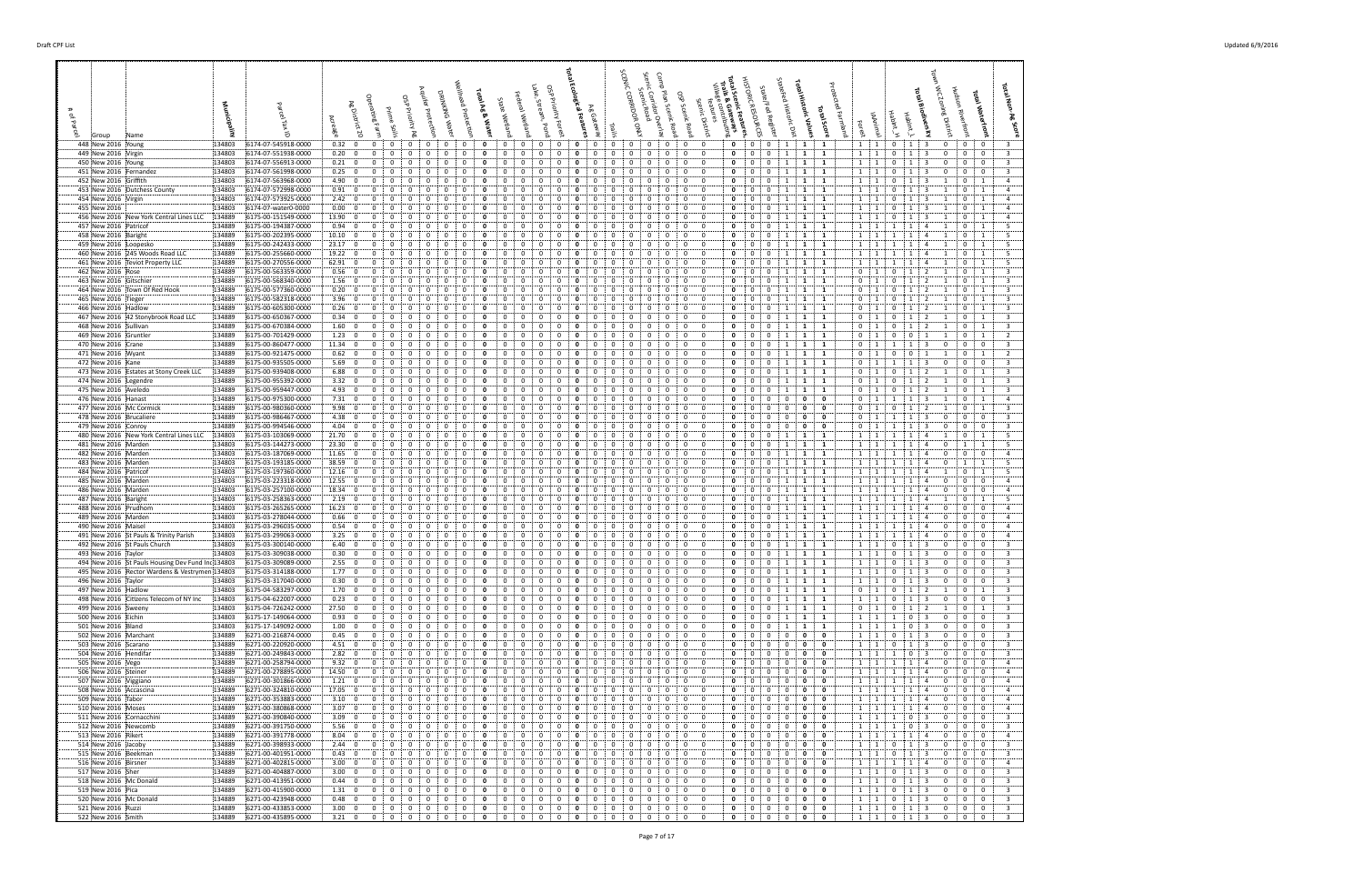| 448 New 2016 Young                                                      | 134803<br>6174-07-545918-0000                                  | 0.32; 0<br>$\mathbf{0}$                                                                 | 0<br>0<br>$\mathbf{0}$<br>0                                                                                                           | 0<br>0<br>0                                                                                | $\mathbf{0}$<br>$\mathbf{0}$<br>0<br>0<br>0                                                                                                                      | $\mathbf{0}$<br>$\mathbf{0}$<br>0<br>0                                                             | $\mathbf{0}$<br>0<br>1<br>$\mathbf{1}$<br>$\mathbf{1}$                                                       | $1 \quad 1$<br>$\mathbf{0}$<br>$\mathbf{1}$<br>$\mathbf{1}$ 3<br>0<br>0<br>$\mathbf{0}$                                                                                                 |
|-------------------------------------------------------------------------|----------------------------------------------------------------|-----------------------------------------------------------------------------------------|---------------------------------------------------------------------------------------------------------------------------------------|--------------------------------------------------------------------------------------------|------------------------------------------------------------------------------------------------------------------------------------------------------------------|----------------------------------------------------------------------------------------------------|--------------------------------------------------------------------------------------------------------------|-----------------------------------------------------------------------------------------------------------------------------------------------------------------------------------------|
| 449 New 2016 Virgin<br>450 New 2016 Young                               | 134803<br>6174-07-551938-0000<br>6174-07-556913-0000<br>134803 | 0.20<br>$\overline{\mathbf{0}}$<br>$\mathbf{0}$<br>0.21: 0<br>$\mathbf 0$               | 0<br>0<br>0<br>0<br>0<br>$\Omega$<br>$\Omega$                                                                                         | 0<br>0<br>0<br>0<br>$\Omega$<br>$\Omega$<br>$\Omega$                                       | $\mathbf{0}$<br>0<br>0<br>0<br>0<br>0<br>$\Omega$<br>$\Omega$                                                                                                    | 0<br>0<br>0<br>0<br>0<br>0<br>$\Omega$<br>0                                                        | 0<br>0<br>1<br>1<br>-1<br>$\mathbf{0}$<br>0<br>1<br>-1<br>-1                                                 | $1 \quad 1$<br>0<br>$\mathbf{0}$<br>$\overline{0}$<br>1<br>3<br>$\mathbf{0}$<br>1:1<br>$\mathbf{0}$<br>$\mathbf 0$<br>0<br>3<br>$\Omega$                                                |
| 451 New 2016 Fernandez                                                  | 134803<br>6174-07-561998-0000                                  | 0.25: 0<br>0                                                                            | $\Omega$<br>0<br>$^{\circ}$<br>$\Omega$<br>$\Omega$                                                                                   | 0<br>$^{\circ}$<br>$\mathbf{0}$<br>$\Omega$                                                | $^{\circ}$<br>0<br>$^{\circ}$<br>$^{\circ}$<br>$\Omega$<br>$\Omega$                                                                                              | 0<br>$\mathbf 0$<br>$\mathbf 0$<br>0                                                               | $\mathbf 0$<br>$\mathbf 0$<br><sup>1</sup><br>$\mathbf{1}$<br>$\mathbf{1}$                                   | $\overline{\mathbf{3}}$<br>$^{\circ}$<br>$0$ :<br>$\overline{\mathbf{0}}$<br>$1 \quad 1$<br>$\mathbf{0}$<br>1                                                                           |
| 452 New 2016 Griffith<br>453 New 2016 Dutchess County                   | 134803<br>6174-07-563968-0000<br>134803                        | 4.90:<br>$\overline{\mathbf{0}}$<br>0<br>0.91: 0<br>0                                   | 0<br>0<br>$\Omega$<br>0                                                                                                               | 0<br>-0<br>$\Omega$<br>$\Omega$<br>$\Omega$                                                | 0<br>0<br>$\Omega$<br>0<br>0<br>$\Omega$                                                                                                                         | 0<br>0<br>$\Omega$<br>0<br>$\mathbf 0$<br>0<br>$\Omega$<br>0                                       | 1<br>$\mathbf{0}$<br>0<br>-1<br>1<br>0<br>0<br>-1                                                            | $1 \quad 1$<br>0<br>1<br>0<br>-1<br>$1 \quad 1$<br>$\Omega$<br>$\Omega$<br>$\mathbf{1}$                                                                                                 |
| 454 New 2016 Virgin                                                     | 6174-07-572998-0000<br>134803<br>6174-07-573925-0000           | 2.42:0<br>$\mathbf 0$                                                                   | $\Omega$<br>$\Omega$<br>$\Omega$<br>$\Omega$<br>$\Omega$                                                                              | 0<br>$\Omega$<br>$\Omega$<br>$^{\circ}$                                                    | $\Omega$<br>0<br>$\Omega$<br>$\Omega$<br>$\Omega$<br>$\Omega$                                                                                                    | $\mathbf 0$<br>0<br>$\mathbf 0$<br>$\Omega$                                                        | $\mathbf{1}$<br>$\mathbf 0$<br>$\mathbf{0}$<br>1<br>1                                                        | $1 \quad 1$<br>0 <sup>1</sup><br>$\overline{1}$<br>$\mathbf{0}$<br>-3<br>-1                                                                                                             |
| 455 New 2016                                                            | 134803<br>6174-07-water0-0000                                  | 0.00; 0<br>$\mathbf 0$                                                                  | 0<br>0<br>0<br>0<br>$^{O}$                                                                                                            | 0<br>$\Omega$                                                                              | 0<br>0<br>0<br>0<br>0                                                                                                                                            | 0<br>0<br>0<br>0                                                                                   | $\mathbf{0}$<br>0<br>1<br>1                                                                                  | $1 \quad 1$<br>0<br>-1<br>$\mathbf{0}$<br>$\overline{1}$<br>-3                                                                                                                          |
| 456 New 2016 New York Central Lines LLC<br>457 New 2016 Patricof        | 134889<br>6175-00-151549-0000<br>134889<br>6175-00-194387-0000 | 13.90<br>$\overline{\mathbf{0}}$<br>$\mathbf 0$<br>0.94:<br>$\mathbf{0}$<br>$\mathbf 0$ | 0<br>0<br>0<br>0<br>$\Omega$<br>$\Omega$<br>0<br>$\Omega$<br>$\Omega$                                                                 | 0<br>$\Omega$<br>0<br>0<br>$\Omega$<br>0<br>$\Omega$                                       | 0<br>0<br>0<br>$\mathbf{0}$<br>0<br>$\Omega$<br>$\Omega$<br>0<br>$\Omega$<br>$\Omega$<br>0<br>$\Omega$                                                           | 0<br>0<br>$\mathbf{0}$<br>$\overline{0}$<br>0<br>$\mathbf{0}$<br>$\mathbf 0$<br>0                  | 0<br>0<br>1<br>1<br>1<br>$\mathbf 0$<br>0<br>1<br>1<br>1                                                     | $1 \quad 1$<br>$\mathbf{0}$<br>1<br>3<br>$\mathbf{0}$<br>$\overline{1}$<br>$1 \quad 1$<br>$\bf{0}$<br>1<br>1<br>-1<br>$\overline{4}$                                                    |
| 458 New 2016 Baright                                                    | 134889<br>6175-00-202395-0000                                  | 10.10; 0<br>$^{\circ}$                                                                  | $\Omega$<br>$\Omega$<br>0<br>-0<br>0                                                                                                  | $\Omega$<br>0<br>0                                                                         | $\Omega$<br>0<br>-0                                                                                                                                              | $\mathbf{0}$<br>0<br>$\Omega$<br>$\Omega$                                                          | $\mathbf{0}$<br>1<br>0<br>-1<br>-1                                                                           | $\mathbf{0}$<br>1:1<br>-1<br>$\overline{1}$                                                                                                                                             |
| 459 New 2016 Loopesko                                                   | 134889<br>6175-00-242433-0000                                  | 23.17:0<br>0                                                                            | $\Omega$<br>0<br>0<br>$\Omega$                                                                                                        | 0<br>$\Omega$<br>$\Omega$<br>$\Omega$                                                      | 0<br>0<br>0<br>$\Omega$                                                                                                                                          | $\mathbf 0$<br>$\overline{0}$<br>0<br>0                                                            | $\mathbf 0$<br>0<br>1<br>1<br>- 1                                                                            | $\mathbf{1}$<br>1<br>: 1<br>-1<br>-1<br>$\mathbf{0}$                                                                                                                                    |
| 460 New 2016 245 Woods Road LLC<br>461 New 2016 Teviot Property LLC     | 134889<br>6175-00-255660-0000<br>134889<br>6175-00-270556-0000 | 19.22: 0<br>$\mathbf 0$<br>62.91:0<br>$\Omega$                                          | 0<br>$\Omega$<br>0<br>$\Omega$<br>$\Omega$<br>0<br>0<br>0<br>$\Omega$                                                                 | 0<br>$\Omega$<br>0                                                                         | 0<br>0<br>$\Omega$<br>$\Omega$<br>$\Omega$<br>$\Omega$<br>$\Omega$                                                                                               | 0<br>0<br>0<br>$\mathbf 0$<br>0<br>$\Omega$<br>0<br>$\Omega$                                       | $\mathbf{1}$<br>0<br>0<br>1<br>1<br>$\mathbf 0$<br>0<br>1<br>1<br>1                                          | $1 \cdot 1$<br>$\mathbf{0}$<br>$\overline{1}$<br>-1<br>$\overline{1}$<br>1:1<br>$\mathbf{0}$<br>1                                                                                       |
| 462 New 2016 Rose                                                       | 134889<br>6175-00-563359-0000                                  | 0.56; 0<br>$\mathbf 0$                                                                  | 0<br>0<br>0<br>0<br>0                                                                                                                 | 0<br>$\Omega$<br>0<br>0                                                                    | $\mathbf{0}$<br>0<br>0<br>$\mathbf{0}$<br>0<br>0                                                                                                                 | $\mathbf{0}$<br>0<br>0<br>0                                                                        | $\mathbf{0}$<br>0<br>$\mathbf{1}$<br>1<br>1                                                                  | $\frac{1}{2}$<br>$\mathbf{0}$<br>$\overline{1}$<br>$\mathbf{0}$<br>0<br>1<br>$\overline{2}$                                                                                             |
| 463 New 2016 Gitschier                                                  | 134889<br>6175-00-568340-0000                                  | 1.56:0<br>$\mathbf 0$<br>$^{\circ}$                                                     | 0<br>0<br>0<br>$\Omega$<br>$\Omega$<br>$\Omega$                                                                                       | 0<br>$\Omega$<br>$\Omega$<br>$\Omega$<br>$\Omega$<br>$\Omega$<br>$\Omega$                  | 0<br>0<br>0<br>$\Omega$<br>$\Omega$<br>$\Omega$<br>0                                                                                                             | 0<br>0<br>0<br>$\Omega$<br>0<br>0<br>$\Omega$<br>$\Omega$                                          | 0<br>0<br>1<br>-1<br>-1<br>$\mathbf{0}$<br>0<br>1<br>-1                                                      | $\mathbf 0$<br>$\mathbf{1}$<br>0<br>$\Omega$<br>1<br>-1<br>$\Omega$<br>$\overline{1}$<br>$\Omega$<br>$\Omega$                                                                           |
| 464 New 2016 Town Of Red Hook<br>465 New 2016 Tieger                    | 6175-00-577360-0000<br>134889<br>134889<br>6175-00-582318-0000 | 0.20: 0<br>3.96:<br>$\overline{\mathbf{0}}$<br>$\mathbf 0$                              | $\Omega$<br>$\mathbf{0}$<br>$\Omega$<br>$\Omega$<br>$\Omega$                                                                          | $\Omega$<br>0<br>$\Omega$<br>$\Omega$                                                      | $\Omega$<br>$\Omega$<br>$\Omega$<br>0<br>0<br>- 0                                                                                                                | 0<br>$\overline{0}$<br>0<br>0                                                                      | $\mathbf{0}$<br>$\mathbf{0}$<br>1<br>-1<br>-1                                                                | - 1<br>0:1<br>$\bf{0}$<br>$\Omega$<br>1<br>-1                                                                                                                                           |
| 466 New 2016 Hadlow                                                     | 134889<br>6175-00-605300-0000                                  | 0.26:<br>0<br>$\mathbf{0}$                                                              | 0<br>0<br>0                                                                                                                           |                                                                                            | 0<br>0<br>$\Omega$                                                                                                                                               | 0<br>0<br>0<br>0                                                                                   | 0<br>1<br>0<br>-1<br>-1                                                                                      | 0<br>$\frac{1}{2}$<br>0<br>0<br>- 1                                                                                                                                                     |
| 467 New 2016 :42 Stonybrook Road LLC<br>468 New 2016 Sullivan           | 134889<br>6175-00-650367-0000<br>6175-00-670384-0000<br>134889 | $0.34 \div 0$<br>$\mathbf 0$<br>1.60:<br>$\overline{0}$<br>0                            | 0<br>0<br>$\Omega$<br>0<br>0<br>$\mathbf{0}$<br>0<br>0<br>0<br>$\Omega$                                                               | 0<br>$\Omega$<br>$\Omega$<br>0<br>0<br>$\Omega$                                            | 0<br>0<br>0<br>0<br>0<br>0<br>0<br>0<br>0                                                                                                                        | 0<br>$\overline{0}$<br>0<br>0<br>0<br>0<br>$\overline{0}$<br>0                                     | 0<br>0<br>1<br>1<br>1<br>0<br>0<br>1<br>1<br>1                                                               | $\mathbf 0$<br>$\mathbf{0}$<br>$\mathbf{1}$<br>$\ddot{1}$<br>0<br>-1<br>$0 \quad 1$<br>$\mathbf{0}$<br>$\mathbf{0}$<br>-1<br>- 1                                                        |
| 469 New 2016 Gruntler                                                   | 134889<br>6175-00-701429-0000                                  | 1.23:0<br>$\mathbf{0}$                                                                  | $\Omega$<br>$\Omega$<br>$\Omega$<br>$\Omega$<br>0                                                                                     | $\Omega$<br>0<br>$\Omega$<br>$\Omega$<br>$\Omega$                                          | 0<br>$\Omega$<br>$\Omega$<br>$\Omega$                                                                                                                            | 0<br>0<br>$\Omega$<br>$\Omega$                                                                     | $\mathbf{0}$<br>$\Omega$<br>1<br>1<br>1                                                                      | 0<br>$\cdots$<br>$\Omega$<br>$\Omega$<br>$\mathbf{0}$<br>1                                                                                                                              |
| 470 New 2016 Crane                                                      | 134889<br>6175-00-860477-0000                                  | 11.34:0<br>$\mathbf 0$                                                                  | 0<br>0<br>0<br>0<br>$\Omega$                                                                                                          | 0<br>$\Omega$<br>$\Omega$<br>$\Omega$                                                      | 0<br>0<br>0<br>$\Omega$<br>$\mathbf 0$<br>0                                                                                                                      | 0<br>0<br>0<br>$\overline{0}$                                                                      | 0<br>0<br>$\mathbf{1}$<br>$\mathbf{1}$<br>1                                                                  | $\mathbf 0$<br>$\overline{0}$<br>$\overline{1}$<br>1<br>1<br>3<br>$\mathbf{0}$<br>$\Omega$                                                                                              |
| 471 New 2016 Wyant<br>472 New 2016 Kane                                 | 6175-00-921475-0000<br>134889<br>134889<br>6175-00-935505-0000 | 0.62<br>$\overline{\mathbf{0}}$<br>$\mathbf 0$<br>5.69; 0<br>$^{\circ}$                 | $\mathbf{0}$<br>0<br>$\Omega$<br>$\Omega$<br>$\Omega$<br>$\Omega$<br>0                                                                | 0<br>$\Omega$<br>0<br>0<br>o<br>0                                                          | 0<br>0<br>0<br>0<br>0<br>0<br>$\Omega$<br>$^{\circ}$                                                                                                             | 0<br>$^{\circ}$<br>0<br>0<br>$\mathbf{0}$<br>0<br>$\Omega$<br>- 0                                  | $\mathbf 0$<br>0<br>1<br>1<br>1<br>$\mathbf 0$<br>1<br>$\Omega$<br>$\mathbf{1}$<br>-1                        | 0<br>$\mathbf{0}$<br>$\mathbf{0}$<br>$\pm 1$<br>0<br>1<br>$\mathbf{0}$<br>$\pm$ 1<br>$\mathbf{0}$<br>$\bf{0}$<br>$\mathbf{1}$<br>-1                                                     |
| 473 New 2016 Estates at Stony Creek LLC                                 | 134889<br>6175-00-939408-0000                                  | 6.88:<br>$\overline{\mathbf{0}}$<br>$\mathbf 0$                                         | 0<br>$\mathbf{0}$<br>$\mathbf{0}$<br>- 0<br>0                                                                                         | 0<br>$\Omega$<br>0<br>0                                                                    | $\mathbf 0$<br>0<br>0<br>$\mathbf{0}$<br>0<br>0                                                                                                                  | $\mathbf{0}$<br>0<br>0<br>$\mathbf{0}$                                                             | $\mathbf 0$<br>0<br>1<br>1<br>1                                                                              | 0:1<br>1<br>$0 \quad$<br>$\overline{1}$<br>$\mathbf{0}$<br>2                                                                                                                            |
| 474 New 2016 Legendre                                                   | 134889<br>6175-00-955392-0000                                  | 3.32; 0<br>$\mathbf{0}$                                                                 | 0<br>0<br>0<br>$\Omega$<br>0                                                                                                          | 0<br>$\Omega$<br>0<br>0                                                                    | 0<br>0<br>$\overline{0}$<br>0<br>$\Omega$<br>0                                                                                                                   | 0<br>0<br>$\overline{0}$<br>0                                                                      | 0<br>0<br>1<br>1<br>-1                                                                                       | $\mathbf 0$<br><sup>1</sup><br>$\mathbf{0}$<br>$\bf{0}$<br>$\mathbf{1}$<br>-1<br>2                                                                                                      |
| 475 New 2016 Aveledo<br>476 New 2016 Hanast                             | 134889<br>6175-00-959447-0000<br>134889<br>6175-00-975300-0000 | 4.93:0<br>$\mathbf 0$<br>7.31:0<br>$\mathbf 0$                                          | $\Omega$<br>$\Omega$<br>$\Omega$<br>$\Omega$<br>$\Omega$<br>$\mathbf{0}$<br>$\Omega$<br>$^{\circ}$<br>$\Omega$                        | $\Omega$<br>$\Omega$<br>$\Omega$<br>$\Omega$<br>0<br>$\Omega$<br>$\Omega$<br>$\Omega$      | $\Omega$<br>$\Omega$<br>$\Omega$<br>$\Omega$<br>0<br>$\Omega$<br>$\Omega$<br>$\Omega$<br>$\Omega$                                                                | 0<br>$\mathbf{0}$<br>$\Omega$<br>$\Omega$<br>$\mathbf{0}$<br>0<br>$\mathbf 0$<br>0                 | $\mathbf 0$<br>$\Omega$<br>1<br>-1<br>-1<br>$\mathbf 0$<br>0<br>$\mathbf 0$<br>$\mathbf{0}$<br>0             | 0<br>$\mathbf{0}$<br>$\mathbf{0}$<br>$\cdots$ 1<br>-1<br>1<br>$0 \quad 1$<br>0<br>$\overline{1}$<br>$\mathbf{1}$<br>-3<br>-1                                                            |
| 477 New 2016 Mc Cormick                                                 | 134889<br>6175-00-980360-0000                                  | 9.98:<br>$\mathbf 0$<br>$\overline{\mathbf{0}}$                                         | $\Omega$<br>0<br>$\Omega$<br>$\Omega$                                                                                                 | 0<br>-0<br>$\Omega$                                                                        | 0<br>$\Omega$<br>$\Omega$<br>$\Omega$                                                                                                                            | 0<br>$\Omega$<br>0<br>$\Omega$                                                                     | $\mathbf 0$<br>0<br>0<br>0<br>0                                                                              | $\Omega$<br>$\Omega$<br>1<br>$\overline{1}$<br>$\Omega$                                                                                                                                 |
| 478 New 2016 Brucaliere                                                 | 134889<br>6175-00-986467-0000                                  | 4.38:0<br>$\mathbf 0$                                                                   | 0<br>0<br>$\Omega$<br>$\Omega$<br>$\Omega$<br>$\Omega$                                                                                | $\Omega$<br>$\Omega$<br>$\Omega$                                                           | 0<br>0<br>$\Omega$<br>$\Omega$<br>$\Omega$<br>$\Omega$                                                                                                           | 0<br>0<br>$\Omega$<br>$\Omega$<br>$\mathbf 0$                                                      | 0<br>0<br>0<br>0<br>0<br>$\mathbf 0$                                                                         | 0<br>$\mathbf{0}$<br>$\mathbf 0$<br>1<br>-1<br>$\Omega$<br>-3                                                                                                                           |
| 479 New 2016 Conroy<br>480 New 2016 New York Central Lines LLC          | 134889<br>6175-00-994546-0000<br>134803<br>6175-03-103069-0000 | 4.04:0<br>$\mathbf 0$<br>21.70:0<br>$\mathbf 0$                                         | $\Omega$<br>0<br>0                                                                                                                    | 0<br>0<br>$\Omega$<br>0                                                                    | 0<br>0<br>-0<br>0<br>0<br>0<br>0                                                                                                                                 | $\mathbf 0$<br>0<br>$\Omega$<br>0<br>0<br>0<br>0                                                   | $\mathbf 0$<br>0<br>0<br>0<br>0<br>0<br>1<br>-1<br>1                                                         | $\mathbf{0}$<br>$\overline{0}$<br>$0 \quad 1$<br>-1<br>$1 \quad 1$<br>-1<br>-1<br>$\mathbf{0}$<br>1                                                                                     |
| 481 New 2016 Marden                                                     | 134803<br>6175-03-144273-0000                                  | 23.30<br>$\overline{0}$<br>$\mathbf 0$                                                  | 0<br>0<br>$\overline{0}$<br>0<br>0                                                                                                    | $\Omega$<br>0<br>0                                                                         | 0<br>0<br>0<br>$\mathbf 0$<br>0<br>0                                                                                                                             | 0<br>0<br>$\mathbf{0}$<br>$\overline{0}$                                                           | 0<br>1<br>0<br>1<br>-1                                                                                       | $1 \quad 1$<br>1<br>1<br>1<br>$\mathbf{1}$<br>$\Omega$                                                                                                                                  |
| 482 New 2016 Marden<br>483 New 2016 Marden                              | 6175-03-187069-0000<br>134803<br>134803<br>6175-03-193185-0000 | $\mathbf 0$<br>11.65<br>$\overline{\mathbf{0}}$<br>38.59 0<br>$\Omega$                  | $\mathbf{0}$<br>$\Omega$<br>0<br>$\Omega$<br>$\Omega$<br>$\Omega$<br>0<br>0<br>0<br>0                                                 | 0<br>$\Omega$<br>0<br>$\Omega$<br>0<br>$\Omega$<br>$\Omega$<br>0                           | 0<br>0<br>$\Omega$<br>$\Omega$<br>$\Omega$<br>0<br>$\Omega$<br>0<br>0                                                                                            | 0<br>0<br>$\Omega$<br>0<br>$\mathbf{0}$<br>0<br>$\Omega$<br>- 0                                    | $\mathbf 0$<br>0<br>1<br>1<br>1<br>$\mathbf{0}$<br>$\Omega$<br>1<br>$\mathbf{1}$<br>1                        | $1 \quad 1$<br>$\mathbf 0$<br>$\mathbf 0$<br>1<br>-1<br>$\overline{a}$<br>0<br>$1 \cdot 1$<br>-1<br>-1<br>$\Omega$<br>1<br>$\overline{1}$<br>$\mathbf{A}$                               |
| 484 New 2016 Patricof                                                   | 134803<br>6175-03-197360-0000                                  | 12.16<br>$\overline{\mathbf{0}}$<br>0                                                   | 0<br>0<br>0<br>$\Omega$                                                                                                               | 0<br>$\Omega$<br>$\Omega$<br>$\Omega$                                                      | 0<br>0<br>0<br>$\Omega$<br>$\Omega$                                                                                                                              | $\mathbf 0$<br>$\mathbf 0$<br>0<br>0                                                               | $\mathbf 0$<br>1<br>0<br>1<br>-1                                                                             | $\frac{1}{2}$<br>$\mathbf{0}$<br>$\overline{1}$<br>1<br>-1<br>-1                                                                                                                        |
| 485 New 2016 Marden                                                     | 134803<br>6175-03-223318-0000                                  | 12.55:0<br>$\mathbf 0$                                                                  | 0<br>0<br>0<br>$\Omega$<br>$\Omega$                                                                                                   | 0<br>$\Omega$<br>0<br>$\Omega$                                                             | 0<br>0<br>0<br>$\Omega$<br>$\Omega$<br>$\Omega$                                                                                                                  | 0<br>$\mathbf{0}$<br>0<br>$\overline{0}$                                                           | $\mathbf{1}$<br>$\mathbf{0}$<br>0<br>1<br>1                                                                  | $1 \quad 1$<br>1<br>1<br>$^{\circ}$<br>$\mathbf{0}$<br>$\mathbf 0$<br>$\overline{a}$                                                                                                    |
| 486 New 2016 Marden<br>487 New 2016 Baright                             | 134803<br>6175-03-257100-0000<br>6175-03-258363-0000<br>134803 | 18.34:0<br>$\mathbf 0$<br>2.19:0<br>$\mathbf 0$                                         | $\Omega$<br>0<br>0<br>0<br>0<br>0<br>$\mathbf{0}$<br>- 0<br>$\mathbf{0}$                                                              | $\Omega$<br>0<br>$\Omega$<br>$\Omega$<br>0<br>0<br>$^{\circ}$<br>0                         | 0<br>0<br>0<br>$\mathbf 0$<br>$\mathbf{0}$<br>0<br>$\mathbf{0}$<br>0<br>0                                                                                        | $\mathbf{0}$<br>$\overline{0}$<br>0<br>0<br>0<br>$\mathbf{0}$<br>0<br>$\mathbf{0}$                 | $\mathbf{0}$<br>0<br>1<br>1<br>1<br>$\mathbf{0}$<br>$\mathbf{0}$<br>1<br><b>1</b><br>$\mathbf{1}$            | $1 \quad 1$<br>$\mathbf{0}$<br>$\mathbf 0$<br>1<br>-1<br>$\Omega$<br>$1 \quad 1$<br>1<br>1<br>0<br>$\overline{1}$<br>4                                                                  |
| 488 New 2016 Prudhom                                                    | 134803<br>6175-03-265265-0000                                  | 16.23:0<br>$\mathbf 0$                                                                  | 0<br>0<br>0<br>$\Omega$<br>$\Omega$                                                                                                   | 0<br>0<br>$\Omega$<br>$\Omega$                                                             | 0<br>0<br>0<br>$\Omega$<br>0<br>$\Omega$                                                                                                                         | 0<br>0<br>0<br>$\overline{0}$                                                                      | $\mathbf 0$<br>1<br>0<br>1<br>1                                                                              | $1 \cdot 1$<br>$\mathbf 0$<br>1<br>1<br>$\Omega$<br>$\Omega$<br>4                                                                                                                       |
| 489 New 2016 Marden<br>490 New 2016 Maisel                              | 6175-03-278044-0000<br>134803<br>134803<br>6175-03-296035-0000 | 0.66:0<br>$^{\circ}$<br>0.54:0<br>$\mathbf 0$                                           | $\Omega$<br>$\Omega$<br>$\Omega$<br>$\Omega$<br>$\Omega$<br>$\Omega$<br>$\Omega$<br>$^{\circ}$                                        | $\Omega$<br>$\Omega$<br>$\Omega$<br>$\Omega$<br>$\Omega$<br>0<br>$\Omega$<br>0             | 0<br>$\Omega$<br>$\Omega$<br>$\Omega$<br>$\Omega$<br>0<br>$\Omega$<br>$\Omega$<br>$\Omega$<br>$^{\circ}$                                                         | 0<br>0<br>$\Omega$<br>$\Omega$<br>$\mathbf 0$<br>$\mathbf 0$<br>0<br>$\Omega$                      | $\mathbf{0}$<br>0<br>1<br>-1<br>$\mathbf 0$<br>$\mathbf{1}$<br>$\mathbf{0}$<br>1<br>$\mathbf{1}$             | $1 \quad 1$<br>$\mathbf{0}$<br>$\mathbf 0$<br>$\mathbf{0}$<br>$\mathbf 0$<br>1 1<br>$\mathbf{1}$<br>$\Omega$<br>-1<br>$\mathbf{A}$                                                      |
| 491 New 2016 St Pauls & Trinity Parish                                  | 134803<br>6175-03-299063-0000                                  | 3.25:0<br>$\mathbf 0$                                                                   | 0<br>0<br>0<br>$\Omega$                                                                                                               | 0<br>0<br>$\Omega$                                                                         | 0<br>0<br>0                                                                                                                                                      | 0<br>0<br>0<br>0                                                                                   | 0<br>1<br>0<br>-1<br>-1                                                                                      | $\mathbf{0}$<br>$1 \quad 1$<br>$\Omega$<br>-1<br>0                                                                                                                                      |
| 492 New 2016 St Pauls Church                                            | 134803<br>6175-03-300140-0000                                  | 6.40; 0<br>$\mathbf 0$                                                                  | 0<br>0<br>$\Omega$<br>0<br>0                                                                                                          | 0<br>0<br>$\Omega$<br>$\Omega$                                                             | $\mathbf 0$<br>$\mathbf{0}$<br>0<br>$\Omega$<br>0<br>0                                                                                                           | 0<br>0<br>0<br>0                                                                                   | 0<br>$\mathbf{0}$<br>1<br>1<br>1                                                                             | $1 \quad 1$<br>$\mathbf{0}$<br>$\mathbf 0$<br>0<br>-1<br>$\Omega$<br>-3                                                                                                                 |
| 493 New 2016 Taylor<br>494 New 2016 St Pauls Housing Dev Fund Inc134803 | 6175-03-309038-0000<br>134803<br>6175-03-309089-0000           | 0.30:<br>$\overline{\mathbf{0}}$<br>$\mathbf 0$<br>2.55:0<br>$\overline{0}$             | 0<br>$\mathbf{0}$<br>$\mathbf 0$<br>$\mathbf{0}$<br>0<br>$\mathbf{0}$<br>$\mathbf 0$<br>$\mathbf{0}$<br>$\overline{0}$<br>$\mathbf 0$ | $\mathbf 0$<br>0<br>0<br>0<br>0<br>$^{\circ}$<br>$\overline{0}$<br>$\overline{\mathbf{0}}$ | $\mathbf 0$<br>0<br>0<br>$\mathbf 0$<br>$\mathbf{0}$<br>$\mathbf 0$<br>$\mathbf 0$<br>$\mathbf 0$<br>$\mathbf{0}$<br>$\mathbf{0}$<br>$\mathbf{0}$<br>$\mathbf 0$ | 0<br>0<br>0<br>$\mathbf 0$<br>0<br>0<br>$\mathbf{0}$<br>$\overline{0}$                             | $\mathbf{0}$<br>0<br>1<br>1<br>1<br>$\mathbf{0}$<br>$\mathbf 0$<br>1<br>$\mathbf{1}$<br>1                    | $1 \quad 1$<br>$\mathbf 0$<br>$\bf{0}$<br>0<br>1<br>3<br>0<br>$1 \quad 1$<br>$\mathbf{0}$<br>1<br>$\mathbf{0}$<br>$\overline{\mathbf{3}}$<br>0<br>$\mathbf{0}$                          |
| 495 New 2016 Rector Wardens & Vestrymen 134803                          | 6175-03-314188-0000                                            | 1.77:<br>$\overline{0}$<br>$\mathbf 0$                                                  | $\mathbf 0$<br>0<br>0                                                                                                                 |                                                                                            | $\Omega$<br>0<br>0                                                                                                                                               | $\mathbf 0$<br>0<br>0                                                                              | $\mathbf 0$<br>$\mathbf 0$<br>$\mathbf{1}$<br>$\mathbf{1}$                                                   | 0<br>- 0<br>$\mathbf{1}$                                                                                                                                                                |
| 496 New 2016 Taylor                                                     | 6175-03-317040-0000<br>134803                                  | 0.30:<br>$\overline{\mathbf{0}}$<br>$\mathbf 0$                                         | 0<br>0<br>$^{\circ}$<br>$\Omega$<br>$\Omega$                                                                                          | 0<br>$\mathbf{0}$<br>$\Omega$<br>0                                                         | $\mathbf 0$<br>$\mathbf 0$<br>0<br>$\mathbf 0$<br>$\Omega$<br>$\Omega$                                                                                           | 0<br>$\mathbf{0}$<br>$\mathbf{0}$<br>$\mathbf 0$                                                   | $\mathbf 0$<br>$\mathbf 0$<br>1<br>$\mathbf{1}$<br>1                                                         | $1 \quad 1$<br>$\mathbf 0$<br>3<br>$\mathbf 0$<br>$\mathbf{0}$<br>$\bf{0}$<br>$\mathbf{1}$                                                                                              |
| 497 New 2016 Hadlow<br>498 New 2016 Citizens Telecom of NY Inc          | 134803<br>6175-04-583297-0000<br>134803<br>6175-04-622007-0000 | 1.70; 0<br>$^{\circ}$<br>0.23; 0<br>0                                                   | $\Omega$<br>0<br>$\Omega$<br>$\Omega$<br>$\Omega$<br>$\mathbf 0$<br>$\mathbf{0}$<br>$\mathbf 0$<br>$\mathbf{0}$<br>$\mathbf{0}$       | 0<br>$\Omega$<br>$\Omega$<br>$\Omega$<br>0<br>$\mathbf 0$<br>$\mathbf{0}$<br>0             | $\Omega$<br>$\Omega$<br>0<br>$\Omega$<br>$\Omega$<br>$\Omega$<br>$\mathbf 0$<br>0<br>0<br>$\mathbf 0$<br>$\mathbf{0}$<br>0                                       | $\mathbf 0$<br>0<br>$\Omega$<br>$^{\circ}$<br>0<br>$\mathbf{0}$<br>0<br>$\mathbf{0}$               | $\mathbf 0$<br>$\mathbf 0$<br>1<br>1<br>1<br>$\mathbf 0$<br>$\bf{0}$<br>1<br>$\mathbf{1}$<br><b>1</b>        | 0:1<br>$\mathbf{0}$<br>1<br>2<br>$0$ :<br>-1<br>1<br>$1 \quad 1$<br>$\overline{0}$<br>$\mathbf{1}$<br>$\overline{\mathbf{3}}$<br>$\mathbf 0$<br>$0 \quad$<br>$\overline{\mathbf{0}}$    |
| 499 New 2016 Sweeny                                                     | 134803<br>6175-04-726242-0000                                  | 27.50:0<br>$\mathbf{0}$                                                                 | $\mathbf{0}$<br>$\mathbf{0}$<br>$\mathbf 0$<br>0<br>0                                                                                 | 0<br>$\mathbf{0}$<br>0<br>$\mathbf{0}$                                                     | $\mathbf{0}$<br>0<br>0<br>$\mathbf 0$<br>$\mathbf{0}$<br>$\mathbf{0}$                                                                                            | 0<br>$\mathbf{0}$<br>0<br>$\mathbf 0$                                                              | $\mathbf 0$<br>$\mathbf{0}$<br>$\mathbf{1}$<br>$\mathbf{1}$<br>1                                             | $0 \t1$<br>$\mathbf 0$<br>$\mathbf{1}$<br>$\overline{2}$<br>1<br>$\mathbf{0}$<br>$\mathbf{1}$                                                                                           |
| 500 New 2016 Eichin<br>501 New 2016 Bland                               | 6175-17-149064-0000<br>134803<br>134803<br>6175-17-149092-0000 | 0.93; 0<br>$\mathbf 0$<br>1.00:0<br>0                                                   | $\mathbf{0}$<br>0<br>$\mathbf{0}$<br>$\Omega$<br>0<br>0<br>0<br>$^{\circ}$<br>$^{\circ}$<br>$\Omega$                                  | $\overline{0}$<br>0<br>$\Omega$<br>$\Omega$<br>0<br>$\Omega$<br>$\mathbf{0}$<br>$\Omega$   | 0<br>0<br>$\Omega$<br>0<br>$\Omega$<br>$\Omega$<br>$^{\circ}$<br>0<br>$\Omega$<br>$^{\circ}$<br>$\Omega$<br>0                                                    | $\mathbf 0$<br>$\mathbf{0}$<br>0<br>$\mathbf 0$<br>$\mathbf{0}$<br>$\mathbf 0$<br>$\mathbf 0$<br>0 | $\mathbf 0$<br>$\mathbf 0$<br>1<br>1<br>1<br>$\mathbf 0$<br>$\mathbf{0}$<br>1<br>1<br>1                      | $1 \quad 1$<br>1<br>$\mathbf{0}$<br>3<br>0<br>$\bf{0}$<br>$\mathbf 0$<br>$\mathbf 0$<br>$\overline{\mathbf{3}}$<br>$\mathbf 0$<br>$0$ :<br>$\overline{\mathbf{0}}$<br>$1 \quad 1$<br>-1 |
| 502 New 2016 Marchant                                                   | 134889<br>6271-00-216874-0000                                  | 0.45:0<br>$\mathbf 0$                                                                   | 0<br>$\mathbf{0}$<br>$\mathbf{0}$<br>$\Omega$<br>$\Omega$                                                                             | 0<br>$\mathbf{0}$<br>0<br>0                                                                | 0<br>0<br>$\Omega$<br>0<br>$\Omega$<br>$\Omega$                                                                                                                  | $\mathbf 0$<br>0<br>0<br>$\Omega$                                                                  | $\mathbf 0$<br>$\mathbf 0$<br>$\mathbf{0}$<br>$\mathbf{0}$<br>0                                              | $\mathbf 0$<br>$\overline{\mathbf{0}}$<br>$1 \quad 1$<br>3<br>$\mathbf 0$<br>0<br>-1                                                                                                    |
| 503 New 2016 Scarano                                                    | 134889<br>6271-00-220920-0000                                  | $\mathbf 0$<br>4.51:0                                                                   | 0<br>0<br>0<br>0<br>0                                                                                                                 | 0<br>$\Omega$<br>0<br>0                                                                    | $\mathbf 0$<br>0<br>$\Omega$<br>0<br>0<br>0                                                                                                                      | $\mathbf 0$<br>0<br>0<br>$\mathbf 0$                                                               | $\mathbf{0}$<br>0<br>0<br>0<br>0                                                                             | $1 \quad 1$<br>$\mathbf 0$<br>$\bf{0}$<br>$\mathbf 0$<br>0<br>1<br>3                                                                                                                    |
| 504 New 2016 Hendifar<br>505 New 2016 Vego                              | 134889<br>6271-00-249843-0000<br>6271-00-258794-0000<br>134889 | 2.82:0<br>$\mathbf 0$<br>9.32:0<br>$\mathbf 0$                                          | 0<br>$^{\circ}$<br>$\Omega$<br>$\Omega$<br>$\Omega$<br>0<br>0<br>0<br>-0<br>0                                                         | 0<br>$\Omega$<br>$\Omega$<br>0<br>0<br>0<br>- 0<br>0                                       | $\Omega$<br>0<br>$\Omega$<br>$\Omega$<br>0<br>- 0<br>$\mathbf 0$<br>0<br>0<br>$\mathbf{0}$<br>0<br>0                                                             | $\mathbf 0$<br>$\mathbf 0$<br>0<br>$\mathbf{0}$<br>$\mathbf{0}$<br>0<br>$\mathbf{0}$<br>0          | $\mathbf 0$<br>0<br>0<br>0<br>0<br>0<br>$\mathbf{0}$<br>0<br>0<br>0                                          | 3<br>$\Omega$<br>$\mathbf{0}$<br>$\bf{0}$<br>$1 \quad 1$<br>$\Omega$<br>-1<br>1 1<br>$\mathbf{0}$<br>1<br>1<br>$\overline{a}$<br>0<br>$\mathbf{0}$                                      |
| 506 New 2016 Steiner                                                    | 134889<br>6271-00-278895-0000                                  | 14.50:0<br>$\mathbf{0}$                                                                 | $\overline{0}$<br>0<br>0<br>0<br>0                                                                                                    | $\overline{0}$<br>0<br>$\Omega$<br>$\mathbf 0$                                             | $\mathbf{0}$<br>0<br>0<br>$\mathbf 0$<br>$\overline{0}$<br>$\Omega$                                                                                              | $\overline{0}$<br>0<br>$\mathbf{0}$<br>$\mathbf 0$                                                 | 0<br>0<br>0<br>0<br>0                                                                                        | $1 \quad 1$<br>$\mathbf 0$<br>1<br>1<br>0<br>$\bf{0}$<br>4                                                                                                                              |
| 507 New 2016 Viggiano<br>508 New 2016 Accascina                         | 134889<br>6271-00-301866-0000<br>134889<br>6271-00-324810-0000 | $\mathbf 0$<br>1.21:0<br>17.05:0<br>$\mathbf 0$                                         | 0<br>$\mathbf{0}$<br>$\Omega$<br>$\Omega$<br>$\Omega$<br>$\Omega$<br>$\Omega$<br>$\Omega$<br>$\Omega$<br>$\Omega$                     | 0<br>$\Omega$<br>0<br>$\Omega$<br>$\Omega$<br>0<br>- 0<br>$\Omega$                         | 0<br>0<br>$\mathbf{0}$<br>$\Omega$<br>$\mathbf{0}$<br>0<br>$\Omega$<br>0<br>$\Omega$<br>0<br>$\Omega$<br>0                                                       | 0<br>$\mathbf{0}$<br>$\mathbf 0$<br>0<br>0<br>$\Omega$<br>$\mathbf 0$<br>- 0                       | $\mathbf 0$<br>$\mathbf 0$<br>$\mathbf 0$<br>0<br>0<br>$\mathbf 0$<br>$\Omega$<br>0<br>$\Omega$<br>$\Omega$  | $\mathbf{0}$<br>$1 \quad 1$<br>0<br>$\bf{0}$<br>1<br>-1<br>4<br>$1 \quad 1$<br>$^{\circ}$<br>$\mathbf{0}$<br>$\overline{\mathbf{0}}$<br>$\mathbf{1}$<br>$\mathbf{1}$<br>$\mathbf{A}$    |
| 509 New 2016 Tabor                                                      | 134889<br>6271-00-353883-0000                                  | 3.10:0<br>$\mathbf 0$                                                                   | $\mathbf 0$<br>$\mathbf{0}$<br>$\Omega$<br>$\Omega$<br>0                                                                              | 0<br>$\Omega$<br>$\Omega$<br>$\Omega$                                                      | $\mathbf 0$<br>0<br>$\mathbf{0}$<br>$\Omega$<br>$\Omega$                                                                                                         | $\mathbf 0$<br>0<br>$\mathbf 0$<br>0                                                               | $\mathbf 0$<br>0<br>$\mathbf 0$<br>0<br>0                                                                    | $\mathbf 0$<br>$\overline{\mathbf{0}}$<br>1:1<br>1<br>$\Omega$<br>$\overline{1}$<br>$\overline{a}$                                                                                      |
| 510 New 2016 Moses                                                      | 134889<br>6271-00-380868-0000                                  | 3.07:0<br>$\mathbf{0}$                                                                  | 0<br>$\mathbf{0}$<br>$\Omega$<br>$\Omega$<br>0                                                                                        | 0<br>$\mathbf{0}$<br>$\mathbf 0$<br>0                                                      | $\mathbf 0$<br>0<br>$\mathbf{0}$<br>$^{\circ}$<br>$\Omega$<br>0                                                                                                  | $\mathbf{0}$<br>0<br>$\mathbf 0$<br>$\mathbf 0$                                                    | 0<br>0<br>0<br>0<br>0                                                                                        | 1:1<br>1<br>$\mathbf 0$<br>$\mathbf 0$<br>$\overline{0}$<br>1<br>$\overline{a}$                                                                                                         |
| 511 New 2016 Cornacchini<br>512 New 2016 Newcomb                        | 134889<br>6271-00-390840-0000<br>134889<br>6271-00-391750-0000 | 3.09; 0<br>$\mathbf 0$<br>5.56:0<br>$\mathbf{0}$                                        | 0<br>0<br>0<br>0<br>0<br>0<br>$\mathbf 0$<br>$\bf{0}$<br>$\overline{0}$<br>0                                                          | $\Omega$<br>0<br>0<br>$\Omega$<br>0<br>0<br>$\mathbf{0}$<br>0<br>0                         | 0<br>0<br>0<br>0<br>$\mathbf 0$<br>0<br>$\mathbf{0}$<br>0<br>$\mathbf{0}$<br>0                                                                                   | 0<br>$\mathbf{0}$<br>0<br>0<br>$\overline{0}$<br>0<br>$\mathbf 0$<br>0                             | $\mathbf 0$<br>0<br>0<br>0<br>0<br>$\mathbf{0}$<br>$\mathbf{0}$<br>0<br>0<br>0                               | $\mathbf{0}$<br>$1 \cdot 1$<br>1<br>0<br>-3<br>0<br>$\mathbf{0}$<br>$1 \quad 1$<br>3<br>0<br>$\mathbf{0}$<br>$\mathbf 0$<br>1<br>0                                                      |
| 513 New 2016 Rikert                                                     | 134889<br>6271-00-391778-0000                                  | 8.04:0<br>$\mathbf 0$                                                                   | $\mathbf{0}$<br>0<br>$\mathbf{0}$<br>$\overline{0}$<br>$\mathbf{0}$                                                                   | $\mathbf{0}$<br>0<br>$\mathbf{0}$<br>0                                                     | $\mathbf 0$<br>0<br>0<br>$^{\circ}$<br>- 0<br>$\overline{0}$                                                                                                     | $\mathbf 0$<br>$\mathbf{0}$<br>$\mathbf 0$<br>$\mathbf 0$                                          | $\mathbf 0$<br>$\mathbf{0}$<br>$\mathbf 0$<br>$\mathbf 0$<br>0                                               | $1 \cdot 1$<br>1<br>$\mathbf 0$<br>$\mathbf 0$<br>$\overline{\mathbf{0}}$<br>1<br>4                                                                                                     |
| 514 New 2016 Jacoby                                                     | 6271-00-398933-0000<br>134889                                  | 2.44:0<br>$\mathbf 0$                                                                   | 0<br>$\Omega$<br>0<br>$\Omega$<br>0                                                                                                   | 0<br>$\Omega$<br>$\Omega$<br>0                                                             | 0<br>0<br>0<br>$\Omega$<br>0<br>$\Omega$                                                                                                                         | 0<br>0<br>$\mathbf 0$<br>0                                                                         | $\mathbf{0}$<br>0<br>0<br>0<br>$\Omega$                                                                      | $1 \quad 1$<br>$\bf{0}$<br>$\mathbf 0$<br>0<br>-3<br>$\Omega$                                                                                                                           |
| 515 New 2016 Beekman<br>516 New 2016 Birsner                            | 134889<br>6271-00-401951-0000<br>134889<br>6271-00-402815-0000 | 0.43:0<br>$\mathbf 0$<br>$\mathbf 0$<br>3.00:0                                          | $\mathbf{0}$<br>$^{\circ}$<br>$^{\circ}$<br>$\Omega$<br>$\Omega$<br>0<br>$\mathbf{0}$<br>0<br>-0<br>0                                 | $\mathbf{0}$<br>$\mathbf{0}$<br>$\Omega$<br>$\mathbf 0$<br>0<br>0<br>- 0<br>- 0            | $\mathbf{0}$<br>$\Omega$<br>0<br>$\Omega$<br>$\Omega$<br>$\Omega$<br>0<br>0<br>$\overline{0}$<br>0<br>0                                                          | $\mathbf 0$<br>$\overline{0}$<br>0<br>$\mathbf{0}$<br>0<br>0<br>0<br>0                             | $\mathbf 0$<br>$\mathbf 0$<br>$\mathbf 0$<br>0<br>$\mathbf{0}$<br>$\mathbf 0$<br>$\mathbf{0}$<br>0<br>0<br>0 | $\mathbf 0$<br>$\overline{0}$<br>$1 \quad 1$<br>0<br>3<br>$\Omega$<br>-1<br>$1 \quad 1$<br>0<br>$\mathbf 0$<br>-1<br>-1<br>0<br>4                                                       |
| 517 New 2016 Sher                                                       | 134889<br>6271-00-404887-0000                                  | $3.00\, 0$<br>$\overline{0}$                                                            | $\mathbf{0}$<br>0<br>$\overline{0}$<br>0<br>0                                                                                         | 0<br>$\Omega$<br>0<br>$\mathbf{0}$                                                         | $\mathbf{0}$<br>0<br>$\mathbf{0}$<br>0<br>$\Omega$<br>0                                                                                                          | $\mathbf{0}$<br>$\mathbf 0$<br>$\mathbf{0}$<br>0                                                   | 0<br>0<br>0<br>0<br>$\Omega$                                                                                 | 1 1<br>$\mathbf{0}$<br>0<br>$\mathbf 0$<br>$\mathbf 0$<br>1<br>3                                                                                                                        |
| 518 New 2016 Mc Donald                                                  | 134889<br>6271-00-413951-0000                                  | 0.44:0<br>$\mathbf 0$<br>1.31:0                                                         | $\mathbf{0}$<br>0<br>0<br>$\Omega$<br>0<br>$\mathbf{0}$<br>$\Omega$<br>$\Omega$<br>$\Omega$                                           | 0<br>$\mathbf 0$<br>$\Omega$<br>0<br>$\mathbf{0}$<br>$\Omega$<br>0<br>$\Omega$             | $\mathbf 0$<br>0<br>$\Omega$<br>0<br>$\Omega$<br>$\Omega$<br>0<br>0<br>$\Omega$<br>$\Omega$<br>0<br>$\Omega$                                                     | 0<br>$\mathbf 0$<br>$\mathbf 0$<br>$\mathbf{0}$<br>$\Omega$<br>$\overline{0}$<br>0                 | $\mathbf 0$<br>$\mathbf 0$<br>$\mathbf 0$<br>0<br>0<br>0<br>0<br>$\Omega$<br>$\Omega$                        | $1 \quad 1$<br>$\mathbf 0$<br>$\mathbf 0$<br>3<br>0<br>$\mathbf 0$<br>1<br>$\mathbf{0}$<br>$\overline{0}$<br>$\mathbf{1}$<br>-3<br>$\Omega$                                             |
| 519 New 2016 Pica<br>520 New 2016 Mc Donald                             | 6271-00-415900-0000<br>134889<br>134889<br>6271-00-423948-0000 | $\mathbf 0$<br>0.48:0<br>$\mathbf 0$                                                    | 0<br>$\mathbf 0$<br>$\mathbf{0}$<br>$\mathbf 0$<br>$\mathbf 0$<br>0                                                                   | 0<br>$\mathbf{0}$<br>$\mathbf 0$<br>$\mathbf 0$                                            | $\mathbf 0$<br>0<br>$\mathbf 0$<br>$\mathbf 0$<br>$\overline{0}$<br>$\mathbf 0$                                                                                  | $\mathbf{0}$<br>$\mathbf 0$<br>$\mathbf{0}$<br>0<br>$\mathbf 0$                                    | $\mathbf 0$<br>$\mathbf 0$<br>0<br>$\mathbf 0$<br>0<br>$\mathbf 0$                                           | $1 \cdot 1$<br>0<br>$1 \quad 1$<br>$\mathbf{0}$<br>$\mathbf{0}$<br>$\overline{0}$<br>1<br>3<br>$\mathbf 0$                                                                              |
| 521 New 2016 Ruzzi                                                      | 134889<br>6271-00-433853-0000                                  | 3.00:0:0                                                                                | $\mathbf 0$<br>$\mathbf{0}$<br>$\mathbf{0}$<br>$\mathbf{0}$<br>$\mathbf 0$                                                            | $\mathbf 0$<br>$\overline{0}$<br>0<br>$\mathbf{0}$                                         | $\mathbf{0}$<br>$\overline{0}$<br>$\overline{0}$<br>$\mathbf{0}$<br>$\overline{0}$                                                                               | $\mathbf 0$<br>0<br>$\mathbf{0}$<br>$\overline{0}$<br>$\overline{\mathbf{0}}$                      | $\overline{0}$<br>$\mathbf 0$<br>$\overline{0}$<br>$\mathbf 0$<br>0                                          | $1 \quad 1$<br>$0 \mid 1 \mid 3$<br>$\mathbf 0$<br>0<br>$\overline{\mathbf{0}}$                                                                                                         |
| 522 New 2016 Smith                                                      | 134889<br>6271-00-435895-0000                                  |                                                                                         |                                                                                                                                       |                                                                                            |                                                                                                                                                                  |                                                                                                    | 0:0:0:0:0:0<br>$\mathbf{0}$                                                                                  | 1:1:0:1:3<br>$\overline{0}$<br>$\begin{array}{c} 0 & 0 \\ 0 & 0 \end{array}$                                                                                                            |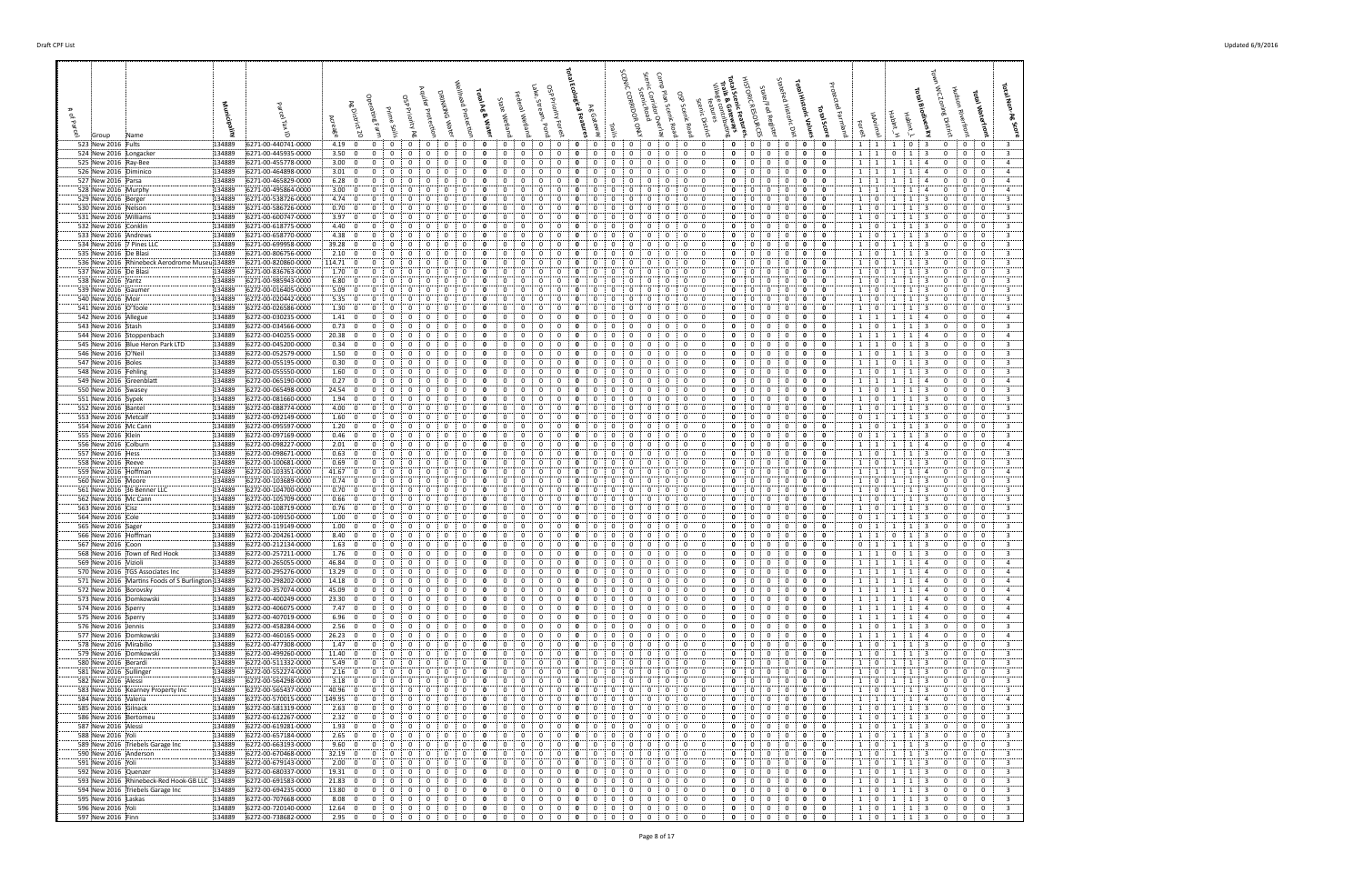| 523 New 2016 Fults                                                                     | 134889<br>6271-00-440741-0000                                  | 4.19:0<br>$\mathbf{0}$<br>$\mathbf{0}$<br>$\mathbf{0}$<br>$\mathbf{0}$<br>0<br>0                                                                                                             | $\mathbf{0}$<br>$\mathbf{0}$<br>0<br>0                                                                                                                                                                                      | $\mathbf{0}$<br>$\mathbf{0}$<br>0<br>0                                                                                                                                              | $\mathbf{0}$<br>$\mathbf{0}$<br>$\mathbf{0}$<br>$\mathbf{0}$<br>$1 \t1 \t1$<br>0                                                                                                              | 0 : 3<br>$\mathbf{0}$<br>0 <sup>1</sup><br>$\overline{0}$<br>3                                                                                                                                                                                   |
|----------------------------------------------------------------------------------------|----------------------------------------------------------------|----------------------------------------------------------------------------------------------------------------------------------------------------------------------------------------------|-----------------------------------------------------------------------------------------------------------------------------------------------------------------------------------------------------------------------------|-------------------------------------------------------------------------------------------------------------------------------------------------------------------------------------|-----------------------------------------------------------------------------------------------------------------------------------------------------------------------------------------------|--------------------------------------------------------------------------------------------------------------------------------------------------------------------------------------------------------------------------------------------------|
| 524 New 2016 Longacker                                                                 | 134889<br>6271-00-445935-0000                                  | 3.50; 0<br>0<br>$\mathbf{0}$<br>0<br>0<br>0<br>$\mathbf{0}$                                                                                                                                  | $\mathbf{0}$<br>$\mathbf{0}$<br>0<br>0<br>0<br>0<br>0                                                                                                                                                                       | 0<br>0<br>0<br>0<br>0<br>$\mathbf{0}$                                                                                                                                               | 0<br>0<br>0<br>$\mathbf 0$<br>$1 \quad 1$<br>0                                                                                                                                                | $\mathbf{0}$<br>1<br>$\overline{\mathbf{3}}$<br>$\mathbf{0}$<br>$\bf{0}$<br>$\mathbf 0$<br>$\overline{\mathbf{3}}$                                                                                                                               |
| 525 New 2016 Ray-Bee<br>526 New 2016 Diminico                                          | 6271-00-455778-0000<br>134889<br>134889<br>6271-00-464898-0000 | 3.00; 0<br>$\Omega$<br>3.01:0<br>$\Omega$<br>$\Omega$<br>$\Omega$<br>$\Omega$<br>$\Omega$<br>$\Omega$                                                                                        | $\Omega$<br>0<br>$^{\circ}$<br>$\Omega$<br>$\Omega$<br>0<br>0<br>0                                                                                                                                                          | 0<br>0<br>$\Omega$<br>$\mathbf 0$<br>$\mathbf 0$<br>$\mathbf{0}$<br>$\Omega$<br>$\Omega$<br>$\mathbf{0}$                                                                            | $\mathbf{0}$<br>0<br>$\mathbf 0$<br>$1 \cdot 1$<br>0<br>$\mathbf 0$<br>$\mathbf 0$<br>$\mathbf{0}$<br>$\mathbf 0$<br>$\Omega$<br>1:1                                                          | $\mathbf{0}$<br>0<br>$\overline{4}$<br>1<br>1<br>$\overline{4}$<br>0<br>$\mathbf{0}$<br>$\mathbf{0}$<br>$\overline{0}$<br>$\overline{4}$<br>1<br>-1<br>$\overline{4}$                                                                            |
| 527 New 2016 Parsa                                                                     | 134889<br>6271-00-465829-0000                                  | 6.28:<br>$\mathbf{0}$<br>0                                                                                                                                                                   | 0<br>0<br>0<br>0                                                                                                                                                                                                            | 0<br>0<br>0                                                                                                                                                                         | $\mathbf 0$<br>0<br>0<br>$1 \quad 1$<br>- 0                                                                                                                                                   | $\mathbf 0$<br>$\mathbf 0$<br>$\overline{4}$<br>1<br>$\mathbf{1}$<br>$\overline{4}$<br>0                                                                                                                                                         |
| 528 New 2016 Murphy                                                                    | 134889<br>6271-00-495864-0000<br>6271-00-538726-0000           | 3.00:0<br>$\Omega$                                                                                                                                                                           | $\Omega$<br>$\Omega$<br>0<br>$\overline{0}$<br>- 0                                                                                                                                                                          | 0<br>0<br>- 0<br>$\mathbf 0$<br>$\Omega$                                                                                                                                            | 0<br>$\mathbf 0$<br>0<br>0<br>1 1                                                                                                                                                             | 0<br>0<br>$\overline{4}$<br>$\mathbf{0}$<br>-3                                                                                                                                                                                                   |
| 529 New 2016 Berger<br>530 New 2016 Nelson                                             | 134889<br>134889<br>6271-00-586726-0000                        | 4.74:0<br>$\Omega$<br>-0<br>$\Omega$<br>$\Omega$<br>0.70; 0<br>0<br>0<br>0                                                                                                                   | 0<br>$\Omega$<br>0<br>$\Omega$<br>- 0<br>0<br>0<br>0<br>0                                                                                                                                                                   | $\mathbf 0$<br>0<br>$\Omega$<br>0<br>0<br>0<br>$^{\circ}$                                                                                                                           | $\mathbf 0$<br>$\mathbf 0$<br>0<br>0<br>1:0<br>$\Omega$<br>0<br>$\mathbf 0$<br>1:0<br>0<br>0                                                                                                  | $\mathbf 0$<br>$\mathbf 0$<br>$\overline{\mathbf{3}}$<br>$\mathbf 0$<br>-1<br>$\mathbf{1}$<br>$\mathbf{0}$<br>0<br>3<br><sup>1</sup><br>1<br>- 3<br>$\mathbf{0}$                                                                                 |
| 531 New 2016 Williams                                                                  | 134889<br>6271-00-600747-0000                                  | 3.97:0<br>0<br>0<br>0                                                                                                                                                                        | 0<br>$\Omega$<br>0<br>0<br>0                                                                                                                                                                                                | $\bf{0}$<br>0<br>0<br>0                                                                                                                                                             | $\mathbf 0$<br>0<br>0<br>0<br>$1 \t0$<br>0                                                                                                                                                    | $\overline{\mathbf{3}}$<br>1<br>-3<br>$\mathbf{0}$<br>$\mathbf{0}$<br>$\mathbf 0$<br>1                                                                                                                                                           |
| 532 New 2016 Conklin                                                                   | 6271-00-618775-0000<br>134889<br>134889<br>6271-00-658770-0000 | 4.40:0<br>$\Omega$<br>$\Omega$<br>$\Omega$<br>$\Omega$<br>$\Omega$                                                                                                                           | $\Omega$<br>$\Omega$<br>0<br>0<br>$\Omega$<br>0<br>0                                                                                                                                                                        | 0<br>0<br>$\Omega$<br>0<br>$\Omega$<br>$\Omega$<br>$\Omega$                                                                                                                         | 0<br>$\mathbf 0$<br>$\mathbf 0$<br>0<br>$1 \quad 0$<br>$\Omega$<br>$\Omega$<br>$\mathbf{0}$<br>0<br>$\overline{\mathbf{0}}$<br>0<br>1                                                         | $\mathbf 0$<br>$\overline{\mathbf{3}}$<br>3<br>$\mathbf{0}$<br>-1<br>1<br>0<br>$\mathbf 0$<br>$\overline{\mathbf{3}}$<br>0<br>-3<br>$\Omega$<br>-1                                                                                               |
| 533 New 2016 : Andrews<br>534 New 2016 7 Pines LLC                                     | 134889<br>6271-00-699958-0000                                  | 4.38; 0<br>$39.28$ 0<br>0                                                                                                                                                                    | $\Omega$<br>$\Omega$<br>0<br>0                                                                                                                                                                                              | $\mathbf{0}$<br>0<br>0                                                                                                                                                              | $\mathbf 0$<br>0<br>0<br>0<br>$\mathbf{1}$<br>$\overline{\mathbf{0}}$<br>$\Omega$                                                                                                             | $\overline{\mathbf{3}}$<br>$\mathbf 0$<br>$\mathbf 0$<br>$\mathbf 0$<br>-1<br>- 1<br>-3                                                                                                                                                          |
| 535 New 2016 De Blasi                                                                  | 134889<br>6271-00-806756-0000                                  | 2.10:0<br>$\Omega$<br>$\Omega$<br>$\Omega$<br>0<br>0<br>0                                                                                                                                    | $\Omega$<br>0<br>$\Omega$<br>0<br>$\Omega$                                                                                                                                                                                  | 0<br>$\mathbf 0$<br>0<br>$\Omega$<br>0                                                                                                                                              | $\mathbf 0$<br>$\mathbf{0}$<br>0<br>0<br>1:0<br>$\Omega$                                                                                                                                      | 0<br>$\overline{3}$<br>-3<br>$\mathbf 0$<br>0<br>-1<br>-1                                                                                                                                                                                        |
| 536 New 2016 Rhinebeck Aerodrome Museu 134889<br>537 New 2016 De Blasi                 | 6271-00-820860-0000<br>134889<br>6271-00-836763-0000           | 114.71 0<br>1.70:0<br>0<br>0<br>0<br>0<br>0                                                                                                                                                  | 0<br>0<br>0<br>0<br>0<br>0<br>0                                                                                                                                                                                             | 0<br>0<br>$\Omega$<br>$\mathbf 0$<br>0<br>0<br>0<br>0<br>0                                                                                                                          | $\mathbf{0}$<br>0<br>$\mathbf 0$<br>$\mathbf{0}$<br>0<br>$\mathbf{1}$<br>$\mathbf 0$<br>0<br>$\mathbf 0$<br>1:0<br>$\mathbf{0}$<br>$\mathbf{0}$                                               | $\overline{\mathbf{3}}$<br>$\mathbf 0$<br>0<br>-1<br>0<br>-1<br>$\overline{\mathbf{3}}$<br>1<br>$\mathbf 0$<br>$\mathbf{0}$<br>0<br>$\mathbf{1}$<br>-3                                                                                           |
| 538 New 2016 Yantz                                                                     | 134889<br>6271-00-985943-0000                                  | 6.80:0<br>0<br>$\Omega$<br>$\Omega$<br>0<br>0                                                                                                                                                | $\Omega$<br>0<br>0<br>0<br>$\Omega$                                                                                                                                                                                         | 0<br>0<br>$\bf{0}$<br>0<br>0                                                                                                                                                        | $\mathbf 0$<br>$\mathbf 0$<br>$\mathbf{0}$<br>0<br>$1 \quad 0$<br>$\Omega$                                                                                                                    | 0<br>$\mathbf 0$<br>$\overline{3}$<br>-3<br>$\mathbf{0}$<br>-1<br>-1                                                                                                                                                                             |
| 539 New 2016 Gaumer                                                                    | 6272-00-016405-0000<br>134889                                  | 5.09:0                                                                                                                                                                                       | - 0<br>$\Omega$<br>0                                                                                                                                                                                                        | $\mathbf{0}$<br>0<br>- 0                                                                                                                                                            | 0<br>0<br>$1 \quad 0$<br>0<br>0                                                                                                                                                               | $\Omega$<br>0<br>0<br>$\overline{\mathbf{3}}$<br>3                                                                                                                                                                                               |
| 540 New 2016 Moir<br>541 New 2016 O'Toole                                              | 134889<br>6272-00-020442-0000<br>134889<br>6272-00-026586-0000 | 5.35:0<br>n<br>$\Omega$<br>$\Omega$<br>0<br>1.30:0<br>$\mathbf{0}$<br>0<br>0                                                                                                                 | $\Omega$<br>$\Omega$<br>$\Omega$<br>0<br>$\Omega$<br>0<br>0<br>0<br>0                                                                                                                                                       | $\mathbf 0$<br>$\Omega$<br>$\mathbf 0$<br>$\Omega$<br>$\Omega$<br>$\Omega$<br>0<br>0<br>0<br>$\mathbf{0}$                                                                           | $\mathbf 0$<br>$\mathbf{0}$<br>0<br>0<br>$1 \cdot 0$<br>$\Omega$<br>0<br>0<br>$\mathbf 0$<br>$1 \quad 0$<br>- 0                                                                               | $\mathbf 0$<br>$\mathbf 0$<br>$\overline{\mathbf{3}}$<br>્વ<br>$\Omega$<br>$\mathbf{1}$<br>-1<br>$\overline{\mathbf{3}}$<br>$\mathbf 0$<br>0<br>1<br>-1<br>- 3<br>$^{\circ}$                                                                     |
| 542 New 2016 Allegue                                                                   | 134889<br>6272-00-030235-0000                                  | 1.41:0<br>$\mathbf{0}$<br>0<br>0<br>0                                                                                                                                                        | $\Omega$<br>0<br>0<br>0<br>0                                                                                                                                                                                                | $\bf{0}$<br>$\mathbf 0$<br>0<br>0                                                                                                                                                   | $\mathbf 0$<br>$\mathbf{0}$<br>0<br>0<br>$1 \quad 1$<br>0                                                                                                                                     | $\mathbf{1}$<br>$\mathbf{0}$<br>$\bf{0}$<br>$\mathbf 0$<br>$\overline{4}$<br>$\mathbf{1}$<br>-4                                                                                                                                                  |
| 543 New 2016 Stash                                                                     | 6272-00-034566-0000<br>134889                                  | 0.73:0<br>0<br>0                                                                                                                                                                             | 0<br>0                                                                                                                                                                                                                      | 0<br>0<br>0<br>$\Omega$                                                                                                                                                             | $\mathbf 0$<br>$\mathbf 0$<br>0<br>0<br>$1 \quad 0$<br>0<br>0<br>0                                                                                                                            | 3<br>3<br>$\mathbf{0}$<br>$\mathbf{0}$<br>1<br>1<br>0<br>$\overline{a}$<br>$\mathbf{A}$                                                                                                                                                          |
| 544 New 2016 Stoppenbach<br>545 New 2016 Blue Heron Park LTD                           | 134889<br>6272-00-040255-0000<br>134889<br>6272-00-045200-0000 | 20.38:0<br>$\Omega$<br>$\Omega$<br>$\Omega$<br>0<br>$\Omega$<br>0<br>0.34:0<br>0<br>0                                                                                                        | $\Omega$<br>$\Omega$<br>0<br>0<br>$\Omega$<br>$\Omega$<br>0<br>$\Omega$<br>0                                                                                                                                                | $\mathbf 0$<br>0<br>0<br>$\Omega$<br>$\Omega$<br>$\mathbf{0}$<br>0<br>$\Omega$                                                                                                      | $\mathbf{0}$<br>0<br>1 1<br>$\Omega$<br>0<br>$\mathbf 0$<br>$\mathbf 0$<br>0<br>$\Omega$<br>1 1                                                                                               | $\mathbf 0$<br>1<br>1<br>0<br>0<br>$\mathbf 0$<br>$\mathbf 0$<br>$\overline{\mathbf{3}}$<br>$\mathbf{0}$<br>-3<br>$\mathbf{0}$<br>1                                                                                                              |
| 546 New 2016 O'Neil                                                                    | 6272-00-052579-0000<br>134889                                  | 1.50; 0<br>0<br>$\Omega$<br>0<br>0<br>0                                                                                                                                                      | 0<br>0<br>0<br>0<br>$\Omega$                                                                                                                                                                                                | 0<br>0<br>$^{\circ}$<br>- 0                                                                                                                                                         | $\mathbf 0$<br>$\mathbf 0$<br>0<br>0<br>$1 \quad 0$<br>$\Omega$                                                                                                                               | -3<br>$\mathbf 0$<br>$\bf{0}$<br>0<br>$\overline{\mathbf{3}}$<br>-1                                                                                                                                                                              |
| 547 New 2016 Boles                                                                     | 134889<br>6272-00-055195-0000                                  | 0.30; 0<br>$\Omega$<br><sup>0</sup><br>0<br>$\Omega$                                                                                                                                         | $\Omega$<br>$\Omega$<br>n<br>n                                                                                                                                                                                              | $\Omega$<br>$\Omega$<br>$\Omega$                                                                                                                                                    | $\mathbf 0$<br>$\Omega$<br>0<br>0<br>1:1<br>$^{\circ}$                                                                                                                                        | $\mathbf 0$<br>$\overline{3}$<br>$^{\circ}$<br>્વ<br>$\Omega$<br>0<br>-1                                                                                                                                                                         |
| 548 New 2016 Fehling<br>549 New 2016 Greenblatt                                        | 134889<br>6272-00-055550-0000<br>134889<br>6272-00-065190-0000 | 1.60:0<br>$\mathbf{0}$<br>0<br>0<br>0<br>0<br>0<br>0.27; 0<br>0<br>$\mathbf{0}$<br>0<br>-0<br>0<br>0                                                                                         | 0<br>0<br>0<br>$\Omega$<br>0<br>0<br>0<br>0<br>0<br>$\Omega$<br>0<br>0<br>$\Omega$                                                                                                                                          | $\mathbf 0$<br>0<br>0<br>0<br>0<br>-0<br>0<br>$\bf{0}$<br>0<br>0<br>0<br>0                                                                                                          | $\mathbf 0$<br>$\mathbf 0$<br>0<br>$\mathbf{0}$<br>$1 \quad 0$<br>$\mathbf{0}$<br>0<br>0<br>0<br>$\mathbf 0$<br>1 1<br>0                                                                      | -3<br>$\mathbf{0}$<br>$\mathbf{0}$<br>$\mathbf 0$<br>3<br>1<br>1<br><sup>1</sup><br>0<br>$\bf{0}$<br>$\mathbf{0}$<br>$\overline{4}$<br>1<br>-4                                                                                                   |
| 550 New 2016 Swasey                                                                    | 6272-00-065498-0000<br>134889                                  | 24.54:0                                                                                                                                                                                      | $\Omega$<br>$\Omega$<br>0                                                                                                                                                                                                   | $\Omega$<br>0<br>0<br>0                                                                                                                                                             | $\mathbf 0$<br>$\mathbf{0}$<br>0<br>$\Omega$<br>0<br>$1 \quad 0$                                                                                                                              | $\overline{\mathbf{3}}$<br>$\mathbf 0$<br>3<br>1<br>$\mathbf 0$<br>0<br>$\mathbf{1}$                                                                                                                                                             |
| 551 New 2016 Sypek<br>552 New 2016 Bantel                                              | 134889<br>6272-00-081660-0000<br>6272-00-088774-0000<br>134889 | 1.94:0<br>$\Omega$<br>$\Omega$<br>$\Omega$<br>$\Omega$<br>$\Omega$<br>$\Omega$<br>4.00:<br>$\mathbf 0$<br>$\Omega$<br>0                                                                      | $\mathbf 0$<br>$^{\circ}$<br>0<br>$\Omega$<br>$\Omega$<br>0<br>$\Omega$<br>$\Omega$<br>$\Omega$<br>0<br>$\Omega$<br>$\Omega$                                                                                                | $\Omega$<br>$\mathbf 0$<br>$\mathbf 0$<br>$\mathbf 0$<br>$\Omega$<br>$\Omega$<br>$\Omega$<br>$\Omega$<br>$\mathbf 0$<br>0                                                           | $\mathbf 0$<br>$\mathbf 0$<br>$\mathbf 0$<br>$^{\circ}$<br>$\mathbf{0}$<br>$1 \quad 0$<br>$\mathbf 0$<br>1:0<br>0<br>0<br>0                                                                   | $\overline{0}$<br>$\overline{\mathbf{3}}$<br>1<br>-3<br>$\mathbf{0}$<br>$\mathbf{0}$<br>-1<br>$\mathbf 0$<br>$\overline{\mathbf{3}}$<br>$\mathbf 0$<br>-3<br>0<br>$\mathbf{1}$<br>$\mathbf{1}$                                                   |
| 553 New 2016 Metcalf                                                                   | 134889<br>6272-00-092149-0000                                  | 1.60:0<br>$\Omega$                                                                                                                                                                           | $\Omega$<br>$\Omega$<br>0<br>0<br>0                                                                                                                                                                                         | $\mathbf{0}$<br>0<br>- 0                                                                                                                                                            | 0<br>$\mathbf 0$<br>$\mathbf{0}$<br>0<br>0<br>$\Omega$<br>$\frac{1}{2}$                                                                                                                       | $\overline{\mathbf{3}}$<br>$\mathbf{0}$<br>0<br>0<br>-1<br>- 3<br>-1                                                                                                                                                                             |
| 554 New 2016 Mc Cann                                                                   | 134889<br>6272-00-095597-0000                                  | 1.20:0<br>$\Omega$<br>$\Omega$<br>$\Omega$<br>-0                                                                                                                                             | 0<br>- 0<br>$\Omega$<br>$\Omega$<br>$\Omega$<br>0                                                                                                                                                                           | $\mathbf 0$<br>$\mathbf 0$<br>0<br>$\Omega$<br>$\Omega$<br>0                                                                                                                        | $\mathbf 0$<br>$\mathbf 0$<br>0<br>0<br>$1 \quad 0$<br>$\Omega$                                                                                                                               | $\overline{\mathbf{3}}$<br>$\mathbf 0$<br>$\mathbf 0$<br>-3<br>$\mathbf{0}$<br>-1<br>-1                                                                                                                                                          |
| 555 New 2016 Klein<br>556 New 2016 Colburn                                             | 6272-00-097169-0000<br>134889<br>134889<br>6272-00-098227-0000 | 0.46:0<br>0<br>0<br>0<br>0<br>2.01:0<br>0<br>0                                                                                                                                               | 0<br>0<br>0<br>0<br>0<br>0<br>0<br>0                                                                                                                                                                                        | 0<br>0<br>$^{\circ}$<br>$\bf{0}$<br>0<br>0<br>0                                                                                                                                     | 0<br>0<br>$\mathbf 0$<br>$0 \quad 1$<br>0<br>$\mathbf 0$<br>0<br>0<br>0<br>$1 \quad 1$<br>0                                                                                                   | 0<br>0<br>3<br><sup>1</sup><br>1<br>- 3<br>$\mathbf{0}$<br>$\overline{4}$<br>1<br>$\mathbf{0}$<br>$\mathbf{0}$<br>$\mathbf{0}$<br>1<br>4                                                                                                         |
| 557 New 2016 Hess                                                                      | 6272-00-098671-0000<br>134889                                  | 0.63; 0<br>0<br>$\Omega$<br>$\Omega$<br>$\Omega$<br>$\Omega$                                                                                                                                 | $\Omega$<br>0                                                                                                                                                                                                               | 0<br>$\Omega$<br>0                                                                                                                                                                  | 0<br>$\mathbf 0$<br>$\mathbf 0$<br>0<br>$1 \quad 0$<br>$\Omega$                                                                                                                               | $\mathbf 0$<br>$\overline{\mathbf{3}}$<br>-3<br>0<br>$\mathbf{0}$<br>-1<br>1                                                                                                                                                                     |
| 558 New 2016 Reeve                                                                     | 134889<br>6272-00-100681-0000<br>134889<br>6272-00-103351-0000 | 0.69; 0<br>0<br>-0<br>0<br>$^{(1)}$<br>0<br>0<br>$\Omega$<br>$\Omega$<br>$\Omega$                                                                                                            | $\Omega$<br>$\Omega$<br>0<br>$^{(1)}$<br>$\Omega$<br>0                                                                                                                                                                      | 0<br>$\Omega$<br>$\Omega$<br>$\Omega$<br>$\mathbf 0$<br>$\Omega$<br>0<br>$\Omega$                                                                                                   | $\mathbf 0$<br>$\Omega$<br>0<br>0<br>$1 \quad 0$<br>$\Omega$<br>$\mathbf 0$<br>$\mathbf 0$<br>0<br>0<br>$\Omega$                                                                              | $\mathbf{0}$<br>$\overline{3}$<br>$\Omega$<br>0<br>$\mathbf{1}$<br>-3<br>-1<br>$\mathbf 0$<br>$\mathbf 0$<br>4                                                                                                                                   |
| 559 New 2016 Hoffman<br>560 New 2016 Moore                                             | 134889<br>6272-00-103689-0000                                  | $41.67$ 0<br>0<br>0.74:0<br>0<br>$\mathbf{0}$<br>$\Omega$<br>$\Omega$<br>0<br>$\mathbf{0}$                                                                                                   | 0<br>0<br>$\mathbf{0}$<br>0<br>0<br>0<br>0<br>0                                                                                                                                                                             | $\mathbf 0$<br>0<br>$\bf{0}$<br>$\mathbf 0$<br>0<br>0<br>0                                                                                                                          | $1 \cdot 1$<br>$\mathbf 0$<br>$\mathbf{0}$<br>0<br>0<br>$1 \quad 0$<br>$\Omega$                                                                                                               | $\mathbf{0}$<br>1<br>-1<br>4<br>$\overline{\mathbf{3}}$<br>$\mathbf{1}$<br>-3<br>$\mathbf 0$<br>$\mathbf{0}$<br>$\mathbf 0$<br>1                                                                                                                 |
| 561 New 2016 36 Benner LLC                                                             | 6272-00-104700-0000<br>134889                                  | 0.70; 0<br>0                                                                                                                                                                                 | 0<br>$\Omega$<br>0                                                                                                                                                                                                          | 0<br>0<br>0<br>0                                                                                                                                                                    | $\mathbf 0$<br>$\mathbf{0}$<br>0<br>0<br>$\mathbf{0}$<br>$\mathbf{1}$                                                                                                                         | $\mathbf 0$<br>$\overline{\mathbf{3}}$<br>3<br>0<br>-1<br>$\mathbf{1}$<br>0                                                                                                                                                                      |
| 562 New 2016 Mc Cann<br>563 New 2016 Cisz                                              | 6272-00-105709-0000<br>134889<br>134889<br>6272-00-108719-0000 | 0.66; 0<br>0<br>0<br>0<br>0<br>0<br>0<br>0.76:0<br>$\mathbf{0}$<br>0<br>$\Omega$<br>$\Omega$<br>0                                                                                            | 0<br>0<br>0<br>0<br>0<br>$\mathbf{0}$<br>0<br>0<br>0<br>0                                                                                                                                                                   | 0<br>0<br>0<br>0<br>$\mathbf{0}$<br>$\mathbf{0}$<br>$\mathbf 0$<br>0<br>0<br>$\bf{0}$<br>0                                                                                          | $\mathbf{0}$<br>$\mathbf{0}$<br>$\mathbf 0$<br>$1 \quad 0$<br>$\mathbf{0}$<br>$\mathbf{0}$<br>0<br>$\mathbf 0$<br>$\mathbf{0}$<br>0<br>$1 \quad 0$<br>$\Omega$                                | -3<br>$\mathbf 0$<br>$\mathbf{0}$<br>$\mathbf 0$<br>3<br>1<br>$\mathbf{1}$<br>0<br>$\mathbf 0$<br>$\overline{3}$<br>-1<br>-3<br>0<br>1                                                                                                           |
| 564 New 2016 Cole                                                                      | 134889<br>6272-00-109150-0000                                  | 1.00:0                                                                                                                                                                                       | $\Omega$<br>$\Omega$<br>0                                                                                                                                                                                                   | 0<br>$\Omega$<br>$\Omega$                                                                                                                                                           | 0<br>0<br>$\mathbf{0}$<br>$\frac{1}{2}$<br>0<br>0<br>$\Omega$                                                                                                                                 | 0<br>0<br>$\overline{\mathbf{3}}$<br>-1<br>3<br>$\Omega$                                                                                                                                                                                         |
| 565 New 2016 Sager                                                                     | 134889<br>6272-00-119149-0000                                  | 1.00:0<br>$\Omega$<br>$\Omega$<br>0<br>$^{\circ}$                                                                                                                                            | $\Omega$<br>$\Omega$<br>$\Omega$<br>- 0<br>0<br>$\Omega$                                                                                                                                                                    | $\Omega$<br>$\mathbf 0$<br>$\mathbf 0$<br>$\Omega$<br>$\Omega$<br>- 0                                                                                                               | $\mathbf 0$<br>$\mathbf{0}$<br>0<br>0<br>$\Omega$<br>$0 \t1$                                                                                                                                  | $\mathbf{3}$<br>$\mathbf 0$<br>$\mathbf 0$<br>$\overline{\mathbf{3}}$<br>$\mathbf{0}$<br>-1<br>-1                                                                                                                                                |
| 566 New 2016 Hoffman<br>567 New 2016 Coon                                              | 134889<br>6272-00-204261-0000<br>134889<br>6272-00-212134-0000 | 8.40:0<br>$\mathbf{0}$<br>0<br>0<br>$1.63 \begin{matrix} 0 \\ 0 \\ 0 \end{matrix}$<br>$\mathbf{0}$<br>0<br>$\Omega$<br>0<br>0                                                                | 0<br>0<br>0<br>$\Omega$<br>$^{\circ}$<br>0<br>0<br>0<br>$^{\circ}$<br>0                                                                                                                                                     | 0<br>0<br>$\mathbf{0}$<br>$\bf{0}$<br>0<br>$\Omega$<br>0                                                                                                                            | $\mathbf 0$<br>- 0<br>0<br>0<br>$1 \quad 1$<br>$\mathbf{0}$<br>0<br>$\mathbf 0$<br>$0 \t1$<br>0<br>0                                                                                          | $\overline{3}$<br>0<br>$\mathbf{0}$<br>0<br>1<br>- 3<br>0<br>$\overline{\mathbf{3}}$<br>$\overline{1}$<br>$\mathbf{0}$<br>$\bf{0}$<br>$\mathbf 0$<br>$\mathbf{1}$<br>-3                                                                          |
| 568 New 2016 : Town of Red Hook                                                        | 6272-00-257211-0000<br>134889                                  | 1.76:<br>$\overline{\mathbf{0}}$<br>0<br>$\mathbf{0}$<br>$\mathbf{0}$<br>0<br>$^{\circ}$<br>0                                                                                                | $\mathbf 0$<br>0<br>0<br>0<br>$\mathbf{0}$<br>0<br>$\Omega$                                                                                                                                                                 | $\mathbf 0$<br>$\mathbf 0$<br>$\mathbf 0$<br>0<br>0<br>0                                                                                                                            | 0<br>$\mathbf 0$<br>$\mathbf 0$<br>$\mathbf 0$<br>0<br>$1 \quad 1$                                                                                                                            | $\overline{\mathbf{3}}$<br>$\overline{\mathbf{3}}$<br>$\mathbf{0}$<br>$\bf{0}$<br>$\mathbf{0}$<br>1<br>$\mathbf{0}$                                                                                                                              |
| 569 New 2016 Vizioli                                                                   | 134889<br>6272-00-265055-0000                                  | 46.84   0<br>$\mathbf{0}$<br>$\mathbf{0}$<br>$\mathbf{0}$<br>$^{\circ}$<br>$\mathbf{0}$<br>$^{\circ}$<br>$\mathbf 0$<br>$\mathbf 0$<br>0<br>$\mathbf 0$                                      | $\mathbf 0$<br>$\mathbf 0$<br>$\mathbf{0}$<br>$\mathbf{0}$<br>$\mathbf{0}$<br>$^{\circ}$<br>$\mathbf 0$<br>$\mathbf{0}$<br>0<br>0<br>$\Omega$<br>$\Omega$<br>$\Omega$                                                       | $\mathbf{0}$<br>$\mathbf 0$<br>$\mathbf 0$<br>$^{\circ}$<br>$\mathbf{0}$<br>$\mathbf 0$<br>$\mathbf 0$<br>$\Omega$<br>0                                                             | $\mathbf{0}$<br>$\mathbf{0}$<br>$\mathbf 0$<br>$\mathbf 0$<br>$^{\circ}$<br>$\mathbf 0$<br>$\mathbf 0$<br>0<br>$\mathbf{0}$                                                                   | $1 \t1 \t1 \t1 \t4$<br>$\mathbf 0$<br>$\mathbf{0}$<br>$\mathbf{0}$<br>$\overline{4}$<br>$\overline{1}$<br>$\mathbf 0$<br>$\mathbf 0$<br>$\mathbf{A}$                                                                                             |
| 570 New 2016 : TGS Associates Inc<br>571 New 2016 Martins Foods of S Burlington 134889 | 134889<br>6272-00-295276-0000<br>6272-00-298202-0000           | 13.29:<br>$\overline{\mathbf{0}}$<br>0<br>0<br>14.18:0<br>$\mathbf{0}$<br>$\mathbf 0$<br>$\mathbf 0$<br>$\mathbf 0$<br>$\mathbf{0}$<br>0                                                     | $\mathbf 0$<br>$\mathbf 0$<br>$\mathbf 0$<br>$\overline{0}$<br>0<br>$\Omega$<br>$\mathbf 0$<br>$\Omega$                                                                                                                     | 0<br>$\mathbf{0}$<br>$\Omega$<br>$\mathbf 0$<br>$^{\circ}$<br>$\mathbf 0$<br>$\mathbf 0$<br>$\mathbf 0$<br>0                                                                        | $1 \quad 1$<br>$\mathbf 0$<br>$\mathbf 0$<br>$\overline{0}$<br>$^{\circ}$<br>$\mathbf 0$<br>1:1                                                                                               | $\mathbf{0}$<br>$\mathbf{1}$<br>1<br>1<br>4<br>$\mathbf{0}$<br>$\mathbf 0$<br>0<br>$\overline{a}$                                                                                                                                                |
| 572 New 2016 Borovsky                                                                  | 134889<br>6272-00-357074-0000                                  | 45.09:0<br>$\Omega$<br>$\mathbf{0}$<br>$\Omega$<br>0<br>$\Omega$<br>$^{\circ}$                                                                                                               | $\mathbf{0}$<br>$\mathbf 0$<br>$^{\circ}$<br>0<br>$\Omega$<br>$\Omega$<br>0<br>- 0                                                                                                                                          | $\mathbf 0$<br>$\Omega$<br>$\mathbf 0$<br>$\mathbf 0$<br>$\Omega$<br>$\Omega$                                                                                                       | $\mathbf 0$<br>$\overline{0}$<br>0<br>$\mathbf 0$<br>1:1<br>0                                                                                                                                 | $\mathbf{0}$<br>$\mathbf{0}$<br>0<br>$\mathbf{1}$<br>1<br>$\overline{4}$<br>$\overline{4}$                                                                                                                                                       |
| 573 New 2016 Domkowski<br>574 New 2016 Sperry                                          | 134889<br>6272-00-400249-0000<br>134889<br>6272-00-406075-0000 | 23.30:0<br>$\mathbf 0$<br>$\mathbf{0}$<br>$\mathbf 0$<br>0<br>$\mathbf{0}$<br>$\mathbf{0}$<br>7.47:0<br>$\bf{0}$<br>$\mathbf{0}$<br>$\mathbf{0}$<br>0<br>0<br>0                              | $\mathbf 0$<br>$\mathbf 0$<br>$\bf{0}$<br>$\bf{0}$<br>$\mathbf 0$<br>$\mathbf{0}$<br>- 0<br>$\mathbf{0}$<br>$\mathbf 0$<br>$\mathbf{0}$<br>$\bf{0}$<br>0<br>0<br>$\mathbf 0$<br>0<br>$\mathbf{0}$                           | $\mathbf 0$<br>$\mathbf{0}$<br>$\mathbf 0$<br>$\mathbf 0$<br>0<br>$\mathbf{0}$<br>$\bf{0}$<br>0<br>$\mathbf 0$<br>$\bf{0}$<br>$\mathbf{0}$<br>$\mathbf 0$                           | $\mathbf 0$<br>$\bf{0}$<br>$\mathbf{0}$<br>$\mathbf 0$<br>$\mathbf{0}$<br>$1 \quad 1 \quad 1$<br>$\mathbf 0$<br>$\bf{0}$<br>$\mathbf{0}$<br>$\mathbf 0$<br>$\mathbf 0$<br>$1 \quad 1 \quad 1$ | 1<br>$\overline{4}$<br>$\mathbf{0}$<br>0<br>$\mathbf 0$<br>$\overline{4}$<br>$\overline{0}$<br>$1 \mid 4$<br>$\mathbf{0}$<br>$\mathbf 0$<br>$\overline{4}$                                                                                       |
| 575 New 2016 Sperry                                                                    | 134889<br>6272-00-407019-0000                                  | 6.96; 0<br>0<br>0<br>$\Omega$<br>$\mathbf{0}$<br>0<br>$^{\circ}$                                                                                                                             | $\mathbf{0}$<br>$\mathbf 0$<br>$\mathbf 0$<br>0<br>0<br>$\Omega$<br>0                                                                                                                                                       | $\mathbf 0$<br>$\Omega$<br>- 0<br>$\mathbf 0$<br>$\mathbf 0$<br>$\Omega$                                                                                                            | 0<br>$\mathbf 0$<br>$\mathbf 0$<br>$\mathbf 0$<br>$\mathbf 0$<br>1:1                                                                                                                          | $\mathbf{0}$<br>1<br>1<br>$\mathbf{0}$<br>0<br>$\overline{4}$<br>4                                                                                                                                                                               |
| 576 New 2016 Jennis                                                                    | 134889<br>6272-00-458284-0000                                  | 2.56:0<br>$\mathbf{0}$<br>$\mathbf 0$<br>$\mathbf{0}$<br>$\mathbf 0$<br>0<br>$\mathbf{0}$                                                                                                    | $\mathbf 0$<br>$\mathbf 0$<br>$\mathbf 0$<br>$\mathbf 0$<br>$\Omega$<br>$\Omega$<br>0<br>- 0                                                                                                                                | $\mathbf 0$<br>$^{\circ}$<br>$\mathbf 0$<br>$\mathbf{0}$<br>$\mathbf 0$<br>$\Omega$                                                                                                 | $\mathbf{0}$<br>$\mathbf 0$<br>$\mathbf 0$<br>$\mathbf{0}$<br>0<br>1:0                                                                                                                        | $\overline{0}$<br>$\overline{\mathbf{3}}$<br>$\mathbf{1}$<br>$1 \mid 3$<br>$\mathbf 0$<br>$\overline{0}$                                                                                                                                         |
| 577 New 2016 Domkowski<br>578 New 2016 Mirabilio                                       | 134889<br>6272-00-460165-0000<br>134889<br>6272-00-477308-0000 | 26.23:0<br>$\mathbf 0$<br>0<br>0<br>0<br>0<br>0<br>1.47:0<br>$\mathbf 0$<br>0<br>0<br>0<br>0<br>$^{\circ}$                                                                                   | $\mathbf 0$<br>0<br>0<br>0<br>0<br>0<br>$\Omega$<br>$\mathbf 0$<br>$\mathbf 0$<br>$\mathbf 0$<br>$\mathbf 0$<br>0<br>0<br>$\Omega$<br>$^{\circ}$                                                                            | $\mathbf 0$<br>0<br>0<br>$\mathbf 0$<br>$\mathbf 0$<br>0<br>0<br>$\mathbf 0$<br>$\mathbf 0$<br>$\mathbf 0$<br>0<br>0                                                                | $\mathbf 0$<br>$\mathbf 0$<br>$\mathbf 0$<br>$\mathbf 0$<br>$\Omega$<br>$1 \quad 1$<br>0<br>$\mathbf 0$<br>$\mathbf 0$<br>$\bf{0}$<br>$\mathbf 0$<br>$1 \quad 0$                              | $\mathbf 0$<br>$\mathbf 0$<br>$\overline{1}$<br>1 <sup>1</sup><br>$\mathbf{0}$<br>$\overline{4}$<br>-4<br>$\overline{\mathbf{3}}$<br>$\mathbf{1}$<br>$\overline{\mathbf{3}}$<br>$\mathbf{0}$<br>$\overline{0}$<br>$\mathbf{0}$<br>1 <sup>1</sup> |
| 579 New 2016 Domkowski                                                                 | 134889<br>6272-00-499260-0000                                  | 11.40:0<br>$^{\circ}$<br>0<br>$\Omega$<br>$\mathbf{0}$<br>0<br>$\Omega$                                                                                                                      | $\mathbf{0}$<br>$\mathbf 0$<br>0<br>0<br>$\Omega$<br>0<br>$\Omega$<br>$\Omega$                                                                                                                                              | $\mathbf 0$<br>$\mathbf 0$<br>$\mathbf 0$<br>$\mathbf 0$<br>$\Omega$<br>0                                                                                                           | $\mathbf{0}$<br>$\mathbf 0$<br>$\mathbf{0}$<br>$\mathbf 0$<br>0<br>$1 \quad 0$                                                                                                                | $\mathbf{0}$<br>$\overline{\mathbf{3}}$<br>$\overline{\mathbf{3}}$<br>$\mathbf{0}$<br>0<br>$\mathbf{1}$<br>1 <sup>1</sup>                                                                                                                        |
| 580 New 2016 Berardi                                                                   | 134889<br>6272-00-511332-0000                                  | 5.49:0<br>$\mathbf{0}$<br>$\mathbf{0}$<br>0<br>$^{\circ}$<br>$\mathbf{0}$<br>$\mathbf{0}$                                                                                                    | $\mathbf 0$<br>0<br>0<br>$\mathbf{0}$<br>$\Omega$<br>0<br>0<br>0                                                                                                                                                            | $\bf{0}$<br>$\mathbf 0$<br>0<br>0<br>0<br>0                                                                                                                                         | $\mathbf 0$<br>$\bf{0}$<br>$\mathbf 0$<br>$\mathbf 0$<br>$1 \t0 \t1$<br>$\mathbf{0}$                                                                                                          | $1 \mid 3$<br>$\mathbf{0}$<br>$\mathbf{0}$<br>$\mathbf 0$<br>$\overline{\mathbf{3}}$                                                                                                                                                             |
| 581 New 2016 Sullinger<br>582 New 2016 Alessi                                          | 134889<br>6272-00-552274-0000<br>134889<br>6272-00-564298-0000 | 2.16:0<br>$\mathbf{0}$<br>0<br>0<br>0<br>$\mathbf{0}$<br>-0<br>3.18:0<br>$\mathbf 0$<br>$\mathbf 0$<br>$\mathbf 0$<br>$\mathbf{0}$<br>0<br>0                                                 | 0<br>$\mathbf 0$<br>$\mathbf 0$<br>$\mathbf 0$<br>0<br>$\mathbf 0$<br>0<br>$\mathbf{0}$<br>$\mathbf{0}$<br>$\mathbf 0$<br>$\mathbf 0$<br>0<br>0<br>0<br>$\mathbf{0}$<br>$\Omega$                                            | 0<br>$\mathbf 0$<br>0<br>- 0<br>$\bf{0}$<br>0<br>$\mathbf 0$<br>0<br>$\mathbf 0$<br>$\mathbf 0$<br>0<br>0                                                                           | $\mathbf 0$<br>$\mathbf{0}$<br>$\mathbf 0$<br>$\mathbf 0$<br>1:0<br>$\mathbf 0$<br>$\mathbf 0$<br>$\mathbf 0$<br>$\mathbf 0$<br>$\mathbf 0$<br>$\mathbf 0$<br>$1 \quad 0$                     | $\overline{1}$<br>$\mathbf{0}$<br>$\overline{0}$<br>$\mathbf{0}$<br>$\overline{\mathbf{3}}$<br>$1 \mid 3$<br>$\overline{0}$<br>$\overline{\mathbf{3}}$<br>$\vert 1 \vert$<br>$\overline{\mathbf{3}}$<br>$\mathbf{0}$<br>0<br>1                   |
| 583 New 2016 Kearney Property Inc                                                      | 134889<br>6272-00-565437-0000                                  | 40.96   0<br>$\Omega$<br>$\Omega$<br>$\mathbf{0}$<br>$^{\circ}$<br>$\Omega$<br>$\Omega$                                                                                                      | $\mathbf{0}$<br>$\Omega$<br>$\Omega$<br>$\Omega$<br>0<br>$\Omega$<br>- 0<br>- 0                                                                                                                                             | $\mathbf 0$<br>$\Omega$<br>$\mathbf 0$<br>$\Omega$<br>$\Omega$<br>$\Omega$                                                                                                          | $\mathbf 0$<br>$\mathbf 0$<br>$^{\circ}$<br>$\mathbf 0$<br>$\mathbf 0$<br>$1 \quad 0$                                                                                                         | $\mathbf{0}$<br>1<br>$\overline{\mathbf{3}}$<br>$\mathbf 0$<br>0<br>$\overline{\mathbf{3}}$<br>$\overline{1}$                                                                                                                                    |
| 584 New 2016 Valeria                                                                   | 134889<br>6272-00-570015-0000<br>134889                        | 149.95   0<br>$\mathbf 0$<br>$\mathbf 0$<br>0<br>$\mathbf 0$<br>$\mathbf{0}$<br>0<br>0<br>0<br>0                                                                                             | $\mathbf 0$<br>$\mathbf{0}$<br>$\Omega$<br>0<br>0<br>0<br>$\Omega$<br>$\mathbf{0}$<br>0<br>0<br>0<br>0<br>$\mathbf{0}$<br>$\Omega$                                                                                          | $\mathbf 0$<br>$\mathbf 0$<br>$\mathbf 0$<br>$\Omega$<br>0<br>0<br>$\mathbf 0$<br>$\mathbf 0$<br>0<br>$\mathbf 0$<br>$\mathbf 0$                                                    | $\mathbf{0}$<br>$\mathbf 0$<br>$\mathbf 0$<br>$\mathbf 0$<br>$\mathbf 0$<br>$1 \quad 1$<br>$\mathbf 0$<br>$\mathbf 0$<br>0                                                                    | $\overline{0}$<br>$\mathbf{0}$<br>$\overline{0}$<br>1<br>1<br>$\overline{4}$<br>4<br>$\overline{3}$<br>$\overline{1}$<br>1<br>0                                                                                                                  |
| 585 New 2016 Gilnack<br>586 New 2016 Bertomeu                                          | 6272-00-581319-0000<br>134889<br>6272-00-612267-0000           | 2.63; 0<br>$\mathbf 0$<br>$\mathbf{0}$<br>$\mathbf{0}$<br>2.32:0<br>$\Omega$<br>0<br>0<br>$\mathbf{0}$<br>0<br>0                                                                             | $\bf{0}$<br>$\mathbf{0}$<br>$\mathbf 0$<br>$\Omega$<br>0<br>0                                                                                                                                                               | $\bf{0}$<br>$\mathbf 0$<br>0<br>$\mathbf 0$<br>$\mathbf 0$<br>0<br>0                                                                                                                | $\mathbf 0$<br>$\mathbf{0}$<br>$1 \quad 0$<br>$\mathbf{0}$<br>0<br>$\mathbf 0$<br>$\mathbf 0$<br>$\Omega$<br>$\overline{0}$<br>1 <sup>1</sup>                                                 | $\overline{\mathbf{3}}$<br>$\mathbf{0}$<br>$\overline{0}$<br>$\mathbf{0}$<br>$\overline{\mathbf{3}}$<br>1<br>1<br>-3<br>$\mathbf 0$<br>0                                                                                                         |
| 587 New 2016 Alessi                                                                    | 134889<br>6272-00-619281-0000                                  | 1.93:0<br>$\mathbf{0}$<br>$\mathbf{0}$<br>$\mathbf{0}$<br>$\mathbf{0}$<br>$\mathbf{0}$<br>$\mathbf{0}$                                                                                       | $\mathbf 0$<br>$\mathbf 0$<br>$\mathbf 0$<br>0<br>0<br>$\mathbf{0}$<br>0<br>$^{\circ}$                                                                                                                                      | $\mathbf 0$<br>$\mathbf 0$<br>$\bf{0}$<br>0<br>0<br>0                                                                                                                               | $\mathbf 0$<br>$\mathbf 0$<br>$\mathbf{0}$<br>0<br>$\mathbf{0}$<br>$1 \quad 0$                                                                                                                | $\overline{0}$<br>$\mathbf{0}$<br>$\overline{3}$<br>1<br>1<br>$\overline{\mathbf{3}}$<br>$\mathbf{0}$                                                                                                                                            |
| 588 New 2016 Yoli<br>589 New 2016 Triebels Garage Inc                                  | 134889<br>6272-00-657184-0000<br>6272-00-663193-0000<br>134889 | 2.65:0<br>$\mathbf 0$<br>0<br>$\mathbf 0$<br>$\mathbf 0$<br>0<br>$\mathbf 0$<br>9.60:0<br>$\mathbf 0$<br>0<br>0<br>0<br>$\Omega$<br>0                                                        | $\mathbf 0$<br>$\mathbf 0$<br>$\mathbf 0$<br>0<br>$\mathbf 0$<br>$\mathbf 0$<br>0<br>$\Omega$<br>$\mathbf{0}$<br>$\mathbf 0$<br>$\mathbf 0$<br>$\mathbf 0$<br>$\Omega$<br>0<br>0                                            | $\mathbf 0$<br>$\mathbf{0}$<br>$\mathbf 0$<br>$\mathbf 0$<br>$\mathbf 0$<br>0<br>$\Omega$<br>$\mathbf 0$<br>$\mathbf 0$<br>$\mathbf 0$<br>$\Omega$<br>0                             | $\mathbf 0$<br>$\mathbf 0$<br>$\overline{0}$<br>$\mathbf 0$<br>$1 \quad 0$<br>$\mathbf 0$<br>$\mathbf 0$<br>$\bf{0}$<br>$\mathbf 0$<br>0<br>$\mathbf 0$<br>10                                 | $\mathbf{0}$<br>$\overline{3}$<br>$1 \mid 3$<br>$\mathbf{0}$<br>$\overline{0}$<br>$\overline{1}$<br>$\overline{1}$<br>$\overline{\mathbf{3}}$<br>$\mathbf{0}$<br>$\mathbf{0}$<br>$\mathbf{0}$<br>$\overline{\mathbf{3}}$<br>1                    |
| 590 New 2016 Anderson                                                                  | 134889<br>6272-00-670468-0000                                  | 32.19:0<br>$\mathbf{0}$<br>$\mathbf 0$<br>$\mathbf{0}$<br>$\mathbf 0$<br>$\mathbf 0$<br>0                                                                                                    | $\mathbf 0$<br>$\mathbf 0$<br>$\mathbf 0$<br>$\mathbf 0$<br>$^{\circ}$<br>0<br>$\Omega$<br>0                                                                                                                                | $\mathbf{0}$<br>$\overline{0}$<br>$^{\circ}$<br>$\mathbf 0$<br>$\mathbf 0$<br>$\Omega$                                                                                              | $\mathbf{0}$<br>$\mathbf{0}$<br>$\mathbf 0$<br>$\mathbf 0$<br>0<br>$1 \quad 0$                                                                                                                | $\overline{0}$<br>$\mathbf 0$<br>$\overline{\mathbf{3}}$<br>$\overline{\mathbf{3}}$<br>$\mathbf{0}$<br>$\overline{1}$<br>1                                                                                                                       |
| 591 New 2016 Yoli                                                                      | 134889<br>6272-00-679143-0000                                  | 2.00:0<br>$\mathbf 0$<br>0<br>0<br>0<br>0<br>0                                                                                                                                               | $\mathbf 0$<br>0<br>0<br>0<br>$\Omega$<br>0<br>$^{\circ}$<br>0                                                                                                                                                              | $\mathbf 0$<br>$\mathbf 0$<br>$\mathbf 0$<br>0<br>0<br>0                                                                                                                            | $\mathbf 0$<br>0<br>$\mathbf 0$<br>$\mathbf 0$<br>$1 \quad 0$<br>0                                                                                                                            | $\mathbf 0$<br>$\overline{\mathbf{3}}$<br>$\mathbf{0}$<br>$\mathbf{0}$<br>1<br>1<br>- 3                                                                                                                                                          |
| 592 New 2016 Quenzer<br>593 New 2016 Rhinebeck-Red Hook-GB LLC 134889                  | 134889<br>6272-00-680337-0000<br>6272-00-691583-0000           | 19.31:0<br>$\bf{0}$<br>0<br>0<br>$\mathbf{0}$<br>0<br>0<br>$\mathbf 0$<br>21.83:0<br>0<br>$\mathbf 0$<br>$\mathbf 0$<br>$\mathbf 0$<br>0                                                     | $\mathbf 0$<br>$\mathbf{0}$<br>$\bf{0}$<br>$\bf{0}$<br>$\mathbf{0}$<br>0<br>$^{\circ}$<br>0<br>$\mathbf 0$<br>$\mathbf 0$<br>$\mathbf 0$<br>0<br>$\mathbf 0$<br>0<br>0                                                      | 0<br>$\bf{0}$<br>$\mathbf{0}$<br>$\mathbf 0$<br>0<br>0<br>$\mathbf 0$<br>$\mathbf 0$<br>$\mathbf 0$<br>0<br>$\bf{0}$<br>0                                                           | $\mathbf 0$<br>$\bf{0}$<br>$\mathbf{0}$<br>$\mathbf 0$<br>$\mathbf 0$<br>$1 \quad 0$<br>$\mathbf 0$<br>$\mathbf 0$<br>$\mathbf 0$<br>$\mathbf{0}$<br>$1 \quad 0$<br>$\mathbf 0$               | $\overline{\mathbf{3}}$<br>$\overline{1}$<br>$1 \mid 3$<br>$\mathbf{0}$<br>$\mathbf{0}$<br>$\overline{0}$<br>$\overline{\mathbf{3}}$<br>$\overline{\mathbf{3}}$<br>$\overline{0}$<br>1<br>$\vert 1 \vert$<br>$\mathbf 0$<br>0                    |
| 594 New 2016 Triebels Garage Inc                                                       | 134889<br>6272-00-694235-0000                                  | 13.80; 0<br>$\mathbf{0}$<br>$\mathbf{0}$<br>$\mathbf{0}$<br>$\Omega$<br>0<br>$\Omega$                                                                                                        | $\mathbf{0}$<br>$\mathbf 0$<br>$^{\circ}$<br>0<br>$\Omega$<br>$\Omega$<br>0<br>0                                                                                                                                            | $\mathbf 0$<br>$\Omega$<br>$\mathbf 0$<br>$\mathbf 0$<br>$\Omega$<br>$\Omega$                                                                                                       | $\mathbf 0$<br>$\mathbf 0$<br>$\mathbf 0$<br>0<br>$1 \quad 0$<br>$\Omega$                                                                                                                     | $\mathbf{0}$<br>$\overline{\mathbf{3}}$<br>$\mathbf{1}$<br>1 <sup>1</sup><br>$\overline{\mathbf{3}}$<br>$\mathbf 0$<br>0                                                                                                                         |
| 595 New 2016 Laskas<br>596 New 2016 Yoli                                               | 134889<br>6272-00-707668-0000<br>134889<br>6272-00-720140-0000 | $\mathbf 0$<br>$\mathbf 0$<br>$\mathbf 0$<br>0<br>8.08; 0<br>$\mathbf{0}$<br>$\mathbf 0$<br>$12.64$ ; 0 0<br>$\overline{0}$<br>$\mathbf{0}$<br>$\mathbf{0}$<br>$\overline{0}$<br>$\mathbf 0$ | $\mathbf 0$<br>$\mathbf 0$<br>$\mathbf{0}$<br>$\mathbf{0}$<br>$\mathbf 0$<br>0<br>$\mathbf 0$<br>$\mathbf 0$<br>$\mathbf 0$<br>$\overline{0}$<br>$\mathbf 0$<br>$0$ :<br>$\mathbf{0}$<br>$\overline{0}$<br>0<br>$\mathbf 0$ | $\mathbf 0$<br>$\mathbf 0$<br>$\mathbf 0$<br>$\mathbf{0}$<br>$\overline{0}$<br>$\mathbf 0$<br>$\mathbf 0$<br>$\mathbf{0}$<br>$\mathbf 0$<br>$\mathbf 0$<br>$\mathbf{0}$<br>$\bf{0}$ | $\overline{0}$<br>$\overline{0}$<br>$\mathbf 0$<br>$\mathbf{0}$<br>$\mathbf 0$<br>$1 \quad 0 \quad 1$<br>$\mathbf 0$<br>$\mathbf{0}$<br>$\overline{0}$<br>$\overline{0}$<br>0                 | $1 \mid 3$<br>$\overline{0}$<br>$\mathbf{0}$<br>$\mathbf 0$<br>$\overline{\mathbf{3}}$<br>$1 \t0 \t1 \t1 \t3$<br>$\overline{\mathbf{3}}$<br>$\mathbf 0$<br>$\begin{array}{c} \circ \\ \circ \end{array}$<br>$\mathbf{0}$                         |
| 597 New 2016 Finn                                                                      | 6272-00-738682-0000<br>134889                                  | 2.95; 0   0   0   0   0   0   0   0                                                                                                                                                          |                                                                                                                                                                                                                             |                                                                                                                                                                                     | 0:0:0:0:0:0<br>$\bullet$                                                                                                                                                                      | $1:0$ 1 1 1 3 0 0 0 0<br>$\overline{3}$                                                                                                                                                                                                          |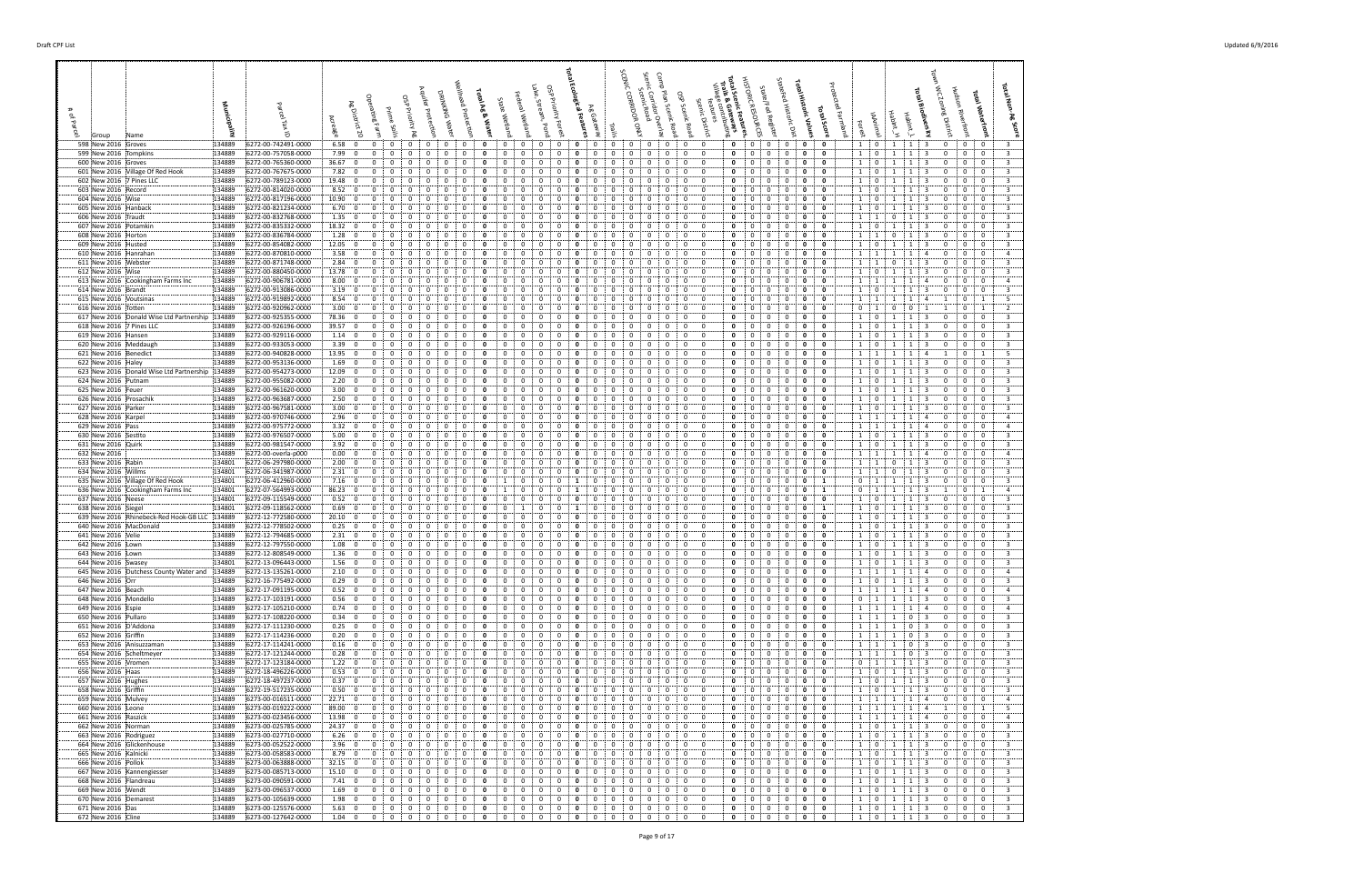| 598 New 2016 Groves<br>134889                                                             | 6272-00-742491-0000                        | 6.58:0<br>$\mathbf{0}$                                                       | 0<br>0                                                                                        | 0<br>0                                                                                                           | 0<br>0                                                                                           | 0<br>0<br>0<br>0<br>0:                                                                                                                             | $\mathbf{0}$<br>$\mathbf{0}$<br>0<br>0                                                                                                        | 0<br>$\mathbf{0}$<br>1 0                                                             | $1 \mid 3$<br>0 <sup>1</sup><br>1<br>0<br>- 0<br>-3                                                                                                                                                       |
|-------------------------------------------------------------------------------------------|--------------------------------------------|------------------------------------------------------------------------------|-----------------------------------------------------------------------------------------------|------------------------------------------------------------------------------------------------------------------|--------------------------------------------------------------------------------------------------|----------------------------------------------------------------------------------------------------------------------------------------------------|-----------------------------------------------------------------------------------------------------------------------------------------------|--------------------------------------------------------------------------------------|-----------------------------------------------------------------------------------------------------------------------------------------------------------------------------------------------------------|
| 599 New 2016 Tompkins<br>134889                                                           | 6272-00-757058-0000                        | 7.99 0<br>0                                                                  | 0<br>0<br>0                                                                                   | 0<br>0<br>0<br>0                                                                                                 | 0<br>0                                                                                           | 0<br>0<br>0<br>0                                                                                                                                   | 0<br>0<br>$\mathbf{0}$<br>$\mathbf{0}$                                                                                                        | 0<br>$\mathbf{o}$<br>$\mathbf{1}$<br>$\overline{0}$                                  | 0<br>$\mathbf{0}$<br>$\bf{0}$<br>$\overline{\mathbf{3}}$<br>1<br>1<br>-3                                                                                                                                  |
| 600 New 2016 Groves<br>134889<br>601 New 2016 Village Of Red Hook<br>134889               | 6272-00-765360-0000<br>6272-00-767675-0000 | 36.67:0<br>$\Omega$<br>7.82:0<br>$\Omega$                                    | - 0<br>$\Omega$<br>- 0<br>0                                                                   | $\Omega$<br>0<br>$\Omega$<br>0                                                                                   | $\Omega$<br>$\Omega$<br>0<br>$\Omega$                                                            | 0<br>$\Omega$<br>0<br>$\Omega$<br>$\Omega$<br>$\Omega$                                                                                             | $\Omega$<br>$\Omega$<br>$\Omega$<br>0<br>$\mathbf{0}$<br>$^{\circ}$<br>$\mathbf 0$<br>$\Omega$<br>- 0                                         | 0<br>1<br>0<br>0<br>0<br>0<br>1 0                                                    | -3<br>$\mathbf{0}$<br>0<br>3<br>0<br>3<br>0<br>0<br>$\mathbf{0}$<br>3<br>$\mathbf{1}$<br>1                                                                                                                |
| 602 New 2016 7 Pines LLC<br>134889<br>134889                                              | 6272-00-789123-0000<br>6272-00-814020-0000 | 19.48<br>0<br>$\mathbf 0$<br>8.52:0<br>0                                     | 0                                                                                             | 0<br>$\Omega$<br>0<br>0<br>$\Omega$                                                                              | 0<br>$\Omega$                                                                                    | $^{\circ}$<br>0<br>0<br>0                                                                                                                          | 0<br>$\Omega$<br>0<br>0<br>0<br>0                                                                                                             | 0<br>0<br>$\mathbf{1}$<br>$\mathbf{0}$<br>0<br>0<br>$1 \quad 0$                      | 3<br>0<br>0<br>3<br>0<br>-1<br>0<br>$\mathbf 0$<br>3<br>-3<br>0                                                                                                                                           |
| 603 New 2016 Record<br>604 New 2016 Wise<br>134889                                        | 6272-00-817196-0000                        | $10.90\,$ 0<br>0                                                             | $\Omega$<br>$\Omega$<br>$\Omega$                                                              | $\Omega$<br>$\Omega$<br>0<br>$\Omega$                                                                            | $\Omega$<br>0<br>0                                                                               | $\Omega$<br>0<br>0<br>$\Omega$                                                                                                                     | $\Omega$<br>$\Omega$<br>$\Omega$<br>$\mathbf 0$<br>$\Omega$                                                                                   | $\mathbf 0$<br>$\mathbf 0$<br>$1 \quad 0$                                            | $\overline{0}$<br>$\overline{\mathbf{3}}$<br>3<br>$\mathbf 0$<br>$\mathbf{0}$<br>-1<br>-1                                                                                                                 |
| 134889<br>605 New 2016 Hanback<br>606 New 2016 Traudt<br>134889                           | 6272-00-821234-0000<br>6272-00-832768-0000 | 6.70:0<br>0<br>1.35:0<br>$\overline{0}$                                      | 0<br>0<br>0<br>0                                                                              | 0<br>o<br>0<br>0<br>0<br>0<br>0<br>$\Omega$                                                                      | $\Omega$<br>0<br>0<br>0<br>0                                                                     | 0<br>0<br>0<br>0<br>0<br>0<br>0<br>0<br>$\Omega$                                                                                                   | 0<br>$\Omega$<br>$\mathbf{0}$<br>- 0<br>0<br>$\mathbf{0}$<br>$\overline{0}$<br>0<br>$\Omega$                                                  | 0<br>0<br>1<br>$\mathbf{0}$<br>1<br>0<br>$\mathbf 0$<br>1                            | 3<br>$\mathbf{1}$<br>1<br>-3<br>0<br>0<br>- 0<br>$\mathbf 0$<br>$\overline{0}$<br>$\overline{\mathbf{3}}$<br>3<br>$\mathbf{0}$<br>1<br>0                                                                  |
| 134889<br>607 New 2016 Potamkin                                                           | 6272-00-835332-0000                        | 18.32:0<br>0                                                                 | $\Omega$<br>0                                                                                 | 0<br>$\Omega$<br>0<br>$\Omega$                                                                                   | $\Omega$                                                                                         | $\Omega$<br>$^{\circ}$<br>$\Omega$<br>0<br>$\Omega$                                                                                                | $\Omega$<br>$\Omega$<br>$\mathbf 0$<br>$\Omega$                                                                                               | 0<br>$\mathbf 0$<br>$1 \t0$                                                          | $\mathbf 0$<br>$\overline{0}$<br>-3<br>3<br>1<br>1<br>0                                                                                                                                                   |
| 134889<br>608 New 2016 Horton<br>134889<br>609 New 2016 Husted                            | 6272-00-836784-0000<br>6272-00-854082-0000 | 1.28:0<br>$\Omega$<br>12.05<br>$\mathbf{0}$<br>0                             | 0<br>$\Omega$                                                                                 | 0<br>-0<br>0<br>0<br>0<br>0                                                                                      | 0                                                                                                | 0<br>$\Omega$<br>0<br>0<br>$^{\circ}$<br>0<br>$\Omega$                                                                                             | $\Omega$<br>$\Omega$<br>$\Omega$<br>- 0<br>$\mathbf 0$<br>$\Omega$<br>$\mathbf{0}$<br>$\Omega$<br>0                                           | 0<br>0<br>1 <sup>1</sup><br>$\overline{1}$<br>0<br>$\mathbf 0$<br>$\mathbf{0}$<br>1  | 0<br>$\mathbf{0}$<br>3<br>$\Omega$<br>- 0<br>-3<br>$\overline{0}$<br>$\overline{\mathbf{3}}$<br>0<br>-3<br>0<br>-1                                                                                        |
| 610 New 2016 Hanrahan<br>134889                                                           | 6272-00-870810-0000                        | 3.58<br>0<br>$\mathbf{0}$                                                    | $\Omega$<br>0                                                                                 | $\Omega$<br>0<br>0<br>$\Omega$<br>0                                                                              | 0<br>$\Omega$                                                                                    | 0<br>0<br>$\Omega$<br>$\Omega$<br>0<br>$\Omega$                                                                                                    | $\mathbf{0}$<br>$\Omega$<br>$\Omega$<br>$\mathbf 0$<br>$\Omega$<br>$\mathbf 0$<br>$\mathbf 0$<br>$\Omega$                                     | $\mathbf 0$<br>0<br>$1 \cdot 1$<br>0                                                 | $\Omega$<br>$\mathbf{0}$<br>$\mathbf{0}$<br>$\overline{4}$<br>-1<br>-1<br>4                                                                                                                               |
| 611 New 2016 Webster<br>134889<br>612 New 2016 Wise<br>134889                             | 6272-00-871748-0000<br>6272-00-880450-0000 | 2.84:<br>$\mathbf{0}$<br>0<br>13.78:0<br>0                                   | 0<br>0<br>0                                                                                   | 0<br>0<br>0<br>0<br>0                                                                                            | 0<br>0                                                                                           | 0<br>0<br>0<br>$\Omega$<br>0<br>0<br>0                                                                                                             | 0<br>0<br>$\mathbf 0$<br>0<br>$\Omega$                                                                                                        | 1<br>$\mathbf{0}$<br>1<br>0<br>0<br>1 <sup>1</sup><br>$\overline{0}$                 | $\mathbf{0}$<br>$\mathbf 0$<br>3<br>0<br>0<br>0<br>0<br>3<br>1<br>1<br>-3<br>0                                                                                                                            |
| 613 New 2016 Cookingham Farms Inc<br>134889<br>614 New 2016 Brandt<br>134889              | 6272-00-906781-0000<br>6272-00-913086-0000 | 8.00:<br>$\overline{0}$<br>$\mathbf{0}$<br>3.19:<br>$\Omega$<br>$\mathbf{0}$ | $\Omega$<br>0<br>$\Omega$<br>0                                                                | 0<br>0<br>0<br>$\Omega$<br>$\Omega$<br>$\Omega$                                                                  | 0<br>0<br>$\Omega$<br>$\Omega$                                                                   | 0<br>$\overline{0}$<br>$\Omega$<br>0<br>0<br>$\Omega$                                                                                              | 0<br>$\mathbf 0$<br>$\Omega$<br>$\overline{0}$<br>$\Omega$<br>$\Omega$<br>$\Omega$<br>0                                                       | 0<br>1<br>0<br>1<br>0<br>$\mathbf{0}$<br>$1 \quad 0$                                 | $\mathbf 0$<br>$\Omega$<br>$\overline{4}$<br>0<br>1<br>-1<br>-4<br>$\Omega$<br>$\Omega$<br>3<br>$\Omega$                                                                                                  |
| 134889<br>615 New 2016 Voutsinas                                                          | 6272-00-919892-0000                        | 8.54:0<br>$\Omega$                                                           | $\Omega$<br>$\Omega$<br>$\Omega$                                                              | $\Omega$<br>$\Omega$<br>0<br>$\Omega$                                                                            | $\Omega$<br>0<br>n<br>0                                                                          | $\Omega$<br>$^{\circ}$<br>$\Omega$<br>0<br>$\Omega$                                                                                                | $\Omega$<br>$\Omega$<br>$\mathbf 0$<br>$\Omega$<br>- 0                                                                                        | $\mathbf{0}$<br>$\mathbf 0$<br>1 1                                                   | $\mathbf{0}$<br>- 5<br>$\overline{a}$<br>1<br>-1<br>-1                                                                                                                                                    |
| 134889<br>616 New 2016 Totten<br>617 New 2016 Donald Wise Ltd Partnership 134889          | 6272-00-920962-0000<br>6272-00-925355-0000 | 3.00:<br>$\mathbf{0}$<br>0<br>78.36   0<br>0                                 | 0<br>0                                                                                        | 0<br>0<br>0<br>0                                                                                                 | 0<br>0                                                                                           | 0<br>0<br>0<br>0<br>0<br>$\Omega$                                                                                                                  | 0<br>$\Omega$<br>$\mathbf{0}$<br>0<br>0<br>0<br>$\Omega$<br>- 0                                                                               | 0<br>0<br>$\mathbf 0$<br>1<br>0<br>0<br>$1 \quad 0$                                  | $\overline{2}$<br>$^{\circ}$<br>0<br>1<br>$\mathbf 0$<br>$\mathbf 0$<br>3<br>1<br>-3<br>0                                                                                                                 |
| 618 New 2016 7 Pines LLC<br>134889                                                        | 6272-00-926196-0000                        | 39.57<br>$\mathbf 0$<br>0                                                    |                                                                                               | 0<br>$\Omega$                                                                                                    | 0<br>0                                                                                           | $\Omega$<br>$^{\circ}$<br>0                                                                                                                        | 0<br>0<br>$\mathbf 0$<br>$\Omega$<br>0                                                                                                        | 0<br>$1 \quad 0$<br>0                                                                | $\overline{0}$<br>$\overline{\mathbf{3}}$<br>-3<br>0<br>$\mathbf 0$<br>1<br>-1                                                                                                                            |
| 619 New 2016 Hansen<br>134889<br>620 New 2016 Meddaugh<br>134889                          | 6272-00-929116-0000<br>6272-00-933053-0000 | 1.14:0<br>$\Omega$<br>3.39:0<br>0                                            | $\Omega$<br>$\Omega$<br>0<br>0                                                                | $\Omega$<br>0<br>0<br>$\Omega$<br>$\Omega$<br>0<br>0<br>$\Omega$<br>$\Omega$                                     | 0<br>0<br>0<br>0                                                                                 | $\Omega$<br>$\Omega$<br>$\Omega$<br>0<br>$\Omega$<br>0<br>0<br>$\mathbf{0}$<br>$\Omega$                                                            | $\Omega$<br>$\Omega$<br>$\Omega$<br>$\Omega$<br>$\mathbf 0$<br>$\mathbf{0}$<br>$\mathbf 0$<br>$\Omega$<br>$\Omega$                            | 0<br>0<br>1<br>$\overline{0}$<br>0<br>$\mathbf 0$<br>1<br>$\overline{\mathbf{0}}$    | $\overline{\mathbf{3}}$<br>$\Omega$<br>$\Omega$<br>$\mathbf{0}$<br>$\mathbf{1}$<br>-1<br>3<br>$\mathbf 0$<br>$\overline{0}$<br>$\overline{\mathbf{3}}$<br>-3<br>0<br>1<br>-1                              |
| 621 New 2016 Benedict<br>134889<br>622 New 2016 Haley<br>134889                           | 6272-00-940828-0000<br>6272-00-953136-0000 | 13.95<br>$\overline{0}$<br>$\mathbf{0}$<br>1.69; 0<br>$\Omega$               | 0<br>0<br>$\Omega$<br>$\Omega$<br>$\Omega$                                                    | 0<br>0<br>$\Omega$<br>0<br>0<br>$\Omega$<br>$\Omega$                                                             | 0<br>$\Omega$<br>$\Omega$                                                                        | 0<br>0<br>$\Omega$<br>0<br>$\Omega$<br>$\mathbf 0$<br>$\Omega$<br>0<br>$^{\circ}$                                                                  | $\Omega$<br>$\Omega$<br>$\mathbf 0$<br>$\Omega$<br>0<br>$\Omega$<br>$\Omega$<br>$\Omega$<br>$\Omega$                                          | 0<br>0<br>1 1<br>$\mathbf{0}$<br>0<br>1 0                                            | $\mathbf{0}$<br>- 5<br>-1<br>4<br>$\overline{1}$<br>$\mathbf 0$<br>$\overline{\mathbf{3}}$<br>$\mathbf{0}$<br>-1<br>-1<br>3<br>$\Omega$                                                                   |
| 623 New 2016 Donald Wise Ltd Partnership 134889                                           | 6272-00-954273-0000                        | 12.09:0<br>0                                                                 | 0<br>0<br>$\Omega$                                                                            | $\Omega$<br>0<br>0<br>$\Omega$                                                                                   | 0<br>0<br>0<br>0                                                                                 | 0<br>$\mathbf{0}$<br>$\Omega$<br>0<br>$^{\circ}$                                                                                                   | 0<br>$\mathbf 0$<br>$\mathbf 0$<br>$\Omega$<br>$\Omega$                                                                                       | $\mathbf 0$<br>0<br>$1 \cdot 0$                                                      | $\overline{\mathbf{3}}$<br>$\mathbf{0}$<br>$\mathbf{0}$<br>1<br>1<br>-3<br>0                                                                                                                              |
| 624 New 2016 Putnam<br>134889<br>625 New 2016 Feuer<br>134889                             | 6272-00-955082-0000<br>6272-00-961620-0000 | 2.20; 0<br>0<br>3.00:0<br>$\overline{0}$                                     | 0<br>0<br>0<br>0                                                                              | 0<br>0<br>0<br>0<br>$\Omega$<br>$\Omega$                                                                         | 0<br>0<br>0<br>0                                                                                 | $\mathbf{0}$<br>0<br>0<br>0<br>$^{\circ}$<br>$\mathbf{0}$<br>$\Omega$                                                                              | $\Omega$<br>$\overline{0}$<br>0<br>0<br>$\Omega$<br>$\Omega$<br>$\Omega$<br>$\mathbf 0$<br>$\Omega$<br>$\Omega$                               | 0<br>0<br>$1 \t 0$<br>0<br>1 0<br>0                                                  | 1<br>0<br>$\mathbf{0}$<br>$\mathbf 0$<br>3<br>1<br>-3<br>$\mathbf{0}$<br>$\overline{0}$<br>$\overline{\mathbf{3}}$<br>-3<br>0<br>-1<br>1                                                                  |
| 626 New 2016 Prosachik<br>134889                                                          | 6272-00-963687-0000                        | 2.50:0<br>$\overline{0}$                                                     | $\Omega$<br>$\Omega$<br>$\Omega$<br>$\Omega$                                                  | $\Omega$<br>$\Omega$<br>0<br>$\Omega$                                                                            | $\Omega$<br>$\Omega$<br>n<br>$\Omega$                                                            | $\Omega$<br>$\Omega$<br>0<br>$\mathbf{0}$<br>$\mathbf{0}$                                                                                          | $\mathbf{0}$<br>$\Omega$<br>$^{\circ}$<br>$\mathbf 0$<br>$\Omega$                                                                             | $\mathbf 0$<br>0<br>$1 \quad 0$                                                      | -3<br>0<br>0<br>$\mathbf{0}$<br>3<br>$\mathbf{1}$<br>-1                                                                                                                                                   |
| 627 New 2016 Parker<br>134889<br>628 New 2016 Karpel<br>134889                            | 6272-00-967581-0000<br>6272-00-970746-0000 | 3.00:<br>$\mathbf 0$<br>0<br>2.96:0<br>0                                     | 0<br>0<br>0                                                                                   | 0<br>$\Omega$<br>0<br>$\Omega$<br>0                                                                              | $\Omega$<br>$\Omega$<br>0                                                                        | $\mathbf 0$<br>$\Omega$<br>0<br>0<br>0<br>$\Omega$                                                                                                 | 0<br>$\mathbf 0$<br>$\Omega$<br>0<br>$\Omega$<br>$\mathbf{0}$                                                                                 | 0<br>$\mathbf{0}$<br>$\mathbf{1}$<br>$\mathbf{0}$<br>0<br>0<br>1 1                   | $\mathbf 0$<br>$\Omega$<br>$\overline{\mathbf{3}}$<br>0<br>-1<br>-3<br>0<br>$\mathbf 0$<br>$\overline{4}$<br>4<br>0                                                                                       |
| 629 New 2016 Pass<br>134889<br>630 New 2016 Sestito<br>134889                             | 6272-00-975772-0000<br>6272-00-976507-0000 | 3.32:0<br>$\Omega$<br>5.00; 0<br>0                                           | $\Omega$<br>$\Omega$<br>$\Omega$<br>0<br>0                                                    | $\Omega$<br>0<br>0<br>$\Omega$<br>0<br>0<br>0<br>0                                                               | $\Omega$<br>$\Omega$<br>-0<br>0<br>0<br>0                                                        | $\Omega$<br>$\mathbf{0}$<br>$\Omega$<br>$\Omega$<br>0<br>0<br>0<br>0<br>$\Omega$                                                                   | $\Omega$<br>$^{\circ}$<br>$\mathbf 0$<br>$\Omega$<br>$\Omega$<br>0<br>$\Omega$<br>0<br>$\mathbf{0}$<br>0                                      | $\mathbf 0$<br>$\mathbf 0$<br>$1 \quad 1$<br>0<br>0<br>$\mathbf{1}$<br>$\mathbf{0}$  | 0<br>$\mathbf{0}$<br>$\mathbf{0}$<br>-1<br>4<br>$\overline{4}$<br>-1<br>0<br>3<br>1<br>-3<br>0<br>$\mathbf{0}$<br>-1                                                                                      |
| 631 New 2016 Quirk<br>134889                                                              | 6272-00-981547-0000                        | 3.92:0<br>$\overline{0}$                                                     | 0<br>0                                                                                        | 0<br>0<br>0<br>$\Omega$                                                                                          | 0<br>0                                                                                           | 0<br>0<br>0<br>0<br>$\Omega$                                                                                                                       | 0<br>$\mathbf 0$<br>$\overline{0}$<br>$\mathbf 0$<br>$\Omega$                                                                                 | $\mathbf 0$<br>1<br>0<br>$\overline{0}$                                              | $\mathbf 0$<br>$\overline{0}$<br>$\overline{\mathbf{3}}$<br>1<br>1<br>3<br>0                                                                                                                              |
| 632 New 2016<br>134889<br>633 New 2016 Rabin<br>134801                                    | 6272-00-overla-p000<br>6272-06-297980-0000 | 0.00: 0<br>0<br>2.00:0<br>$\Omega$                                           | $\Omega$<br>0<br>0<br>0                                                                       | 0<br>0<br>0<br>$\Omega$<br>0<br>0<br>$\Omega$<br>$\Omega$<br>$\Omega$                                            | $\Omega$<br>$\Omega$<br>0                                                                        | 0<br>$^{\circ}$<br>$\Omega$<br>0<br>$\Omega$<br>$\Omega$<br>$\Omega$<br>0<br>$\Omega$<br>$^{\circ}$                                                | $\Omega$<br>$\overline{0}$<br>$\mathbf 0$<br>$\Omega$<br>$\Omega$<br>$\Omega$<br>$\Omega$<br>$\Omega$<br>$\Omega$<br>$\Omega$                 | 0<br>$1 \quad 1$<br>0<br>0<br>$\mathbf 0$<br>1<br>$\overline{1}$                     | $\mathbf 0$<br>0<br>$\overline{a}$<br>-1<br>$\mathbf{1}$<br>-4<br>0<br>$\mathbf{0}$<br>$\mathbf{0}$<br>3<br>3<br>$\Omega$<br>0<br>-1                                                                      |
| 634 New 2016 Willms<br>134801                                                             | 6272-06-341987-0000                        | $2.31 \begin{array}{ c} 0 \end{array}$<br>0                                  | 0                                                                                             | $\Omega$<br>0<br>0                                                                                               | 0<br>0                                                                                           | 0<br>$^{\circ}$<br>0<br>$\Omega$                                                                                                                   | $\mathbf 0$<br>$\overline{0}$<br>$\mathbf 0$<br>$\Omega$<br>$\Omega$                                                                          | 0<br>$\mathbf 0$<br>-1<br>-1                                                         | $\overline{\mathbf{3}}$<br>$\overline{0}$<br>-3<br>0<br>0<br>0<br>-1                                                                                                                                      |
| 635 New 2016 Village Of Red Hook<br>134801<br>636 New 2016 Cookingham Farms Inc<br>134801 | 6272-06-412960-0000<br>6272-07-564993-0000 | 7.16; 0<br>0<br>86.23:0<br>0                                                 | $\Omega$<br>0<br>$\Omega$<br>$\Omega$                                                         | 0<br>0<br>0<br>-1<br>$\Omega$                                                                                    | 0<br>0<br>$\Omega$                                                                               | $\mathbf{0}$<br>0<br>0<br>$\Omega$<br>$\Omega$<br>0<br>0<br>$\Omega$<br>0<br>$\Omega$                                                              | $\mathbf 0$<br>$\Omega$<br>$\overline{0}$<br>$\mathbf 0$<br>$\Omega$<br>0<br>$\overline{0}$<br>$\mathbf 0$<br>$\Omega$                        | $0$ :<br>0<br>1<br><sup>1</sup><br>0<br>$\mathbf{0}$<br>1<br>1                       | 0<br>$\mathbf{0}$<br>$\mathbf 0$<br>3<br>-1<br>-3<br>-1<br>$\mathbf{0}$<br>1<br>-1<br>1<br>$\overline{4}$                                                                                                 |
| 637 New 2016 Neese<br>134801<br>638 New 2016 Siegel<br>134801                             | 6272-09-115549-0000<br>6272-09-118562-0000 | 0.52: 0<br>0<br>0.69:<br>$\mathbf 0$<br>0                                    | 0<br>0<br>0<br>0<br>0<br>$\Omega$<br>0                                                        | 0<br>0<br>0<br>0<br>0<br>$\Omega$<br>0                                                                           | $\mathbf 0$<br>0<br>0<br>0<br>0<br>$\Omega$                                                      | 0<br>$\mathbf{0}$<br>$^{\circ}$<br>0<br>$\mathbf{0}$<br>0<br>$^{\circ}$<br>0<br>$\Omega$                                                           | 0<br>$\mathbf 0$<br>$\mathbf{0}$<br>$\Omega$<br>$\mathbf{0}$<br>0<br>$\Omega$<br>$\Omega$<br>$\mathbf 0$<br>$\Omega$                          | 0<br>0<br>1:<br>$\overline{0}$<br>0<br>1 <sup>1</sup><br>1<br>$\overline{0}$         | $\mathbf{0}$<br>$\mathbf{0}$<br>3<br>1<br>$\mathbf{1}$<br>3<br>$\mathbf{0}$<br>$\mathbf 0$<br>$\overline{0}$<br>3<br>3<br>0<br>-1<br>1                                                                    |
| 639 New 2016 Rhinebeck-Red Hook-GB LLC 134889                                             | 6272-12-772580-0000                        | 20.10:0<br>0                                                                 | $\Omega$                                                                                      | $\Omega$<br>$\Omega$                                                                                             | 0                                                                                                | $^{\circ}$<br>0<br>$\Omega$                                                                                                                        | $\Omega$<br>$\Omega$<br>0                                                                                                                     | 0<br>0<br>1<br>$\mathbf 0$                                                           | $\mathbf{0}$<br>$\mathbf 0$<br>3<br>-3<br>$\Omega$                                                                                                                                                        |
| 134889<br>640 New 2016 MacDonald<br>641 New 2016 Velie<br>134889                          | 6272-12-778502-0000<br>6272-12-794685-0000 | 0.25: 0<br>$\Omega$<br>2.31:0<br>0                                           | $\Omega$<br>$\Omega$<br>$\Omega$<br>n<br>0                                                    | $\Omega$<br>$\Omega$<br>0<br>$\Omega$<br>0                                                                       | $\Omega$<br>$\Omega$<br>$\Omega$<br>-0<br>0                                                      | $\Omega$<br>$\Omega$<br>$^{\circ}$<br>$\Omega$<br>$\Omega$<br>0<br>0<br>0                                                                          | $\Omega$<br>$\Omega$<br>$\Omega$<br>$\Omega$<br>$\Omega$<br>0<br>$\Omega$<br>0<br>$\mathbf{0}$                                                | 0<br>$\mathbf 0$<br>$1$ ;<br>$\mathbf{0}$<br>0<br>0<br>1<br>$\mathbf 0$              | $\mathbf 0$<br>$\overline{3}$<br>-3<br>$\Omega$<br>$\mathbf{0}$<br>$\mathbf{1}$<br>-1<br>3<br>0<br>0<br>- 0<br>-1                                                                                         |
| 642 New 2016 Lown<br>134889                                                               | 6272-12-797550-0000                        | 1.08:0<br>$\overline{0}$                                                     | $\Omega$<br>0<br>0                                                                            | 0<br>0<br>$\Omega$<br>0                                                                                          | 0<br>0<br>0<br>$\Omega$                                                                          | 0<br>$\Omega$<br>0<br>0<br>$\Omega$                                                                                                                | $\mathbf 0$<br>$\mathbf 0$<br>0<br>$\Omega$<br>$\Omega$<br>$\Omega$                                                                           | 0<br>$\mathbf 0$<br>$1 \quad 0$                                                      | $\overline{\mathbf{3}}$<br>$\mathbf{0}$<br>$\bf{0}$<br>1<br>1<br>-3<br>0                                                                                                                                  |
| 643 New 2016 Lown<br>134889<br>644 New 2016 Swasey<br>134801                              | 6272-12-808549-0000<br>6272-13-096443-0000 | 1.36:<br>$\mathbf 0$<br>$\overline{0}$<br>1.56:0<br>$\mathbf 0$              | $\mathbf 0$<br>0<br>0<br>0<br>$\mathbf{0}$<br>$\overline{0}$<br>$\mathbf{0}$<br>$\mathbf{0}$  | 0<br>$\overline{0}$<br>0<br>0<br>$\mathbf 0$<br>$\Omega$<br>$\mathbf{0}$<br>$\mathbf 0$                          | $\mathbf{0}$<br>0<br>0<br>$\Omega$<br>$\mathbf 0$<br>$\mathbf{0}$<br>$\mathbf 0$<br>$\mathbf{0}$ | $\mathbf 0$<br>0<br>$\mathbf{0}$<br>0<br>$\mathbf{0}$<br>$\mathbf{0}$<br>$\mathbf{0}$<br>$\mathbf 0$<br>$\mathbf{0}$<br>0 <sub>1</sub>             | 0<br>$\mathbf 0$<br>$\mathbf 0$<br>$\Omega$<br>$\mathbf 0$<br>$\overline{0}$<br>$\mathbf{0}$<br>$\mathbf{0}$<br>$\mathbf{0}$                  | 0<br>$\mathbf 0$<br>$1$ ;<br>$\overline{0}$<br>$\mathbf 0$<br>$1 \t0$<br>$\mathbf 0$ | $\overline{\mathbf{3}}$<br>$\overline{\mathbf{3}}$<br>$\mathbf 0$<br>$\mathbf{0}$<br>0<br>1<br>1<br>1<br>$1 \mid 3$<br>$\mathbf{0}$<br>0<br>$\mathbf{0}$<br>3                                             |
| 645 New 2016 Dutchess County Water and 134889<br>646 New 2016 Orr<br>134889               | 6272-13-135261-0000<br>6272-16-775492-0000 | 2.10:0<br>$\mathbf 0$<br>0.29:0<br>$\overline{0}$                            | $\mathbf 0$<br>$\mathbf 0$<br>$\Omega$<br>0<br>$\mathbf 0$<br>$\mathbf 0$<br>$\mathbf 0$      | $\mathbf{0}$<br>0<br>0<br>$\Omega$<br>$\mathbf 0$<br>0<br>$\mathbf{0}$<br>$\mathbf{0}$                           | $\mathbf 0$<br>$\Omega$<br>0<br>$\mathbf{0}$<br>0<br>0                                           | 0<br>$\mathbf 0$<br>0<br>0<br>$\mathbf{0}$<br>$\mathbf 0$<br>0<br>$\mathbf{0}$<br>$^{\circ}$                                                       | 0<br>$\Omega$<br>$\mathbf{0}$<br>$\mathbf 0$<br>$\mathbf 0$<br>0<br>$\mathbf{0}$<br>$^{\circ}$<br>$\mathbf{0}$                                | 0<br>$\mathbf 0$<br>- 1<br>0<br>0<br>1 0                                             | $\Omega$<br>$\overline{0}$<br>0<br>$\mathbf{A}$<br>3<br>0<br>$\mathbf{0}$<br>$\mathbf{0}$<br>3<br>$\mathbf{1}$<br>1                                                                                       |
| 647 New 2016 Beach<br>134889                                                              | 6272-17-091195-0000                        | 0.52; 0<br>$\overline{0}$                                                    | 0<br>$\Omega$<br>$\Omega$<br>$\Omega$                                                         | 0<br>$\Omega$<br>$\Omega$<br>0                                                                                   | $\Omega$<br>0<br>0<br>$\Omega$                                                                   | 0<br>$\mathbf{0}$<br>$\Omega$<br>0<br>$\Omega$                                                                                                     | $\mathbf{0}$<br>0<br>$\Omega$<br>$\mathbf 0$<br>$\Omega$                                                                                      | 0<br>$\mathbf 0$<br>1:1                                                              | $\mathbf{0}$<br>$\mathbf{0}$<br>$\overline{4}$<br>0<br>-1<br>-1<br>4                                                                                                                                      |
| 648 New 2016 Mondello<br>134889<br>649 New 2016 Espie<br>134889                           | 6272-17-103191-0000<br>6272-17-105210-0000 | 0.56; 0<br>$\mathbf 0$<br>0.74:0<br>$\overline{0}$                           | $\mathbf 0$<br>$\bf{0}$<br>$\mathbf{0}$<br>$\mathbf{0}$<br>0<br>$\mathbf{0}$<br>$\bf{0}$<br>0 | $\mathbf 0$<br>0<br>$\mathbf{0}$<br>0<br>$\mathbf 0$<br>0<br>$\bf{0}$<br>0                                       | $\mathbf 0$<br>$\mathbf{0}$<br>0<br>0<br>$\bf{0}$<br>$\mathbf{0}$<br>0<br>$\Omega$               | $\mathbf 0$<br>0<br>0 <sub>1</sub><br>$\mathbf{0}$<br>$\mathbf{0}$<br>$\mathbf 0$<br>$\mathbf{0}$<br>$\mathbf{0}$<br>$\mathbf 0$<br>$\overline{0}$ | $\mathbf 0$<br>$\mathbf{0}$<br>$\mathbf 0$<br>$\bf{0}$<br>$\mathbf{0}$<br>$\mathbf{0}$<br>0<br>$\mathbf{0}$<br>$\bf{0}$<br>$\mathbf{0}$       | $\mathbf 0$<br>0<br>$0 \quad 1$<br>$\mathbf 0$<br>0<br>$1 \quad 1$                   | $\overline{\mathbf{3}}$<br>0 <sup>1</sup><br>$\mathbf{0}$<br>$\overline{\mathbf{3}}$<br>1<br>1<br>$\mathbf{0}$<br>1<br>1<br>$\mathbf{0}$<br>$\mathbf{0}$<br>$\overline{0}$<br>$\overline{4}$<br>4         |
| 650 New 2016 Pullaro<br>134889<br>651 New 2016 D'Addona<br>134889                         | 6272-17-108220-0000<br>6272-17-111230-0000 | 0.34:0<br>$\mathbf 0$<br>0.25:0<br>$\mathbf{0}$                              | $\mathbf 0$<br>$\Omega$<br>0<br>0<br>$\Omega$<br>$\mathbf{0}$<br>$\Omega$<br>$\Omega$         | $\mathbf 0$<br>$\mathbf 0$<br>$\mathbf{0}$<br>$\mathbf{0}$<br>$\mathbf 0$<br>0<br>$\overline{0}$<br>$\mathbf{0}$ | 0<br>0<br>0<br>0<br>$^{\circ}$<br>0<br>$\Omega$<br>$\Omega$                                      | $\Omega$<br>$\mathbf{0}$<br>0<br>$\mathbf{0}$<br>$\mathbf{0}$<br>$\mathbf{0}$<br>$\mathbf{0}$<br>$\Omega$<br>$\Omega$<br>$\Omega$                  | $\mathbf 0$<br>$\mathbf 0$<br>$\mathbf{0}$<br>$\mathbf{0}$<br>$\mathbf{0}$<br>0<br>$\mathbf 0$<br>$\mathbf{0}$<br>$\Omega$<br>$\mathbf{0}$    | 0<br>$\mathbf 0$<br>$1 \quad 1$<br>$\mathbf 0$<br>$\mathbf 0$<br>1:1                 | $\mathbf{0}$<br>$\overline{\mathbf{3}}$<br>$\mathbf{0}$<br>$\overline{\mathbf{3}}$<br>$\mathbf{0}$<br>1<br>0<br>$\mathbf 0$<br>i 3<br>$\mathbf{0}$<br>0 <sup>1</sup><br>$\mathbf{0}$<br>3<br>$\mathbf{1}$ |
| 652 New 2016 Griffin<br>134889                                                            | 6272-17-114236-0000                        | 0.20:0<br>$\overline{0}$                                                     | $\Omega$<br>0<br>0<br>0                                                                       | 0<br>0<br>0<br>$^{\circ}$                                                                                        | 0<br>0<br>$\Omega$                                                                               | $\overline{0}$<br>0<br>0<br>0                                                                                                                      | $\mathbf 0$<br>$\Omega$<br>$\overline{0}$<br>$\mathbf{0}$<br>$\mathbf{0}$                                                                     | 0<br>0<br>$1 \quad 1$                                                                | $\overline{\mathbf{3}}$<br>$\mathbf 0$<br>3<br>0<br>$\mathbf 0$<br>$\mathbf 0$<br>$\overline{1}$                                                                                                          |
| 653 New 2016 Anisuzzaman<br>134889<br>654 New 2016 Scheltmeyer<br>134889                  | 6272-17-114241-0000<br>6272-17-121244-0000 | 0.16:0<br>$\mathbf 0$<br>0.28: 0<br>$\mathbf 0$                              | $\Omega$<br>0<br>0<br>$\Omega$<br>0<br>$\Omega$<br>$\Omega$                                   | 0<br>$\overline{0}$<br>0<br>0<br>$\mathbf{0}$<br>$\Omega$<br>0<br>$\mathbf{0}$                                   | 0<br>0<br>$\Omega$<br>0<br>0<br>$\mathbf 0$<br>n<br>$\Omega$                                     | 0<br>0<br>0<br>$^{\circ}$<br>$\mathbf{0}$<br>$\mathbf 0$<br>$\Omega$<br>$\Omega$<br>$\mathbf{0}$                                                   | $\mathbf{0}$<br>$\mathbf 0$<br>0<br>$\mathbf{0}$<br>0<br>$\mathbf 0$<br>$\mathbf 0$<br>$\mathbf{0}$<br>$\mathbf 0$<br>$\mathbf{0}$            | 0<br>0<br>1 1<br>$\mathbf 0$<br>$\mathbf 0$<br>1 1                                   | 0<br>$\mathbf{0}$<br>$\mathbf 0$<br>3<br>-1<br>$^{\circ}$<br>3<br>$\overline{\mathbf{3}}$<br>$\overline{\mathbf{3}}$<br>$\mathbf 0$<br>0<br>$\mathbf{0}$<br>$\mathbf{0}$<br>-1                            |
| 655 New 2016 Vromen<br>134889                                                             | 6272-17-123184-0000                        | 1.22:0<br>$\mathbf{0}$                                                       | 0<br>0<br>0<br>0                                                                              | 0<br>0<br>0<br>0                                                                                                 | $\mathbf{0}$<br>0<br>0                                                                           | $\mathbf{0}$<br>$\Omega$<br>0<br>0<br>$^{\circ}$                                                                                                   | 0<br>$\mathbf{0}$<br>$\mathbf 0$<br>$\mathbf{0}$<br>$\mathbf{0}$                                                                              | 0<br>0<br>$0 \quad 1$                                                                | $\overline{\mathbf{3}}$<br>1<br>1<br>-3<br>$\mathbf{0}$<br>0<br>$\mathbf{0}$                                                                                                                              |
| 656 New 2016 Haas<br>134889<br>657 New 2016 Hughes<br>134889                              | 6272-18-496226-0000<br>6272-18-497237-0000 | 0.53; 0<br>$\overline{0}$<br>0.37:0<br>$\mathbf 0$                           | $\mathbf{0}$<br>0<br>0<br>$\Omega$<br>0<br>$\Omega$<br>0                                      | 0<br>0<br>0<br>$\overline{0}$<br>$\Omega$<br>0<br>0<br>0                                                         | 0<br>0<br>$\Omega$<br>0<br>0<br>0<br>0<br>0                                                      | 0<br>0<br>0<br>$\mathbf{0}$<br>$\mathbf 0$<br>$\Omega$<br>0<br>$\mathbf{0}$<br>$\mathbf{0}$<br>0                                                   | $\mathbf 0$<br>0<br>$\mathbf{0}$<br>$\mathbf 0$<br>0<br>$\mathbf 0$<br>$\mathbf 0$<br>$\mathbf 0$<br>$\Omega$<br>$\mathbf 0$                  | 0<br>$\mathbf 0$<br>1:0<br>$\mathbf 0$<br>$\mathbf 0$<br>1 0                         | $\mathbf{0}$<br>$\overline{\mathbf{3}}$<br>1<br>1<br>$\overline{\mathbf{3}}$<br>0<br>$\overline{0}$<br>$\mathbf{0}$<br>$\overline{\mathbf{3}}$<br>3<br>0<br>$\mathbf{0}$<br>1<br>1                        |
| 658 New 2016 Griffin<br>134889<br>659 New 2016 Mulvey<br>134889                           | 6272-19-517235-0000<br>6273-00-016511-0000 | 0.50; 0<br>$\overline{0}$<br>22.71:0<br>$\overline{0}$                       | $\Omega$<br>$\Omega$<br>$\Omega$<br>$\Omega$<br>$\mathbf{0}$<br>0<br>0<br>0                   | 0<br>$\Omega$<br>$\Omega$<br>$\Omega$<br>0<br>0<br>$\Omega$<br>0                                                 | $\Omega$<br>$\Omega$<br>0<br>0<br>0<br>0<br>$\Omega$                                             | 0<br>0<br>$\Omega$<br>$\Omega$<br>$\Omega$<br>0<br>$\mathbf 0$<br>$\Omega$<br>$\mathbf{0}$<br>$\Omega$                                             | $\mathbf 0$<br>$\mathbf{0}$<br>$\Omega$<br>$\mathbf 0$<br>$\Omega$<br>$\mathbf 0$<br>$\mathbf 0$<br>$\mathbf 0$<br>$\mathbf 0$<br>$\mathbf 0$ | $\mathbf{0}$<br>$\mathbf 0$<br>1 0<br>$\mathbf 0$<br>$\mathbf 0$<br>1<br>1           | 0<br>$\mathbf 0$<br>$\mathbf{0}$<br>3<br>-1<br>-3<br>-1<br>$\overline{4}$<br>$\mathbf 0$<br>$\overline{0}$<br>0<br>-1<br>1<br>-4                                                                          |
| 660 New 2016 Leone<br>134889                                                              | 6273-00-019222-0000                        | 89.00 0<br>$\overline{0}$                                                    | 0<br>0<br>0<br>0                                                                              | 0<br>0<br>0<br>$^{\circ}$                                                                                        | $\bf{0}$<br>0<br>0<br>0                                                                          | $\mathbf 0$<br>0<br>$\mathbf{0}$<br>$\mathbf 0$<br>$\mathbf 0$                                                                                     | $\mathbf 0$<br>0<br>0<br>$\bf{0}$<br>$\mathbf{0}$                                                                                             | 0<br>0<br>1 1                                                                        | 1<br>$0 \quad 1$<br>-5<br>-1<br>1<br>$\overline{4}$                                                                                                                                                       |
| 661 New 2016 Raszick<br>134889<br>662 New 2016 Norman<br>134889                           | 6273-00-023456-0000<br>6273-00-025785-0000 | 13.98:0<br>$\overline{0}$<br>24.37 0<br>$\mathbf 0$                          | $\Omega$<br>0<br>0<br>0<br>0<br>$\mathbf 0$<br>$\mathbf{0}$<br>0                              | 0<br>0<br>0<br>0<br>$\mathbf 0$<br>0<br>$\overline{0}$<br>0                                                      | 0<br>0<br>0<br>0<br>$\mathbf 0$<br>0<br>0<br>0                                                   | 0<br>0<br>$\mathbf{0}$<br>$\mathbf 0$<br>$\mathbf 0$<br>$\mathbf{0}$<br>$\mathbf{0}$<br>$\mathbf{0}$<br>$\mathbf{0}$<br>$\mathbf{0}$               | $\mathbf 0$<br>$\mathbf 0$<br>$\mathbf 0$<br>0<br>$\mathbf 0$<br>$\mathbf 0$<br>0<br>$\bf{0}$<br>$\mathbf{0}$<br>$\mathbf{0}$                 | 0<br>0<br>$1 \cdot 1$<br>0<br>$\mathbf 0$<br>1:<br>$\overline{0}$                    | $\mathbf{0}$<br>$\mathbf 0$<br>$\overline{4}$<br>-1<br>0<br>$\overline{\mathbf{3}}$<br>$\mathbf{0}$<br>$\mathbf{0}$<br>1<br>$\mathbf{1}$<br>3<br>0                                                        |
| 663 New 2016 Rodriguez<br>134889                                                          | 6273-00-027710-0000                        | 6.26:0<br>$\overline{0}$                                                     | 0<br>$\bf{0}$<br>$\mathbf 0$<br>0                                                             | $\mathbf 0$<br>$\mathbf 0$<br>- 0<br>$\mathbf 0$                                                                 | $\mathbf{0}$<br>$\mathbf 0$<br>$\Omega$<br>$\Omega$                                              | $\mathbf 0$<br>$\overline{\mathbf{0}}$<br>0<br>$\mathbf 0$<br>$\mathbf 0$                                                                          | $\mathbf 0$<br>$\mathbf 0$<br>$\mathbf 0$<br>$\mathbf{0}$<br>0                                                                                | $\mathbf 0$<br>$\mathbf 0$<br>$1 \cdot 0$                                            | $\mathbf 0$<br>$\mathbf 0$<br>$\overline{0}$<br>$\overline{\mathbf{3}}$<br>1<br>1<br>- 3                                                                                                                  |
| 664 New 2016 Glickenhouse<br>134889<br>665 New 2016 Kalnicki<br>134889                    | 6273-00-052522-0000<br>6273-00-058583-0000 | 3.96:0<br>$\mathbf 0$<br>8.79:0<br>$\mathbf{0}$                              | 0<br>0<br>0<br>$\Omega$<br>$\mathbf 0$<br>$\mathbf 0$<br>$\Omega$                             | 0<br>$\overline{0}$<br>0<br>$\Omega$<br>$\mathbf{0}$<br>$\mathbf 0$<br>0<br>$\mathbf 0$                          | 0<br>0<br>0<br>$\Omega$<br>$\mathbf 0$<br>$\mathbf 0$<br>n<br>$\Omega$                           | $\mathbf{0}$<br>0<br>0<br>0<br>$\mathbf{0}$<br>$\Omega$<br>$\mathbf{0}$<br>$\mathbf{0}$<br>$\mathbf{0}$                                            | $\mathbf{0}$<br>$\mathbf 0$<br>$\mathbf 0$<br>0<br>$\mathbf{0}$<br>$\mathbf 0$<br>$\mathbf 0$<br>$\mathbf 0$<br>0<br>$\mathbf{0}$             | 0<br>$\mathbf 0$<br>$1 \quad 0$<br>$\mathbf 0$<br>$\mathbf 0$<br>$1 \quad 0$         | -3<br>0<br>$\mathbf{0}$<br>$\mathbf 0$<br>3<br>-1<br>1<br>0<br>$\overline{0}$<br>$\overline{\mathbf{3}}$<br>3<br>0<br>-1<br>1                                                                             |
| 666 New 2016 Pollok<br>134889<br>667 New 2016 Kannengiesser<br>134889                     | 6273-00-063888-0000<br>6273-00-085713-0000 | 32.15:0<br>$\overline{0}$<br>15.10:0<br>$\overline{0}$                       | 0<br>$^{\circ}$<br>0<br>0<br>$\mathbf 0$<br>$\mathbf{0}$<br>0<br>0                            | 0<br>0<br>$^{\circ}$<br>0<br>$\mathbf 0$<br>0<br>$\overline{0}$<br>$\mathbf{0}$                                  | 0<br>0<br>0<br>$\bf{0}$<br>0<br>0<br>0                                                           | 0<br>0<br>0<br>0<br>$\mathbf{0}$<br>$\mathbf 0$<br>$\overline{0}$<br>0<br>0                                                                        | $\mathbf 0$<br>$\mathbf 0$<br>$\Omega$<br>0<br>0<br>$\overline{\mathbf{0}}$<br>0<br>$\bf{0}$<br>$\mathbf{0}$<br>$\mathbf{0}$                  | 0<br>0<br>1<br>$\overline{0}$<br>$\mathbf 0$<br>0<br>$1 \t0$                         | $\overline{\mathbf{3}}$<br>0<br>$\mathbf 0$<br>$\mathbf 0$<br>1<br>-3<br>$\overline{\mathbf{3}}$<br>0<br>$\mathbf 0$<br>$\mathbf{0}$<br>1<br>1<br>3                                                       |
| 668 New 2016 Flandreau<br>134889                                                          | 6273-00-090591-0000                        | $\mathbf{0}$<br>7.41 0                                                       | $\mathbf{0}$<br>$\mathbf 0$<br>0<br>0                                                         | $\mathbf{0}$<br>0<br>0<br>$\mathbf{0}$                                                                           | 0<br>0<br>0<br>0                                                                                 | $\mathbf{0}$<br>$\Omega$<br>0<br>$\mathbf{0}$<br>0                                                                                                 | $\mathbf 0$<br>$\mathbf 0$<br>$\mathbf{0}$<br>$\mathbf 0$<br>$\mathbf 0$                                                                      | $\mathbf 0$<br>$\mathbf 0$<br>$1 \quad 0$                                            | $\overline{\mathbf{3}}$<br>$\mathbf{1}$<br>$\overline{\mathbf{3}}$<br>0<br>$\mathbf{0}$<br>$\mathbf{0}$<br>1                                                                                              |
| 669 New 2016 Wendt<br>134889<br>670 New 2016 Demarest<br>134889                           | 6273-00-096537-0000<br>6273-00-105639-0000 | 1.69; 0<br>$\mathbf{0}$<br>1.98; 0<br>$\mathbf{0}$                           | $\Omega$<br>$^{\circ}$<br>$\Omega$<br>$\Omega$<br>0<br>$\mathbf{0}$<br>$\bf{0}$<br>0          | 0<br>$\Omega$<br>- 0<br>$\Omega$<br>$\mathbf{0}$<br>0<br>$\mathbf 0$<br>$\mathbf 0$                              | $^{\circ}$<br>$\Omega$<br>$\Omega$<br>$\Omega$<br>0<br>$\mathbf{0}$<br>0<br>0                    | 0<br>$\mathbf{0}$<br>$\Omega$<br>0<br>$\Omega$<br>$\mathbf 0$<br>0<br>0<br>$0$ :<br>$\mathbf{0}$                                                   | $\mathbf 0$<br>$\mathbf{0}$<br>$^{\circ}$<br>$\mathbf 0$<br>$\mathbf 0$<br>$\mathbf 0$<br>0<br>$\mathbf{0}$<br>$\mathbf 0$<br>$\mathbf 0$     | 0<br>$\mathbf 0$<br>1<br>$\overline{0}$<br>$\mathbf 0$<br>$\mathbf 0$<br>$1 \quad 0$ | $\overline{\mathbf{3}}$<br>1<br>1<br>0<br>$\mathbf{0}$<br>$\mathbf{0}$<br>-3<br>$\overline{\mathbf{3}}$<br>$\overline{0}$<br>$\overline{0}$<br>$\overline{\mathbf{3}}$<br>1<br>1<br>0                     |
| 671 New 2016 Das<br>134889<br>672 New 2016 Cline<br>134889                                | 6273-00-125576-0000<br>6273-00-127642-0000 | 5.63:0<br>$\mathbf 0$                                                        | $\sqrt{0}$<br>$\begin{array}{cc} 1 & 0 \end{array}$<br>$\mathbf 0$<br>$\mathbf 0$             | 0<br>$\mathbf{0}$<br>$\mathbf 0$<br>$\mathbf{0}$                                                                 | $\bf{0}$<br>$\overline{0}$<br>$\mathbf 0$<br>$0$ :                                               | $\overline{0}$<br>$\overline{0}$<br>$\overline{0}$<br>$\mathbf{0}$                                                                                 | $0 \quad 0$<br>$\mathbf 0$<br>$\mathbf 0$<br>$\mathbf 0$<br>$\mathbf 0$<br>$\vdots$ 0 $\vdots$ 0 $\vdots$ 0 $\vdots$ 0 $\vdots$ 0 $\vdots$    | $\mathbf 0$<br>$\mathbf 0$<br>1:0<br>$\bullet$                                       | 1 1 3<br>0<br>0 <sup>1</sup><br>$\mathbf{0}$<br>3<br>1 1 0 1 1 1 3 0 0 0 0<br>$\overline{\mathbf{3}}$                                                                                                     |
|                                                                                           |                                            |                                                                              |                                                                                               |                                                                                                                  |                                                                                                  |                                                                                                                                                    |                                                                                                                                               |                                                                                      |                                                                                                                                                                                                           |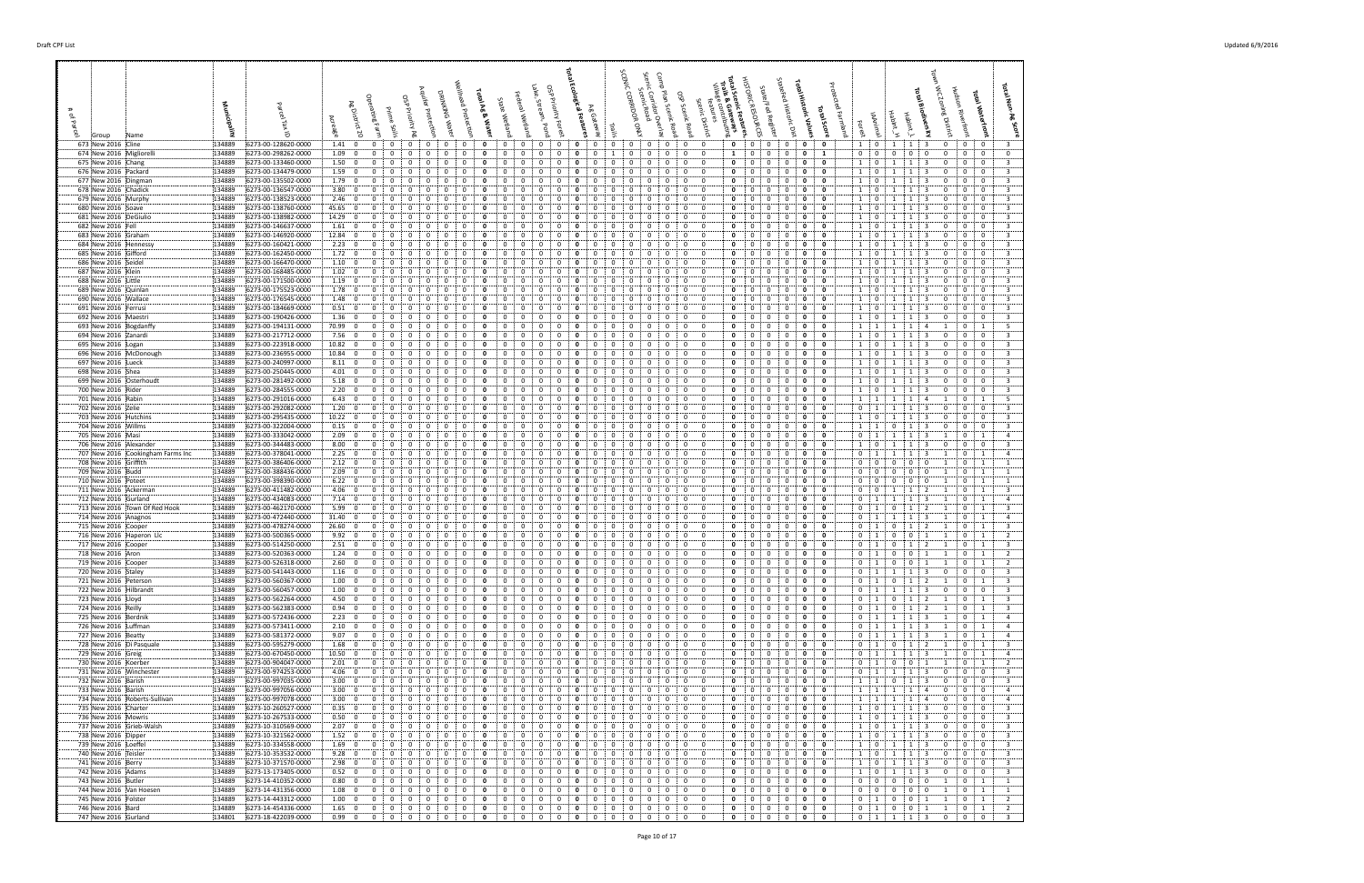| 673 New 2016 Cline                                         | 134889<br>6273-00-128620-0000                                  | 1.41:0<br>$\mathbf{0}$<br>0                                                                                   | $\mathbf{0}$<br>0<br>0<br>0<br>0                                                                                                                 | $\mathbf{o}$<br>0<br>0<br>$\Omega$<br>0<br>0                                                                                                                                                                        | $\mathbf{0}$<br>$\mathbf{0}$<br>$\mathbf{0}$<br>$\mathbf 0$<br>- 0                                                                                                                                     | $\mathbf{0}$<br>$\mathbf{0}$<br>$\circ$<br>$\mathbf{0}$<br>10                                                                                                                                                  | $\mathbf{1}$<br>1:3<br>$\mathbf{0}$<br>$\mathbf{0}$<br>0<br>-3                                                                                                                                                                 |
|------------------------------------------------------------|----------------------------------------------------------------|---------------------------------------------------------------------------------------------------------------|--------------------------------------------------------------------------------------------------------------------------------------------------|---------------------------------------------------------------------------------------------------------------------------------------------------------------------------------------------------------------------|--------------------------------------------------------------------------------------------------------------------------------------------------------------------------------------------------------|----------------------------------------------------------------------------------------------------------------------------------------------------------------------------------------------------------------|--------------------------------------------------------------------------------------------------------------------------------------------------------------------------------------------------------------------------------|
| 674 New 2016 Migliorelli<br>675 New 2016 Chang             | 134889<br>6273-00-298262-0000<br>134889<br>6273-00-133460-0000 | 1.09; 0<br>$\mathbf{0}$<br>0<br>0<br>1.50:0                                                                   | 0<br>0<br>0<br>0<br>0<br>$\Omega$<br>0<br>$\Omega$                                                                                               | 0<br>0<br>0<br>$\mathbf{0}$<br>0<br>0<br>$\Omega$<br>$\Omega$                                                                                                                                                       | $\mathbf{0}$<br>1<br>0<br>0<br>0<br>$^{\circ}$<br>0<br>0<br>$\Omega$<br>$\Omega$                                                                                                                       | $\mathbf{0}$<br>0<br>$\mathbf{1}$<br>$\mathbf{0}$<br>$\mathbf{0}$<br>$\mathbf{0}$<br>0<br>0<br>$\mathbf{0}$<br>$\Omega$<br>- 0<br>$\mathbf{1}$                                                                 | $\mathbf{0}$<br>$\mathbf 0$<br>$\mathbf{0}$<br>$\mathbf{0}$<br>$\mathbf{0}$<br>0<br>$\mathbf{0}$<br>1<br>0<br>-3<br>1<br>-3<br>$\Omega$<br>0                                                                                   |
| 676 New 2016 Packard                                       | 134889<br>6273-00-134479-0000                                  | 1.59:0<br>$^{\circ}$<br>$\Omega$<br>$\mathbf{0}$                                                              | $\mathbf{0}$<br>$\mathbf{0}$<br>$^{\circ}$<br>$^{\circ}$<br>$\Omega$                                                                             | $\mathbf{0}$<br>$\Omega$<br>$\Omega$<br>0<br>0<br>$\Omega$<br>$\Omega$                                                                                                                                              | $\mathbf 0$<br>$\overline{0}$<br>0<br>0<br>$\Omega$<br>$\mathbf{0}$                                                                                                                                    | $\mathbf{0}$<br>0<br>$\mathbf 0$<br>0<br>1:0                                                                                                                                                                   | $\overline{\mathbf{3}}$<br>$\mathbf 0$<br>0<br>1<br>1<br>3<br>$\mathbf{0}$                                                                                                                                                     |
| 677 New 2016 Dingman<br>678 New 2016 Chadick               | 6273-00-135502-0000<br>134889<br>134889<br>6273-00-136547-0000 | 1.79:<br>$\overline{\mathbf{0}}$<br>$\Omega$<br>3.80:0<br>$\Omega$                                            | 0<br>0<br>0<br>0<br>0<br>0<br>0<br>0                                                                                                             | $\Omega$<br>$\Omega$<br>0<br>0<br>0<br>$\Omega$<br>$\Omega$<br>$\Omega$<br>0<br>0<br>0<br>0                                                                                                                         | $\mathbf{0}$<br>0<br>$\Omega$<br>0<br>$\Omega$<br>0<br>$^{\circ}$<br>0<br>$^{\circ}$<br>$\Omega$                                                                                                       | $\mathbf{1}$<br>0<br>- 0<br>0<br>$\Omega$<br>0<br>0<br>0<br>- 0<br>$\mathbf{1}$<br>0<br>$\mathbf{0}$                                                                                                           | $\overline{3}$<br>$\mathbf 0$<br>$\mathbf 0$<br>1<br>$\mathbf{0}$<br>$\mathbf{1}$<br>$\overline{3}$<br>$^{\circ}$<br>1<br>-3<br>0<br>0                                                                                         |
| 679 New 2016 Murphy                                        | 134889<br>6273-00-138523-0000                                  | 2.46:0<br>$\Omega$<br>$\Omega$<br>$\Omega$                                                                    | 0<br>0<br>$\Omega$<br>0<br>0                                                                                                                     | $\Omega$<br>$\Omega$<br>$\Omega$<br>$\Omega$<br>0<br>$\Omega$                                                                                                                                                       | $^{\circ}$<br>0<br>$^{\circ}$<br>$\Omega$<br>$^{\circ}$                                                                                                                                                | $\mathbf 0$<br>$^{\circ}$<br>0<br>0<br>$\begin{array}{\begin{array}{\small \begin{array}{\small \end{array}}}} 1 \end{array}$<br>$^{\circ}$                                                                    | $\overline{\mathbf{3}}$<br>$\mathbf 0$<br>$^{\circ}$<br>1<br>-3<br>$\Omega$                                                                                                                                                    |
| 680 New 2016 Soave<br>681 New 2016 DeGiulio                | 134889<br>6273-00-138760-0000<br>134889<br>6273-00-138982-0000 | 45.65   0<br>$\mathbf{0}$<br>0<br>14.29:0<br>0<br>0<br>0                                                      | 0<br>0<br>$\Omega$<br>0<br>0<br>0<br>0<br>0<br>0<br>0                                                                                            | 0<br>0<br>0<br>0<br>0<br>0<br>0<br>0<br>$\Omega$<br>0<br>0<br>0                                                                                                                                                     | $^{\circ}$<br>0<br>$\mathbf{0}$<br>0<br>0<br>$\mathbf{0}$<br>$\mathbf{0}$<br>$\mathbf 0$<br>0<br>$^{\circ}$<br>0                                                                                       | 0<br>$\mathbf{0}$<br>0<br>0<br>$\overline{1}$<br>$\mathbf{0}$<br>$\bf{0}$<br>0<br>0<br><sup>1</sup><br>$\mathbf 0$<br>0                                                                                        | $\mathbf{0}$<br>$\overline{\mathbf{3}}$<br>$\mathbf{1}$<br>1<br>- 3<br>0<br>0<br>$\mathbf 0$<br>$\overline{\mathbf{3}}$<br>1<br>$\mathbf{1}$<br>$\overline{\mathbf{3}}$<br>$\mathbf{0}$<br>$\mathbf{0}$                        |
| 682 New 2016 Fell<br>683 New 2016 Graham                   | 134889<br>6273-00-146637-0000<br>134889<br>6273-00-146920-0000 | 1.61:0<br>$^{\circ}$<br>$\Omega$<br>$\Omega$<br>12.84; 0<br>$\Omega$                                          | $\mathbf 0$<br>0<br>$\Omega$<br>0<br>0<br>$\Omega$<br>0<br>0<br>$\Omega$<br>0                                                                    | $\Omega$<br>$\Omega$<br>$\Omega$<br>$\Omega$<br>$\Omega$                                                                                                                                                            | 0<br>0<br>0<br>$^{\circ}$<br>$^{\circ}$<br>$\Omega$<br>- 0<br>0<br>$\Omega$<br>$^{\circ}$                                                                                                              | 0<br>$\mathbf 0$<br>0<br>$\Omega$<br><sup>1</sup><br>$\mathbf 0$<br>$\mathbf{0}$<br>0<br>$\Omega$<br>$\Omega$<br>1<br>$\Omega$                                                                                 | $\overline{\mathbf{3}}$<br>$\mathbf 0$<br>1<br>$\mathbf{1}$<br>3<br>$\mathbf{0}$<br>0<br>$\overline{\mathbf{3}}$<br>$\Omega$<br>-3<br>$\Omega$<br>$\Omega$<br>-1                                                               |
| 684 New 2016 Hennessy                                      | 134889<br>6273-00-160421-0000                                  | $2.23 \div 0$                                                                                                 | 0<br>0<br>0<br>0<br>$\Omega$                                                                                                                     | $\Omega$<br>0<br>0                                                                                                                                                                                                  | $\mathbf{0}$<br>$\mathbf{0}$<br>$\mathbf 0$<br>$\Omega$<br>0                                                                                                                                           | $\mathbf 0$<br>0<br>0<br>1<br>$\mathbf 0$<br>0                                                                                                                                                                 | $\overline{\mathbf{3}}$<br>$\mathbf 0$<br>1<br>$\mathbf{0}$<br>1<br>-3<br>0                                                                                                                                                    |
| 685 New 2016 Gifford<br>686 New 2016 Seidel                | 134889<br>6273-00-162450-0000<br>134889<br>6273-00-166470-0000 | 1.72: 0<br>$\mathbf{0}$<br>$\Omega$<br>0<br>1.10:0<br>0                                                       | 0<br>0<br>0<br>$\Omega$<br>0<br>0<br>0<br>0<br>0<br>0                                                                                            | $\Omega$<br>$\Omega$<br>0<br>0<br>$\Omega$<br>$\Omega$<br>$\Omega$<br>$\Omega$                                                                                                                                      | 0<br>$\mathbf 0$<br>0<br>$^{\circ}$<br>0<br>$^{\circ}$<br>$^{\circ}$<br>0<br>$^{\circ}$<br>0                                                                                                           | $\mathbf 0$<br>0<br>0<br>1<br>0<br>$\Omega$<br>0<br>0<br>0<br>1<br>0<br>$\mathbf{0}$                                                                                                                           | $\overline{\mathbf{3}}$<br>1<br>$\mathbf{0}$<br>$\mathbf{0}$<br>1<br>-3<br>0<br>$\overline{\mathbf{3}}$<br>0<br>1<br>0<br>0                                                                                                    |
| 687 New 2016 Klein                                         | 134889<br>6273-00-168485-0000                                  | 1.02:0<br>$\mathbf{0}$<br>0<br>0                                                                              | 0<br>$^{\circ}$<br>0<br>0<br>0                                                                                                                   | 0<br>0<br>0<br>0<br>$\mathbf{0}$<br>0<br>0                                                                                                                                                                          | $\mathbf{0}$<br>0<br>0<br>$^{\circ}$<br>0<br>0                                                                                                                                                         | $\mathbf{0}$<br>0<br>0<br>1<br>$\mathbf{0}$<br>$\mathbf{0}$                                                                                                                                                    | $\overline{\mathbf{3}}$<br>1<br>$\mathbf{1}$<br>$\mathbf 0$<br>$\mathbf{0}$<br>3<br>0                                                                                                                                          |
| 688 New 2016 Little<br>689 New 2016 Quinlan                | 134889<br>6273-00-171500-0000<br>134889<br>6273-00-175523-0000 | 1.19:0<br>$\mathbf 0$<br>0<br>0<br>1.78:0                                                                     | $\mathbf 0$<br>0<br>0<br>0<br>0<br>0<br>0<br>0<br>$\Omega$                                                                                       | 0<br>0<br>$\Omega$<br>-0<br>0<br>$\Omega$<br>$\Omega$<br>$\Omega$                                                                                                                                                   | $\overline{0}$<br>$\Omega$<br>$\mathbf{0}$<br>0<br>$\mathbf 0$<br>0<br>0<br>$\Omega$<br>0<br>$\Omega$<br>$\Omega$                                                                                      | 0<br>0<br>1<br>$\mathbf 0$<br>0<br>0<br>0<br>0<br>- 0<br>$\overline{1}$<br>0<br>$\mathbf{0}$                                                                                                                   | $\overline{\mathbf{3}}$<br>$\overline{0}$<br>$\mathbf 0$<br>1<br>1<br>-3<br>$\mathbf{0}$<br>$\overline{\mathbf{3}}$<br>$\Omega$<br>$\mathbf{0}$<br>1<br>$\Omega$                                                               |
| 690 New 2016 Wallace                                       | 134889<br>6273-00-176545-0000<br>6273-00-184669-0000           | 1.48:0<br>$^{\circ}$<br>$\Omega$<br>$\Omega$                                                                  | $\Omega$<br>0<br>0<br>0<br>$\Omega$<br>0<br>0                                                                                                    | $\Omega$<br>$\Omega$<br>$\Omega$<br>$\Omega$<br>$\Omega$<br>$\Omega$<br>-0                                                                                                                                          | $\Omega$<br>$\mathbf{0}$<br>0<br>$^{\circ}$<br>$\Omega$<br>$^{\circ}$<br>0<br>$\Omega$                                                                                                                 | $\mathbf 0$<br>$\mathbf 0$<br>$^{\circ}$<br>0<br>$\mathbf{1}$<br>$\mathbf{0}$<br>0<br>- 0                                                                                                                      | $\mathbf 0$<br>$\mathbf 0$<br>$\overline{\mathbf{3}}$<br>1<br>$\mathbf{0}$<br>-3<br>$\overline{\mathbf{3}}$<br>$\mathbf 0$<br>0<br>$\mathbf{1}$                                                                                |
| 691 New 2016 Ferrusi<br>692 New 2016 Maestri               | 134889<br>134889<br>6273-00-190426-0000                        | 0.51: 0<br>0<br>$1.36 \div 0$<br>$\mathbf{0}$<br>$\Omega$<br>0                                                | 0<br>0<br>0<br>0<br>0<br>0<br>0                                                                                                                  | 0<br>0<br>$\Omega$<br>$\Omega$<br>0<br>0<br>0<br>0                                                                                                                                                                  | 0<br>$^{\circ}$<br>0<br>$\mathbf{0}$<br>$\mathbf 0$<br>0<br>0<br>0                                                                                                                                     | 1<br>0<br>0<br>$\mathbf{0}$<br>0<br>0<br>- 0<br>$\mathbf{1}$<br>÷О<br>0                                                                                                                                        | 1<br>0<br>$\overline{\mathbf{3}}$<br>$\overline{1}$<br>0<br>$\mathbf 0$<br>$\mathbf{0}$<br>1<br>-3                                                                                                                             |
| 693 New 2016 Bogdanffy<br>694 New 2016 Zanardi             | 134889<br>6273-00-194131-0000<br>134889<br>6273-00-217712-0000 | 70.99:0<br>0<br>0<br>0<br>7.56:0<br>$^{\circ}$<br>$\Omega$<br>$\Omega$                                        | 0<br>0<br>0<br>0<br>0<br>$\Omega$<br>0<br>0<br>$\Omega$<br>$\Omega$                                                                              | 0<br>0<br>0<br>$\Omega$<br>-0<br>$\Omega$<br>0<br>$\Omega$<br>$\Omega$<br>0                                                                                                                                         | 0<br>0<br>0<br>0<br>$^{\circ}$<br>$\Omega$<br>0<br>$\mathbf{0}$<br>0<br>$\Omega$<br>$\Omega$                                                                                                           | 0<br>$\mathbf 0$<br>0<br>0<br>$\mathbf{1}$<br>$\overline{1}$<br>0<br>$\Omega$<br>$\mathbf{0}$<br>0<br>1<br>$^{\circ}$                                                                                          | 5<br>1<br>-4<br>$\overline{\mathbf{3}}$<br>1<br>$\overline{1}$<br>$\overline{\mathbf{3}}$<br>$\Omega$<br>$\Omega$<br>$\Omega$                                                                                                  |
| 695 New 2016 Logan                                         | 134889<br>6273-00-223918-0000                                  | 10.82: 0<br>0<br>$\Omega$<br>0                                                                                | 0<br>0<br>0<br>0<br>0                                                                                                                            | $\Omega$<br>0<br>0<br>$\Omega$<br>0<br>0<br>0                                                                                                                                                                       | $\mathbf 0$<br>$\mathbf{0}$<br>0<br>$\mathbf 0$<br>0<br>$^{\circ}$                                                                                                                                     | 0<br>0<br>0<br>1<br>0<br>$\overline{\mathbf{0}}$                                                                                                                                                               | 1<br>$\overline{0}$<br>$\mathbf 0$<br>$\mathbf 0$<br>$\overline{\mathbf{3}}$<br>1<br>-3                                                                                                                                        |
| 696 New 2016 McDonough<br>697 New 2016 Lueck               | 134889<br>6273-00-236955-0000<br>134889<br>6273-00-240997-0000 | 10.84:0<br>$\mathbf 0$<br>0<br>$\Omega$<br>8.11; 0<br>$\Omega$<br>$\Omega$                                    | $\mathbf 0$<br>0<br>0<br>0<br>0<br>0<br>0<br>$\Omega$<br>0<br>$\Omega$                                                                           | $\Omega$<br>$\Omega$<br>0<br>0<br>0<br>0<br>$\Omega$<br>$\Omega$<br>$\Omega$<br>$\Omega$                                                                                                                            | 0<br>0<br>$\Omega$<br>$^{\circ}$<br>0<br>$\mathbf{0}$<br>0<br>$\Omega$<br>$\Omega$<br>$\Omega$<br>$\mathbf{0}$                                                                                         | $\mathbf 0$<br>$\mathbf{1}$<br>0<br>0<br>0<br>$\overline{\mathbf{0}}$<br>0<br>0<br>0<br><sup>1</sup><br>$\mathbf 0$<br>$\Omega$                                                                                | $\overline{\mathbf{3}}$<br>1<br>1<br>$\mathbf{0}$<br>$\mathbf{0}$<br>-3<br>0<br>$\overline{\mathbf{3}}$<br>-3<br>$\Omega$<br>$\Omega$<br>1<br>$\Omega$                                                                         |
| 698 New 2016 Shea                                          | 134889<br>6273-00-250445-0000                                  | 4.01; 0<br>$\mathbf{0}$<br>$\Omega$<br>0                                                                      | 0<br>$\mathbf 0$<br>0<br>$^{\circ}$<br>$\mathbf{0}$                                                                                              | 0<br>0<br>0<br>0<br>0<br>$\mathbf{0}$<br>0                                                                                                                                                                          | $\mathbf 0$<br>$\mathbf{0}$<br>$\mathbf 0$<br>0<br>-0<br>0                                                                                                                                             | $\mathbf 0$<br>$\mathbf 0$<br>$\mathbf 0$<br>1<br>$\overline{0}$<br>$\mathbf{0}$                                                                                                                               | $\overline{\mathbf{3}}$<br>$\overline{1}$<br>$\overline{1}$<br>$\overline{\mathbf{3}}$<br>$\mathbf 0$<br>$\mathbf 0$<br>$\mathbf 0$                                                                                            |
| 699 New 2016 Osterhoudt<br>700 New 2016 Rider              | 134889<br>6273-00-281492-0000<br>134889<br>6273-00-284555-0000 | 5.18; 0<br>$\mathbf 0$<br>0<br>0<br>2.20:0<br>$^{\circ}$                                                      | 0<br>0<br>0<br>0<br>0<br>0<br>$\Omega$<br>$\Omega$<br>0<br>$\Omega$                                                                              | 0<br>0<br>0<br>0<br>0<br>0<br>0<br>$\Omega$<br>$\Omega$<br>$\Omega$                                                                                                                                                 | $\mathbf 0$<br>$\mathbf{0}$<br>0<br>0<br>0<br>$\mathbf{0}$<br>0<br>$\Omega$<br>$\Omega$<br>0<br>$\Omega$                                                                                               | 0<br>$\mathbf 0$<br>0<br>0<br>$\mathbf{1}$<br>$\mathbf{0}$<br>0<br>$\Omega$<br>0<br>- 0<br>$\mathbf{1}$<br>$\mathbf{0}$                                                                                        | $\overline{\mathbf{3}}$<br>1<br>$\mathbf{1}$<br>0<br>0<br>3<br>0<br>$\overline{3}$<br>1<br>$\mathbf{1}$<br>-3<br>$\mathbf 0$<br>$^{\circ}$<br>$\Omega$                                                                         |
| 701 New 2016 Rabin                                         | 134889<br>6273-00-291016-0000                                  | 6.43:0<br>$^{\circ}$<br>$\Omega$<br>$\mathbf{0}$                                                              | $\mathbf 0$<br>$\mathbf{0}$<br>$^{\circ}$<br>$\mathbf{0}$<br>$^{\circ}$                                                                          | $^{\circ}$<br>$\Omega$<br>$\Omega$<br>0<br>0<br>$\Omega$<br>$\Omega$                                                                                                                                                | $\Omega$<br>$\mathbf 0$<br>0<br>$\mathbf 0$<br>$\mathbf{0}$<br>$^{\circ}$                                                                                                                              | $\mathbf 0$<br>$\mathbf 0$<br>0<br>0<br>1 1                                                                                                                                                                    | 5<br>1<br>$\mathbf{1}$<br>$\overline{4}$<br>$\mathbf 0$<br>-1<br>1                                                                                                                                                             |
| 702 New 2016 Zelie<br>703 New 2016 Hutchins                | 6273-00-292082-0000<br>134889<br>134889<br>6273-00-295435-0000 | 1.20:0<br>$\Omega$<br>$\Omega$<br>10.22: 0<br>$\Omega$                                                        | 0<br>0<br>0<br>0<br>0<br>0<br>$\Omega$<br>0<br>0                                                                                                 | $\Omega$<br>$\Omega$<br>0<br>0<br>$\Omega$<br>$\Omega$<br>$\Omega$<br>0<br>0<br>0<br>$\Omega$                                                                                                                       | $\mathbf{0}$<br>0<br>$\Omega$<br>0<br>$\Omega$<br>0<br>$^{\circ}$<br>0<br>$^{\circ}$                                                                                                                   | 0<br>$\mathbf 0$<br>0<br>0<br>$\Omega$<br>$\overline{1}$<br>0<br>0<br>- 0<br>$\mathbf{1}$<br>0<br>$\mathbf{0}$                                                                                                 | $\overline{3}$<br>$\mathbf 0$<br>$\mathbf 0$<br>1<br>1<br>$\Omega$<br>-3<br>$\overline{3}$<br>$^{\circ}$<br>1<br>-3<br>$\Omega$<br>0                                                                                           |
| 704 New 2016 Willms<br>705 New 2016 Masi                   | 134889<br>6273-00-322004-0000<br>134889<br>6273-00-333042-0000 | $0.15^{+}$ 0<br>$\Omega$<br>$\Omega$<br>$\Omega$<br>2.09:0<br>$\mathbf{0}$<br>$\Omega$<br>0                   | 0<br>$\Omega$<br>$\Omega$<br>0<br>0<br>0<br>0<br>$\Omega$<br>0<br>0                                                                              | $\Omega$<br>$\Omega$<br>$\Omega$<br>$\Omega$<br>-0<br>$^{\circ}$<br>0<br>0<br>$\mathbf{o}$<br>0<br>0<br>0<br>0<br>0                                                                                                 | 0<br>0<br>$\Omega$<br>$^{\circ}$<br>- 0<br>$^{\circ}$<br>0<br>$\mathbf{0}$<br>0<br>0                                                                                                                   | 0<br>0<br>$^{\circ}$<br>0<br>1 1<br>0<br>$\mathbf{0}$<br>0<br>$\mathbf{0}$<br>0<br>i 1                                                                                                                         | $\overline{\mathbf{3}}$<br>0<br>$\mathbf 0$<br>$^{\circ}$<br>1<br>-3<br>$\Omega$<br>$\overline{4}$<br>$\mathbf{1}$<br>1<br>- 3<br>$\mathbf 0$<br>-1                                                                            |
| 706 New 2016 Alexander                                     | 134889<br>6273-00-344483-0000                                  | 8.00; 0<br>0<br>0<br>0                                                                                        | 0<br>0<br>0<br>0<br>0                                                                                                                            | $\Omega$<br>0<br>$\Omega$<br>$\mathbf{o}$<br>0<br>0                                                                                                                                                                 | $\mathbf{0}$<br>$\mathbf{0}$<br>$\mathbf{0}$<br>$\mathbf 0$<br>0<br>0                                                                                                                                  | $\mathbf 0$<br>0<br>0<br><sup>1</sup><br>$\mathbf 0$<br>0                                                                                                                                                      | $\mathbf 0$<br>$\mathbf 0$<br>$\overline{\mathbf{3}}$<br>1<br>$\mathbf{1}$<br>3<br>$\mathbf 0$                                                                                                                                 |
| 707 New 2016 Cookingham Farms Inc<br>708 New 2016 Griffith | 6273-00-378041-0000<br>134889<br>134889<br>6273-00-386406-0000 | 2.25: 0<br>$^{\circ}$<br>0<br>$\Omega$<br>2.12; 0<br>$\Omega$<br>$\Omega$                                     | $\mathbf 0$<br>0<br>$\Omega$<br>0<br>0<br>0<br>$\Omega$<br>$\Omega$<br>0<br>$\Omega$                                                             | $\Omega$<br>$\Omega$<br>$\Omega$<br>$\Omega$<br>$\Omega$<br>$\Omega$<br>$\Omega$<br>0<br>0<br>0                                                                                                                     | 0<br>0<br>$\Omega$<br>$^{\circ}$<br>0<br>$\mathbf{0}$<br>$\Omega$<br>$\Omega$<br>$\Omega$<br>- 0<br>0                                                                                                  | 0<br>$\mathbf 0$<br>0<br>$\Omega$<br>0<br>$\overline{1}$<br>$\mathbf{0}$<br>0<br>0<br>$\Omega$<br>$\Omega$<br>$\Omega$                                                                                         | $\overline{4}$<br>1<br>1<br>3<br>$\mathbf{1}$<br>0<br>1<br>$\mathbf 0$<br>$\Omega$<br>$\Omega$<br>$\Omega$<br>$\overline{1}$                                                                                                   |
| 709 New 2016 Budd                                          | 134889<br>6273-00-388436-0000                                  | 2.09:0<br>0                                                                                                   | 0<br>0<br>0<br>$^{\circ}$<br>0                                                                                                                   | $\Omega$<br>$\Omega$<br>$\Omega$<br>0<br>0<br>$\Omega$<br>0                                                                                                                                                         | $\mathbf{0}$<br>$\mathbf{0}$<br>$\mathbf 0$<br>0<br>$\overline{0}$<br>$\Omega$                                                                                                                         | $\mathbf 0$<br>$\mathbf 0$<br>0<br>$\mathbf 0$<br>0<br>$\mathbf{0}$                                                                                                                                            | $\mathbf 0$<br>$\mathbf 0$<br>0<br>$\mathbf{0}$<br>-1                                                                                                                                                                          |
| 710 New 2016 Poteet<br>711 New 2016 Ackerman               | 134889<br>6273-00-398390-0000<br>134889<br>6273-00-411482-0000 | 6.22: 0<br>$\mathbf{0}$<br>0<br>0<br>4.06:0<br>0                                                              | 0<br>0<br>0<br>0<br>$\mathbf{0}$<br>0<br>0<br>0<br>0<br>0                                                                                        | 0<br>0<br>0<br>0<br>0<br>$\Omega$<br>0<br>0<br>0                                                                                                                                                                    | 0<br>0<br>$\mathbf 0$<br>0<br>$\mathbf{0}$<br>0<br>0<br>$\mathbf{0}$<br>0<br>0<br>$^{\circ}$                                                                                                           | $\mathbf 0$<br>0<br>0<br>0<br>$\overline{0}$<br>0<br>0<br>0<br>0<br>0<br>$\mathbf{0}$<br>$\mathbf{0}$                                                                                                          | 0<br>$\bf{0}$<br>0<br>$\mathbf 0$<br>1<br>-1<br>$\overline{\mathbf{3}}$<br>1<br>1<br>0                                                                                                                                         |
| 712 New 2016 Gurland                                       | 134889<br>6273-00-434083-0000                                  | 7.14:0<br>$\mathbf{0}$<br>0<br>$\mathbf{0}$                                                                   | 0<br>0<br>$^{\circ}$<br>0<br>0                                                                                                                   | 0<br>0<br>0<br>$\mathbf{o}$<br>0<br>0<br>0                                                                                                                                                                          | $\mathbf 0$<br>0<br>$\mathbf{0}$<br>$^{\circ}$<br>0<br>0<br>$\Omega$                                                                                                                                   | $\mathbf{0}$<br>$\mathbf 0$<br>0<br>$\mathbf{0}$<br>$\mathbf{0}$<br>$\cdots$                                                                                                                                   | $\vert 1 \vert$<br>$\overline{4}$<br>1<br>3<br>1<br>$\mathbf{0}$<br>1<br>$\overline{\mathbf{3}}$                                                                                                                               |
| 713 New 2016 Town Of Red Hook<br>714 New 2016 Anagnos      | 134889<br>6273-00-462170-0000<br>134889<br>6273-00-472440-0000 | 5.99:0<br>0<br>0<br>$\mathbf{0}$<br>31.40:0<br>$\Omega$                                                       | $\mathbf 0$<br>0<br>0<br>0<br>$\Omega$<br>0<br>0<br>0<br>$\Omega$                                                                                | 0<br>0<br>0<br>0<br>-0<br>0<br>0<br>$\Omega$                                                                                                                                                                        | $\mathbf{0}$<br>0<br>$\mathbf 0$<br>0<br>$^{\circ}$<br>0<br>$\Omega$<br>0<br>$\Omega$<br>$\Omega$                                                                                                      | $\mathbf 0$<br>$\mathbf 0$<br>0<br>0<br>0<br>-1<br>0<br>0<br>- 0<br>$\mathbf 0$<br>0                                                                                                                           | $\mathbf 0$<br>$\overline{1}$<br>$\overline{2}$<br>1<br>$\mathbf 0$<br>1<br>$\overline{a}$<br>1<br>$\Omega$                                                                                                                    |
| 715 New 2016 Cooper<br>716 New 2016 Haperon Llc            | 134889<br>6273-00-478274-0000<br>6273-00-500365-0000<br>134889 | 26.60; 0<br>$^{\circ}$<br>$\Omega$<br>$\Omega$<br>9.92:0<br>0<br>0                                            | $\mathbf 0$<br>0<br>0<br>$^{\circ}$<br>$\Omega$<br>0<br>0<br>0<br>0<br>0                                                                         | $\mathbf 0$<br>$\Omega$<br>$\Omega$<br>0<br>$\Omega$<br>$\Omega$<br>$\Omega$<br>0<br>0<br>0<br>0<br>0<br>0                                                                                                          | $\Omega$<br>$\mathbf{0}$<br>$\mathbf{0}$<br>$\mathbf 0$<br>0<br>$^{\circ}$<br>0<br>0<br>$^{\circ}$<br>0<br>$\Omega$                                                                                    | $\mathbf 0$<br>0<br>0<br>$^{\circ}$<br>$\mathbf{0}$<br>: 1<br>- 0<br>0<br>0<br>0<br>0                                                                                                                          | $\mathbf 0$<br>$\overline{\mathbf{3}}$<br>1<br>$\overline{2}$<br>-1<br>$\Omega$<br>1<br>$\overline{2}$<br>$\mathbf 0$<br>0<br>0                                                                                                |
| 717 New 2016 Cooper                                        | 134889<br>6273-00-514250-0000                                  | 2.51:0<br>0<br>0<br>0                                                                                         | 0<br>$\mathbf{0}$<br>$\mathbf 0$<br>0<br>0                                                                                                       | $\mathbf 0$<br>$\mathbf{0}$<br>$\Omega$<br>$\mathbf{o}$<br>0<br>$\Omega$<br>0                                                                                                                                       | 0<br>0<br>$\mathbf{0}$<br>$^{\circ}$<br>0<br>0                                                                                                                                                         | $\mathbf{0}$<br>0<br>$\mathbf{o}$<br>$\mathbf{0}$<br>$\mathbf{0}$<br>$\mathbf{1}$                                                                                                                              | $\overline{3}$<br>$\mathbf{0}$<br>$\mathbf{1}$<br>$\mathbf 0$<br>$\overline{2}$<br>1<br>1                                                                                                                                      |
| 718 New 2016 Aron<br>719 New 2016 Cooper                   | 134889<br>6273-00-520363-0000<br>134889<br>6273-00-526318-0000 | 1.24:0<br>$\mathbf 0$<br>$\mathbf 0$<br>0<br>2.60:0<br>$\overline{0}$<br>$\mathbf{O}$<br>$\mathbf 0$          | $\mathbf 0$<br>$\mathbf{0}$<br>$\mathbf 0$<br>0<br>0<br>$\mathbf{0}$<br>$\mathbf 0$<br>$\mathbf{0}$<br>0<br>$\mathbf 0$                          | $\mathbf 0$<br>$\mathbf 0$<br>$\mathbf 0$<br>$\mathbf 0$<br>$\mathbf{0}$<br>0<br>$\overline{0}$<br>$\mathbf 0$<br>$\mathbf{0}$<br>$\mathbf{0}$<br>0<br>$\mathbf{0}$                                                 | $\mathbf{0}$<br>0<br>0<br>0<br>$\mathbf{0}$<br>$^{\circ}$<br>$^{\circ}$<br>$\mathbf 0$<br>$\mathbf{0}$<br>$\mathbf 0$<br>$\mathbf{0}$<br>$\mathbf{0}$<br>$\mathbf 0$<br>0                              | $\mathbf 0$<br>0<br>$\mathbf 0$<br>$\mathbf 0$<br>0<br>$\mathbf{1}$<br>$\ddot{\mathbf{0}}$<br>0<br>0<br>0<br>$\mathbf{0}$                                                                                      | $\mathbf 0$<br>$\mathbf{0}$<br>$\overline{2}$<br>1<br>1<br>0<br>-1<br>$\mathbf 0$<br>$0$ :<br>$\overline{2}$<br>1<br>$1 \quad$<br>$\mathbf{0}$<br>1                                                                            |
| 720 New 2016 Staley                                        | 134889<br>6273-00-541443-0000                                  | 1.16:0<br>$\Omega$<br>$\mathbf 0$<br>$\Omega$                                                                 | $\mathbf 0$<br>0<br>$\mathbf 0$<br>$\mathbf 0$<br>$\Omega$                                                                                       | $\mathbf 0$<br>0<br>$\mathbf 0$<br>0<br>0                                                                                                                                                                           | $\mathbf 0$<br>$\mathbf 0$<br>$\mathbf 0$<br>$\overline{0}$<br>0<br>0                                                                                                                                  | 0<br>0<br>0<br>$\mathbf 0$<br>$1 \quad 1$<br>$\Omega$                                                                                                                                                          | $\vert$ 1<br>$\overline{\mathbf{3}}$<br>$\mathbf 0$<br>$\mathbf 0$<br>$\mathbf 0$<br>$_{\rm 3}$                                                                                                                                |
| 721 New 2016 Peterson<br>722 New 2016 Hilbrandt            | 134889<br>6273-00-560367-0000<br>134889<br>6273-00-560457-0000 | 1.00; 0<br>$\mathbf 0$<br>$\mathbf 0$<br>0<br>1.00; 0<br>$\mathbf{0}$<br>$\Omega$<br>$\Omega$                 | $\mathbf 0$<br>$\mathbf{0}$<br>$\mathbf 0$<br>$\mathbf 0$<br>0<br>$\mathbf 0$<br>$\mathbf{0}$<br>$\mathbf 0$<br>$\mathbf 0$<br>$\mathbf{0}$      | $\mathbf 0$<br>$\mathbf{0}$<br>$\mathbf{0}$<br>0<br>0<br>$^{\circ}$<br>0<br>$\Omega$<br>$\Omega$<br>$\Omega$<br>0<br>$\Omega$<br>$\Omega$<br>$\Omega$                                                               | 0<br>$\mathbf{0}$<br>$\mathbf 0$<br>0<br>$\mathbf 0$<br>0<br>0<br>$\mathbf{0}$<br>$\mathbf 0$<br>$\mathbf 0$<br>0<br>0                                                                                 | $\mathbf 0$<br>0<br>$\mathbf 0$<br>$\mathbf 0$<br>$\mathbf{0}$<br>$\cdots$<br>$\mathbf{0}$<br>0<br>$\mathbf{o}$<br>$\vert 1 \vert$<br>0<br>$\mathbf{0}$                                                        | $\mathbf 0$<br>$\overline{\mathbf{3}}$<br>$\vert 1 \vert$<br>2 <sup>1</sup><br>1<br>$\mathbf 0$<br>$\pm 1$<br>$\overline{\mathbf{3}}$<br>1<br>3<br>$\mathbf 0$<br>$\mathbf{0}$<br>1<br>$\mathbf{0}$                            |
| 723 New 2016 Lloyd<br>724 New 2016 Reilly                  | 134889<br>6273-00-562264-0000<br>134889<br>6273-00-562383-0000 | 4.50:0<br>$\mathbf 0$<br>$\mathbf 0$<br>$\mathbf{0}$<br>0.94:0<br>$\mathbf{0}$<br>$\mathbf{0}$<br>$\mathbf 0$ | $\overline{0}$<br>$\mathbf{0}$<br>0<br>$\mathbf 0$<br>$\mathbf 0$<br>$\mathbf{0}$<br>$\mathbf{0}$<br>$\mathbf{0}$<br>0<br>$\mathbf{0}$           | $\mathbf{0}$<br>0<br>$\mathbf 0$<br>$\mathbf 0$<br>$\mathbf{0}$<br>0<br>0<br>0<br>0<br>$\mathbf 0$<br>$\mathbf{0}$<br>$\mathbf 0$<br>0<br>$\mathbf{0}$                                                              | $\mathbf{0}$<br>$\mathbf{0}$<br>$\mathbf 0$<br>0<br>0<br>$\mathbf{0}$<br>0<br>$\mathbf 0$<br>0<br>$\mathbf 0$<br>0<br>$\mathbf 0$                                                                      | $\mathbf 0$<br>$\overline{\mathbf{0}}$<br>$\bf{0}$<br>0<br>$\mathbf{0}$<br>$\cdots$ 1<br>$\mathbf{0}$<br>$\mathbf{0}$<br>0<br>$\mathbf{0}$<br>$\mathbf 0$<br>$\vert 1 \vert$                                   | $\overline{\mathbf{3}}$<br>$\overline{\mathbf{0}}$<br>$1 \t2$<br>1<br>1<br>$\overline{\mathbf{0}}$<br>$\overline{0}$<br>$\overline{\mathbf{3}}$<br>$\vert 1 \vert$<br>$\overline{2}$<br>1<br>$\mathbf{0}$<br>1                 |
| 725 New 2016 Berdnik                                       | 134889<br>6273-00-572436-0000                                  | 2.23:0<br>0<br>$\mathbf 0$<br>0                                                                               | $\mathbf 0$<br>0<br>$\mathbf 0$<br>$\mathbf 0$<br>0                                                                                              | $\mathbf 0$<br>$\mathbf 0$<br>$\mathbf 0$<br>$^{\circ}$<br>0<br>0<br>0                                                                                                                                              | $\Omega$<br>$\mathbf{0}$<br>$\mathbf 0$<br>$\mathbf 0$<br>0<br>0                                                                                                                                       | $\mathbf 0$<br>0<br>0<br>0<br>0:1:1:1                                                                                                                                                                          | $\overline{4}$<br>$\overline{\mathbf{3}}$<br>1<br>$\mathbf{0}$<br>1                                                                                                                                                            |
| 726 New 2016 Luffman<br>727 New 2016 Beatty                | 134889<br>6273-00-573411-0000<br>134889<br>6273-00-581372-0000 | 2.10:0<br>$^{\circ}$<br>0<br>$\Omega$<br>9.07:0<br>0<br>$\mathbf{0}$<br>$\mathbf{0}$                          | $\mathbf 0$<br>$\mathbf{0}$<br>$^{\circ}$<br>$\mathbf 0$<br>$\mathbf{0}$<br>0<br>0<br>0<br>$\mathbf 0$<br>0                                      | $^{\circ}$<br>$\mathbf{0}$<br>$\mathbf{0}$<br>$\mathbf{0}$<br>$^{\circ}$<br>$\Omega$<br>$\Omega$<br>0<br>$\Omega$<br>0<br>$\Omega$<br>0<br>0<br>0                                                                   | $\mathbf{0}$<br>$\mathbf 0$<br>$\mathbf{0}$<br>$\mathbf 0$<br>0<br>0<br>$\mathbf 0$<br>$\mathbf 0$<br>$\overline{0}$<br>$\Omega$<br>$\mathbf{0}$<br>0                                                  | $\overline{0}$<br>$\mathbf{0}$<br>$\mathbf{0}$<br>0<br>$0 \quad 1$<br>$\mathbf 0$<br>0<br>$\mathbf 0$<br>0<br>$\mathbf{0}$<br>$\mathbf{1}$                                                                     | $\overline{4}$<br>$\mathbf{1}$<br>$\vert 1 \vert$<br>$\overline{\mathbf{3}}$<br>$\overline{1}$<br>1<br>$\mathbf{0}$<br>$\overline{4}$<br>1<br>$\vert$ 1<br>- 3<br>1<br>$\mathbf 0$<br>1                                        |
| 728 New 2016 Di Pasquale                                   | 134889<br>6273-00-595279-0000                                  | 1.68:0<br>$\mathbf 0$<br>$\mathbf{0}$<br>0                                                                    | 0<br>0<br>$\mathbf 0$<br>$\mathbf 0$<br>$\mathbf{0}$                                                                                             | $\mathbf 0$<br>$\mathbf{0}$<br>0<br>$^{\circ}$<br>0<br>$^{\circ}$<br>0                                                                                                                                              | 0<br>$\mathbf 0$<br>$\mathbf 0$<br>$\mathbf 0$<br>$\mathbf 0$                                                                                                                                          | $\mathbf{0}$<br>$\mathbf{0}$<br>$\mathbf{0}$<br>0<br>$\mathbf{0}$<br>$\cdots$                                                                                                                                  | $\overline{\mathbf{3}}$<br>$\mathbf{0}$<br>$\begin{array}{c} \hline \end{array}$<br>$\overline{2}$<br>$\mathbf 0$<br>1<br>1                                                                                                    |
| 729 New 2016 Greig<br>730 New 2016 Koerber                 | 134889<br>6273-00-670450-0000<br>134889<br>6273-00-904047-0000 | 10.50:0<br>$^{\circ}$<br>$\Omega$<br>$\Omega$<br>2.01:0<br>$\mathbf{0}$<br>0<br>$\mathbf{0}$                  | $\mathbf 0$<br>$\mathbf{0}$<br>$\mathbf 0$<br>$\mathbf{0}$<br>0<br>0<br>0<br>$\mathbf 0$<br>$\mathbf{0}$<br>0                                    | 0<br>$\Omega$<br>$^{\circ}$<br>0<br>0<br>$\Omega$<br>$\Omega$<br>$\mathbf{0}$<br>$^{\circ}$<br>$\mathbf{0}$<br>$\mathbf{o}$<br>0<br>$\mathbf{0}$<br>0                                                               | $\Omega$<br>$\mathbf{0}$<br>$\mathbf{0}$<br>$\mathbf 0$<br>0<br>0<br>$\mathbf{0}$<br>$\mathbf{0}$<br>$\mathbf 0$<br>- 0<br>0<br>0                                                                      | $\mathbf 0$<br>$\mathbf 0$<br>$\mathbf{0}$<br>$\mathbf 0$<br>0:1<br>$\mathbf{0}$<br>0<br>$\mathbf{0}$<br>0:1<br>$\mathbf{0}$                                                                                   | $\overline{4}$<br>$\overline{\mathbf{3}}$<br>1<br>1<br>-1<br>0<br>-1<br>$\overline{2}$<br>$\overline{0}$<br>0:1<br>$\mathbf{0}$<br>1                                                                                           |
| 731 New 2016 Winchester                                    | 134889<br>6273-00-974253-0000<br>134889                        | 4.06:0<br>$\mathbf 0$<br>0<br>0<br>$\mathbf 0$<br>$\mathbf{0}$                                                | 0<br>0<br>0<br>$\mathbf 0$<br>0<br>0<br>0<br>0                                                                                                   | $\mathbf 0$<br>$\mathbf 0$<br>$\overline{0}$<br>$\mathbf 0$<br>0<br>0<br>0<br>$\mathbf{0}$<br>0<br>$\Omega$                                                                                                         | $\overline{0}$<br>$\mathbf{0}$<br>$\mathbf{0}$<br>$\mathbf 0$<br>0<br>0<br>0<br>$\mathbf 0$<br>$\mathbf{0}$<br>$\mathbf{0}$                                                                            | 0<br>0<br>$\mathbf{0}$<br>$\mathbf{0}$<br>$\begin{array}{ c c c c c c c c c } \hline \cdots & \cdots & \cdots & \cdots \ \hline \end{array}$<br>$\mathbf{0}$<br>$\mathbf 0$<br>$\mathbf 0$<br>0<br>$\mathbf 0$ | $\frac{1}{2}$<br>$\mathbf 0$<br>$\overline{\mathbf{3}}$<br>$\overline{\mathbf{3}}$<br>$\mathbf{0}$<br>$\mathbf{0}$<br>$\overline{\mathbf{3}}$<br>$\mathbf 0$                                                                   |
| 732 New 2016 Barish<br>733 New 2016 Barish                 | 6273-00-997035-0000<br>134889<br>6273-00-997056-0000           | 3.00:0<br>0<br>3.00; 0<br>$\Omega$<br>$\Omega$<br>0                                                           | $\mathbf 0$<br>0<br>$\mathbf 0$<br>0<br>$^{\circ}$<br>0<br>$\Omega$                                                                              | $\mathbf 0$<br>$^{\circ}$<br>0<br>0<br>$\Omega$<br>$\Omega$<br>0<br>$\Omega$<br>- 0<br>$\Omega$<br>-0                                                                                                               | $\mathbf{0}$<br>$\mathbf 0$<br>$\Omega$<br>$\mathbf{0}$<br>0<br>$\mathbf{0}$<br>$\Omega$<br>$\mathbf{0}$                                                                                               | $1 \quad 1$<br>$\mathbf{0}$<br>$\mathbf 0$<br>0<br>0<br>$1 \quad 1$                                                                                                                                            | $\overline{0}$<br>$\overline{1}$<br>$\overline{\mathbf{3}}$<br>$\mathbf 0$<br>$\mathbf{0}$<br>$\overline{4}$<br>$\mathbf{0}$<br>$\mathbf{0}$<br>$\mathbf{1}$<br>1<br>$\overline{4}$<br>$\Omega$                                |
| 734 New 2016 Roberts-Sullivan<br>735 New 2016 Charter      | 134889<br>6273-00-997078-0000<br>134889<br>6273-10-260527-0000 | 3.00:0<br>$\mathbf{0}$<br>$\mathbf{0}$<br>- 0<br>0.35; 0<br>$\mathbf 0$<br>0<br>$\mathbf{0}$                  | $\mathbf 0$<br>$\mathbf 0$<br>$\mathbf 0$<br>0<br>$\mathbf{0}$<br>0<br>0<br>$\mathbf 0$<br>0<br>0                                                | $\Omega$<br>0<br>0<br>0<br>0<br>0<br>$\overline{0}$<br>0<br>0<br>0<br>$\mathbf 0$<br>0<br>0                                                                                                                         | $\mathbf 0$<br>$\mathbf{0}$<br>$\overline{0}$<br>$\mathbf{0}$<br>0<br>0<br>$\mathbf 0$<br>$\mathbf{0}$<br>$\mathbf{0}$<br>$\mathbf 0$<br>$\bf{0}$<br>0                                                 | $\mathbf{0}$<br>$\mathbf 0$<br>0<br>$\mathbf 0$<br>1<br><sup>1</sup><br>0<br>0<br>$\mathbf 0$<br>0<br>$\mathbf{1}$<br>$\overline{0}$                                                                           | $\mathbf 0$<br>$\mathbf 0$<br>$\overline{1}$<br>1<br>0<br>$\overline{4}$<br>-4<br>$\frac{1}{3}$<br><sup>1</sup><br>$\mathbf{1}$<br>$\overline{\mathbf{3}}$<br>$\mathbf{0}$<br>$\mathbf{0}$<br>$\mathbf{0}$                     |
| 736 New 2016 Mowris                                        | 134889<br>6273-10-267533-0000                                  | 0.50; 0<br>$\mathbf{0}$<br>$^{\circ}$<br>0                                                                    | $\mathbf 0$<br>0<br>0<br>0<br>0                                                                                                                  | 0<br>0<br>0<br>0<br>0                                                                                                                                                                                               | $\mathbf 0$<br>$\mathbf{0}$<br>0<br>0<br>0<br>$\mathbf{0}$                                                                                                                                             | $\mathbf 0$<br>0<br>0<br>$\mathbf{o}$<br>$\mathbf{1}$<br>$\overline{0}$                                                                                                                                        | $\overline{\mathbf{3}}$<br>1<br>$\mathbf{1}$<br>0<br>$\mathbf 0$<br>-3<br>0                                                                                                                                                    |
| 737 New 2016 Grieb-Walsh<br>738 New 2016 Dipper            | 134889<br>6273-10-310569-0000<br>134889<br>6273-10-321562-0000 | 2.07:0<br>$\mathbf 0$<br>$\mathbf{0}$<br>$\mathbf{0}$<br>1.52:0<br>$\mathbf 0$<br>$\mathbf 0$<br>0            | $\mathbf{0}$<br>$\mathbf{0}$<br>$\mathbf 0$<br>$\mathbf 0$<br>0<br>0<br>0<br>0<br>$\mathbf 0$<br>$\mathbf 0$                                     | $\mathbf{0}$<br>0<br>$\mathbf 0$<br>0<br>0<br>0<br>0<br>$\mathbf 0$<br>$\overline{0}$<br>0<br>$\mathbf{0}$<br>0<br>$\mathbf 0$<br>0                                                                                 | $\mathbf{0}$<br>$\mathbf{0}$<br>$\mathbf{0}$<br>$\mathbf 0$<br>$\mathbf{0}$<br>0<br>$\mathbf{0}$<br>$\mathbf{0}$<br>$\mathbf 0$<br>$\mathbf{0}$<br>$\mathbf 0$<br>0                                    | $\mathbf{0}$<br>$\mathbf{0}$<br>$\mathbf 0$<br>$\mathbf{o}$<br>1 0 1<br>$\mathbf{0}$<br>0<br>$\mathbf 0$<br>$\mathbf{1}$<br>$\cdot$ 0<br>$\mathbf 0$                                                           | $\overline{\mathbf{3}}$<br>$\vert 1 \vert$<br>$\mathbf 0$<br>$\mathbf{0}$<br>3<br>0<br>$\overline{\mathbf{3}}$<br>1<br>$\mathbf{0}$<br>$\mathbf 0$<br>$\begin{array}{c} \end{array}$<br>$\overline{\mathbf{3}}$<br>$\mathbf 0$ |
| 739 New 2016   Loeffel                                     | 6273-10-334558-0000<br>134889                                  | 1.69:0<br>$\mathbf 0$<br>0<br>$\mathbf{0}$                                                                    | 0<br>0<br>0<br>$\mathbf 0$<br>$^{\circ}$                                                                                                         | $^{\circ}$<br>$\mathbf{0}$<br>$\Omega$<br>$\mathbf{o}$<br>0<br>0<br>0                                                                                                                                               | $\mathbf{0}$<br>0<br>$\mathbf 0$<br>0<br>0                                                                                                                                                             | $\mathbf{0}$<br>$\mathbf 0$<br>0<br>- 0<br>$\mathbf{1}$<br>$\cdot$ 0                                                                                                                                           | $\overline{\mathbf{3}}$<br>1<br>$\mathbf{0}$<br>$\mathbf 0$<br>0<br>3                                                                                                                                                          |
| 740 New 2016 Teisler<br>741 New 2016 Berry                 | 134889<br>6273-10-353532-0000<br>6273-10-371570-0000<br>134889 | 9.28:0<br>0<br>$\mathbf{0}$<br>0<br>2.98:0<br>$\mathbf{0}$<br>$\mathbf{0}$<br>0                               | $\mathbf 0$<br>$\mathbf 0$<br>$\mathbf 0$<br>$\mathbf 0$<br>$\mathbf 0$<br>$\mathbf 0$<br>$\mathbf 0$<br>0<br>0<br>0                             | $\mathbf 0$<br>$\mathbf 0$<br>$\mathbf{0}$<br>$\Omega$<br>$\mathbf{0}$<br>$\Omega$<br>$\Omega$<br>$\overline{0}$<br>$\mathbf{0}$<br>0<br>0<br>0<br>0<br>0                                                           | $\mathbf 0$<br>$\mathbf{0}$<br>$\Omega$<br>$\mathbf 0$<br>0<br>0<br>$\mathbf{0}$<br>0<br>$\mathbf 0$<br>0<br>0<br>$\Omega$                                                                             | $\mathbf{0}$<br>$\mathbf 0$<br>$\mathbf{0}$<br>$1 \quad 0$<br>$\mathbf 0$<br>$\mathbf{0}$<br>0<br>- 0<br>1 0<br>0                                                                                              | $\mathbf 0$<br>$\mathbf 0$<br>$\overline{\mathbf{3}}$<br>$1 \mid 1$<br>$\overline{\mathbf{3}}$<br>$\mathbf 0$<br>$\overline{\overline{3}}$<br>$\mathbf 0$<br>$\overline{1}$<br>$\vert$ 1<br>$\mathbf{0}$<br>$\mathbf{0}$<br>-3 |
| 742 New 2016 Adams<br>743 New 2016 Butler                  | 134889<br>6273-13-173405-0000<br>134889<br>6273-14-410352-0000 | 0.52: 0<br>$\mathbf 0$<br>$\mathbf 0$<br>$\mathbf{0}$<br>0                                                    | 0<br>0<br>$\mathbf{0}$<br>$\mathbf 0$<br>0<br>0<br>$\mathbf 0$<br>0<br>0                                                                         | $\mathbf 0$<br>0<br>$\mathbf 0$<br>$^{\circ}$<br>0<br>$^{\circ}$<br>0<br>$\mathbf 0$<br>$\mathbf 0$<br>$\mathbf 0$<br>0<br>0<br>0                                                                                   | 0<br>$\mathbf{0}$<br>$\mathbf 0$<br>$\mathbf 0$<br>0<br>$\mathbf 0$<br>$\mathbf{0}$<br>0<br>0<br>0                                                                                                     | $\mathbf{0}$<br>$\mathbf 0$<br>$\mathbf{0}$<br>0<br>1 0<br>0<br>$\mathbf 0$<br>$\mathbf 0$<br>$\mathbf{0}$<br>iо.<br>$\mathbf 0$                                                                               | $\overline{\mathbf{3}}$<br><sup>1</sup><br>$\frac{1}{2}$<br>$\overline{\mathbf{3}}$<br>$\mathbf{0}$<br>$\mathbf{0}$<br>$\overline{0}$<br>0<br>$\mathbf{0}$<br>1<br>$\mathbf{0}$<br>$\mathbf 0$                                 |
| 744 New 2016 Van Hoesen                                    | 134889<br>6273-14-431356-0000                                  | 0.80; 0<br>$\mathbf{0}$<br>$\mathbf{0}$<br>1.08:0<br>$\overline{0}$<br>$\overline{0}$<br>$\mathbf 0$          | $\mathbf{0}$<br>$\mathbf 0$<br>$\mathbf{0}$<br>$^{\circ}$<br>0<br>0                                                                              | $\mathbf{0}$<br>$\mathbf 0$<br>$\Omega$<br>0<br>$\Omega$<br>$\mathbf 0$<br>$\Omega$<br>$\Omega$                                                                                                                     | $\mathbf{0}$<br>$\bf{0}$<br>$\Omega$<br>$\mathbf 0$<br>$\mathbf{0}$<br>$\mathbf 0$<br>0<br>0                                                                                                           | $\mathbf 0$<br>$^{\circ}$<br>0<br>0<br>$\mathbf{0}$<br>$\mathbf{0}$                                                                                                                                            | 1<br>1<br>$\mathbf 0$<br>$\overline{0}$<br>1<br>$\mathbf{0}$<br>1<br>1<br>$\mathbf{0}$                                                                                                                                         |
| 745 New 2016 Folster<br>746 New 2016 Bard                  | 134889<br>6273-14-443312-0000<br>134889<br>6273-14-454336-0000 | $\mathbf 0$<br>1.00; 0<br>$\mathbf{0}$<br>$\mathbf{0}$<br>$1.65$ ; 0 0<br>$0$ :                               | $\mathbf{0}$<br>$\overline{0}$<br>$\mathbf{0}$<br>$\mathbf 0$<br>0<br>$0$ $0$<br>$\overline{0}$<br>$\mathbf{0}$<br>$\mathbf 0$<br>$\overline{0}$ | $\mathbf 0$<br>$\mathbf 0$<br>$\mathbf{o}$<br>$\mathbf 0$<br>$\mathbf 0$<br>$\mathbf 0$<br>$\mathbf 0$<br>0<br>$\mathbf 0$<br>$\begin{array}{cc} 1 & 0 \end{array}$<br>$\mathbf{0}$<br>$\mathbf{0}$<br>$\mathbf{0}$ | $\mathbf 0$<br>$\mathbf{0}$<br>0<br>$\mathbf 0$<br>$\mathbf{0}$<br>$\mathbf 0$<br>$\mathbf 0$<br>$\overline{0}$<br>$\begin{array}{cc} 1 & 0 \end{array}$<br>$\mathbf{0}$<br>$\mathbf{0}$<br>$\vdots$ 0 | $\overline{0}$<br>0<br>0<br>$\mathbf{0}$<br>$\mathbf{0}$<br>$\mathbf{1}$<br>$\mathbf{0}$<br>0<br>$\overline{0}$<br>$\mathbf{0}$<br>$\mathbf{0}$                                                                | $\overline{0}$<br>$0 \nmid 1$<br>1<br>$\mathbf 0$<br>$\overline{2}$<br>1<br>$\overline{2}$<br>$0 \t1 \t0 \t0 \t1$<br>$1 \quad 0$<br>$\frac{1}{2}$                                                                              |
| 747 New 2016 Gurland                                       | 134801<br>6273-18-422039-0000                                  | $0.99$ 0 0 0 0 0 0 0 0 0 0 0                                                                                  |                                                                                                                                                  |                                                                                                                                                                                                                     |                                                                                                                                                                                                        | 0:0:0:0:0:0                                                                                                                                                                                                    | $0 \t1 \t1 \t1 \t3 \t0 \t0 \t3$                                                                                                                                                                                                |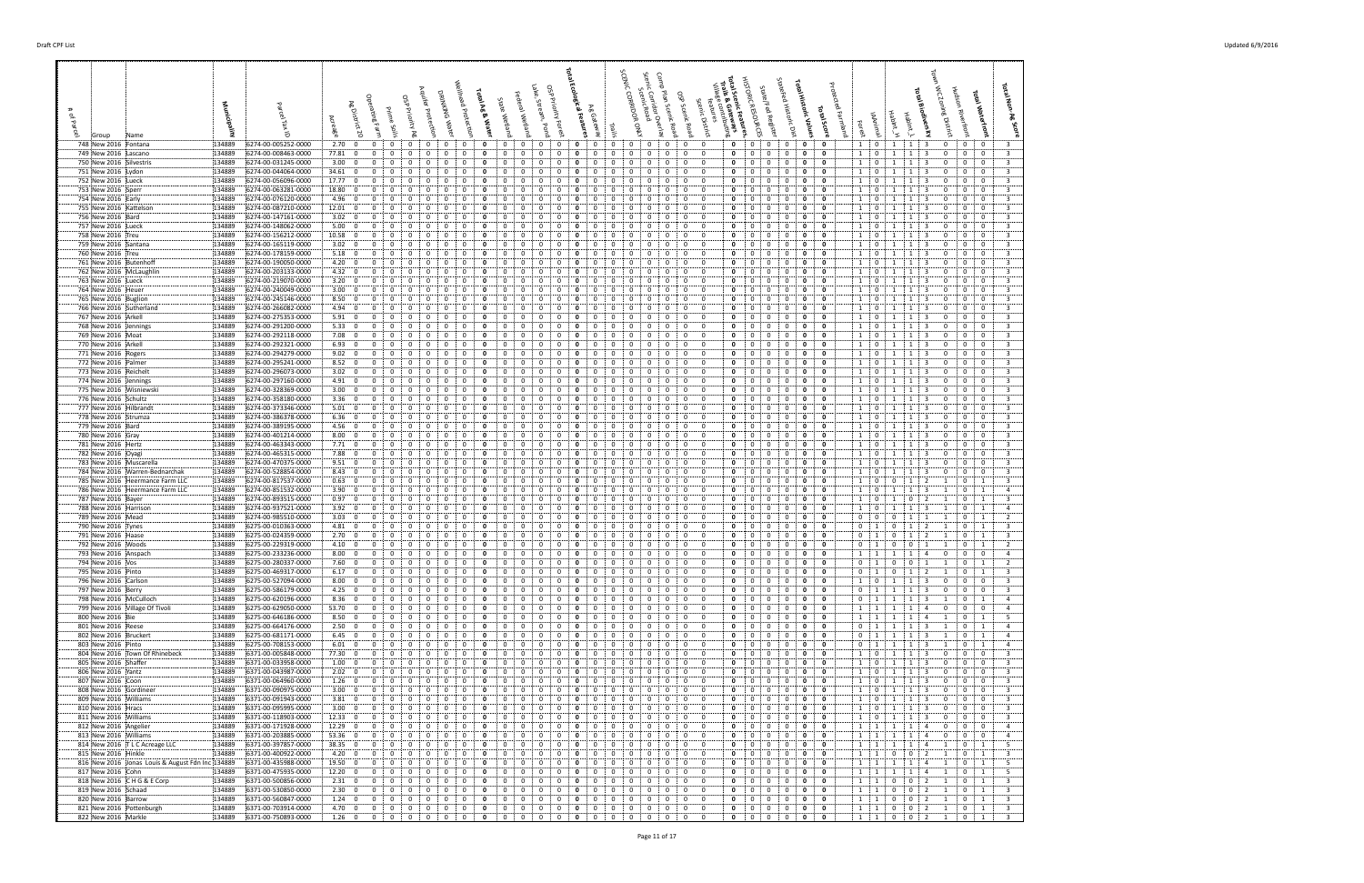| 748 New 2016 Fontana                               | 134889           | 6274-00-005252-0000                        | 2.70:0                                                               | $\mathbf{0}$                | $\mathbf 0$<br>$\mathbf{0}$                      | 0                        | 0                 |                                      |                        | 0<br>0                                       | 0                            | 0                | $\mathbf{0}$<br>0                                       |                              | 0                    | $\mathbf{0}$<br>0                        | 0<br>0                                          | - 0                           | $\mathbf{0}$                                     | 0                          | 0                        | $1 \quad 0$                | <sup>1</sup>                                | 1<br>$\overline{\mathbf{3}}$                                     | 0                            | 0<br>$\mathbf{0}$                                                |  |
|----------------------------------------------------|------------------|--------------------------------------------|----------------------------------------------------------------------|-----------------------------|--------------------------------------------------|--------------------------|-------------------|--------------------------------------|------------------------|----------------------------------------------|------------------------------|------------------|---------------------------------------------------------|------------------------------|----------------------|------------------------------------------|-------------------------------------------------|-------------------------------|--------------------------------------------------|----------------------------|--------------------------|----------------------------|---------------------------------------------|------------------------------------------------------------------|------------------------------|------------------------------------------------------------------|--|
| 749 New 2016 Lascano                               | 134889           | 6274-00-008463-0000                        | 77.81 0                                                              | $\mathbf{0}$                | 0<br>0                                           | $\Omega$                 | 0                 | 0<br>0                               | $\Omega$               | 0<br>0                                       | 0                            | 0                | 0<br>0                                                  | 0                            | 0                    | $\mathbf{0}$<br>0                        | 0<br>0                                          | 0                             | 0<br>0                                           | 0                          | 0                        | 1                          | $\overline{0}$<br>1                         | 1<br>3                                                           | $\mathbf{0}$                 | $\mathbf{0}$<br>$\mathbf 0$                                      |  |
| 750 New 2016 Silvestris                            | 134889           | 6274-00-031245-0000                        | 3.00; 0                                                              | $\Omega$                    | $\Omega$                                         |                          | 0                 | $\Omega$                             |                        | $\Omega$<br>0                                |                              |                  | $\Omega$                                                |                              |                      | $\Omega$<br>0                            | 0<br>0                                          | $\mathbf 0$                   | 0<br>0                                           | 0                          | $\Omega$                 | 1                          | $\mathbf 0$<br>-1                           | -1                                                               |                              | $\mathbf{0}$<br>$\mathbf 0$                                      |  |
| 751 New 2016 Lydon<br>752 New 2016 Lueck           | 134889<br>134889 | 6274-00-044064-0000<br>6274-00-056096-0000 | 34.61:0<br>17.77<br>$\overline{\mathbf{0}}$                          | $\mathbf{0}$                | $\Omega$<br>$\Omega$<br>0<br>0                   | $\Omega$                 | 0<br>0            | $\Omega$<br>0                        | $\Omega$               | $\Omega$<br>$\Omega$<br>0                    | $\Omega$<br>$\Omega$         | $\mathbf 0$<br>0 | 0<br>$\Omega$<br>0<br>$\Omega$                          | $\Omega$                     | $\mathbf 0$          | 0<br>$\mathbf{0}$<br>0<br>0              | $\mathbf 0$<br>$\Omega$<br>$\overline{0}$<br>0  | $\mathbf 0$<br>0              | $\mathbf{0}$<br>$\mathbf{0}$<br>0<br>0           | 0<br>0                     | $\mathbf 0$<br>$\Omega$  | $1 \quad 0$<br>1           | $\mathbf{1}$<br>$\mathbf 0$                 | 1<br>-3<br>-1                                                    | $\Omega$<br>$\Omega$         | $\mathbf{0}$<br>$\overline{0}$<br>0<br>$\mathbf 0$               |  |
| 753 New 2016 Sperr                                 | 134889           | 6274-00-063281-0000                        | 18.80<br>$\mathbf{0}$                                                | $\Omega$                    | 0                                                |                          | 0                 |                                      |                        | 0<br>0                                       |                              | 0                | 0                                                       |                              |                      | $\Omega$<br>0                            | 0<br>0                                          | 0                             | 0<br>0                                           | 0                          | $\Omega$                 | $\mathbf{1}$               | 0                                           |                                                                  |                              | $\mathbf{0}$<br>$\mathbf 0$                                      |  |
| 754 New 2016 Early                                 | 134889           | 6274-00-076120-0000                        | 4.96:0                                                               | $\Omega$                    | $\Omega$<br>$\Omega$                             |                          | 0                 | $\Omega$<br>0                        | 0                      | 0<br>$\Omega$                                | $\Omega$                     | 0                | $\Omega$<br>$\Omega$                                    | 0                            | $\Omega$             | $\mathbf{0}$<br>$\Omega$                 | $\mathbf 0$<br>0                                | $\mathbf 0$                   | $\mathbf 0$<br>0                                 | 0                          | 0                        | $1 \cdot$                  | $\bf{0}$<br>-1                              | -3<br>-1                                                         | $\Omega$                     | $\mathbf 0$<br>$\overline{0}$                                    |  |
| 755 New 2016 Kattelson                             | 134889           | 6274-00-087210-0000                        | 12.01:0                                                              | $\mathbf{0}$                | 0<br>0                                           |                          | 0                 |                                      |                        | 0<br>0                                       | 0                            | 0                | 0<br>0                                                  |                              | 0                    | 0<br>0                                   | $\overline{0}$<br>0                             | 0                             | 0<br>0                                           | 0                          | 0                        | 1                          | $\mathbf{0}$                                | -1<br>-3                                                         | $\Omega$                     | $\mathbf{0}$<br>$\mathbf 0$                                      |  |
| 756 New 2016 Bard                                  | 134889           | 6274-00-147161-0000                        | $3.02 \div 0$                                                        | $\mathbf{0}$                | 0<br>0                                           |                          | 0                 | 0                                    | 0                      | $\Omega$<br>0                                | 0                            | 0                | 0<br>0                                                  | 0                            | 0                    | 0<br>0                                   | $\overline{0}$<br>0                             | 0                             | 0<br>0                                           | $\mathbf{0}$               | $\Omega$                 | 1                          | 0<br>1                                      | 1<br>-3                                                          |                              | $\mathbf{0}$<br>$\mathbf 0$                                      |  |
| 757 New 2016 Lueck<br>758 New 2016 Treu            | 134889<br>134889 | 6274-00-148062-0000<br>6274-00-156212-0000 | 5.00<br>$\overline{\mathbf{0}}$<br>10.58; 0                          | $\Omega$<br>$\Omega$        | $\overline{0}$<br>$\Omega$<br>$\Omega$<br>0      |                          | 0<br>-0           | $\Omega$<br>0                        |                        | 0<br>0                                       | 0<br>$\Omega$                | 0<br>0           | $\Omega$<br>$\Omega$<br>$\Omega$<br>$^{\circ}$          |                              | $\Omega$<br>$\Omega$ | 0<br>0<br>0                              | 0<br>$\overline{0}$<br>0<br>$\Omega$            | $\mathbf 0$<br>$\mathbf 0$    | 0<br>0<br>0<br>0                                 | 0<br>0                     | 0<br>$\Omega$            | $1 \quad$<br>1             | $\overline{0}$<br>1<br>$\mathbf 0$          | -1<br>-3<br>-3<br>-1                                             | $\Omega$<br>$\Omega$         | $\mathbf{0}$<br>$\mathbf{0}$<br>$\mathbf{0}$<br>$\mathbf{0}$     |  |
| 759 New 2016 Santana                               | 134889           | 6274-00-165119-0000                        | 3.02<br>$\mathbf{0}$                                                 | $\mathbf{0}$                | 0<br>0                                           |                          |                   | $\Omega$                             |                        | 0                                            | $\Omega$                     | 0                | $\mathbf{0}$<br>$\Omega$                                |                              | $\Omega$             | $\mathbf 0$<br>0                         | $\overline{0}$<br>0                             | $\mathbf 0$                   | $\mathbf 0$<br>0                                 | $\mathbf{0}$               | 0                        | 1                          | $\mathbf 0$<br>-1                           | -1<br>-3                                                         | $\Omega$                     | $\overline{0}$<br>$\mathbf{0}$                                   |  |
| 760 New 2016 Treu                                  | 134889           | 6274-00-178159-0000                        | 5.18; 0                                                              | $\mathbf{0}$                | 0<br>0                                           |                          | 0                 | $\Omega$<br>0                        |                        | 0                                            | $\Omega$                     | 0                | 0<br>$\Omega$                                           | 0                            | 0                    | 0<br>0                                   | $\mathbf{0}$<br>$\overline{0}$                  | 0                             | 0<br>0                                           | 0                          | $\Omega$                 | 1                          | $\mathbf 0$<br>-1                           | -1<br>-3                                                         | $\Omega$                     | $\mathbf{0}$<br>$\mathbf 0$                                      |  |
| 761 New 2016 Butenhoff                             | 134889           | 6274-00-190050-0000                        | 4.20:0                                                               | $\Omega$                    | $\Omega$<br>0                                    |                          | 0                 | $\Omega$                             |                        |                                              |                              |                  | 0                                                       |                              |                      | 0<br>$\Omega$                            | $\overline{0}$<br>0                             | $\mathbf 0$                   | 0<br>0                                           | 0                          | $\Omega$                 | 1                          | $\mathbf 0$<br>1                            |                                                                  |                              | $\mathbf{0}$<br>$\mathbf 0$                                      |  |
| 762 New 2016 McLaughlin                            | 134889           | 6274-00-203133-0000                        | 4.32:0                                                               | $\mathbf{0}$                | 0<br>0                                           | 0                        | 0                 | 0<br>o                               |                        | 0<br>0                                       | 0                            | 0                | $\mathbf{0}$<br>$\mathbf{0}$                            | 0                            | 0                    | 0<br>0                                   | 0<br>0                                          | - 0                           | 0<br>$\mathbf{0}$                                | 0                          | $\mathbf 0$              | 1                          | $\mathbf{0}$<br>1                           | 1<br>3                                                           | 0                            | $\mathbf{0}$<br>$\mathbf 0$                                      |  |
| 763 New 2016 Lueck                                 | 134889<br>134889 | 6274-00-219070-0000                        | 3.20:<br>$\overline{\mathbf{0}}$<br>3.00:<br>$\overline{\mathbf{0}}$ | $\mathbf{0}$<br>$\Omega$    | $\mathbf{0}$<br>0<br>$\Omega$                    |                          | 0<br>$\Omega$     | $\Omega$<br>0                        |                        | $\Omega$<br>$\Omega$<br>0                    | $\Omega$                     | 0<br>0           | 0<br>$\Omega$                                           | 0                            | 0                    | $\mathbf 0$<br>0<br>0                    | 0<br>$\overline{0}$<br>$\Omega$<br>0            | $\overline{0}$<br>0           | 0<br>$\mathbf 0$<br>0<br>0                       | 0<br>0                     | $\Omega$<br>0            | 1<br>1                     | $\mathbf 0$<br>-1<br>$\mathbf{0}$           | $\mathbf{1}$<br>-3                                               | $\Omega$                     | $\mathbf 0$<br>$\Omega$<br>$\Omega$<br>$\mathbf 0$               |  |
| 764 New 2016 Heuer<br>765 New 2016 Buglion         | 134889           | 6274-00-240049-0000<br>6274-00-245146-0000 | 8.50:<br>$\overline{\mathbf{0}}$                                     | $\Omega$                    | $\Omega$<br>$\Omega$                             |                          | $\Omega$          | $\Omega$<br>0                        |                        | 0<br>0                                       | $\Omega$                     | 0                | 0<br>$\Omega$                                           | $\Omega$                     | $\Omega$             | $^{\circ}$<br>$\Omega$                   | $\mathbf 0$<br>0                                | $\mathbf 0$                   | $\mathbf 0$<br>0                                 | 0                          | 0                        | $1 \cdot$                  | $\mathbf 0$<br>-1                           | -3<br>-1                                                         | $\Omega$                     | $\mathbf 0$<br>$\bf{0}$                                          |  |
| 766 New 2016 Sutherland                            | 134889           | 6274-00-266082-0000                        | 4.94<br>$\overline{\mathbf{0}}$                                      |                             | 0<br>0                                           |                          | 0                 |                                      |                        |                                              |                              | 0                | 0                                                       |                              |                      | 0<br>0                                   | $\overline{0}$<br>0                             | 0                             | 0<br>0                                           | 0                          | 0                        | 1                          | 0                                           |                                                                  | $\Omega$                     | $\Omega$<br>$\mathbf 0$                                          |  |
| 767 New 2016 Arkell                                | 134889           | 6274-00-275353-0000                        | $5.91\begin{array}{ c} 0 \end{array}$                                | $\mathbf{0}$                | 0<br>0                                           |                          | 0                 | 0<br>0                               |                        | 0<br>0                                       | 0                            | 0                | 0<br>0                                                  | 0                            | 0                    | 0<br>0                                   | 0<br>0                                          | 0                             | 0<br>0                                           | 0                          | 0                        | 1                          | $\mathbf 0$<br>-1                           | -1<br>-3                                                         |                              | $\mathbf{0}$<br>$\mathbf 0$                                      |  |
| 768 New 2016 Jennings                              | 134889           | 6274-00-291200-0000                        | 5.33<br>$\overline{\mathbf{0}}$                                      | $\mathbf{0}$                | 0<br>0                                           |                          | 0                 | $\Omega$                             |                        | 0<br>0                                       | 0                            | 0                | 0<br>0                                                  |                              |                      | 0<br>0                                   | $\overline{0}$<br>0                             | 0                             | 0<br>0                                           | 0                          | 0                        | $1 \quad$                  | $\mathbf 0$<br>1                            |                                                                  | $\Omega$                     | $\mathbf{0}$<br>$\mathbf 0$                                      |  |
| 769 New 2016 Moat                                  | 134889           | 6274-00-292118-0000                        | 7.08:0                                                               | $\Omega$                    | $\Omega$<br>$\Omega$<br>$\mathbf 0$              |                          | $\Omega$          | $\Omega$<br>0<br>$\Omega$            | $\Omega$               | $\Omega$<br>$\Omega$<br>$\Omega$<br>$\Omega$ |                              | 0                | $\Omega$<br>$\Omega$                                    | $\Omega$                     | 0                    | $\Omega$<br>0                            | $\Omega$<br>0<br>$\mathbf{0}$                   | 0                             | $\Omega$<br>0<br>0                               | $\Omega$                   | $\Omega$<br>$\mathbf{0}$ | 1<br>1                     | $\mathbf 0$<br>$\overline{1}$               | $\mathbf{1}$<br>-3<br>3                                          | $\Omega$                     | $\mathbf{0}$<br>$\Omega$<br>$\mathbf{0}$                         |  |
| 770 New 2016 Arkell<br>771 New 2016 Rogers         | 134889<br>134889 | 6274-00-292321-0000<br>6274-00-294279-0000 | 6.93:0<br>9.02; 0                                                    | $\mathbf 0$<br>$\mathbf 0$  | 0<br>$\mathbf{0}$<br>0                           |                          | 0<br>0            | 0<br>0                               |                        | 0                                            | 0<br>0<br>$\Omega$           | 0<br>0           | 0<br>0<br>0<br>$\mathbf{0}$                             | $\Omega$                     | 0<br>0               | $\overline{0}$<br>0<br>0<br>0            | $\overline{0}$<br>0<br>$\overline{0}$           | 0<br>$\mathbf 0$              | 0<br>0<br>0                                      | 0<br>0                     | 0                        | $1 \cdot$                  | $\overline{0}$<br>1<br>$\overline{0}$<br>-1 | 1<br>-1<br>-3                                                    | $\Omega$<br>0                | $\overline{0}$<br>$\mathbf{0}$<br>$\mathbf 0$                    |  |
| 772 New 2016 Palmer                                | 134889           | 6274-00-295241-0000                        | 8.52; 0                                                              | $\Omega$                    | $\Omega$<br>$\Omega$                             |                          | $\Omega$          |                                      |                        | 0                                            |                              | 0                | 0<br>$^{\circ}$                                         |                              |                      | 0<br>$\Omega$                            | 0<br>$\Omega$                                   | $\overline{0}$                | $\Omega$<br>0                                    | 0                          | $\Omega$                 | 1 <sup>1</sup>             | $\overline{0}$<br>-1                        | -1<br>-3                                                         | $^{\circ}$                   | $\mathbf{0}$<br>$\mathbf{0}$                                     |  |
| 773 New 2016 Reichelt                              | 134889           | 6274-00-296073-0000                        | 3.02: 0                                                              | $\mathbf{0}$                | $\mathbf{0}$<br>0                                | 0                        | - 0               | 0<br>0                               |                        | 0<br>0                                       | 0                            | 0                | $\mathbf{0}$<br>$\mathbf{0}$                            | $\Omega$                     | 0                    | $\mathbf{0}$<br>0                        | $\mathbf 0$<br>0                                | $\mathbf 0$                   | 0<br>$\mathbf{0}$                                | 0                          | 0                        | 1                          | $\overline{0}$<br>1                         | 1<br>3                                                           | 0                            | $\mathbf 0$<br>$\bf{0}$                                          |  |
| 774 New 2016 Jennings                              | 134889           | 6274-00-297160-0000                        | 4.91; 0                                                              | $\mathbf{0}$                | 0<br>0                                           |                          | 0                 | 0<br>0                               |                        | 0<br>0                                       | 0                            | 0                | 0<br>0                                                  | 0                            | 0                    | 0<br>0                                   | $\overline{0}$<br>0                             | 0                             | 0<br>0                                           | 0                          | $\Omega$                 | 1                          | $\mathbf{0}$<br>-1                          | -1<br>3                                                          | 0                            | $\mathbf{0}$<br>$\mathbf 0$                                      |  |
| 775 New 2016 Wisniewski                            | 134889           | 6274-00-328369-0000                        | 3.00; 0                                                              | $\Omega$                    | 0                                                |                          | 0                 | $\Omega$                             |                        | $\Omega$<br>$\Omega$                         |                              |                  | $\Omega$<br>$\Omega$                                    |                              |                      | 0<br>$\Omega$                            | 0<br>$\overline{0}$                             | $\mathbf 0$                   | $\mathbf 0$<br>0                                 | 0                          | $\Omega$                 | 1 <sup>1</sup>             | $\mathbf 0$<br>-1                           | -1<br>-3                                                         | $\Omega$                     | $\mathbf{0}$<br>$\mathbf 0$                                      |  |
| 776 New 2016 Schultz<br>777 New 2016 Hilbrandt     | 134889<br>134889 | 6274-00-358180-0000<br>6274-00-373346-0000 | 3.36:0<br>5.01:<br>$\mathbf{0}$                                      | $\Omega$<br>$\Omega$        | 0<br>0<br>$\Omega$<br>0                          | $\Omega$                 | $\mathbf{0}$<br>0 | $\Omega$<br>0<br>0                   | $\Omega$               | $\Omega$<br>$\Omega$<br>0<br>0               | $\Omega$<br>$\Omega$         | 0<br>0           | $\mathbf{0}$<br>$\Omega$<br>0                           | 0                            | $\mathbf 0$          | $\mathbf 0$<br>0<br>$\Omega$<br>0        | $\mathbf 0$<br>0<br>$\Omega$<br>0               | $\mathbf 0$<br>0              | $\mathbf 0$<br>0<br>0<br>0                       | 0<br>0                     | 0<br>$\mathbf{0}$        | 1 <sup>1</sup><br>1        | $\overline{0}$<br>-1<br>$\mathbf 0$         | 3<br>$\mathbf{1}$<br>-1                                          | $\Omega$<br>$\Omega$         | $\overline{0}$<br>$\mathbf{0}$<br>$\overline{0}$<br>$\Omega$     |  |
| 778 New 2016 Strumza                               | 134889           | 6274-00-386378-0000                        | 6.36:<br>$\mathbf{0}$                                                | $\Omega$                    | 0                                                |                          | 0                 |                                      |                        | 0<br>0                                       |                              | 0                | 0                                                       |                              |                      | 0<br>$\Omega$                            | $\overline{0}$<br>0                             | 0                             | 0<br>0                                           | 0                          | $\Omega$                 | 1                          | $\mathbf{0}$                                |                                                                  |                              | 0<br>$\mathbf 0$                                                 |  |
| 779 New 2016 Bard                                  | 134889           | 6274-00-389195-0000                        | 4.56:0                                                               | $\Omega$                    | 0<br>$\Omega$                                    |                          | $\Omega$          | $\Omega$<br>0                        |                        | 0<br>0                                       | $\Omega$                     | 0                | $\Omega$<br>$\Omega$                                    | 0                            | $\Omega$             | $\mathbf{0}$<br>$\Omega$                 | $\mathbf 0$<br>0                                | $\mathbf 0$                   | $\mathbf 0$<br>0                                 | 0                          | 0                        | $1 \cdot$                  | $\mathbf 0$<br>-1                           | -3                                                               | $\Omega$                     | $\mathbf 0$<br>$\overline{0}$                                    |  |
| 780 New 2016 Gray                                  | 134889           | 6274-00-401214-0000                        | 8.00; 0                                                              | $\Omega$                    | 0<br>0                                           |                          | 0                 |                                      |                        | 0                                            | $\Omega$                     | 0                | 0<br>0                                                  |                              |                      | 0<br>0                                   | 0<br>0                                          | 0                             | 0<br>0                                           | 0                          | 0                        | 1                          | 0<br>-1                                     | -1                                                               |                              | $\mathbf{0}$<br>- 0                                              |  |
| 781 New 2016 Hertz                                 | 134889           | 6274-00-463343-0000                        | 7.71:0                                                               | $\mathbf{0}$                | 0<br>0                                           |                          | 0                 | 0                                    |                        | $\mathbf{0}$<br>0                            | 0                            | 0                | 0<br>0                                                  | 0                            | 0                    | 0<br>0                                   | 0<br>0                                          | 0                             | 0<br>0                                           | 0                          | $\Omega$                 | $\mathbf{1}$               | $\mathbf 0$<br>1                            | 1<br>3                                                           | $\Omega$                     | $\mathbf{0}$<br>$\mathbf 0$                                      |  |
| 782 New 2016 Oyagi<br>783 New 2016 Muscarella      | 134889<br>134889 | 6274-00-465315-0000<br>6274-00-470375-0000 | $\overline{\mathbf{0}}$<br>7.88:<br>9.51; 0                          | $\Omega$<br>$\Omega$        | $\mathbf{0}$<br>0<br>$\Omega$<br>0               |                          | 0<br>$\Omega$     | $\Omega$<br>0<br>0                   |                        | 0<br>0<br>-0                                 | $\Omega$                     | 0<br>0           | $\Omega$<br>$\Omega$<br>0<br>$\Omega$                   |                              | $\Omega$<br>0        | 0<br>0<br>0<br>$\Omega$                  | 0<br>$\overline{0}$<br>0<br>$\Omega$            | $\overline{0}$<br>$\mathbf 0$ | 0<br>0<br>$\Omega$<br>0                          | 0<br>$\Omega$              | 0<br>$\Omega$            | 1<br>1                     | $\mathbf 0$<br>1<br>$\mathbf 0$<br>-1       | -1<br>-3<br>-1<br>-3                                             | $\Omega$<br>$\Omega$         | $\mathbf 0$<br>$\mathbf 0$<br>$\mathbf{0}$<br>$\mathbf{0}$       |  |
| 784 New 2016 Warren-Bednarchak                     | 134889           | 6274-00-528854-0000                        | 8.43<br>$\mathbf{0}$                                                 | $\Omega$                    | $\mathbf{0}$<br>0                                |                          | 0                 | $\Omega$                             |                        | 0<br>0                                       | 0                            | 0                | $\mathbf 0$<br>0                                        |                              | 0                    | $\mathbf 0$<br>0                         | $\overline{0}$<br>0                             | $\overline{0}$                | $\mathbf 0$<br>0                                 | 0                          | 0                        | 1                          | $\mathbf 0$<br>-1                           | -1<br>3                                                          | $\Omega$                     | $\overline{0}$<br>$\mathbf{0}$                                   |  |
| 785 New 2016 Heermance Farm LLC                    | 134889           | 6274-00-817537-0000                        | 0.63; 0                                                              | $\mathbf 0$                 | 0<br>0                                           |                          | 0                 | 0<br>0                               | $\Omega$               | 0                                            | 0<br>0                       | 0                | 0<br>$\Omega$                                           | 0                            | 0                    | 0<br>0                                   | $\mathbf{0}$<br>$\overline{0}$                  | $\mathbf 0$                   | 0<br>0                                           | 0                          | 0                        | 1                          | $\mathbf 0$<br>$\mathbf{0}$                 | 1<br>$\overline{2}$                                              |                              | $\mathbf{0}$<br>$\mathbf{1}$                                     |  |
| 786 New 2016 Heermance Farm LLC                    | 134889           | 6274-00-851532-0000                        | 3.90; 0                                                              | $\mathbf{0}$                | 0<br>0                                           |                          | 0                 | 0                                    |                        | 0<br>0                                       |                              | 0                | 0<br>0                                                  |                              | 0                    | 0<br>0                                   | $\overline{0}$<br>0                             | $\mathbf 0$                   | 0<br>0                                           | 0                          | $\Omega$                 | 1                          | $\mathbf 0$<br>1                            | -1<br>3                                                          |                              | $\mathbf 0$<br>$\mathbf{1}$                                      |  |
| 787 New 2016 Bayer                                 | 134889           | 6274-00-893515-0000                        | 0.97: 0                                                              | $\mathbf 0$                 | $\mathbf{0}$<br>0                                | $\mathbf{0}$             | 0                 | $\mathbf{0}$<br>0<br>$\Omega$        | $\mathbf{0}$           | 0<br>0<br>$\Omega$                           | 0                            | 0                | $\mathbf 0$<br>$\mathbf{0}$<br>$\Omega$                 | 0<br>$\Omega$                | 0                    | 0<br>$\mathbf{0}$                        | $\mathbf 0$<br>0<br>$\mathbf 0$<br>$\mathbf{0}$ | $\mathbf 0$<br>$\mathbf 0$    | 0<br>$\mathbf{0}$                                | 0                          | 0<br>$\Omega$            | 1:                         | $\mathbf{0}$<br>1                           | $\mathbf{0}$<br>$\overline{2}$                                   |                              | $0 \quad$<br>$\overline{1}$                                      |  |
| 788 New 2016 Harrison<br>789 New 2016 Mead         | 134889<br>134889 | 6274-00-937521-0000<br>6274-00-985510-0000 | 3.92: 0<br>3.03:0                                                    | $\mathbf{0}$<br>$\Omega$    | $\mathbf{0}$<br>0<br>$\Omega$<br>0               |                          | 0<br>0            | 0<br>$\Omega$                        |                        | 0<br>0<br>$\Omega$                           | 0<br>$\Omega$                | 0<br>0           | 0<br>0<br>$\Omega$                                      |                              | 0                    | 0<br>0<br>0<br>$\Omega$                  | 0<br>0                                          | 0                             | 0<br>0<br>0<br>0                                 | 0<br>0                     | $\Omega$                 | $1 \quad$<br>$\mathbf 0$   | $\mathbf 0$<br>-1<br>$\mathbf{0}$<br>0      | 1<br>3                                                           |                              | $\mathbf{0}$<br>1<br>$\Omega$<br>1                               |  |
| 790 New 2016 Tynes                                 | 134889           | 6275-00-010363-0000                        | 4.81:0                                                               | $\Omega$                    | $\Omega$<br>$\Omega$                             |                          | $\Omega$          | $\Omega$<br>0                        |                        | $\Omega$<br>0                                | $\Omega$                     | 0                | $\Omega$<br>$\Omega$                                    | $\Omega$                     | $\Omega$             | $^{\circ}$<br>$\Omega$                   | $\mathbf 0$<br>0                                | $\mathbf 0$                   | $\mathbf 0$<br>0                                 | 0                          | 0                        | $\mathbf 0$<br>$\cdot$ 1   | $\Omega$                                    | -1                                                               |                              | $\mathbf{0}$<br>1                                                |  |
| 791 New 2016 Haase                                 | 134889           | 6275-00-024359-0000                        | 2.70:0                                                               | $\mathbf{0}$                | 0<br>0                                           |                          | 0                 | 0                                    |                        | 0                                            | $\Omega$                     | 0                | 0                                                       |                              |                      | 0<br>0                                   | $\mathbf{0}$<br>0                               | 0                             | 0<br>0                                           | 0                          | $\mathbf{o}$             | $\mathbf{0}$               | - 1                                         | -1                                                               |                              | $\Omega$<br>- 1                                                  |  |
| 792 New 2016 Woods                                 | 134889           | 6275-00-229319-0000                        | 4.10; 0                                                              | $\mathbf{0}$                | $^{\circ}$<br>0                                  |                          | 0                 | 0<br>0                               | $\Omega$               | $\Omega$<br>0                                | $\mathbf{0}$                 | 0                | $^{\circ}$<br>0                                         | 0                            | 0                    | $\mathbf{0}$<br>0                        | $\mathbf 0$<br>0                                | 0                             | 0<br>0                                           | 0                          | 0                        | 0<br>$\cdots$              | 0                                           | $\Omega$                                                         |                              | $\mathbf{0}$<br>$\mathbf{1}$                                     |  |
| 793 New 2016 Anspach                               | 134889<br>134889 | 6275-00-233236-0000                        | 8.00:<br>$\mathbf{0}$                                                | 0<br>$\mathbf{0}$           | $^{\circ}$<br>0<br>$\mathbf{0}$                  | $\Omega$<br>$\mathbf{0}$ | 0                 | $\mathbf{0}$<br>0<br>$\mathbf 0$     | $\Omega$<br>$^{\circ}$ | $\mathbf 0$<br>$\mathbf{0}$                  | 0                            | 0<br>$\mathbf 0$ | $^{\circ}$<br>$\mathbf 0$<br>$\mathbf{0}$               | $\mathbf{0}$<br>$\mathbf{0}$ | 0<br>$\mathbf 0$     | 0<br>0                                   | $\mathbf 0$<br>0<br>$\mathbf 0$<br>0            | $\mathbf 0$                   | 0<br>0<br>$\mathbf 0$<br>$\mathbf{0}$            | 0<br>$\mathbf{0}$          | 0<br>$\Omega$            | $1 \quad 1$<br>$0 \quad 1$ | 1                                           | 1<br>4<br>$\mathbf 0$<br>$\pm 1$                                 | 0                            | $\mathbf{0}$<br>$\mathbf 0$<br>0<br>$\mathbf{1}$                 |  |
| 794 New 2016 Vos<br>795 New 2016 Pinto             | 134889           | 6275-00-280337-0000<br>6275-00-469317-0000 | 7.60; 0<br>6.17:<br>$\overline{\mathbf{0}}$                          | $\mathbf 0$                 | $\mathbf{0}$<br>$\mathbf 0$<br>0                 |                          | $\mathbf 0$       | $\mathbf 0$<br>0<br>0                |                        | $\mathbf{0}$<br>$\mathbf{0}$<br>0            | 0<br>$\mathbf 0$             | 0                | $\mathbf{0}$<br>$\mathbf 0$                             |                              | 0                    | $\mathbf 0$<br>$\mathbf 0$<br>0<br>0     | 0                                               | $\mathbf 0$<br>$\mathbf 0$    | $\mathbf 0$<br>$\mathbf 0$                       | 0                          | 0                        | 0                          | $\mathbf{0}$<br>$\mathbf 0$<br>$\mathbf{1}$ | 2<br>-1                                                          | 1                            | $\mathbf{0}$<br>$\mathbf{1}$                                     |  |
| 796 New 2016 Carlson                               | 134889           | 6275-00-527094-0000                        | 8.00:<br>$\mathbf{0}$                                                | $\mathbf 0$                 | 0<br>0                                           | $\Omega$                 | 0                 | $\Omega$<br>0                        | $\Omega$               | 0<br>$\Omega$                                | $\mathbf 0$                  | 0                | 0<br>$\mathbf 0$                                        | $\Omega$                     | $\Omega$             | 0<br>$\mathbf{0}$                        | 0<br>$\mathbf 0$                                | $\mathbf 0$                   | 0<br>0                                           | 0                          | 0                        | $1 \quad$                  | $\mathbf{0}$<br>1                           | 1<br>3                                                           | $\mathbf 0$                  | $\mathbf{0}$<br>$\bf{0}$                                         |  |
| 797 New 2016 Berry                                 | 134889           | 6275-00-586179-0000                        | 4.25:0                                                               | $\Omega$                    | $\Omega$<br>0                                    | $\Omega$                 | $\Omega$          | $\Omega$<br>0                        | $\Omega$               | $\Omega$<br>$\Omega$                         | $\Omega$                     | 0                | 0<br>$^{\circ}$                                         | 0                            | $\Omega$             | $\Omega$<br>$\mathbf 0$                  | 0<br>$\overline{0}$                             | $\mathbf 0$                   | $\mathbf 0$<br>$\Omega$                          | 0                          | 0                        | $0 \quad 1$                | 1                                           | $\mathbf{1}$<br>-3                                               | 0                            | 0<br>$\overline{\mathbf{0}}$                                     |  |
| 798 New 2016 McCulloch                             | 134889           | 6275-00-620196-0000                        | 8.36; 0                                                              | $\mathbf 0$                 | $\overline{0}$<br>$\overline{0}$                 | $\mathbf{0}$             | 0                 | 0<br>$\mathbf{0}$                    | $\mathbf{0}$           | 0<br>0                                       | $\mathbf 0$                  | 0                | $\mathbf{0}$<br>$\mathbf{0}$                            | 0                            | $\mathbf 0$          | $\mathbf{0}$<br>$\mathbf{0}$             | $\mathbf 0$<br>0                                | $\mathbf 0$                   | $\mathbf{0}$<br>$\overline{0}$                   | $\mathbf{0}$               | 0                        | $0 \t1$                    | 1                                           | $\mathbf{1}$<br>$\overline{\mathbf{3}}$                          | 1                            | $0 \quad 1$                                                      |  |
| 799 New 2016 Village Of Tivoli<br>800 New 2016 Bie | 134889<br>134889 | 6275-00-629050-0000<br>6275-00-646186-0000 | 53.70 0<br>8.50; 0                                                   | $\bf{0}$<br>$\mathbf 0$     | $\mathbf 0$<br>$\mathbf{0}$<br>$\mathbf{0}$<br>0 | 0                        | $\mathbf{0}$<br>0 | 0<br>0<br>$\mathbf 0$<br>0           | 0<br>$\Omega$          | 0<br>0<br>$\mathbf 0$<br>0                   | $\mathbf{0}$<br>$\Omega$     | 0<br>0           | $\mathbf{0}$<br>$\mathbf 0$<br>$\mathbf{0}$<br>$\Omega$ | $\mathbf 0$<br>$\Omega$      | $\mathbf{0}$<br>0    | $\mathbf{0}$<br>0<br>0<br>$\mathbf 0$    | 0<br>$\bf{0}$<br>$\mathbf 0$<br>$\overline{0}$  | $\mathbf 0$<br>$\overline{0}$ | $\mathbf{0}$<br>$\mathbf{0}$<br>$\mathbf 0$<br>0 | 0<br>0                     | 0<br>$\mathbf 0$         | $1 \quad 1$<br>$1 \quad 1$ | 1<br>1                                      | $\mathbf{1}$<br>$\overline{4}$<br>$\mathbf{1}$<br>$\overline{4}$ | $\mathbf{0}$<br>$\mathbf{1}$ | $\mathbf{0}$<br>$\overline{0}$<br>$0 \quad 1$                    |  |
| 801 New 2016 Reese                                 | 134889           | 6275-00-664176-0000                        | 2.50:0                                                               | $\mathbf{0}$                | $\mathbf{0}$<br>0                                | $\Omega$                 | 0                 | $\Omega$<br>0                        | $\Omega$               | $\Omega$<br>0                                | $\Omega$                     | 0                | $\mathbf{0}$<br>$\Omega$                                | 0                            | $\Omega$             | 0<br>$\mathbf 0$                         | $\mathbf 0$<br>0                                | $\mathbf 0$                   | $\mathbf{0}$<br>0                                | $\mathbf{0}$               | $\mathbf 0$              | $0 \t1$                    | -1                                          | -1<br>-3                                                         | -1                           | $0 \quad 1$                                                      |  |
| 802 New 2016 Bruckert                              | 134889           | 6275-00-681171-0000                        | 6.45:0                                                               | $\mathbf{0}$                | $\mathbf{0}$<br>0                                |                          | 0                 | $\Omega$<br>0                        | $\mathbf{0}$           | 0<br>$\mathbf{0}$                            | 0                            | 0                | 0<br>$\Omega$                                           | 0                            | 0                    | 0<br>0                                   | $\mathbf 0$<br>0                                | $\overline{0}$                | $\mathbf 0$<br>0                                 | 0                          | 0                        | $\mathbf 0$<br>$\cdots$ 1  | -1                                          | 3<br>-1                                                          |                              | $\mathbf 0$<br>$\overline{1}$                                    |  |
| 803 New 2016 Pinto                                 | 134889           | 6275-00-708153-0000                        | 6.01:0                                                               | $\mathbf 0$                 | $\mathbf{0}$<br>0                                |                          | 0                 | 0<br>0                               | $\Omega$               | 0<br>$\mathbf{0}$                            | 0                            | 0                | 0<br>0                                                  | 0                            | 0                    | 0<br>$\mathbf{0}$                        | 0<br>$\overline{0}$                             | $\mathbf 0$                   | 0<br>0                                           | 0                          | 0                        | $\mathbf 0$<br>$\pm 1$     | 1                                           | -1<br>3                                                          |                              | $\bf{0}$<br>$\overline{1}$                                       |  |
| 804 New 2016 Town Of Rhinebeck                     | 134889           | 6371-00-005848-0000                        | 77.30 0                                                              | $^{\circ}$                  | $\mathbf{0}$<br>0                                |                          | $\Omega$          | $\Omega$<br>0                        | $\Omega$               | $\Omega$<br>0                                | $\Omega$                     | 0                | $\Omega$<br>$\Omega$                                    | $\Omega$                     | $\Omega$             | 0<br>0                                   | $\mathbf 0$<br>0                                | $\mathbf 0$                   | $\mathbf 0$<br>0                                 | 0                          | 0                        | $1 \quad$                  | $\mathbf 0$<br>-1                           | -3<br>-1                                                         | $\Omega$                     | $\mathbf{0}$<br>$\bf{0}$                                         |  |
| 805 New 2016 Shaffer<br>806 New 2016 Yantz         | 134889<br>134889 | 6371-00-033958-0000<br>6371-00-043987-0000 | 1.00; 0<br>2.02: 0                                                   | $\mathbf 0$<br>$\mathbf 0$  | $\mathbf{0}$<br>0<br>0<br>0                      |                          | 0<br>0            | 0<br>0<br>0<br>0                     | 0<br>$\mathbf{0}$      | 0<br>0<br>$\mathbf 0$<br>0                   | $\mathbf{0}$<br>0            | 0<br>0           | 0<br>$\mathbf{0}$<br>$\mathbf{0}$<br>0                  | 0                            | 0<br>0               | 0<br>$\mathbf{0}$<br>$\overline{0}$<br>0 | $\mathbf 0$<br>0<br>0<br>$\bf{0}$               | $\mathbf 0$<br>0              | 0<br>$\mathbf{0}$<br>0<br>0                      | 0<br>0                     | 0<br>0                   | $1 \cdot$<br>1             | $\mathbf{0}$<br>1<br>$\overline{0}$<br>1    | 1<br>3<br>1<br>3                                                 | 0<br>0                       | $\mathbf{0}$<br>$\mathbf{0}$<br>$\mathbf 0$<br>$\bf{0}$          |  |
| 807 New 2016 Coon                                  | 134889           | 6371-00-064960-0000                        | 1.26:0                                                               | $\mathbf 0$                 | $\mathbf{0}$<br>0                                |                          | 0                 | $\Omega$<br>0                        |                        | 0<br>$\Omega$                                | 0                            | 0                | $\mathbf{0}$<br>$\Omega$                                | 0                            | $\Omega$             | 0<br>0                                   | $\mathbf 0$<br>0                                | $\mathbf 0$                   | $\mathbf 0$<br>0                                 | 0                          | 0                        | $\mathbf{1}$               | $\mathbf{0}$<br>-1                          | -1<br>3                                                          | 0                            | $\mathbf 0$<br>$\mathbf 0$                                       |  |
| 808 New 2016 Gordineer                             | 134889           | 6371-00-090975-0000                        | 3.00; 0                                                              | $\mathbf{0}$                | $\Omega$<br>0                                    |                          | $\Omega$          | $\Omega$<br>0                        | $\Omega$               | $\Omega$<br>0                                | $\Omega$                     | 0                | $\mathbf{0}$<br>$\Omega$                                | 0                            | $\Omega$             | $\Omega$<br>$\mathbf 0$                  | 0<br>$\mathbf 0$                                | $\overline{0}$                | $\Omega$<br>0                                    | 0                          | $\Omega$                 | 1                          | $\overline{0}$<br>-1                        | $\mathbf{1}$<br>-3                                               | $\Omega$                     | $\mathbf{0}$<br>$\overline{\mathbf{0}}$                          |  |
| 809 New 2016 Williams                              | 134889           | 6371-00-091943-0000                        | 3.81; 0                                                              | $\mathbf{0}$                | $\mathbf{0}$<br>0                                |                          | 0                 | $\Omega$<br>0                        |                        | 0<br>0                                       | $\mathbf 0$                  | 0                | $\mathbf 0$<br>$\Omega$                                 |                              | $\Omega$             | 0<br>0                                   | 0<br>$\mathbf 0$                                | $\mathbf 0$                   | $\mathbf 0$<br>0                                 | 0                          | 0                        | 1                          | $\overline{0}$<br>-1                        | $\overline{1}$<br>-3                                             | $\Omega$                     | $\mathbf{0}$<br>$\mathbf 0$                                      |  |
| 810 New 2016 Hracs                                 | 134889           | 6371-00-095995-0000                        | 3.00; 0                                                              | $\mathbf 0$                 | $\mathbf{0}$<br>0                                |                          | 0                 | 0<br>0                               | $\Omega$               | 0<br>$\mathbf{0}$                            | $\mathbf 0$                  | 0                | $\mathbf{0}$<br>$\mathbf 0$                             | $\Omega$                     | 0                    | $\mathbf{0}$<br>$\mathbf{0}$             | 0<br>$\overline{0}$                             | 0                             | 0<br>0                                           | 0                          | 0                        | 1                          | $\overline{0}$<br>-1                        | -1<br>3                                                          | $\mathbf 0$                  | $\mathbf{0}$<br>$\bf{0}$                                         |  |
| 811 New 2016 Williams<br>812 New 2016 Angelier     | 134889<br>134889 | 6371-00-118903-0000<br>6371-00-171928-0000 | 12.33:0<br>12.29:0                                                   | $\mathbf{0}$<br>$\mathbf 0$ | $\mathbf{0}$<br>0<br>$\mathbf 0$<br>$\mathbf 0$  | 0                        | 0<br>0            | 0<br>0<br>0<br>0                     | $\mathbf 0$            | $\Omega$<br>0<br>0<br>0                      | $\Omega$<br>0                | 0<br>0           | $\mathbf{0}$<br>0<br>$\mathbf 0$<br>$\mathbf{0}$        | 0                            | 0<br>0               | 0<br>0<br>0<br>$\mathbf{0}$              | $\overline{0}$<br>0<br>$\mathbf 0$<br>0         | 0<br>0                        | 0<br>0<br>$\overline{0}$<br>0                    | 0<br>0                     | 0<br>0                   | $1 \cdot$<br>$1 \quad 1$   | $\overline{0}$<br>-1<br>1                   | -1<br>3<br>$\overline{4}$<br>1                                   | 0<br>0                       | $\mathbf{0}$<br>$\mathbf{0}$<br>$\mathbf{0}$<br>$\bf{0}$         |  |
| 813 New 2016 Williams                              | 134889           | 6371-00-203885-0000                        | 53.36:0                                                              | $\mathbf 0$                 | $\mathbf 0$<br>0                                 | $\Omega$                 | 0                 | 0<br>0                               | $\mathbf{0}$           | $\mathbf 0$<br>$\mathbf{0}$                  | 0                            | 0                | $\mathbf{0}$<br>$\mathbf 0$                             | $\mathbf{0}$                 | $\overline{0}$       | $\mathbf 0$<br>0                         | $\mathbf 0$<br>0                                | $\mathbf 0$                   | 0<br>$\mathbf{0}$                                | 0                          | 0                        | $1 \quad 1$                | 1                                           | 1<br>4                                                           | $\mathbf 0$                  | $\mathbf 0$<br>$\overline{0}$                                    |  |
| 814 New 2016 T L C Acreage LLC                     | 134889           | 6371-00-397857-0000                        | 38.35:0                                                              | $\mathbf 0$                 | 0<br>0                                           |                          | 0                 | 0<br>0                               | $\Omega$               | 0<br>$\mathbf{0}$                            | 0                            | 0                | 0<br>0                                                  |                              |                      | 0<br>$\mathbf{0}$                        | $\overline{0}$<br>0                             | $\mathbf 0$                   | 0<br>0                                           | 0                          | $\Omega$                 | $1 \quad 1$                |                                             |                                                                  |                              | $\bf{0}$<br>1                                                    |  |
| 815 New 2016 Hinkle                                | 134889           | 6371-00-400922-0000                        | 4.20:0                                                               | $\overline{0}$              | $\Omega$<br>$\Omega$                             | $\Omega$                 | 0                 | $\Omega$<br>0                        | $\Omega$               | $\Omega$<br>$\mathbf{0}$                     | $\Omega$                     | 0                | $\Omega$<br>$\Omega$                                    | $\Omega$                     | $\Omega$             | $\mathbf{0}$<br>0                        | $\overline{0}$<br>0                             | $\mathbf 0$                   | $\mathbf 0$<br>$\mathbf 0$                       | $\mathbf 0$                | 0                        | $1 \quad 1$                | $\mathbf 0$                                 | $\mathbf{0}$<br>-2                                               | $\mathbf{1}$                 | 0<br>$\mathbf{1}$                                                |  |
| 816 New 2016 Jonas Louis & August Fdn Inc 134889   |                  | 6371-00-435988-0000                        | 19.50:0                                                              | $\mathbf 0$                 | $\mathbf 0$<br>0                                 |                          | 0                 | 0<br>0                               | 0                      | 0<br>0                                       | 0                            | 0                | 0<br>0                                                  |                              | 0                    | 0<br>0                                   | $\overline{0}$<br>0                             | $\mathbf 0$                   | 0<br>0                                           | 0                          | 0                        | $1 \quad 1$                | -1                                          | 1<br>-4                                                          |                              | $\overline{1}$<br>$\mathbf{0}$                                   |  |
| 817 New 2016 Cohn<br>818 New 2016 C H G & E Corp   | 134889<br>134889 | 6371-00-475935-0000<br>6371-00-500856-0000 | $12.20\, 0$<br>2.31:0                                                | $\mathbf 0$<br>$\mathbf 0$  | 0<br>0<br>$\mathbf 0$<br>$\mathbf{0}$            |                          | 0<br>0            | 0<br>0<br>$\mathbf 0$<br>$\mathbf 0$ | $\Omega$               | 0<br>$\mathbf{0}$<br>$\mathbf 0$<br>0        | $\mathbf{0}$<br>0            | 0<br>0           | 0<br>0<br>$\mathbf 0$<br>0                              | 0<br>$\Omega$                | 0<br>0               | $\mathbf{0}$<br>$\mathbf{0}$<br>0<br>0   | 0<br>$\bf{0}$<br>$\mathbf 0$<br>0               | 0<br>0                        | 0<br>0<br>$\mathbf 0$<br>0                       | $\mathbf 0$<br>$\mathbf 0$ | 0<br>0                   | $1 \quad 1$<br>$1 \quad 1$ | -1<br>$\mathbf 0$                           | 1<br>4<br>$\mathbf 0$<br>2                                       |                              | $\mathbf{0}$<br>$\overline{1}$<br>$\mathbf{0}$<br>$\overline{1}$ |  |
| 819 New 2016 Schaad                                | 134889           | 6371-00-530850-0000                        | 2.30:0                                                               | $\mathbf{0}$                | $\mathbf 0$<br>0                                 | 0                        | 0                 | $\Omega$<br>0                        | $\Omega$               | $\Omega$<br>$\Omega$                         | $\Omega$                     | 0                | 0<br>$\Omega$                                           | $\Omega$                     | $\Omega$             | 0<br>$\mathbf{0}$                        | $\mathbf 0$<br>0                                | $\mathbf 0$                   | 0<br>0                                           | 0                          | $\Omega$                 | $1 \cdot 1$                | $\mathbf{0}$                                | $\mathbf 0$<br>2                                                 |                              | $0 \quad 1$                                                      |  |
| 820 New 2016 Barrow                                | 134889           | 6371-00-560847-0000                        | 1.24:0                                                               | $\mathbf 0$                 | $\mathbf 0$<br>$\mathbf{0}$                      | $\mathbf{0}$             | 0                 | $\mathbf 0$<br>$\mathbf 0$           | $\mathbf 0$            | $\mathbf 0$<br>$\mathbf 0$                   | $\mathbf 0$                  | 0                | $\mathbf{0}$<br>$\mathbf 0$                             | $\mathbf 0$                  | $\mathbf 0$          | 0<br>$\mathbf{0}$                        | $\overline{0}$<br>0                             | $\mathbf 0$                   | 0<br>$\mathbf{0}$                                | 0                          | 0                        | $1 \quad 1$                | $\mathbf{0}$                                | $\mathbf{0}$<br>$\overline{2}$                                   | 1                            | $0 \quad 1$                                                      |  |
| 821 New 2016 Pottenburgh                           | 134889           | 6371-00-703914-0000                        | $4.70$ 0 0                                                           |                             | $\overline{0}$<br>$\overline{0}$                 | $\mathbf 0$              | 0                 | 0<br>$\mathbf{0}$                    | 0                      | $\mathbf 0$                                  | $\mathbf{0}$<br>$\mathbf{0}$ | $\mathbf{0}$     | $\overline{0}$<br>$\mathbf{0}$                          | $\overline{0}$               | $\mathbf{0}$         | $\mathbf{0}$<br>$\overline{0}$           | $\mathbf 0$<br>$\mathbf 0$                      | $\mathbf 0$                   | $\overline{0}$<br>$\mathbf 0$                    | $\mathbf{0}$               | $\mathbf 0$              | $1 \quad 1$                |                                             | $0 \t 0 \t 2$                                                    | <sup>1</sup>                 | $0 \quad 1$                                                      |  |
| 822 New 2016 Markle                                | 134889           | 6371-00-750893-0000                        |                                                                      | 1.26 0 0 0 0 0 0 0 0 0 0    |                                                  |                          |                   |                                      |                        |                                              |                              |                  |                                                         |                              |                      |                                          |                                                 |                               |                                                  | 0:0:0:0:0:0                | $\mathbf{0}$             |                            | 11100211011                                 |                                                                  |                              |                                                                  |  |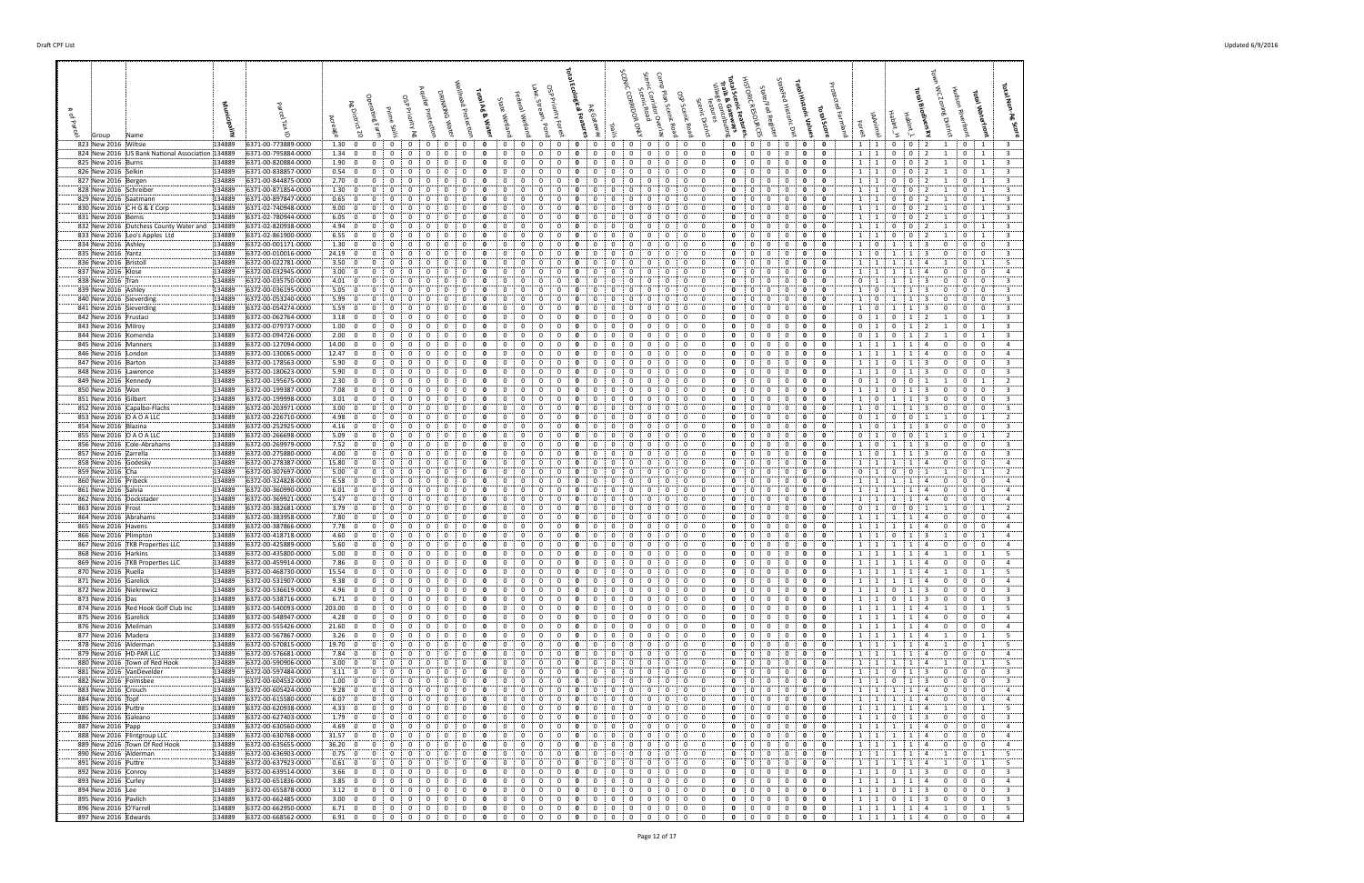# of Parcel

Group Name **Municipality**

Parcel Tax ID 

Acreage

Wellhead ProtecGon

Lake, Stream, Pond OSP Priority Forest **Total Ecological Features**

SCENIC CORRIDOR ONLY Scenic Corridor Overlay Scenic Road

 $\overline{\phantom{a}}$ 

Scenic District features **Total Scenic Features,**  HISTORIC RESOURCES

**Total Historic Values**

**Total Score** Protected Farmland

Forest IAAnimal HabInt\_H **Total Waterfront**

| 823 New 2016 Wiltsie                                      | 134889<br>6371-00-773889-0000                                  | 1.30; 0<br>$\overline{0}$<br>$\mathbf{0}$<br>$\mathbf{0}$<br>$\mathbf{0}$<br>$\mathbf{0}$<br>$\overline{0}$<br>0<br>$\mathbf{0}$<br>0<br>$\mathbf{0}$<br>0<br>0<br>$\mathbf{0}$<br>$\mathbf{0}$<br>$\mathbf{0}$<br>$\mathbf{0}$<br>$\mathbf{0}$<br>$\mathbf{0}$<br>0<br>$\Omega$                                                                                                                                                                                                                                                                                                                          | 0<br>$\mathbf 0$<br>$\mathbf{0}$<br>$\mathbf{0}$<br>$\mathbf{0}$<br>1 1<br>$\mathbf{0}$<br>0 : 2 :<br>1<br>$0 \quad 1$<br>- 3                                                                                                                                                             |
|-----------------------------------------------------------|----------------------------------------------------------------|-----------------------------------------------------------------------------------------------------------------------------------------------------------------------------------------------------------------------------------------------------------------------------------------------------------------------------------------------------------------------------------------------------------------------------------------------------------------------------------------------------------------------------------------------------------------------------------------------------------|-------------------------------------------------------------------------------------------------------------------------------------------------------------------------------------------------------------------------------------------------------------------------------------------|
| 824 New 2016 US Bank National Association 134889          | 6371-00-795884-0000                                            | 1.34:0<br>$\Omega$<br>$\Omega$<br>$\Omega$<br>$\Omega$<br>0<br>$\Omega$<br>- 0<br>0<br>$\Omega$<br>$\Omega$<br>$\Omega$<br>$\Omega$<br>$\Omega$<br>$\Omega$<br>$\Omega$<br>- 0                                                                                                                                                                                                                                                                                                                                                                                                                            | $\overline{\mathbf{3}}$<br>$\Omega$<br>$\Omega$<br>$\mathbf 0$<br>0<br>$\mathbf 0$<br>1:1<br>$\mathbf{0}$<br>$\mathbf{0}$<br>1<br>$\Omega$<br>2                                                                                                                                           |
| 825 New 2016 Burns                                        | 134889<br>6371-00-820884-0000                                  | 1.90:0<br>$\Omega$<br>0<br>$\Omega$<br>$\Omega$<br><sup>0</sup><br>$\Omega$                                                                                                                                                                                                                                                                                                                                                                                                                                                                                                                               | $\overline{\mathbf{3}}$<br>$\Omega$<br>$\mathbf{0}$<br>0<br>- 0<br>$\Omega$<br>1 1<br>$\Omega$<br>$\Omega$<br>$\overline{1}$                                                                                                                                                              |
| 826 New 2016 Selkin                                       | 134889<br>6371-00-838857-0000                                  | 0.54:0<br>$\Omega$<br>0                                                                                                                                                                                                                                                                                                                                                                                                                                                                                                                                                                                   | 0<br>$\overline{\mathbf{3}}$<br>0<br>$1 \quad 1$<br>$\Omega$                                                                                                                                                                                                                              |
| 827 New 2016 Bergen<br>828 New 2016 Schreiber             | 134889<br>6371-00-844875-0000<br>134889<br>6371-00-871854-0000 | 2.70:<br>$\Omega$<br>0<br>$\Omega$<br>0<br>$\Omega$<br>$\Omega$<br>1.30:<br>$\Omega$<br>- 0<br>0<br>$\Omega$<br>$\Omega$<br>0                                                                                                                                                                                                                                                                                                                                                                                                                                                                             | $\overline{\mathbf{3}}$<br>0<br>$\mathbf 0$<br>$\Omega$<br>$1 \cdot 1$<br>$\overline{1}$<br>- 0<br>$\Omega$<br>0<br>0<br>$\overline{\mathbf{3}}$<br>$\Omega$<br>1 1<br>$\Omega$<br>$\Omega$<br>$\overline{1}$                                                                             |
| 829 New 2016 Saatmann                                     | 134889<br>6371-00-897847-0000                                  | 0.65: 0<br>$\Omega$<br>n<br>o<br>$\Omega$                                                                                                                                                                                                                                                                                                                                                                                                                                                                                                                                                                 | $\overline{\mathbf{3}}$<br>$\mathbf{0}$<br>0<br>$\Omega$<br>$1 \quad 1$<br>$\Omega$<br>$\Omega$<br>$\Omega$<br>- 1                                                                                                                                                                        |
| 830 New 2016 C H G & E Corp                               | 134889<br>6371-02-740948-0000                                  | 9.00: 0<br>0<br>$\Omega$<br>$\Omega$<br>$\Omega$<br>$\Omega$<br>$\Omega$                                                                                                                                                                                                                                                                                                                                                                                                                                                                                                                                  | $\mathbf 0$<br>$\overline{\mathbf{3}}$<br>0<br>$\Omega$<br>1 1<br>$\Omega$<br>$\overline{1}$<br>$\Omega$                                                                                                                                                                                  |
| 831 New 2016 Bemis                                        | 134889<br>6371-02-780944-0000                                  | 6.05:<br>$\Omega$<br>$\Omega$<br>$\Omega$<br>$\Omega$<br>0<br>$\Omega$<br>$\Omega$<br>- 0<br>$\Omega$<br>$\Omega$<br>$\Omega$<br>$\Omega$                                                                                                                                                                                                                                                                                                                                                                                                                                                                 | 0<br>$\overline{\mathbf{3}}$<br>$\Omega$<br>$\Omega$<br>$\Omega$<br>0<br>$\overline{1}$<br>$\pm$ 1<br>$\overline{1}$<br>0<br>$\Omega$                                                                                                                                                     |
| 832 New 2016 Dutchess County Water and 134889             | 6371-02-820938-0000                                            | 4.94<br>$\Omega$<br>$\Omega$<br>- 0<br>0                                                                                                                                                                                                                                                                                                                                                                                                                                                                                                                                                                  | $\overline{\mathbf{3}}$<br>$\mathbf{0}$<br>0<br>$\Omega$<br>$\Omega$<br>1<br>$\Omega$                                                                                                                                                                                                     |
| 833 New 2016 Leo's Apples Ltd                             | 134889<br>6371-02-861900-0000                                  | 6.55:0<br>$\Omega$<br>$\Omega$<br>$\Omega$<br>$\Omega$<br>$\Omega$<br>$\Omega$<br>$\Omega$<br>$\Omega$<br>$\Omega$<br>$\Omega$<br>0<br>- 0<br>0<br>$\Omega$<br>$\Omega$<br>- 0<br>-0                                                                                                                                                                                                                                                                                                                                                                                                                      | 0<br>$\mathbf 0$<br>$\overline{\mathbf{3}}$<br>$^{\circ}$<br>$\Omega$<br>$\Omega$<br>1:1<br>$\Omega$<br>$\Omega$<br>$\Omega$<br>- 1<br>-1                                                                                                                                                 |
| 834 New 2016 Ashley                                       | 134889<br>6372-00-001171-0000                                  | 1.30<br>$\Omega$<br>$\Omega$<br>$\Omega$<br>0                                                                                                                                                                                                                                                                                                                                                                                                                                                                                                                                                             | $\overline{3}$<br>$\mathbf 0$<br>$\mathbf{0}$<br>$^{\circ}$<br>$\Omega$<br>$\Omega$<br>- 0                                                                                                                                                                                                |
| 835 New 2016 Yantz                                        | 134889<br>6372-00-010016-0000                                  | 24.19:0<br>$\Omega$<br>0<br>- 0<br>$\Omega$<br>$\Omega$                                                                                                                                                                                                                                                                                                                                                                                                                                                                                                                                                   | $\mathbf 0$<br>$\overline{\mathbf{3}}$<br>$\Omega$<br>$\Omega$<br>1 <sup>1</sup><br>$\overline{\mathbf{0}}$<br>$\mathbf{0}$<br>$\mathbf{0}$<br>$\Omega$                                                                                                                                   |
| 836 New 2016 Bristoll                                     | 134889<br>6372-00-022781-0000                                  | 3.50; 0<br>$\Omega$<br>$\Omega$                                                                                                                                                                                                                                                                                                                                                                                                                                                                                                                                                                           | 5<br>0<br>$\mathbf 0$<br>$\Omega$<br>1<br>$\Omega$                                                                                                                                                                                                                                        |
| 837 New 2016 Klose                                        | 6372-00-032945-0000<br>134889                                  | $3.00\begin{array}{ccc} 0 & 0 \\ 0 & 0 \\ 0 & 0 \\ 0 & 0 \\ 0 & 0 \\ 0 & 0 & 0 \\ 0 & 0 & 0 \\ 0 & 0 & 0 \\ 0 & 0 & 0 \\ 0 & 0 & 0 \\ 0 & 0 & 0 \\ 0 & 0 & 0 \\ 0 & 0 & 0 & 0 \\ 0 & 0 & 0 & 0 \\ 0 & 0 & 0 & 0 \\ 0 & 0 & 0 & 0 \\ 0 & 0 & 0 & 0 & 0 \\ 0 & 0 & 0 & 0 & 0 \\ 0 & 0 & 0 & 0 & 0 \\ 0 & 0 & 0 & 0 & 0 \\ 0 & 0 & 0$<br>0<br>$\Omega$<br>$\Omega$<br>0<br>$^{(1)}$<br>$\Omega$<br>0<br>- 0<br>$\Omega$<br>$\Omega$<br>$\Omega$<br>$\Omega$<br>$\Omega$<br>$\Omega$<br>$\Omega$<br>$\Omega$                                                                                                  | 0<br>0<br>- 0<br>$\overline{4}$<br>$\Omega$<br>$\overline{1}$<br>$\Omega$<br>$\Omega$<br>0<br>$\Omega$<br>$\Omega$<br>$\Omega$                                                                                                                                                            |
| 838 New 2016 Tran<br>839 New 2016 Ashley                  | 134889<br>6372-00-035750-0000<br>134889<br>6372-00-036195-0000 | 4.01:0<br>$\Omega$<br>$\Omega$<br>$\Omega$<br>5.05:<br>$\Omega$<br>- 0<br>$\Omega$<br>0                                                                                                                                                                                                                                                                                                                                                                                                                                                                                                                   | $\overline{\mathbf{3}}$<br>$\mathbf{0}$<br>$\mathbf 0$<br>$\overline{0}$<br>-1<br>$\mathbf{1}$<br>$\Omega$<br>$\overline{\mathbf{3}}$<br>0<br>0<br>$\mathbf 0$<br>$\mathbf{0}$<br>$\Omega$<br>1 <sup>1</sup><br>- 0<br>$\Omega$                                                           |
| 840 New 2016 Sieverding                                   | 134889<br>6372-00-053240-0000                                  | 5.99:<br>$\Omega$<br>റ<br><sup>0</sup><br>$\Omega$<br>n<br>-0                                                                                                                                                                                                                                                                                                                                                                                                                                                                                                                                             | $\overline{\mathbf{3}}$<br>$\mathbf{0}$<br>0<br>$\overline{\mathbf{0}}$<br>$\Omega$<br>$\mathbf{0}$<br>$\Omega$<br>$\Omega$<br>1<br>$^{\circ}$                                                                                                                                            |
| 841 New 2016 Sieverding                                   | 134889<br>6372-00-054274-0000                                  | 5.59:<br>$\Omega$<br>0<br>- 0<br>$\Omega$<br>0<br>0<br>$\Omega$<br>0                                                                                                                                                                                                                                                                                                                                                                                                                                                                                                                                      | $\overline{\mathbf{3}}$<br>$\mathbf 0$<br>0<br>$\mathbf{0}$<br>$\mathbf 0$<br>$\Omega$<br>1<br>$\Omega$<br>$\mathbf 0$                                                                                                                                                                    |
| 842 New 2016 Frustaci                                     | 134889<br>6372-00-062764-0000                                  | 3.18:0<br>$\Omega$<br>$\Omega$<br>$\Omega$<br>0<br>$\Omega$<br>$\Omega$<br>$\Omega$<br>$\Omega$<br>0<br>n<br>n<br>$\Omega$<br>0<br>$\Omega$<br>$\Omega$<br>$\Omega$<br>0                                                                                                                                                                                                                                                                                                                                                                                                                                  | $\overline{\mathbf{3}}$<br>0<br>$\mathbf{0}$<br>0<br>$\mathbf{0}$<br>$\mathbf{0}$<br>1<br>- 0<br>$\Omega$<br>$\pm$ 1<br>$\Omega$<br>-1<br>-1                                                                                                                                              |
| 843 New 2016 Milroy                                       | 134889<br>6372-00-079737-0000                                  | 1.00:0<br>$\Omega$<br>0<br>0<br>0                                                                                                                                                                                                                                                                                                                                                                                                                                                                                                                                                                         | $\overline{\mathbf{3}}$<br>$\mathbf{0}$<br>0<br>$0 \quad 1$<br>$\Omega$<br>$\mathbf{0}$<br>$\overline{1}$                                                                                                                                                                                 |
| 844 New 2016 Komenda                                      | 134889<br>6372-00-094726-0000                                  | 2.00:<br>$\overline{0}$<br>$\Omega$<br><sup>0</sup><br>$\Omega$<br>$\Omega$<br>O<br>$\Omega$<br>$\Omega$<br>$\Omega$<br>$\Omega$<br>$\Omega$<br><sup>0</sup><br>$\Omega$<br>$\Omega$<br>-0                                                                                                                                                                                                                                                                                                                                                                                                                | $\mathbf 0$<br>$\overline{\mathbf{3}}$<br>$\Omega$<br>$\Omega$<br>0<br>0<br>$\Omega$<br>$\overline{1}$<br>$\Omega$<br>$\overline{1}$                                                                                                                                                      |
| 845 New 2016 Manners                                      | 134889<br>6372-00-127094-0000                                  | 14.00<br>$^{\circ}$<br>$\Omega$<br>$\Omega$<br>$\Omega$<br>0<br>$\Omega$<br>$\Omega$<br>$\Omega$<br><sup>0</sup><br>n<br>n<br>$\Omega$<br>$\Omega$                                                                                                                                                                                                                                                                                                                                                                                                                                                        | 0<br>$\mathbf 0$<br>$\overline{0}$<br>$\overline{4}$<br>$\Omega$<br>$\Omega$<br>$\Omega$<br>$\Omega$<br>$\overline{1}$<br>$\Omega$                                                                                                                                                        |
| 846 New 2016 London                                       | 134889<br>6372-00-130065-0000                                  | 12.47:0<br>$\Omega$<br>- 0<br>0                                                                                                                                                                                                                                                                                                                                                                                                                                                                                                                                                                           | $\Omega$<br>0<br>$\overline{4}$<br>- 0<br>$\Omega$<br>1<br>$\Omega$<br>- 0                                                                                                                                                                                                                |
| 847 New 2016 Barton                                       | 134889<br>6372-00-178563-0000                                  | 5.90:0<br>$\mathbf{0}$<br>$\Omega$<br>$\Omega$<br>$\Omega$<br>$\Omega$<br>$\Omega$<br>n<br>$\Omega$<br>n<br>-0<br>0<br>- 0<br>$^{\circ}$<br>$^{\circ}$                                                                                                                                                                                                                                                                                                                                                                                                                                                    | 0<br>0<br>$\overline{3}$<br>$\mathbf{0}$<br>$\Omega$<br>$\Omega$<br>$\Omega$<br>$\Omega$<br>1 : 1<br>$^{\circ}$                                                                                                                                                                           |
| 848 New 2016 Lawrence                                     | 6372-00-180623-0000<br>134889                                  | 5.90; 0<br>$\Omega$<br>$\Omega$<br>0<br>$^{(1)}$<br>0                                                                                                                                                                                                                                                                                                                                                                                                                                                                                                                                                     | $\mathbf{0}$<br>0<br>$\overline{\mathbf{3}}$<br>$\Omega$<br>$\Omega$<br>- 0                                                                                                                                                                                                               |
| 849 New 2016 Kennedy                                      | 134889<br>6372-00-195675-0000                                  | 2.30; 0<br>$\Omega$<br>0<br>$\Omega$<br>$\Omega$<br>0<br>0<br>0<br>$\Omega$<br>$\Omega$<br>$\Omega$                                                                                                                                                                                                                                                                                                                                                                                                                                                                                                       | $\overline{2}$<br>$\Omega$<br>0<br>0<br>0<br>$0 \quad 1$<br>$\mathbf{0}$<br>$\overline{1}$<br>$\Omega$                                                                                                                                                                                    |
| 850 New 2016 Won                                          | 134889<br>6372-00-199387-0000                                  | 7.08:<br>$^{\circ}$<br>$\Omega$<br><sup>0</sup><br>$\Omega$<br>$\Omega$<br>ŋ<br>$\Omega$<br>ŋ<br>$\Omega$                                                                                                                                                                                                                                                                                                                                                                                                                                                                                                 | 0<br>$\overline{3}$<br>$\Omega$<br>$\Omega$<br>0<br>$\Omega$<br>$\mathbf{0}$<br>1:1<br>$\Omega$<br>$\overline{\mathbf{3}}$<br>$\mathbf{0}$<br>0<br>$\mathbf{0}$<br>$\Omega$<br>1 0<br>$\Omega$                                                                                            |
| 851 New 2016 Gilbert<br>852 New 2016 Capalbo-Flachs       | 134889<br>6372-00-199998-0000<br>134889<br>6372-00-203971-0000 | 3.01:0<br>3.00:<br>$\Omega$<br>$\Omega$<br>0<br>$\Omega$<br>$\Omega$<br>$\Omega$<br>$\Omega$<br>$\Omega$                                                                                                                                                                                                                                                                                                                                                                                                                                                                                                  | $\overline{3}$<br>$\mathbf 0$<br>$\mathbf{0}$<br>$\overline{0}$<br>$\Omega$<br>$\Omega$<br>1<br>$\overline{\mathbf{0}}$<br>$\mathbf{0}$                                                                                                                                                   |
| 853 New 2016  O A O A LLC                                 | 134889<br>6372-00-226710-0000                                  | 4.98:<br>$\Omega$<br>0<br>$\Omega$<br>0<br>$\Omega$                                                                                                                                                                                                                                                                                                                                                                                                                                                                                                                                                       | 0<br>0<br>$0 \quad 1$<br>2<br>$\Omega$<br>$\Omega$<br>- 1                                                                                                                                                                                                                                 |
| 854 New 2016 Blazina                                      | 134889<br>6372-00-252925-0000                                  | 4.16:0<br>$\Omega$<br>n<br>$\Omega$                                                                                                                                                                                                                                                                                                                                                                                                                                                                                                                                                                       | $\mathbf{0}$<br>0<br>$\overline{\mathbf{3}}$<br>$\Omega$<br>- 0<br>$\Omega$<br>- 0<br>$\Omega$<br>1                                                                                                                                                                                       |
| 855 New 2016 O A O A LLC                                  | 134889<br>6372-00-266698-0000                                  | 5.09:0<br>0<br>$\Omega$<br>0<br>$\Omega$<br>0<br>$\Omega$<br>0<br>0<br>$\Omega$<br>$\mathbf{0}$<br>- 0<br>-0<br>0<br>0                                                                                                                                                                                                                                                                                                                                                                                                                                                                                    | $\overline{2}$<br>$\mathbf 0$<br>$\mathbf 0$<br>0<br>$\overline{0}$<br>- 0<br>i 1<br>$\Omega$<br>$\mathbf{0}$<br>$\mathbf 0$<br>1<br>i 1.<br>-1                                                                                                                                           |
| 856 New 2016 Cole-Abrahams                                | 134889<br>6372-00-269979-0000                                  | 7.52:<br>$\Omega$<br>$\overline{0}$<br>$\Omega$<br>$\Omega$<br>$\Omega$<br>$\Omega$<br>O<br>$\Omega$<br>$\Omega$<br>$\Omega$<br>$\Omega$                                                                                                                                                                                                                                                                                                                                                                                                                                                                  | 0<br>$\overline{0}$<br>$\overline{\mathbf{3}}$<br>$\Omega$<br>$\Omega$<br>$\Omega$<br>0<br>$\overline{1}$<br>0<br>$\mathbf{0}$<br>$\overline{1}$<br>-3<br>$\Omega$                                                                                                                        |
| 857 New 2016 Zarrella                                     | 134889<br>6372-00-275880-0000                                  | 4.00:0<br>$\Omega$<br>$\Omega$<br>$\Omega$<br>0                                                                                                                                                                                                                                                                                                                                                                                                                                                                                                                                                           | $\overline{\mathbf{3}}$<br>$\mathbf{0}$<br>0<br>$\mathbf{0}$<br>$\Omega$<br>$\Omega$<br>$\mathbf{1}$<br>- 0<br>$\Omega$                                                                                                                                                                   |
| 858 New 2016 Godesky                                      | 134889<br>6372-00-278387-0000                                  | 15.80:0<br>$\Omega$<br>$\Omega$<br>$\Omega$<br>$\Omega$<br>$\Omega$<br>0<br>-0<br>$\Omega$<br>$\Omega$<br>-0<br>-0                                                                                                                                                                                                                                                                                                                                                                                                                                                                                        | 0<br>$\mathbf 0$<br>$\Omega$<br>$\mathbf{0}$<br>$\mathbf{0}$<br>$\overline{4}$<br>$\Omega$<br>$\Omega$<br>$\overline{a}$<br>$\Omega$                                                                                                                                                      |
| 859 New 2016 Cha                                          | 134889<br>6372-00-307697-0000                                  | 5.00:<br>$\Omega$<br>$\Omega$<br>$\Omega$<br>$\Omega$<br>0                                                                                                                                                                                                                                                                                                                                                                                                                                                                                                                                                | $\overline{2}$<br>0<br>$\mathbf 0$<br>$\Omega$<br>0                                                                                                                                                                                                                                       |
| 860 New 2016 Pribeck                                      | 134889<br>6372-00-324828-0000                                  | 6.58:0<br>$\Omega$<br>0<br>n<br>n<br>$\Omega$<br>$\Omega$<br>$\Omega$<br>$\Omega$<br>ŋ                                                                                                                                                                                                                                                                                                                                                                                                                                                                                                                    | $\mathbf 0$<br>$\overline{4}$<br>$\Omega$<br>$\mathbf{0}$<br>$\mathbf{0}$<br>$\Omega$<br>$\Omega$<br>1<br>: 1<br>$\Omega$<br>$\Omega$                                                                                                                                                     |
| 861 New 2016 Salvia<br>862 New 2016 Dockstader            | 134889<br>6372-00-360990-0000<br>134889<br>6372-00-369921-0000 | 6.01; 0<br>$\Omega$<br>$\Omega$<br>0<br>0<br>5.47:0<br>$\Omega$<br>$\Omega$<br>0                                                                                                                                                                                                                                                                                                                                                                                                                                                                                                                          | 0<br>0<br>$\mathbf{0}$<br>$\mathbf{0}$<br>$\overline{4}$<br>$\Omega$<br>1 <sup>1</sup><br>$\Omega$<br>$\overline{4}$<br>0<br>0<br>- 0<br>$\Omega$<br>$\overline{1}$<br>$\mathbf{0}$                                                                                                       |
| 863 New 2016 Frost                                        | 134889<br>6372-00-382681-0000                                  | 3.79:0<br>$\Omega$<br>$\Omega$<br>$\Omega$<br>0<br>$\Omega$<br>$\Omega$<br><sup>0</sup><br>$\Omega$<br>$\Omega$                                                                                                                                                                                                                                                                                                                                                                                                                                                                                           | 0<br>$\mathbf 0$<br>$\overline{2}$<br>$\Omega$<br>$\Omega$<br>$\Omega$<br>$^{\circ}$<br>$\Omega$<br>$\mathbf{0}$<br>$\overline{1}$<br>: 1                                                                                                                                                 |
| 864 New 2016 Abrahams                                     | 134889<br>6372-00-383958-0000                                  | 7.80:<br>$\Omega$<br>- 0<br>0<br>$\Omega$<br>$\Omega$<br>$\Omega$<br>0                                                                                                                                                                                                                                                                                                                                                                                                                                                                                                                                    | $\Omega$<br>0<br>0<br>$\mathbf{0}$<br>$\mathbf{0}$<br>$\overline{a}$<br>1 1<br>$\Omega$                                                                                                                                                                                                   |
| 865 New 2016 Havens                                       | 134889<br>6372-00-387866-0000                                  | 7.78:<br>$\Omega$<br>റ<br><sup>0</sup><br>$\Omega$<br>n<br>o                                                                                                                                                                                                                                                                                                                                                                                                                                                                                                                                              | $\mathbf{0}$<br>0<br>$\mathbf{0}$<br>$\overline{a}$<br>$\Omega$<br>$\Omega$<br>$1 \cdot 1$                                                                                                                                                                                                |
| 866 New 2016 Plimpton                                     | 134889<br>6372-00-418718-0000                                  | 4.60:<br>$\Omega$<br>0<br>$\Omega$<br>$\Omega$<br>0<br>0<br>0<br>$\Omega$<br>$\Omega$<br>0                                                                                                                                                                                                                                                                                                                                                                                                                                                                                                                | $\mathbf 0$<br>0<br>$\overline{4}$<br>$\Omega$<br>$1 \quad 1$<br>0<br>1                                                                                                                                                                                                                   |
| 867 New 2016 TKB Properties LLC                           | 134889<br>6372-00-425889-0000                                  | 5.60:<br>$\Omega$<br>$\Omega$<br>0<br>$\Omega$<br>$\Omega$<br>$\Omega$<br>$\Omega$<br>0<br>0<br>0<br>$\Omega$<br>$\Omega$                                                                                                                                                                                                                                                                                                                                                                                                                                                                                 | 0<br>0<br>0<br>1 1<br>$\mathbf{0}$<br>$\mathbf{0}$<br>$\overline{a}$<br>$\Omega$<br>$\Omega$                                                                                                                                                                                              |
| 868 New 2016 Harkins<br>869 New 2016 : TKB Properties LLC | 134889<br>6372-00-435800-0000<br>134889<br>6372-00-459914-0000 | 5.00:0<br>$\Omega$<br>$\Omega$<br>$\Omega$<br>0<br>0<br>0<br>7.86<br>$^{\circ}$<br>$\Omega$<br>$\Omega$<br>$\Omega$<br>$\Omega$<br>$\Omega$<br>O<br>$\Omega$<br>$\Omega$<br>$\Omega$<br>0<br>$\Omega$<br>$\Omega$<br>$\Omega$<br>$\Omega$<br>$\Omega$<br>-0                                                                                                                                                                                                                                                                                                                                               | 5<br>$\Omega$<br>$\mathbf{0}$<br>0<br>1 1<br>$\Omega$<br>0<br>$\overline{1}$<br>0<br>$\mathbf 0$<br>$\Omega$<br>$\Omega$<br>$\mathbf{0}$<br>$\mathbf{0}$<br>$\overline{4}$<br>$\Omega$<br>$1 \cdot 1$<br>$\mathbf{1}$<br>$\overline{a}$<br>$\Omega$                                       |
| 870 New 2016 Ruella                                       | 134889<br>6372-00-468730-0000                                  | 15.54:0<br>$\Omega$<br>0<br>$\Omega$<br>$\Omega$<br>$\overline{0}$<br>$\Omega$<br>$\Omega$<br>$\Omega$<br>$\Omega$<br>$\Omega$<br>$\Omega$<br>$\Omega$<br>O<br>$\Omega$<br>$\Omega$<br>$\Omega$<br>$\Omega$<br>$\Omega$                                                                                                                                                                                                                                                                                                                                                                                   | - 5<br>0<br>$\mathbf 0$<br>$\Omega$<br>$\Omega$<br>$\Omega$<br>$\overline{1}$<br>$\overline{1}$<br>$\mathbf{0}$<br>1<br>$\mathbf{1}$<br>-1                                                                                                                                                |
| 871 New 2016 Garelick                                     | 134889<br>6372-00-531907-0000                                  | 9.38:0<br>$\Omega$<br>$\Omega$<br>0                                                                                                                                                                                                                                                                                                                                                                                                                                                                                                                                                                       | $\mathbf 0$<br>0<br>$\mathbf{0}$<br>$\overline{4}$<br>$\Omega$<br>- 0<br>$\Omega$<br>$\Omega$                                                                                                                                                                                             |
| 872 New 2016 Niekrewicz                                   | 134889<br>6372-00-536619-0000                                  | 4.96; 0<br>$\mathbf{0}$<br>$\Omega$<br>$\Omega$<br>$\Omega$<br>$\Omega$<br>$\Omega$<br>$\Omega$<br>$\Omega$<br>$\Omega$<br>$\Omega$<br>$\Omega$<br>n<br>$^{\circ}$<br>0<br>$^{\circ}$<br>- 0                                                                                                                                                                                                                                                                                                                                                                                                              | $\mathbf{0}$<br>$\mathbf{0}$<br>$\overline{\mathbf{3}}$<br>$\Omega$<br>$\mathbf{0}$<br>$\mathbf{0}$<br>- 0<br>$\Omega$<br>$\Omega$<br>1 1<br>$\Omega$<br>-3                                                                                                                               |
| 873 New 2016 Das                                          | 134889<br>6372-00-538716-0000                                  | 6.71:0<br>$\Omega$<br>$\Omega$<br>$\Omega$<br>$\Omega$<br>$\Omega$<br>0                                                                                                                                                                                                                                                                                                                                                                                                                                                                                                                                   | $\mathbf{0}$<br>0<br>-3<br>$\Omega$<br>$\Omega$<br>- 0<br>-3                                                                                                                                                                                                                              |
| 874 New 2016 Red Hook Golf Club Inc                       | 134889<br>6372-00-540093-0000                                  | $203.00 \div 0$<br>$\Omega$<br>0<br>$\Omega$<br>$\Omega$<br>$\Omega$<br>$\Omega$<br>$\Omega$<br>$\Omega$<br>0<br>$\Omega$<br>0<br>n<br>$\Omega$<br>$\Omega$<br>$\Omega$<br>$\Omega$<br>0                                                                                                                                                                                                                                                                                                                                                                                                                  | 5<br>$\Omega$<br>$\mathbf 0$<br>0<br>$\mathbf 0$<br>1:1<br>$\mathbf{0}$<br>$\Omega$<br>4<br>$\overline{1}$<br>-1                                                                                                                                                                          |
| 875 New 2016 Garelick                                     | 134889<br>6372-00-548947-0000                                  | 4.28:<br>$\overline{0}$<br>$\Omega$<br>$\Omega$<br><sup>0</sup><br>$\Omega$<br>n                                                                                                                                                                                                                                                                                                                                                                                                                                                                                                                          | $\overline{4}$<br>$\Omega$<br>0<br>0<br>$\Omega$<br>$\mathbf{0}$<br>$\Omega$<br>1:1<br>$\overline{a}$<br>$\Omega$                                                                                                                                                                         |
| 876 New 2016 Meilman                                      | 134889<br>6372-00-555426-0000                                  | 21.60:0<br>$\overline{0}$<br>$^{\circ}$<br>$\mathbf{0}$<br>$\mathbf{0}$<br>$\Omega$<br>$\mathbf{0}$<br>$\mathbf{0}$<br>$\Omega$<br>$^{\circ}$<br>$\Omega$<br>$^{\circ}$<br>$\mathbf{0}$<br>$\mathbf{0}$<br>0<br>$\Omega$<br>0<br>$\Omega$<br>$\Omega$<br>0<br>$\Omega$<br>$\overline{0}$<br>$\mathbf{0}$<br>$\mathbf{0}$<br>$\overline{0}$<br>$\Omega$<br>0                                                                                                                                                                                                                                               | $^{\circ}$<br>$\mathbf{0}$<br>$^{\circ}$<br>$\mathbf 0$<br>$\mathbf{0}$<br>1 1<br>1<br>1<br>$\overline{4}$<br>$^{\circ}$<br>$^{\circ}$<br>$\mathbf{0}$<br>$\overline{4}$<br>5<br>$\mathbf{0}$<br>$\overline{0}$<br>$\mathbf 0$<br>$\mathbf 0$<br>$\overline{1}$                           |
| 877 New 2016 Madera                                       | 134889<br>6372-00-567867-0000                                  | 3.26:0<br>$\mathbf 0$<br>$\overline{0}$<br>$\overline{0}$<br>$\mathbf{0}$<br>$\mathbf{0}$<br>$\overline{0}$<br>$\mathbf 0$<br>$\mathbf{0}$<br>$\overline{0}$<br>$\mathbf 0$<br>$\mathbf{0}$<br>$\overline{0}$<br>$\mathbf{0}$<br>$\mathbf{0}$                                                                                                                                                                                                                                                                                                                                                             | $\mathbf{0}$<br>1:1:1:1:4<br>$\mathbf{0}$<br>1<br>- 5                                                                                                                                                                                                                                     |
| 878 New 2016 Alderman<br>879 New 2016 HD-PAR LLC          | 134889<br>6372-00-570815-0000<br>134889<br>6372-00-576681-0000 | $\mathbf 0$<br>19.70: 0<br>$\overline{0}$<br>$\mathbf{0}$<br>$\overline{0}$<br>$\mathbf{0}$<br>$\mathbf{0}$<br>$\mathbf{0}$<br>$\mathbf{0}$<br>$\mathbf{0}$<br>$\mathbf{0}$<br>$\mathbf{0}$<br>$\mathbf{0}$<br>$\mathbf{0}$<br>$\mathbf{0}$<br>$\mathbf{0}$<br>$\mathbf{0}$<br>$\mathbf{0}$<br>$\mathbf{0}$<br>$\mathbf{0}$<br>$\mathbf{0}$<br>7.84:0<br>$\mathbf{0}$<br>$^{\circ}$<br>0<br>$\mathbf 0$<br>$\mathbf 0$<br>0<br>$\mathbf{0}$<br>$\mathbf 0$<br>$\mathbf 0$<br>$\Omega$<br>$\mathbf 0$<br>$\mathbf{0}$<br>$\mathbf 0$<br>0<br>$\Omega$<br>$\Omega$<br>0<br>$\Omega$<br>$\Omega$<br>$\Omega$ | $\mathbf 0$<br>$\mathbf 0$<br>$\mathbf 0$<br>$\mathbf{0}$<br>$\overline{0}$<br>$1 \t1 \t1 \t1 \t4$<br>$\mathbf{1}$<br>0 <sup>1</sup><br>$\mathbf{1}$<br>0<br>$\overline{4}$<br>0<br>$\mathbf 0$<br>0<br>$\mathbf{0}$<br>$1 \quad 1 \mid 1$<br>0<br>$\mathbf{0}$<br>$\mathbf{0}$<br>1<br>4 |
| 880 New 2016 Town of Red Hook                             | 6372-00-590906-0000<br>134889                                  | 3.00:0<br>$\mathbf 0$<br>0<br>$\overline{0}$<br>$\mathbf{0}$<br>$\mathbf{0}$<br>$\mathbf{0}$<br>$\mathbf{0}$<br>$\overline{0}$<br>$\mathbf{0}$<br>0<br>$\mathbf 0$<br>$\mathbf{0}$<br>0<br>$^{\circ}$<br>$\mathbf{0}$<br>$\mathbf{0}$<br>$\mathbf{0}$<br>0:<br>$\mathbf{0}$<br>0                                                                                                                                                                                                                                                                                                                          | $\mathbf{0}$<br>5<br>$\mathbf{0}$<br>$\mathbf{0}$<br>$1 \quad 1$<br>$\mathbf{0}$<br>$\mathbf{0}$<br>$1 \quad$<br>1:4<br>1<br>$0 \quad 1$                                                                                                                                                  |
| 881 New 2016 VanDevelder                                  | 134889<br>6372-00-597484-0000                                  | 0<br>$\overline{0}$<br>$\mathbf 0$<br>3.11:0<br>$\begin{array}{cc} \circ & \circ \end{array}$<br>$\mathbf 0$<br>$\mathbf{0}$<br>0<br>$\overline{0}$<br>0<br>$\mathbf 0$<br>0<br>$\mathbf 0$<br>0<br>0<br>$\bf{0}$<br>0<br>0<br>$\mathbf{0}$<br>$\mathbf{0}$<br>$^{\circ}$                                                                                                                                                                                                                                                                                                                                 | $\mathbf{0}$<br>$\mathbf{0}$<br>0<br>$1 \quad 1$<br>0<br>$0 \quad 0$<br>$\overline{\mathbf{3}}$<br>$\mathbf{0}$<br>$\mathbf 0$<br>$1 \mid 3$<br>$\mathbf{0}$                                                                                                                              |
| 882 New 2016 Folmsbee                                     | 6372-00-604532-0000<br>134889                                  | 1.00:0<br>$\mathbf{0}$<br>$\mathbf{0}$<br>0<br>$\mathbf 0$<br>$\mathbf{0}$<br>0<br>0<br>$\mathbf{0}$<br>0<br>$\mathbf 0$<br>0<br>0<br>$\mathbf{0}$<br>0<br>0<br>$\mathbf{0}$<br>0<br>$\Omega$<br>$\overline{0}$<br>$\mathbf{0}$                                                                                                                                                                                                                                                                                                                                                                           | $\mathbf 0$<br>0<br>$\overline{\mathbf{3}}$<br>0<br>$\mathbf 0$<br>0<br>$1 \quad 1$<br>0<br>$\mathbf{0}$<br>$\mathbf 0$<br>1<br>3<br>0                                                                                                                                                    |
| 883 New 2016 Crouch                                       | 134889<br>6372-00-605424-0000                                  | $\mathbf 0$<br>$\mathbf 0$<br>$\mathbf 0$<br>0<br>9.28; 0<br>$\overline{0}$<br>$\mathbf 0$<br>$\mathbf{0}$<br>$\mathbf{0}$<br>$\mathbf 0$<br>$\mathbf 0$<br>$\mathbf 0$<br>$\mathbf 0$<br>$\mathbf 0$<br>$\mathbf{0}$<br>$\mathbf 0$<br>$\overline{0}$<br>$\overline{0}$<br>$\mathbf{0}$<br>$\Omega$<br>$\mathbf{0}$                                                                                                                                                                                                                                                                                      | $\mathbf{0}$<br>$\mathbf 0$<br>$\overline{0}$<br>$\mathbf{0}$<br>$0 \t 0$<br>$\overline{4}$<br>$\overline{0}$<br>1 1<br>$\mathbf{1}$<br>$\overline{4}$<br>$\mathbf{0}$<br>1                                                                                                               |
| 884 New 2016 Topf                                         | 134889<br>6372-00-615580-0000                                  | $\overline{0}$<br>$\mathbf 0$<br>0<br>6.07:0<br>$\mathbf{0}$<br>0<br>$\mathbf 0$<br>0<br>0<br>0<br>0<br>0<br>0<br>0<br>0<br>0<br>0<br>0<br>0<br>0                                                                                                                                                                                                                                                                                                                                                                                                                                                         | 0<br>$\overline{4}$<br>$\mathbf 0$<br>$\mathbf 0$<br>$\mathbf 0$<br>$\mathbf 0$<br>$\mathbf 0$<br>$\overline{0}$<br>$1 \quad 1$<br>0<br>$\mathbf{1}$<br>$\mathbf{1}$<br>4                                                                                                                 |
| 885 New 2016 Puttre                                       | 134889<br>6372-00-620938-0000                                  | 4.33; 0<br>$\mathbf{0}$<br>$\mathbf{0}$<br>0<br>0<br>0<br>0<br>0<br>0<br>0<br>0<br>0<br>$\bf{0}$<br>0<br>0<br>$\mathbf{0}$<br>0<br>0<br>0<br>0<br>$^{\circ}$                                                                                                                                                                                                                                                                                                                                                                                                                                              | 5<br>0<br>$\mathbf{0}$<br>0<br>0<br>$\mathbf{0}$<br>$1 \cdot 1$<br>$\overline{4}$<br>0<br>1<br>1<br>1<br>1                                                                                                                                                                                |
| 886 New 2016 Galeano                                      | 134889<br>6372-00-627403-0000                                  | $\mathbf 0$<br>1.79:0<br>$\mathbf 0$<br>$\overline{0}$<br>0<br>$\mathbf 0$<br>$\mathbf 0$<br>$\mathbf 0$<br>0<br>$\mathbf{0}$<br>$\mathbf{0}$<br>0<br>0<br>0<br>0<br>0<br>0<br>0<br>0<br>$^{\circ}$                                                                                                                                                                                                                                                                                                                                                                                                       | $\mathbf 0$<br>$\mathbf{0}$<br>$\overline{\mathbf{3}}$<br>$\overline{0}$<br>$\mathbf 0$<br>$\mathbf{0}$<br>$\mathbf{0}$<br>$\mathbf{0}$<br>$\overline{0}$<br>$1 \quad 1$<br>$\mathbf 0$<br>1<br>3                                                                                         |
| 887 New 2016 Papp                                         | 134889<br>6372-00-630560-0000                                  | 4.69:0<br>$\overline{0}$<br>$\mathbf{0}$<br>$\mathbf 0$<br>0<br>0<br>0<br>$\mathbf 0$<br>0<br>$\mathbf{0}$<br>0<br>0<br>$\mathbf{0}$<br>$\mathbf{0}$<br>$\mathbf{0}$<br>0<br>0<br>0<br>0<br>0<br>$\mathbf{0}$                                                                                                                                                                                                                                                                                                                                                                                             | $\mathbf{0}$<br>0<br>$\mathbf 0$<br>$\bf{0}$<br>$\mathbf{0}$<br>$1 \quad 1$<br>1<br>$\mathbf 0$<br>0<br>$\overline{\mathbf{0}}$<br>$\overline{4}$<br>1<br>4                                                                                                                               |
| 888 New 2016 Flintgroup LLC                               | 134889<br>6372-00-630768-0000                                  | $\mathbf 0$<br>31.57:0<br>$\mathbf 0$<br>$\mathbf{0}$<br>0<br>0<br>$\mathbf 0$<br>$\overline{0}$<br>$\mathbf 0$<br>$\mathbf 0$<br>$\mathbf 0$<br>$\mathbf 0$<br>0<br>$\mathbf 0$<br>$\overline{0}$<br>0<br>$\mathbf{0}$<br>0<br>$^{\circ}$<br>$\mathbf 0$<br>0<br>$\overline{0}$<br>$\mathbf 0$<br>0<br>$\mathbf{0}$<br>0<br>$\mathbf 0$<br>$\mathbf 0$<br>0                                                                                                                                                                                                                                              | 0<br>$\mathbf 0$<br>$\mathbf{0}$<br>$\mathbf{0}$<br>$\mathbf 0$<br>$\mathbf{0}$<br>$\overline{\mathbf{0}}$<br>$\overline{4}$<br>$1 \quad 1$<br>$\overline{1}$<br>1<br>$\overline{4}$<br>$\mathbf 0$<br>$\overline{\mathbf{0}}$                                                            |
| 889 New 2016 Town Of Red Hook<br>890 New 2016 Alderman    | 6372-00-635655-0000<br>134889<br>134889<br>6372-00-636903-0000 | 36.20:0<br>$\overline{0}$<br>0<br>$\mathbf{0}$<br>0<br>$\mathbf 0$<br>$\mathbf 0$<br>$\mathbf{0}$<br>$\bf{0}$<br>0<br>$\mathbf{0}$<br>0<br>$\mathbf{0}$<br>$\overline{0}$<br>0.75: 0<br>$^{\circ}$<br>$\Omega$<br>$\Omega$<br>$\mathbf{0}$<br>0<br>0<br>$\mathbf{0}$<br>$\Omega$<br>$\Omega$<br>0<br>$\Omega$<br>$\mathbf 0$<br>0<br>$\Omega$<br>$\Omega$<br>0<br>$\Omega$<br>$\Omega$<br>- 0                                                                                                                                                                                                             | $\mathbf 0$<br>$\overline{0}$<br>0<br>$\mathbf 0$<br>0<br>1 1<br>$\overline{4}$<br>$\mathbf 0$<br>$\mathbf{0}$<br>$\overline{4}$<br>1<br>$1 \cdot$<br>5<br>$\mathbf 0$<br>0<br>$\mathbf 0$<br>0<br>1 1<br>$\mathbf{0}$<br>1<br>$\mathbf 0$<br>$\overline{1}$<br>-1<br>-1<br>4             |
| 891 New 2016 Puttre                                       | 134889<br>6372-00-637923-0000                                  | 0<br>0<br>0<br>0<br>0<br>$\mathbf 0$<br>$\overline{0}$<br>0<br>0.61:0<br>0<br>$\mathbf{0}$<br>0<br>0<br>$\mathbf 0$<br>$\mathbf 0$<br>0<br>$\mathbf{0}$<br>$\overline{0}$<br>$\mathbf{0}$<br>$\mathbf{0}$<br>$\mathbf{0}$                                                                                                                                                                                                                                                                                                                                                                                 | $\overline{5}$<br>$\mathbf 0$<br>$\mathbf 0$<br>$\mathbf{0}$<br>$\mathbf{0}$<br>0<br>1 1<br>$\mathbf{0}$<br>$\overline{1}$<br>1<br>1<br>4<br>1                                                                                                                                            |
| 892 New 2016 Conroy                                       | 134889<br>6372-00-639514-0000                                  | 0<br>0<br>3.66:0<br>$\overline{0}$<br>$\mathbf 0$<br>0<br>0<br>0<br>$\mathbf 0$<br>0<br>0<br>0<br>0<br>0<br>$\mathbf{0}$<br>$\mathbf{0}$<br>$\bf{0}$<br>0<br>$\mathbf{0}$<br>$\mathbf{0}$<br>$\mathbf 0$                                                                                                                                                                                                                                                                                                                                                                                                  | $\mathbf{0}$<br>$\mathbf{0}$<br>$\overline{\mathbf{3}}$<br>$\overline{0}$<br>0<br>0<br>1 1<br>$\overline{0}$<br>$1 \mid 3$<br>$\mathbf{0}$<br>$0 \neq 0$                                                                                                                                  |
| 893 New 2016 Curley                                       | 134889<br>6372-00-651836-0000                                  | 0<br>$3.85 \div 0$<br>$\mathbf{0}$<br>$\mathbf{0}$<br>$\mathbf{0}$<br>0<br>0<br>0<br>$\mathbf 0$<br>0<br>0<br>0<br>0<br>0<br>0<br>$\mathbf{0}$<br>$\bf{0}$<br>0<br>$\mathbf{0}$<br>$\mathbf{0}$<br>$\mathbf{0}$                                                                                                                                                                                                                                                                                                                                                                                           | $\mathbf 0$<br>$\mathbf 0$<br>0<br>$1 \quad 1$<br>$\overline{4}$<br>0<br>$\mathbf 0$<br>$\mathbf{1}$<br>1<br>$\mathbf{0}$<br>0<br>$\overline{\mathbf{0}}$<br>4                                                                                                                            |
| 894 New 2016 Lee                                          | 134889<br>6372-00-655878-0000                                  | $\mathbf{0}$<br>0<br>0<br>3.12:0<br>$\overline{0}$<br>$\mathbf 0$<br>$\mathbf 0$<br>$\mathbf 0$<br>$^{\circ}$<br>$\mathbf 0$<br>$\mathbf 0$<br>$\Omega$<br>$\mathbf{0}$<br>0<br>$\mathbf 0$<br>$\mathbf 0$<br>$\mathbf 0$<br>$^{\circ}$<br>$\mathbf{0}$<br>$\mathbf 0$<br>$\Omega$                                                                                                                                                                                                                                                                                                                        | $\mathbf{0}$<br>$\mathbf 0$<br>$1 \quad 1$<br>0<br>$\overline{\mathbf{3}}$<br>$\mathbf{0}$<br>$\mathbf 0$<br>0<br>$1 \mid 3$<br>0<br>$0 \quad$<br>$\overline{\mathbf{0}}$                                                                                                                 |
| 895 New 2016 Pavlich                                      | 134889<br>6372-00-662485-0000                                  | $\mathbf 0$<br>$\overline{0}$<br>$\overline{0}$<br>$\overline{0}$<br>0<br>$\mathbf{0}$<br>$\mathbf 0$<br>$\mathbf 0$<br>0<br>$\overline{0}$<br>$\overline{0}$<br>$\mathbf 0$<br>0<br>3.00; 0<br>$\begin{array}{cc} \circ & \circ \end{array}$<br>$\mathbf{0}$<br>$\mathbf 0$<br>$\mathbf{0}$<br>$\mathbf{0}$<br>$\bf{0}$<br>0                                                                                                                                                                                                                                                                             | $\overline{\mathbf{3}}$<br>$\mathbf{0}$<br>$\overline{0}$<br>$\mathbf{0}$<br>$\mathbf 0$<br>$\mathbf 0$<br>$1 \quad 1$<br>$0 \mid 1 \mid 3$<br>$\mathbf{0}$<br>$0 \quad$<br>$\overline{\mathbf{0}}$                                                                                       |
| 896 New 2016 O'Farrell                                    | 134889<br>6372-00-662950-0000                                  | $0$ 0<br>$\mathbf 0$<br>$6.71$ ; 0 0 0 0 0 0 0 0 0 0 0<br>$\overline{0}$<br>$\mathbf{0}$<br>0 <sup>1</sup><br>$0 \mid 0$<br>$\overline{0}$<br>0<br>$\overline{0}$<br>$\mathbf{0}$<br>0:<br>0<br>$\mathbf{0}$                                                                                                                                                                                                                                                                                                                                                                                              | 5<br>0<br>$\vdots$ 0<br>$1 \t1 \t1 \t1 \t1 \t4 \t1 \t0 \t1$<br>$\begin{array}{c} 0 \end{array}$<br>$\overline{0}$<br>$\mathbf{0}$                                                                                                                                                         |
| 897 New 2016 Edwards                                      | 6372-00-668562-0000<br>134889                                  |                                                                                                                                                                                                                                                                                                                                                                                                                                                                                                                                                                                                           | 1:1:1:1:4:0:0:0<br>0:0:0:0:0:0<br>$\overline{4}$                                                                                                                                                                                                                                          |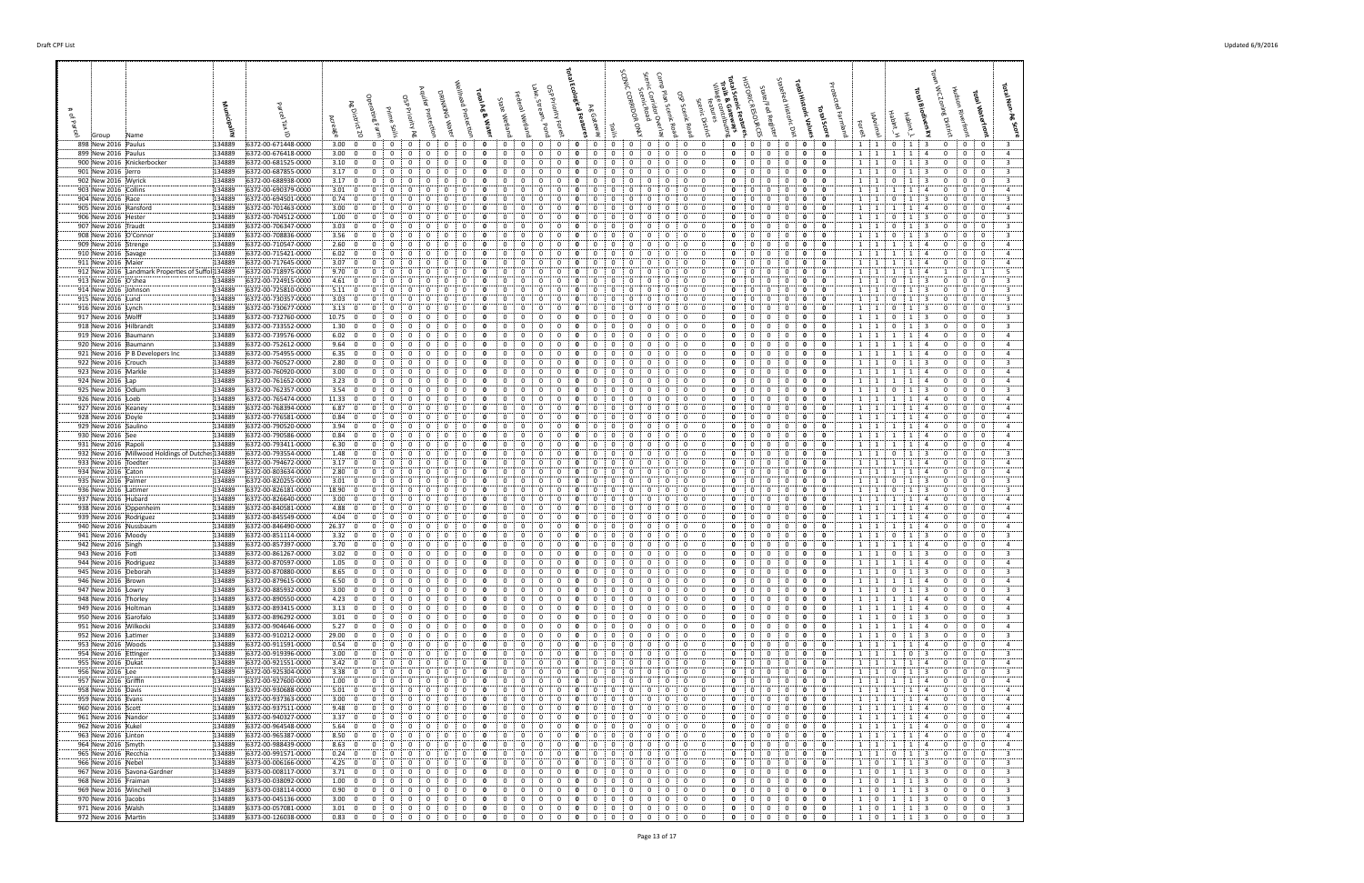| 898 New 2016 Paulus<br>899 New 2016 Paulus                               | 134889<br>6372-00-671448-0000<br>134889<br>6372-00-676418-0000 | $3.00\begin{array}{ccc} 0 \\ 0 \end{array}$<br>$\mathbf{0}$<br>$^{\circ}$<br>0<br>3.00; 0<br>0<br>$\mathbf{0}$<br>0<br>0                                                                                                                                                                                                                                                                                                          | $\mathbf{0}$<br>0<br>0<br>0<br>0<br>0<br>0<br>0<br>0<br>0<br>0<br>0                                                                                          | $\mathbf{0}$<br>$\mathbf{0}$<br>$\mathbf{0}$<br>$\Omega$<br>0<br>0<br>0<br>$\mathbf{0}$<br>0<br>$\mathbf{0}$<br>0<br>0<br>0<br>0<br>0<br>$^{\circ}$                                                                                                  | $\mathbf{0}$<br>$\mathbf 0$<br>$\mathbf{0}$<br>$\mathbf{0}$<br>$\mathbf{0}$<br>0<br>0<br>$\mathbf{0}$<br>0<br>0<br>$\mathbf{o}$<br>0          | $1 \quad 1$<br>$\mathbf{0}$<br>$\vert 1 \vert$<br>3<br>$\mathbf{0}$<br>$\overline{\mathbf{0}}$<br>0<br>-3<br>1<br>$\mathbf{1}$<br>1<br>$\mathbf{1}$<br>$\mathbf{0}$<br>$\mathbf{0}$<br>$\overline{4}$<br>$\overline{a}$<br>$\mathbf{0}$                             |
|--------------------------------------------------------------------------|----------------------------------------------------------------|-----------------------------------------------------------------------------------------------------------------------------------------------------------------------------------------------------------------------------------------------------------------------------------------------------------------------------------------------------------------------------------------------------------------------------------|--------------------------------------------------------------------------------------------------------------------------------------------------------------|------------------------------------------------------------------------------------------------------------------------------------------------------------------------------------------------------------------------------------------------------|-----------------------------------------------------------------------------------------------------------------------------------------------|---------------------------------------------------------------------------------------------------------------------------------------------------------------------------------------------------------------------------------------------------------------------|
| 900 New 2016 Knickerbocker                                               | 134889<br>6372-00-681525-0000                                  | 3.10; 0<br>$\Omega$                                                                                                                                                                                                                                                                                                                                                                                                               | 0<br>$\Omega$<br>$\Omega$                                                                                                                                    | 0<br>$\Omega$                                                                                                                                                                                                                                        | 0<br>0<br>0<br>$\Omega$<br>$\Omega$<br>- 0                                                                                                    | 3<br>1 1<br>0<br>0<br>1<br>$\Omega$<br>0                                                                                                                                                                                                                            |
| 901 New 2016 Jerro<br>902 New 2016 Wyrick                                | 134889<br>6372-00-687855-0000<br>134889<br>6372-00-688938-0000 | 3.17:0<br>$^{\circ}$<br>$\Omega$<br>$\mathbf{0}$<br>$^{\circ}$<br>3.17:0<br>$\Omega$<br>$\Omega$<br>0                                                                                                                                                                                                                                                                                                                             | $\mathbf{0}$<br>$\mathbf{0}$<br>$\mathbf{0}$<br>$\Omega$<br>$\mathbf{0}$<br>$\Omega$<br>0<br>0<br>0<br>$\Omega$<br>$\Omega$                                  | $\mathbf 0$<br>$\overline{0}$<br>$\Omega$<br>0<br>0<br>$\Omega$<br>$\Omega$<br>$\Omega$<br>$\mathbf{0}$<br>0<br>$\Omega$<br>0<br>0<br>0<br>$\Omega$<br>$^{\circ}$                                                                                    | 0<br>0<br>$\mathbf{0}$<br>0<br>$\mathbf 0$<br>0<br>0<br>$\Omega$<br>0<br>0<br>$\Omega$<br>0                                                   | $\overline{\mathbf{3}}$<br>$1 \quad 1$<br>$\mathbf 0$<br>$\mathbf{1}$<br>$\mathbf 0$<br>0<br>- 3<br>$\mathbf{0}$<br>$\overline{3}$<br>1<br>$\mathbf 0$<br>$\mathbf 0$<br>$\mathbf{0}$<br>$\mathbf{0}$<br>$\mathbf{1}$<br>1                                          |
| 903 New 2016 Collins                                                     | 134889<br>6372-00-690379-0000                                  | 3.01:0<br>0                                                                                                                                                                                                                                                                                                                                                                                                                       | 0<br>0<br>0<br>$\Omega$                                                                                                                                      | 0<br>0<br>0<br>$\Omega$<br>$^{\circ}$<br>0<br>$^{\circ}$                                                                                                                                                                                             | 0<br>0<br>- 0<br>$\Omega$<br>0<br>0                                                                                                           | $\overline{1}$<br>$\mathbf{0}$<br>$\overline{a}$<br>$\pm$ 1<br>1<br>0<br>0                                                                                                                                                                                          |
| 904 New 2016 Race                                                        | 134889<br>6372-00-694501-0000                                  | 0.74:0<br>$\Omega$<br>$\Omega$<br>$\Omega$<br>$\Omega$                                                                                                                                                                                                                                                                                                                                                                            | 0<br>$\Omega$<br>0<br>0<br>$\Omega$<br>0<br>$\Omega$<br>0                                                                                                    | $^{\circ}$<br>$\Omega$<br>$\Omega$<br>$\Omega$<br>$^{\circ}$<br>0                                                                                                                                                                                    | $\mathbf 0$<br>0<br>$^{\circ}$<br>$^{\circ}$<br>0<br>0                                                                                        | 3<br>$1 \quad 1$<br>0<br>$\mathbf 0$<br>$^{\circ}$<br>1<br>-3<br>$\Omega$<br>$^{\circ}$<br>$\overline{4}$<br>-4                                                                                                                                                     |
| 905 New 2016 Ransford<br>906 New 2016 Hester                             | 134889<br>6372-00-701463-0000<br>134889<br>6372-00-704512-0000 | 3.00; 0<br>$\mathbf{0}$<br>0<br>0<br>1.00; 0<br>0<br>0<br>0                                                                                                                                                                                                                                                                                                                                                                       | 0<br>0<br>0<br>0<br>0<br>0<br>0<br>0<br>$\Omega$<br>$\Omega$                                                                                                 | 0<br>0<br>$^{\circ}$<br>0<br>$\mathbf{0}$<br>0<br>0<br>0<br>$\mathbf{0}$<br>$\mathbf{0}$<br>$\mathbf 0$<br>$\mathbf{o}$<br>0<br>0                                                                                                                    | 0<br>0<br>0<br>0<br>$\mathbf{o}$<br>0<br>0<br>$^{\circ}$<br>0<br>0<br>0<br>0                                                                  | 1 1<br>1<br>1<br>0<br>0<br>$\mathbf 0$<br>$\mathbf 0$<br>$\overline{\mathbf{3}}$<br><sup>1</sup><br>$\overline{1}$<br>$\mathbf{1}$<br>$\overline{\mathbf{3}}$<br>$\mathbf{0}$<br>$\mathbf{0}$                                                                       |
| 907 New 2016 Traudt                                                      | 134889<br>6372-00-706347-0000<br>134889                        | 3.03:0<br>$\Omega$<br>$\mathbf 0$<br>0<br>$\Omega$<br>$\Omega$<br>$\Omega$                                                                                                                                                                                                                                                                                                                                                        | 0<br>$\Omega$<br>0<br>0<br>$\Omega$<br>$\Omega$<br>0                                                                                                         | 0<br>$\Omega$<br>$\Omega$<br>$\Omega$<br>$^{\circ}$<br>$\mathbf{0}$<br>$\Omega$<br>- 0                                                                                                                                                               | 0<br>$\mathbf 0$<br>0<br>0<br>0<br>$\Omega$<br>$\mathbf{0}$<br>- 0<br>0<br>$\Omega$<br>$\Omega$<br>$\Omega$                                   | $\overline{\mathbf{3}}$<br>$\mathbf 0$<br>$\mathbf{0}$<br><sup>1</sup><br>$\begin{array}{cc} 1 \end{array}$<br>3<br>$^{\circ}$<br>1<br>0<br>$\overline{\mathbf{3}}$<br>$\Omega$<br>$\overline{1}$<br>$\Omega$<br>-3<br>$\Omega$<br>$\Omega$                         |
| 908 New 2016 O'Connor<br>909 New 2016 Strenge                            | 6372-00-708836-0000<br>134889<br>6372-00-710547-0000           | 3.56; 0<br>2.60; 0<br>0                                                                                                                                                                                                                                                                                                                                                                                                           | 0<br>0<br>0<br>0<br>0<br>0<br>$\Omega$<br>$\Omega$                                                                                                           | $\mathbf{0}$<br>$\mathbf{0}$<br>$\mathbf 0$<br>$\mathbf{o}$<br>0                                                                                                                                                                                     | $\mathbf 0$<br>$\Omega$<br>0<br>0<br>0<br>0                                                                                                   | 1<br>-1<br>$\mathbf 0$<br>1<br>$\overline{1}$<br>$\mathbf{0}$<br>1<br>-1<br>-4<br>0<br>$\overline{a}$                                                                                                                                                               |
| 910 New 2016 Savage                                                      | 134889<br>6372-00-715421-0000                                  | 6.02; 0<br>0<br>0<br>$\Omega$<br>0                                                                                                                                                                                                                                                                                                                                                                                                | 0<br>0<br>$\Omega$<br>0<br>$\Omega$<br>0                                                                                                                     | 0<br>$\mathbf 0$<br>0<br>0<br>$\Omega$<br>$\Omega$<br>$\Omega$<br>$^{\circ}$                                                                                                                                                                         | $\mathbf 0$<br>0<br>0<br>0<br>0<br>$\Omega$                                                                                                   | $\overline{4}$<br>$\mathbf{1}$<br><sup>1</sup><br>1<br>1<br>$\mathbf{0}$<br>$\mathbf{0}$<br>-4<br>0                                                                                                                                                                 |
| 911 New 2016 Maier<br>912 New 2016 Landmark Properties of Suffol 134889  | 134889<br>6372-00-717645-0000<br>6372-00-718975-0000           | 3.07:0<br>0<br>0<br>9.70:0<br>$\mathbf{0}$<br>0<br>0<br>$^{\circ}$                                                                                                                                                                                                                                                                                                                                                                | 0<br>0<br>0<br>0<br>0<br>0<br>0<br>0<br>0<br>0                                                                                                               | 0<br>$\mathbf{0}$<br>$\mathbf{0}$<br>0<br>$\mathbf{o}$<br>0<br>$\mathbf{0}$<br>0<br>0<br>0<br>$\mathbf{0}$                                                                                                                                           | 0<br>0<br>0<br>0<br>0<br>$\mathbf{0}$<br>0<br>0<br>0<br>0<br>$\mathbf{0}$                                                                     | $\mathbf{1}$<br>0<br>$\overline{a}$<br><sup>1</sup><br>1<br>0<br>0<br>5<br>$\mathbf{1}$<br>$\overline{1}$<br>$\mathbf{1}$<br>1<br>-4<br>0<br>1                                                                                                                      |
| 913 New 2016 O'shea                                                      | 134889<br>6372-00-724915-0000                                  | 4.61:0<br>$\mathbf 0$<br>0<br>$\mathbf 0$<br>0                                                                                                                                                                                                                                                                                                                                                                                    | 0<br>0<br>0<br>$\Omega$<br>$\Omega$<br>-0                                                                                                                    | 0<br>0<br>$\Omega$<br>$\mathbf{0}$<br>0<br>$\mathbf 0$<br>$\mathbf{o}$<br>$\Omega$<br>$\Omega$                                                                                                                                                       | $\overline{0}$<br>0<br>0<br>0<br>$\mathbf 0$<br>0                                                                                             | $\overline{\mathbf{3}}$<br>$\mathbf{1}$<br>0<br>$\mathbf{0}$<br>$\mathbf 0$<br>1<br>-3<br>$\mathbf{0}$<br>1                                                                                                                                                         |
| 914 New 2016 Johnson<br>915 New 2016 Lund                                | 6372-00-725810-0000<br>134889<br>134889<br>6372-00-730357-0000 | 5.11:0<br>0<br>3.03:0<br>$\Omega$<br>$\Omega$<br>$\Omega$<br>$\Omega$                                                                                                                                                                                                                                                                                                                                                             | 0<br>0<br>$\Omega$<br>0<br>0<br>0<br>$\Omega$<br>$\Omega$<br>-0                                                                                              | $\Omega$<br>0<br>$\Omega$<br>$\Omega$<br>$\Omega$<br>$\mathbf{0}$<br>$\Omega$<br>$\Omega$<br>$\Omega$<br>$\Omega$<br>$^{\circ}$                                                                                                                      | 0<br>0<br>0<br>$\Omega$<br>$\Omega$<br>- 0<br>$\mathbf 0$<br>$\mathbf 0$<br>0<br>$^{\circ}$<br>$\Omega$<br>$\Omega$                           | $\overline{3}$<br>$\overline{1}$<br>0<br>$\Omega$<br>$\mathbf{0}$<br>1<br>$\Omega$<br>$\mathbf 0$<br>$\mathbf 0$<br>$\overline{\mathbf{3}}$<br>1 1<br>0<br>1<br>$\mathbf{0}$<br>-3                                                                                  |
| 916 New 2016 Lynch                                                       | 6372-00-730677-0000<br>134889                                  | 3.13:0<br>0                                                                                                                                                                                                                                                                                                                                                                                                                       | 0<br>0<br>0                                                                                                                                                  | 0<br>$\mathbf{o}$<br>0<br>0<br>$^{\circ}$                                                                                                                                                                                                            | 0<br>0<br>0<br>$\Omega$<br>0<br>0                                                                                                             | $\overline{\mathbf{3}}$<br>$\mathbf 0$<br>1<br>$\mathbf{0}$<br>0<br>$\overline{1}$<br>1<br>0                                                                                                                                                                        |
| 917 New 2016 Wolff<br>918 New 2016 Hilbrandt                             | 134889<br>6372-00-732760-0000<br>134889<br>6372-00-733552-0000 | $10.75$ 0<br>0<br>$\Omega$<br>0<br>0<br>1.30; 0<br>0<br>0<br>0<br>$^{\circ}$                                                                                                                                                                                                                                                                                                                                                      | 0<br>0<br>0<br>0<br>$\Omega$<br>$\Omega$<br>0<br>0<br>0<br>0<br>0                                                                                            | $\mathbf{0}$<br>$\mathbf 0$<br>0<br>$\mathbf{o}$<br>$^{\circ}$<br>0<br>0<br>0<br>0<br>0<br>$^{\circ}$                                                                                                                                                | 0<br>0<br>- 0<br>0<br>0<br>0<br>0<br>0<br>0<br>0<br>0<br>0                                                                                    | $\overline{3}$<br>1 1<br>$\mathbf{0}$<br>$\mathbf{1}$<br>0<br>$\mathbf 0$<br>$\mathbf{0}$<br>-3<br>0<br>$\overline{\mathbf{3}}$<br>$\mathbf{1}$<br>0<br>$\mathbf{1}$<br>$\mathbf{1}$<br>0                                                                           |
| 919 New 2016 Baumann                                                     | 134889<br>6372-00-739576-0000                                  | $6.02 \div 0$<br>$^{\circ}$<br>$\Omega$<br>$\Omega$<br>$\Omega$                                                                                                                                                                                                                                                                                                                                                                   | 0<br>0<br>$\Omega$<br>$\Omega$<br>$\Omega$<br>-0                                                                                                             | $\Omega$<br>$\mathbf{0}$<br>$\Omega$<br>0<br>$\Omega$<br>$\Omega$<br>$\Omega$<br>$\Omega$                                                                                                                                                            | 0<br>$\Omega$<br>0<br>$\Omega$<br>$\mathbf{0}$<br>0                                                                                           | $\overline{4}$<br>1 1<br>1<br>$\overline{1}$<br>$\Omega$<br>$\Omega$<br>-4<br>$\Omega$                                                                                                                                                                              |
| 920 New 2016 Baumann<br>921 New 2016 P B Developers Inc                  | 134889<br>6372-00-752612-0000<br>6372-00-754955-0000<br>134889 | 9.64:0<br>$\Omega$<br>$\Omega$<br>0<br>0<br>6.35:0<br>$\mathbf 0$<br>$\mathbf{0}$<br>0<br>0                                                                                                                                                                                                                                                                                                                                       | 0<br>0<br>0<br>$\Omega$<br>0<br>0<br>0<br>0<br>0<br>0<br>$\Omega$<br>$\Omega$                                                                                | 0<br>0<br>$\Omega$<br>$\mathbf 0$<br>$\mathbf{0}$<br>0<br>$\mathbf 0$<br>0<br>0<br>$\mathbf{o}$<br>0<br>0<br>$\Omega$<br>$^{\circ}$<br>0<br>$\mathbf{0}$                                                                                             | 0<br>0<br>0<br>$^{\circ}$<br>0<br>0<br>$\mathbf 0$<br>0<br>0<br>0<br>0<br>0                                                                   | $\mathbf{1}$<br>$\vert$ 1<br>$\mathbf 0$<br>$\mathbf 0$<br>$\mathbf 0$<br>$\overline{a}$<br>1<br>1<br>-4<br>$1 \quad 1$<br>1<br>1<br>0<br>$\mathbf{0}$<br>$\overline{a}$<br>$\overline{4}$<br>0                                                                     |
| 922 New 2016 Crouch                                                      | 134889<br>6372-00-760527-0000                                  | 2.80; 0<br>0<br>$\Omega$<br>$\Omega$<br>$\Omega$                                                                                                                                                                                                                                                                                                                                                                                  | 0<br>$\Omega$<br>n<br>$\Omega$<br>$\Omega$                                                                                                                   | 0<br>$\Omega$<br>$\Omega$<br>$\mathbf{0}$<br>0<br>$^{\circ}$                                                                                                                                                                                         | $\Omega$<br>0<br>0<br>0<br>$\Omega$                                                                                                           | $\mathbf 0$<br>$\overline{\mathbf{3}}$<br>$\mathbf{1}$<br>-3<br>$\Omega$<br>$\Omega$<br>1<br>1<br>$\Omega$                                                                                                                                                          |
| 923 New 2016 Markle<br>924 New 2016 Lap                                  | 134889<br>6372-00-760920-0000<br>134889<br>6372-00-761652-0000 | $3.00\begin{array}{ccc} 0 & 0 \\ 0 & 0 \\ 0 & 0 \\ 0 & 0 \\ 0 & 0 \\ 0 & 0 \\ 0 & 0 \\ 0 & 0 \\ 0 & 0 \\ 0 & 0 \\ 0 & 0 \\ 0 & 0 \\ 0 & 0 \\ 0 & 0 \\ 0 & 0 \\ 0 & 0 \\ 0 & 0 \\ 0 & 0 \\ 0 & 0 \\ 0 & 0 & 0 \\ 0 & 0 & 0 \\ 0 & 0 & 0 \\ 0 & 0 & 0 & 0 \\ 0 & 0 & 0 & 0 \\ 0 & 0 & 0 & 0 \\ 0 & 0 & 0 & 0 \\ 0 & 0 & 0 & 0 & 0 \\ 0 & 0$<br>$\mathbf{0}$<br>$\Omega$<br>0<br>$^{\circ}$<br>3.23; 0<br>$\mathbf 0$<br>0<br>0<br>0 | 0<br>$\mathbf 0$<br>0<br>$\mathbf{0}$<br>0<br>0<br>0<br>0<br>0<br>0<br>0<br>0                                                                                | 0<br>$\mathbf 0$<br>$\mathbf{0}$<br>$\mathbf 0$<br>0<br>0<br>$\mathbf{0}$<br>0<br>-0<br>0<br>$\mathbf 0$<br>$\mathbf{0}$<br>0<br>0<br>0<br>0<br>0<br>$\mathbf{0}$                                                                                    | $\mathbf 0$<br>0<br>$\mathbf{0}$<br>$\mathbf 0$<br>0<br>$\mathbf{0}$<br>0<br>0<br>0<br>$\mathbf 0$<br>0<br>0                                  | 1:1<br>$\overline{1}$<br>$\overline{1}$<br>$\mathbf 0$<br>$\mathbf 0$<br>$\mathbf{0}$<br>$\overline{4}$<br>4<br>$\mathbf{1}$<br>$\cdots$ 1<br>1<br>$\mathbf{1}$<br>0<br>$\mathbf{0}$<br>$\overline{4}$<br>-4<br>0                                                   |
| 925 New 2016 Odlum                                                       | 134889<br>6372-00-762357-0000                                  | 3.54:0<br>$\Omega$<br>$\Omega$                                                                                                                                                                                                                                                                                                                                                                                                    | 0<br>$\Omega$<br>$\Omega$<br>0<br>$\Omega$<br>$\Omega$                                                                                                       | $\Omega$<br>$\Omega$<br>0<br>$\Omega$                                                                                                                                                                                                                | 0<br>$\Omega$<br>0<br>$\Omega$<br>0<br>- 0                                                                                                    | $\mathbf 0$<br>$\overline{3}$<br>$\overline{1}$<br>$\cdots$ 1<br>1<br>$\mathbf{0}$<br>$\mathbf{0}$<br>$\mathbf{0}$                                                                                                                                                  |
| 926 New 2016   Loeb<br>927 New 2016 Keaney                               | 134889<br>6372-00-765474-0000<br>134889<br>6372-00-768394-0000 | 11.33:0<br>$^{\circ}$<br>$\mathbf 0$<br>$\Omega$<br>$\mathbf{0}$<br>6.87:0<br>0                                                                                                                                                                                                                                                                                                                                                   | $\mathbf{0}$<br>$^{\circ}$<br>$\mathbf{0}$<br>$\mathbf{0}$<br>$^{\circ}$<br>$\Omega$<br>0<br>0<br>0<br>$\Omega$                                              | $\Omega$<br>$\mathbf 0$<br>0<br>$\mathbf 0$<br>$\Omega$<br>0<br>0<br>$\Omega$<br>$\Omega$<br>$\mathbf{0}$<br>0<br>$\Omega$<br>0<br>$\Omega$<br>$\Omega$                                                                                              | $\mathbf{0}$<br>$^{\circ}$<br>$\mathbf 0$<br>$^{\circ}$<br>0<br>0<br>0<br>$\Omega$<br>0<br>0<br>- 0<br>$\Omega$                               | 1 1<br>1<br>1<br>$\mathbf 0$<br>$\mathbf 0$<br>0<br>$\overline{4}$<br>$\overline{4}$<br>$\overline{1}$<br>$\mathbf 0$<br>$\mathbf 0$<br>$\overline{4}$<br>$\Omega$<br>: 1<br>$\mathbf{1}$<br>1<br>$\overline{4}$                                                    |
| 928 New 2016 Doyle                                                       | 134889<br>6372-00-776581-0000                                  | 0.84:0<br>$\Omega$<br>0                                                                                                                                                                                                                                                                                                                                                                                                           | 0<br>$\Omega$<br>0<br>0<br>$\Omega$                                                                                                                          | 0<br>0<br>$\Omega$<br>$^{\circ}$<br>0<br>$^{\circ}$                                                                                                                                                                                                  | 0<br>0<br>0<br>- 0<br>0                                                                                                                       | $\overline{1}$<br>$\mathbf{0}$<br>$\overline{4}$<br>$\pm$ 1<br>1<br>$\Omega$<br>0                                                                                                                                                                                   |
| 929 New 2016 Saulino<br>930 New 2016 See                                 | 134889<br>6372-00-790520-0000<br>134889<br>6372-00-790586-0000 | 3.94:0<br>$\Omega$<br>$\Omega$<br>$\Omega$<br>$\Omega$<br>0.84:0<br>$\mathbf{0}$<br>$\Omega$<br>0<br>0                                                                                                                                                                                                                                                                                                                            | 0<br>$\Omega$<br>0<br>0<br>$\Omega$<br>-0<br>0<br>$\Omega$<br>0<br>0<br>0<br>0                                                                               | $^{\circ}$<br>$\Omega$<br>$\Omega$<br>$^{\circ}$<br>$\Omega$<br>0<br>$\mathbf{o}$<br>0<br>$^{\circ}$<br>0<br>$\mathbf{0}$<br>0<br>0                                                                                                                  | 0<br>0<br>0<br>$^{\circ}$<br>0<br>- 0<br>0<br>0<br>0<br>$\mathbf{0}$<br>0<br>0                                                                | $\overline{4}$<br>1 1<br>$\Omega$<br>$\mathbf{0}$<br>$\overline{1}$<br>$\overline{4}$<br>$\Omega$<br>$1 \quad 1$<br>$\mathbf{0}$<br>$\overline{4}$<br>1<br>1<br>$\overline{4}$<br>0<br>0                                                                            |
| 931 New 2016 Rapoli                                                      | 134889<br>6372-00-793411-0000                                  | 6.30; 0<br>0<br>0<br>0                                                                                                                                                                                                                                                                                                                                                                                                            | 0<br>0<br>0<br>0<br>$\Omega$<br>$\Omega$                                                                                                                     | 0<br>$\mathbf 0$<br>$\mathbf{0}$<br>$\mathbf{0}$<br>$\mathbf 0$<br>$\mathbf{o}$<br>0                                                                                                                                                                 | 0<br>$\mathbf 0$<br>$\bf{0}$<br>0<br>0<br>0                                                                                                   | $\overline{4}$<br><sup>1</sup><br>$\frac{1}{2}$<br>1<br>$\overline{1}$<br>$\overline{4}$<br>$\mathbf{0}$<br>$\mathbf{0}$<br>$\mathbf 0$                                                                                                                             |
| 932 New 2016 Millwood Holdings of Dutches 134889<br>933 New 2016 Toedter | 6372-00-793554-0000<br>134889<br>6372-00-794672-0000           | 1.48:0<br>$^{\circ}$<br>$\mathbf 0$<br>0<br>$\Omega$<br>3.17:0<br>$\Omega$<br>$\Omega$                                                                                                                                                                                                                                                                                                                                            | 0<br>$\Omega$<br>0<br>0<br>$\Omega$<br>$\Omega$<br>0<br>$\Omega$<br>0<br>$\Omega$<br>0<br>0                                                                  | $\Omega$<br>$\Omega$<br>$\Omega$<br>$\Omega$<br>$^{\circ}$<br>0<br>$\mathbf{0}$<br>$\Omega$<br>$\Omega$<br>- 0<br>0                                                                                                                                  | 0<br>$\mathbf 0$<br>0<br>0<br>0<br>$\Omega$<br>$\Omega$<br>$\mathbf{0}$<br>0<br>0<br>$\Omega$<br>$\Omega$                                     | $\mathbf 0$<br>$\overline{\mathbf{3}}$<br><sup>1</sup><br>$\mathbf{1}$<br>$\overline{1}$<br>3<br>$\mathbf{0}$<br>$\mathbf{0}$<br>0<br>$\overline{4}$<br>$\Omega$<br>1<br>$\overline{1}$<br>-4<br>$\Omega$<br>$\Omega$<br>-1                                         |
| 934 New 2016 Caton                                                       | 134889<br>6372-00-803634-0000                                  | 2.80; 0<br>0<br>$^{\circ}$                                                                                                                                                                                                                                                                                                                                                                                                        | 0<br>0<br>0<br>$\Omega$<br>0<br>$\Omega$                                                                                                                     | $\mathbf{0}$<br>$\mathbf{0}$<br>$\mathbf 0$<br>$\Omega$<br>0<br>0<br>$\Omega$<br>$\Omega$<br>0                                                                                                                                                       | $\mathbf 0$<br>$\mathbf 0$<br>0<br>0<br>0<br>0                                                                                                | $\mathbf 0$<br>$\mathbf 0$<br>1<br>$\overline{1}$<br>0<br>1<br>1<br>-4<br>$\overline{a}$                                                                                                                                                                            |
| 935 New 2016 Palmer<br>936 New 2016 Latimer                              | 134889<br>6372-00-820255-0000<br>134889<br>6372-00-826181-0000 | 3.01: 0<br>0<br>$\mathbf{0}$<br>0<br>0<br>18.90; 0<br>0<br>0                                                                                                                                                                                                                                                                                                                                                                      | 0<br>0<br>0<br>0<br>0<br>0<br>0<br>0<br>0<br>0<br>0                                                                                                          | $\mathbf{0}$<br>0<br>$\mathbf 0$<br>0<br>$\mathbf{o}$<br>0<br>$\Omega$<br>$\Omega$<br>0<br>0<br>$^{\circ}$<br>0<br>$\mathbf{0}$<br>0                                                                                                                 | $\mathbf 0$<br>0<br>$\mathbf{0}$<br>0<br>0<br>0<br>0<br>0<br>0<br>0<br>0<br>0                                                                 | 0<br>$\overline{\mathbf{3}}$<br>$\mathbf{1}$<br>$\mathbf{1}$<br>$\mathbf{1}$<br>$\overline{\mathbf{3}}$<br>$\mathbf{0}$<br>$\mathbf{0}$<br>0<br>0<br>$\overline{\mathbf{3}}$<br>$\mathbf{1}$<br>0<br>$\mathbf{0}$<br>$\mathbf{1}$<br>1<br>0                         |
| 937 New 2016 Hubard                                                      | 134889<br>6372-00-826640-0000                                  | 3.00; 0<br>$\mathbf{0}$<br>$\Omega$<br>0<br>$^{\circ}$                                                                                                                                                                                                                                                                                                                                                                            | 0<br>0<br>0<br>0<br>0<br>0                                                                                                                                   | $\mathbf 0$<br>0<br>$\mathbf{o}$<br>0<br>0<br>0<br>0<br>$\mathbf{0}$<br>$^{\circ}$                                                                                                                                                                   | $\mathbf{0}$<br>$\mathbf 0$<br>0<br>0<br>0<br>$\mathbf{0}$                                                                                    | $1 \quad 1$<br>1<br>$\left  \begin{array}{c} 1 \end{array} \right $<br>$\mathbf 0$<br>$\mathbf{0}$<br>$\overline{4}$<br>4<br>$\mathbf{0}$                                                                                                                           |
| 938 New 2016 Oppenheim<br>939 New 2016 Rodriguez                         | 134889<br>6372-00-840581-0000<br>6372-00-845549-0000<br>134889 | 4.88:0<br>0<br>$\mathbf{0}$<br>$\mathbf 0$<br>0<br>4.04:0<br>$\Omega$<br>0                                                                                                                                                                                                                                                                                                                                                        | 0<br>0<br>0<br>$\Omega$<br>0<br>-0<br>0<br>0<br>$\Omega$<br>$\Omega$                                                                                         | 0<br>$\Omega$<br>$\mathbf{0}$<br>0<br>$\mathbf 0$<br>0<br>$\mathbf{o}$<br>0<br>$\Omega$<br>$\Omega$<br>0<br>$\Omega$                                                                                                                                 | 0<br>0<br>0<br>0<br>0<br>0<br>0<br>0<br>0<br>- 0<br>$\Omega$<br>0                                                                             | 1<br>$\overline{0}$<br>$\mathbf 0$<br>$\overline{4}$<br>$\frac{1}{2}$<br>1<br>$\overline{1}$<br>$\overline{4}$<br>$\mathbf{0}$<br>$\mathbf{1}$<br>$\Omega$<br>$\mathbf{0}$<br>$\overline{a}$<br>1<br>$\Omega$                                                       |
| 940 New 2016 Nussbaum                                                    | 134889<br>6372-00-846490-0000                                  | 26.37:0<br>$^{\circ}$<br>$\Omega$<br>$\Omega$<br>$\mathbf 0$                                                                                                                                                                                                                                                                                                                                                                      | 0<br>0<br>0<br>$^{\circ}$<br>$\Omega$<br>$\Omega$                                                                                                            | $\Omega$<br>$\Omega$<br>$\Omega$<br>$\mathbf{0}$<br>$\mathbf 0$<br>$\Omega$<br>$\Omega$<br>$\Omega$<br>$\Omega$                                                                                                                                      | $\mathbf 0$<br>0<br>$\mathbf 0$<br>0<br>$^{\circ}$<br>$^{\circ}$                                                                              | $\mathbf 0$<br>$\mathbf 0$<br>$\overline{4}$<br>1 1<br>1<br>$\mathbf{0}$<br>-1<br>$\overline{4}$                                                                                                                                                                    |
| 941 New 2016 Moody<br>942 New 2016 Singh                                 | 6372-00-851114-0000<br>134889<br>134889<br>6372-00-857397-0000 | 3.32:0<br>0<br>$3.70\div 0$<br>$\mathbf{0}$<br>0<br>0<br>$\mathbf 0$                                                                                                                                                                                                                                                                                                                                                              | 0<br>0<br>0<br>0<br>0<br>$\mathbf{0}$<br>$\mathbf 0$<br>0<br>0<br>$\Omega$                                                                                   | 0<br>$\mathbf{o}$<br>0<br>0<br>$^{\circ}$<br>0<br>0<br>$\mathbf{0}$<br>$\mathbf{o}$<br>0<br>$\Omega$<br>0<br>0<br>0<br>$^{\circ}$                                                                                                                    | 0<br>0<br>$\Omega$<br>0<br>0<br>0<br>$\mathbf{0}$<br>0<br>$\mathbf{o}$<br>0<br>0<br>$\mathbf{0}$                                              | 3<br>1<br>$\mathbf{0}$<br>$\mathbf{1}$<br>0<br>1<br>0<br>0<br>$\overline{4}$<br>1<br>$\mathbf{1}$<br>$\mathbf{0}$<br>$\mathbf 0$<br>$\mathbf{0}$<br>$\pm$ 1<br>1<br>-4                                                                                              |
| 943 New 2016 Foti                                                        | 134889<br>6372-00-861267-0000                                  | 3.02: 0<br>$\mathbf 0$<br>$\mathbf 0$<br>0<br>$\mathbf 0$                                                                                                                                                                                                                                                                                                                                                                         | $\mathbf{0}$<br>$\mathbf 0$<br>$\mathbf 0$<br>$\Omega$<br>0<br>$\mathbf{0}$                                                                                  | $\mathbf 0$<br>$\mathbf 0$<br>$\mathbf{0}$<br>0<br>0<br>$\mathbf{0}$<br>0<br>0<br>$^{\circ}$                                                                                                                                                         | $\mathbf 0$<br>0<br>$\mathbf 0$<br>0<br>0<br>$\mathbf 0$                                                                                      | $\mathbf{0}$<br>$\overline{\mathbf{3}}$<br>$\mathbf{1}$<br>$\mathbf{1}$<br>$\mathbf{1}$<br>$\mathbf 0$<br>$\mathbf{0}$<br>3<br>0                                                                                                                                    |
| 944 New 2016 Rodriguez<br>945 New 2016 Deborah                           | 134889<br>6372-00-870597-0000<br>134889<br>6372-00-870880-0000 | 1.05: 0<br>$\overline{0}$<br>$\mathbf{O}$<br>$\mathbf 0$<br>$\mathbf 0$<br>$8.65 \div 0$<br>$\Omega$<br>$\mathbf 0$<br>$\mathbf 0$<br>0                                                                                                                                                                                                                                                                                           | $\mathbf{0}$<br>$\mathbf{0}$<br>$\mathbf{0}$<br>0<br>$\mathbf 0$<br>$\mathbf{0}$<br>0<br>$\mathbf 0$<br>$\mathbf 0$<br>$\mathbf 0$<br>$\Omega$<br>0          | $\mathbf 0$<br>$\mathbf{0}$<br>0<br>$\mathbf{0}$<br>$\mathbf 0$<br>$\mathbf 0$<br>$\mathbf{0}$<br>$\mathbf{0}$<br>$\mathbf 0$<br>0<br>$\mathbf 0$<br>$\mathbf 0$<br>$\mathbf 0$<br>$\mathbf 0$<br>0<br>0<br>0<br>$\Omega$                            | $\mathbf 0$<br>$\ddot{\mathbf{0}}$<br>$\mathbf 0$<br>$\mathbf{0}$<br>$^{\circ}$<br>0<br>0<br>$\overline{0}$<br>0<br>0<br>0<br>0               | $1 \quad 1$<br>$1 \mid 1$<br>$\mathbf 0$<br>$\overline{4}$<br>$\overline{4}$<br>$\mathbf{0}$<br>$\Omega$<br>$\overline{1}$<br>$\mathbf 0$<br>$\overline{1}$<br>$\overline{\mathbf{3}}$<br>$\overline{0}$<br>$\mathbf 0$<br>$\mathbf 0$<br>-3                        |
| 946 New 2016 Brown                                                       | 134889<br>6372-00-879615-0000                                  | 6.50; 0<br>$\mathbf 0$<br>$\mathbf 0$<br>0<br>$\mathbf{0}$                                                                                                                                                                                                                                                                                                                                                                        | $\mathbf{0}$<br>$\mathbf 0$<br>$\mathbf 0$<br>0<br>$\mathbf 0$<br>$\mathbf{0}$                                                                               | $\mathbf{0}$<br>0<br>0<br>$\mathbf 0$<br>0<br>$\mathbf{0}$<br>$\mathbf{0}$<br>0<br>$\mathbf 0$                                                                                                                                                       | 0<br>0<br>$\mathbf 0$<br>0<br>$\mathbf{0}$<br>$\mathbf 0$                                                                                     | 1:1<br>1<br>$\frac{1}{2}$<br>$\overline{4}$<br>$\mathbf 0$<br>$\mathbf 0$<br>$\mathbf 0$<br>$\overline{4}$                                                                                                                                                          |
| 947 New 2016 Lowry<br>948 New 2016 Thorley                               | 134889<br>6372-00-885932-0000<br>134889<br>6372-00-890550-0000 | 3.00; 0<br>$\mathbf 0$<br>$\Omega$<br>$\Omega$<br>0<br>$4.23 \div 0$<br>$\mathbf 0$<br>$\mathbf 0$<br>$\mathbf{0}$<br>$\mathbf{0}$                                                                                                                                                                                                                                                                                                | $\mathbf{0}$<br>$\mathbf 0$<br>$\mathbf 0$<br>$\mathbf{0}$<br>0<br>-0<br>$\mathbf{0}$<br>0<br>$\mathbf 0$<br>$\mathbf{0}$<br>$\mathbf{0}$<br>0               | 0<br>$\mathbf{0}$<br>$\mathbf{0}$<br>0<br>0<br>0<br>$^{\circ}$<br>0<br>$\mathbf{0}$<br>0<br>$\mathbf 0$<br>$\mathbf 0$<br>$\mathbf{0}$<br>$\mathbf{0}$<br>$\mathbf 0$<br>$\mathbf{0}$<br>0<br>$\mathbf{0}$                                           | 0<br>$\mathbf{0}$<br>0<br>0<br>0<br>$\mathbf{0}$<br>$\mathbf 0$<br>0<br>0<br>0<br>$\mathbf{0}$<br>$\mathbf{0}$                                | $\mathbf 0$<br>$\overline{\mathbf{3}}$<br>$1 \quad 1$<br>3<br>$\mathbf 0$<br>$\mathbf{0}$<br>1<br>$\mathbf{0}$<br>$1 \quad 1 \quad 1$<br>1<br>$\overline{4}$<br>$\mathbf 0$<br>$\mathbf 0$<br>$\mathbf 0$<br>$\overline{4}$                                         |
| 949 New 2016 Holtman                                                     | 6372-00-893415-0000<br>134889                                  | 3.13 0<br>$\mathbf{0}$<br>$\mathbf{0}$<br>$\mathbf{0}$<br>$\mathbf{0}$                                                                                                                                                                                                                                                                                                                                                            | $\mathbf{0}$<br>$\mathbf{0}$<br>0<br>$\mathbf{0}$<br>0<br>$\mathbf{0}$                                                                                       | 0<br>$\mathbf 0$<br>$\mathbf{0}$<br>$\bf{0}$<br>0<br>0<br>$\mathbf 0$<br>0<br>$\bf{0}$                                                                                                                                                               | 0<br>$\mathbf 0$<br>$\mathbf{0}$<br>$\mathbf{0}$<br>0<br>$\mathbf{o}$                                                                         | $\overline{4}$<br>$1 \cdot 1$<br>$\overline{1}$<br>$\overline{4}$<br>$\mathbf{0}$<br>$\mathbf{0}$<br>$\mathbf{0}$                                                                                                                                                   |
| 950 New 2016 Garofalo<br>951 New 2016 Wilkocki                           | 6372-00-896292-0000<br>134889<br>6372-00-904646-0000<br>134889 | 3.01; 0<br>0<br>$\mathbf 0$<br>0<br>$\mathbf 0$<br>5.27:0<br>$\mathbf 0$<br>0<br>$\mathbf 0$<br>$\mathbf{0}$                                                                                                                                                                                                                                                                                                                      | 0<br>$\mathbf 0$<br>$\mathbf 0$<br>0<br>$\mathbf 0$<br>$^{\circ}$<br>$\mathbf{0}$<br>$\mathbf 0$<br>$\mathbf 0$<br>$\mathbf{0}$<br>$\mathbf 0$<br>$^{\circ}$ | $\mathbf 0$<br>$\mathbf 0$<br>$\mathbf{0}$<br>$\mathbf{0}$<br>$\mathbf 0$<br>$\mathbf 0$<br>0<br>0<br>0<br>$\mathbf{0}$<br>$\mathbf{0}$<br>$\mathbf{0}$<br>$\mathbf 0$<br>$\mathbf{0}$<br>$\mathbf 0$<br>$\mathbf{0}$<br>$\mathbf 0$<br>$\mathbf{0}$ | $\mathbf 0$<br>0<br>0<br>0<br>$\mathbf 0$<br>- 0<br>$\overline{0}$<br>0<br>0<br>$\mathbf{0}$<br>$\mathbf{0}$<br>$\mathbf{0}$                  | $0 \mid 1$<br>$\overline{\mathbf{3}}$<br>$1 \quad 1$<br>$\overline{\mathbf{3}}$<br>$\mathbf 0$<br>$\mathbf{0}$<br>$\mathbf{0}$<br>$\overline{4}$<br>$1 \quad 1$<br>$\overline{1}$<br>$\overline{1}$<br>$\overline{4}$<br>$\mathbf 0$<br>$\mathbf 0$<br>$\mathbf 0$  |
| 952 New 2016 Latimer                                                     | 134889<br>6372-00-910212-0000                                  | 29.00:0<br>$\mathbf{0}$<br>$\mathbf 0$<br>0<br>0                                                                                                                                                                                                                                                                                                                                                                                  | 0<br>0<br>0<br>$\overline{0}$<br>0<br>0                                                                                                                      | 0<br>$\mathbf 0$<br>0<br>0<br>0<br>$\mathbf{0}$<br>$\mathbf{o}$<br>0<br>0                                                                                                                                                                            | $\mathbf 0$<br>0<br>0<br>0<br>0<br>$\mathbf 0$                                                                                                | $\overline{\mathbf{3}}$<br>$\mathbf 0$<br>$\overline{0}$<br>$\mathbf 0$<br>$\mathbf 0$<br>1 1<br>1<br>-3                                                                                                                                                            |
| 953 New 2016 Woods<br>954 New 2016 Ettinger                              | 134889<br>6372-00-911591-0000<br>134889<br>6372-00-919396-0000 | 0.54:0<br>$\mathbf 0$<br>$\mathbf{0}$<br>0<br>0<br>3.00; 0<br>$\mathbf 0$<br>$\mathbf{0}$<br>$\Omega$<br>0                                                                                                                                                                                                                                                                                                                        | 0<br>$\mathbf 0$<br>$\mathbf 0$<br>0<br>$\mathbf 0$<br>$^{\circ}$<br>$\mathbf{0}$<br>$\mathbf 0$<br>$\mathbf 0$<br>0<br>$\mathbf{0}$<br>$^{\circ}$           | $\mathbf{0}$<br>0<br>$\mathbf 0$<br>$\mathbf 0$<br>$\mathbf 0$<br>0<br>$^{\circ}$<br>0<br>0<br>0<br>$\Omega$<br>$\mathbf 0$<br>$\mathbf 0$<br>$\mathbf 0$<br>0<br>0<br>$\Omega$<br>0                                                                 | 0<br>$\mathbf{0}$<br>$\mathbf{0}$<br>0<br>$\mathbf{o}$<br>0<br>$\mathbf{0}$<br>$\mathbf 0$<br>$\mathbf{0}$<br>0<br>0<br>$\mathbf{0}$          | $\overline{4}$<br>$1 \quad 1$<br>1<br>$\mathbf 0$<br>$\mathbf{0}$<br>0<br>1<br>4<br>$\overline{\mathbf{3}}$<br>$\mathbf{0}$<br>$\mathbf 0$<br>$\mathbf 0$<br>$1 \quad 1$<br>1<br>3<br>$\mathbf{0}$                                                                  |
| 955 New 2016 Dukat                                                       | 134889<br>6372-00-921551-0000                                  | 3.42:0<br>$\mathbf{0}$<br>0<br>$\mathbf{0}$<br>$\mathbf 0$                                                                                                                                                                                                                                                                                                                                                                        | $\mathbf{0}$<br>0<br>$\mathbf{0}$<br>0<br>$\mathbf{0}$<br>$^{\circ}$                                                                                         | $\mathbf{0}$<br>$\mathbf{0}$<br>$\mathbf{0}$<br>$\mathbf{0}$<br>0<br>$\mathbf{0}$<br>0<br>$\mathbf{0}$<br>$\mathbf{0}$                                                                                                                               | $\mathbf{0}$<br>$\mathbf 0$<br>$\mathbf{0}$<br>0<br>$\mathbf 0$<br>$\mathbf{0}$                                                               | $1 \quad 1 \quad 1$<br>$\vert 1 \vert$<br>$\mathbf{0}$<br>$\mathbf{0}$<br>$\overline{4}$<br>4<br>$\mathbf{0}$                                                                                                                                                       |
| 956 New 2016 Lee<br>957 New 2016 Griffin                                 | 134889<br>6372-00-925304-0000<br>134889<br>6372-00-927600-0000 | 3.38:0<br>0<br>0<br>0<br>$\mathbf{0}$<br>1.00:0<br>$\mathbf 0$<br>$\mathbf 0$<br>$\mathbf{0}$<br>$\mathbf 0$                                                                                                                                                                                                                                                                                                                      | 0<br>0<br>$\mathbf 0$<br>0<br>$\mathbf 0$<br>$\mathbf 0$<br>0<br>0<br>0<br>$\mathbf 0$<br>0<br>$^{\circ}$                                                    | $\mathbf 0$<br>$\mathbf 0$<br>0<br>0<br>0<br>$\mathbf{0}$<br>$\mathbf{0}$<br>$\mathbf{0}$<br>$\mathbf 0$<br>0<br>$\mathbf{0}$<br>$\mathbf{0}$<br>$\mathbf{0}$<br>$\mathbf{o}$<br>0<br>$^{\circ}$<br>0<br>$\mathbf{0}$                                | $\mathbf{0}$<br>0<br>$\mathbf{0}$<br>0<br>$\mathbf 0$<br>$\mathbf{0}$<br>0<br>$\mathbf 0$<br>$\mathbf 0$<br>0<br>$\mathbf 0$<br>0             | $1 \quad 1$<br>$\mathbf 0$<br>$\mathbf{0}$<br>$\overline{\mathbf{3}}$<br>1<br>$\overline{\mathbf{3}}$<br>$\mathbf{0}$<br>$\mathbf{0}$<br>$\mathbf 0$<br>$\overline{4}$<br>$1 \quad 1$<br>1<br>$\frac{1}{2}$<br>$\overline{4}$<br>$\mathbf 0$<br>$\mathbf{0}$        |
| 958 New 2016 Davis                                                       | 6372-00-930688-0000<br>134889                                  | 5.01; 0<br>$\mathbf 0$<br>$\Omega$<br>$\Omega$<br>0                                                                                                                                                                                                                                                                                                                                                                               | 0<br>0<br>$\Omega$<br>$\Omega$<br>$\Omega$<br>$\Omega$                                                                                                       | $\Omega$<br>$\mathbf{0}$<br>$\Omega$<br>0<br>$\Omega$<br>$\Omega$<br>$\Omega$<br>$\Omega$<br>$\mathbf{0}$                                                                                                                                            | 0<br>0<br>0<br>$\mathbf 0$<br>0<br>0                                                                                                          | $\overline{4}$<br>$1 \quad 1$<br>$\mathbf 0$<br>$\mathbf 0$<br>0<br>$\mathbf{1}$<br>1<br>$\overline{4}$                                                                                                                                                             |
| 959 New 2016 Evans                                                       | 134889<br>6372-00-937363-0000                                  | $3.00\begin{array}{ccc} 0 & 0 \\ 0 & 0 \\ 0 & 0 \\ 0 & 0 \\ 0 & 0 \\ 0 & 0 \\ 0 & 0 \\ 0 & 0 \\ 0 & 0 \\ 0 & 0 \\ 0 & 0 \\ 0 & 0 \\ 0 & 0 \\ 0 & 0 \\ 0 & 0 \\ 0 & 0 \\ 0 & 0 \\ 0 & 0 \\ 0 & 0 \\ 0 & 0 & 0 \\ 0 & 0 & 0 \\ 0 & 0 & 0 \\ 0 & 0 & 0 & 0 \\ 0 & 0 & 0 & 0 \\ 0 & 0 & 0 & 0 \\ 0 & 0 & 0 & 0 & 0 \\ 0 & 0 & 0 & 0 & 0 \\ 0$<br>$\mathbf{0}$<br>$\mathbf 0$<br>0<br>0<br>0                                           | $\mathbf 0$<br>$\mathbf 0$<br>0<br>$\mathbf{0}$<br>0<br>0<br>0                                                                                               | $\mathbf 0$<br>$\mathbf{0}$<br>$\overline{0}$<br>$\mathbf{0}$<br>0<br>0<br>0<br>$\mathbf{0}$<br>0<br>0<br>$\mathbf{0}$<br>0<br>$\mathbf{0}$                                                                                                          | $\mathbf 0$<br>0<br>0<br>0<br>0<br>$\mathbf 0$<br>$\mathbf 0$<br>0                                                                            | $\mathbf 0$<br>$\mathbf 0$<br>$\mathbf{1}$<br>1<br>1<br>$\mathbf{0}$<br>$\overline{4}$<br>1<br>-4<br>$\overline{4}$<br>$\mathbf{0}$                                                                                                                                 |
| 960 New 2016 Scott<br>961 New 2016 Nandor                                | 134889<br>6372-00-937511-0000<br>134889<br>6372-00-940327-0000 | 9.48; 0<br>0<br>0<br>$\mathbf{0}$<br>3.37:0<br>$\mathbf 0$<br>$\mathbf{0}$<br>0<br>0                                                                                                                                                                                                                                                                                                                                              | 0<br>$\mathbf 0$<br>0<br>$\mathbf 0$<br>0<br>0<br>0<br>0<br>0<br>0<br>0                                                                                      | 0<br>$\mathbf 0$<br>$\mathbf{0}$<br>$\mathbf 0$<br>$\bf{0}$<br>0<br>$\mathbf{0}$<br>$\mathbf{0}$<br>0<br>$\mathbf{o}$<br>0<br>0<br>0<br>$\mathbf{0}$                                                                                                 | $\mathbf 0$<br>$\mathbf 0$<br>$\mathbf{0}$<br>0<br>0<br>0<br>0<br>$\mathbf 0$<br>0<br>0                                                       | $\mathbf{0}$<br>$1 \quad 1$<br><sup>1</sup><br>$\mathbf{1}$<br>$\overline{4}$<br>$\mathbf{0}$<br>$\overline{4}$<br>$1 \quad 1$<br>1<br>$\mathbf{0}$<br>$\mathbf{0}$<br>1<br>$\overline{4}$<br>$\mathbf{0}$                                                          |
| 962 New 2016 Kukel<br>963 New 2016 Linton                                | 134889<br>6372-00-964548-0000<br>134889<br>6372-00-965387-0000 | 5.64:0<br>0<br>$\mathbf{0}$<br>$\mathbf{0}$<br>$\mathbf{0}$<br>8.50:0<br>$\mathbf 0$<br>- 0<br>$\mathbf{0}$<br>$\mathbf{0}$                                                                                                                                                                                                                                                                                                       | $\mathbf{0}$<br>$\mathbf 0$<br>0<br>$\mathbf{0}$<br>$\mathbf{0}$<br>0<br>0<br>0<br>$\mathbf 0$<br>$\mathbf 0$<br>$\overline{0}$<br>0                         | $\mathbf{0}$<br>0<br>$\mathbf 0$<br>$\mathbf{0}$<br>$\mathbf{0}$<br>$\mathbf{0}$<br>$\mathbf 0$<br>0<br>0<br>0<br>$\mathbf{0}$<br>$\mathbf{0}$<br>0<br>$\mathbf 0$<br>0<br>$\mathbf{0}$<br>$\mathbf{0}$<br>$\mathbf 0$                               | 0<br>$\mathbf{0}$<br>$\mathbf{0}$<br>$\mathbf 0$<br>$\mathbf{o}$<br>0<br>$\mathbf 0$<br>$\mathbf{0}$<br>0<br>$\mathbf 0$<br>0<br>$\mathbf{0}$ | $\overline{4}$<br>$1 \mid 1 \mid$<br>$\overline{1}$<br>$\mathbf{1}$<br>$\mathbf{0}$<br>$\mathbf{0}$<br>4<br>0<br>$\overline{4}$<br>$\mathbf{1}$<br>$\mathbf{0}$<br>$\mathbf 0$<br>$\frac{1}{2}$<br><sup>1</sup><br>$\overline{1}$<br>$\overline{4}$<br>$\mathbf{0}$ |
| 964 New 2016 Smyth                                                       | 134889<br>6372-00-988439-0000                                  | 8.63:0<br>$\mathbf 0$<br>$\mathbf{0}$<br>0<br>$\mathbf 0$                                                                                                                                                                                                                                                                                                                                                                         | 0<br>0<br>$\mathbf 0$<br>$^{\circ}$<br>$\mathbf 0$<br>$^{\circ}$                                                                                             | $\mathbf{0}$<br>$\mathbf{0}$<br>0<br>$\mathbf{o}$<br>0<br>$^{\circ}$<br>0<br>$\mathbf{0}$                                                                                                                                                            | 0<br>0<br>$\mathbf{0}$<br>$\mathbf 0$<br>0<br>- 0                                                                                             | $\cdots$ 1 $\cdots$<br>1<br>$\mathbf 0$<br>$\mathbf 0$<br>0<br>$\overline{a}$<br>-4                                                                                                                                                                                 |
| 965 New 2016 Recchia<br>966 New 2016 Nebel                               | 134889<br>6372-00-991571-0000<br>134889<br>6373-00-006166-0000 | 0.24:0<br>0<br>$\mathbf 0$<br>0<br>$\mathbf 0$<br>4.25:0<br>$\mathbf 0$<br>$\mathbf{0}$<br>0<br>0                                                                                                                                                                                                                                                                                                                                 | 0<br>$\mathbf 0$<br>$\mathbf 0$<br>$\mathbf 0$<br>$\mathbf 0$<br>$\mathbf{0}$<br>0<br>0<br>0<br>$\overline{0}$<br>0<br>0                                     | $\mathbf 0$<br>$\mathbf 0$<br>$\mathbf{0}$<br>0<br>$\mathbf{0}$<br>$\mathbf 0$<br>0<br>$\mathbf{0}$<br>$\mathbf 0$<br>$\mathbf{0}$<br>0<br>$\mathbf{0}$<br>0<br>$\mathbf 0$<br>0<br>0<br>0<br>0                                                      | $\mathbf{0}$<br>$\mathbf 0$<br>$\mathbf{0}$<br>0<br>0<br>0<br>0<br>0<br>0<br>- 0<br>0<br>0                                                    | $\overline{0}$<br>$\mathbf{0}$<br>0<br>$\overline{\mathbf{3}}$<br>$1 \quad 1$<br>- 3<br>$\mathbf 0$<br>3<br>$\mathbf 0$<br>1 0<br>$\overline{1}$<br>$\mathbf{0}$<br>$\mathbf{0}$<br>-3                                                                              |
| 967 New 2016 Savona-Gardner                                              | 134889<br>6373-00-008117-0000                                  | 3.71: 0<br>$\mathbf{0}$<br>$\mathbf 0$<br>$\mathbf{0}$<br>0                                                                                                                                                                                                                                                                                                                                                                       | 0<br>$\mathbf{0}$<br>$\mathbf 0$<br>0<br>$\mathbf 0$<br>$\mathbf 0$                                                                                          | 0<br>$\mathbf 0$<br>$\mathbf{0}$<br>0<br>$\bf{0}$<br>0<br>$^{\circ}$<br>0<br>0                                                                                                                                                                       | 0<br>$\mathbf 0$<br>$\mathbf 0$<br>$\mathbf{0}$<br>0<br>$\mathbf{0}$                                                                          | $\overline{\mathbf{3}}$<br>$1 \quad 0$<br>$\begin{array}{cc} 1 \end{array}$<br>$\vert 1 \vert$<br>$\overline{\mathbf{3}}$<br>$\mathbf{0}$<br>$\mathbf{0}$<br>$\mathbf 0$                                                                                            |
| 968 New 2016 Fraiman                                                     | 6373-00-038092-0000<br>134889                                  | 1.00; 0<br>0<br>$\mathbf{0}$<br>$\mathbf{0}$<br>$\mathbf{0}$                                                                                                                                                                                                                                                                                                                                                                      | 0<br>$\mathbf 0$<br>0<br>$\mathbf 0$<br>0<br>$^{\circ}$                                                                                                      | $\mathbf 0$<br>0<br>$\mathbf{0}$<br>0<br>$\mathbf{0}$<br>$\bf{0}$<br>0<br>$\mathbf{0}$<br>0<br>$\Omega$<br>0<br>$\Omega$                                                                                                                             | 0<br>$\mathbf{0}$<br>0<br>0<br>$\mathbf{0}$<br>$\mathbf{0}$                                                                                   | $\overline{\mathbf{3}}$<br>$\mathbf{0}$<br>$1 \quad 0$<br>$1 \mid 1 \mid$<br>$\overline{\mathbf{3}}$<br>$\mathbf 0$<br>$\mathbf{0}$                                                                                                                                 |
| 969 New 2016 Winchell<br>970 New 2016 Jacobs                             | 6373-00-038114-0000<br>134889<br>134889<br>6373-00-045136-0000 | 0.90: 0<br>$\mathbf{0}$<br>$\mathbf 0$<br>$\mathbf 0$<br>$\mathbf 0$<br>3.00:0<br>$\mathbf{0}$<br>$\mathbf{0}$<br>$\mathbf{0}$<br>$\mathbf{0}$                                                                                                                                                                                                                                                                                    | $\mathbf{0}$<br>$^{\circ}$<br>0<br>0<br>$\mathbf 0$<br>$\Omega$<br>$\mathbf{0}$<br>0<br>$\mathbf{0}$<br>$\mathbf{0}$<br>$\mathbf 0$<br>$\mathbf{0}$          | 0<br>$\mathbf 0$<br>$\mathbf 0$<br>$\mathbf 0$<br>$\mathbf 0$<br>$\Omega$<br>$\mathbf 0$<br>$\mathbf 0$<br>$\mathbf 0$<br>$\mathbf 0$<br>$\mathbf{0}$<br>$\mathbf 0$<br>0<br>$\mathbf{0}$<br>$\mathbf 0$                                             | 0<br>0<br>$\mathbf{0}$<br>0<br>0<br>0<br>$\mathbf 0$<br>$\mathbf 0$<br>0<br>0<br>$\mathbf{0}$<br>$\mathbf{0}$                                 | $\overline{\mathbf{3}}$<br>1 0 1 1 1<br>$\overline{\mathbf{3}}$<br>$\mathbf 0$<br>$\mathbf{0}$<br>$\mathbf{0}$<br>1<br>0 1 1<br>$\mathbf{0}$<br>$\mathbf 0$<br>$\mathbf{0}$<br>$\overline{\mathbf{3}}$<br>$\overline{\mathbf{3}}$                                   |
| 971 New 2016 Walsh                                                       | 134889<br>6373-00-057081-0000                                  | $3.01$ 0 0<br>0:<br>$0$ :<br>$\overline{0}$                                                                                                                                                                                                                                                                                                                                                                                       | $\overline{0}$<br>$\mathbf{0}$<br>$\mathbf 0$<br>$\overline{0}$<br>$\mathbf{0}$<br>$\mathbf{0}$                                                              | $\overline{0}$<br>$\mathbf 0$<br>$\mathbf{0}$<br>$\mathbf{0}$<br>$\mathbf{0}$<br>$\mathbf{0}$<br>$\mathbf{0}$<br>$\begin{array}{cc} 1 & 0 \end{array}$<br>$\vdots$ 0                                                                                 | $\mathbf{0}$<br>$\mathbf{0}$<br>0<br>0<br>$\overline{0}$<br>$\mathbf{0}$                                                                      | $\overline{3}$<br>$1 \t0 \t1 \t1 \t3$<br>$\mathbf{0}$<br>$\mathbf 0$<br>$\overline{\mathbf{0}}$                                                                                                                                                                     |
| 972 New 2016 Martin                                                      | 134889<br>:6373-00-126038-0000                                 |                                                                                                                                                                                                                                                                                                                                                                                                                                   |                                                                                                                                                              |                                                                                                                                                                                                                                                      | 0:0:0:0:0:0                                                                                                                                   | 1 1 0 1 1 1 3 0 0 0 0 3                                                                                                                                                                                                                                             |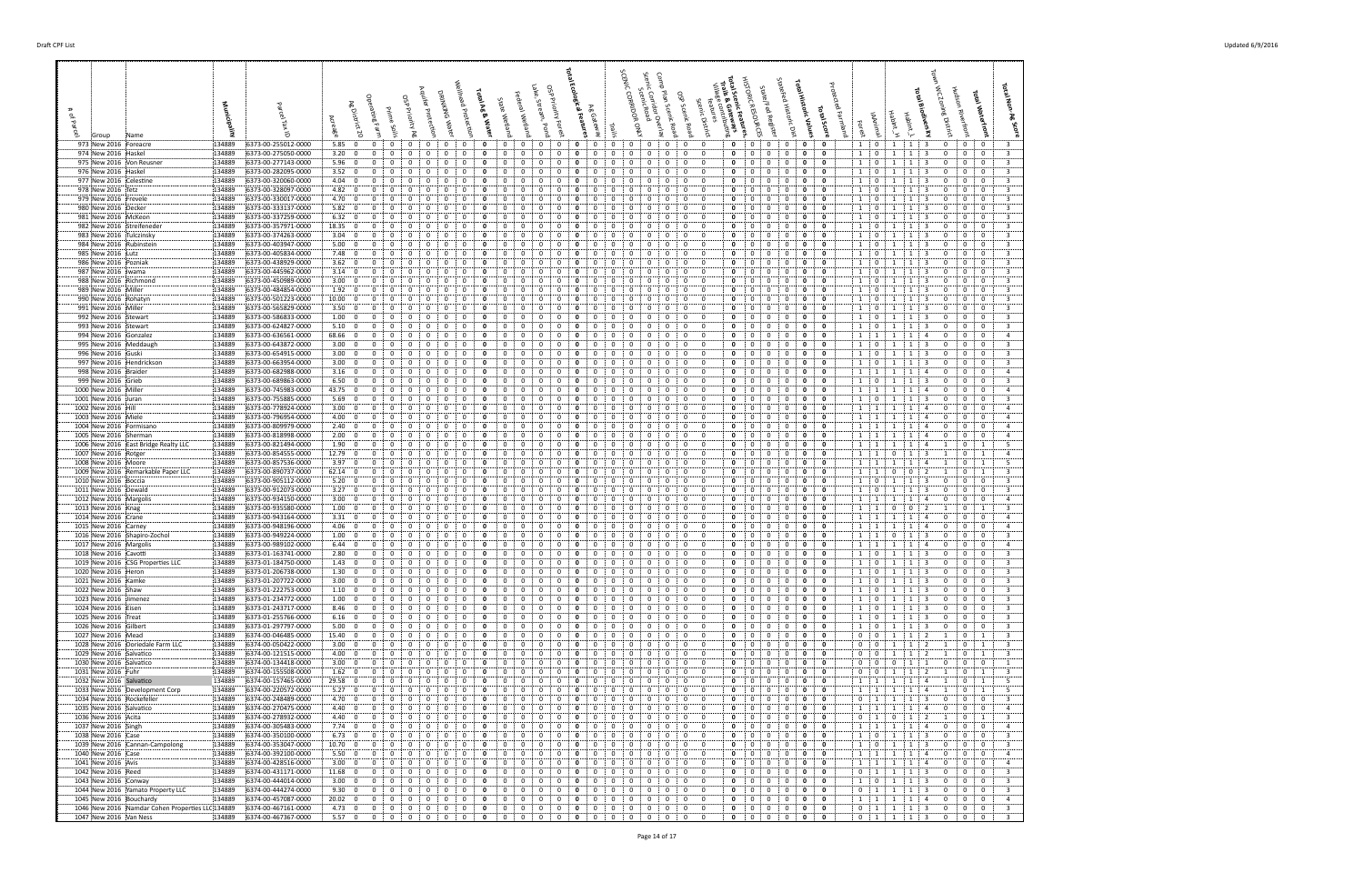| 973 New 2016 Foreacre<br>134889<br>974 New 2016 Haskel<br>134889                 | 6373-00-255012-0000<br>6373-00-275050-0000 | 5.85:0<br>$\mathbf{0}$<br>0<br>0<br>3.20; 0<br>0<br>0<br>0                                                | 0<br>0<br>0<br>0<br>0<br>0<br>0<br>0<br>0<br>0                                                                                   | 0<br>0<br>0<br>0<br>0<br>0<br>0<br>0<br>$^{(1)}$                                                                       | 0<br>0<br>0<br>0<br>0<br>0<br>0<br>0<br>0                                                                                                                                      | $\mathbf{0}$<br>$\mathbf{0}$<br>$\mathbf{0}$<br>0<br>$\mathbf{0}$<br>0<br>0<br>0<br>$\mathbf{0}$<br>0<br>$\mathbf{o}$<br>$\mathbf{0}$                                   | 1 0<br>$1 \mid 1 \mid 3$<br>$0$ :<br>$\mathbf{0}$<br>0<br>-3<br>$\mathbf{1}$<br>$\overline{0}$<br>0<br>$\mathbf{0}$<br>$\bf{0}$<br>$\overline{\mathbf{3}}$<br>1<br>1<br>3                                                     |
|----------------------------------------------------------------------------------|--------------------------------------------|-----------------------------------------------------------------------------------------------------------|----------------------------------------------------------------------------------------------------------------------------------|------------------------------------------------------------------------------------------------------------------------|--------------------------------------------------------------------------------------------------------------------------------------------------------------------------------|-------------------------------------------------------------------------------------------------------------------------------------------------------------------------|-------------------------------------------------------------------------------------------------------------------------------------------------------------------------------------------------------------------------------|
| 975 New 2016 Von Reusner<br>134889                                               | 6373-00-277143-0000                        | 5.96:0<br>$\Omega$                                                                                        |                                                                                                                                  |                                                                                                                        | 0                                                                                                                                                                              | $\Omega$<br>$\Omega$<br>0<br>0<br>0                                                                                                                                     | 1<br>$\mathbf{0}$<br>-3<br>$\mathbf{0}$<br>0<br>3<br>-1<br>0                                                                                                                                                                  |
| 134889<br>976 New 2016 Haskel<br>977 New 2016 Celestine<br>134889                | 6373-00-282095-0000<br>6373-00-320060-0000 | 3.52:0<br>0<br>$\Omega$<br>- 0<br>4.04:<br>0<br>$\mathbf{0}$<br>0                                         | $\Omega$<br>$\Omega$<br>$\Omega$<br>0<br>0                                                                                       | $\Omega$<br>$\Omega$<br>$\Omega$<br>0<br>$\Omega$<br>0<br>$\Omega$<br>0                                                | 0<br>0<br>$\Omega$<br>$\Omega$<br>$\Omega$<br>$\Omega$<br>$\Omega$<br>$^{\circ}$<br>0                                                                                          | $\mathbf{0}$<br>$^{\circ}$<br>$\mathbf{0}$<br>0<br>0<br>- 0<br>0<br>0<br>0<br>$\Omega$<br>0                                                                             | 1:0<br>3<br>0<br>0<br>$\mathbf{0}$<br>3<br>$\mathbf{1}$<br>$\mathbf{1}$<br>3<br>$\mathbf{1}$<br>$\mathbf{0}$<br>0<br>0<br>0<br>-1<br>3                                                                                        |
| 134889<br>978 New 2016 Tetz                                                      | 6373-00-328097-0000                        | 4.82:0<br>0                                                                                               | 0                                                                                                                                | 0<br>$\Omega$<br>$\Omega$                                                                                              | 0                                                                                                                                                                              | 0<br>0<br>0<br>0                                                                                                                                                        | $1 \quad 0$<br>0<br>$\mathbf 0$<br>3<br>-3<br>0                                                                                                                                                                               |
| 979 New 2016 Frevele<br>134889<br>980 New 2016 Decker<br>134889                  | 6373-00-330017-0000<br>6373-00-333137-0000 | 4.70:0<br>0<br>$\Omega$<br>5.82:0<br>0<br>0                                                               | $\Omega$<br>$\Omega$<br>0<br>$\mathbf{0}$<br>$^{\circ}$<br>0<br>0<br>o<br>0                                                      | $\Omega$<br>$\Omega$<br>0<br>0<br>$\Omega$<br>0<br>0<br>0                                                              | $\Omega$<br>0<br>$\Omega$<br>$\Omega$<br>0<br>$\Omega$<br>0<br>0<br>0<br>0                                                                                                     | $\mathbf 0$<br>$\mathbf 0$<br>$\Omega$<br>$\Omega$<br>$\mathbf 0$<br>$\Omega$<br>0<br>0<br>0<br>0<br>$\mathbf{0}$<br>- 0                                                | $\overline{0}$<br>$\overline{\mathbf{3}}$<br>$1 \quad 0$<br>3<br>0<br>$\mathbf{0}$<br>-1<br>-1<br>1<br>$\overline{\mathbf{0}}$<br>3<br>1<br>1<br>-3<br>0<br>0<br>$\mathbf{0}$                                                 |
| 981 New 2016 McKeon<br>134889<br>982 New 2016 Streifeneder<br>134889             | 6373-00-337259-0000<br>6373-00-357971-0000 | 6.32:0<br>$\overline{0}$<br>0<br>18.35:0<br>0                                                             | 0<br>0<br>0<br>$\Omega$<br>0<br>0<br>$\Omega$                                                                                    | 0<br>0<br>0<br>0<br>$\Omega$<br>$\Omega$                                                                               | 0<br>0<br>$\mathbf{0}$<br>0<br>0<br>$\Omega$<br>$\Omega$<br>$\Omega$<br>$^{\circ}$<br>0<br>$\Omega$                                                                            | 0<br>$\overline{0}$<br>0<br>0<br>0<br>$\Omega$<br>0<br>0<br>$\Omega$<br>$\mathbf 0$<br>0<br>$\Omega$                                                                    | 1<br>$\mathbf 0$<br>$\overline{0}$<br>$\overline{\mathbf{3}}$<br>$\overline{0}$<br>1<br>3<br>1<br>0<br>$1 \t0$<br>$\mathbf 0$<br>$\overline{0}$<br>$\overline{\mathbf{3}}$<br>-3<br>0<br>1<br>1                               |
| 134889<br>983 New 2016 : Tulczinsky                                              | 6373-00-374263-0000                        | 3.04:0<br>$\Omega$                                                                                        | 0                                                                                                                                | 0                                                                                                                      | 0<br>$\Omega$<br>0                                                                                                                                                             | $\Omega$<br>$\Omega$<br>0<br>$\mathbf 0$<br>$\Omega$<br>- 0                                                                                                             | $\mathbf{0}$<br>0<br>$\mathbf{0}$<br>3<br>1 <sup>1</sup><br>-3<br>$\Omega$<br>-1<br>-1                                                                                                                                        |
| 984 New 2016 Rubinstein<br>134889                                                | 6373-00-403947-0000                        | $5.00\begin{array}{ccc} 0 \\ 0 \end{array}$<br>$\Omega$                                                   | 0<br>0                                                                                                                           | 0<br>0<br>0                                                                                                            | 0<br>$^{\circ}$<br>$\Omega$<br>$\Omega$<br>0<br>$\Omega$<br>$\Omega$<br>$\Omega$                                                                                               | $\mathbf 0$<br>0<br>$\mathbf 0$<br>$\mathbf{0}$<br>$\Omega$<br>0<br>$\Omega$<br>$\Omega$                                                                                | $\overline{\mathbf{3}}$<br>$\overline{0}$<br>1<br>0<br>0<br>-1<br>-3<br>0<br>-1<br>$\overline{3}$<br>$\Omega$                                                                                                                 |
| 985 New 2016 Lutz<br>134889<br>134889<br>986 New 2016 Pozniak                    | 6373-00-405834-0000<br>6373-00-438929-0000 | 7.48:0<br>0<br>$\Omega$<br>3.62:0<br>0                                                                    | 0<br>$\Omega$<br>0<br>0                                                                                                          | 0<br>$\Omega$<br>0<br>$\Omega$<br>0                                                                                    | 0<br>0<br>$\Omega$<br>$\Omega$<br>0<br>0<br>0<br>0                                                                                                                             | $\mathbf 0$<br>$\mathbf 0$<br>0<br>$\Omega$<br>$\mathbf 0$<br>$\mathbf 0$<br>0<br>0<br>$\Omega$<br>0                                                                    | 1:0<br>$\mathbf 0$<br>$\mathbf 0$<br>1<br>-3<br>-1<br>1<br>$\mathbf{0}$<br>$\mathbf{0}$<br>$\mathbf 0$<br>3<br>0                                                                                                              |
| 987 New 2016   Iwama<br>134889                                                   | 6373-00-445962-0000                        | 3.14:0<br>0<br>0                                                                                          | 0<br>0<br>0<br>0                                                                                                                 | 0<br>0<br>0<br>0                                                                                                       | 0<br>$\Omega$<br>0<br>0<br>0<br>0<br>$\Omega$                                                                                                                                  | 0<br>$\mathbf 0$<br>0<br>0<br>0<br>$\Omega$<br>0<br>0                                                                                                                   | $\overline{\mathbf{3}}$<br>1 <sup>1</sup><br>0<br>0<br>0<br>1<br>1<br>-3<br>0<br>$\mathbf 0$<br>$\Omega$                                                                                                                      |
| 988 New 2016 Richmond<br>134889<br>989 New 2016 Miller<br>134889                 | 6373-00-450989-0000<br>6373-00-484854-0000 | 3.00:0<br>$\overline{0}$<br>$\Omega$<br>0<br>1.92:0<br>$\Omega$                                           | 0<br>$\Omega$<br>0<br>$\Omega$<br>0                                                                                              | 0<br>0<br>0<br>$\Omega$<br>0<br>$\Omega$<br>$\Omega$                                                                   | 0<br>0<br>$\Omega$<br>0<br>$\Omega$                                                                                                                                            | $\mathbf 0$<br>$\overline{0}$<br>0<br>$\Omega$<br>$\Omega$<br>0<br>$\mathbf{0}$<br>$\Omega$<br>0                                                                        | 1 <sup>1</sup><br>$\overline{\mathbf{3}}$<br>$\overline{0}$<br>0<br>$\overline{1}$<br>1<br>-3<br>$1 \quad 0$<br>$\Omega$<br>$\Omega$<br>3<br>-3<br>0                                                                          |
| 134889<br>990 New 2016 Rohatyn                                                   | 6373-00-501223-0000                        | 10.00: 0<br>$\Omega$<br>$\Omega$                                                                          | $\Omega$<br>$\Omega$<br>0<br>$\Omega$<br>$\Omega$                                                                                | $\Omega$<br>$\Omega$<br>0<br>0                                                                                         | $\Omega$<br>$^{\circ}$<br>$\Omega$<br>0<br>$\Omega$<br>$\Omega$                                                                                                                | 0<br>$\mathbf 0$<br>$\Omega$<br>$\Omega$<br>$\mathbf 0$<br>- 0                                                                                                          | $\overline{0}$<br>$\overline{\mathbf{3}}$<br>$1 \quad 0$<br>-3<br>0<br>$\mathbf 0$<br>-1<br>-1                                                                                                                                |
| 991 New 2016 Miller<br>134889<br>992 New 2016 Stewart<br>134889                  | 6373-00-565829-0000<br>6373-00-586833-0000 | 3.50:<br>$\mathbf{0}$<br>0<br>0<br>1.00: 0<br>0<br>0                                                      | 0                                                                                                                                | 0<br>0<br>0<br>0<br>0                                                                                                  | 0<br>0<br>0<br>0<br>0<br>$\Omega$<br>$\Omega$                                                                                                                                  | 0<br>0<br>0<br>$\Omega$<br>$\mathbf{0}$<br>0<br>0<br>0<br>0<br>0<br>- 0                                                                                                 | 3<br>0<br>1<br>$\mathbf{0}$<br>1<br>0<br>0<br>$\overline{\mathbf{3}}$<br>$1 \t0$<br>$\mathbf 0$<br>$\mathbf 0$<br>1<br>-3<br>0                                                                                                |
| 993 New 2016 Stewart<br>134889                                                   | 6373-00-624827-0000                        | 5.10<br>$\mathbf 0$<br>0                                                                                  |                                                                                                                                  | 0<br>0<br>0<br>0                                                                                                       | 0<br>$^{\circ}$<br>0                                                                                                                                                           | 0<br>0<br>0<br>$\mathbf 0$<br>0<br>$\Omega$                                                                                                                             | 1<br>$\overline{\mathbf{3}}$<br>$\mathbf{0}$<br>-3<br>0<br>$\mathbf 0$<br>0<br>1<br>1                                                                                                                                         |
| 994 New 2016 Gonzalez<br>134889<br>995 New 2016 Meddaugh<br>134889               | 6373-00-636561-0000<br>6373-00-643872-0000 | 68.66; 0<br>$\Omega$<br>$\Omega$<br>3.00; 0<br>0<br>0                                                     | $\mathbf 0$<br>$\Omega$<br>0<br>0<br>$\Omega$<br>0<br>0                                                                          | 0<br>$\Omega$<br>0<br>0<br>$\Omega$<br>0<br>0                                                                          | $\Omega$<br>$\Omega$<br>$\Omega$<br>0<br>$\Omega$<br>$\Omega$<br>0<br>0<br>$^{\circ}$<br>$\Omega$<br>$\Omega$                                                                  | 0<br>$\Omega$<br>$\Omega$<br>0<br>$\mathbf 0$<br>$\Omega$<br>$\mathbf 0$<br>$\mathbf 0$<br>0<br>$\mathbf 0$<br>$\Omega$<br>$\mathbf{0}$                                 | 1 1<br>1<br>$\Omega$<br>$\Omega$<br>$\Omega$<br>$\overline{4}$<br>$\mathbf{1}$<br>$\mathbf{A}$<br>$1 \quad 0$<br>$\mathbf{0}$<br>$\overline{0}$<br>$\overline{\mathbf{3}}$<br>1<br>-3<br>0<br>1                               |
| 996 New 2016 Guski<br>134889                                                     | 6373-00-654915-0000                        | 3.00; 0<br>$\overline{0}$<br>0                                                                            | 0<br>0<br>0                                                                                                                      | 0<br>$\Omega$<br>0<br>$\Omega$                                                                                         | 0<br>0<br>$\Omega$<br>0                                                                                                                                                        | 0<br>$\Omega$<br>$\mathbf 0$<br>0<br>0<br>$\Omega$                                                                                                                      | 1 0<br>$\mathbf{0}$<br>0<br>3<br>-1<br>$\mathbf{1}$<br>-3<br>0                                                                                                                                                                |
| 997 New 2016 Hendrickson<br>134889<br>134889<br>998 New 2016 Braider             | 6373-00-663954-0000<br>6373-00-682988-0000 | 3.00; 0<br>$\Omega$<br>$\Omega$<br>3.16:0<br>0<br>0<br>$\Omega$                                           | $\Omega$<br>0<br>$\Omega$<br>$\Omega$<br>0<br>0<br>0<br>0<br>$\Omega$                                                            | $\Omega$<br>$\Omega$<br>0<br>0<br>0<br>0<br>0                                                                          | $\Omega$<br>0<br>$\Omega$<br>0<br>$\Omega$<br>$^{\circ}$<br>0<br>$\mathbf 0$<br>$\Omega$<br>0<br>$^{\circ}$<br>$\Omega$                                                        | 0<br>$\mathbf{0}$<br>$\Omega$<br>$\Omega$<br>0<br>$\Omega$<br>$\mathbf 0$<br>0<br>$\mathbf 0$<br>$\mathbf 0$<br>0<br>$\Omega$                                           | $1 \cdot 0$<br>$\mathbf 0$<br>$\overline{0}$<br>$\overline{3}$<br>$\Omega$<br>$\mathbf{1}$<br>્વ<br>-1<br>$1 \quad 1$<br>$\mathbf{0}$<br>$\mathbf{0}$<br>$\overline{4}$<br>1<br>1<br>4<br>0                                   |
| 999 New 2016 Grieb<br>134889                                                     | 6373-00-689863-0000                        | 6.50<br>0<br>0<br>$\mathbf{0}$<br>0                                                                       | 0<br>0<br>0<br>0<br>0                                                                                                            | 0<br>0<br>0<br>0<br>0                                                                                                  | 0<br>0<br>0<br>0<br>$^{\circ}$<br>0                                                                                                                                            | $\Omega$<br>$\mathbf{0}$<br>$\mathbf{0}$<br>0<br>0<br>$\Omega$                                                                                                          | $1 \t 0$<br>1<br>0<br>$\mathbf{0}$<br>$\mathbf 0$<br>3<br>1<br>3                                                                                                                                                              |
| 1000 New 2016 Miller<br>134889<br>1001 New 2016 Juran<br>134889                  | 6373-00-745983-0000<br>6373-00-755885-0000 | 43.75:0<br>0<br>5.69:0<br>$\overline{0}$<br>$\Omega$<br>- 0                                               | $\Omega$<br>$\Omega$<br>$\Omega$<br>0<br>$\Omega$                                                                                | $\Omega$<br>$\Omega$<br>$\Omega$<br>$^{\circ}$<br>$\Omega$<br>0<br>$\Omega$                                            | $\Omega$<br>$^{\circ}$<br>$\Omega$<br>$\Omega$<br>$\Omega$<br>0<br>$\mathbf{0}$<br>$\mathbf{0}$<br>$\mathbf{0}$                                                                | $\Omega$<br>$\Omega$<br>$\mathbf 0$<br>0<br>$\Omega$<br>0<br>0<br>$\mathbf 0$<br>$\Omega$<br>$^{\circ}$<br>$\mathbf 0$<br>- 0                                           | $\mathbf{0}$<br>1 1<br>1<br>0<br>$\mathbf 0$<br>$\overline{4}$<br>-1<br>$\overline{a}$<br>1 0<br>1<br>3<br>0<br>0<br>$\mathbf{0}$<br>3<br>-1                                                                                  |
| 1002 New 2016 Hill<br>134889                                                     | 6373-00-778924-0000                        | 3.00:<br>0<br>$\mathbf{0}$<br>0                                                                           | $\Omega$                                                                                                                         | 0<br>0<br>$\Omega$                                                                                                     | $\mathbf 0$<br>$\Omega$<br>0<br>$\Omega$                                                                                                                                       | 0<br>0<br>$\mathbf{0}$<br>$\Omega$<br>$\mathbf 0$                                                                                                                       | $\mathbf 0$<br>$\Omega$<br>$1 \quad 1$<br>0<br>$\overline{a}$<br>-1<br>-1<br>-4                                                                                                                                               |
| 1003 New 2016 Miele<br>134889<br>1004 New 2016 Formisano<br>134889               | 6373-00-796954-0000<br>6373-00-809979-0000 | 4.00:0<br>0<br>0<br>2.40:0<br>0<br>$\Omega$                                                               | 0<br>0<br>$\Omega$<br>$\Omega$<br>$\Omega$<br>0<br>$^{\circ}$<br>$\Omega$                                                        | $\Omega$<br>$\Omega$<br>0<br>$^{(1)}$<br>$\Omega$<br>$\Omega$<br>$\Omega$<br>0                                         | 0<br>0<br>$\Omega$<br>$\Omega$<br>$\Omega$<br>$^{\circ}$<br>$\Omega$<br>0<br>$\Omega$<br>$\Omega$                                                                              | 0<br>0<br>0<br>$\Omega$<br>$\mathbf{0}$<br>$\mathbf 0$<br>$\mathbf 0$<br>$\Omega$<br>$^{\circ}$<br>$\mathbf 0$<br>$\Omega$                                              | 1 1<br>0<br>$\mathbf 0$<br>$\overline{4}$<br>-1<br>4<br>0<br>-1<br>1 1<br>0<br>$\mathbf{0}$<br>$\mathbf{0}$<br>-1<br>4<br>4<br>-1                                                                                             |
| 1005 New 2016 Sherman<br>134889                                                  | 6373-00-818998-0000                        | 2.00:0<br>0<br>0                                                                                          | 0<br>0<br>0<br>0                                                                                                                 | 0<br>0<br>0<br>0                                                                                                       | 0<br>0<br>$\Omega$<br>0<br>$\Omega$                                                                                                                                            | 0<br>0<br>0<br>0<br>$\mathbf{0}$<br>0                                                                                                                                   | $\overline{4}$<br>1 1<br>-1<br>1<br>$\overline{a}$<br>0<br>0<br>$\mathbf{0}$                                                                                                                                                  |
| 1006 New 2016 East Bridge Realty LLC<br>134889<br>1007 New 2016 Rotger<br>134889 | 6373-00-821494-0000<br>6373-00-854555-0000 | 1.90; 0<br>$\overline{0}$<br>0<br>12.79:0<br>0<br>$\Omega$                                                | 0<br>0<br>0<br>$\Omega$<br>0<br>0<br>0                                                                                           | 0<br>0<br>0<br>$\Omega$<br>$\Omega$<br>$\Omega$<br>$\Omega$                                                            | 0<br>0<br>0<br>0<br>$\mathbf{0}$<br>$\Omega$<br>0<br>0<br>$\Omega$<br>0<br>$\Omega$<br>$\Omega$                                                                                | 0<br>$\mathbf 0$<br>$\overline{0}$<br>0<br>0<br>$\Omega$<br>$\mathbf{0}$<br>0<br>$\Omega$<br>$\mathbf 0$<br>0<br>$\Omega$                                               | $1 \cdot 1$<br>$\mathbf 0$<br>- 5<br>1<br>1<br>1<br>-4<br>1<br>$1 \quad 1$<br>$\mathbf 0$<br>$\overline{a}$<br>$\mathbf{0}$<br>-1<br>-3<br>-1<br>1                                                                            |
| 134889<br>1008 New 2016 Moore                                                    | 6373-00-857536-0000                        | 3.97:0<br>$\Omega$<br>0                                                                                   | 0<br>0<br>$\Omega$<br>$\Omega$                                                                                                   | 0<br>$\Omega$<br>0                                                                                                     | $\Omega$<br>$\Omega$<br>0<br>$\Omega$<br>$\Omega$<br>$^{\circ}$                                                                                                                | $\Omega$<br>$\mathbf 0$<br>0<br>$\mathbf 0$<br>$\Omega$<br>$\Omega$                                                                                                     | $\mathbf{1}$<br>1<br>$\mathbf{0}$<br>-5<br>1<br>1<br>-1<br>$\mathbf{A}$<br>-1                                                                                                                                                 |
| 134889<br>1009 New 2016 Remarkable Paper LLC<br>134889<br>1010 New 2016 Boccia   | 6373-00-890737-0000<br>6373-00-905112-0000 | $62.14 \div 0$<br>$\Omega$<br>0<br>5.20; 0<br>0<br>0<br>$\Omega$                                          | 0<br>0<br>$\Omega$<br>$\Omega$<br>$\Omega$<br>0<br>0<br>$\Omega$                                                                 | 0<br>0<br>0<br>0<br>0<br>0<br>0<br>0<br>$\Omega$                                                                       | 0<br>0<br>$\Omega$<br>0<br>$\Omega$<br>$\Omega$<br>$\Omega$<br>$\mathbf{0}$<br>0<br>0<br>$\mathbf 0$<br>0                                                                      | $\mathbf 0$<br>0<br>$\mathbf 0$<br>$\overline{0}$<br>$\mathbf{0}$<br>$\Omega$<br>$\Omega$<br>$\overline{0}$<br>0<br>0<br>0<br>$\Omega$                                  | $\overline{\mathbf{3}}$<br>1<br>0<br>1<br>1<br>$\mathbf{0}$<br>$\Omega$<br>$1 \t 0$<br>0<br>$\mathbf{0}$<br>$\mathbf 0$<br>3<br>-1<br>-1<br>-3                                                                                |
| 134889<br>1011 New 2016 Dewald                                                   | 6373-00-912073-0000                        | 3.27:0<br>0                                                                                               |                                                                                                                                  | 0                                                                                                                      | 0<br>0<br>$\Omega$<br>0<br>$\Omega$                                                                                                                                            | $\mathbf 0$<br>0<br>$\overline{0}$<br>$\mathbf 0$<br>0<br>$\Omega$                                                                                                      | $\overline{\mathbf{3}}$<br>$1$ ;<br>$\overline{\mathbf{0}}$<br>$\mathbf{0}$<br>$\mathbf 0$<br>1<br>-1<br>0                                                                                                                    |
| 1012 New 2016 Margolis<br>134889<br>1013 New 2016 Knag<br>134889                 | 6373-00-934150-0000<br>6373-00-935580-0000 | 3.00; 0<br>0<br>$\Omega$<br>0<br>1.00:<br>$\mathbf 0$<br>0<br>0                                           | 0<br>0<br>0<br>0<br>0<br>0<br>$\Omega$<br>$\Omega$<br>0                                                                          | 0<br>$\mathbf{0}$<br>0<br>$\Omega$<br>0<br>0<br>0<br>0<br>$\Omega$                                                     | 0<br>$\mathbf{0}$<br>$^{\circ}$<br>0<br>$\mathbf{0}$<br>$\Omega$<br>0<br>$^{\circ}$<br>$\Omega$<br>0<br>$\Omega$                                                               | 0<br>$\mathbf 0$<br>$\mathbf{0}$<br>0<br>0<br>$\mathbf{0}$<br>0<br>0<br>$\overline{0}$<br>$\mathbf 0$<br>0<br>$\Omega$                                                  | 1 1<br>0<br>$\mathbf{0}$<br>$\overline{4}$<br>1<br>$\mathbf{1}$<br>4<br>$\mathbf{0}$<br>$1 \cdot$<br>$\mathbf 0$<br>3<br>1<br>2<br>$\mathbf{1}$<br>1<br>$\Omega$<br>$^{\circ}$                                                |
| 1014 New 2016 Crane<br>134889                                                    | 6373-00-943164-0000<br>6373-00-948196-0000 | 3.31:0<br>0<br>$\Omega$<br>$\Omega$<br>$\Omega$                                                           | n<br>$\Omega$                                                                                                                    | $\Omega$<br>$\Omega$<br>0<br>$\Omega$<br>$\Omega$<br>$\Omega$                                                          | $^{\circ}$<br>0<br>$\Omega$<br>$\Omega$<br>$\Omega$<br>$\Omega$                                                                                                                | $\Omega$<br>0<br>0<br>$\Omega$<br>$\mathbf{0}$<br>0<br>$\Omega$<br>$\Omega$<br>$\Omega$                                                                                 | 1<br>$\mathbf{0}$<br>$\mathbf 0$<br>$\overline{1}$<br>$\Omega$<br>$\overline{4}$                                                                                                                                              |
| 134889<br>1015 New 2016 Carney<br>1016 New 2016 Shapiro-Zochol<br>134889         | 6373-00-949224-0000                        | 4.06:0<br>$\Omega$<br>1.00:0<br>0<br>0                                                                    | $\Omega$<br>0<br>$\Omega$                                                                                                        | -0<br>0<br>0                                                                                                           | $\mathbf{0}$<br>0<br>$\Omega$<br>0<br>0<br>0                                                                                                                                   | $\mathbf 0$<br>$\mathbf 0$<br>0<br>0<br>0<br>0<br>0<br>$\mathbf{0}$                                                                                                     | $\overline{0}$<br>$1 \quad 1$<br>0<br>$\mathbf{0}$<br>-1<br>$\overline{a}$<br>$\overline{4}$<br>-1<br>0<br>3<br>1:<br>1<br>0<br>0<br>0                                                                                        |
| 134889<br>1017 New 2016 Margolis                                                 | 6373-00-989102-0000<br>6373-01-163741-0000 | 6.44:0<br>$\overline{0}$<br>$\Omega$<br>0<br>2.80:<br>$\mathbf 0$<br>$\overline{0}$<br>0<br>0             | 0<br>0<br>0<br>0<br>$\Omega$<br>$\mathbf 0$<br>0<br>0<br>0<br>0                                                                  | 0<br>$\mathbf{0}$<br>0<br>0<br>0<br>$\overline{0}$<br>$\mathbf{0}$<br>0<br>0<br>$\Omega$                               | 0<br>0<br>0<br>0<br>$\Omega$<br>$\Omega$<br>$\mathbf 0$<br>0<br>$^{\circ}$<br>0<br>0<br>$\Omega$                                                                               | 0<br>$\mathbf 0$<br>0<br>0<br>0<br>$\Omega$<br>$\mathbf 0$<br>$\Omega$<br>0<br>$\mathbf 0$<br>$\mathbf 0$<br>0                                                          | $1 \quad 1$<br>$\mathbf{0}$<br>$\overline{0}$<br>$\overline{4}$<br>1<br>1<br>$\overline{a}$<br>0<br>1:0<br>$\overline{0}$<br>3<br>$\overline{\mathbf{3}}$<br>0<br>$\mathbf{0}$                                                |
| 1018 New 2016 Cavotti<br>134889<br>1019 New 2016 CSG Properties LLC<br>134889    | 6373-01-184750-0000                        | 1.43:0<br>$\mathbf 0$<br>$\mathbf{0}$<br>$\mathbf{0}$                                                     | $\mathbf{0}$<br>$\mathbf{0}$<br>$\mathbf{0}$<br>$\Omega$                                                                         | $\mathbf 0$<br>$\mathbf{0}$<br>$\mathbf 0$<br>$\mathbf{0}$<br>$\mathbf 0$<br>$\mathbf{0}$                              | $\mathbf{0}$<br>$\mathbf{0}$<br>$\mathbf 0$<br>$\mathbf{0}$<br>0<br>$\mathbf{0}$                                                                                               | $\mathbf 0$<br>$\overline{0}$<br>$\mathbf{0}$<br>$\mathbf 0$<br>$\mathbf{0}$<br>$\mathbf 0$                                                                             | 1<br>1<br>$1 \t0$<br>$\mathbf{1}$<br>$1 \mid 3$<br>$\mathbf{0}$<br>$\overline{3}$<br>$\mathbf 0$<br>$\mathbf{0}$                                                                                                              |
| 1020 New 2016 Heron<br>134889<br>1021 New 2016 Kamke<br>134889                   | 6373-01-206738-0000                        | 1.30; 0<br>$\mathbf 0$<br>$\mathbf 0$<br>$\mathbf 0$<br>3.00:0<br>$\mathbf 0$<br>0<br>$\mathbf 0$         | $\mathbf 0$<br>0<br>$\Omega$<br>0<br>$\Omega$<br>$\mathbf 0$<br>0<br>$\mathbf 0$<br>0<br>$\mathbf 0$                             | $\mathbf 0$<br>$\mathbf 0$<br>0<br>0<br>$\overline{0}$<br>$\mathbf 0$<br>$\mathbf{0}$<br>0<br>$\mathbf{0}$             | $\mathbf 0$<br>0<br>$\mathbf 0$<br>0<br>$\mathbf 0$<br>$\mathbf 0$<br>0<br>$\mathbf{0}$<br>$\mathbf{0}$<br>$\mathbf 0$                                                         | 0<br>$\Omega$<br>$\mathbf{0}$<br>$\mathbf 0$<br>0<br>$\mathbf 0$<br>0<br>$\mathbf{0}$<br>$\mathbf 0$<br>$\mathbf{0}$<br>0<br>0                                          | $\overline{0}$<br>$\overline{0}$<br>$\mathbf{R}$<br>-3<br>$\Omega$<br>0<br>1 0<br>3<br>0<br>$\mathbf{0}$<br>$\mathbf{0}$<br>3<br>$\mathbf{1}$<br>1                                                                            |
| 1022 New 2016 Shaw<br>134889                                                     | 6373-01-207722-0000<br>6373-01-222753-0000 | 1.10; 0<br>$\mathbf 0$<br>$\mathbf 0$<br>$\Omega$                                                         | $^{\circ}$<br>$\overline{0}$<br>0<br>0<br>$\Omega$                                                                               | $\overline{0}$<br>0<br>$\Omega$<br>$\Omega$<br>$\Omega$                                                                | $\Omega$<br>$\mathbf{0}$<br>0<br>$\mathbf{0}$<br>$\mathbf{0}$<br>$\Omega$                                                                                                      | $\mathbf 0$<br>0<br>$\mathbf 0$<br>$\Omega$<br>$\mathbf 0$<br>$\Omega$                                                                                                  | $\overline{\mathbf{3}}$<br>$1 \t0$<br>$\mathbf{0}$<br>$\mathbf{0}$<br>-3<br>0<br>-1<br>-1                                                                                                                                     |
| 1023 New 2016 Jimenez<br>134889<br>1024 New 2016 Eisen<br>134889                 | 6373-01-234772-0000<br>6373-01-243717-0000 | 1.00:0<br>$\mathbf 0$<br>$\overline{0}$<br>$\mathbf{0}$<br>8.46; 0<br>$\overline{0}$<br>$\mathbf 0$       | $\mathbf 0$<br>$\mathbf 0$<br>0<br>$\mathbf{0}$<br>$\mathbf{0}$<br>$\mathbf{0}$<br>$\bf{0}$<br>0<br>$\mathbf 0$<br>0<br>$\bf{0}$ | $\overline{0}$<br>$\mathbf 0$<br>$\mathbf{0}$<br>0<br>0<br>0<br>$\bf{0}$<br>$\mathbf{0}$<br>$\mathbf{0}$<br>$\Omega$   | $\mathbf 0$<br>$\mathbf 0$<br>$\mathbf{0}$<br>$\mathbf{0}$<br>0<br>$\mathbf 0$<br>$\mathbf 0$<br>$\mathbf{0}$<br>$\mathbf{0}$<br>$\mathbf{0}$<br>$\overline{0}$<br>$\mathbf 0$ | $\mathbf 0$<br>$\mathbf{0}$<br>$\mathbf 0$<br>$\bf{0}$<br>$\mathbf{0}$<br>0<br>0<br>$\mathbf{0}$<br>$\bf{0}$<br>$\mathbf{0}$<br>0<br>0                                  | $\overline{\mathbf{3}}$<br>1 0<br>$1 \quad$<br>$\mathbf{1}$<br>: 3<br>0<br>$\mathbf{0}$<br>$\mathbf{0}$<br>$1 \quad 0$<br>1<br>1<br>$\overline{\mathbf{3}}$<br>$\mathbf{0}$<br>$\mathbf{0}$<br>$\mathbf{0}$<br>3              |
| 1025 New 2016 Treat<br>134889                                                    | 6373-01-255766-0000                        | 6.16; 0<br>$\mathbf{0}$<br>$\Omega$<br>$\mathbf{0}$                                                       | $\mathbf 0$<br>$\mathbf 0$<br>$\mathbf 0$<br>0<br>$\mathbf{0}$                                                                   | $\overline{0}$<br>0<br>$\mathbf 0$<br>0<br>0                                                                           | $\mathbf{0}$<br>$\mathbf{0}$<br>$\mathbf{0}$<br>$\mathbf{0}$<br>$\mathbf{0}$<br>$\mathbf{0}$                                                                                   | $\mathbf 0$<br>$\mathbf 0$<br>0<br>$\mathbf{0}$<br>$\mathbf 0$<br>$\mathbf{0}$                                                                                          | $\overline{0}$<br>$\overline{\mathbf{3}}$<br>$1 \cdot 0$<br>1<br>$\overline{\mathbf{3}}$<br>$\mathbf 0$<br>1<br>$\mathbf{0}$                                                                                                  |
| 1026 New 2016 Gilbert<br>134889<br>1027 New 2016 Mead<br>134889                  | 6373-01-297797-0000<br>6374-00-046485-0000 | 5.00:0<br>$\mathbf{0}$<br>$\mathbf 0$<br>$\Omega$<br>15.40:0<br>$\mathbf 0$<br>0<br>$\mathbf{0}$          | $\mathbf 0$<br>0<br>$\mathbf{0}$<br>0<br>$\mathbf{0}$<br>0<br>$\mathbf 0$<br>0<br>0<br>0                                         | $\overline{0}$<br>$\mathbf 0$<br>$\mathbf 0$<br>$\Omega$<br>$\Omega$<br>0<br>0<br>0<br>0                               | $\Omega$<br>$\mathbf{0}$<br>0<br>$\mathbf{0}$<br>$\mathbf{0}$<br>$\Omega$<br>0<br>0<br>$\Omega$<br>$\Omega$<br>0<br>0                                                          | $\mathbf 0$<br>$\mathbf 0$<br>0<br>$\mathbf 0$<br>$\mathbf{0}$<br>$\mathbf{0}$<br>$\mathbf 0$<br>0<br>$\mathbf 0$<br>$\overline{0}$<br>$\mathbf{0}$<br>$\mathbf{0}$     | 1:0<br>$\overline{\mathbf{3}}$<br>$\mathbf{0}$<br>0<br>$\mathbf{0}$<br>3<br>$\mathbf{1}$<br>1<br>$\overline{\mathbf{3}}$<br>$\mathbf{0}$<br>$\overline{0}$<br>2<br>1<br>$\mathbf 0$<br>$\overline{1}$<br>-1<br>$\overline{1}$ |
| 1028 New 2016 Doriedale Farm LLC<br>134889                                       | 6374-00-050422-0000                        | 3.00:0<br>$\mathbf 0$<br>$\Omega$<br>0                                                                    | 0<br>$\Omega$<br>0<br>0<br>0                                                                                                     | $\overline{0}$<br>$\mathbf 0$<br>0<br>0<br>0                                                                           | 0<br>0<br>$\mathbf{0}$<br>$\Omega$<br>0<br>$^{\circ}$                                                                                                                          | $\mathbf 0$<br>$\mathbf 0$<br>$\mathbf{0}$<br>0<br>0<br>$\mathbf{0}$                                                                                                    | 0<br>$\cdot$ 0<br>3<br>-1<br>1<br>2<br>1<br>$\mathbf 0$<br><sup>1</sup>                                                                                                                                                       |
| 1029 New 2016 Salvatico<br>134889<br>1030 New 2016 Salvatico<br>134889           | 6374-00-121515-0000                        | 4.00:0<br>$\mathbf 0$<br>$\Omega$<br>0<br>0                                                               | $\mathbf 0$<br>$\mathbf 0$<br>0<br>0<br>$\mathbf{0}$<br>0<br>$\mathbf{0}$<br>0                                                   | $\mathbf{0}$<br>$\mathbf 0$<br>$\mathbf 0$<br>0<br>$\Omega$<br>0<br>0<br>0                                             | $\Omega$<br>$\mathbf{0}$<br>$\mathbf 0$<br>$\mathbf{0}$<br>$\mathbf{0}$<br>0<br>0<br>0<br>0<br>0                                                                               | $\mathbf 0$<br>$\mathbf 0$<br>$\mathbf{0}$<br>$\mathbf 0$<br>$\mathbf 0$<br>$\mathbf{0}$<br>0<br>$\mathbf 0$<br>0<br>0                                                  | $\overline{3}$<br>$0\qquad 0$<br>2<br>0 <sup>1</sup><br>$\mathbf{1}$<br>1<br>1<br>1<br>0                                                                                                                                      |
| 1031 New 2016 Fuhr<br>134889                                                     | 6374-00-134418-0000<br>6374-00-155508-0000 | 3.00:0<br>$\mathbf{0}$<br>0<br>1.62; 0<br>$\overline{0}$<br>$\mathbf{0}$<br>0                             | $\mathbf{0}$<br>0<br>0<br>0<br>0<br>0<br>0                                                                                       | $\mathbf{0}$<br>$\overline{0}$<br>$\bf{0}$<br>0<br>$\Omega$<br>0                                                       | $\mathbf{0}$<br>$\mathbf 0$<br>0<br>0<br>0<br>$\mathbf 0$<br>$\overline{0}$<br>$\mathbf 0$                                                                                     | $\mathbf{0}$<br>$\mathbf{0}$<br>$\mathbf 0$<br>0<br>$\mathbf{0}$<br>0<br>$\mathbf 0$<br>0                                                                               | $\mathbf{0}$<br>0 <sup>1</sup><br>$\mathbf{0}$<br>1<br>1<br>$\mathbf{0}$<br>$\mathbf{0}$<br>1<br>$\overline{0}$<br>$\overline{\mathbf{3}}$<br>$\overline{0}$<br>1<br>1<br>2<br>1<br>$0 \quad 1$                               |
| 1032 New 2016 Salvatico<br>134889<br>1033 New 2016 :Development Corp<br>134889   | 6374-00-157465-0000<br>6374-00-220572-0000 | $\mathbf 0$<br>29.58:0<br>$\Omega$<br>0<br>5.27:0<br>$\mathbf 0$<br>$\Omega$<br>$\Omega$                  | $\Omega$<br>0<br>$\Omega$<br>0<br>$^{\circ}$<br>0<br>$\Omega$<br>$\Omega$<br>$\Omega$<br>$\Omega$                                | 0<br>0<br>0<br>0<br>0<br>$\Omega$<br>$\Omega$<br>$\Omega$<br>0<br>$\Omega$                                             | $\Omega$<br>$\mathbf{0}$<br>$\mathbf{0}$<br>$\mathbf{0}$<br>0<br>$\Omega$<br>0<br>0<br>$\Omega$<br>$\Omega$<br>$\Omega$<br>$\Omega$                                            | $\mathbf{0}$<br>$\mathbf 0$<br>$\mathbf 0$<br>$\mathbf 0$<br>$\mathbf 0$<br>0<br>$\mathbf 0$<br>$\mathbf 0$<br>$\mathbf{0}$<br>$^{\circ}$<br>$\mathbf 0$<br>$\mathbf 0$ | $\mathbf 0$<br>-5<br>1 1<br>1<br>1<br>4<br>1<br>1<br>$\mathbf{1}$<br>$\mathbf{0}$<br>- 5<br>1 <sup>1</sup><br>$\mathbf{1}$<br>$\overline{1}$<br>$\mathbf{1}$<br>-4<br>-1                                                      |
| 134889<br>1034 New 2016 Rockefeller                                              | 6374-00-248489-0000                        | 4.70:0<br>$\overline{0}$<br>$\mathbf{0}$                                                                  | $\mathbf 0$<br>$\mathbf 0$<br>$\overline{0}$<br>- 0<br>0<br>$^{\circ}$                                                           | 0<br>0<br>0<br>0<br>$\Omega$                                                                                           | 0<br>$\mathbf 0$<br>0<br>$\mathbf{0}$<br>$\mathbf 0$<br>$^{\circ}$                                                                                                             | $\mathbf 0$<br>$\mathbf 0$<br>$\mathbf 0$<br>$\mathbf 0$<br>$\mathbf 0$<br>$\mathbf 0$                                                                                  | $\overline{\mathbf{3}}$<br>$\mathbf{0}$<br>$\mathbf{0}$<br>1<br>0<br>$\mathbf{0}$<br>-1<br>-1<br>-3                                                                                                                           |
| 1035 New 2016 Salvatico<br>134889<br>1036 New 2016 Acita<br>134889               | 6374-00-270475-0000<br>6374-00-278932-0000 | 4.40; 0<br>$\overline{0}$<br>0<br>0<br>4.40:0<br>$\overline{0}$<br>$\Omega$<br>0                          | $\mathbf 0$<br>0<br>- 0<br>0<br>$^{\circ}$<br>0<br>0<br>0<br>0<br>0                                                              | 0<br>$\bf{0}$<br>0<br>0<br>0<br>0<br>0<br>0<br>0<br>0                                                                  | $\mathbf 0$<br>0<br>$\mathbf{0}$<br>$\mathbf 0$<br>$\mathbf 0$<br>$\mathbf 0$<br>$\mathbf 0$<br>0<br>$\mathbf{0}$<br>$\mathbf 0$<br>$\mathbf 0$<br>$\Omega$                    | 0<br>0<br>$\bf{0}$<br>$\mathbf{0}$<br>0<br>$\mathbf 0$<br>$\mathbf 0$<br>$\mathbf 0$<br>0<br>0<br>$\mathbf 0$<br>0                                                      | $1 \cdot 1$<br>1<br>0<br>0<br>$\mathbf{0}$<br>$\overline{4}$<br>-1<br>$\overline{4}$<br>0<br>$\overline{\mathbf{3}}$<br><sup>1</sup><br>$\mathbf{0}$<br>$\mathbf{0}$<br>1<br>1                                                |
| 1037 New 2016 Singh<br>134889                                                    | 6374-00-305483-0000                        | 7.74:0<br>$\mathbf 0$<br>$\mathbf{0}$<br>$\mathbf{0}$                                                     | $\mathbf 0$<br>$\mathbf 0$<br>0<br>0<br>0                                                                                        | $\overline{0}$<br>$\mathbf 0$<br>0<br>0<br>0                                                                           | $\mathbf 0$<br>$\mathbf{0}$<br>$\mathbf{0}$<br>$\mathbf{0}$<br>$\mathbf{0}$<br>$\mathbf 0$                                                                                     | 0<br>0<br>$\bf{0}$<br>$\mathbf{0}$<br>0<br>0                                                                                                                            | 1 1<br>$\mathbf{0}$<br>$\mathbf{0}$<br>$\overline{4}$<br>1<br>1<br>4<br>$\mathbf{0}$                                                                                                                                          |
| 1038 New 2016 Case<br>134889<br>1039 New 2016 Cannan-Campolong<br>134889         | 6374-00-350100-0000<br>6374-00-353047-0000 | 6.73:0<br>$\overline{0}$<br>0<br>10.70:0<br>$\mathbf 0$<br>$\Omega$<br>$^{\circ}$                         | $\mathbf 0$<br>$\bf{0}$<br>$\mathbf 0$<br>0<br>- 0<br>$\mathbf 0$<br>0<br>0<br>0<br>0<br>$\Omega$                                | $\mathbf{0}$<br>$\mathbf 0$<br>$\mathbf{0}$<br>0<br>0<br>$\overline{0}$<br>$\mathbf 0$<br>$\mathbf 0$<br>$\Omega$<br>0 | $\mathbf 0$<br>$\overline{\mathbf{0}}$<br>$\mathbf 0$<br>0<br>$\mathbf 0$<br>$\mathbf 0$<br>0<br>$\mathbf{0}$<br>0<br>$\Omega$<br>0<br>$\Omega$                                | $\mathbf 0$<br>$\mathbf 0$<br>$\mathbf{0}$<br>$\mathbf 0$<br>$\mathbf 0$<br>0<br>$\mathbf 0$<br>$\mathbf 0$<br>$\mathbf 0$<br>0<br>$\mathbf 0$<br>$\mathbf{0}$          | $1 \cdot 0$<br>$\mathbf 0$<br>$\mathbf 0$<br>$\overline{0}$<br>$\overline{\mathbf{3}}$<br>1<br>1<br>3<br>$1 \cdot 0$<br>-3<br>0<br>$\mathbf 0$<br>$\mathbf 0$<br>3<br>$\mathbf{1}$<br>-1                                      |
| 1040 New 2016 Case<br>134889                                                     | 6374-00-392100-0000                        | 5.50:0<br>$\mathbf{0}$<br>$\Omega$<br>$\mathbf 0$                                                         | $\mathbf 0$<br>$\mathbf 0$<br>0<br>$\mathbf 0$<br>0                                                                              | $\mathbf{0}$<br>$\mathbf 0$<br>$\mathbf{0}$<br>0<br>$\Omega$                                                           | $\mathbf{0}$<br>$\mathbf{0}$<br>$\mathbf{0}$<br>$\mathbf{0}$<br>$\mathbf 0$<br>$\mathbf{0}$                                                                                    | $\mathbf 0$<br>$\mathbf 0$<br>$\mathbf 0$<br>$\mathbf 0$<br>0<br>$\mathbf{0}$                                                                                           | 0<br>$\overline{4}$<br>$\mathbf 0$<br>$\mathbf{0}$<br>$\overline{4}$<br>1 1<br>-1<br>1                                                                                                                                        |
| 1041 New 2016 Avis<br>134889<br>1042 New 2016 Reed<br>134889                     | 6374-00-428516-0000<br>6374-00-431171-0000 | 3.00:0<br>$\mathbf 0$<br>0<br>$^{\circ}$<br>11.68:0<br>$\overline{0}$<br>0<br>0                           | 0<br>0<br>0<br>0<br>$^{\circ}$<br>$\mathbf 0$<br>0<br>0<br>0<br>$\mathbf{0}$                                                     | 0<br>0<br>0<br>0<br>0<br>0<br>$\bf{0}$<br>0<br>0<br>0                                                                  | 0<br>0<br>$\Omega$<br>0<br>0<br>$\Omega$<br>0<br>0<br>0<br>$\mathbf 0$<br>$\overline{0}$<br>$\mathbf 0$                                                                        | 0<br>$\mathbf 0$<br>$\overline{0}$<br>$\mathbf{0}$<br>$\mathbf 0$<br>$\mathbf{0}$<br>0<br>$\bf{0}$<br>$\mathbf{0}$<br>0<br>$\mathbf 0$<br>$\mathbf{0}$                  | $\mathbf 0$<br>$\mathbf 0$<br>$\mathbf 0$<br>1 1<br>1<br>-4<br>4<br>-1<br>$\overline{\mathbf{3}}$<br>$0 \quad 1$<br>$\overline{\mathbf{3}}$<br>$\mathbf{0}$<br>$0 \quad 0$<br>1<br>1                                          |
| 1043 New 2016 Conway<br>134889                                                   | 6374-00-444014-0000                        | 3.00:0<br>$\mathbf{0}$<br>$\mathbf{0}$<br>$\mathbf 0$                                                     | $\mathbf 0$<br>- 0<br>0<br>0<br>$\mathbf{0}$                                                                                     | $\mathbf 0$<br>0<br>0<br>$\mathbf{0}$<br>0                                                                             | $\mathbf{0}$<br>0<br>$\mathbf{0}$<br>$\mathbf 0$<br>$\mathbf 0$<br>0                                                                                                           | $\mathbf 0$<br>$\mathbf 0$<br>$\mathbf{0}$<br>$\mathbf 0$<br>$\mathbf 0$<br>0                                                                                           | $1 \quad 0$<br>$\overline{\mathbf{3}}$<br>$\overline{0}$<br>$\overline{\mathbf{3}}$<br>$\overline{1}$<br>1<br>0<br>$\mathbf{0}$                                                                                               |
| 1044 New 2016 Yamato Property LLC<br>134889<br>1045 New 2016 Bouchardy<br>134889 | 6374-00-444274-0000<br>6374-00-457087-0000 | 9.30; 0<br>$\mathbf{0}$<br>$\mathbf 0$<br>$\Omega$<br>$\mathbf{0}$<br>$20.02 \div 0$<br>0<br>$\mathbf{0}$ | 0<br>$\Omega$<br>$\Omega$<br>- 0<br>$\Omega$<br>$\mathbf{0}$<br>0<br>$\bf{0}$<br>0<br>$\mathbf 0$                                | $\overline{0}$<br>$^{\circ}$<br>0<br>$\Omega$<br>$\Omega$<br>$\mathbf 0$<br>0<br>$\mathbf{0}$<br>0<br>0                | $\Omega$<br>$\mathbf{0}$<br>0<br>$\mathbf{0}$<br>$\Omega$<br>$\Omega$<br>$\mathbf 0$<br>0<br>0<br>0<br>$\mathbf{0}$<br>$\mathbf 0$                                             | $\mathbf 0$<br>$^{\circ}$<br>$\mathbf 0$<br>$\mathbf{0}$<br>0<br>$\mathbf 0$<br>$\mathbf 0$<br>0<br>$\mathbf{0}$<br>$\mathbf 0$<br>$\mathbf 0$<br>$\mathbf 0$           | 0:1<br>1<br>1<br>-3<br>0<br>0<br>$\mathbf{0}$<br>3<br>$1 \quad 1$<br>$\overline{0}$<br>$\overline{0}$<br>$\overline{4}$<br>1<br>1<br>$\overline{4}$<br>0                                                                      |
| 1046 New 2016 Namdar Cohen Properties LLC 134889                                 | 6374-00-467161-0000                        | 4.73:0<br>$\mathbf 0$<br>$\sqrt{0}$<br>$\cdot$ 0                                                          | 0<br>$\mathbf{0}$<br>$\mathbf 0$<br>$\mathbf 0$                                                                                  | $\mathbf{0}$<br>$\mathbf{0}$<br>$\bf{0}$<br>$\overline{0}$<br>$\mathbf 0$<br>$\mathbf 0$                               | $\overline{0}$<br>$\overline{0}$<br>$\mathbf{0}$<br>$\mathbf{0}$<br>$0$ :<br>$\overline{\mathbf{0}}$                                                                           | $\mathbf 0$<br>$\mathbf 0$<br>$\mathbf{0}$<br>$\mathbf 0$<br>$\mathbf 0$<br>0                                                                                           | $0 \quad 1$<br>1 1 3<br>0<br>0 <sup>1</sup><br>$\mathbf{0}$<br>3                                                                                                                                                              |
| 1047 New 2016 Van Ness<br>134889                                                 | 6374-00-467367-0000                        |                                                                                                           |                                                                                                                                  |                                                                                                                        |                                                                                                                                                                                | $\vdots$ 0 $\vdots$ 0 $\vdots$ 0 $\vdots$ 0 $\vdots$ 0 $\vdots$<br>$\mathbf{0}$                                                                                         | 0:1:1:1:3:0:0:0<br>$\overline{3}$                                                                                                                                                                                             |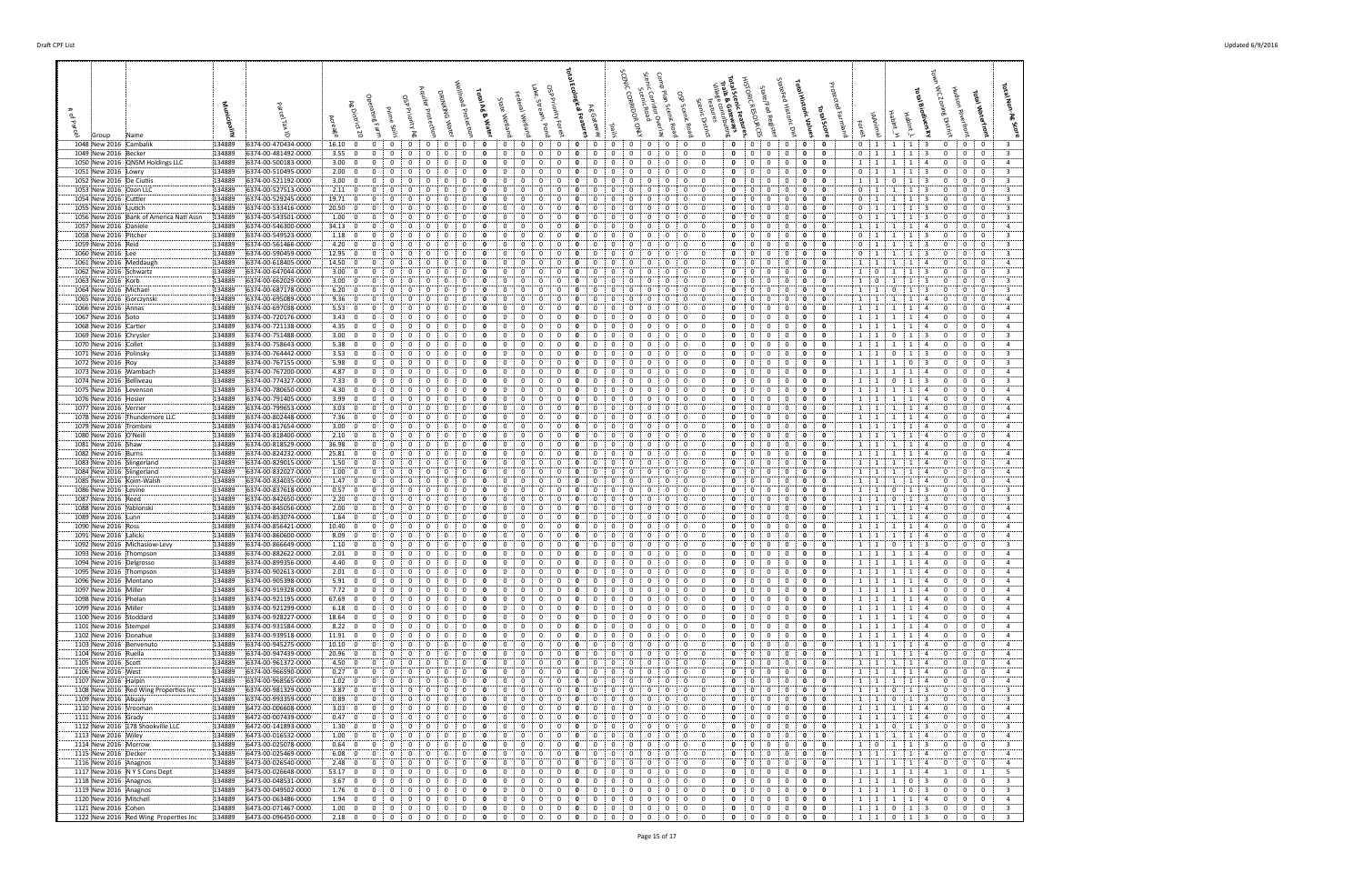| 1048 New 2016 Cambalik                                  | 134889           | 6374-00-470434-0000                        | 16.10; 0                                           |                | $\mathbf{0}$                                                | 0                            | $\mathbf{0}$<br>$\mathbf{0}$                                  | - 0                            | 0                          | $\mathbf{0}$<br>0                                                     | 0                           | $\mathbf{0}$                 | $\mathbf{o}$<br>0                                                                     | 0                           | 0                                                       | $\mathbf{0}$                 | $\mathbf{0}$<br>- 0                                                                       |             | $\mathbf{0}$<br>$\mathbf{0}$ | $\mathbf{0}$                                                      | $\mathbf{0}$                   | $\overline{\mathbf{0}}$<br>$\mathbf{0}$                      | $0 \quad 1$                                                                                                                   | $1 \mid 1 \mid 3$                                              |                                           | $\mathbf{0}$<br>$\cdot$ 0                                     | $\mathbf 0$<br>- 3                                                                   |
|---------------------------------------------------------|------------------|--------------------------------------------|----------------------------------------------------|----------------|-------------------------------------------------------------|------------------------------|---------------------------------------------------------------|--------------------------------|----------------------------|-----------------------------------------------------------------------|-----------------------------|------------------------------|---------------------------------------------------------------------------------------|-----------------------------|---------------------------------------------------------|------------------------------|-------------------------------------------------------------------------------------------|-------------|------------------------------|-------------------------------------------------------------------|--------------------------------|--------------------------------------------------------------|-------------------------------------------------------------------------------------------------------------------------------|----------------------------------------------------------------|-------------------------------------------|---------------------------------------------------------------|--------------------------------------------------------------------------------------|
| 1049 New 2016 Becker                                    | 134889           | 6374-00-481492-0000<br>6374-00-500183-0000 | $3.55 \div 0$<br>3.00:0                            |                | 0<br>0<br>$\Omega$                                          | 0                            | 0<br>0<br>0<br>0                                              | 0                              | 0                          | 0<br>0<br>0<br>$\Omega$                                               | 0<br>$\Omega$               | 0<br>$\Omega$                | $\mathbf{0}$<br>0                                                                     | 0                           | 0<br>0                                                  | $\mathbf{0}$                 | 0<br>$^{\circ}$<br>0<br>$\Omega$                                                          |             | 0<br>0<br>0                  | $\mathbf{0}$<br>$\mathbf{0}$<br>0                                 | $\mathbf{0}$<br>$\Omega$       | 0<br>$\mathbf{o}$<br>0<br>- 0                                | $\mathbf{0}$<br>$\mathbf{1}$<br>$1 \cdot 1$                                                                                   | <sup>1</sup><br>$\mathbf{1}$<br>1                              | 3<br>-4                                   | $\mathbf{0}$<br>$\mathbf{0}$<br>0<br>0                        | $\overline{\mathbf{3}}$<br>$\mathbf{0}$<br>$\overline{a}$<br>0                       |
| 1050 New 2016 QNSM Holdings LLC<br>1051 New 2016 [Lowry | 134889<br>134889 | 6374-00-510495-0000                        | 2.00:0                                             |                | $\mathbf 0$<br>$\Omega$                                     | $\mathbf{0}$                 | $\mathbf 0$<br>0                                              | $^{\circ}$                     | $\mathbf{0}$               | $\mathbf{0}$<br>$\mathbf 0$                                           | $^{\circ}$                  | $\overline{0}$               | 0<br>0                                                                                | $\Omega$                    | $\Omega$<br>$\Omega$                                    | $\mathbf 0$                  | $\overline{0}$<br>$\mathbf{0}$                                                            |             | 0                            | 0<br>$\mathbf{0}$                                                 | 0                              | $\mathbf 0$<br>0                                             | 0:1                                                                                                                           | 1<br>$\mathbf{1}$<br><sup>1</sup>                              | 3                                         | $\mathbf 0$<br>$\mathbf 0$                                    | $\overline{\mathbf{3}}$<br>$\mathbf 0$                                               |
| 1052 New 2016 De Ciutiis                                | 134889           | 6374-00-521192-0000                        | 3.00:0                                             |                | $\Omega$<br>$\Omega$                                        | $\Omega$                     | 0<br>0                                                        | $\Omega$                       | 0                          | 0<br>$\Omega$                                                         | $\Omega$                    | $\Omega$                     | 0<br>0                                                                                |                             | 0                                                       | $\mathbf{0}$                 | 0<br>$\Omega$                                                                             |             | 0<br>$\Omega$                | 0                                                                 | $\Omega$                       | 0<br>0                                                       | <sup>1</sup><br>$\mathbf{1}$                                                                                                  | $\mathbf 0$<br>1                                               | -3                                        | $\overline{0}$<br>$\mathbf{0}$                                | $\overline{3}$<br>$\mathbf 0$                                                        |
| 1053 New 2016 Ozon LLC<br>1054 New 2016 Cuttler         | 134889<br>134889 | 6374-00-527513-0000<br>6374-00-529245-0000 | 2.11:0<br>19.71: 0                                 |                | $\Omega$<br>$\Omega$<br>$\Omega$                            | $\Omega$                     | 0<br>0<br>0<br>$^{\circ}$                                     | $\Omega$<br>$\Omega$           | 0<br>0                     | 0<br>$\Omega$<br>0<br>$\Omega$                                        | $\Omega$<br>$^{\circ}$      | 0<br>$\Omega$                | $\mathbf{o}$<br>0<br>0<br>0                                                           | $\Omega$                    | 0<br>$\Omega$<br>0                                      | 0<br>$\mathbf{0}$            | 0<br>$^{\circ}$<br>$\mathbf{0}$<br>$\mathbf 0$                                            |             | 0<br>$\Omega$<br>0           | 0<br>$\mathbf 0$<br>$^{\circ}$                                    | 0<br>$^{\circ}$                | 0<br>- 0<br>$\mathbf 0$<br>0                                 | $\mathbf 0$<br>$\frac{1}{2}$<br>$\mathbf 0$<br>$\cdots$                                                                       | 1<br>1<br>1                                                    | -3<br>-3                                  | 0<br>0<br>$\mathbf 0$<br>$\Omega$                             | $\overline{3}$<br>$\mathbf{0}$<br>$\overline{\mathbf{3}}$<br>$\mathbf{0}$            |
| 1055 New 2016 : Ljutich                                 | 134889           | 6374-00-533416-0000                        | 20.50; 0                                           |                | $\mathbf{0}$<br>0                                           | 0                            | 0<br>0                                                        | $\Omega$                       | 0                          | 0<br>0                                                                | 0                           | 0                            | $\mathbf{o}$<br>0                                                                     | 0                           | 0                                                       | 0                            | 0<br>$\mathbf{0}$                                                                         |             | 0<br>0                       | 0                                                                 | $\mathbf{0}$                   | 0<br>0                                                       | $\mathbf{0}$<br>$\pm 1$                                                                                                       | 1<br><sup>1</sup>                                              | - 3                                       | 0<br>0                                                        | $\overline{\mathbf{3}}$<br>$\mathbf{0}$                                              |
| 1056 New 2016 Bank of America Natl Assn                 | 134889           | 6374-00-543501-0000                        | 1.00:0                                             |                | 0<br>0                                                      | 0                            | 0<br>0                                                        | 0                              | 0                          | 0<br>0                                                                | 0                           | $\mathbf 0$                  | $\mathbf{o}$<br>0                                                                     | 0                           | 0<br>0                                                  | $\mathbf{0}$                 | $\mathbf{0}$<br>$\mathbf 0$                                                               |             | 0<br>$^{\circ}$              | $\mathbf{0}$                                                      | 0                              | $\mathbf 0$<br>0                                             | 0<br>$\frac{1}{2}$                                                                                                            | $\mathbf{1}$<br>$\mathbf{1}$                                   | $\overline{\mathbf{3}}$                   | $\mathbf{0}$<br>$\mathbf{0}$                                  | $\overline{\mathbf{3}}$<br>$\mathbf 0$                                               |
| 1057 New 2016 Daniele<br>1058 New 2016 Pitcher          | 134889<br>134889 | 6374-00-546300-0000<br>6374-00-549523-0000 | 34.13:0<br>1.18:0                                  | $\Omega$       | $\mathbf 0$<br>0                                            | $\Omega$<br>$\Omega$         | $\mathbf 0$<br>0<br>$\Omega$<br>0                             | $\Omega$<br>$\Omega$           | 0<br>0                     | 0<br>$\Omega$<br>$\Omega$<br>0                                        | $\Omega$<br>0               | $\Omega$                     | 0<br>$\Omega$                                                                         | $\Omega$                    | $\Omega$<br>0<br>0                                      | 0<br>0                       | 0<br>$\mathbf{0}$<br>$\Omega$<br>- 0                                                      |             | 0<br>0<br>$\Omega$           | 0<br>0<br>$\Omega$                                                | $\mathbf 0$<br>$\Omega$        | 0<br>$\mathbf 0$<br>$\mathbf{0}$<br>0                        | 1<br>$\begin{array}{\begin{array}{\small \begin{array}{\small \end{array}}}} 1 \end{array}$<br>$\mathbf{0}$<br>$\overline{1}$ | 1<br>$\mathbf{1}$<br>-1                                        | 4<br>-3                                   | $\mathbf 0$<br>0<br>$\Omega$<br>$\Omega$                      | $\overline{4}$<br>$\mathbf{0}$<br>$\overline{\mathbf{3}}$<br>$\Omega$                |
| 1059 New 2016 Reid                                      | 134889           | 6374-00-561466-0000                        | $4.20\div 0$                                       |                |                                                             | 0                            | 0<br>0                                                        | 0                              | 0                          | 0<br>$\Omega$                                                         | 0                           | $\Omega$                     | 0<br>0                                                                                |                             |                                                         | $\mathbf{0}$                 | $\mathbf{0}$<br>$\mathbf 0$                                                               |             | 0                            | $\overline{0}$<br>$\mathbf{0}$                                    | 0                              | $\mathbf 0$<br>0                                             | $\mathbf 0$<br>$\overline{1}$                                                                                                 | 1<br>1                                                         | -3                                        | $\mathbf 0$<br>0                                              | $\overline{3}$<br>$\mathbf 0$                                                        |
| 1060 New 2016 Lee                                       | 134889<br>134889 | 6374-00-590459-0000<br>6374-00-618405-0000 | 12.95:0<br>14.50:0                                 |                | $\mathbf 0$<br>0<br>0                                       | 0                            | 0<br>0<br>0<br>0                                              | 0<br>0                         | 0<br>0                     | 0<br>0<br>0<br>0                                                      | $\Omega$                    | 0                            | $\mathbf{o}$<br>0                                                                     | $\Omega$                    | $\Omega$<br>0<br>0                                      | $\mathbf{0}$<br>$\mathbf{0}$ | 0<br>$\mathbf 0$<br>0<br>$^{\circ}$                                                       |             | 0<br>0<br>$^{\circ}$         | $\mathbf{0}$<br>0<br>0                                            | $\Omega$<br>0                  | $\mathbf 0$<br>0<br>0<br>0                                   | $\mathbf{0}$<br>1                                                                                                             | 1<br>$\mathbf{1}$<br>1                                         | -3                                        | $\mathbf{0}$<br>$\mathbf{0}$<br>0<br>0                        | $\overline{\mathbf{3}}$<br>$\mathbf{0}$<br>$\overline{4}$<br>0                       |
| 1061 New 2016 Meddaugh<br>1062 New 2016 Schwartz        | 134889           | 6374-00-647044-0000                        | 3.00; 0                                            |                | $\mathbf{0}$<br>0                                           | 0                            | 0<br>$^{\circ}$                                               | 0                              | 0                          | 0<br>0                                                                | 0                           | 0                            | 0<br>0                                                                                | $\mathbf{0}$                | 0<br>0<br>- 0                                           | $\mathbf 0$                  | 0<br>$^{\circ}$                                                                           |             | 0                            | $\mathbf{0}$<br>0                                                 | $\mathbf{0}$                   | 0<br>0                                                       | 1<br><sup>1</sup><br>$\mathbf{1}$<br>$\mathbf{0}$                                                                             | 1<br>1<br>$\mathbf{1}$                                         | 3                                         | $\mathbf 0$<br>0                                              | $\overline{\mathbf{3}}$<br>$\mathbf{0}$                                              |
| 1063 New 2016 Korb                                      | 134889           | 6374-00-662029-0000                        | 3.00:0                                             |                | $\mathbf 0$<br>0                                            | 0                            | 0<br>$\mathbf 0$                                              | 0                              | 0                          | 0<br>0                                                                | -0                          | $\mathbf{0}$                 | 0<br>$\mathbf{o}$                                                                     | 0                           | 0<br>$\mathbf{0}$                                       | $\mathbf{0}$                 | 0<br>$\mathbf 0$                                                                          |             | 0                            | $\mathbf 0$<br>0                                                  | $\mathbf 0$                    | 0<br>0                                                       | 1<br>0                                                                                                                        | 1<br>1                                                         | -3                                        | $\overline{0}$<br>$\mathbf{0}$                                | $\overline{\mathbf{3}}$<br>$\mathbf 0$                                               |
| 1064 New 2016 Michael<br>1065 New 2016 Gorczynski       | 134889<br>134889 | 6374-00-687178-0000<br>6374-00-695089-0000 | 6.20:0<br>9.36:0                                   |                | $^{\circ}$<br>$\Omega$                                      | $\Omega$                     | 0<br>0<br>$\Omega$<br>0                                       | $\Omega$                       | 0<br>0                     | $\Omega$<br>$\Omega$<br>0<br>$\Omega$                                 | $\Omega$                    | $\Omega$                     | 0<br>0<br>$\Omega$                                                                    | $\Omega$                    | $\Omega$<br>$\Omega$                                    | $\Omega$<br>$\mathbf{0}$     | 0<br>$\Omega$<br>$\mathbf{0}$<br>$\mathbf 0$                                              |             | 0<br>$\Omega$<br>0           | $\mathbf{0}$<br>$\mathbf 0$<br>$^{\circ}$                         | 0<br>$^{\circ}$                | 0<br>- 0<br>0<br>$\mathbf 0$                                 | $\overline{1}$<br>1 1                                                                                                         | 0<br>1<br>1                                                    | -4                                        | $\Omega$<br>$\mathbf{0}$<br>$\mathbf 0$<br>$\mathbf 0$        | $\overline{\mathbf{3}}$<br>$\mathbf{0}$<br>$\mathbf 0$<br>$\overline{4}$             |
| 1066 New 2016 Annas                                     | 134889           | 6374-00-697038-0000                        | 5.53:0                                             | 0              | 0                                                           |                              | 0<br>0                                                        | 0                              | 0                          | 0                                                                     | 0                           | 0                            | 0<br>0                                                                                |                             | 0                                                       | 0                            | 0<br>$\mathbf{0}$                                                                         |             | 0<br>0                       | 0                                                                 | 0                              | 0<br>- 0                                                     | $\mathbf{1}$<br>$\pm$ 1                                                                                                       | 1<br>1                                                         | -4                                        | 0<br>$\mathbf{0}$                                             | $\overline{4}$<br>$\mathbf 0$                                                        |
| 1067 New 2016 Soto                                      | 134889           | 6374-00-720176-0000                        | 3.43:0                                             |                | $\mathbf{0}$<br>0                                           | 0                            | 0<br>$\mathbf 0$                                              | 0                              | 0                          | 0<br>0                                                                | 0                           | 0                            | 0<br>0                                                                                | 0                           | 0                                                       | 0                            | 0<br>$\mathbf 0$                                                                          |             | 0<br>0                       | 0                                                                 | $\mathbf{0}$                   | 0<br>- 0                                                     | 1 1                                                                                                                           | 1<br>$\overline{1}$                                            | -4                                        | $\mathbf 0$<br>$\mathbf 0$                                    | $\overline{4}$<br>$\mathbf{0}$                                                       |
| 1068 New 2016 Cartier<br>1069 New 2016 Chrysler         | 134889<br>134889 | 6374-00-721138-0000<br>6374-00-751488-0000 | 4.35:0<br>3.00; 0                                  |                | 0<br>0<br>$^{\circ}$<br>$\Omega$                            | 0<br>$\Omega$                | 0<br>$^{\circ}$<br>$\Omega$<br>0                              | 0<br>$\Omega$                  | 0<br>0                     | 0<br>0<br>$\Omega$<br>$\Omega$                                        | 0<br>$\Omega$               | 0<br>$\Omega$                | 0<br>0<br>0<br>$\Omega$                                                               | $\Omega$                    | 0<br>0<br>0<br>$\Omega$                                 | $^{\circ}$<br>$\Omega$       | 0<br>$\mathbf{0}$<br>0<br>$\mathbf{0}$                                                    |             | 0<br>0<br>0<br>$\Omega$      | 0<br>0                                                            | $\mathbf 0$<br>$^{\circ}$      | 0<br>$\mathbf 0$<br>$\mathbf{0}$<br>0                        | $\overline{1}$<br>$\begin{array}{\begin{array}{\small \begin{array}{\small \end{array}}}}\n1$<br>$1 \quad 1$                  | 1<br>$\mathbf 0$<br>$\overline{1}$                             | -4<br>$\overline{\mathbf{3}}$             | $\mathbf 0$<br>0<br>$\mathbf{0}$<br>$\Omega$                  | $\overline{a}$<br>0<br>$\overline{\mathbf{3}}$<br>$\Omega$                           |
| 1070 New 2016 Collet                                    | 134889           | 6374-00-758643-0000                        | 5.38:0                                             |                | 0<br>0                                                      | $\mathbf{0}$                 | 0<br>0                                                        | 0                              | 0                          | 0<br>$\mathbf 0$                                                      | 0                           | 0                            | 0<br>0                                                                                | $\Omega$                    | $\mathbf{0}$<br>0                                       | $\mathbf{0}$                 | 0<br>$\mathbf 0$                                                                          |             | 0<br>$^{\circ}$              | 0                                                                 | 0                              | 0<br>0                                                       | $\begin{array}{\begin{array}{\small \begin{array}{\small \end{array}}}}\n1$<br>1                                              | 1<br>1                                                         | $\overline{4}$                            | $\mathbf{0}$<br>$\mathbf 0$                                   | $\mathbf 0$<br>$\overline{a}$                                                        |
| 1071 New 2016 Polinsky                                  | 134889           | 6374-00-764442-0000                        | 3.53:0                                             |                | $\mathbf 0$<br>0                                            | 0                            | $\mathbf 0$<br>0                                              | 0                              | 0                          | 0<br>$\Omega$                                                         | 0                           | 0                            | 0<br>0                                                                                | $\Omega$                    | 0<br>0                                                  | 0                            | 0<br>$\mathbf{0}$                                                                         |             | 0                            | 0<br>$\mathbf{0}$                                                 | $\mathbf 0$                    | $\mathbf 0$<br>0                                             | $1 \quad 1$                                                                                                                   | 0<br>1                                                         | 3                                         | $\mathbf{0}$<br>0                                             | $\overline{\mathbf{3}}$<br>$\mathbf{0}$                                              |
| 1072 New 2016 Roy<br>1073 New 2016 Wambach              | 134889<br>134889 | 6374-00-767155-0000<br>6374-00-767200-0000 | 5.98; 0<br>4.87:0                                  |                | $\Omega$<br>$\Omega$<br>$\mathbf{0}$<br>0                   | $\Omega$<br>0                | $\mathbf 0$<br>0<br>0<br>$^{\circ}$                           | $\Omega$<br>$\mathbf{0}$       | 0<br>$\mathbf 0$           | $\Omega$<br>$\Omega$<br>0<br>$\mathbf{0}$                             | 0<br>0                      | 0<br>0                       | $\Omega$<br>0<br>0                                                                    | $\Omega$<br>$\mathbf{0}$    | $\Omega$<br>$\Omega$<br>0<br>$\mathbf{0}$               | $\Omega$<br>$\mathbf 0$      | $\mathbf{0}$<br>$\mathbf 0$<br>$\mathbf{0}$<br>$\mathbf 0$                                |             | 0<br>$\Omega$<br>0           | $\mathbf{0}$<br>$\mathbf{0}$<br>$\mathbf{0}$                      | $\Omega$<br>$\mathbf{0}$       | 0<br>0<br>$\mathbf 0$<br>$\mathbf 0$                         | $\frac{1}{2}$<br>1<br>1:1                                                                                                     | $\mathbf{0}$<br>$\mathbf{1}$<br>$\overline{1}$<br>$\mathbf{1}$ | -3<br>4                                   | 0<br>$\mathbf{0}$<br>$\mathbf 0$<br>$\mathbf 0$               | $\overline{\mathbf{3}}$<br>$\Omega$<br>$\mathbf 0$<br>$\overline{4}$                 |
| 1074 New 2016 Belliveau                                 | 134889           | 6374-00-774327-0000                        | 7.33; 0                                            |                | $\mathbf 0$<br>0                                            | 0                            | 0<br>0                                                        | 0                              | 0                          | 0<br>0                                                                | 0                           | 0                            | 0<br>$\mathbf{o}$                                                                     | 0                           | $\mathbf{0}$<br>0                                       | $\mathbf{0}$                 | 0<br>$\mathbf{0}$                                                                         |             | 0                            | 0<br>$\mathbf{0}$                                                 | $\mathbf 0$                    | 0<br>0                                                       | $\mathbf{1}$<br>$\cdots$ 1                                                                                                    | $\mathbf 0$<br>$\mathbf{1}$                                    | $\overline{\mathbf{3}}$                   | $\mathbf{0}$<br>$\mathbf{0}$                                  | $\overline{\mathbf{3}}$<br>$\mathbf{0}$                                              |
| 1075 New 2016 Levenson                                  | 134889           | 6374-00-780650-0000                        | 4.30; 0                                            |                | $\Omega$<br>$\Omega$                                        |                              | 0<br>0                                                        | $\Omega$                       | 0                          | 0<br>$\Omega$                                                         | $\Omega$                    | $\Omega$                     |                                                                                       |                             | $\Omega$<br>$\Omega$                                    | $\Omega$                     | 0<br>$\Omega$                                                                             |             | 0<br>$\Omega$                | 0                                                                 | $\Omega$                       | 0<br>- 0                                                     | 1 1 1                                                                                                                         | 1<br>$\mathbf{1}$                                              | -4                                        | $\mathbf 0$<br>$\mathbf 0$                                    | $\overline{4}$<br>$\mathbf{0}$                                                       |
| 1076 New 2016 Hosier<br>1077 New 2016 Verrier           | 134889<br>134889 | 6374-00-791405-0000<br>6374-00-799653-0000 | 3.99:0<br>3.03:0                                   |                | $^{\circ}$<br>$\Omega$<br>$\Omega$<br>$\Omega$              | 0                            | $\mathbf 0$<br>$\mathbf{0}$<br>0<br>0                         | $^{\circ}$<br>$\Omega$         | $\mathbf{0}$<br>0          | $\mathbf{0}$<br>$\mathbf 0$<br>0<br>$\Omega$                          | $\Omega$<br>$\Omega$        | $\Omega$<br>$\Omega$         | 0<br>0<br>0<br>0                                                                      | $\Omega$                    | $\mathbf{0}$<br>$\Omega$<br>0                           | $\mathbf 0$<br>$\mathbf{0}$  | 0<br>$\mathbf 0$<br>$\Omega$<br>0                                                         |             | 0<br>0<br>$\Omega$           | 0<br>$\mathbf{0}$<br>0                                            | 0<br>$\Omega$                  | $\mathbf 0$<br>0<br>0<br>0                                   | 1 1<br>$\overline{1}$<br>$\mathbf{1}$                                                                                         | 1<br>$\overline{1}$<br>1<br>1                                  | $\overline{4}$<br>-4                      | $\mathbf 0$<br>$\mathbf 0$<br>$\mathbf 0$<br>$\mathbf{0}$     | 0<br>$\overline{4}$<br>$\overline{4}$<br>$\mathbf 0$                                 |
| 1078 New 2016 Thundernore LLC                           | 134889           | 6374-00-802448-0000                        | 7.36:0                                             |                | $\Omega$                                                    |                              | 0<br>0                                                        | $\Omega$                       | 0                          | 0<br>$\Omega$                                                         | $\Omega$                    | 0                            | 0<br>0                                                                                |                             | 0                                                       | 0                            | $\mathbf 0$<br>0                                                                          |             | 0<br>$\Omega$                | 0                                                                 | 0                              | 0<br>- 0                                                     | 1 1                                                                                                                           | 1                                                              |                                           | 0<br>0                                                        | $\mathbf{0}$<br>$\overline{4}$                                                       |
| 1079 New 2016 Trombini                                  | 134889           | 6374-00-817654-0000                        | $3.00\begin{array}{ c c } 0 \\ \hline \end{array}$ |                | $\Omega$<br>$\Omega$                                        | $\Omega$                     | 0<br>$^{\circ}$                                               | $\Omega$                       | 0                          | 0<br>$\Omega$                                                         | 0                           | $\Omega$                     | 0<br>0                                                                                | $\Omega$                    | $\Omega$<br>$\Omega$                                    | $\Omega$                     | $\mathbf{0}$<br>$\mathbf 0$                                                               |             | 0                            | $\mathbf 0$<br>$^{\circ}$                                         | $^{\circ}$                     | 0<br>0                                                       | 1 1                                                                                                                           | 1<br>$\mathbf{1}$                                              | -4                                        | $\mathbf 0$<br>$\mathbf{0}$                                   | $\overline{4}$<br>$\mathbf{0}$                                                       |
| 1080 New 2016 O'Neil<br>1081 New 2016 Shaw              | 134889<br>134889 | 6374-00-818400-0000<br>6374-00-818529-0000 | 2.10:0<br>36.98:0                                  |                | $\mathbf{0}$<br>0<br>0<br>0                                 | 0<br>0                       | 0<br>0<br>0<br>0                                              | 0<br>0                         | 0<br>0                     | 0<br>0<br>0<br>0                                                      | 0<br>0                      | 0<br>$\mathbf 0$             | 0<br>0<br>0<br>0                                                                      | 0<br>0                      | 0<br>0<br>$\mathbf 0$<br>0                              | $^{\circ}$<br>$\mathbf{0}$   | 0<br>$\mathbf{0}$<br>$\mathbf{0}$                                                         | $\mathbf 0$ | 0<br>0<br>0<br>$\mathbf 0$   | 0<br>$\mathbf{0}$                                                 | $\mathbf{0}$<br>0              | 0<br>0<br>$\mathbf 0$<br>0                                   | 1 1<br><sup>1</sup><br>$\frac{1}{2}$                                                                                          | <sup>1</sup><br>1<br><sup>1</sup><br>$\mathbf{1}$              | -4<br>$\overline{4}$                      | $^{\circ}$<br>$\mathbf{0}$<br>$\mathbf{0}$<br>$\mathbf 0$     | $\mathbf{0}$<br>$\overline{4}$<br>$\overline{4}$<br>$\mathbf 0$                      |
| 1082 New 2016 Burns                                     | 134889           | 6374-00-824232-0000                        | 25.81:0                                            |                | $\mathbf 0$<br>0                                            | 0                            | $\mathbf 0$<br>0                                              | 0                              | 0                          | 0<br>$\Omega$                                                         | 0                           | $\Omega$                     | 0<br>0                                                                                | $\Omega$                    | $\Omega$<br>0                                           | $^{\circ}$                   | 0<br>$\mathbf{0}$                                                                         |             | 0                            | 0<br>0                                                            | $\mathbf 0$                    | 0<br>$\mathbf 0$                                             | 1<br>$\mathbf{1}$                                                                                                             | 1<br>$\overline{1}$                                            | 4                                         | $\mathbf 0$<br>0                                              | $\overline{4}$<br>$\mathbf{0}$                                                       |
| 1083 New 2016 Slingerland<br>1084 New 2016 Slingerland  | 134889<br>134889 | 6374-00-829015-0000<br>6374-00-832027-0000 | 1.50; 0<br>1.00; 0                                 | $\Omega$       | 0                                                           | $\Omega$<br>0                | 0<br>$\Omega$<br>0<br>$^{\circ}$                              | $\Omega$<br>0                  | 0<br>0                     | $\Omega$<br>$\Omega$<br>0<br>0                                        | 0<br>0                      | 0<br>0                       | $\Omega$<br>0<br>0                                                                    | $\Omega$<br>$\Omega$        | 0<br>$\mathbf{0}$<br>0                                  | $\Omega$<br>$\mathbf{0}$     | $\Omega$<br>- 0<br>$\mathbf{0}$<br>$\mathbf 0$                                            |             | 0<br>$\Omega$<br>0<br>0      | 0<br>$\mathbf 0$                                                  | $\Omega$<br>0                  | $\mathbf{0}$<br>0<br>$\mathbf 0$<br>0                        | <sup>1</sup><br>1<br>1<br>$\overline{1}$                                                                                      | -1<br>1<br>1                                                   | $\overline{4}$<br>-4                      | $\Omega$<br>$\Omega$<br>$\mathbf 0$<br>0                      | $\Omega$<br>$\overline{4}$<br>$\mathbf 0$<br>$\overline{a}$                          |
| 1085 New 2016 Koim-Walsh                                | 134889           | 6374-00-834035-0000                        | 1.47:0                                             |                | $\mathbf 0$<br>0                                            | 0                            | 0<br>0                                                        | $\mathbf{0}$                   | 0                          | 0<br>0                                                                | 0                           | 0                            | 0<br>0                                                                                | 0                           | 0<br>0                                                  | $\mathbf{0}$                 | 0<br>$\mathbf 0$                                                                          |             | 0                            | 0<br>0                                                            | $\mathbf{0}$                   | $\mathbf 0$<br>0                                             | $\mathbf{1}$<br>$\overline{1}$                                                                                                | 1<br>$\mathbf{1}$                                              | 4                                         | $\mathbf{0}$<br>0                                             | $\overline{4}$<br>$^{\circ}$                                                         |
| 1086 New 2016 Levine                                    | 134889           | 6374-00-837618-0000                        | 0.57:0                                             |                | 0<br>0                                                      |                              | 0<br>0                                                        | 0                              | 0                          | 0<br>0                                                                |                             | 0                            | 0                                                                                     |                             | 0<br>0                                                  | $\mathbf{0}$                 | 0<br>$^{\circ}$                                                                           |             | 0<br>0                       | 0                                                                 | 0                              | 0<br>0                                                       | $\mathbf{1}$<br>$\overline{1}$                                                                                                | 0<br>1                                                         | -3                                        | $\mathbf{0}$<br>0                                             | $\overline{\mathbf{3}}$<br>$^{\circ}$                                                |
| 1087 New 2016 Reed<br>1088 New 2016 Yablonski           | 134889<br>134889 | 6374-00-842650-0000<br>6374-00-845056-0000 | 2.20:0<br>2.00:0                                   |                | $\mathbf{0}$<br>0<br>$\mathbf 0$<br>0                       | $\mathbf{0}$<br>$\mathbf{0}$ | 0<br>$^{\circ}$<br>$\mathbf 0$<br>0                           | $\mathbf{0}$<br>0              | 0<br>0                     | 0<br>$\mathbf{0}$<br>0<br>0                                           | 0<br>0                      | 0<br>0                       | $\mathbf{0}$<br>0<br>0<br>0                                                           | $\mathbf{0}$<br>0           | 0<br>$\mathbf{0}$<br>0<br>0                             | $\mathbf 0$<br>$\mathbf{0}$  | $\mathbf{0}$<br>$^{\circ}$<br>0<br>$\mathbf 0$                                            |             | 0<br>0<br>0                  | $\mathbf{0}$<br>0<br>0                                            | $\mathbf{0}$<br>0              | $\mathbf 0$<br>0<br>0<br>0                                   | $1 \quad 1$<br>1<br>$\overline{1}$                                                                                            | $\mathbf 0$<br>$\vert 1 \vert$<br>1<br>$\overline{1}$          | $\overline{\mathbf{3}}$<br>$\overline{4}$ | $\mathbf 0$<br>$\mathbf{0}$<br>0<br>$\mathbf{0}$              | $^{\circ}$<br>3<br>$\mathbf 0$<br>$\overline{4}$                                     |
| 1089 New 2016 Lunn                                      | 134889           | 6374-00-853074-0000                        | 1.64:0                                             |                | $\Omega$                                                    |                              | 0<br>0                                                        |                                | 0                          | $\Omega$<br>$\Omega$                                                  |                             | $\Omega$                     | 0                                                                                     |                             | $\Omega$                                                | $\Omega$                     | 0<br>$\Omega$                                                                             |             | 0<br>$\Omega$                | $\mathbf{0}$                                                      | 0                              | 0<br>- 0                                                     | $\overline{1}$                                                                                                                | 1                                                              |                                           | $\Omega$<br>$\mathbf{0}$                                      | $^{\circ}$<br>$\overline{a}$                                                         |
| 1090 New 2016 Ross                                      | 134889           | 6374-00-856421-0000                        | 10.40:0                                            |                | $^{\circ}$<br>$\Omega$                                      | $\Omega$                     | $\mathbf 0$<br>0                                              | $\Omega$                       | $\mathbf{0}$               | $\mathbf{0}$<br>$\mathbf 0$                                           | $\Omega$                    | $\Omega$                     | 0<br>0                                                                                | $\Omega$                    | $\Omega$<br>$\Omega$                                    | $\mathbf{0}$                 | 0<br>$\mathbf 0$                                                                          |             | 0                            | $\mathbf 0$<br>0                                                  | $\mathbf 0$                    | 0<br>$\mathbf 0$                                             | 1 1                                                                                                                           | 1<br>$\mathbf{1}$                                              | $\overline{4}$                            | $\mathbf 0$<br>$\mathbf 0$                                    | $\mathbf 0$<br>$\overline{4}$                                                        |
| 1091 New 2016 Lalicki<br>1092 New 2016 Michasiow-Levy   | 134889<br>134889 | 6374-00-860600-0000<br>6374-00-866649-0000 | 8.09:0<br>1.10:0                                   |                | 0<br>0<br>$\mathbf{0}$<br>0                                 | 0<br>0                       | 0<br>0<br>0<br>$\mathbf 0$                                    | 0<br>0                         | 0<br>$\mathbf 0$           | 0<br>0<br>0<br>$\mathbf 0$                                            | 0<br>0                      | 0<br>$\mathbf{0}$            | $\mathbf{o}$<br>0<br>$\mathbf{0}$<br>0                                                | $\Omega$                    | 0<br>0<br>0                                             | 0<br>$\mathbf{0}$            | 0<br>$^{\circ}$<br>0<br>$^{\circ}$                                                        |             | 0<br>0<br>0                  | 0<br>$\mathbf{0}$<br>$\mathbf{0}$                                 | 0<br>$\mathbf{0}$              | - 0<br>0<br>0<br>$\mathbf{o}$                                | $\mathbf{1}$<br>$\overline{1}$<br>1<br>$\pm$ 1                                                                                | 1<br>1<br>$\mathbf{0}$<br>$\mathbf{1}$                         | -4<br>- 3                                 | 0<br>0<br>$\mathbf 0$<br>$\mathbf 0$                          | $\mathbf{0}$<br>$\overline{4}$<br>$\overline{3}$<br>$\mathbf{0}$                     |
| 1093 New 2016 Thompson                                  | 134889           | 6374-00-882622-0000                        | 2.01: 0                                            |                | $\mathbf 0$<br>$\mathbf 0$                                  | 0                            | $\mathbf 0$<br>$\mathbf{0}$                                   | $\mathbf 0$                    | 0                          | $\mathbf 0$<br>0                                                      | $\mathbf{0}$                | $\mathbf 0$                  | $\mathbf 0$<br>0                                                                      | $\mathbf 0$                 | $\mathbf{0}$<br>$\mathbf{0}$                            | $\mathbf{0}$                 | $\mathbf{0}$<br>$^{\circ}$                                                                |             | 0                            | $\mathbf 0$<br>0                                                  | $\mathbf 0$                    | $\mathbf 0$<br>$\mathbf 0$                                   | <sup>1</sup><br>$\mathbf{1}$                                                                                                  | 1<br>1                                                         | 4                                         | $\mathbf 0$<br>0                                              | $\overline{4}$<br>$\mathbf{0}$                                                       |
| 1094 New 2016 Delgrosso                                 | 134889<br>134889 | 6374-00-899356-0000<br>6374-00-902613-0000 | 4.40:0<br>2.01                                     | $\overline{0}$ | $\mathbf{0}$<br>$\mathbf{0}$<br>$\mathbf 0$<br>$\Omega$     | $\mathbf 0$<br>$\mathbf 0$   | $\mathbf 0$<br>$\overline{0}$<br>0<br>0                       | 0<br>$\Omega$                  | $\mathbf 0$<br>$\mathbf 0$ | $\mathbf{0}$<br>$\overline{0}$<br>0<br>$\mathbf 0$                    | $\mathbf{0}$                | $\mathbf 0$<br>$\mathbf 0$   | $\mathbf{0}$<br>0<br>0<br>$\mathbf 0$                                                 | $\mathbf{0}$<br>0           | $\mathbf 0$<br>$\mathbf 0$<br>0<br>0                    | $\mathbf{0}$<br>$\mathbf 0$  | $\mathbf{0}$<br>$\mathbf{0}$<br>$\mathbf 0$<br>$\mathbf 0$                                |             | 0<br>0<br>$\mathbf 0$        | $\mathbf 0$<br>$\mathbf{0}$<br>0                                  | 0<br>0                         | $\mathbf 0$<br>0<br>0<br>0                                   | 1:1<br>$\sqrt{1}$                                                                                                             | $1 \mid 1 \mid$<br>1<br>$\vert$ 1                              | $\overline{4}$                            | $\mathbf 0$<br>$\mathbf{0}$<br>$\overline{0}$<br>$\mathbf 0$  | $\overline{4}$<br>$\Omega$<br>$\mathbf 0$                                            |
| 1095 New 2016 Thompson<br>1096 New 2016 Montano         | 134889           | 6374-00-905398-0000                        | 5.91; 0                                            |                | $\mathbf 0$<br>$\mathbf 0$                                  | 0                            | 0<br>0                                                        | $\mathbf 0$                    | $\mathbf 0$                | 0<br>$\mathbf 0$                                                      | 0<br>$\mathbf{0}$           | $\mathbf{0}$                 | $\mathbf 0$<br>0                                                                      | $\mathbf 0$                 | 0<br>$\mathbf{0}$                                       | $\mathbf{0}$                 | 0<br>$\mathbf 0$                                                                          |             | $\mathbf 0$                  | 0<br>0                                                            | $\mathbf 0$                    | $\mathbf 0$<br>0                                             | $1 \quad 1$                                                                                                                   | $1 \mid 1 \rangle$                                             | -4<br>$\overline{4}$                      | $\mathbf 0$<br>$\mathbf 0$                                    | $\mathbf 0$<br>$\overline{a}$                                                        |
| 1097 New 2016 Miller                                    | 134889           | 6374-00-919328-0000                        | 7.72: 0                                            |                | $\Omega$<br>$\Omega$                                        | $\mathbf{0}$                 | $\mathbf 0$<br>0                                              | $\mathbf 0$                    | $\mathbf 0$                | $\mathbf{0}$<br>$\overline{0}$                                        | $\Omega$                    | 0                            | $\Omega$<br>$^{\circ}$                                                                | $\mathbf 0$                 | $\mathbf{0}$<br>0                                       | $\mathbf{0}$                 | $\mathbf{0}$<br>$\mathbf 0$                                                               |             | 0                            | 0<br>$\mathbf{0}$                                                 | $\mathbf 0$                    | 0<br>0                                                       | $1 \quad 1$                                                                                                                   | 1<br>1                                                         | $\overline{4}$                            | $\mathbf 0$<br>$\mathbf 0$                                    | $\overline{4}$<br>$\mathbf{0}$                                                       |
| 1098 New 2016 Phelan<br>1099 New 2016 Miller            | 134889<br>134889 | 6374-00-921195-0000<br>6374-00-921299-0000 | 67.69:0<br>6.18; 0                                 |                | $\mathbf 0$<br>$\mathbf{0}$<br>$\mathbf{0}$<br>$\mathbf{0}$ | $\mathbf 0$<br>$\mathbf{0}$  | $\overline{0}$<br>$\mathbf{0}$<br>0<br>$\mathbf{0}$           | 0<br>$\mathbf{0}$              | $\mathbf 0$<br>0           | $\mathbf{0}$<br>$\mathbf 0$<br>$\mathbf{0}$<br>$\bf{0}$               | $^{\circ}$<br>0             | $\mathbf{0}$<br>0            | 0<br>$\mathbf 0$<br>$\mathbf 0$<br>$\mathbf{0}$                                       | $\mathbf 0$<br>$\bf{0}$     | $\mathbf 0$<br>$\mathbf{0}$<br>$\bf{0}$<br>$\mathbf{0}$ | $\mathbf{0}$<br>$\mathbf{0}$ | $\mathbf{0}$<br>$\mathbf 0$<br>0<br>$\bf{0}$                                              |             | $\mathbf 0$<br>0             | $\bf{0}$<br>0<br>$\mathbf 0$<br>$\mathbf{0}$                      | $\mathbf{0}$<br>$\mathbf{0}$   | $\mathbf{0}$<br>$\mathbf{0}$<br>0<br>$\mathbf{0}$            | $1 \cdot 1$                                                                                                                   | $1 \t1 \t1 \t1 \t4$<br>$\overline{1}$<br>$\vert 1 \vert$       | $\overline{4}$                            | $\mathbf{0}$<br>$\mathbf 0$<br>$\mathbf{0}$<br>$\mathbf{0}$   | $\mathbf 0$<br>$\overline{4}$<br>$\overline{4}$<br>$\mathbf 0$                       |
| 1100 New 2016 Stoddard                                  | 134889           | 6374-00-928227-0000                        | 18.64:0                                            |                | 0<br>$\mathbf 0$                                            | 0                            | $\mathbf 0$<br>$\mathbf 0$                                    | $\mathbf 0$                    | $\mathbf 0$                | $\mathbf{0}$<br>$\mathbf 0$                                           | $\mathbf{0}$                | $\mathbf 0$                  | 0<br>0                                                                                | $\mathbf 0$                 | $\mathbf 0$<br>0                                        | $\mathbf{0}$                 | $\mathbf 0$<br>$\mathbf 0$                                                                |             | 0                            | $\mathbf 0$<br>0                                                  | $\mathbf 0$                    | 0<br>$\mathbf 0$                                             |                                                                                                                               | 1:1:1:1:1                                                      | 4                                         | $\mathbf 0$<br>$\mathbf 0$                                    | $\overline{4}$<br>0                                                                  |
| 1101 New 2016 Stempel                                   | 134889           | 6374-00-931584-0000                        | 8.22:0                                             |                | 0<br>$\mathbf{0}$                                           | 0                            | $\mathbf 0$<br>$\mathbf{0}$                                   | 0                              | $\mathbf 0$<br>0           | $\mathbf{0}$<br>$\mathbf 0$<br>$\mathbf 0$                            | $\mathbf{0}$                | $\mathbf{0}$<br>$\mathbf{0}$ | 0<br>$\mathbf 0$                                                                      | $\mathbf 0$                 | $\mathbf 0$<br>$\mathbf{0}$                             | $\mathbf{0}$<br>$\mathbf 0$  | $\overline{0}$<br>$\mathbf 0$                                                             |             | 0<br>0<br>$\overline{0}$     | $\overline{0}$<br>0                                               | $\mathbf{0}$                   | $\mathbf{0}$<br>$\mathbf{0}$<br>0                            | $1 \mid 1 \mid$                                                                                                               | $1 \mid 1 \mid$                                                | $\overline{4}$                            | $\mathbf{0}$<br>$\mathbf{0}$<br>$\mathbf 0$                   | $\mathbf{0}$<br>$\overline{4}$<br>$\overline{4}$<br>$\mathsf{O}$                     |
| 1102 New 2016 Donahue<br>1103 New 2016 Benvenuto        | 134889<br>134889 | 6374-00-939518-0000<br>6374-00-945275-0000 | 11.91:0<br>10.10:0                                 |                | 0<br>$\mathbf{0}$<br>$\mathbf 0$<br>0                       | $\mathbf{0}$<br>0            | 0<br>$\mathbf 0$<br>0<br>0                                    | 0<br>$\mathbf 0$               | $\mathbf 0$                | $\mathbf 0$<br>$\mathbf{0}$<br>$\mathbf 0$                            | 0<br>$^{\circ}$             | $\mathbf{0}$                 | 0<br>0<br>$\mathbf 0$<br>0                                                            | 0<br>$\mathbf 0$            | 0<br>$\mathbf 0$<br>0<br>0                              | $\mathbf 0$                  | 0<br>$\mathbf 0$<br>$\mathbf 0$<br>$\mathbf 0$                                            |             | 0                            | 0<br>0<br>0                                                       | $\mathbf 0$<br>$\mathbf{0}$    | $\mathbf 0$<br>0<br>$\mathbf{0}$                             | $1 \quad 1$<br>$1 \quad 1$                                                                                                    | $\overline{1}$<br>$\vert$ 1<br>1                               | -4<br>4                                   | $\mathbf 0$<br>$\mathbf 0$<br>$\mathbf{0}$                    | $\overline{4}$<br>0                                                                  |
| 1104 New 2016 Ruella                                    | 134889           | 6374-00-947439-0000                        | 20.96:0                                            |                | $\mathbf 0$<br>0                                            | 0                            | 0<br>$\mathbf 0$                                              | $\mathbf 0$                    | $\mathbf 0$                | 0<br>$\mathbf 0$                                                      | $\mathbf{0}$                | $\mathbf{0}$                 | 0<br>$^{\circ}$                                                                       | $\Omega$                    | $\mathbf{0}$<br>0                                       | $\mathbf{0}$                 | $\mathbf{0}$<br>$\mathbf 0$                                                               |             | 0                            | $\mathbf{0}$<br>0                                                 | $\mathbf{0}$                   | $\mathbf{0}$<br>$\mathbf{0}$                                 |                                                                                                                               | 1<br>$\overline{1}$                                            | 4                                         | $\mathbf{0}$<br>$\mathbf 0$                                   | 0<br>$\overline{4}$                                                                  |
| 1105 New 2016 Scott<br>1106 New 2016 West               | 134889<br>134889 | 6374-00-961372-0000<br>6374-00-966590-0000 | 4.50:0<br>0.27: 0                                  |                | $\mathbf{0}$<br>$\mathbf{0}$<br>$\mathbf 0$<br>0            | $\mathbf{0}$<br>0            | $\bf{0}$<br>$\mathbf{0}$<br>0<br>0                            | $\mathbf{0}$<br>$\mathbf{0}$   | 0<br>$\mathbf 0$           | 0<br>$\mathbf{0}$<br>0<br>$\mathbf 0$                                 | $\mathbf{0}$<br>$\mathbf 0$ | $\mathbf{0}$<br>$\mathbf 0$  | $\mathbf 0$<br>0<br>$\mathbf 0$<br>0                                                  | $\mathbf{0}$<br>$\mathbf 0$ | $\mathbf{0}$<br>$\mathbf{0}$<br>0<br>0                  | $\mathbf{0}$<br>$\mathbf{0}$ | $\mathbf 0$<br>$\mathbf 0$<br>$\overline{0}$<br>$\mathbf 0$                               |             | 0<br>0                       | $\mathbf{0}$<br>$\mathbf 0$<br>$\mathbf{0}$<br>0                  | $\mathbf{0}$<br>$\mathbf{0}$   | $\mathbf 0$<br>0<br>0<br>0                                   | $1 \quad 1 \quad 1$                                                                                                           | $1 \quad 1 \quad 1 \quad 1 \quad 1$<br>$\vert 1 \vert$         | $\overline{4}$                            | $\mathbf{0}$<br>$\mathbf{0}$<br>$\mathbf{0}$<br>$\mathbf{0}$  | $\mathbf{0}$<br>$\overline{4}$<br>0<br>$\overline{4}$                                |
| 1107 New 2016 Halpin                                    | 134889           | 6374-00-968565-0000                        | 1.02: 0                                            |                | $\mathbf 0$<br>$\mathbf 0$                                  | 0                            | $\mathbf 0$<br>$\mathbf 0$                                    | $\mathbf 0$                    | 0                          | 0<br>$\mathbf 0$                                                      | $\mathbf 0$                 | $\mathbf 0$                  | 0<br>$\mathbf{0}$                                                                     | $\mathbf 0$                 | $\mathbf 0$<br>0                                        | 0                            | $\mathbf{0}$<br>$\mathbf 0$                                                               |             | 0                            | $\mathbf 0$<br>$\mathbf 0$                                        | $\mathbf 0$                    | $\mathbf 0$<br>$\mathbf 0$                                   | 1 1                                                                                                                           | 1<br>$\overline{1}$                                            | $\overline{4}$                            | $\mathbf{0}$<br>$\mathbf 0$                                   | $\overline{4}$<br>$\mathbf 0$                                                        |
| 1108 New 2016 Red Wing Properties Inc                   | 134889           | 6374-00-981329-0000                        | 3.87:0                                             |                | $^{\circ}$<br>0                                             | 0                            | $\mathbf 0$<br>$\mathbf{0}$                                   | $^{\circ}$                     | 0                          | 0<br>$\Omega$                                                         | $\Omega$                    | $\Omega$                     | $\Omega$<br>$\Omega$                                                                  | $\Omega$                    | 0<br>$\Omega$                                           | $\Omega$                     | $\mathbf{0}$<br>$\mathbf 0$                                                               |             | 0                            | 0<br>0                                                            | $\mathbf 0$                    | 0<br>0                                                       | $1 \quad 1$                                                                                                                   | $\mathbf 0$<br>1                                               | $\overline{\mathbf{3}}$                   | $\mathbf 0$<br>$\mathbf 0$                                    | $\overline{\mathbf{3}}$<br>$\mathbf{0}$                                              |
| 1109 New 2016 Abualy<br>1110 New 2016 Vrooman           | 134889<br>134889 | 6374-00-993359-0000<br>6472-00-006608-0000 | 0.89:0<br>3.03; 0                                  |                | 0<br>0<br>$\mathbf 0$<br>0                                  | $\mathbf{0}$<br>0            | 0<br>$\mathbf 0$<br>0<br>0                                    | $\mathbf 0$<br>$\mathbf{0}$    | $\mathbf 0$<br>0           | $\mathbf 0$<br>$\mathbf 0$<br>0<br>$\mathbf 0$                        | 0<br>0                      | $\mathbf{0}$<br>0            | 0<br>0<br>$\mathbf 0$<br>0                                                            | 0<br>$\mathbf 0$            | $\mathbf 0$<br>0<br>0<br>0                              | $\mathbf 0$<br>$\mathbf 0$   | $\mathbf{0}$<br>$\overline{0}$<br>$\mathbf 0$<br>$\bf{0}$                                 |             | 0<br>$\overline{0}$<br>0     | $\mathbf{0}$<br>$\mathbf 0$<br>$\mathbf 0$                        | $\mathbf 0$<br>$\mathbf{0}$    | $\mathbf 0$<br>0<br>0<br>$\mathbf 0$                         | $\overline{1}$<br>$\mathbf{1}$<br>$1 \quad 1$                                                                                 | $\mathbf 0$<br>1<br>1<br>$\mathbf{1}$                          | -3<br>$\overline{4}$                      | $\overline{0}$<br>$\mathbf 0$<br>$\mathbf{0}$<br>$\mathbf{0}$ | $\overline{\mathbf{3}}$<br>$\mathbf 0$<br>$\mathbf 0$<br>$\overline{4}$              |
| 1111 New 2016 Grady                                     | 134889           | 6472-00-007439-0000                        | 0.47:0                                             |                | $\mathbf{0}$<br>0                                           | $\mathbf{0}$                 | 0<br>0                                                        | $\mathbf 0$                    | $\mathbf 0$                | 0<br>$\mathbf 0$                                                      | 0                           | 0                            | 0<br>0                                                                                | 0                           | $\mathbf 0$<br>0                                        | 0                            | $\mathbf{0}$<br>$\mathbf 0$                                                               |             | 0                            | 0<br>0                                                            | $\mathbf{0}$                   | 0<br>0                                                       | $\mathbf{1}$<br>$\frac{1}{2}$                                                                                                 | 1<br>$\mathbf{1}$                                              | -4                                        | $\mathbf{0}$<br>$\mathbf 0$                                   | $\overline{4}$<br>$\mathbf 0$                                                        |
| 1112 New 2016 178 Shookville LLC                        | 134889           | 6472-00-141893-0000                        | 1.30:0                                             |                | 0<br>$\mathbf{0}$                                           | $\mathbf 0$                  | $\mathbf 0$<br>$\mathbf{0}$                                   | 0                              | $\mathbf 0$                | 0<br>$\mathbf 0$                                                      | 0                           | $\mathbf{0}$                 | $\mathbf 0$<br>0                                                                      | $\mathbf 0$                 | 0<br>0                                                  | $\mathbf{0}$                 | $\mathbf{0}$<br>$\mathbf 0$                                                               |             | 0                            | $\bf{0}$<br>0                                                     | $\mathbf{0}$                   | $\mathbf 0$<br>$\mathbf{o}$                                  | $1 \quad 1$                                                                                                                   | $\bf{0}$<br>$\left  \begin{array}{c} 1 \end{array} \right $    | $\overline{\mathbf{3}}$                   | $\mathbf{0}$<br>$\mathbf 0$                                   | $\overline{\mathbf{3}}$<br>$\mathbf{0}$                                              |
| 1113 New 2016 Wiley<br>1114 New 2016 Morrow             | 134889<br>134889 | 6473-00-016532-0000<br>6473-00-025078-0000 | 1.00:0<br>0.64:0                                   |                | $\mathbf 0$<br>- 0<br>$\mathbf 0$<br>0                      | $\mathbf{0}$<br>0            | 0<br>0<br>0<br>0                                              | $\mathbf 0$<br>$\mathbf 0$     | $\mathbf 0$<br>$\mathbf 0$ | 0<br>$\overline{0}$<br>$\mathbf{0}$<br>$\mathbf 0$                    | 0<br>$^{\circ}$             | $\mathbf 0$<br>$\mathbf{0}$  | 0<br>0<br>0<br>0                                                                      | $\mathbf 0$<br>$\mathbf 0$  | $\mathbf 0$<br>$\mathbf 0$<br>$\mathbf 0$<br>0          | $\mathbf{0}$<br>$\mathbf{0}$ | $\mathbf{0}$<br>$\mathbf 0$<br>0<br>$\mathbf 0$                                           |             | 0<br>0                       | $\mathbf 0$<br>$\overline{0}$<br>0<br>$\mathbf{0}$                | $\mathbf 0$<br>$\mathbf{0}$    | 0<br>$\mathbf 0$<br>0<br>- 0                                 | $\mathbf{1}$<br>$\frac{1}{2}$<br>$1 \quad 0$                                                                                  | 1<br>$\mathbf{1}$<br>1                                         | $\overline{4}$<br>3                       | $\mathbf 0$<br>0<br>$\mathbf 0$<br>$\mathbf 0$                | $\overline{4}$<br>$\mathbf 0$<br>$\overline{\mathbf{3}}$<br>0                        |
| 1115 New 2016 Decker                                    | 134889           | 6473-00-025469-0000                        | 6.08; 0                                            |                | 0<br>$\mathbf{0}$                                           | 0                            | $\mathbf 0$<br>0                                              | $\mathbf 0$                    | $\mathbf 0$                | $\mathbf 0$<br>$\mathbf 0$                                            | $\mathbf{0}$                | $\mathbf 0$                  | 0<br>$\mathbf{0}$                                                                     | $\mathbf 0$                 | 0<br>$\mathbf{0}$                                       | $\mathbf{0}$                 | $\mathbf{0}$<br>$\overline{0}$                                                            |             | 0                            | $\mathbf{0}$<br>0                                                 | $\mathbf{0}$                   | $\bullet$<br>$\mathbf{0}$                                    | $1 \quad 1$                                                                                                                   | 1<br>$\frac{1}{2}$                                             | $\overline{4}$                            | $\mathbf{0}$<br>$\mathbf 0$                                   | 0<br>$\overline{4}$                                                                  |
| 1116 New 2016 Anagnos                                   | 134889           | 6473-00-026540-0000                        | 2.48:0                                             |                | $\mathbf{0}$<br>$^{\circ}$                                  | 0                            | 0<br>0                                                        | $\mathbf{0}$                   | 0                          | 0<br>$\mathbf 0$                                                      | 0                           | $\mathbf{0}$                 | 0<br>$\mathbf{0}$                                                                     | 0                           | 0<br>0                                                  | $\mathbf{0}$                 | 0<br>$\mathbf 0$                                                                          |             | 0<br>0                       | 0                                                                 | $\mathbf{0}$                   | 0<br>- 0                                                     | 1 1                                                                                                                           | $\overline{1}$<br>$\vert 1 \vert$                              | -4                                        | $\mathbf 0$<br>$\mathbf{0}$                                   | $\overline{4}$<br>$\mathbf 0$                                                        |
| 1117 New 2016 N Y S Cons Dept<br>1118 New 2016 Anagnos  | 134889<br>134889 | 6473-00-026648-0000<br>6473-00-048531-0000 | 53.17:0<br>3.67:0                                  |                | $\mathbf 0$<br>$\mathbf{0}$<br>0<br>$\mathbf{0}$            | $\mathbf{0}$<br>$\mathbf 0$  | 0<br>0<br>$\mathbf 0$<br>$\mathbf{0}$                         | $\mathbf{0}$<br>$\mathbf{0}$   | $\mathbf 0$<br>$\mathbf 0$ | 0<br>$\bf{0}$<br>0<br>$\mathbf 0$                                     | 0<br>$\mathbf{0}$           | 0<br>$\mathbf 0$             | $\mathbf 0$<br>0<br>$\mathbf 0$<br>$\mathbf{0}$                                       | $\mathbf 0$<br>$\mathbf 0$  | 0<br>0<br>$\mathbf 0$<br>$\bf{0}$                       | $\mathbf{0}$<br>0            | $\mathbf 0$<br>$\bf{0}$<br>$\mathbf{0}$<br>$\bf{0}$                                       |             | 0<br>0                       | $\mathbf 0$<br>$\mathbf 0$<br>0<br>$\mathbf 0$                    | $\mathbf{0}$<br>$\mathbf{0}$   | 0<br>$\mathbf{0}$<br>$\mathbf 0$<br>$\mathbf{0}$             | 1 1<br>$1 \quad 1$                                                                                                            | $\mathbf{1}$<br>$\vert 1 \vert$<br>1<br>$\overline{0}$         | $\overline{4}$<br>$\overline{\mathbf{3}}$ | 1<br>$\overline{0}$<br>$\mathbf{0}$<br>$\mathbf{0}$           | 5<br>1<br>$\overline{\mathbf{3}}$<br>$\mathbf{0}$                                    |
| 1119 New 2016 : Anagnos                                 | 134889           | 6473-00-049502-0000                        | 1.76:0                                             |                | $^{\circ}$<br>$\mathbf{O}$                                  | $\mathbf 0$                  | $\mathbf 0$<br>$\mathbf{0}$                                   | $^{\circ}$                     | $\mathbf 0$                | $\mathbf 0$<br>$\mathbf 0$                                            | $\Omega$                    | $\mathbf{0}$                 | $\mathbf{0}$<br>$\mathbf 0$                                                           | $\mathbf 0$                 | $^{\circ}$<br>$\mathbf{0}$                              | $\mathbf 0$                  | $\overline{0}$<br>$\mathbf 0$                                                             |             | 0                            | 0<br>$\mathbf{0}$                                                 | 0                              | 0<br>0                                                       | $1 \quad 1 \quad 1$                                                                                                           | $0$ i                                                          | $\overline{\mathbf{3}}$                   | $\mathbf 0$<br>$\mathbf 0$                                    | $\overline{\mathbf{3}}$<br>$\mathbf 0$                                               |
| 1120 New 2016 Mitchell<br>1121 New 2016 Cohen           | 134889<br>134889 | 6473-00-063486-0000<br>6473-00-071467-0000 | 1.94:0                                             |                | $\mathbf 0$<br>$\mathbf{0}$                                 | $\mathbf 0$                  | $\overline{0}$<br>$\overline{0}$<br>1.00; 0   0   0 0 0 0 0 0 | $\mathbf{0}$<br>$\overline{0}$ | 0<br>$\mathbf 0$           | $\mathbf{0}$<br>$\mathbf{0}$<br>$\begin{array}{cc} 0 & 0 \end{array}$ | $\overline{0}$<br>$0 \quad$ | $\mathbf 0$<br>$0$ )         | $\mathbf 0$<br>$\mathbf{0}$<br>$\mathbf 0$<br>$\begin{array}{ccc} & 0 \\ \end{array}$ | $\mathbf 0$<br>0            | $\mathbf{0}$<br>$\mathbf 0$<br>0<br>$\overline{0}$      | $\mathbf{0}$<br>$\mathbf{0}$ | $\mathbf{0}$<br>$\overline{0}$<br>$\begin{array}{ccccc}\n & 0 & 0 \\  & & 0\n\end{array}$ |             | 0<br>$\mathbf 0$             | $\mathbf 0$<br>$\overline{0}$<br>$\overline{0}$<br>$\overline{0}$ | $\overline{0}$<br>$\mathbf{0}$ | $\mathbf{0}$<br>$\mathbf{0}$<br>$\mathbf{0}$<br>$\mathbf{0}$ |                                                                                                                               | 1:1:1:1<br>1 1 1 0 1 3                                         | 4                                         | $\mathbf{0}$<br>$\overline{0}$<br>$\mathbf 0$<br>$\cdot$ 0    | $\mathbf{0}$<br>$\overline{4}$<br>$\overline{\mathbf{3}}$<br>$\overline{\mathbf{0}}$ |
|                                                         |                  |                                            |                                                    |                |                                                             |                              |                                                               |                                |                            |                                                                       |                             |                              |                                                                                       |                             |                                                         |                              |                                                                                           |             |                              |                                                                   |                                |                                                              |                                                                                                                               |                                                                |                                           |                                                               |                                                                                      |

New 2016 Red Wing ProperGes Inc 134889 6473-00-096450-0000 2.18 0 0 0 0 0 0 0 **0** 0 0 0 0 **0** 0 0 0 0 0 0 0 **0** 0 0 0 **0 0** 1 1 0 1 3 0 0 0 3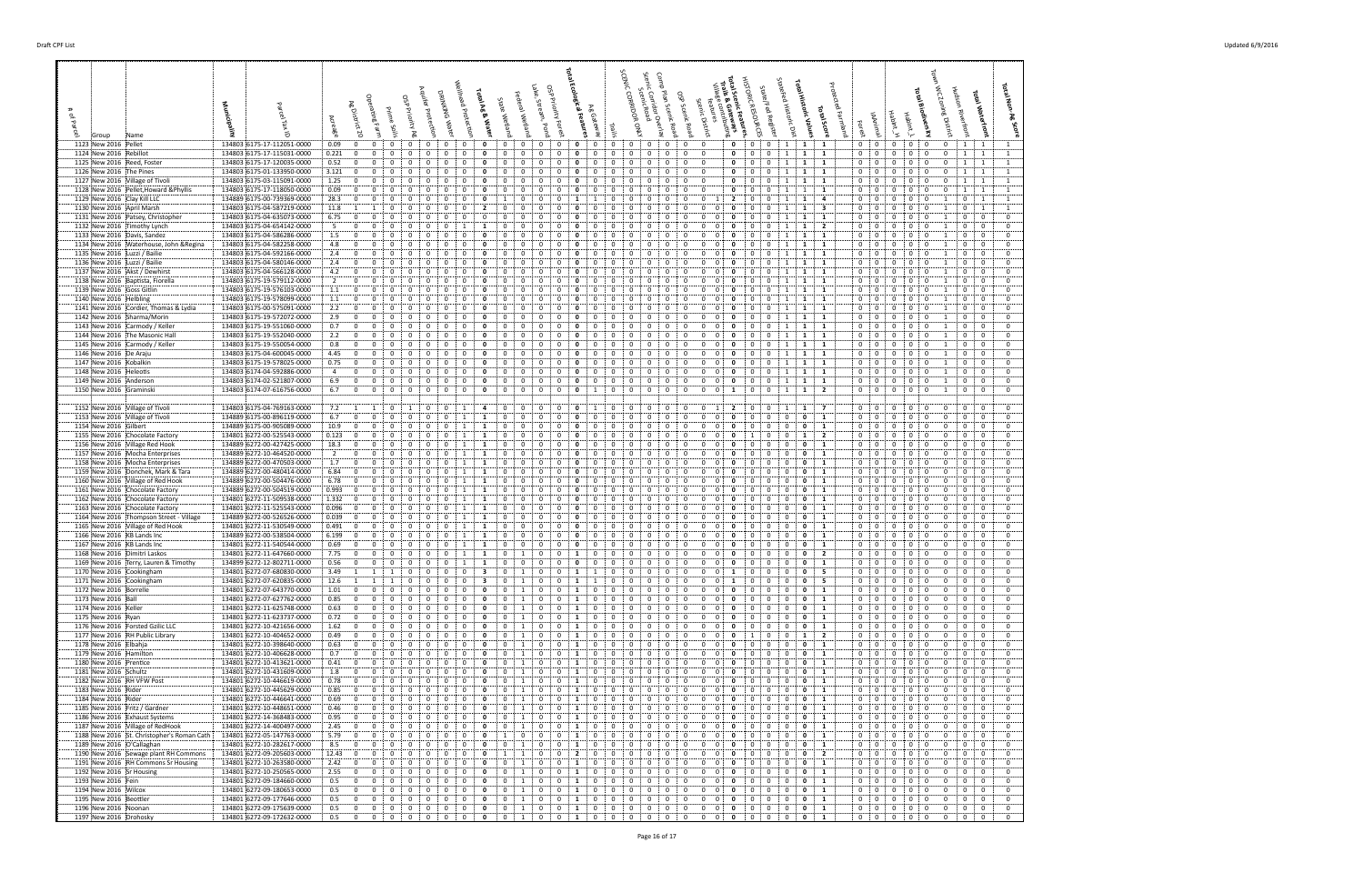| 1123 New 2016 Pellet                                                         | 134803 6175-17-112051-0000                               | $0.09$ :            | $\overline{0}$                 | $\mathbf{0}$<br>0                                            | $\mathbf{0}$                 | $\mathbf{0}$                  |                                | $\mathbf{0}$            |                             | $\mathbf{0}$                   | 0                                                 | $\mathbf{0}$<br>0                                         | $\mathbf{o}$                       | $\overline{0}$               | 0                          | 0                            | 0                          | $\mathbf{0}$                                             | $\mathbf{0}$                     |                                  | $\mathbf{0}$                 | $\mathbf{0}$<br>$\mathbf{0}$                                  | $\begin{array}{cc} 1 & 1 \\ 1 & \end{array}$ |                             | $\mathbf{1}$                 | $0 \t 0$                      |                                                                | $\mathbf{0}$                                                | 0 : 0                        | 0                            | $1 \quad 1$                                                 |  |
|------------------------------------------------------------------------------|----------------------------------------------------------|---------------------|--------------------------------|--------------------------------------------------------------|------------------------------|-------------------------------|--------------------------------|-------------------------|-----------------------------|--------------------------------|---------------------------------------------------|-----------------------------------------------------------|------------------------------------|------------------------------|----------------------------|------------------------------|----------------------------|----------------------------------------------------------|----------------------------------|----------------------------------|------------------------------|---------------------------------------------------------------|----------------------------------------------|-----------------------------|------------------------------|-------------------------------|----------------------------------------------------------------|-------------------------------------------------------------|------------------------------|------------------------------|-------------------------------------------------------------|--|
| 1124 New 2016 Rebillot                                                       | 134803 6175-17-115031-0000                               | 0.221               | $\mathbf{0}$                   | 0<br>0                                                       | 0                            | 0                             | 0                              | 0                       | $\mathbf{0}$                | 0                              |                                                   | 0<br>0                                                    | $\mathbf{o}$                       | 0                            | 0                          | 0                            | 0                          | 0<br>$\mathbf{0}$                                        | $\overline{0}$                   |                                  | $\Omega$                     | 0<br>$\mathbf{0}$                                             | 1                                            | 1                           | $\mathbf{1}$                 | $\mathbf{0}$                  | $\overline{0}$                                                 | $\mathbf{0}$<br>$\mathbf 0$                                 | 0                            | 0                            | $1 \quad 1$                                                 |  |
| 1125 New 2016 Reed, Foster<br>1126 New 2016 The Pines                        | 134803 6175-17-120035-0000<br>134803 6175-01-133950-0000 | 0.52 :<br>$3.121$ : | $\mathbf 0$<br>$\mathbf{0}$    | 0<br>$\mathbf 0$<br>$\Omega$                                 | 0<br>0                       | $\mathbf 0$                   | $\Omega$                       | $\Omega$                | $\mathbf{0}$                | $\Omega$<br>$\mathbf{0}$       | $\Omega$                                          | $\Omega$<br>$\mathbf 0$<br>$\mathbf{0}$                   | $\mathbf{0}$                       | $\mathbf 0$                  | $\Omega$<br>$\mathbf 0$    | $\Omega$                     | $\overline{0}$             | $\mathbf{0}$<br>$\mathbf 0$<br>0                         | $\overline{0}$<br>$\overline{0}$ |                                  | 0<br>$\Omega$                | $\mathbf{0}$<br>0<br>0<br>$\mathbf{0}$                        | 1<br>1                                       | 1<br><b>1</b>               | 1<br>$\mathbf{1}$            | $\overline{0}$<br>$0$ :       | $\overline{\mathbf{0}}$<br>$\Omega$<br>$\overline{\mathbf{0}}$ | $\Omega$<br>$^{\circ}$<br>$\mathbf{0}$                      | $\mathbf{0}$                 | $\Omega$                     | $1 \quad 1$<br>$1 \quad 1$                                  |  |
| 1127 New 2016 Village of Tivoli                                              | 134803 6175-03-115091-0000                               | 1.25                | $\mathbf 0$                    | 0                                                            | 0                            | 0                             |                                | $\Omega$                |                             | 0                              |                                                   | $\Omega$<br>$\Omega$                                      | 0                                  | 0                            | $\Omega$                   |                              | 0                          | $\mathbf{0}$                                             | $\mathbf 0$                      |                                  | 0                            | $\overline{0}$<br>$\Omega$                                    | -1                                           | -1                          | 1                            | $\mathbf 0$                   | 0<br>0                                                         | $\Omega$                                                    |                              | $\Omega$                     | 1 <sup>1</sup><br>$\overline{1}$                            |  |
| 1128 New 2016 Pellet, Howard & Phyllis                                       | 134803 6175-17-118050-0000                               | 0.09                | $\mathbf{0}$                   | 0                                                            | 0                            | 0                             |                                | $\Omega$                |                             | 0                              |                                                   | $\Omega$<br>0                                             | 0                                  | 0                            |                            |                              | 0                          | $\mathbf{0}$                                             | $\overline{0}$                   |                                  | 0                            | 0<br>0                                                        | -1                                           | 1                           | -1                           | $\mathbf{0}$                  | $\mathbf{0}$                                                   | $\mathbf{0}$                                                |                              |                              | $1 \quad 1$                                                 |  |
| 1129 New 2016 Clay Kill LLC                                                  | 134889 6175-00-739369-0000                               | 28.3                | $\mathbf{0}$                   | $\mathbf 0$<br>$\Omega$                                      | $\Omega$                     | 0                             |                                | $\Omega$                | $\mathbf{0}$                | 1                              | $\Omega$                                          | $\Omega$<br>$\Omega$                                      |                                    |                              | $\Omega$                   | $^{\circ}$                   | $\Omega$                   | $\mathbf{0}$                                             | $\mathbf 0$                      |                                  | $\overline{2}$               | $\mathbf{0}$<br>$\mathbf{0}$                                  | $\overline{1}$                               | 1                           | 4                            | 0:                            | $\mathbf{0}$                                                   | 0<br>$\Omega$                                               | $\Omega$                     |                              | $0 \quad 1$                                                 |  |
| 1130 New 2016 April Marsh<br>1131 New 2016 Patsey, Christopher               | 134803 6175-04-587219-0000<br>134803 6175-04-635073-0000 | 11.8 : 1<br>6.75    | $\mathbf 0$                    | -1<br>0<br>$\overline{0}$<br>0                               | 0<br>0                       | 0<br>0                        |                                | 0                       | 2                           | 0<br>0                         |                                                   | 0<br>0<br>$\Omega$<br>0                                   | $\mathbf{o}$<br>$\mathbf{o}$       | 0<br>0                       | 0                          | 0<br>$\Omega$                | 0<br>0                     | 0<br>$\mathbf{0}$<br>$\mathbf{0}$                        | 0<br>0                           | 0<br>$\mathbf{0}$                | 0<br>0                       | 0<br>0<br>$\mathbf 0$<br>0                                    | 1<br>1                                       | 1                           | 3<br>1                       | $\mathbf{0}$<br>$\mathbf 0$   | 0<br>$\overline{0}$                                            | $\mathbf{0}$<br>0<br>$^{\circ}$                             | 0                            |                              | $0 \quad 1$<br>$\mathbf{0}$<br>$\mathbf{0}$                 |  |
| 1132 New 2016 Timothy Lynch                                                  | 134803 6175-04-654142-0000                               | 5                   | $\mathbf 0$                    | $\mathbf 0$<br>$\Omega$                                      | $\mathbf{0}$                 | 0                             |                                |                         |                             | $\Omega$                       |                                                   | $\Omega$<br>0                                             | 0                                  | $\Omega$                     | $\Omega$                   |                              | 0                          | 0                                                        | $\Omega$                         | $\Omega$                         | 0                            | $\mathbf{0}$<br>0                                             |                                              | 1                           | $\overline{2}$               | $\mathbf 0$                   | $\mathbf{0}$                                                   | 0<br>$\Omega$                                               |                              |                              | $\bf{0}$<br>$\bf{0}$                                        |  |
| 1133 New 2016 Davis, Sandez                                                  | 134803 6175-04-586286-0000                               | 1.5                 | $\mathbf{0}$                   | $\Omega$<br>$\Omega$                                         | $\Omega$                     | 0                             |                                | $\Omega$                |                             | $\Omega$                       |                                                   | 0                                                         |                                    |                              |                            |                              | $^{O}$                     | 0                                                        | $\Omega$                         |                                  |                              | $\Omega$                                                      |                                              | 1                           | -1                           | $\overline{0}$                | $\mathbf{0}$<br>$\Omega$                                       | $\Omega$                                                    | $\Omega$                     |                              | $\mathbf{0}$<br>$\overline{0}$                              |  |
| 1134 New 2016 Waterhouse, John & Regina<br>1135 New 2016 Luzzi / Bailie      | 134803 6175-04-582258-0000<br>134803 6175-04-592166-0000 | 4.8<br>2.4          | $\mathbf 0$<br>$\mathbf 0$     | $\Omega$<br>0<br>0<br>$\Omega$                               | 0<br>$\mathbf{0}$            | 0<br>0                        | $\Omega$                       | $\Omega$<br>$\Omega$    | $\mathbf{0}$                | 0<br>0                         | $\Omega$                                          | $\Omega$<br>$\Omega$                                      | 0<br>0                             | 0<br>$\Omega$                | $\Omega$<br>$\Omega$       | $\Omega$                     | 0                          | 0<br>$\Omega$<br>0                                       | 0<br>0                           |                                  | 0                            | 0<br>$\mathbf{0}$<br>$\Omega$                                 | $\overline{1}$                               | 1<br>1                      | 1<br>1                       | $\mathbf 0$<br>$\mathbf 0$    | $\overline{0}$<br>$\overline{0}$                               | $\Omega$<br>$\mathbf{0}$<br>$\mathbf{0}$<br>$\Omega$        | $\Omega$<br>$\Omega$         |                              | $\mathbf 0$<br>$\bf{0}$<br>$\mathbf{0}$<br>$\bf{0}$         |  |
| 1136 New 2016 Luzzi / Bailie                                                 | 134803 6175-04-580146-0000                               | 2.4                 | $\mathbf{0}$                   | 0                                                            | 0                            | 0                             |                                | $\Omega$                |                             | $\Omega$                       |                                                   |                                                           |                                    |                              |                            |                              |                            |                                                          |                                  |                                  |                              |                                                               |                                              |                             | 1                            | $\mathbf 0$                   | 0                                                              | $\Omega$                                                    |                              |                              | $\mathbf 0$<br>$\bf{0}$                                     |  |
| 1137 New 2016 Akst / Dewhirst                                                | 134803 6175-04-566128-0000                               | 4.2                 | $\mathbf{0}$                   | 0<br>0                                                       | 0                            | 0                             | $\mathbf{0}$                   | 0                       |                             | 0                              | 0                                                 | 0<br>0                                                    | $\mathbf{o}$                       | 0                            | 0                          | $\Omega$                     | 0                          | 0                                                        | 0                                | $\Omega$                         | 0                            | 0<br>0                                                        | 1                                            | 1                           | 1                            | 0                             | $\mathbf 0$                                                    | $\mathbf{0}$<br>$^{\circ}$                                  | $\mathbf{0}$                 |                              | $\mathbf 0$<br>$\mathbf 0$                                  |  |
| 1138 New 2016 Baptista, Fiorella                                             | 134803 6175-19-579112-0000                               | $\overline{2}$      | $\mathbf 0$<br>$\mathbf{0}$    | $\mathbf{0}$<br>0<br>$\Omega$                                | $\mathbf{0}$                 | 0                             |                                | 0                       | $\mathbf{0}$                | 0<br>$\Omega$                  | $\Omega$                                          | 0<br>0<br>$\Omega$                                        | $\Omega$                           | 0                            | 0                          | 0                            | 0                          | $\mathbf{0}$<br>0                                        | 0                                | 0                                | 0                            | $\mathbf{0}$<br>$\Omega$                                      | -1                                           | 1                           | 1                            | $\mathbf 0$                   | $\mathbf{0}$<br>$\Omega$                                       | 0<br>$\mathbf 0$                                            | $\Omega$                     |                              | $\mathbf 0$<br>$\mathbf{0}$<br>$^{\circ}$                   |  |
| 1139 New 2016 Goss Gitlin<br>1140 New 2016 Helbling                          | 134803 6175-19-576103-0000<br>134803 6175-19-578099-0000 | 1.1<br>1.1          | $\mathbf{0}$                   | $\mathbf 0$<br>$\Omega$                                      | $\Omega$                     | 0                             | $\Omega$                       | $\Omega$                | $\mathbf{0}$                | $\mathbf 0$                    | $\Omega$                                          | $\Omega$<br>$\Omega$                                      | $\Omega$                           | $\Omega$                     | $\Omega$                   | $^{\circ}$                   | $\Omega$                   | $\mathbf{0}$<br>$\Omega$                                 | 0                                | $\Omega$                         | - 0                          | $\Omega$<br>$\Omega$                                          |                                              | 1                           | 1                            | 0<br>0:                       | $\mathbf{0}$<br>$\mathbf{0}$                                   | $^{\circ}$<br>$^{\circ}$                                    | 0                            |                              | $\bf{0}$<br>$\mathbf 0$<br>$\mathbf{0}$                     |  |
| 1141 New 2016 Cordier, Thomas & Lydia                                        | 134803 6175-00-575091-0000                               | 2.2                 | $\mathbf 0$                    | 0                                                            | 0                            | 0                             |                                | 0                       |                             | 0                              |                                                   |                                                           | 0                                  |                              |                            |                              |                            | 0                                                        | 0                                | 0                                |                              | 0                                                             |                                              |                             | -1                           | $\mathbf{0}$                  | 0<br>0                                                         |                                                             |                              |                              | $\mathbf 0$<br>0                                            |  |
| 1142 New 2016 Sharma/Morin                                                   | 134803 6175-19-572072-0000                               | 2.9                 | $\mathbf 0$                    | $\overline{0}$<br>0                                          | 0                            | 0                             |                                | 0                       |                             | 0                              |                                                   | $\Omega$<br>0                                             | 0                                  | 0                            |                            |                              | 0                          | $\mathbf{0}$<br>0                                        | 0                                | $\overline{0}$                   | 0                            | 0<br>0                                                        | 1                                            | 1                           | $\mathbf{1}$                 | 0                             | $\overline{0}$                                                 | $\mathbf{0}$<br>$^{\circ}$                                  |                              |                              | $^{\circ}$<br>$\bf{0}$                                      |  |
| 1143 New 2016 Carmody / Keller<br>1144 New 2016 The Masonic Hall             | 134803 6175-19-551060-0000<br>134803 6175-19-552040-0000 | 0.7<br>2.2          | $\mathbf{0}$<br>$^{\circ}$     | 0<br>0<br>$\Omega$<br>$\Omega$                               | 0<br>$\Omega$                | 0<br>$\Omega$                 |                                | 0<br>$\Omega$           | - 0                         | 0<br>$\Omega$                  |                                                   | 0<br>0<br>$\Omega$<br>$\Omega$                            | 0<br>$\Omega$                      | $\Omega$                     | 0<br>$\Omega$              |                              | 0<br>$\Omega$              | 0<br>$\Omega$                                            | 0<br>$\Omega$                    | $\mathbf{0}$<br>$\Omega$         | 0<br>n                       | $\mathbf{0}$<br>0<br>$\Omega$<br>$\Omega$                     | $\overline{1}$                               | 1<br>1                      | 1<br>1                       | $\mathbf{0}$<br>$^{\circ}$    | $\mathbf{0}$<br>$\mathbf{0}$                                   | 0<br>$\Omega$<br>$^{\circ}$<br>$^{\circ}$                   | $\Omega$                     |                              | $\mathbf 0$<br>$\mathbf 0$<br>$\mathbf{0}$<br>$\mathbf{0}$  |  |
| 1145 New 2016 Carmody / Keller                                               | 134803 6175-19-550054-0000                               | 0.8                 | $\mathbf{0}$                   | $\overline{0}$<br>$\mathbf{0}$                               | $\mathbf{0}$                 | 0                             | $\mathbf{0}$                   | $\Omega$                |                             | 0                              | $\Omega$                                          | 0<br>$\Omega$                                             | 0                                  | 0                            | 0                          | $\Omega$                     | 0                          | $\Omega$<br>$\mathbf{0}$                                 | 0                                | $\overline{0}$                   |                              | $\mathbf 0$<br>0                                              | 1                                            | 1                           | 1                            | $\mathbf 0$                   | $\mathbf{0}$                                                   | 0<br>$\mathbf 0$                                            | 0                            |                              | $\overline{0}$<br>$\mathbf{0}$                              |  |
| 1146 New 2016 De Araju                                                       | 134803 6175-04-600045-0000                               | 4.45                | $\mathbf{0}$                   | 0<br>0                                                       | $\mathbf{0}$                 | 0                             |                                | $\Omega$                | 0                           | 0                              |                                                   | $\Omega$<br>$\Omega$                                      | 0                                  | $\Omega$                     | $\Omega$                   |                              | 0                          | 0                                                        | 0                                |                                  |                              | 0<br>0                                                        |                                              |                             | -1                           | $0 \t 0$                      |                                                                | 0<br>$\Omega$                                               |                              |                              | $\bf{0}$<br>$\bf{0}$                                        |  |
| 1147 New 2016 Kobalkin                                                       | 134803 6175-19-578025-0000                               | 0.75                | $\mathbf{0}$                   | $\Omega$<br>$\Omega$                                         | $\Omega$                     | 0                             | $\Omega$                       | $\Omega$                | 0<br>$\mathbf{0}$           | 0                              | $\Omega$                                          | $\Omega$<br>$\Omega$                                      |                                    | $\Omega$                     | $\Omega$                   | $\Omega$                     | $\Omega$                   | $\Omega$                                                 | $\Omega$                         | $\Omega$                         |                              | $\Omega$<br>$\Omega$                                          |                                              |                             | $\mathbf{1}$                 | 0                             | $\overline{0}$                                                 | $^{\circ}$<br>$\Omega$                                      |                              |                              | $\mathbf{0}$<br>$\overline{0}$                              |  |
| 1148 New 2016 Heleotis<br>1149 New 2016 Anderson                             | 134803 6174-04-592886-0000<br>134803 6174-02-521807-0000 | 4<br>6.9            | $\mathbf{0}$<br>$\mathbf 0$    | $\mathbf 0$<br>$\mathbf{0}$<br>0<br>0                        | $\mathbf{0}$<br>0            | $\bf{0}$<br>0                 | $\mathbf{0}$<br>$\mathbf{0}$   | 0<br>0                  | $\mathbf{0}$                | $\mathbf 0$<br>0               | $\mathbf{0}$<br>0                                 | 0<br>$\mathbf{0}$<br>0<br>$\mathbf{0}$                    | 0<br>0                             | 0<br>0                       | $\mathbf{0}$<br>0          | $\mathbf{0}$<br>$\Omega$     | $\mathbf{0}$<br>0          | $\mathbf{0}$<br>0<br>$\mathbf{0}$<br>0                   | 0<br>0                           | $\left 0\right\rangle$<br>0:     | $\mathbf{0}$<br>0            | $\mathbf 0$<br>$\mathbf{0}$<br>$\mathbf{0}$<br>$\mathbf{0}$   | 1<br>1                                       | 1<br>1                      | $\mathbf{1}$<br>1            | 0:<br>0                       | $\overline{0}$<br>$\mathbf 0$                                  | $\mathbf{0}$<br>$\mathbf{0}$<br>0<br>$\mathbf 0$            | $\mathbf{0}$<br>$\mathbf{0}$ |                              | 0<br>$\overline{\mathbf{0}}$<br>$\mathbf{0}$<br>$\mathbf 0$ |  |
| 1150 New 2016 Graminski                                                      | 134803 6174-07-616756-0000                               | 6.7                 | $\overline{0}$                 | $\overline{0}$<br>$^{\circ}$                                 | $\mathbf{0}$                 | $\Omega$                      | $^{\circ}$                     | $\Omega$                | $\Omega$                    | $\mathbf 0$                    | $\mathbf{0}$                                      | $\Omega$<br>$\Omega$                                      | $\Omega$                           |                              | $\Omega$                   | $\Omega$                     | $\Omega$                   | $\Omega$                                                 | $\mathbf 0$                      | $\left  0 \right $               |                              | $\Omega$<br>$\mathbf{0}$                                      |                                              | 1                           | $\overline{2}$               | $0 \t0$                       |                                                                | $^{\circ}$<br>$^{\circ}$                                    | $^{\circ}$                   | -1                           | $\mathbf{0}$<br>$\bf{0}$                                    |  |
| 1152 New 2016 Village of Tivoli                                              | 134803 6175-04-769163-0000                               | 7.2                 | 1                              |                                                              |                              | 0                             |                                |                         |                             | $\mathbf{0}$                   | 0                                                 | 0<br>0                                                    |                                    |                              |                            | 0                            | - 0                        | 0                                                        | $\overline{0}$                   |                                  |                              | 0                                                             |                                              | 1                           | $\overline{7}$               | $0 \quad$                     | $\mathbf{0}$<br>0                                              |                                                             |                              | 0                            | $\bf{0}$<br>$\mathbf{0}$                                    |  |
| 1153 New 2016 Village of Tivoli                                              | 134889 6175-00-896119-0000                               | 6.7                 | $\mathbf{0}$                   | 0                                                            | 0                            | 0                             |                                |                         |                             | 0                              |                                                   | $\Omega$                                                  | $\Omega$                           | 0                            |                            |                              | 0                          |                                                          |                                  | $\Omega$                         |                              | 0                                                             | 0                                            | 0                           | 1                            | $\mathbf{0}$                  | 0                                                              |                                                             |                              |                              | $\mathbf{0}$<br>$\mathbf 0$                                 |  |
| 1154 New 2016 Gilbert                                                        | 134889 6175-00-905089-0000                               | 10.9                | $\mathbf{0}$                   | $\Omega$<br>$\Omega$                                         | $\Omega$                     | 0                             |                                |                         | 1                           | 0                              | $\Omega$                                          | $\Omega$<br>$\Omega$                                      | 0                                  | $\Omega$                     | $\Omega$                   | $\Omega$                     | $\Omega$                   | 0                                                        | 0                                | $\Omega$                         | $\mathbf{0}$                 | 0<br>$\Omega$                                                 | $\mathbf 0$                                  | $\mathbf{0}$                | 1                            | 0                             | $\mathbf{0}$<br>$\Omega$                                       | $\Omega$                                                    |                              | $\Omega$                     | $\mathbf{0}$<br>$\mathbf{0}$                                |  |
| 1155 New 2016 Chocolate Factory<br>1156 New 2016 Village Red Hook            | 134801 6272-00-525543-0000<br>134889 6272-00-427425-0000 | 0.123 : 0<br>18.3   | $\mathbf 0$                    | 0<br>0<br>$\overline{0}$<br>0                                | 0<br>0                       | 0<br>0                        |                                |                         |                             | 0<br>0                         |                                                   | 0<br>0<br>$\Omega$<br>0                                   | 0<br>0                             | 0<br>0                       | 0                          | 0                            | 0<br>0                     | 0<br>$\Omega$<br>0                                       | 0<br>0                           | $\overline{0}$<br>$\Omega$       | 0<br>0                       | 0<br>0                                                        | $^{\circ}$<br>0                              | 1<br>0                      | $\overline{2}$<br>1          | $\mathbf{0}$<br>$\mathbf 0$   | 0<br>$\overline{0}$                                            | $\mathbf{0}$<br>$\mathbf{0}$<br>0<br>$\mathbf 0$            | $\Omega$                     | $\Omega$                     | $\mathbf 0$<br>$\bf{0}$<br>$\mathbf{0}$<br>$\mathbf 0$      |  |
| 1157 New 2016 Mocha Enterprises                                              | 134889 6272-10-464520-0000                               | $\overline{2}$      | $\mathbf{0}$                   | $\mathbf 0$<br>$\mathbf{0}$                                  | $\mathbf 0$                  | 0                             |                                | -1                      | -1                          | $\Omega$                       |                                                   | $\Omega$<br>$\Omega$                                      | 0                                  | $\Omega$                     | $\Omega$                   | $\Omega$                     | $\Omega$                   | $\Omega$                                                 | $\Omega$                         | $\Omega$                         | 0                            | 0<br>0                                                        | 0                                            | 0                           | 1                            | $\mathbf{0}$                  | $\mathbf{0}$                                                   | 0<br>$\Omega$                                               | $\Omega$                     |                              | $\mathbf{0}$<br>$\mathbf 0$                                 |  |
| 1158 New 2016 Mocha Enterprises                                              | 134889 6272-00-470503-0000                               | 1.7                 | $\mathbf 0$                    | $\Omega$<br>$\Omega$                                         | $\Omega$                     | $\Omega$                      |                                |                         |                             | 0                              |                                                   | 0<br>$\Omega$                                             |                                    | 0                            | $\Omega$                   |                              | $^{O}$                     |                                                          | 0                                |                                  |                              | 0                                                             | $\Omega$                                     | 0                           | 1                            | 0                             | $\mathbf{0}$<br>$\Omega$                                       | $\Omega$                                                    | 0                            | $\Omega$                     | $\mathbf{0}$<br>$\overline{0}$                              |  |
| 1159 New 2016 Donchek, Mark & Tara<br>1160 New 2016 Village of Red Hook      | 134889 6272-00-480414-0000                               | 6.84<br>6.78        | $\mathbf 0$<br>$\mathbf 0$     | $\Omega$<br>0<br>0<br>0                                      | 0<br>$\mathbf{0}$            | $\mathbf 0$<br>0              | $\mathbf{0}$                   |                         | 1<br>1                      | 0<br>0                         | 0                                                 | $\Omega$<br>$\Omega$<br>0<br>0                            | 0<br>0                             | 0<br>0                       | $\Omega$<br>0              | $\Omega$<br>$\Omega$         | $\Omega$<br>0              | 0<br>$\mathbf{0}$<br>0                                   | 0<br>0                           | $\Omega$                         | 0                            | 0<br>$\Omega$<br>0                                            | 0<br>0                                       | 0<br>0                      | $\mathbf{1}$<br>1            | $\mathbf 0$<br>0              | $\overline{0}$                                                 | $\Omega$<br>$\mathbf{0}$<br>$^{\circ}$                      | $\Omega$                     | $\Omega$                     | $\overline{0}$<br>$\mathbf{0}$<br>$\mathbf{0}$<br>$\bf{0}$  |  |
| 1161 New 2016 Chocolate Factory                                              | 134889 6272-00-504476-0000<br>134889 6272-00-504519-0000 | 0.993               | $\mathbf{0}$                   | $\Omega$                                                     | 0                            | 0                             |                                |                         |                             | 0                              |                                                   |                                                           |                                    |                              | $\Omega$                   | $\Omega$                     |                            |                                                          |                                  |                                  |                              | 0                                                             | 0                                            |                             | 1                            | $\mathbf 0$                   | $\mathbf 0$<br>0                                               | $\mathbf{0}$<br>$\Omega$<br>$\Omega$                        | $\mathbf{0}$                 |                              | $\mathbf 0$<br>$\mathbf 0$                                  |  |
| 1162 New 2016 Chocolate Factory                                              | 134801 6272-11-509538-0000                               | 1.332:              | $\mathbf{0}$                   | $\overline{0}$<br>0                                          | $\mathbf{0}$                 | $\mathbf{0}$                  | $\mathbf{0}$                   | 1                       | 1                           | $\mathbf{0}$                   | $\mathbf{0}$                                      | 0<br>$\mathbf{0}$                                         | 0                                  | 0                            | $\mathbf{0}$               | $\mathbf{0}$                 | 0                          | $\mathbf{0}$<br>0                                        | 0                                | : 0 :                            | $\mathbf{0}$                 | 0<br>$\mathbf{0}$                                             | $\mathbf 0$                                  | $\mathbf{0}$                | $\mathbf{1}$                 | 0                             | $\mathbf 0$                                                    | $\mathbf{0}$<br>$\mathbf{0}$                                | $\mathbf{0}$                 | 0                            | 0<br>$\overline{\mathbf{0}}$                                |  |
| 1163 New 2016 Chocolate Factory                                              | 134801 6272-11-525543-0000                               | 0.096               | $\mathbf 0$                    | $\overline{0}$                                               | 0                            | 0                             | $\mathbf{0}$                   |                         | 1                           | 0                              |                                                   | 0<br>0                                                    | 0                                  | 0                            | 0                          |                              | 0                          | $\overline{0}$                                           | 0                                | 0                                |                              | $\Omega$<br>0                                                 | 0                                            | 0                           | 1                            | $\Omega$                      | $\mathbf 0$                                                    | $\Omega$                                                    |                              | $\Omega$                     | $\mathbf{0}$<br>$\mathbf 0$                                 |  |
| 1164 New 2016 Thompson Street - Village<br>1165 New 2016 Village of Red Hook | 134889 6272-00-526526-0000<br>134801 6272-11-530549-0000 | 0.039<br>0.491      | $\mathbf{0}$<br>$\mathbf{0}$   | $\overline{0}$<br>$\mathbf 0$<br>$\Omega$                    | $\Omega$                     | 0                             | $\Omega$                       |                         | 1                           | 0<br>0                         | $\Omega$                                          | $\Omega$<br>$\Omega$<br>$\Omega$                          | $\Omega$                           | $\Omega$                     | $\Omega$                   | $\Omega$                     | $\Omega$                   | $\overline{0}$<br>$\Omega$                               | 0                                | $\Omega$                         | 0                            | $\Omega$<br>$\Omega$                                          | $\Omega$<br>0                                | $\mathbf 0$                 | -1<br>1                      | $\mathbf{0}$<br>0             | 0<br>$\Omega$<br>$\mathbf{0}$<br>$\Omega$                      | $^{\circ}$                                                  | - 0                          | $\Omega$                     | $\mathbf{0}$<br>$\bf{0}$<br>$\mathbf{0}$<br>$\mathbf{0}$    |  |
| 1166 New 2016 KB Lands Inc                                                   | 134889 6272-00-538504-0000                               | 6.199               | $\mathbf{0}$                   | $\overline{0}$                                               | 0                            | 0                             |                                |                         |                             | 0                              |                                                   | 0<br>0                                                    | 0                                  | 0                            | 0                          |                              |                            | 0                                                        | 0                                | 0                                |                              | 0                                                             | 0                                            | 0                           | 1                            | $\mathbf{0}$                  | 0<br>0                                                         |                                                             |                              |                              | $\mathbf{0}$<br>$\mathbf 0$                                 |  |
| 1167 New 2016 KB Lands Inc                                                   | 134801 6272-11-540544-0000                               | 0.69                | $\mathbf{0}$                   | $\overline{0}$<br>0                                          | 0                            | 0                             | $\Omega$                       |                         |                             | 0                              | $\Omega$                                          | $\Omega$<br>0                                             | $\mathbf{o}$                       | 0                            | 0                          | $\Omega$                     | 0                          | $\Omega$<br>0                                            | 0                                | $\mathbf{0}$                     | 0                            | 0<br>0                                                        | 0                                            | 0                           | 1                            | 0                             | $\overline{\mathbf{0}}$                                        | $\mathbf{0}$<br>$\Omega$                                    | - 0                          |                              | $\bf{0}$<br>$\bf{0}$                                        |  |
| 1168 New 2016 Dimitri Laskos<br>1169 New 2016 Terry, Lauren & Timothy        | 134801 6272-11-647660-0000<br>134899 6272-12-802711-0000 | 7.75<br>0.56        | $\mathbf{0}$<br>$\overline{0}$ | $\mathbf 0$<br>0<br>$\mathbf{0}$<br>$\mathbf 0$              | $\mathbf 0$<br>$\mathbf 0$   | $\mathbf 0$<br>$\overline{0}$ | $\mathbf{0}$<br>$\overline{0}$ | 1<br>1                  | 1<br>$\mathbf{1}$           | 0<br>$\overline{0}$            | 1<br>$\overline{0}$                               | $\mathbf 0$<br>$\mathbf{0}$<br>$\overline{0}$             | 1<br>$\overline{0}$<br>$\mathbf 0$ | $\mathbf{0}$<br>$\mathbf 0$  | $\bf{0}$<br>$\overline{0}$ | $\mathbf{0}$<br>$\mathbf{0}$ | $\mathbf 0$<br>$\mathbf 0$ | $\mathbf{0}$<br>$\mathbf{0}$<br>$\mathbf{0}$<br>0        | $\bf{0}$                         | : 0 :<br>0:0:                    | $\mathbf{0}$<br>$\mathbf{0}$ | $\mathbf{0}$<br>$\mathbf{0}$<br>$\mathbf 0$<br>$\overline{0}$ | $\mathbf 0$<br>$\mathbf{0}$                  | $\mathbf 0$<br>$\mathbf{0}$ | $\mathbf{2}$<br>1            | $\overline{0}$<br>0:0         | $\mathbf{0}$                                                   | $\mathbf{0}$<br>$\mathbf 0$<br>$\mathbf{O}$<br>$\mathbf{0}$ | 0<br>$\mathbf{0}$            | 0<br>0                       | $\mathbf{0}$<br>$\mathbf 0$<br>$\mathbf{0}$<br>$\mathbf{0}$ |  |
| 1170 New 2016 Cookingham                                                     | 134801 6272-07-680830-0000                               | 3.49                |                                |                                                              | 0                            | 0                             |                                |                         |                             | 0                              |                                                   | 0                                                         |                                    |                              |                            |                              |                            | 0                                                        | 0                                | $\Omega$                         |                              | 0                                                             | 0                                            |                             | -5                           | $\Omega$                      | $\overline{0}$                                                 | $\Omega$                                                    |                              |                              |                                                             |  |
| 1171 New 2016 Cookingham                                                     | 134801 6272-07-620835-0000                               | 12.6                | 1                              | 1<br>1                                                       | 0                            | $\mathbf 0$                   | $\Omega$                       | $\Omega$                | 3                           | 0                              | -1                                                | $\Omega$<br>$\Omega$                                      | 1                                  | 1                            | $\Omega$                   | $\mathbf{0}$                 | $\overline{0}$             | $^{\circ}$<br>$\mathbf 0$                                | $\mathbf 0$                      | $\overline{0}$                   | 1                            | $\mathbf{0}$<br>$\mathbf 0$                                   | $\mathbf{0}$                                 | $\mathbf 0$                 | 5                            | $\mathbf 0$                   | $\mathbf{0}$                                                   | 0<br>$^{\circ}$                                             | $\mathbf{0}$                 | $\Omega$                     | $\mathbf{0}$<br>$\bf{0}$                                    |  |
| 1172 New 2016 Borrelle<br>1173 New 2016 Ball                                 | 134801 6272-07-643770-0000<br>134801 6272-07-627762-0000 | 1.01                | $\mathbf{0}$                   | $\Omega$<br>$\Omega$                                         | $\Omega$                     | $\mathbf 0$                   | $\Omega$                       | $\Omega$                | $\Omega$                    | $\mathbf 0$                    | $\mathbf{1}$                                      | $\Omega$<br>$\Omega$                                      |                                    | $\Omega$                     | $\Omega$                   | $\mathbf{0}$                 | $\Omega$                   | $\Omega$<br>$\Omega$                                     | $\Omega$                         | $\Omega$                         | n                            | $\Omega$<br>$\Omega$                                          | $\overline{0}$                               | 0                           | 1                            | 0                             | $\overline{0}$                                                 | $^{\circ}$<br>$\Omega$                                      |                              |                              | $\mathbf{0}$<br>$\overline{0}$                              |  |
| 1174 New 2016 Keller                                                         | 134801 6272-11-625748-0000                               | 0.85<br>0.63 : 0    | $\mathbf{0}$                   | $\mathbf 0$<br>$\mathbf 0$<br>$\overline{0}$<br>$\mathbf{0}$ | $\mathbf 0$<br>$\mathbf{0}$  | $\mathbf{0}$<br>$\mathbf{0}$  | $\mathbf{0}$<br>0              | 0<br>0                  | $\mathbf{0}$<br>$\mathbf 0$ | $\mathbf{0}$<br>$\mathbf{0}$   | $\mathbf{1}$<br>1                                 | $\mathbf 0$<br>$\Omega$<br>$\overline{0}$<br>$\mathbf{0}$ | $\mathbf{1}$<br>$\mathbf{1}$       | $\mathbf{0}$<br>$\mathbf{0}$ | $\bf{0}$<br>$\mathbf 0$    | $\mathbf{0}$<br>$\mathbf 0$  | $\overline{0}$<br>0        | $\mathbf{0}$<br>$\Omega$<br>$\mathbf{0}$<br>$\mathbf{0}$ | 0<br>$\mathbf{0}$                | $\overline{0}$ :<br>0:           | $\mathbf{0}$<br>0            | $\mathbf{0}$<br>0<br>0<br>$\mathbf{0}$                        | $\mathbf{0}$<br>$\mathbf{0}$                 | $\mathbf 0$<br>$\mathbf 0$  | $\mathbf{1}$<br>$\mathbf{1}$ | $0 \cdot 0$<br>$\overline{0}$ | $\overline{0}$                                                 | $\mathbf 0$<br>$\mathbf{0}$<br>$\mathbf{0}$<br>$\mathbf 0$  | $\mathbf{0}$<br>$\mathbf 0$  | $\mathbf{0}$<br>$\mathbf{0}$ | $0 \quad$<br>$\overline{\mathbf{0}}$<br>0<br>$\mathbf{0}$   |  |
| 1175 New 2016 Ryan                                                           | 134801 6272-11-623737-0000                               | 0.72 : 0            |                                | $\overline{0}$<br>$^{\circ}$                                 | $\overline{0}$               | 0                             | $\Omega$                       | 0                       |                             | $\mathbf 0$                    | -1                                                | $\Omega$<br>$\Omega$                                      | 1                                  | $\Omega$                     | $\Omega$                   | $\Omega$                     | $\Omega$                   | $\Omega$<br>$\Omega$                                     | $\Omega$                         | 0:                               |                              | $\mathbf{0}$<br>$\Omega$                                      | $\mathbf 0$                                  | $\mathbf 0$                 | 1                            | $\mathbf 0$                   | $\overline{\mathbf{0}}$                                        | 0<br>$^{\circ}$                                             | $\Omega$                     | $\Omega$                     | $\mathbf{0}$<br>$\overline{\mathbf{0}}$                     |  |
| 1176 New 2016 Forsted Gzilic LLC                                             | 134801 6272-10-421656-0000                               | 1.62                | $\Omega$                       | $^{\circ}$<br>$\Omega$                                       | $\mathbf{0}$                 | 0                             | $\Omega$                       | $^{\circ}$              | $\mathbf 0$                 | $\mathbf{0}$                   | -1                                                | $\mathbf{0}$<br>$\Omega$                                  | 1                                  | $^{\circ}$                   | $^{\circ}$                 | $\Omega$                     | $\Omega$                   | $\Omega$<br>$\Omega$                                     | $\Omega$                         | 0                                | 0                            | $\Omega$<br>$\Omega$                                          | 0                                            | $\mathbf 0$                 | $\mathbf{1}$                 | 0:0                           |                                                                | $^{\circ}$<br>$^{\circ}$                                    | <u>റ</u>                     | $^{\circ}$                   | 0<br>$\overline{\mathbf{0}}$                                |  |
| 1177 New 2016 RH Public Library<br>1178 New 2016 Elbahja                     | 134801 6272-10-404652-0000<br>134801 6272-10-398640-0000 | 0.49<br>0.63        | $\mathbf 0$<br>$\mathbf 0$     | $\overline{0}$<br>0<br>$\mathbf 0$<br>0                      | 0<br>0                       | 0<br>0                        | $\mathbf{0}$                   | 0<br>0                  | 0<br>$\mathbf{0}$           | $\mathbf 0$<br>0               | $\mathbf{1}$                                      | 0<br>$\Omega$<br>$\mathbf 0$<br>$\Omega$                  | -1<br>-1                           | 0<br>0                       | $\Omega$                   | $\Omega$<br>$\Omega$         | 0<br>0                     | $\mathbf{0}$<br>$\mathbf{0}$                             | $\mathbf 0$<br>0                 | 0<br>0                           | 0                            | $\overline{0}$<br>0                                           | $\mathbf 0$<br>$\mathbf{0}$                  | 1<br>$\mathbf 0$            | $\overline{2}$<br>1          | $\mathbf 0$<br>$\mathbf{0}$   | $\overline{0}$<br>$\overline{0}$                               | $\mathbf{0}$<br>$\Omega$<br>$\mathbf{0}$                    |                              | 0<br>$\Omega$                | $\mathbf 0$<br>$\overline{0}$<br>$\mathbf 0$<br>$\bf{0}$    |  |
| 1179 New 2016 Hamilton                                                       | 134801 6272-10-406628-0000                               | 0.7                 | $\mathbf{0}$                   | $\overline{0}$<br>$^{\circ}$                                 | $\mathbf{0}$                 | 0                             | $\Omega$                       | 0                       | $\mathbf{0}$                | $\mathbf{0}$                   | 1                                                 | $\mathbf 0$<br>$\Omega$                                   | $\mathbf 1$                        | $\Omega$                     | $^{\circ}$                 | $\Omega$                     | $\overline{0}$             | $\mathbf{0}$<br>$\Omega$                                 | 0                                | $\overline{0}$                   | 0                            | $\mathbf{0}$<br>0                                             | $\mathbf 0$                                  | $\mathbf 0$                 | $\mathbf{1}$                 | $0 \t 0$                      |                                                                | 0<br>$^{\circ}$                                             | $\Omega$                     | $\Omega$                     | 0<br>$\overline{\mathbf{0}}$                                |  |
| 1180 New 2016 Prentice                                                       | 134801 6272-10-413621-0000                               |                     | 0.41 : 0                       | $\mathbf 0$<br>$\mathbf{0}$                                  | 0                            | 0                             |                                | 0                       | $\mathbf{0}$                | $\mathbf{0}$                   |                                                   | 0                                                         |                                    | 0                            | 0                          | $\Omega$                     | 0                          | 0                                                        | 0                                | 0                                |                              | 0<br>0                                                        | $\mathbf{0}$                                 | $\mathbf 0$                 | 1                            | 0                             | $\mathbf{0}$                                                   | $\mathbf{0}$<br>$\mathbf{0}$                                |                              | 0                            | 0<br>$\mathbf{0}$                                           |  |
| 1181 New 2016 Schultz<br>1182 New 2016 RH VFW Post                           | 134801 6272-10-431609-0000<br>134801 6272-10-446619-0000 | 1.8<br>0.78         | $\mathbf{0}$<br>$\mathbf 0$    | $\overline{0}$<br>$\mathbf{0}$<br>$\mathbf 0$<br>$\Omega$    | $\mathbf{0}$<br>$\mathbf 0$  | $\mathbf 0$<br>$\mathbf{0}$   | $\mathbf{0}$                   | $\mathbf 0$<br>0        | $\Omega$<br>0               | $\mathbf{0}$<br>0              | 1<br>1                                            | $\Omega$<br>$\mathbf 0$<br>$\mathbf 0$<br>$\Omega$        | 1<br>-1                            | $\mathbf{0}$<br>$\Omega$     | 0<br>$\Omega$              | $\Omega$<br>$\Omega$         | $\overline{0}$<br>0        | $\mathbf{0}$<br>$\mathbf{0}$<br>$\Omega$<br>0            | 0<br>0                           | $\overline{0}$<br>$\overline{0}$ | 0<br>0                       | 0<br>$\mathbf{0}$<br>$\mathbf 0$<br>0                         | $\mathbf 0$<br>$\mathbf 0$                   | 0<br>$\mathbf 0$            | $\mathbf{1}$<br>1            | $\mathbf{0}$<br>$0$ :         | $\overline{0}$<br>$\overline{\mathbf{0}}$                      | 0<br>$\mathbf 0$<br>0<br>$^{\circ}$                         | 0<br>$\Omega$                | $\Omega$                     | $\mathbf 0$<br>$\mathbf{0}$<br>0<br>$\mathbf{0}$            |  |
| 1183 New 2016 Rider                                                          | 134801 6272-10-445629-0000                               | 0.85                | $\mathbf{0}$                   | $\Omega$<br>$\Omega$                                         | $\Omega$                     | 0                             |                                | $\Omega$                | $\mathbf{0}$                | 0                              |                                                   | $\Omega$                                                  |                                    | $\Omega$                     | $\Omega$                   | $\Omega$                     | $\Omega$                   | 0                                                        | 0                                | $\Omega$                         |                              | $\Omega$                                                      | 0                                            | 0                           | 1                            | $\mathbf{0}$                  | $\mathbf{0}$<br>$\Omega$                                       | $\Omega$                                                    |                              |                              | $\mathbf{0}$<br>$\overline{0}$                              |  |
| 1184 New 2016 Rider                                                          | 134801 6272-10-446641-0000                               | 0.69                | $\mathbf{0}$                   | $\Omega$<br>$\Omega$                                         | $\mathbf{0}$                 | $\mathbf 0$                   |                                | 0                       | $\Omega$                    | $\mathbf 0$                    | $\mathbf{1}$                                      | 0                                                         | -1                                 | $\mathbf{0}$                 | $\Omega$                   | $\Omega$                     | $\overline{0}$             | $\mathbf{0}$                                             | 0                                | $\Omega$                         |                              | $\mathbf{0}$                                                  | $\mathbf 0$                                  | 0                           | $\mathbf{1}$                 | $\mathbf 0$                   | $\overline{0}$                                                 | 0<br>$\Omega$                                               | $\Omega$                     |                              | $\mathbf 0$<br>$\overline{0}$                               |  |
| 1185 New 2016 Fritz / Gardner                                                | 134801 6272-10-448651-0000                               | 0.46                | $\mathbf 0$                    | $\overline{0}$<br>0                                          | $\mathbf{0}$                 | 0                             | $\Omega$                       | $\Omega$                | $\mathbf 0$                 | 0                              | $\mathbf{1}$                                      | 0<br>0                                                    | -1                                 | $\mathbf{0}$                 | $\Omega$                   | $\Omega$                     | $\overline{0}$             | $\Omega$<br>$\mathbf{0}$                                 | 0                                | $\Omega$                         | 0                            | $\Omega$<br>$\mathbf{0}$                                      | 0                                            | 0                           | $\mathbf{1}$                 | 0                             | $\overline{0}$                                                 | 0<br>$\Omega$                                               | $\Omega$                     | $\Omega$                     | $\mathbf{0}$<br>$\bf{0}$                                    |  |
| 1186 New 2016 Exhaust Systems<br>1187 New 2016 Village of RedHook            | 134801 6272-14-368483-0000<br>134801 6272-14-400497-0000 | 0.95<br>2.45        | $\mathbf 0$<br>$\mathbf{0}$    | $\overline{0}$<br>$\mathbf 0$<br>0                           | $\mathbf{0}$<br>$\mathbf{0}$ | 0<br>$\bf{0}$                 | 0                              | 0<br>$\mathbf 0$        | $\mathbf{0}$                | $\mathbf 0$<br>$\mathbf{0}$    | 1                                                 | $\Omega$<br>$\Omega$<br>$\mathbf 0$<br>0                  | $\mathbf{1}$                       | 0<br>0                       | $\Omega$<br>0              | 0<br>$\mathbf{0}$            | 0<br>$\overline{0}$        | $\Omega$<br>$^{\circ}$                                   | $\Omega$<br>0                    | $\Omega$<br>0:                   | 0                            | $\mathbf{0}$<br>$\mathbf{0}$<br>0                             | $\mathbf 0$<br>$\mathbf{0}$                  | 0<br>$\mathbf 0$            | 1<br>$\mathbf{1}$            | $\mathbf 0$<br>0              | $\mathbf{0}$<br>$\overline{0}$                                 | 0<br>$\Omega$<br>$\mathbf{0}$<br>$\mathbf 0$                | $\mathbf{0}$                 | $\mathbf{0}$                 | $\mathbf 0$<br>$\mathbf{0}$<br>0<br>$\mathbf{0}$            |  |
| 1188 New 2016 St. Christopher's Roman Cath                                   | 134801 6272-05-147763-0000                               | 5.79                | $\mathbf 0$                    | $\overline{0}$<br>$\Omega$                                   | $\mathbf 0$                  | 0                             | $\Omega$                       | $\mathbf 0$             | $\Omega$                    | 1                              | $\mathbf{0}$                                      | - 0<br>$\Omega$                                           | 1                                  | $\mathbf 0$                  | $\Omega$                   | $\Omega$                     | $\overline{0}$             | $\Omega$<br>$\Omega$                                     | 0                                | $\Omega$                         | - 0                          | $\Omega$<br>$\Omega$                                          | $\mathbf 0$                                  | 0                           | 1                            | $\mathbf{0}$                  | $\mathbf{0}$                                                   | 0<br>$\mathbf 0$                                            | $\Omega$                     | $\Omega$                     | $\mathbf 0$<br>$\overline{0}$                               |  |
| 1189 New 2016 O'Callaghan                                                    | 134801 6272-10-282617-0000                               | 8.5                 | $\mathbf{0}$                   | $\mathbf 0$<br>$\Omega$                                      | 0                            | 0                             | $\mathbf{0}$                   | $\mathbf 0$             | $\mathbf{0}$                | $\mathbf 0$                    | $\mathbf{1}$                                      | $^{\circ}$<br>$\mathbf{0}$                                |                                    | 0                            |                            | 0                            | 0                          | $\Omega$                                                 | $\Omega$                         | $\Omega$                         |                              |                                                               | $\mathbf{0}$                                 | 0                           | 1                            | 0                             | $\overline{\mathbf{0}}$<br>$\Omega$                            | $\Omega$                                                    |                              | $\Omega$                     | $\mathbf 0$<br>$\bf{0}$                                     |  |
| 1190 New 2016 Sewage plant RH Commons<br>1191 New 2016 RH Commons Sr Housing | 134801 6272-09-205603-0000<br>134801 6272-10-263580-0000 | 12.43<br>2.42       | $^{\circ}$<br>$\mathbf{0}$     | $\mathbf{0}$<br>$^{\circ}$<br>0<br>$\mathbf{0}$              | $\Omega$<br>0                | $\Omega$<br>0                 | $\Omega$                       | $\mathbf 0$<br>0        | $\mathbf 0$<br>$\mathbf{0}$ | 1<br>$\mathbf 0$               | -1<br>$\mathbf{1}$                                | $\overline{0}$<br>$\Omega$<br>$\Omega$<br>0               | $\overline{2}$<br>-1               | $^{\circ}$<br>0              | $^{\circ}$<br>0            | $\Omega$<br>$\Omega$         | $\Omega$<br>0              | $\Omega$<br>$\Omega$<br>$\Omega$<br>0                    | $\Omega$<br>0                    | $\Omega$<br>0                    | 0<br>0                       | $\Omega$<br>$\Omega$<br>$\Omega$<br>0                         | $\mathbf 0$<br>$\mathbf{0}$                  | $\mathbf 0$<br>0            | $\overline{2}$<br>1          | $0 \quad$<br>$\mathbf{0}$     | $\overline{\mathbf{0}}$<br>$\Omega$<br>$\mathbf{0}$<br>0       | $\Omega$<br>$\Omega$                                        | $\Omega$                     | $\Omega$<br>0                | $\mathbf{0}$<br>$\mathbf{0}$<br>$\mathbf 0$<br>$\bf{0}$     |  |
| 1192 New 2016 Sr Housing                                                     | 134801 6272-10-250565-0000                               | 2.55                | $\mathbf 0$                    | $\mathbf 0$<br>$\mathbf{0}$                                  | 0                            | 0                             | $\mathbf{0}$                   | $\mathbf{0}$            | $\Omega$                    | $\mathbf{0}$                   | 1                                                 | $\Omega$<br>$\mathbf{0}$                                  | 1                                  | 0                            | 0                          | $\mathbf 0$                  | 0                          | $\mathbf{0}$<br>$\mathbf{0}$                             | 0                                | 0:                               | 0                            | $\mathbf{0}$<br>$\mathbf{0}$                                  | $\mathbf{0}$                                 | 0                           | $\mathbf{1}$                 | $\mathbf{0}$                  | $\overline{0}$                                                 | 0<br>$\mathbf 0$                                            | $\mathbf 0$                  | 0                            | $\mathbf{0}$<br>$\bf{0}$                                    |  |
| 1193 New 2016 Fein                                                           | 134801 6272-09-184660-0000                               | 0.5                 | $\mathbf{0}$                   | $\mathbf{0}$<br>$\mathbf 0$                                  | 0                            | $\mathbf 0$                   | $\Omega$                       | $\mathbf 0$             | 0                           | $\mathbf 0$                    | 1                                                 | $\mathbf 0$<br>0                                          | 1                                  | $\mathbf{0}$                 | $\mathbf 0$                | $\mathbf{0}$                 | $\mathbf{0}$               | $^{\circ}$<br>$\mathbf{0}$                               | $\mathbf 0$                      | $\overline{0}$                   | 0                            | 0<br>$\mathbf{0}$                                             | $\mathbf 0$                                  | $\mathbf 0$                 | $\mathbf{1}$                 | $\overline{0}$                | $\overline{\mathbf{0}}$                                        | $\mathbf{0}$<br>$\overline{0}$                              | $\mathbf{0}$                 | $\Omega$                     | 0<br>$\mathbf{0}$                                           |  |
| 1194 New 2016 Wilcox<br>1195 New 2016 Beottler                               | 134801 6272-09-180653-0000<br>134801 6272-09-177646-0000 | 0.5<br>0.5          | $\mathbf{0}$<br>$\mathbf{0}$   | $\mathbf{0}$<br>0<br>$\mathbf{0}$<br>0                       | $\mathbf{0}$<br>$\mathbf{0}$ | $\mathbf 0$<br>$\mathbf{0}$   | $\Omega$<br>0                  | $\Omega$<br>$\mathbf 0$ | $\Omega$<br>$\mathbf 0$     | $\overline{0}$<br>$\mathbf{0}$ | 1<br>1                                            | $\Omega$<br>$\mathbf{0}$<br>$\overline{0}$<br>$\mathbf 0$ | 1                                  | $\mathbf{0}$<br>$\mathbf 0$  | $\Omega$<br>$\mathbf 0$    | 0<br>$\mathbf{0}$            | $\Omega$<br>$\mathbf 0$    | $\Omega$<br>$\Omega$<br>$\mathbf 0$<br>$\mathbf 0$       | 0<br>$\mathbf 0$                 | $\overline{0}$<br>: 0 :          | 0<br>$\mathbf 0$             | $\Omega$<br>$\Omega$<br>$\mathbf 0$<br>$\mathbf 0$            | 0<br>$\mathbf 0$                             | $\mathbf{0}$<br>$\mathbf 0$ | 1<br>$\mathbf{1}$            | 0<br>$\mathbf 0$              | $\overline{0}$<br>$\overline{0}$                               | $^{\circ}$<br>$^{\circ}$<br>$\mathbf 0$<br>$\mathbf 0$      | $\Omega$<br>$\mathbf{0}$     | $\Omega$<br>$\mathbf 0$      | 0<br>$\overline{\mathbf{0}}$<br>0<br>$\overline{0}$         |  |
| 1196 New 2016 Noonan                                                         | 134801 6272-09-175639-0000                               | 0.5                 | $\vdots$ 0 $\vdots$            | $\overline{0}$                                               | $0 \qquad 0$                 | $\overline{0}$                | $\overline{0}$                 | $\overline{0}$          | $\mathbf{0}$                | $\mathbf{0}$                   | $\left\{ \begin{array}{c} 1 \end{array} \right\}$ | $\overline{0}$                                            | $0 \quad 1 \quad 0$                |                              | 0                          | $\overline{0}$               | $\overline{0}$             | $0 \quad 0$                                              |                                  | $0 \t 0$                         | $\mathbf{0}$                 | $\overline{0}$<br>$\overline{0}$                              | $\mathbf{0}$                                 | $\mathbf 0$                 | $\mathbf{1}$                 | $0 \t 0$                      |                                                                | $\overline{0}$                                              | 0:0                          | 0                            | 0<br>$\overline{0}$                                         |  |
| 1197 New 2016 Drohosky                                                       | 134801 6272-09-172632-0000                               |                     |                                |                                                              |                              |                               |                                |                         |                             |                                |                                                   |                                                           |                                    |                              |                            |                              |                            |                                                          |                                  |                                  |                              |                                                               |                                              |                             |                              |                               |                                                                | $0 \t0 \t0 \t0 \t0 \t0 \t0 \t0 \t0$                         |                              |                              |                                                             |  |